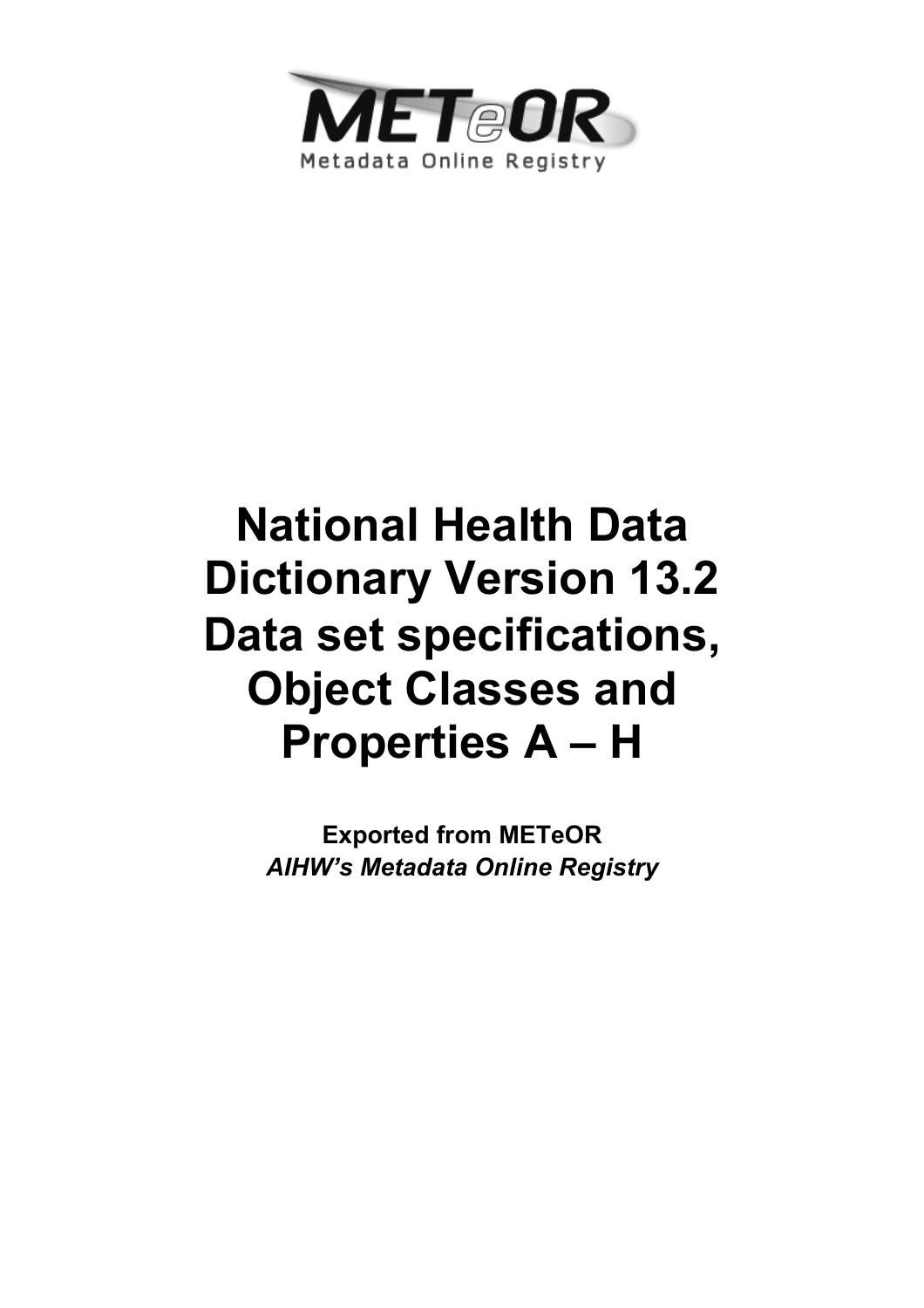

# **National Health Data Dictionary Version 13.2 Data set specifications, Object Classes and Properties A – H**

**Exported from METeOR**  *AIHW's Metadata Online Registry*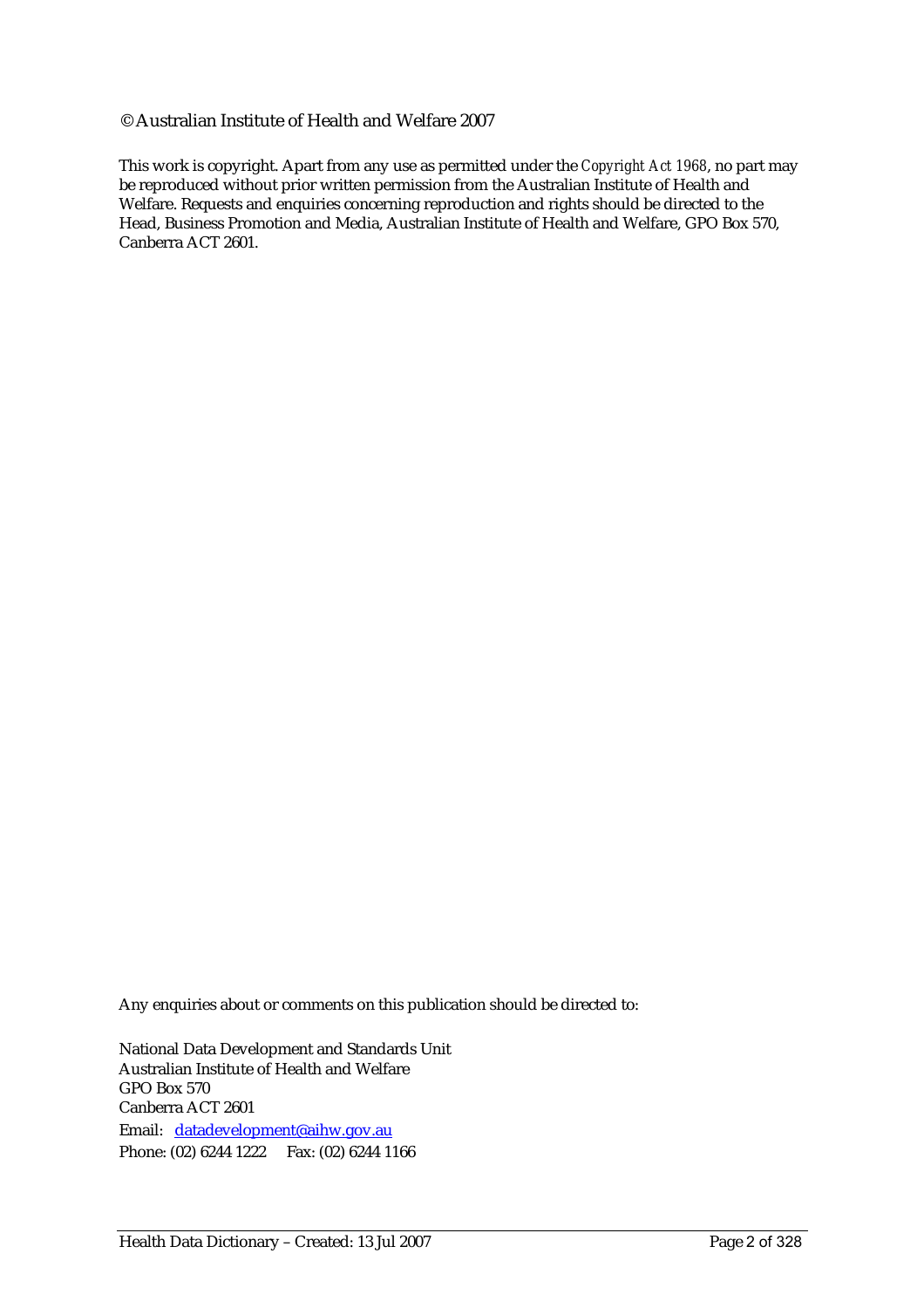#### © Australian Institute of Health and Welfare 2007

This work is copyright. Apart from any use as permitted under the *Copyright Act 1968*, no part may be reproduced without prior written permission from the Australian Institute of Health and Welfare. Requests and enquiries concerning reproduction and rights should be directed to the Head, Business Promotion and Media, Australian Institute of Health and Welfare, GPO Box 570, Canberra ACT 2601.

Any enquiries about or comments on this publication should be directed to:

National Data Development and Standards Unit Australian Institute of Health and Welfare GPO Box 570 Canberra ACT 2601 Email: datadevelopment@aihw.gov.au Phone: (02) 6244 1222 Fax: (02) 6244 1166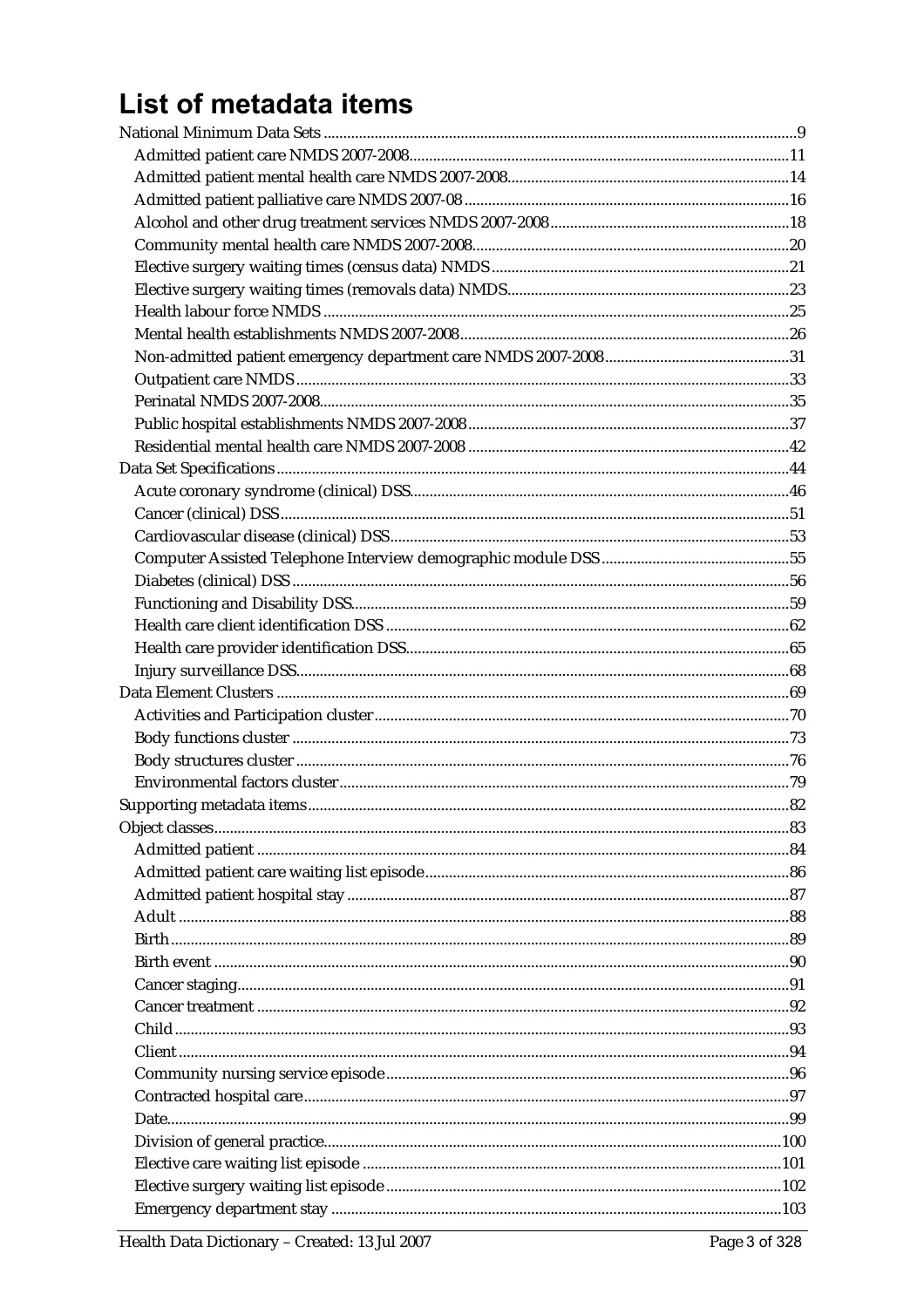# List of metadata items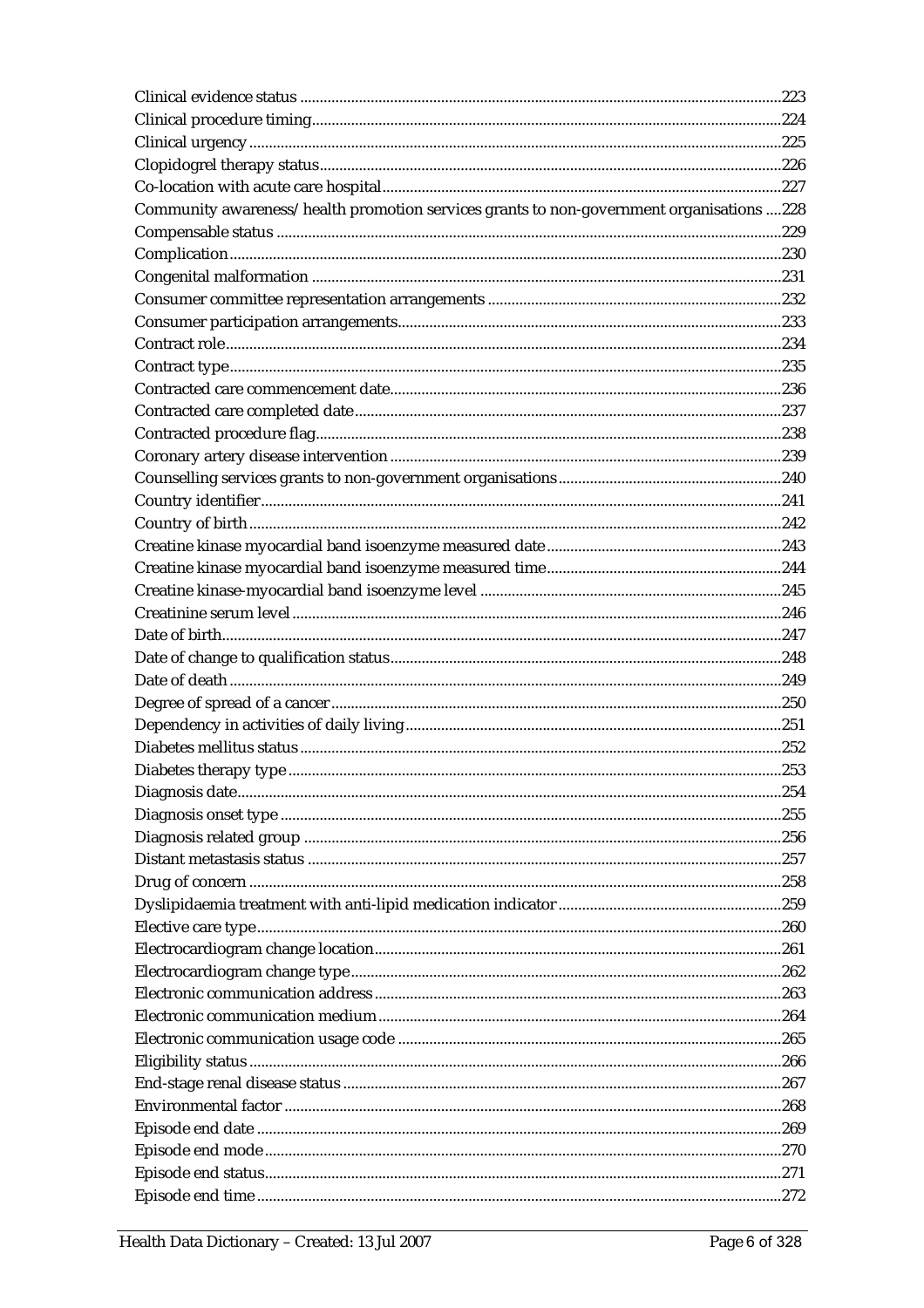| Community awareness/health promotion services grants to non-government organisations 228 |  |
|------------------------------------------------------------------------------------------|--|
|                                                                                          |  |
|                                                                                          |  |
|                                                                                          |  |
|                                                                                          |  |
|                                                                                          |  |
|                                                                                          |  |
|                                                                                          |  |
|                                                                                          |  |
|                                                                                          |  |
|                                                                                          |  |
|                                                                                          |  |
|                                                                                          |  |
|                                                                                          |  |
|                                                                                          |  |
|                                                                                          |  |
|                                                                                          |  |
|                                                                                          |  |
|                                                                                          |  |
|                                                                                          |  |
|                                                                                          |  |
|                                                                                          |  |
|                                                                                          |  |
|                                                                                          |  |
|                                                                                          |  |
|                                                                                          |  |
|                                                                                          |  |
|                                                                                          |  |
|                                                                                          |  |
|                                                                                          |  |
|                                                                                          |  |
|                                                                                          |  |
|                                                                                          |  |
|                                                                                          |  |
|                                                                                          |  |
|                                                                                          |  |
|                                                                                          |  |
|                                                                                          |  |
|                                                                                          |  |
|                                                                                          |  |
|                                                                                          |  |
|                                                                                          |  |
|                                                                                          |  |
|                                                                                          |  |
|                                                                                          |  |
|                                                                                          |  |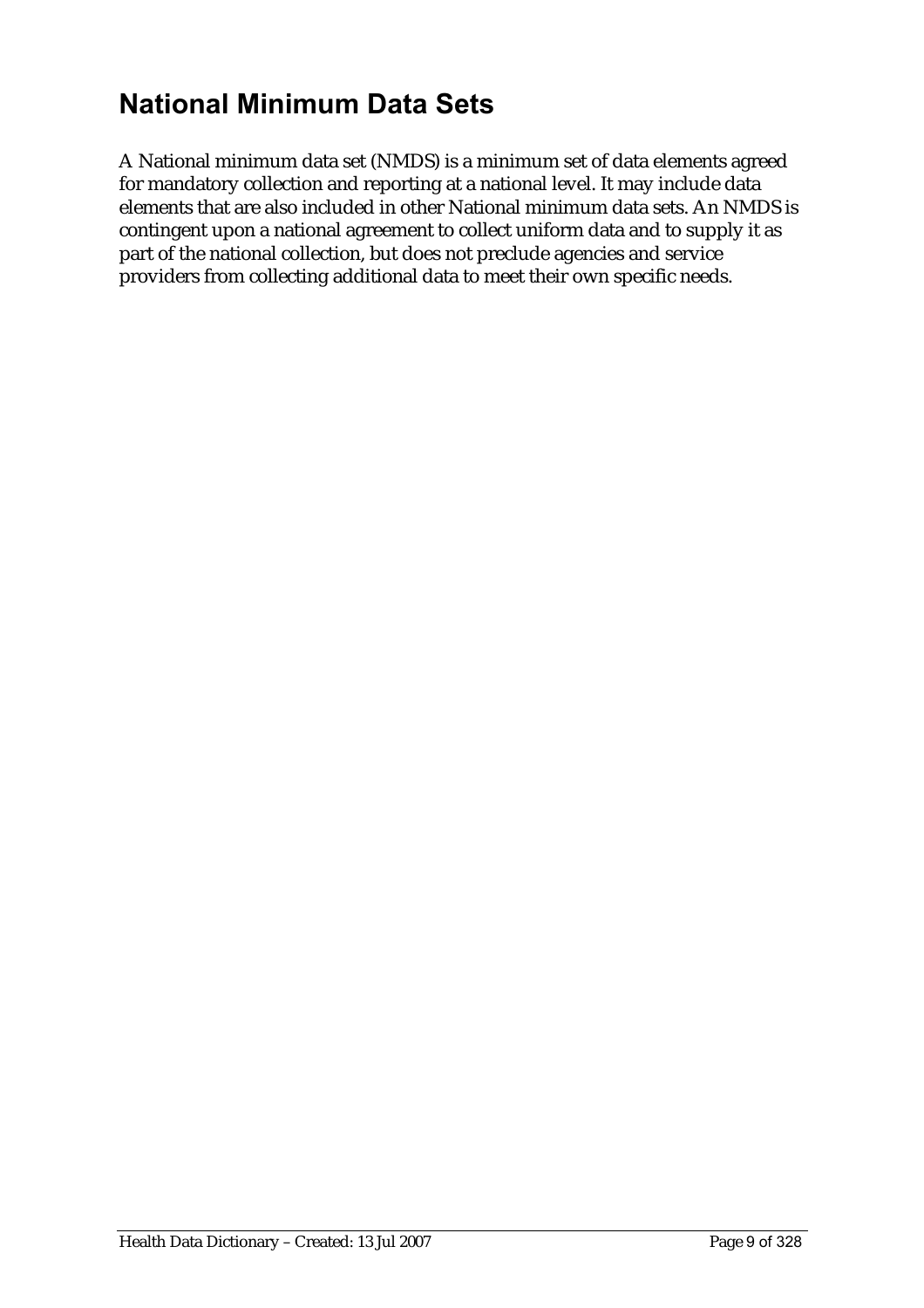# **National Minimum Data Sets**

A National minimum data set (NMDS) is a minimum set of data elements agreed for mandatory collection and reporting at a national level. It may include data elements that are also included in other National minimum data sets. An NMDS is contingent upon a national agreement to collect uniform data and to supply it as part of the national collection, but does not preclude agencies and service providers from collecting additional data to meet their own specific needs.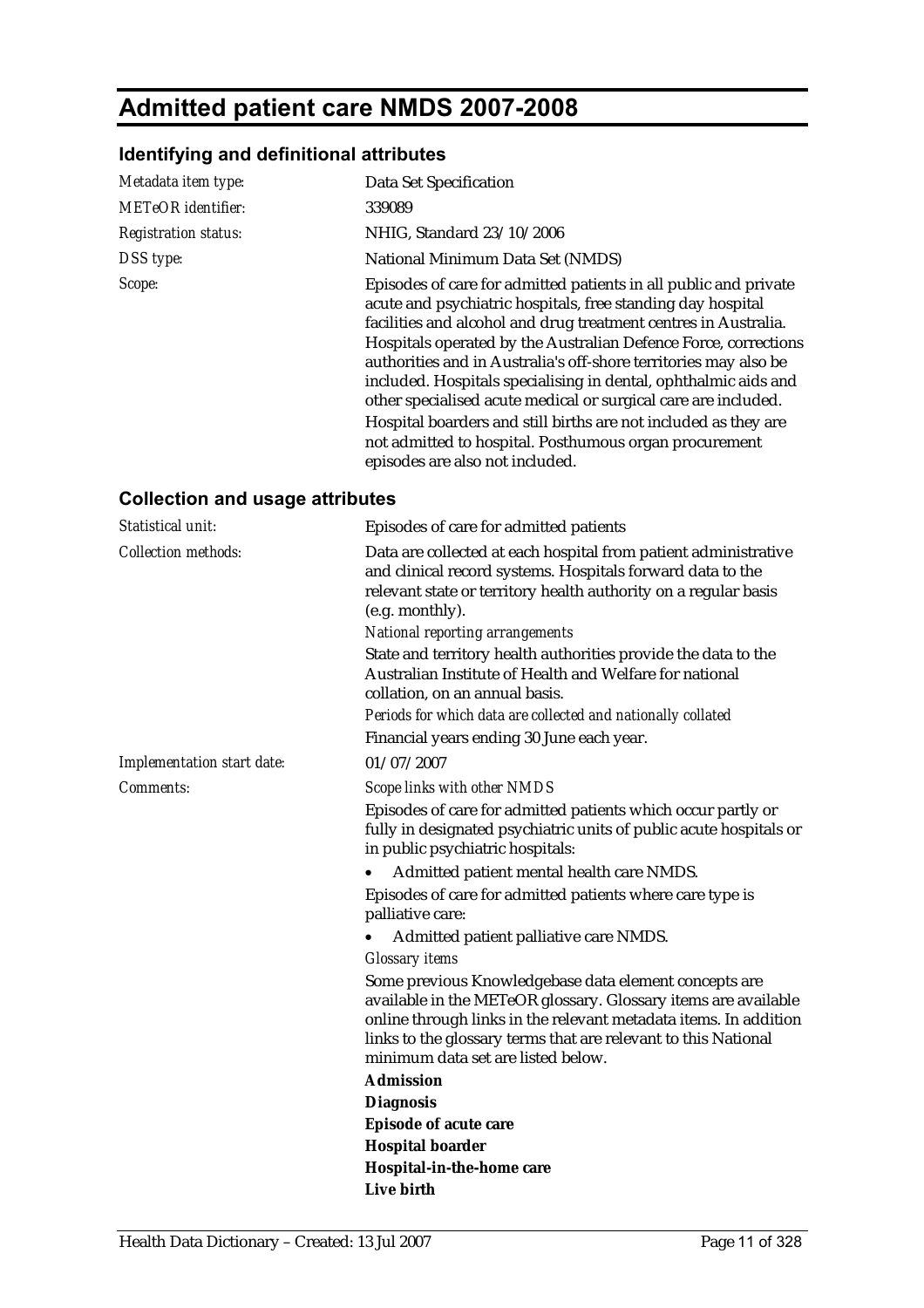# **Admitted patient care NMDS 2007-2008**

## **Identifying and definitional attributes**

| Metadata item type:         | Data Set Specification                                                                                                                                                                                                                                                                                                                                                                                                                                                                                                                                                                                                                         |
|-----------------------------|------------------------------------------------------------------------------------------------------------------------------------------------------------------------------------------------------------------------------------------------------------------------------------------------------------------------------------------------------------------------------------------------------------------------------------------------------------------------------------------------------------------------------------------------------------------------------------------------------------------------------------------------|
| <b>METeOR</b> identifier:   | 339089                                                                                                                                                                                                                                                                                                                                                                                                                                                                                                                                                                                                                                         |
| <b>Registration status:</b> | NHIG, Standard 23/10/2006                                                                                                                                                                                                                                                                                                                                                                                                                                                                                                                                                                                                                      |
| DSS type:                   | National Minimum Data Set (NMDS)                                                                                                                                                                                                                                                                                                                                                                                                                                                                                                                                                                                                               |
| Scope:                      | Episodes of care for admitted patients in all public and private<br>acute and psychiatric hospitals, free standing day hospital<br>facilities and alcohol and drug treatment centres in Australia.<br>Hospitals operated by the Australian Defence Force, corrections<br>authorities and in Australia's off-shore territories may also be<br>included. Hospitals specialising in dental, ophthalmic aids and<br>other specialised acute medical or surgical care are included.<br>Hospital boarders and still births are not included as they are<br>not admitted to hospital. Posthumous organ procurement<br>episodes are also not included. |

## **Collection and usage attributes**

| Statistical unit:          | Episodes of care for admitted patients                                                                                                                                                                                                                                                                                                                                                     |
|----------------------------|--------------------------------------------------------------------------------------------------------------------------------------------------------------------------------------------------------------------------------------------------------------------------------------------------------------------------------------------------------------------------------------------|
| <b>Collection methods:</b> | Data are collected at each hospital from patient administrative<br>and clinical record systems. Hospitals forward data to the<br>relevant state or territory health authority on a regular basis<br>(e.g. monthly).<br><b>National reporting arrangements</b><br>State and territory health authorities provide the data to the<br>Australian Institute of Health and Welfare for national |
|                            | collation, on an annual basis.                                                                                                                                                                                                                                                                                                                                                             |
|                            | Periods for which data are collected and nationally collated                                                                                                                                                                                                                                                                                                                               |
|                            | Financial years ending 30 June each year.                                                                                                                                                                                                                                                                                                                                                  |
| Implementation start date: | 01/07/2007                                                                                                                                                                                                                                                                                                                                                                                 |
| Comments:                  | Scope links with other NMDS                                                                                                                                                                                                                                                                                                                                                                |
|                            | Episodes of care for admitted patients which occur partly or<br>fully in designated psychiatric units of public acute hospitals or<br>in public psychiatric hospitals:                                                                                                                                                                                                                     |
|                            | Admitted patient mental health care NMDS.                                                                                                                                                                                                                                                                                                                                                  |
|                            | Episodes of care for admitted patients where care type is<br>palliative care:                                                                                                                                                                                                                                                                                                              |
|                            | Admitted patient palliative care NMDS.                                                                                                                                                                                                                                                                                                                                                     |
|                            | <b>Glossary</b> items                                                                                                                                                                                                                                                                                                                                                                      |
|                            | Some previous Knowledgebase data element concepts are<br>available in the METeOR glossary. Glossary items are available<br>online through links in the relevant metadata items. In addition<br>links to the glossary terms that are relevant to this National<br>minimum data set are listed below.                                                                                        |
|                            | <b>Admission</b>                                                                                                                                                                                                                                                                                                                                                                           |
|                            | <b>Diagnosis</b>                                                                                                                                                                                                                                                                                                                                                                           |
|                            | <b>Episode of acute care</b>                                                                                                                                                                                                                                                                                                                                                               |
|                            | <b>Hospital boarder</b>                                                                                                                                                                                                                                                                                                                                                                    |
|                            | Hospital-in-the-home care                                                                                                                                                                                                                                                                                                                                                                  |
|                            | Live birth                                                                                                                                                                                                                                                                                                                                                                                 |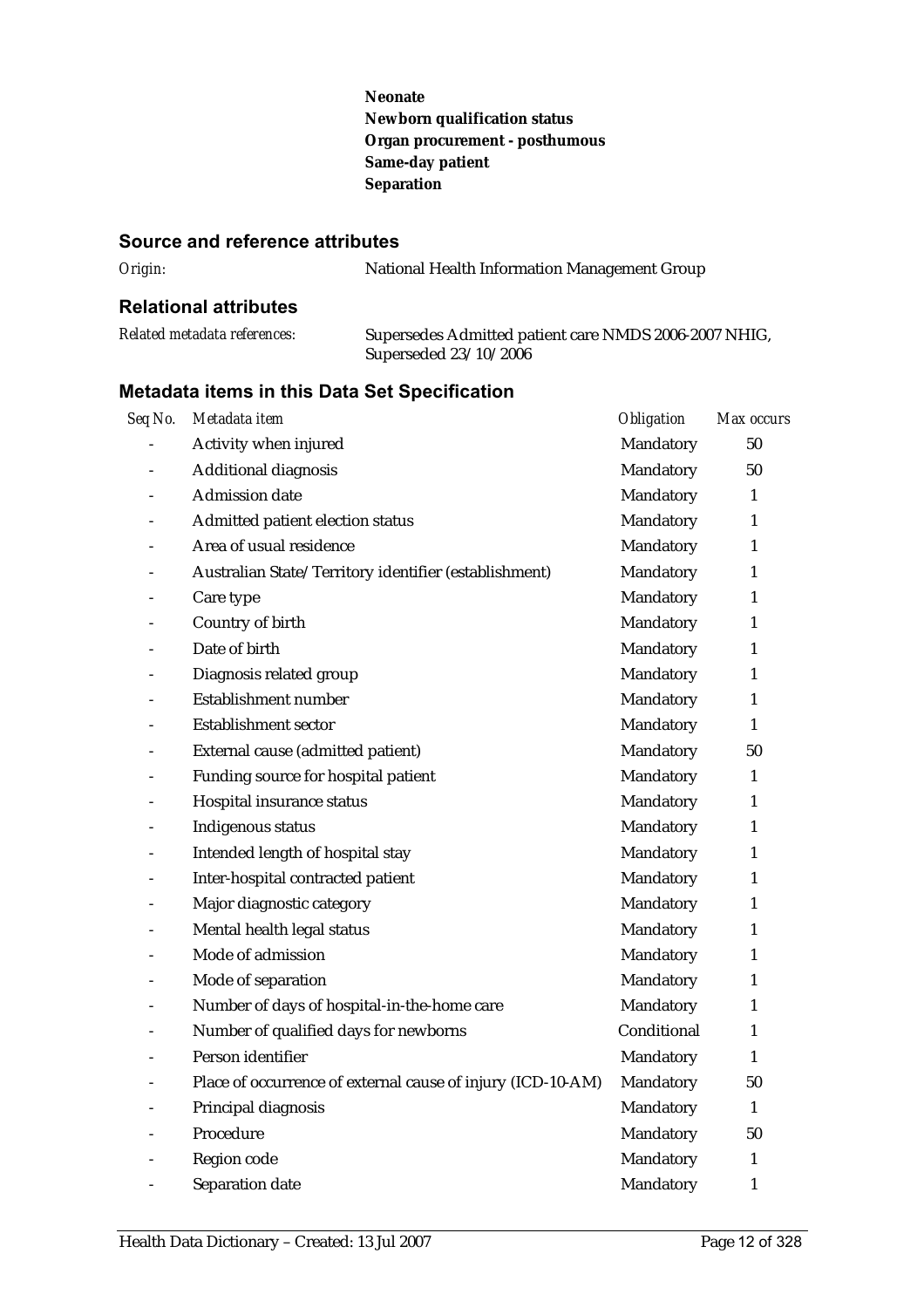**Neonate Newborn qualification status Organ procurement - posthumous Same-day patient Separation**

#### **Source and reference attributes**

| Origin: | National Health Information Management Group |
|---------|----------------------------------------------|
|         |                                              |

## **Relational attributes**

| Related metadata references: | Supersedes Admitted patient care NMDS 2006-2007 NHIG, |
|------------------------------|-------------------------------------------------------|
|                              | Superseded 23/10/2006                                 |

| Seq No.                  | Metadata item                                               | Obligation  | Max occurs   |
|--------------------------|-------------------------------------------------------------|-------------|--------------|
|                          | Activity when injured                                       | Mandatory   | 50           |
|                          | Additional diagnosis                                        | Mandatory   | 50           |
|                          | <b>Admission</b> date                                       | Mandatory   | 1            |
|                          | Admitted patient election status                            | Mandatory   | $\mathbf{1}$ |
|                          | Area of usual residence                                     | Mandatory   | 1            |
|                          | Australian State/Territory identifier (establishment)       | Mandatory   | 1            |
|                          | Care type                                                   | Mandatory   | 1            |
| $\overline{\phantom{m}}$ | Country of birth                                            | Mandatory   | $\mathbf{1}$ |
|                          | Date of birth                                               | Mandatory   | 1            |
|                          | Diagnosis related group                                     | Mandatory   | 1            |
|                          | Establishment number                                        | Mandatory   | 1            |
|                          | <b>Establishment sector</b>                                 | Mandatory   | 1            |
|                          | External cause (admitted patient)                           | Mandatory   | 50           |
| $\overline{\phantom{a}}$ | Funding source for hospital patient                         | Mandatory   | $\mathbf{1}$ |
| $\overline{a}$           | Hospital insurance status                                   | Mandatory   | 1            |
| $\overline{a}$           | Indigenous status                                           | Mandatory   | 1            |
| $\overline{\phantom{0}}$ | Intended length of hospital stay                            | Mandatory   | 1            |
|                          | Inter-hospital contracted patient                           | Mandatory   | 1            |
|                          | Major diagnostic category                                   | Mandatory   | 1            |
| $\overline{a}$           | Mental health legal status                                  | Mandatory   | $\mathbf{1}$ |
| $\overline{a}$           | Mode of admission                                           | Mandatory   | $\mathbf{1}$ |
| $\overline{a}$           | Mode of separation                                          | Mandatory   | $\mathbf{1}$ |
|                          | Number of days of hospital-in-the-home care                 | Mandatory   | 1            |
|                          | Number of qualified days for newborns                       | Conditional | $\mathbf{1}$ |
|                          | Person identifier                                           | Mandatory   | $\mathbf{1}$ |
|                          | Place of occurrence of external cause of injury (ICD-10-AM) | Mandatory   | 50           |
|                          | Principal diagnosis                                         | Mandatory   | $\mathbf{1}$ |
|                          | Procedure                                                   | Mandatory   | 50           |
|                          | Region code                                                 | Mandatory   | 1            |
|                          | Separation date                                             | Mandatory   | 1            |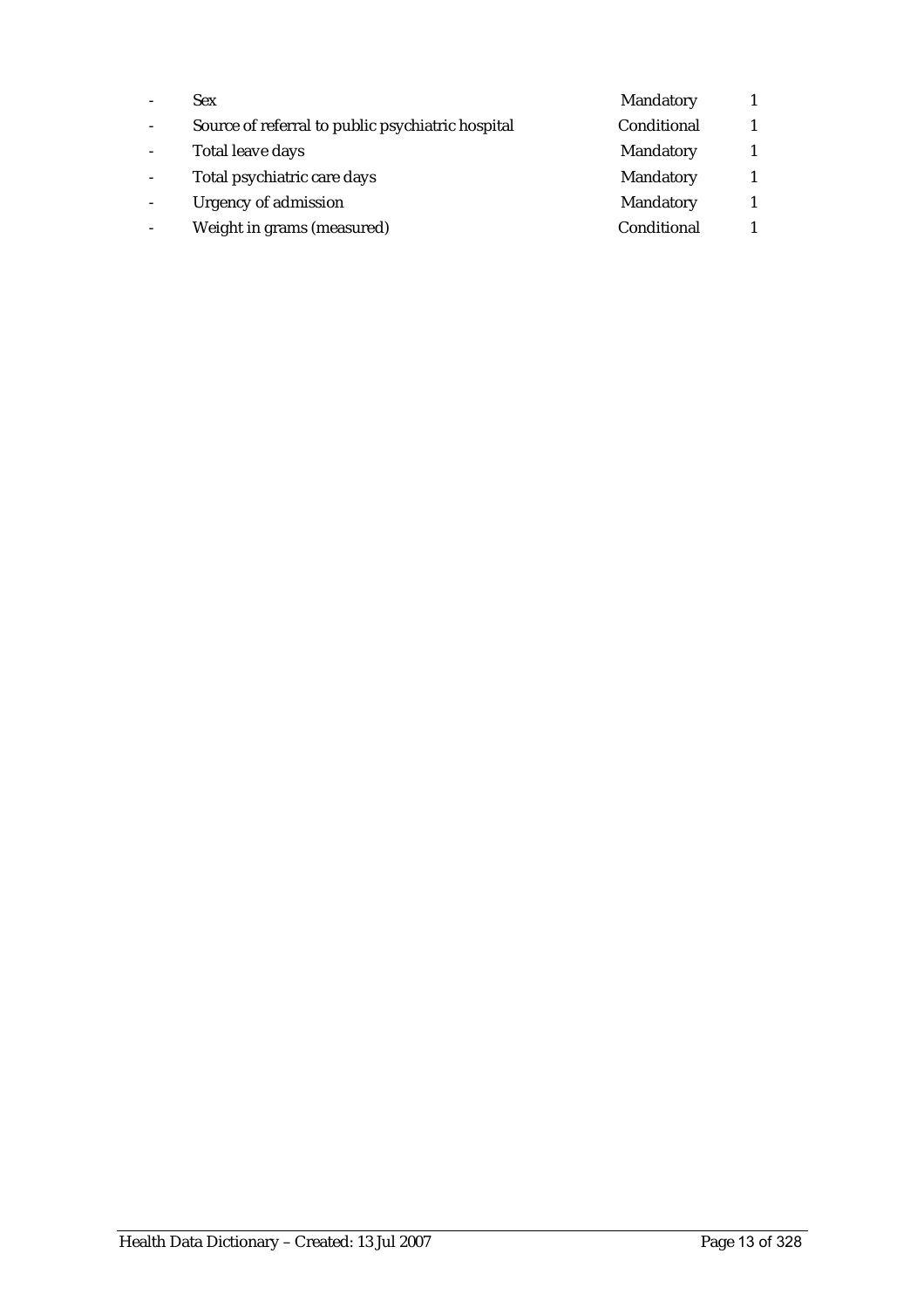| <b>Sex</b>                                        | Mandatory   |  |
|---------------------------------------------------|-------------|--|
| Source of referral to public psychiatric hospital | Conditional |  |
| Total leave days                                  | Mandatory   |  |
| Total psychiatric care days                       | Mandatory   |  |
| Urgency of admission                              | Mandatory   |  |
| Weight in grams (measured)                        | Conditional |  |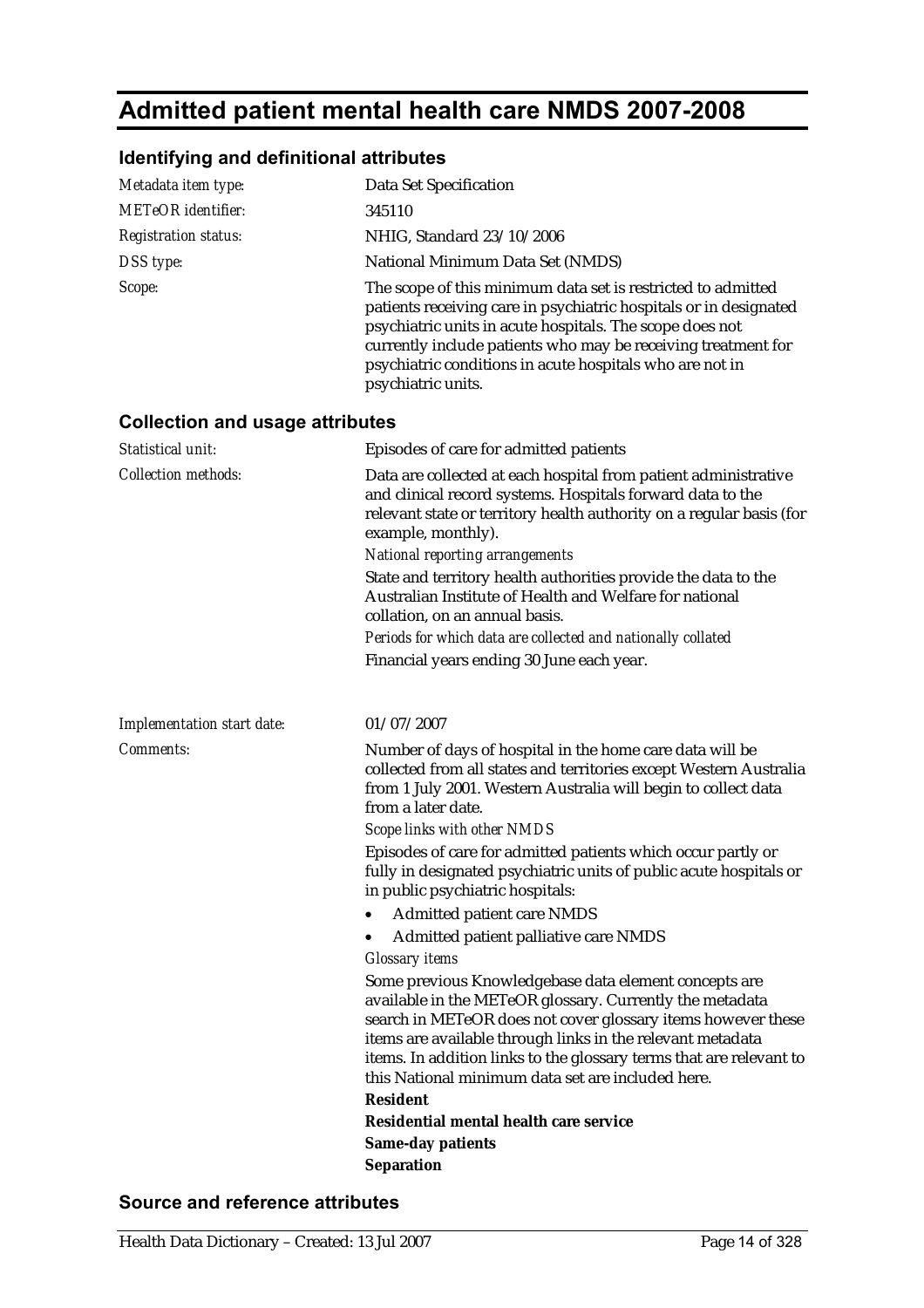# **Admitted patient mental health care NMDS 2007-2008**

## **Identifying and definitional attributes**

| Metadata item type:                    | Data Set Specification                                                                                                                                                                                                                                                                                                                                                                                                                                            |
|----------------------------------------|-------------------------------------------------------------------------------------------------------------------------------------------------------------------------------------------------------------------------------------------------------------------------------------------------------------------------------------------------------------------------------------------------------------------------------------------------------------------|
| <b>METeOR</b> identifier:              | 345110                                                                                                                                                                                                                                                                                                                                                                                                                                                            |
| <b>Registration status:</b>            | NHIG, Standard 23/10/2006                                                                                                                                                                                                                                                                                                                                                                                                                                         |
| DSS type:                              | National Minimum Data Set (NMDS)                                                                                                                                                                                                                                                                                                                                                                                                                                  |
| Scope:                                 | The scope of this minimum data set is restricted to admitted<br>patients receiving care in psychiatric hospitals or in designated<br>psychiatric units in acute hospitals. The scope does not<br>currently include patients who may be receiving treatment for<br>psychiatric conditions in acute hospitals who are not in<br>psychiatric units.                                                                                                                  |
| <b>Collection and usage attributes</b> |                                                                                                                                                                                                                                                                                                                                                                                                                                                                   |
| Statistical unit:                      | Episodes of care for admitted patients                                                                                                                                                                                                                                                                                                                                                                                                                            |
| <b>Collection methods:</b>             | Data are collected at each hospital from patient administrative<br>and clinical record systems. Hospitals forward data to the<br>relevant state or territory health authority on a regular basis (for<br>example, monthly).<br><b>National reporting arrangements</b>                                                                                                                                                                                             |
|                                        | State and territory health authorities provide the data to the<br>Australian Institute of Health and Welfare for national<br>collation, on an annual basis.                                                                                                                                                                                                                                                                                                       |
|                                        | Periods for which data are collected and nationally collated                                                                                                                                                                                                                                                                                                                                                                                                      |
|                                        | Financial years ending 30 June each year.                                                                                                                                                                                                                                                                                                                                                                                                                         |
| Implementation start date:             | 01/07/2007                                                                                                                                                                                                                                                                                                                                                                                                                                                        |
| <b>Comments:</b>                       | Number of days of hospital in the home care data will be<br>collected from all states and territories except Western Australia<br>from 1 July 2001. Western Australia will begin to collect data<br>from a later date.<br>Scope links with other NMDS                                                                                                                                                                                                             |
|                                        | Episodes of care for admitted patients which occur partly or<br>fully in designated psychiatric units of public acute hospitals or<br>in public psychiatric hospitals:                                                                                                                                                                                                                                                                                            |
|                                        | <b>Admitted patient care NMDS</b>                                                                                                                                                                                                                                                                                                                                                                                                                                 |
|                                        | Admitted patient palliative care NMDS                                                                                                                                                                                                                                                                                                                                                                                                                             |
|                                        | <b>Glossary items</b><br>Some previous Knowledgebase data element concepts are<br>available in the METeOR glossary. Currently the metadata<br>search in METeOR does not cover glossary items however these<br>items are available through links in the relevant metadata<br>items. In addition links to the glossary terms that are relevant to<br>this National minimum data set are included here.<br><b>Resident</b><br>Residential mental health care service |
|                                        | <b>Same-day patients</b>                                                                                                                                                                                                                                                                                                                                                                                                                                          |
|                                        | <b>Separation</b>                                                                                                                                                                                                                                                                                                                                                                                                                                                 |

## **Source and reference attributes**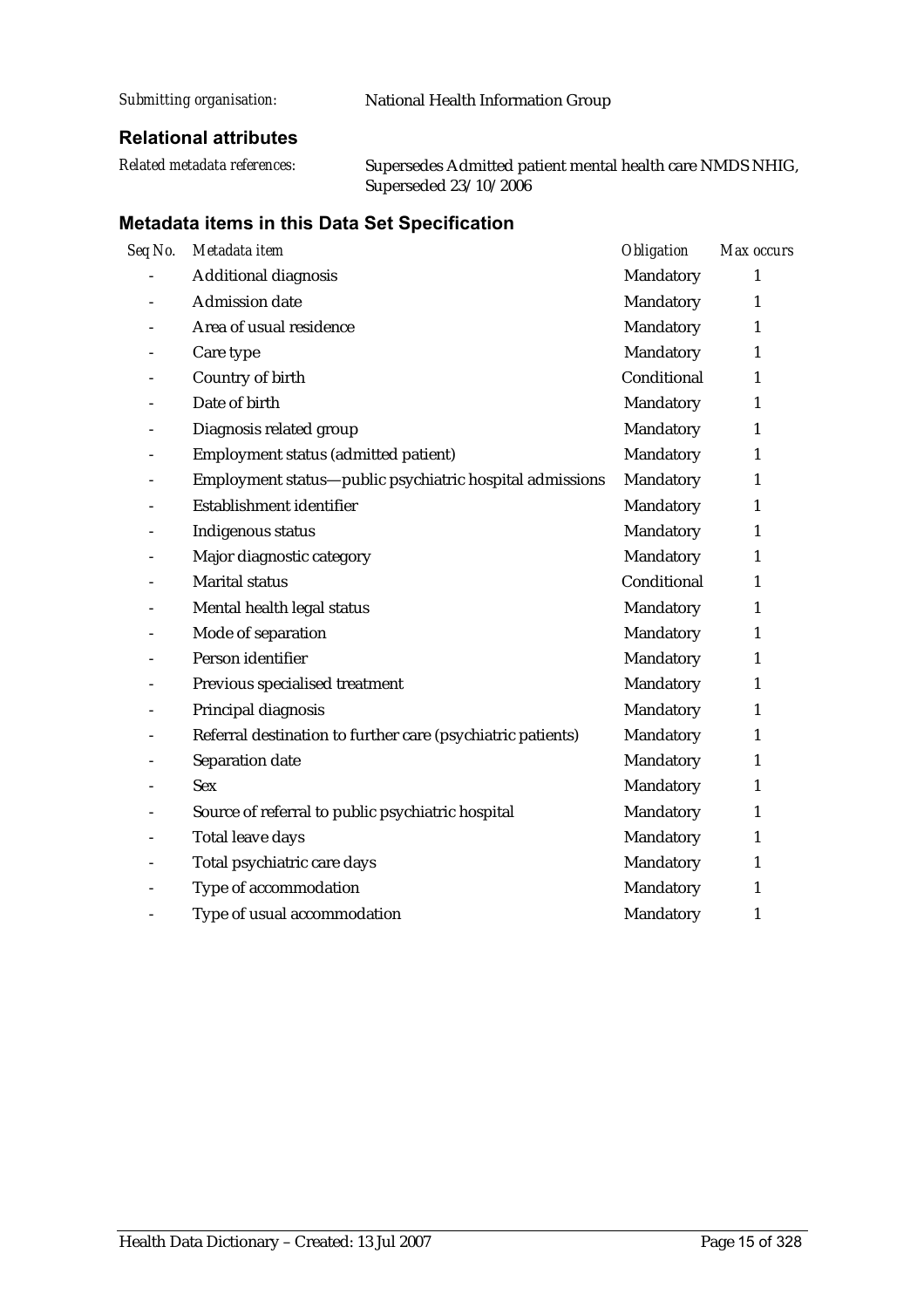| Submitting organisation: | National Health Information Group |
|--------------------------|-----------------------------------|
|                          |                                   |

## **Relational attributes**

| Related metadata references: | Supersedes Admitted patient mental health care NMDS NHIG, |
|------------------------------|-----------------------------------------------------------|
|                              | Superseded $23/10/2006$                                   |

| Seq No.                      | Metadata item                                               | <i><b>Obligation</b></i> | Max occurs   |
|------------------------------|-------------------------------------------------------------|--------------------------|--------------|
|                              | Additional diagnosis                                        | Mandatory                | 1            |
| $\overline{\phantom{a}}$     | <b>Admission date</b>                                       | Mandatory                | 1            |
|                              | Area of usual residence                                     | Mandatory                | $\mathbf{1}$ |
|                              | Care type                                                   | Mandatory                | 1            |
| $\qquad \qquad -$            | Country of birth                                            | Conditional              | $\mathbf{1}$ |
|                              | Date of birth                                               | Mandatory                | $\mathbf{1}$ |
| $\overline{a}$               | Diagnosis related group                                     | Mandatory                | 1            |
| $\overline{\phantom{a}}$     | Employment status (admitted patient)                        | Mandatory                | 1            |
| $\overline{\phantom{a}}$     | Employment status-public psychiatric hospital admissions    | Mandatory                | 1            |
| $\overline{\phantom{a}}$     | Establishment identifier                                    | Mandatory                | $\mathbf{1}$ |
|                              | Indigenous status                                           | Mandatory                | 1            |
|                              | Major diagnostic category                                   | Mandatory                | 1            |
|                              | <b>Marital status</b>                                       | Conditional              | $\mathbf{1}$ |
| $\overline{\phantom{m}}$     | Mental health legal status                                  | Mandatory                | 1            |
| $\overline{\phantom{0}}$     | Mode of separation                                          | Mandatory                | 1            |
|                              | Person identifier                                           | Mandatory                | 1            |
| $\overline{a}$               | Previous specialised treatment                              | Mandatory                | $\mathbf{1}$ |
|                              | Principal diagnosis                                         | Mandatory                | $\mathbf{1}$ |
| $\overline{\phantom{a}}$     | Referral destination to further care (psychiatric patients) | Mandatory                | 1            |
| $\overline{\phantom{0}}$     | Separation date                                             | Mandatory                | $\mathbf{1}$ |
|                              | <b>Sex</b>                                                  | Mandatory                | 1            |
|                              | Source of referral to public psychiatric hospital           | Mandatory                | 1            |
|                              | Total leave days                                            | Mandatory                | 1            |
| $\qquad \qquad \blacksquare$ | Total psychiatric care days                                 | Mandatory                | $\mathbf{1}$ |
| $\overline{\phantom{a}}$     | Type of accommodation                                       | Mandatory                | $\mathbf{1}$ |
| $\overline{\phantom{0}}$     | Type of usual accommodation                                 | Mandatory                | 1            |
|                              |                                                             |                          |              |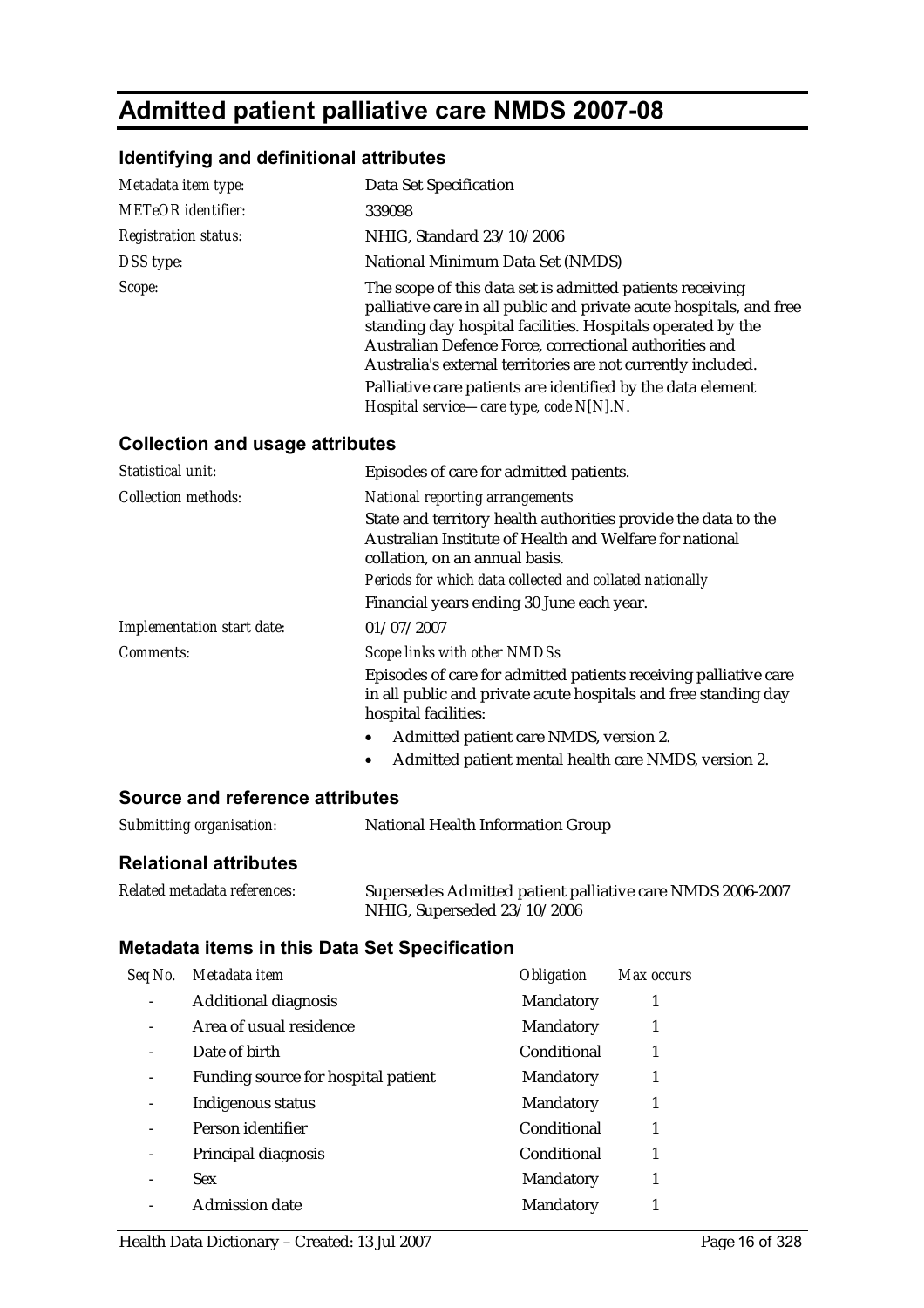# **Admitted patient palliative care NMDS 2007-08**

## **Identifying and definitional attributes**

| Metadata item type:                    | Data Set Specification                                                                                                                                                                                                                                                                                                                                                                                                               |
|----------------------------------------|--------------------------------------------------------------------------------------------------------------------------------------------------------------------------------------------------------------------------------------------------------------------------------------------------------------------------------------------------------------------------------------------------------------------------------------|
| <b>METeOR</b> identifier:              | 339098                                                                                                                                                                                                                                                                                                                                                                                                                               |
| <b>Registration status:</b>            | NHIG, Standard 23/10/2006                                                                                                                                                                                                                                                                                                                                                                                                            |
| DSS type:                              | National Minimum Data Set (NMDS)                                                                                                                                                                                                                                                                                                                                                                                                     |
| Scope:                                 | The scope of this data set is admitted patients receiving<br>palliative care in all public and private acute hospitals, and free<br>standing day hospital facilities. Hospitals operated by the<br>Australian Defence Force, correctional authorities and<br>Australia's external territories are not currently included.<br>Palliative care patients are identified by the data element<br>Hospital service—care type, code N[N].N. |
| <b>Collection and usage attributes</b> |                                                                                                                                                                                                                                                                                                                                                                                                                                      |
| Statistical unit:                      | Enisodes of care for admitted patients                                                                                                                                                                                                                                                                                                                                                                                               |

| Statistical unit:          | Episodes of care for admitted patients.                                                                                                                     |
|----------------------------|-------------------------------------------------------------------------------------------------------------------------------------------------------------|
| Collection methods:        | National reporting arrangements                                                                                                                             |
|                            | State and territory health authorities provide the data to the                                                                                              |
|                            | Australian Institute of Health and Welfare for national<br>collation, on an annual basis.                                                                   |
|                            | Periods for which data collected and collated nationally                                                                                                    |
|                            | Financial years ending 30 June each year.                                                                                                                   |
| Implementation start date: | 01/07/2007                                                                                                                                                  |
| Comments:                  | Scope links with other NMDSs                                                                                                                                |
|                            | Episodes of care for admitted patients receiving palliative care<br>in all public and private acute hospitals and free standing day<br>hospital facilities: |
|                            | Admitted patient care NMDS, version 2.                                                                                                                      |
|                            |                                                                                                                                                             |

• Admitted patient mental health care NMDS, version 2.

#### **Source and reference attributes**

| Submitting organisation: | National Health Information Group |
|--------------------------|-----------------------------------|
|                          |                                   |

## **Relational attributes**

| Related metadata references: | Supersedes Admitted patient palliative care NMDS 2006-2007 |
|------------------------------|------------------------------------------------------------|
|                              | NHIG, Superseded 23/10/2006                                |

| Seq No. | Metadata item                       | <i><b>Obligation</b></i> | Max occurs |
|---------|-------------------------------------|--------------------------|------------|
|         | <b>Additional diagnosis</b>         | Mandatory                | 1          |
|         | Area of usual residence             | Mandatory                |            |
|         | Date of birth                       | Conditional              |            |
|         | Funding source for hospital patient | Mandatory                | 1          |
|         | Indigenous status                   | Mandatory                | 1          |
|         | Person identifier                   | Conditional              |            |
|         | Principal diagnosis                 | Conditional              |            |
|         | <b>Sex</b>                          | Mandatory                | 1          |
|         | <b>Admission date</b>               | Mandatory                |            |
|         |                                     |                          |            |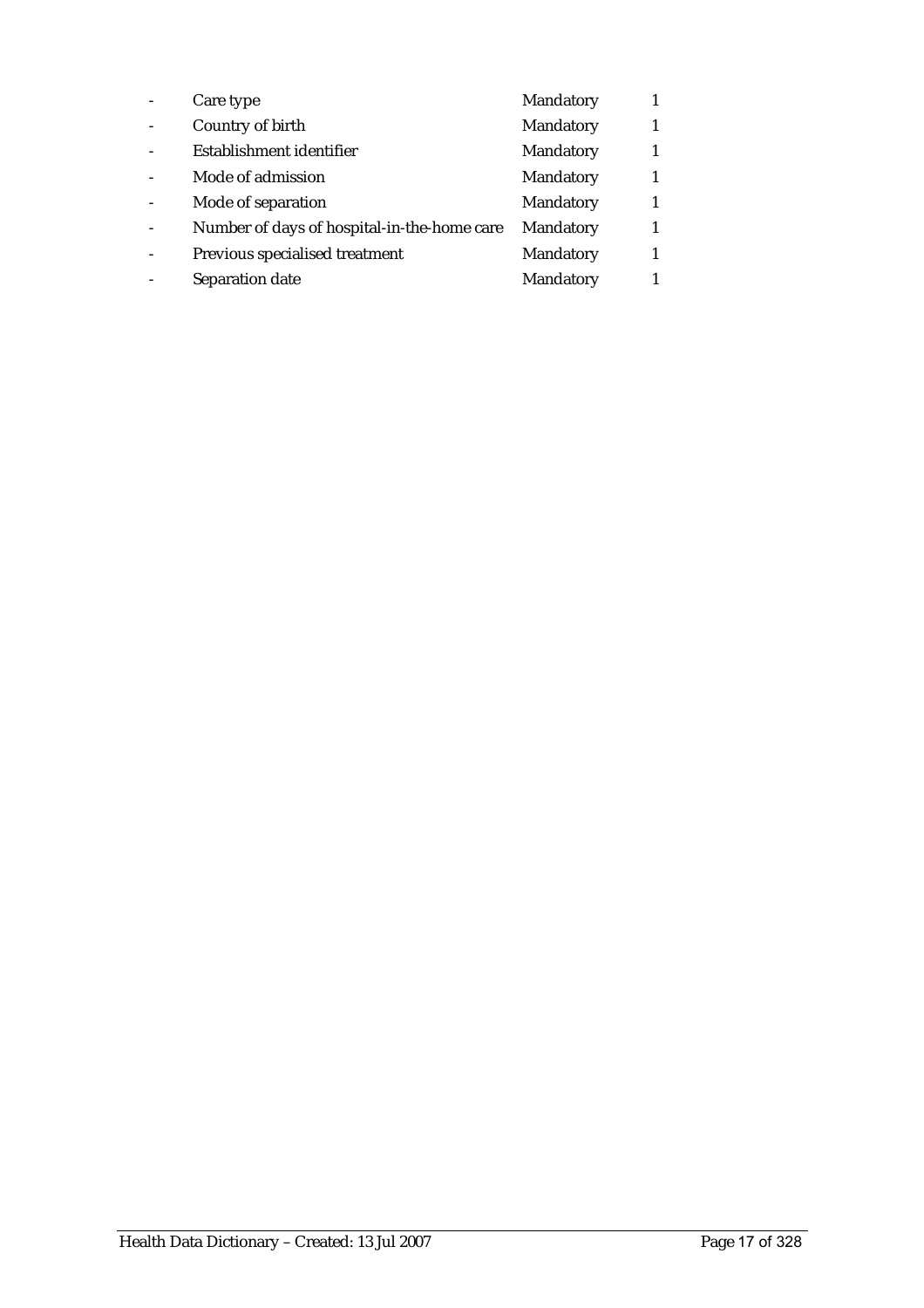| Care type                                   | Mandatory |  |
|---------------------------------------------|-----------|--|
| Country of birth                            | Mandatory |  |
| Establishment identifier                    | Mandatory |  |
| Mode of admission                           | Mandatory |  |
| Mode of separation                          | Mandatory |  |
| Number of days of hospital-in-the-home care | Mandatory |  |
| Previous specialised treatment              | Mandatory |  |
| Separation date                             | Mandatory |  |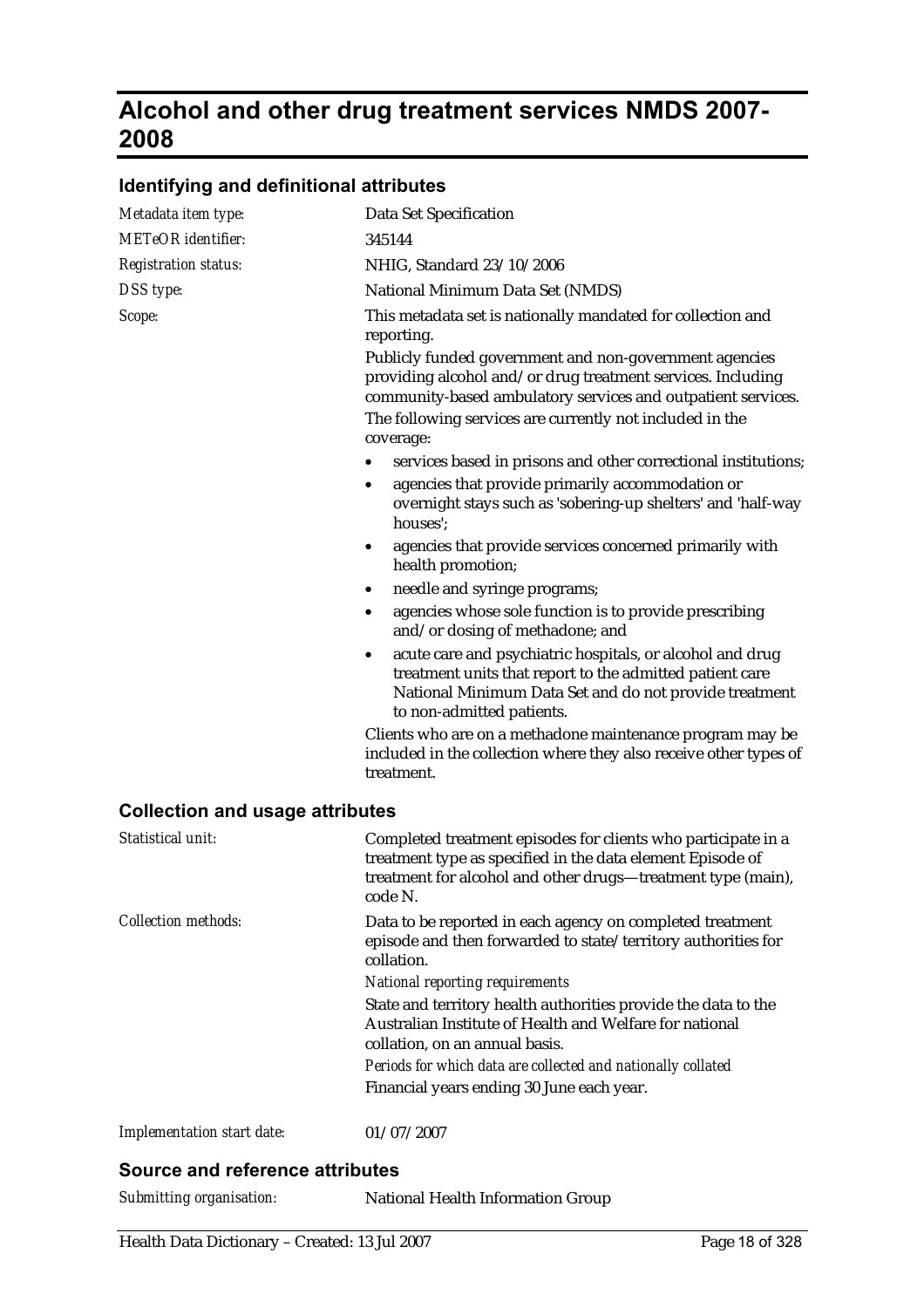## **Alcohol and other drug treatment services NMDS 2007- 2008**

## **Identifying and definitional attributes**

| Metadata item type:                    | Data Set Specification                                                                                                                                                                                                                            |
|----------------------------------------|---------------------------------------------------------------------------------------------------------------------------------------------------------------------------------------------------------------------------------------------------|
| <b>METeOR</b> identifier:              | 345144                                                                                                                                                                                                                                            |
| <b>Registration status:</b>            | NHIG, Standard 23/10/2006                                                                                                                                                                                                                         |
| DSS type:                              | National Minimum Data Set (NMDS)                                                                                                                                                                                                                  |
| Scope:                                 | This metadata set is nationally mandated for collection and<br>reporting.                                                                                                                                                                         |
|                                        | Publicly funded government and non-government agencies<br>providing alcohol and/or drug treatment services. Including<br>community-based ambulatory services and outpatient services.<br>The following services are currently not included in the |
|                                        | coverage:                                                                                                                                                                                                                                         |
|                                        | services based in prisons and other correctional institutions;<br>$\bullet$                                                                                                                                                                       |
|                                        | agencies that provide primarily accommodation or<br>$\bullet$<br>overnight stays such as 'sobering-up shelters' and 'half-way<br>houses';                                                                                                         |
|                                        | agencies that provide services concerned primarily with<br>health promotion;                                                                                                                                                                      |
|                                        | needle and syringe programs;<br>$\bullet$                                                                                                                                                                                                         |
|                                        | agencies whose sole function is to provide prescribing<br>٠<br>and/or dosing of methadone; and                                                                                                                                                    |
|                                        | acute care and psychiatric hospitals, or alcohol and drug<br>$\bullet$<br>treatment units that report to the admitted patient care<br>National Minimum Data Set and do not provide treatment<br>to non-admitted patients.                         |
|                                        | Clients who are on a methadone maintenance program may be<br>included in the collection where they also receive other types of<br>treatment.                                                                                                      |
| <b>Collection and usage attributes</b> |                                                                                                                                                                                                                                                   |
| Statistical unit:                      | Completed treatment episodes for clients who participate in a<br>treatment type as specified in the data element Episode of<br>treatment for alcohol and other drugs-treatment type (main),<br>code N.                                            |
| <b>Collection methods:</b>             | Data to be reported in each agency on completed treatment<br>episode and then forwarded to state/territory authorities for<br>collation.                                                                                                          |
|                                        | <b>National reporting requirements</b>                                                                                                                                                                                                            |
|                                        | State and territory health authorities provide the data to the<br>Australian Institute of Health and Welfare for national<br>collation, on an annual basis.                                                                                       |
|                                        | Periods for which data are collected and nationally collated                                                                                                                                                                                      |
|                                        | Financial years ending 30 June each year.                                                                                                                                                                                                         |
| Implementation start date:             | 01/07/2007                                                                                                                                                                                                                                        |

#### **Source and reference attributes**

*Submitting organisation:* National Health Information Group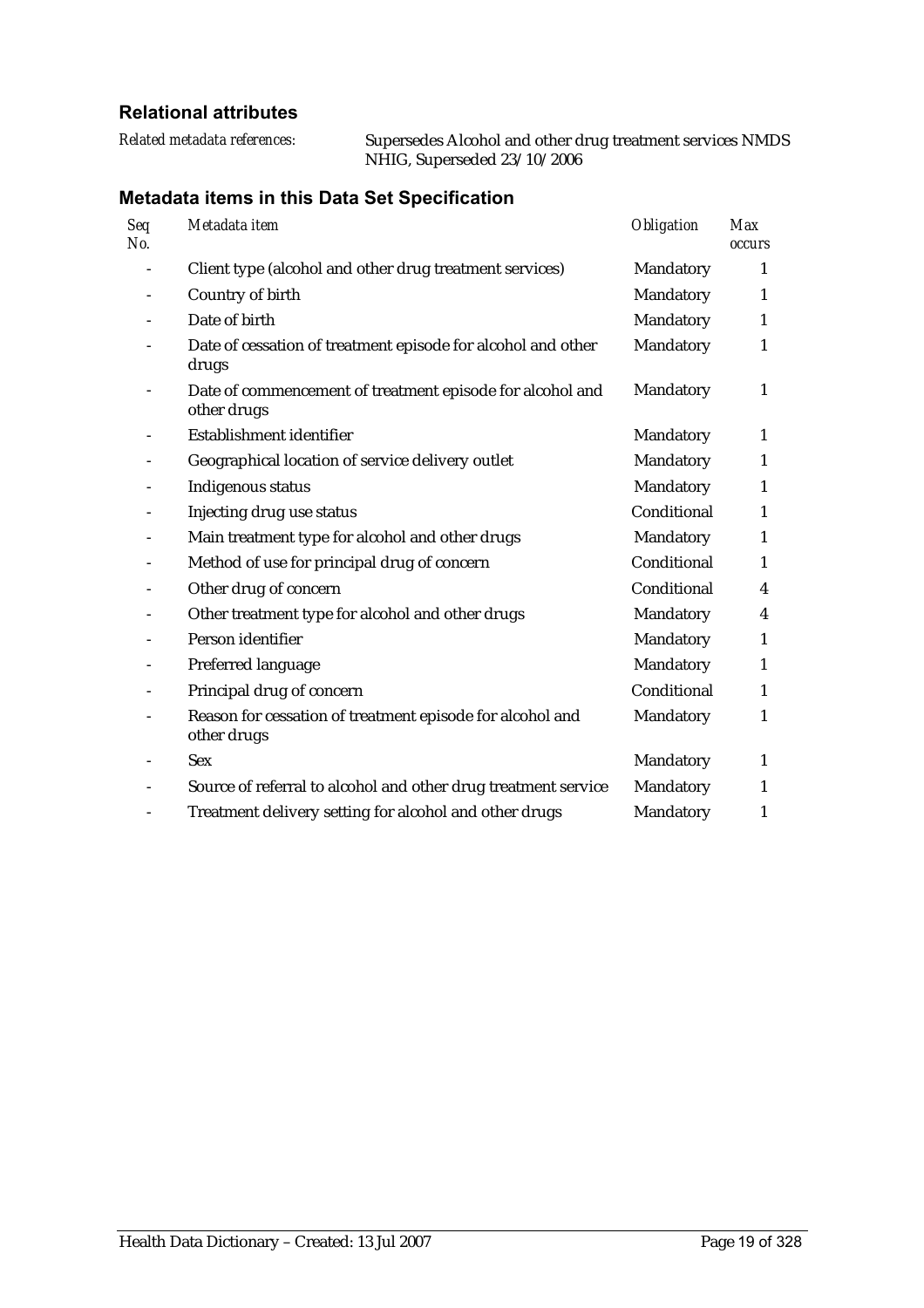## **Relational attributes**

| Related metadata references: | Supersedes Alcohol and other drug treatment services NMDS |
|------------------------------|-----------------------------------------------------------|
|                              | NHIG, Superseded 23/10/2006                               |

| Seq<br>No. | Metadata item                                                            | Obligation  | <b>Max</b><br><i><b>occurs</b></i> |
|------------|--------------------------------------------------------------------------|-------------|------------------------------------|
|            | Client type (alcohol and other drug treatment services)                  | Mandatory   | 1                                  |
|            | Country of birth                                                         | Mandatory   | 1                                  |
|            | Date of birth                                                            | Mandatory   | 1                                  |
|            | Date of cessation of treatment episode for alcohol and other<br>drugs    | Mandatory   | $\mathbf{1}$                       |
|            | Date of commencement of treatment episode for alcohol and<br>other drugs | Mandatory   | 1                                  |
|            | Establishment identifier                                                 | Mandatory   | 1                                  |
|            | Geographical location of service delivery outlet                         | Mandatory   | $\mathbf{1}$                       |
|            | Indigenous status                                                        | Mandatory   | $\mathbf{1}$                       |
|            | Injecting drug use status                                                | Conditional | $\mathbf{1}$                       |
|            | Main treatment type for alcohol and other drugs                          | Mandatory   | $\mathbf{1}$                       |
|            | Method of use for principal drug of concern                              | Conditional | $\mathbf{1}$                       |
|            | Other drug of concern                                                    | Conditional | 4                                  |
|            | Other treatment type for alcohol and other drugs                         | Mandatory   | 4                                  |
|            | Person identifier                                                        | Mandatory   | $\mathbf{1}$                       |
|            | Preferred language                                                       | Mandatory   | $\mathbf{1}$                       |
|            | Principal drug of concern                                                | Conditional | $\mathbf{1}$                       |
|            | Reason for cessation of treatment episode for alcohol and<br>other drugs | Mandatory   | $\mathbf{1}$                       |
|            | <b>Sex</b>                                                               | Mandatory   | 1                                  |
|            | Source of referral to alcohol and other drug treatment service           | Mandatory   | $\mathbf{1}$                       |
|            | Treatment delivery setting for alcohol and other drugs                   | Mandatory   | $\mathbf{1}$                       |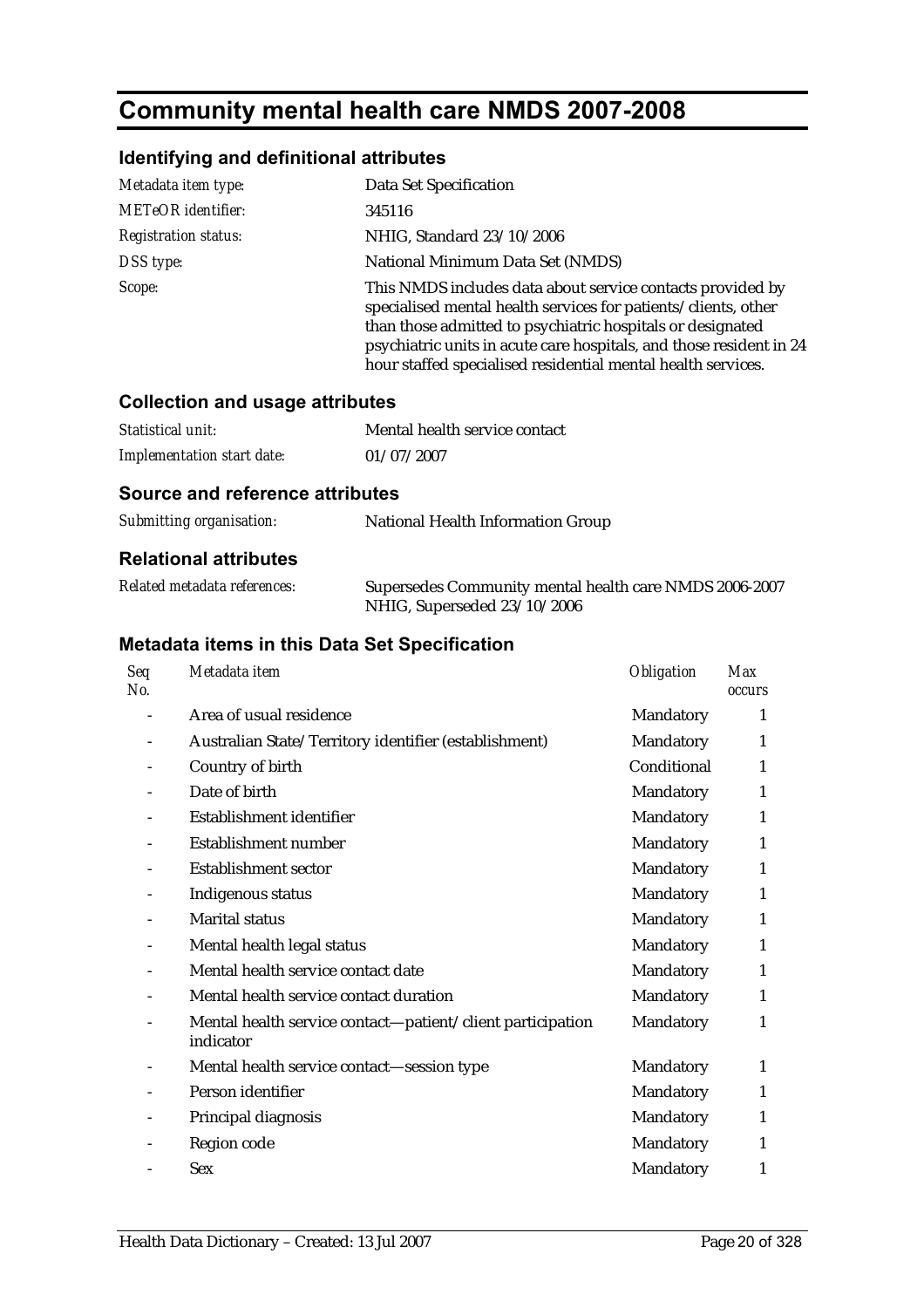# **Community mental health care NMDS 2007-2008**

## **Identifying and definitional attributes**

| Metadata item type:         | Data Set Specification                                                                                                                                                                                                                                                                                                            |
|-----------------------------|-----------------------------------------------------------------------------------------------------------------------------------------------------------------------------------------------------------------------------------------------------------------------------------------------------------------------------------|
| <b>METeOR</b> identifier:   | 345116                                                                                                                                                                                                                                                                                                                            |
| <b>Registration status:</b> | NHIG, Standard 23/10/2006                                                                                                                                                                                                                                                                                                         |
| DSS type:                   | National Minimum Data Set (NMDS)                                                                                                                                                                                                                                                                                                  |
| Scope:                      | This NMDS includes data about service contacts provided by<br>specialised mental health services for patients/clients, other<br>than those admitted to psychiatric hospitals or designated<br>psychiatric units in acute care hospitals, and those resident in 24<br>hour staffed specialised residential mental health services. |

### **Collection and usage attributes**

| Statistical unit:                 | Mental health service contact |
|-----------------------------------|-------------------------------|
| <b>Implementation start date:</b> | 01/07/2007                    |

## **Source and reference attributes**

| Submitting organisation: | National Health Information Group |
|--------------------------|-----------------------------------|
|                          |                                   |

#### **Relational attributes**

| Related metadata references: | Supersedes Community mental health care NMDS 2006-2007 |
|------------------------------|--------------------------------------------------------|
|                              | NHIG, Superseded 23/10/2006                            |

| Seq<br>No. | Metadata item                                                           | <b>Obligation</b> | <b>Max</b><br><b>occurs</b> |
|------------|-------------------------------------------------------------------------|-------------------|-----------------------------|
|            | Area of usual residence                                                 | Mandatory         | 1                           |
|            | Australian State/Territory identifier (establishment)                   | Mandatory         | 1                           |
|            | Country of birth                                                        | Conditional       | $\mathbf{1}$                |
|            | Date of birth                                                           | Mandatory         | 1                           |
|            | Establishment identifier                                                | Mandatory         | $\mathbf{1}$                |
|            | Establishment number                                                    | Mandatory         | $\mathbf{1}$                |
|            | <b>Establishment sector</b>                                             | Mandatory         | $\mathbf{1}$                |
|            | Indigenous status                                                       | Mandatory         | $\mathbf{1}$                |
|            | <b>Marital status</b>                                                   | Mandatory         | $\mathbf{1}$                |
|            | Mental health legal status                                              | Mandatory         | $\mathbf{1}$                |
|            | Mental health service contact date                                      | Mandatory         | 1                           |
|            | Mental health service contact duration                                  | Mandatory         | 1                           |
|            | Mental health service contact—patient/client participation<br>indicator | Mandatory         | 1                           |
|            | Mental health service contact-session type                              | Mandatory         | 1                           |
|            | Person identifier                                                       | Mandatory         | 1                           |
|            | Principal diagnosis                                                     | Mandatory         | 1                           |
|            | Region code                                                             | Mandatory         | 1                           |
|            | <b>Sex</b>                                                              | Mandatory         | 1                           |
|            |                                                                         |                   |                             |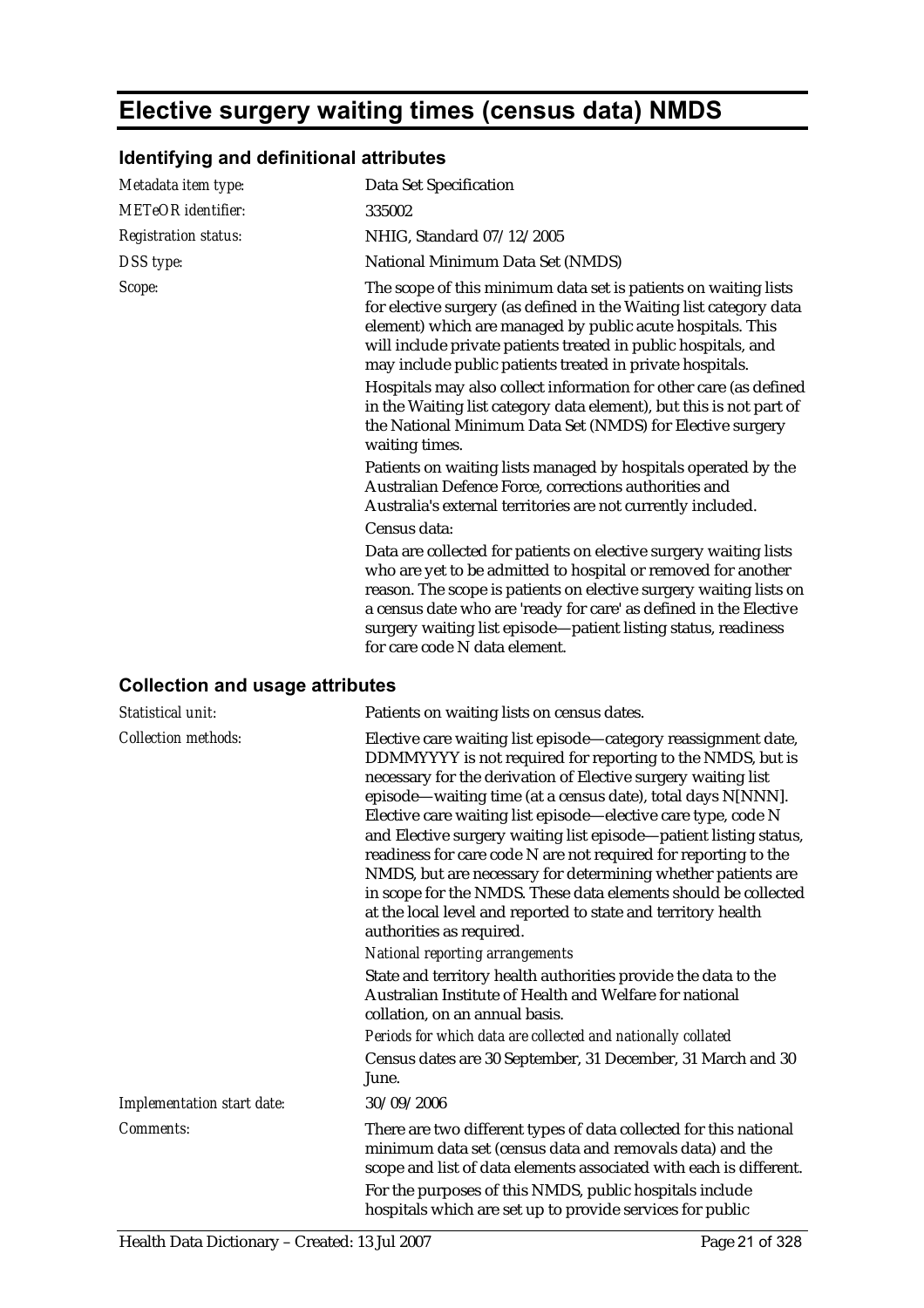# **Elective surgery waiting times (census data) NMDS**

## **Identifying and definitional attributes**

| Data Set Specification                                                                                                                                                                                                                                                                                                                                                                                                                                                                                                                                                                                                                                                                                                                                                                                                                                                                                                                                                                                                                                                                                                     |
|----------------------------------------------------------------------------------------------------------------------------------------------------------------------------------------------------------------------------------------------------------------------------------------------------------------------------------------------------------------------------------------------------------------------------------------------------------------------------------------------------------------------------------------------------------------------------------------------------------------------------------------------------------------------------------------------------------------------------------------------------------------------------------------------------------------------------------------------------------------------------------------------------------------------------------------------------------------------------------------------------------------------------------------------------------------------------------------------------------------------------|
|                                                                                                                                                                                                                                                                                                                                                                                                                                                                                                                                                                                                                                                                                                                                                                                                                                                                                                                                                                                                                                                                                                                            |
| NHIG, Standard 07/12/2005                                                                                                                                                                                                                                                                                                                                                                                                                                                                                                                                                                                                                                                                                                                                                                                                                                                                                                                                                                                                                                                                                                  |
| National Minimum Data Set (NMDS)                                                                                                                                                                                                                                                                                                                                                                                                                                                                                                                                                                                                                                                                                                                                                                                                                                                                                                                                                                                                                                                                                           |
| The scope of this minimum data set is patients on waiting lists<br>for elective surgery (as defined in the Waiting list category data<br>element) which are managed by public acute hospitals. This<br>will include private patients treated in public hospitals, and<br>may include public patients treated in private hospitals.<br>Hospitals may also collect information for other care (as defined<br>in the Waiting list category data element), but this is not part of<br>the National Minimum Data Set (NMDS) for Elective surgery<br>Patients on waiting lists managed by hospitals operated by the<br>Australian Defence Force, corrections authorities and<br>Australia's external territories are not currently included.<br>Data are collected for patients on elective surgery waiting lists<br>who are yet to be admitted to hospital or removed for another<br>reason. The scope is patients on elective surgery waiting lists on<br>a census date who are 'ready for care' as defined in the Elective<br>surgery waiting list episode-patient listing status, readiness<br>for care code N data element. |
|                                                                                                                                                                                                                                                                                                                                                                                                                                                                                                                                                                                                                                                                                                                                                                                                                                                                                                                                                                                                                                                                                                                            |

## **Collection and usage attributes**

| Statistical unit:          | Patients on waiting lists on census dates.                                                                                                                                                                                                                                                                                                                                                                                                                                                                                                                                                                                                                                                           |
|----------------------------|------------------------------------------------------------------------------------------------------------------------------------------------------------------------------------------------------------------------------------------------------------------------------------------------------------------------------------------------------------------------------------------------------------------------------------------------------------------------------------------------------------------------------------------------------------------------------------------------------------------------------------------------------------------------------------------------------|
| <b>Collection methods:</b> | Elective care waiting list episode—category reassignment date,<br>DDMMYYYY is not required for reporting to the NMDS, but is<br>necessary for the derivation of Elective surgery waiting list<br>episode—waiting time (at a census date), total days N[NNN].<br>Elective care waiting list episode—elective care type, code N<br>and Elective surgery waiting list episode-patient listing status,<br>readiness for care code N are not required for reporting to the<br>NMDS, but are necessary for determining whether patients are<br>in scope for the NMDS. These data elements should be collected<br>at the local level and reported to state and territory health<br>authorities as required. |
|                            | <b>National reporting arrangements</b>                                                                                                                                                                                                                                                                                                                                                                                                                                                                                                                                                                                                                                                               |
|                            | State and territory health authorities provide the data to the<br>Australian Institute of Health and Welfare for national<br>collation, on an annual basis.                                                                                                                                                                                                                                                                                                                                                                                                                                                                                                                                          |
|                            | Periods for which data are collected and nationally collated                                                                                                                                                                                                                                                                                                                                                                                                                                                                                                                                                                                                                                         |
|                            | Census dates are 30 September, 31 December, 31 March and 30<br>June.                                                                                                                                                                                                                                                                                                                                                                                                                                                                                                                                                                                                                                 |
| Implementation start date: | 30/09/2006                                                                                                                                                                                                                                                                                                                                                                                                                                                                                                                                                                                                                                                                                           |
| Comments:                  | There are two different types of data collected for this national<br>minimum data set (census data and removals data) and the<br>scope and list of data elements associated with each is different.                                                                                                                                                                                                                                                                                                                                                                                                                                                                                                  |
|                            | For the purposes of this NMDS, public hospitals include<br>hospitals which are set up to provide services for public                                                                                                                                                                                                                                                                                                                                                                                                                                                                                                                                                                                 |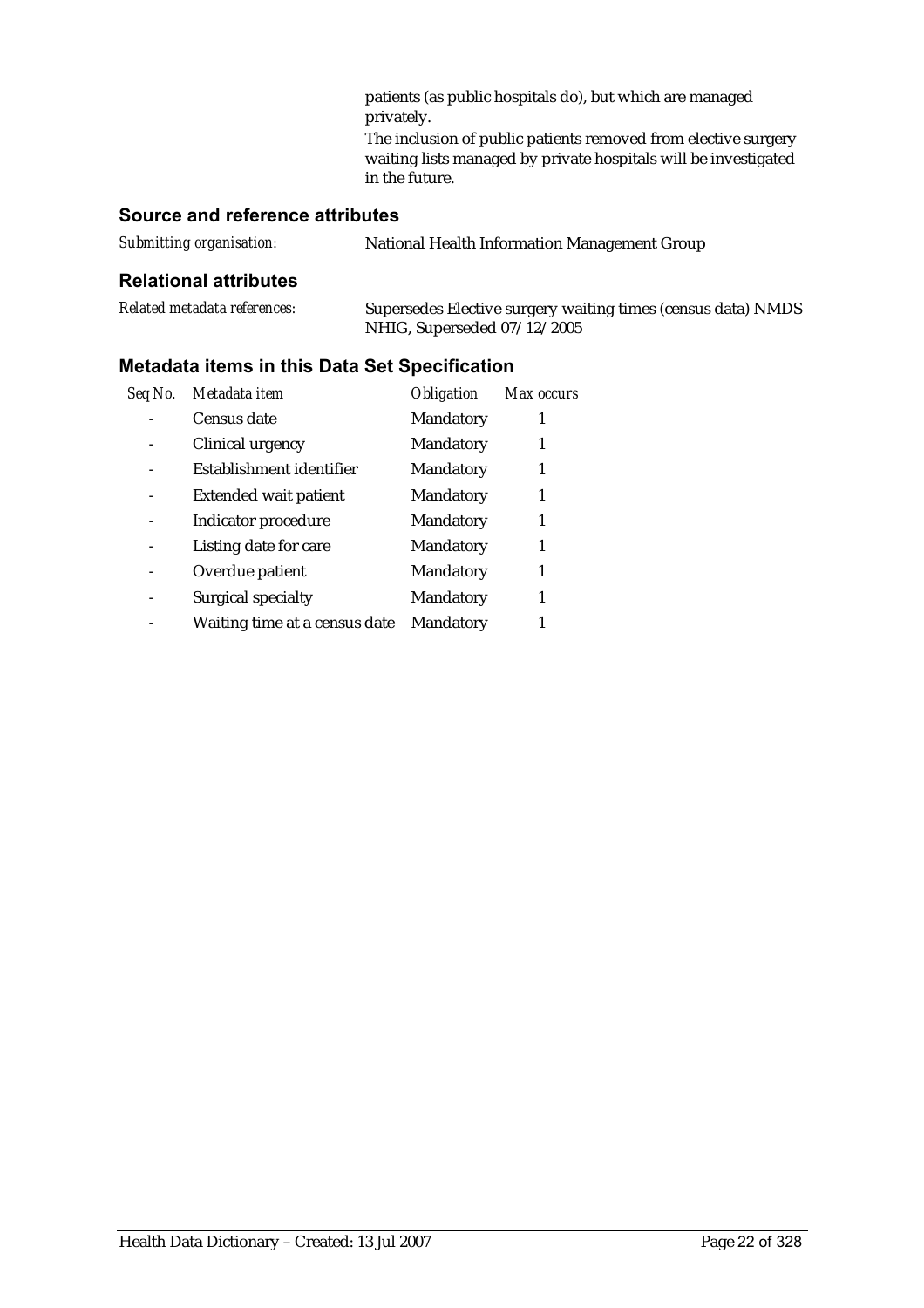patients (as public hospitals do), but which are managed privately.

The inclusion of public patients removed from elective surgery waiting lists managed by private hospitals will be investigated in the future.

## **Source and reference attributes**

| Submitting organisation: | <b>National Health Information Management Group</b> |
|--------------------------|-----------------------------------------------------|
|                          |                                                     |

#### **Relational attributes**

| Related metadata references: | Supersedes Elective surgery waiting times (census data) NMDS |
|------------------------------|--------------------------------------------------------------|
|                              | NHIG, Superseded 07/12/2005                                  |

| Seq No. | Metadata item                 | <b>Obligation</b> | Max occurs |
|---------|-------------------------------|-------------------|------------|
|         | Census date                   | Mandatory         |            |
|         | Clinical urgency              | Mandatory         |            |
|         | Establishment identifier      | Mandatory         |            |
|         | <b>Extended wait patient</b>  | Mandatory         |            |
|         | Indicator procedure           | Mandatory         |            |
|         | Listing date for care         | Mandatory         |            |
|         | Overdue patient               | Mandatory         |            |
|         | Surgical specialty            | Mandatory         |            |
|         | Waiting time at a census date | Mandatory         |            |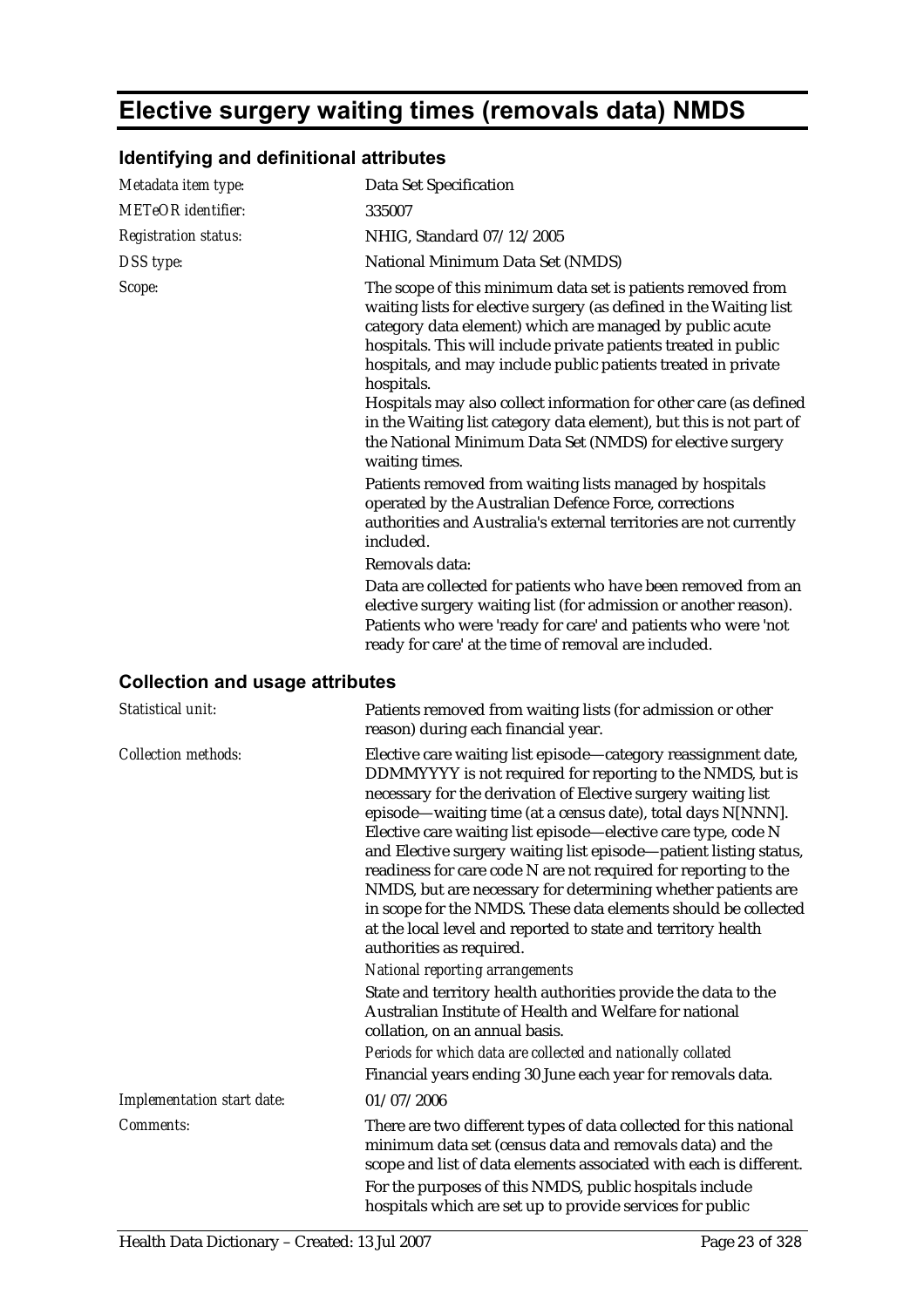# **Elective surgery waiting times (removals data) NMDS**

## **Identifying and definitional attributes**

| Metadata item type:         | Data Set Specification                                                                                                                                                                                                                                                                                                                                                                                                                                                                                                                                                                                                                                                                                                                                                                                                                                                                                                                                                                                                                                             |
|-----------------------------|--------------------------------------------------------------------------------------------------------------------------------------------------------------------------------------------------------------------------------------------------------------------------------------------------------------------------------------------------------------------------------------------------------------------------------------------------------------------------------------------------------------------------------------------------------------------------------------------------------------------------------------------------------------------------------------------------------------------------------------------------------------------------------------------------------------------------------------------------------------------------------------------------------------------------------------------------------------------------------------------------------------------------------------------------------------------|
| <b>METeOR</b> identifier:   | 335007                                                                                                                                                                                                                                                                                                                                                                                                                                                                                                                                                                                                                                                                                                                                                                                                                                                                                                                                                                                                                                                             |
| <b>Registration status:</b> | NHIG, Standard 07/12/2005                                                                                                                                                                                                                                                                                                                                                                                                                                                                                                                                                                                                                                                                                                                                                                                                                                                                                                                                                                                                                                          |
| DSS type:                   | National Minimum Data Set (NMDS)                                                                                                                                                                                                                                                                                                                                                                                                                                                                                                                                                                                                                                                                                                                                                                                                                                                                                                                                                                                                                                   |
| Scope:                      | The scope of this minimum data set is patients removed from<br>waiting lists for elective surgery (as defined in the Waiting list<br>category data element) which are managed by public acute<br>hospitals. This will include private patients treated in public<br>hospitals, and may include public patients treated in private<br>hospitals.<br>Hospitals may also collect information for other care (as defined<br>in the Waiting list category data element), but this is not part of<br>the National Minimum Data Set (NMDS) for elective surgery<br>waiting times.<br>Patients removed from waiting lists managed by hospitals<br>operated by the Australian Defence Force, corrections<br>authorities and Australia's external territories are not currently<br>included.<br>Removals data:<br>Data are collected for patients who have been removed from an<br>elective surgery waiting list (for admission or another reason).<br>Patients who were 'ready for care' and patients who were 'not<br>ready for care' at the time of removal are included. |

## **Collection and usage attributes**

| Statistical unit:          | Patients removed from waiting lists (for admission or other<br>reason) during each financial year.                                                                                                                                                                                                                                                                                                                                                                                                                                                                                                                                                                                                   |
|----------------------------|------------------------------------------------------------------------------------------------------------------------------------------------------------------------------------------------------------------------------------------------------------------------------------------------------------------------------------------------------------------------------------------------------------------------------------------------------------------------------------------------------------------------------------------------------------------------------------------------------------------------------------------------------------------------------------------------------|
| <b>Collection methods:</b> | Elective care waiting list episode—category reassignment date,<br>DDMMYYYY is not required for reporting to the NMDS, but is<br>necessary for the derivation of Elective surgery waiting list<br>episode-waiting time (at a census date), total days N[NNN].<br>Elective care waiting list episode—elective care type, code N<br>and Elective surgery waiting list episode-patient listing status,<br>readiness for care code N are not required for reporting to the<br>NMDS, but are necessary for determining whether patients are<br>in scope for the NMDS. These data elements should be collected<br>at the local level and reported to state and territory health<br>authorities as required. |
|                            | <b>National reporting arrangements</b>                                                                                                                                                                                                                                                                                                                                                                                                                                                                                                                                                                                                                                                               |
|                            | State and territory health authorities provide the data to the<br>Australian Institute of Health and Welfare for national<br>collation, on an annual basis.<br>Periods for which data are collected and nationally collated                                                                                                                                                                                                                                                                                                                                                                                                                                                                          |
|                            | Financial years ending 30 June each year for removals data.                                                                                                                                                                                                                                                                                                                                                                                                                                                                                                                                                                                                                                          |
| Implementation start date: | 01/07/2006                                                                                                                                                                                                                                                                                                                                                                                                                                                                                                                                                                                                                                                                                           |
| Comments:                  | There are two different types of data collected for this national<br>minimum data set (census data and removals data) and the<br>scope and list of data elements associated with each is different.                                                                                                                                                                                                                                                                                                                                                                                                                                                                                                  |
|                            | For the purposes of this NMDS, public hospitals include<br>hospitals which are set up to provide services for public                                                                                                                                                                                                                                                                                                                                                                                                                                                                                                                                                                                 |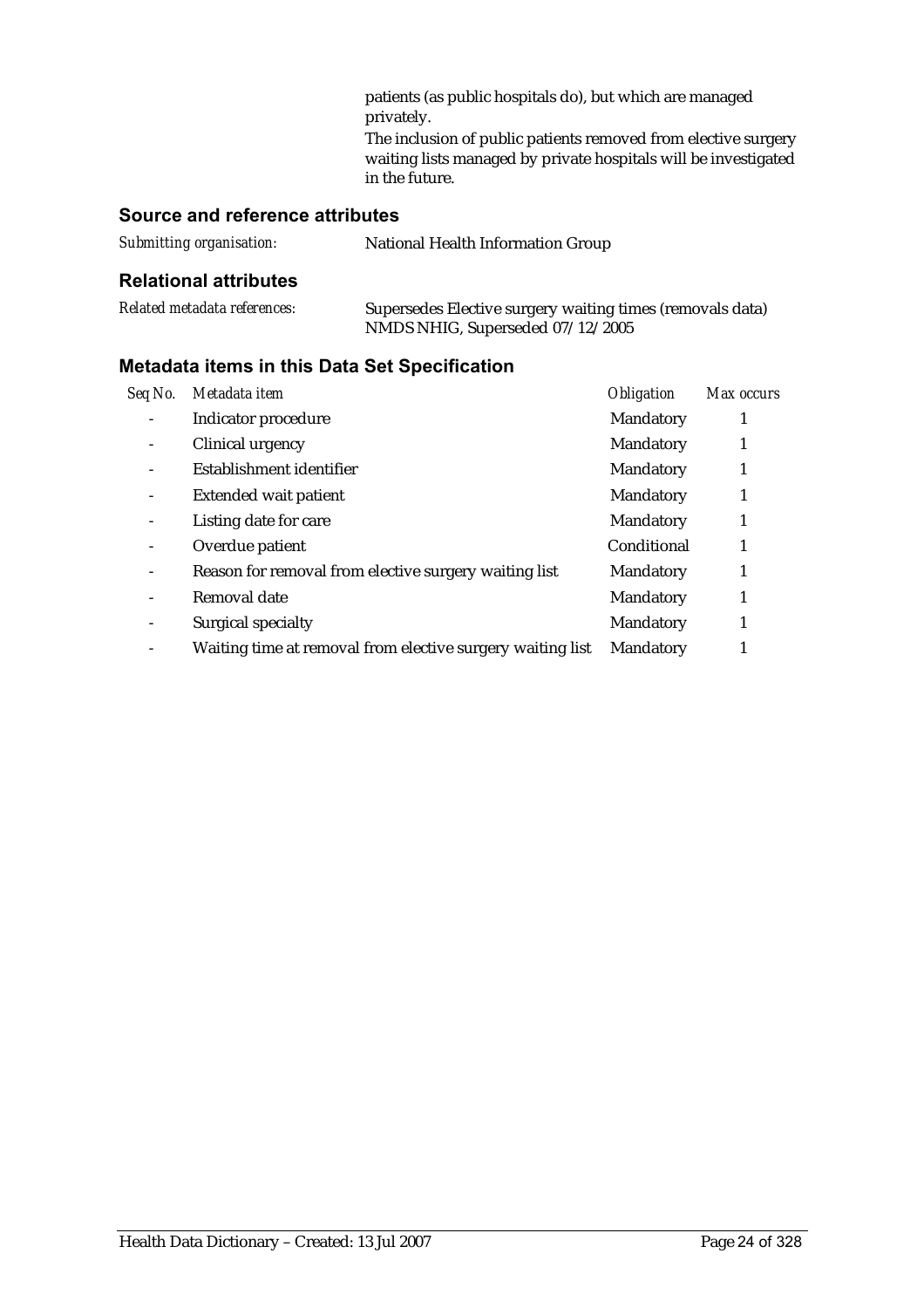patients (as public hospitals do), but which are managed privately.

The inclusion of public patients removed from elective surgery waiting lists managed by private hospitals will be investigated in the future.

## **Source and reference attributes**

| Submitting organisation: | National Health Information Group |
|--------------------------|-----------------------------------|
|                          |                                   |

#### **Relational attributes**

| Related metadata references: | Supersedes Elective surgery waiting times (removals data) |
|------------------------------|-----------------------------------------------------------|
|                              | NMDS NHIG, Superseded 07/12/2005                          |

| Seq No.         | Metadata item                                              | <b>Obligation</b> | Max occurs |
|-----------------|------------------------------------------------------------|-------------------|------------|
|                 | Indicator procedure                                        | Mandatory         | 1          |
|                 | Clinical urgency                                           | Mandatory         |            |
|                 | Establishment identifier                                   | Mandatory         | 1          |
|                 | <b>Extended wait patient</b>                               | Mandatory         |            |
|                 | Listing date for care                                      | Mandatory         | 1          |
|                 | Overdue patient                                            | Conditional       |            |
| $\qquad \qquad$ | Reason for removal from elective surgery waiting list      | <b>Mandatory</b>  |            |
|                 | Removal date                                               | Mandatory         | 1          |
| $\qquad \qquad$ | Surgical specialty                                         | Mandatory         |            |
|                 | Waiting time at removal from elective surgery waiting list | Mandatory         |            |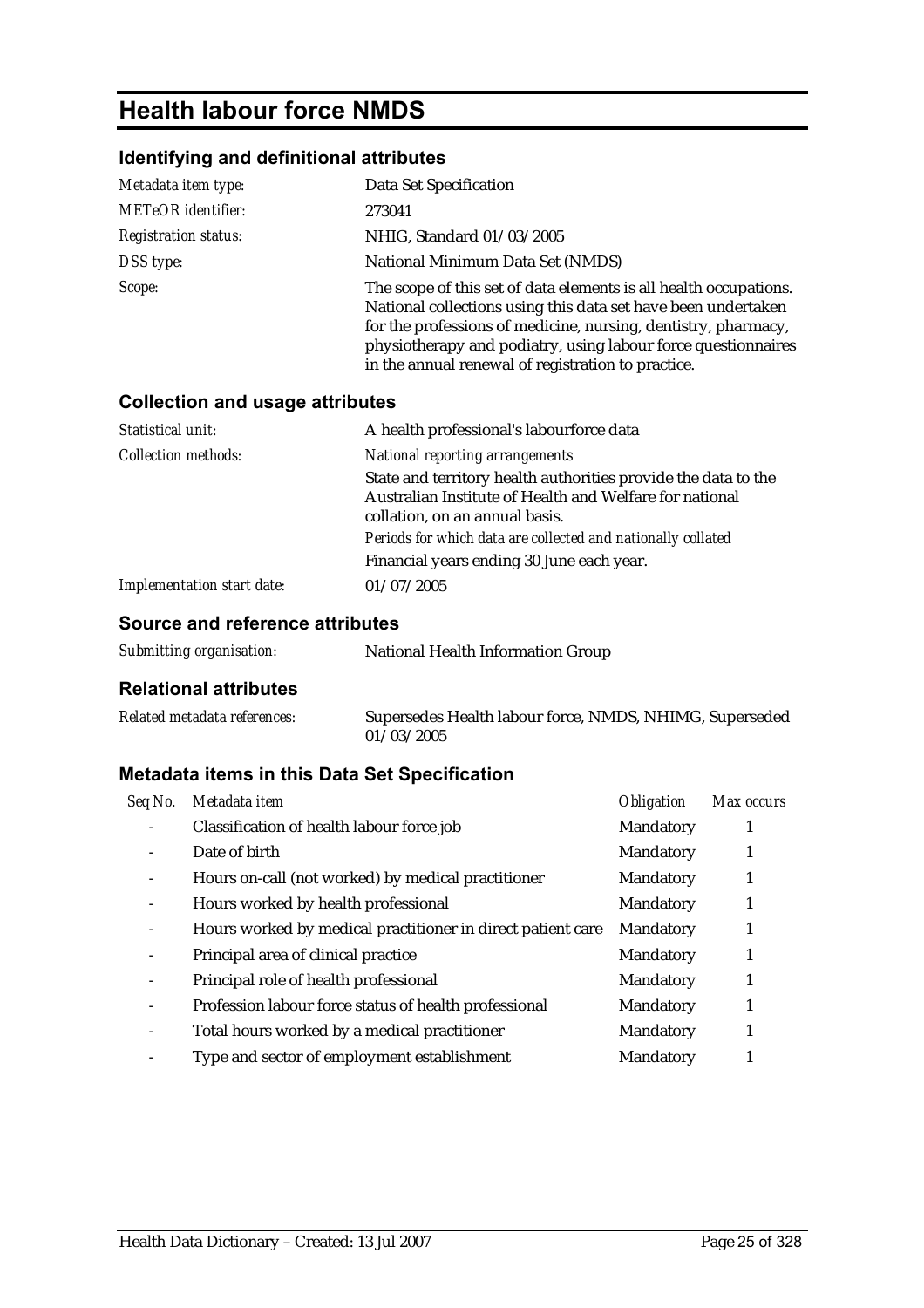# **Health labour force NMDS**

## **Identifying and definitional attributes**

| Metadata item type:         | Data Set Specification                                                                                                                                                                                                                                                                                                      |
|-----------------------------|-----------------------------------------------------------------------------------------------------------------------------------------------------------------------------------------------------------------------------------------------------------------------------------------------------------------------------|
| <b>METeOR</b> identifier:   | 273041                                                                                                                                                                                                                                                                                                                      |
| <b>Registration status:</b> | NHIG, Standard 01/03/2005                                                                                                                                                                                                                                                                                                   |
| DSS type:                   | National Minimum Data Set (NMDS)                                                                                                                                                                                                                                                                                            |
| Scope:                      | The scope of this set of data elements is all health occupations.<br>National collections using this data set have been undertaken<br>for the professions of medicine, nursing, dentistry, pharmacy,<br>physiotherapy and podiatry, using labour force questionnaires<br>in the annual renewal of registration to practice. |

### **Collection and usage attributes**

| Statistical unit:                 | A health professional's labourforce data                                                                                                                    |
|-----------------------------------|-------------------------------------------------------------------------------------------------------------------------------------------------------------|
| <b>Collection methods:</b>        | <b>National reporting arrangements</b>                                                                                                                      |
|                                   | State and territory health authorities provide the data to the<br>Australian Institute of Health and Welfare for national<br>collation, on an annual basis. |
|                                   | Periods for which data are collected and nationally collated                                                                                                |
|                                   | Financial years ending 30 June each year.                                                                                                                   |
| <b>Implementation start date:</b> | 01/07/2005                                                                                                                                                  |

## **Source and reference attributes**

| Submitting organisation: | National Health Information Group |
|--------------------------|-----------------------------------|
|--------------------------|-----------------------------------|

#### **Relational attributes**

| Related metadata references: | Supersedes Health labour force, NMDS, NHIMG, Superseded |  |  |
|------------------------------|---------------------------------------------------------|--|--|
|                              | 01/03/2005                                              |  |  |

| Seq No.                  | Metadata item                                               | <b>Obligation</b> | Max occurs |
|--------------------------|-------------------------------------------------------------|-------------------|------------|
|                          | Classification of health labour force job                   | Mandatory         |            |
|                          | Date of birth                                               | Mandatory         |            |
| $\overline{\phantom{a}}$ | Hours on-call (not worked) by medical practitioner          | Mandatory         |            |
| $\overline{\phantom{a}}$ | Hours worked by health professional                         | Mandatory         |            |
| $\overline{\phantom{0}}$ | Hours worked by medical practitioner in direct patient care | Mandatory         |            |
| $\overline{\phantom{a}}$ | Principal area of clinical practice                         | Mandatory         |            |
|                          | Principal role of health professional                       | Mandatory         |            |
| $\overline{\phantom{a}}$ | Profession labour force status of health professional       | Mandatory         |            |
| $\overline{\phantom{a}}$ | Total hours worked by a medical practitioner                | Mandatory         |            |
|                          | Type and sector of employment establishment                 | Mandatory         |            |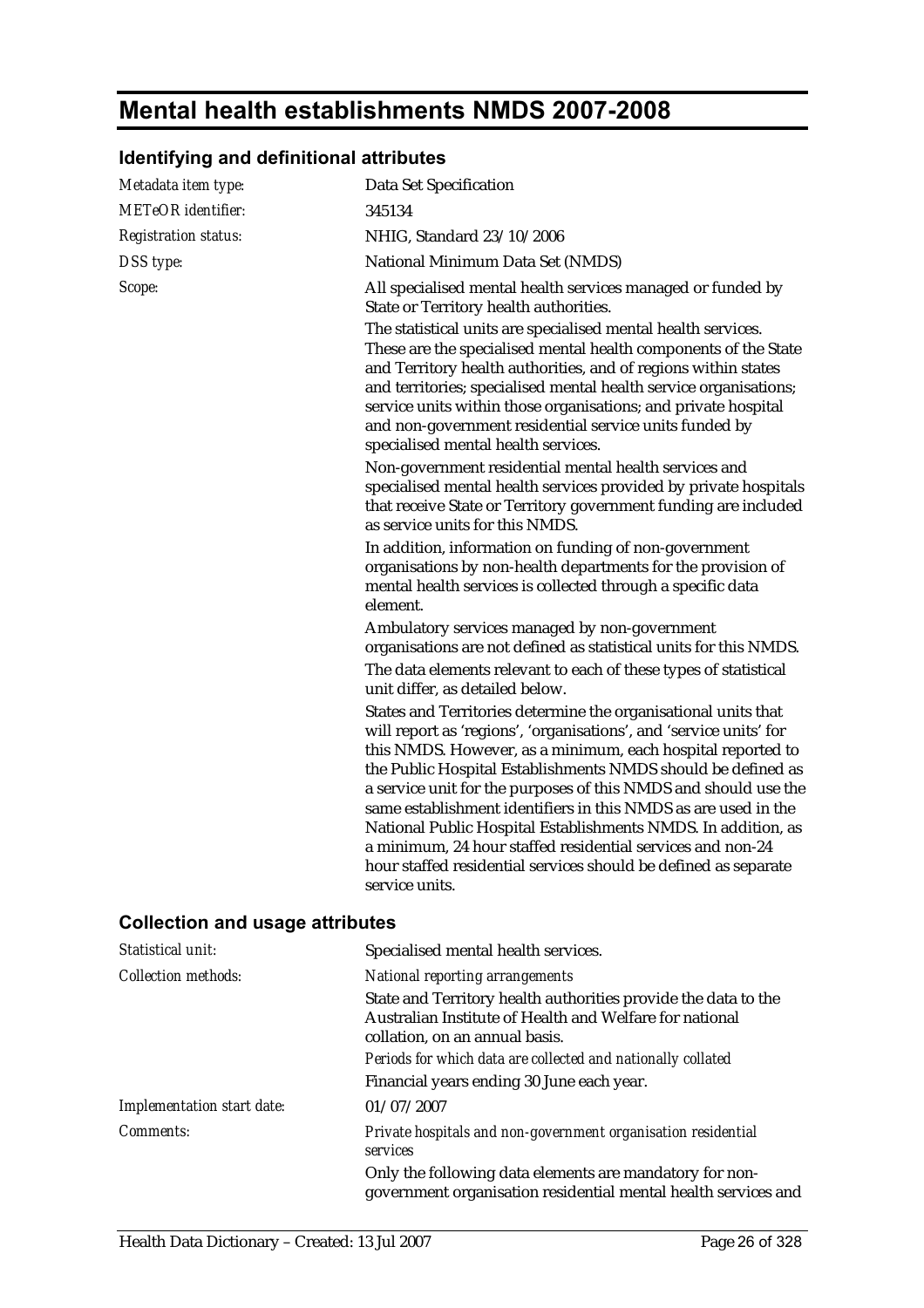# **Mental health establishments NMDS 2007-2008**

## **Identifying and definitional attributes**

| Metadata item type:                    | Data Set Specification                                                                                                                                                                                                                                                                                                                                                                                                                                                                                                                                                                                                       |
|----------------------------------------|------------------------------------------------------------------------------------------------------------------------------------------------------------------------------------------------------------------------------------------------------------------------------------------------------------------------------------------------------------------------------------------------------------------------------------------------------------------------------------------------------------------------------------------------------------------------------------------------------------------------------|
| <b>METeOR</b> identifier:              | 345134                                                                                                                                                                                                                                                                                                                                                                                                                                                                                                                                                                                                                       |
| <b>Registration status:</b>            | NHIG, Standard 23/10/2006                                                                                                                                                                                                                                                                                                                                                                                                                                                                                                                                                                                                    |
| DSS type:                              | National Minimum Data Set (NMDS)                                                                                                                                                                                                                                                                                                                                                                                                                                                                                                                                                                                             |
| Scope:                                 | All specialised mental health services managed or funded by<br>State or Territory health authorities.                                                                                                                                                                                                                                                                                                                                                                                                                                                                                                                        |
|                                        | The statistical units are specialised mental health services.<br>These are the specialised mental health components of the State<br>and Territory health authorities, and of regions within states<br>and territories; specialised mental health service organisations;<br>service units within those organisations; and private hospital<br>and non-government residential service units funded by<br>specialised mental health services.                                                                                                                                                                                   |
|                                        | Non-government residential mental health services and<br>specialised mental health services provided by private hospitals<br>that receive State or Territory government funding are included<br>as service units for this NMDS.                                                                                                                                                                                                                                                                                                                                                                                              |
|                                        | In addition, information on funding of non-government<br>organisations by non-health departments for the provision of<br>mental health services is collected through a specific data<br>element.                                                                                                                                                                                                                                                                                                                                                                                                                             |
|                                        | Ambulatory services managed by non-government<br>organisations are not defined as statistical units for this NMDS.                                                                                                                                                                                                                                                                                                                                                                                                                                                                                                           |
|                                        | The data elements relevant to each of these types of statistical<br>unit differ, as detailed below.                                                                                                                                                                                                                                                                                                                                                                                                                                                                                                                          |
|                                        | States and Territories determine the organisational units that<br>will report as 'regions', 'organisations', and 'service units' for<br>this NMDS. However, as a minimum, each hospital reported to<br>the Public Hospital Establishments NMDS should be defined as<br>a service unit for the purposes of this NMDS and should use the<br>same establishment identifiers in this NMDS as are used in the<br>National Public Hospital Establishments NMDS. In addition, as<br>a minimum, 24 hour staffed residential services and non-24<br>hour staffed residential services should be defined as separate<br>service units. |
| <b>Collection and usage attributes</b> |                                                                                                                                                                                                                                                                                                                                                                                                                                                                                                                                                                                                                              |
| Statistical unit:                      | Specialised mental health services.                                                                                                                                                                                                                                                                                                                                                                                                                                                                                                                                                                                          |

| <b>Collection methods:</b>        | National reporting arrangements                                                                                                                             |
|-----------------------------------|-------------------------------------------------------------------------------------------------------------------------------------------------------------|
|                                   | State and Territory health authorities provide the data to the<br>Australian Institute of Health and Welfare for national<br>collation, on an annual basis. |
|                                   | Periods for which data are collected and nationally collated                                                                                                |
|                                   | Financial years ending 30 June each year.                                                                                                                   |
| <b>Implementation start date:</b> | 01/07/2007                                                                                                                                                  |
| <i>Comments:</i>                  | Private hospitals and non-government organisation residential<br>services                                                                                   |
|                                   | Only the following data elements are mandatory for non-<br>government organisation residential mental health services and                                   |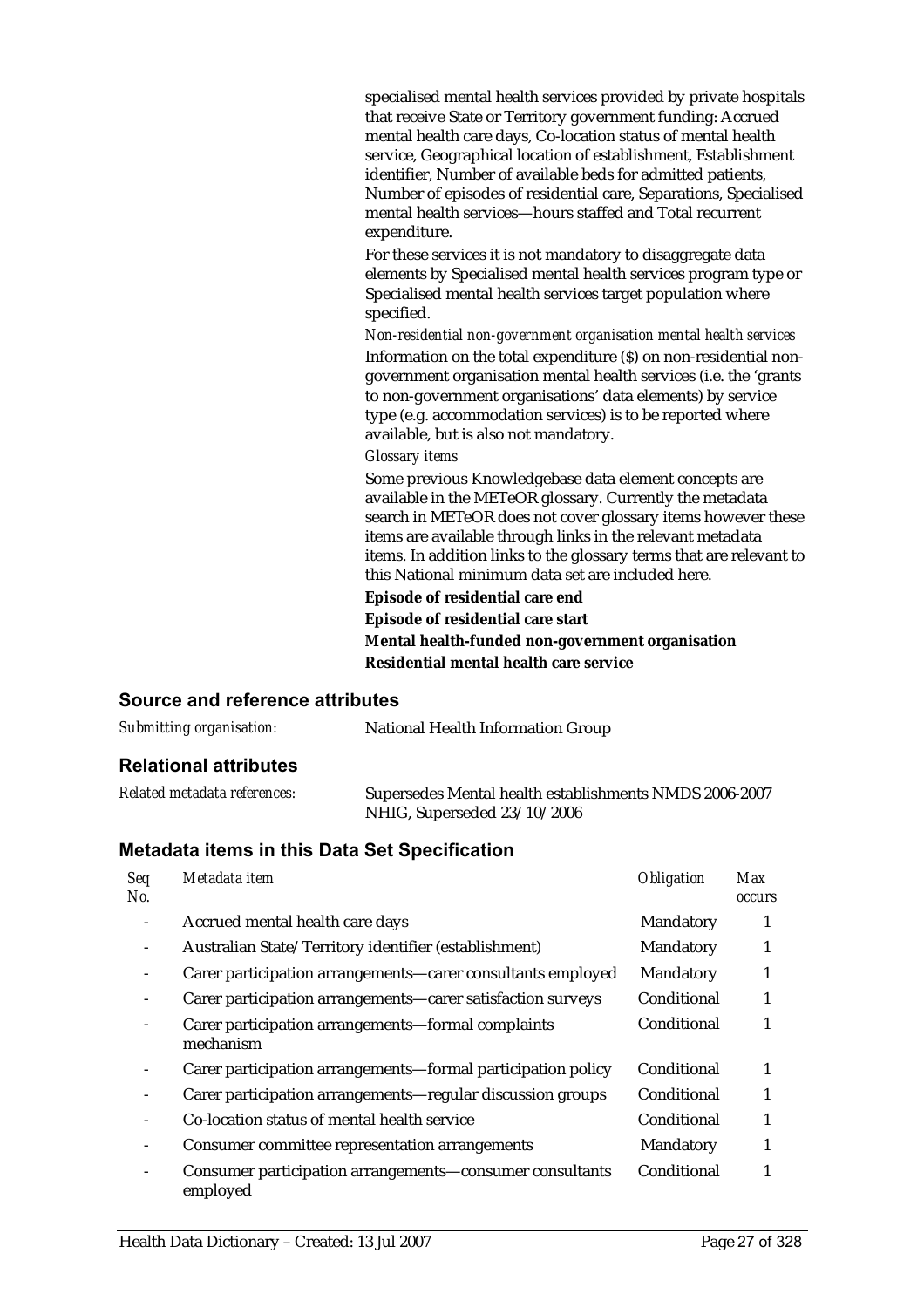specialised mental health services provided by private hospitals that receive State or Territory government funding: Accrued mental health care days, Co-location status of mental health service, Geographical location of establishment, Establishment identifier, Number of available beds for admitted patients, Number of episodes of residential care, Separations, Specialised mental health services—hours staffed and Total recurrent expenditure.

For these services it is not mandatory to disaggregate data elements by Specialised mental health services program type or Specialised mental health services target population where specified.

*Non-residential non-government organisation mental health services* Information on the total expenditure (\$) on non-residential nongovernment organisation mental health services (i.e. the 'grants to non-government organisations' data elements) by service type (e.g. accommodation services) is to be reported where available, but is also not mandatory.

#### *Glossary items*

Some previous Knowledgebase data element concepts are available in the METeOR glossary. Currently the metadata search in METeOR does not cover glossary items however these items are available through links in the relevant metadata items. In addition links to the glossary terms that are relevant to this National minimum data set are included here.

**Episode of residential care end**

**Episode of residential care start Mental health-funded non-government organisation Residential mental health care service**

#### **Source and reference attributes**

| Submitting organisation:     | National Health Information Group                                                     |  |
|------------------------------|---------------------------------------------------------------------------------------|--|
| <b>Relational attributes</b> |                                                                                       |  |
| Related metadata references: | Supersedes Mental health establishments NMDS 2006-2007<br>NHIG, Superseded 23/10/2006 |  |

| Seq<br>No. | Metadata item                                                        | <b>Obligation</b> | <b>Max</b><br><b>occurs</b> |
|------------|----------------------------------------------------------------------|-------------------|-----------------------------|
|            | Accrued mental health care days                                      | Mandatory         |                             |
|            | Australian State/Territory identifier (establishment)                | Mandatory         |                             |
|            | Carer participation arrangements—carer consultants employed          | Mandatory         | 1                           |
|            | Carer participation arrangements—carer satisfaction surveys          | Conditional       |                             |
|            | Carer participation arrangements—formal complaints<br>mechanism      | Conditional       |                             |
|            | Carer participation arrangements—formal participation policy         | Conditional       | 1                           |
|            | Carer participation arrangements-regular discussion groups           | Conditional       |                             |
|            | Co-location status of mental health service                          | Conditional       |                             |
|            | Consumer committee representation arrangements                       | Mandatory         |                             |
|            | Consumer participation arrangements-consumer consultants<br>employed | Conditional       |                             |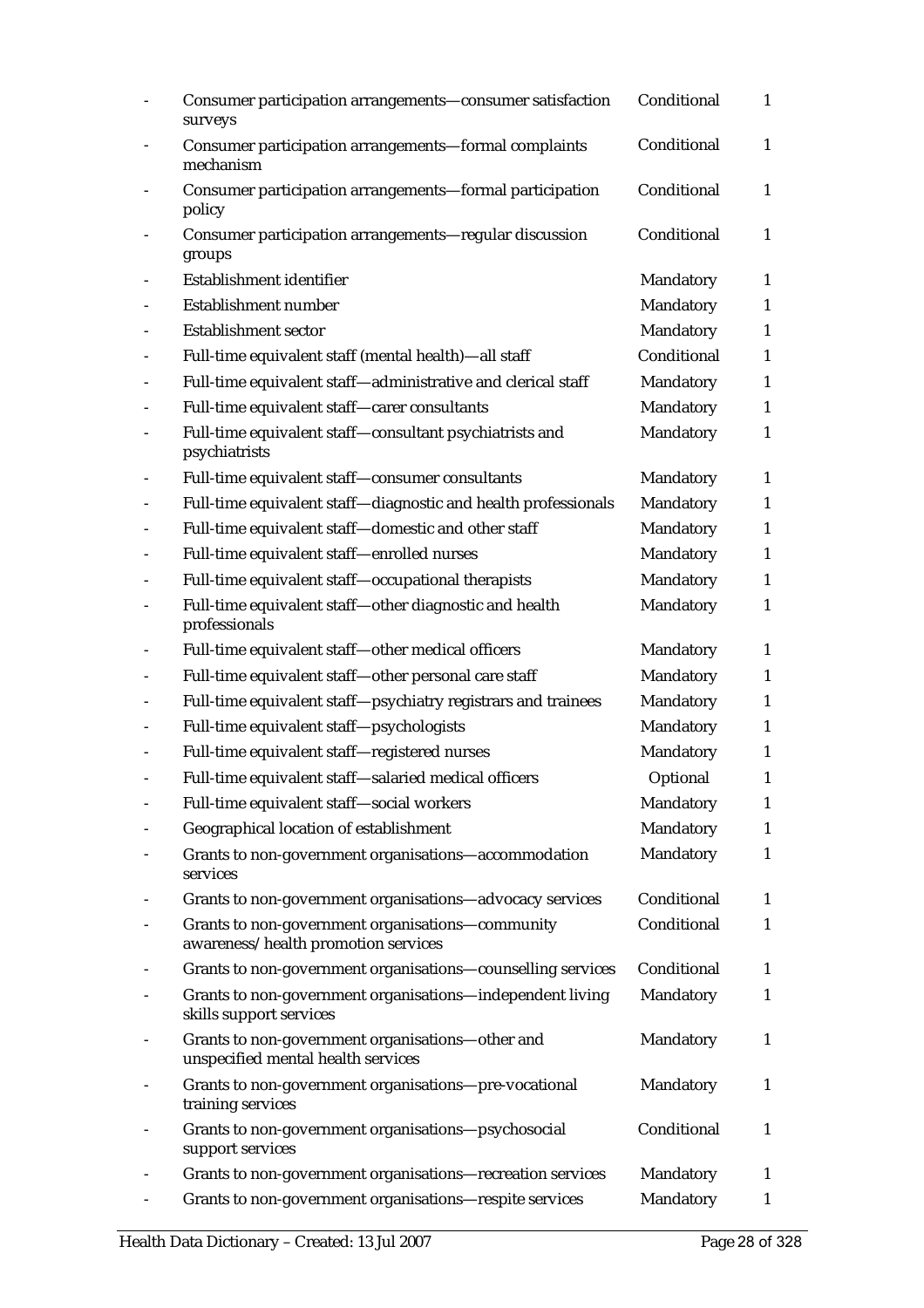| Consumer participation arrangements-consumer satisfaction<br>surveys                    | Conditional | $\mathbf{1}$ |
|-----------------------------------------------------------------------------------------|-------------|--------------|
| Consumer participation arrangements-formal complaints<br>mechanism                      | Conditional | $\mathbf{1}$ |
| Consumer participation arrangements-formal participation<br>policy                      | Conditional | $\mathbf{1}$ |
| Consumer participation arrangements-regular discussion<br>groups                        | Conditional | $\mathbf{1}$ |
| Establishment identifier                                                                | Mandatory   | $\mathbf{1}$ |
| Establishment number                                                                    | Mandatory   | $\mathbf{1}$ |
| <b>Establishment sector</b>                                                             | Mandatory   | 1            |
| Full-time equivalent staff (mental health)—all staff                                    | Conditional | 1            |
| Full-time equivalent staff-administrative and clerical staff                            | Mandatory   | $\mathbf{1}$ |
| Full-time equivalent staff-carer consultants                                            | Mandatory   | $\mathbf{1}$ |
| Full-time equivalent staff-consultant psychiatrists and<br>psychiatrists                | Mandatory   | 1            |
| Full-time equivalent staff-consumer consultants                                         | Mandatory   | $\mathbf{1}$ |
| Full-time equivalent staff-diagnostic and health professionals                          | Mandatory   | $\mathbf{1}$ |
| Full-time equivalent staff-domestic and other staff                                     | Mandatory   | 1            |
| Full-time equivalent staff-enrolled nurses                                              | Mandatory   | $\mathbf{1}$ |
| Full-time equivalent staff-occupational therapists                                      | Mandatory   | $\mathbf{1}$ |
| Full-time equivalent staff-other diagnostic and health<br>professionals                 | Mandatory   | $\mathbf{1}$ |
| Full-time equivalent staff-other medical officers                                       | Mandatory   | $\mathbf{1}$ |
| Full-time equivalent staff-other personal care staff                                    | Mandatory   | $\mathbf{1}$ |
| Full-time equivalent staff-psychiatry registrars and trainees                           | Mandatory   | $\mathbf{1}$ |
| Full-time equivalent staff-psychologists                                                | Mandatory   | 1            |
| Full-time equivalent staff-registered nurses                                            | Mandatory   | 1            |
| Full-time equivalent staff-salaried medical officers                                    | Optional    | 1            |
| Full-time equivalent staff-social workers                                               | Mandatory   | $\mathbf{1}$ |
| Geographical location of establishment                                                  | Mandatory   | $\mathbf{1}$ |
| Grants to non-government organisations-accommodation<br>services                        | Mandatory   | 1            |
| Grants to non-government organisations-advocacy services                                | Conditional | $\mathbf{1}$ |
| Grants to non-government organisations-community<br>awareness/health promotion services | Conditional | 1            |
| Grants to non-government organisations-counselling services                             | Conditional | $\mathbf{1}$ |
| Grants to non-government organisations-independent living<br>skills support services    | Mandatory   | $\mathbf{1}$ |
| Grants to non-government organisations-other and<br>unspecified mental health services  | Mandatory   | 1            |
| Grants to non-government organisations-pre-vocational<br>training services              | Mandatory   | $\mathbf{1}$ |
| Grants to non-government organisations-psychosocial<br>support services                 | Conditional | 1            |
| Grants to non-government organisations-recreation services                              | Mandatory   | 1            |
| Grants to non-government organisations-respite services                                 | Mandatory   | 1            |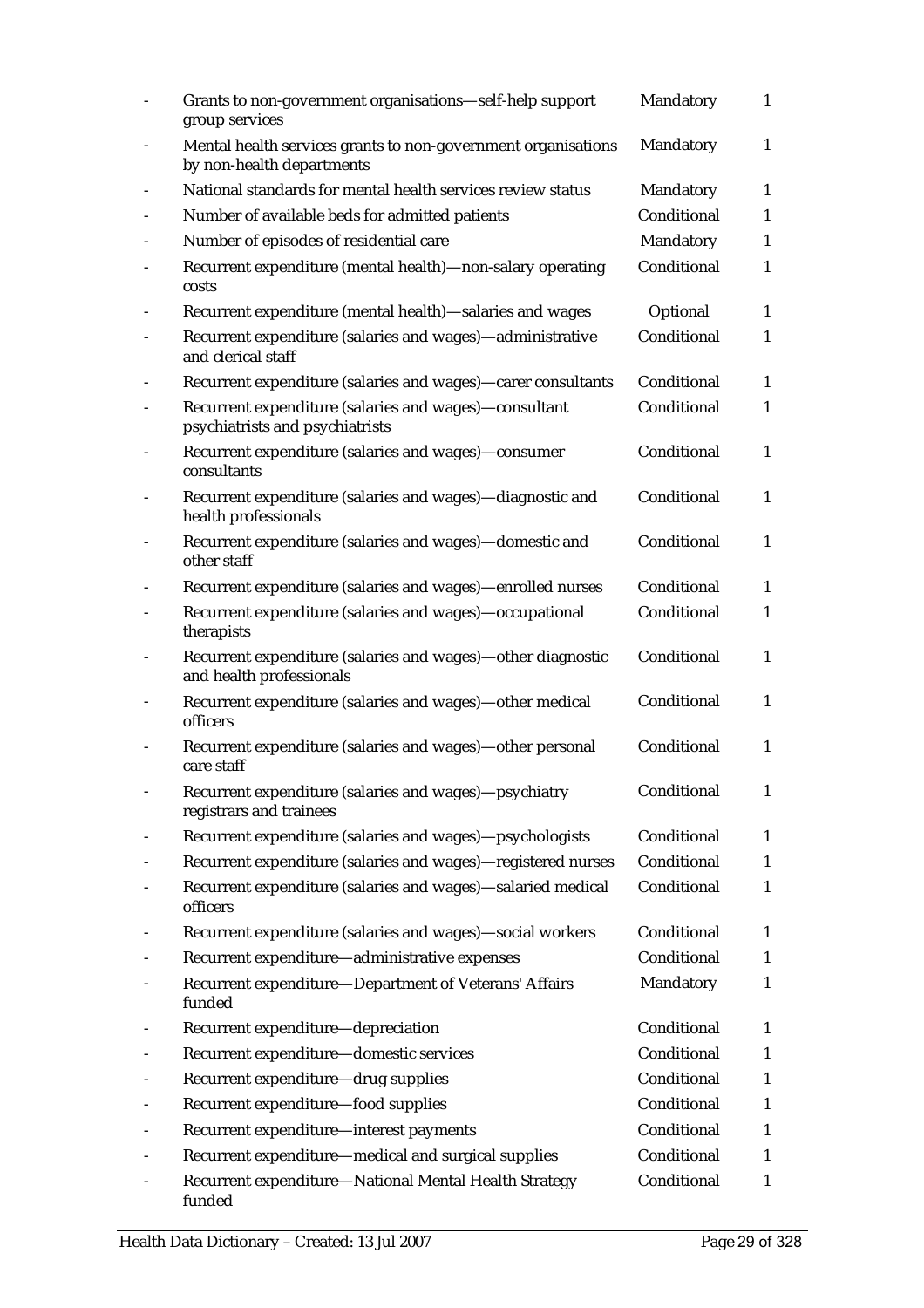|                          | Grants to non-government organisations-self-help support<br>group services                 | Mandatory   | $\mathbf{1}$ |
|--------------------------|--------------------------------------------------------------------------------------------|-------------|--------------|
| $\overline{\phantom{a}}$ | Mental health services grants to non-government organisations<br>by non-health departments | Mandatory   | $\mathbf{1}$ |
|                          | National standards for mental health services review status                                | Mandatory   | $\mathbf{1}$ |
|                          | Number of available beds for admitted patients                                             | Conditional | $\mathbf{1}$ |
|                          | Number of episodes of residential care                                                     | Mandatory   | $\mathbf{1}$ |
|                          | Recurrent expenditure (mental health)—non-salary operating<br>costs                        | Conditional | $\mathbf{1}$ |
|                          | Recurrent expenditure (mental health)-salaries and wages                                   | Optional    | $\mathbf{1}$ |
|                          | Recurrent expenditure (salaries and wages)-administrative<br>and clerical staff            | Conditional | 1            |
|                          | Recurrent expenditure (salaries and wages)-carer consultants                               | Conditional | $\mathbf{1}$ |
|                          | Recurrent expenditure (salaries and wages)-consultant<br>psychiatrists and psychiatrists   | Conditional | $\mathbf{1}$ |
|                          | Recurrent expenditure (salaries and wages)-consumer<br>consultants                         | Conditional | $\mathbf{1}$ |
| $\overline{\phantom{0}}$ | Recurrent expenditure (salaries and wages)-diagnostic and<br>health professionals          | Conditional | $\mathbf{1}$ |
|                          | Recurrent expenditure (salaries and wages)-domestic and<br>other staff                     | Conditional | $\mathbf{1}$ |
|                          | Recurrent expenditure (salaries and wages)-enrolled nurses                                 | Conditional | $\mathbf{1}$ |
|                          | Recurrent expenditure (salaries and wages)-occupational<br>therapists                      | Conditional | 1            |
|                          | Recurrent expenditure (salaries and wages)-other diagnostic<br>and health professionals    | Conditional | $\mathbf{1}$ |
| $\overline{\phantom{a}}$ | Recurrent expenditure (salaries and wages)-other medical<br>officers                       | Conditional | $\mathbf{1}$ |
|                          | Recurrent expenditure (salaries and wages)-other personal<br>care staff                    | Conditional | 1            |
|                          | Recurrent expenditure (salaries and wages)-psychiatry<br>registrars and trainees           | Conditional | $\mathbf{1}$ |
|                          | Recurrent expenditure (salaries and wages)-psychologists                                   | Conditional | $\mathbf{1}$ |
|                          | Recurrent expenditure (salaries and wages)-registered nurses                               | Conditional | $\mathbf{1}$ |
|                          | Recurrent expenditure (salaries and wages)-salaried medical<br>officers                    | Conditional | 1            |
|                          | Recurrent expenditure (salaries and wages)-social workers                                  | Conditional | $\mathbf{1}$ |
|                          | Recurrent expenditure-administrative expenses                                              | Conditional | $\mathbf{1}$ |
|                          | Recurrent expenditure-Department of Veterans' Affairs<br>funded                            | Mandatory   | $\mathbf{1}$ |
|                          | Recurrent expenditure-depreciation                                                         | Conditional | $\mathbf{1}$ |
|                          | Recurrent expenditure-domestic services                                                    | Conditional | 1            |
|                          | Recurrent expenditure-drug supplies                                                        | Conditional | $\mathbf{1}$ |
|                          | Recurrent expenditure-food supplies                                                        | Conditional | 1            |
|                          | Recurrent expenditure-interest payments                                                    | Conditional | $\mathbf{1}$ |
|                          | Recurrent expenditure-medical and surgical supplies                                        | Conditional | $\mathbf{1}$ |
|                          | Recurrent expenditure-National Mental Health Strategy<br>funded                            | Conditional | 1            |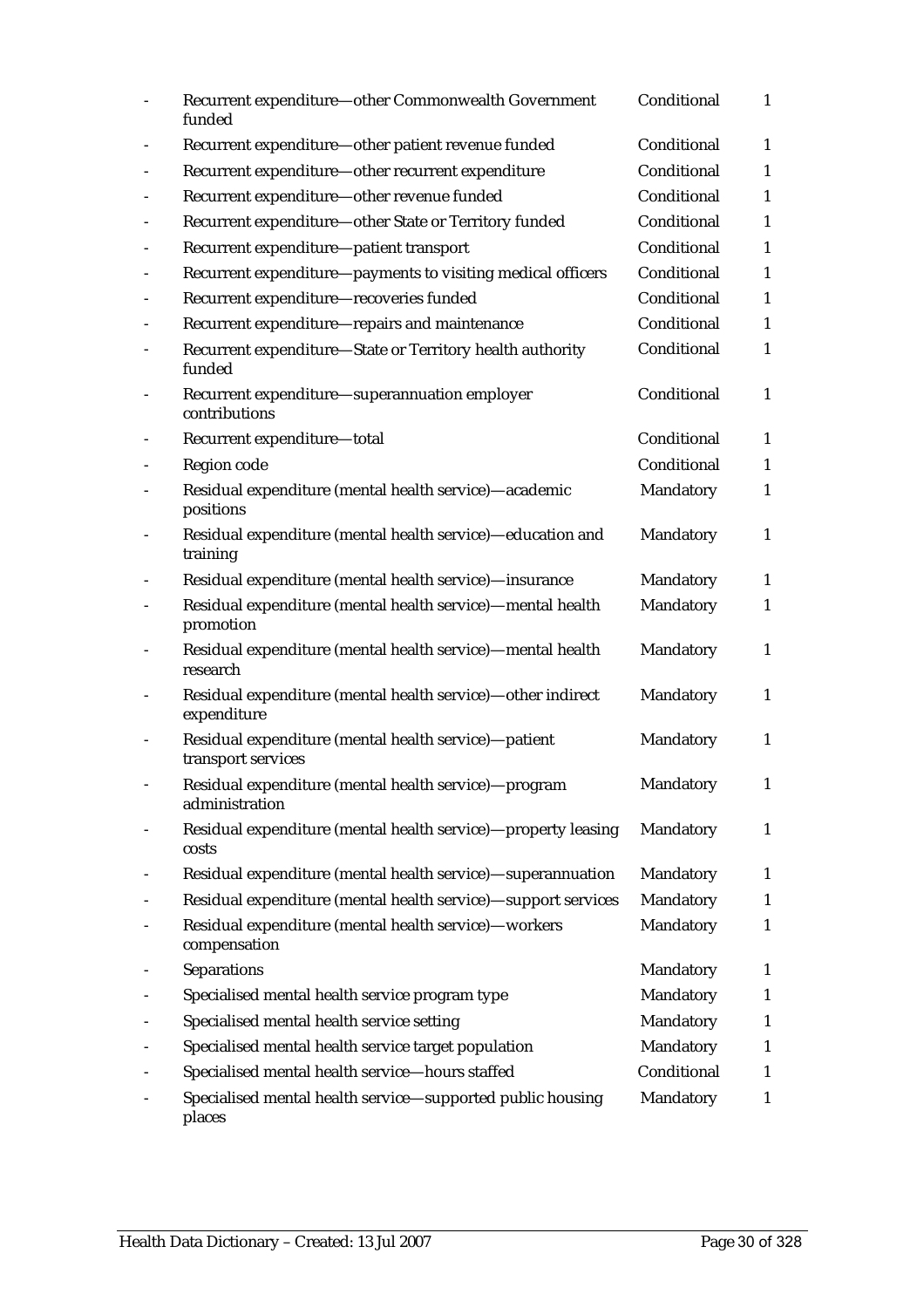|                              | Recurrent expenditure-other Commonwealth Government<br>funded              | Conditional | $\mathbf{1}$ |
|------------------------------|----------------------------------------------------------------------------|-------------|--------------|
|                              | Recurrent expenditure-other patient revenue funded                         | Conditional | $\mathbf{1}$ |
| $\overline{\phantom{0}}$     | Recurrent expenditure-other recurrent expenditure                          | Conditional | $\mathbf{1}$ |
| $\overline{\phantom{a}}$     | Recurrent expenditure-other revenue funded                                 | Conditional | 1            |
|                              | Recurrent expenditure-other State or Territory funded                      | Conditional | $\mathbf{1}$ |
|                              | Recurrent expenditure-patient transport                                    | Conditional | 1            |
|                              | Recurrent expenditure-payments to visiting medical officers                | Conditional | $\mathbf{1}$ |
|                              | Recurrent expenditure-recoveries funded                                    | Conditional | 1            |
|                              | Recurrent expenditure-repairs and maintenance                              | Conditional | $\mathbf{1}$ |
|                              | Recurrent expenditure-State or Territory health authority<br>funded        | Conditional | $\mathbf{1}$ |
|                              | Recurrent expenditure-superannuation employer<br>contributions             | Conditional | $\mathbf{1}$ |
|                              | Recurrent expenditure-total                                                | Conditional | $\mathbf{1}$ |
|                              | Region code                                                                | Conditional | $\mathbf{1}$ |
|                              | Residual expenditure (mental health service)-academic<br>positions         | Mandatory   | $\mathbf{1}$ |
| $\qquad \qquad \blacksquare$ | Residual expenditure (mental health service)-education and<br>training     | Mandatory   | $\mathbf{1}$ |
|                              | Residual expenditure (mental health service)—insurance                     | Mandatory   | $\mathbf{1}$ |
|                              | Residual expenditure (mental health service)—mental health<br>promotion    | Mandatory   | $\mathbf{1}$ |
|                              | Residual expenditure (mental health service)—mental health<br>research     | Mandatory   | $\mathbf{1}$ |
|                              | Residual expenditure (mental health service)-other indirect<br>expenditure | Mandatory   | $\mathbf{1}$ |
|                              | Residual expenditure (mental health service)-patient<br>transport services | Mandatory   | $\mathbf{1}$ |
|                              | Residual expenditure (mental health service)-program<br>administration     | Mandatory   | 1            |
|                              | Residual expenditure (mental health service)-property leasing<br>costs     | Mandatory   | $\mathbf{1}$ |
|                              | Residual expenditure (mental health service)-superannuation                | Mandatory   | $\mathbf{1}$ |
|                              | Residual expenditure (mental health service)—support services              | Mandatory   | $\mathbf{1}$ |
|                              | Residual expenditure (mental health service)-workers<br>compensation       | Mandatory   | 1            |
|                              | <b>Separations</b>                                                         | Mandatory   | 1            |
|                              | Specialised mental health service program type                             | Mandatory   | $\mathbf{1}$ |
|                              | Specialised mental health service setting                                  | Mandatory   | 1            |
|                              | Specialised mental health service target population                        | Mandatory   | 1            |
|                              | Specialised mental health service-hours staffed                            | Conditional | 1            |
|                              | Specialised mental health service-supported public housing<br>places       | Mandatory   | $\mathbf{1}$ |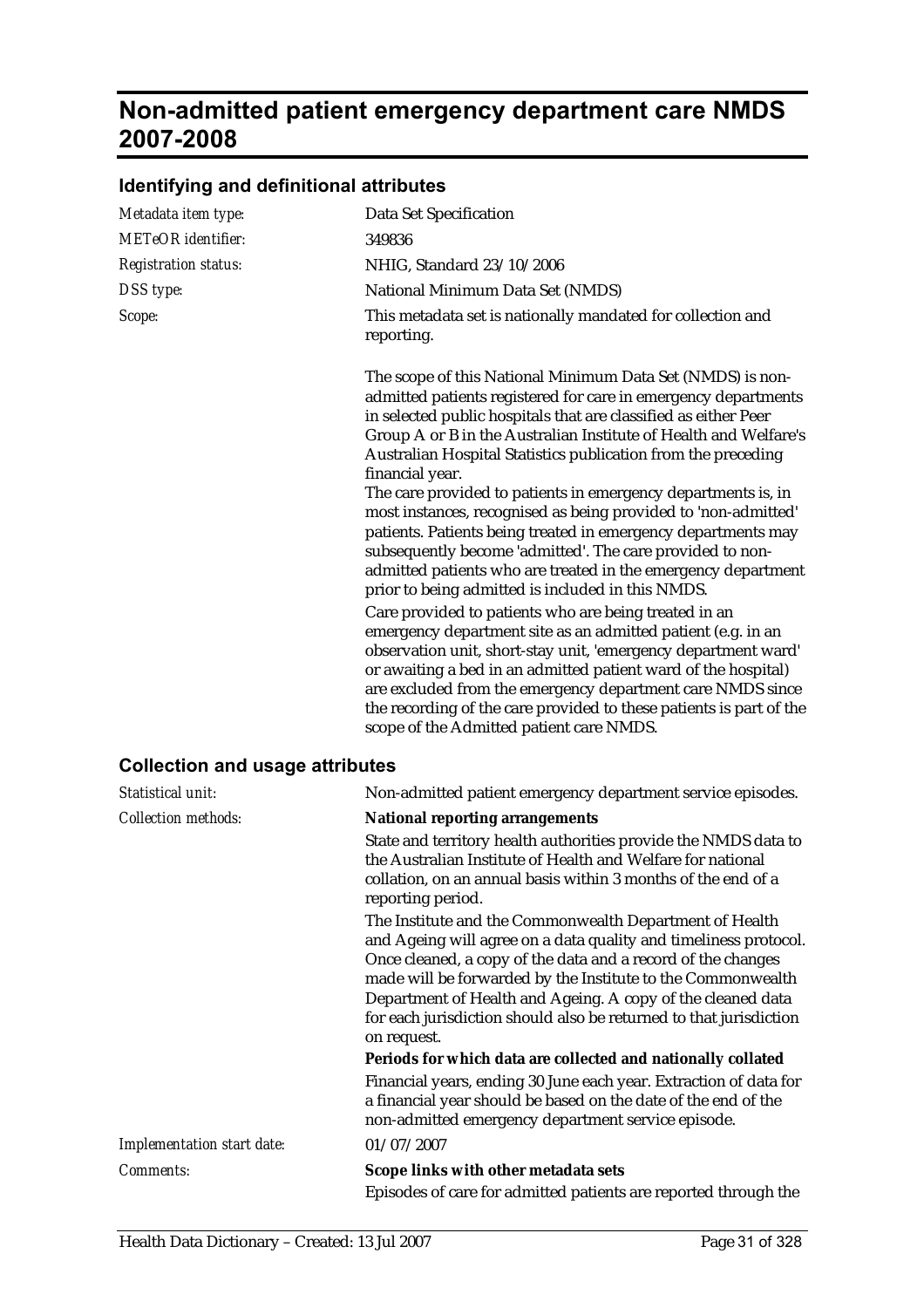## **Non-admitted patient emergency department care NMDS 2007-2008**

| Metadata item type:                    | Data Set Specification                                                                                                                                                                                                                                                                                                                                                                                                                                                                                                                                                                                                                                                                                                                                                                                                                                                                                                                                                                                                                                                                                                                                                                       |
|----------------------------------------|----------------------------------------------------------------------------------------------------------------------------------------------------------------------------------------------------------------------------------------------------------------------------------------------------------------------------------------------------------------------------------------------------------------------------------------------------------------------------------------------------------------------------------------------------------------------------------------------------------------------------------------------------------------------------------------------------------------------------------------------------------------------------------------------------------------------------------------------------------------------------------------------------------------------------------------------------------------------------------------------------------------------------------------------------------------------------------------------------------------------------------------------------------------------------------------------|
| <b>METeOR</b> identifier:              | 349836                                                                                                                                                                                                                                                                                                                                                                                                                                                                                                                                                                                                                                                                                                                                                                                                                                                                                                                                                                                                                                                                                                                                                                                       |
| <b>Registration status:</b>            | NHIG, Standard 23/10/2006                                                                                                                                                                                                                                                                                                                                                                                                                                                                                                                                                                                                                                                                                                                                                                                                                                                                                                                                                                                                                                                                                                                                                                    |
| DSS type:                              | National Minimum Data Set (NMDS)                                                                                                                                                                                                                                                                                                                                                                                                                                                                                                                                                                                                                                                                                                                                                                                                                                                                                                                                                                                                                                                                                                                                                             |
| Scope:                                 | This metadata set is nationally mandated for collection and<br>reporting.                                                                                                                                                                                                                                                                                                                                                                                                                                                                                                                                                                                                                                                                                                                                                                                                                                                                                                                                                                                                                                                                                                                    |
|                                        | The scope of this National Minimum Data Set (NMDS) is non-<br>admitted patients registered for care in emergency departments<br>in selected public hospitals that are classified as either Peer<br>Group A or B in the Australian Institute of Health and Welfare's<br>Australian Hospital Statistics publication from the preceding<br>financial year.<br>The care provided to patients in emergency departments is, in<br>most instances, recognised as being provided to 'non-admitted'<br>patients. Patients being treated in emergency departments may<br>subsequently become 'admitted'. The care provided to non-<br>admitted patients who are treated in the emergency department<br>prior to being admitted is included in this NMDS.<br>Care provided to patients who are being treated in an<br>emergency department site as an admitted patient (e.g. in an<br>observation unit, short-stay unit, 'emergency department ward'<br>or awaiting a bed in an admitted patient ward of the hospital)<br>are excluded from the emergency department care NMDS since<br>the recording of the care provided to these patients is part of the<br>scope of the Admitted patient care NMDS. |
| <b>Collection and usage attributes</b> |                                                                                                                                                                                                                                                                                                                                                                                                                                                                                                                                                                                                                                                                                                                                                                                                                                                                                                                                                                                                                                                                                                                                                                                              |
| Statistical unit:                      | Non-admitted patient emergency department service episodes.                                                                                                                                                                                                                                                                                                                                                                                                                                                                                                                                                                                                                                                                                                                                                                                                                                                                                                                                                                                                                                                                                                                                  |
| <b>Collection methods:</b>             | <b>National reporting arrangements</b>                                                                                                                                                                                                                                                                                                                                                                                                                                                                                                                                                                                                                                                                                                                                                                                                                                                                                                                                                                                                                                                                                                                                                       |
|                                        | State and territory health outhorities provide the NMDS data to                                                                                                                                                                                                                                                                                                                                                                                                                                                                                                                                                                                                                                                                                                                                                                                                                                                                                                                                                                                                                                                                                                                              |

#### **Identifying and definitional attributes**

State and territory health authorities provide the NMDS data to the Australian Institute of Health and Welfare for national collation, on an annual basis within 3 months of the end of a reporting period.

The Institute and the Commonwealth Department of Health and Ageing will agree on a data quality and timeliness protocol. Once cleaned, a copy of the data and a record of the changes made will be forwarded by the Institute to the Commonwealth Department of Health and Ageing. A copy of the cleaned data for each jurisdiction should also be returned to that jurisdiction on request.

**Periods for which data are collected and nationally collated** Financial years, ending 30 June each year. Extraction of data for a financial year should be based on the date of the end of the non-admitted emergency department service episode. *Implementation start date:* 01/07/2007

*Comments:* **Scope links with other metadata sets** Episodes of care for admitted patients are reported through the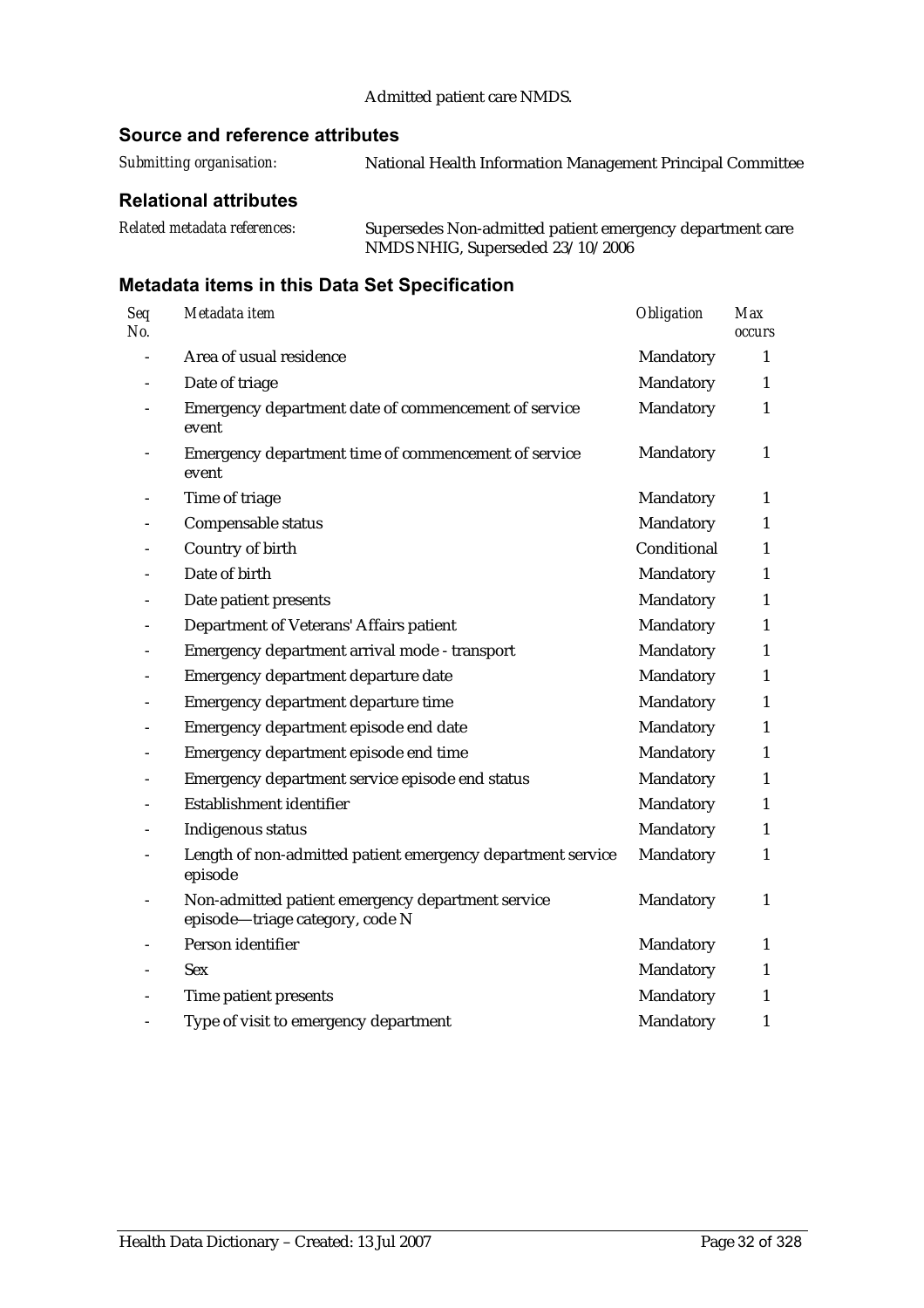#### Admitted patient care NMDS.

#### **Source and reference attributes**

*Submitting organisation:* National Health Information Management Principal Committee

#### **Relational attributes**

*Related metadata references:* Supersedes Non-admitted patient emergency department care NMDS NHIG, Superseded 23/10/2006

| Seq<br>No. | Metadata item                                                                        | <b>Obligation</b> | <b>Max</b><br>occurs |
|------------|--------------------------------------------------------------------------------------|-------------------|----------------------|
|            | Area of usual residence                                                              | Mandatory         | 1                    |
|            | Date of triage                                                                       | Mandatory         | $\mathbf{1}$         |
|            | Emergency department date of commencement of service<br>event                        | Mandatory         | $\mathbf{1}$         |
|            | Emergency department time of commencement of service<br>event                        | Mandatory         | $\mathbf{1}$         |
|            | Time of triage                                                                       | Mandatory         | $\mathbf{1}$         |
|            | Compensable status                                                                   | Mandatory         | $\mathbf{1}$         |
|            | Country of birth                                                                     | Conditional       | $\mathbf{1}$         |
|            | Date of birth                                                                        | Mandatory         | $\mathbf{1}$         |
|            | Date patient presents                                                                | Mandatory         | 1                    |
|            | Department of Veterans' Affairs patient                                              | Mandatory         | $\mathbf{1}$         |
|            | Emergency department arrival mode - transport                                        | Mandatory         | $\mathbf{1}$         |
|            | Emergency department departure date                                                  | Mandatory         | $\mathbf{1}$         |
|            | Emergency department departure time                                                  | Mandatory         | $\mathbf{1}$         |
|            | Emergency department episode end date                                                | Mandatory         | 1                    |
|            | Emergency department episode end time                                                | Mandatory         | $\mathbf{1}$         |
|            | Emergency department service episode end status                                      | Mandatory         | $\mathbf{1}$         |
|            | Establishment identifier                                                             | Mandatory         | $\mathbf{1}$         |
|            | Indigenous status                                                                    | Mandatory         | $\mathbf{1}$         |
|            | Length of non-admitted patient emergency department service<br>episode               | Mandatory         | $\mathbf{1}$         |
|            | Non-admitted patient emergency department service<br>episode-triage category, code N | Mandatory         | $\mathbf{1}$         |
|            | Person identifier                                                                    | Mandatory         | 1                    |
|            | <b>Sex</b>                                                                           | Mandatory         | 1                    |
|            | Time patient presents                                                                | Mandatory         | 1                    |
|            | Type of visit to emergency department                                                | Mandatory         | $\mathbf{1}$         |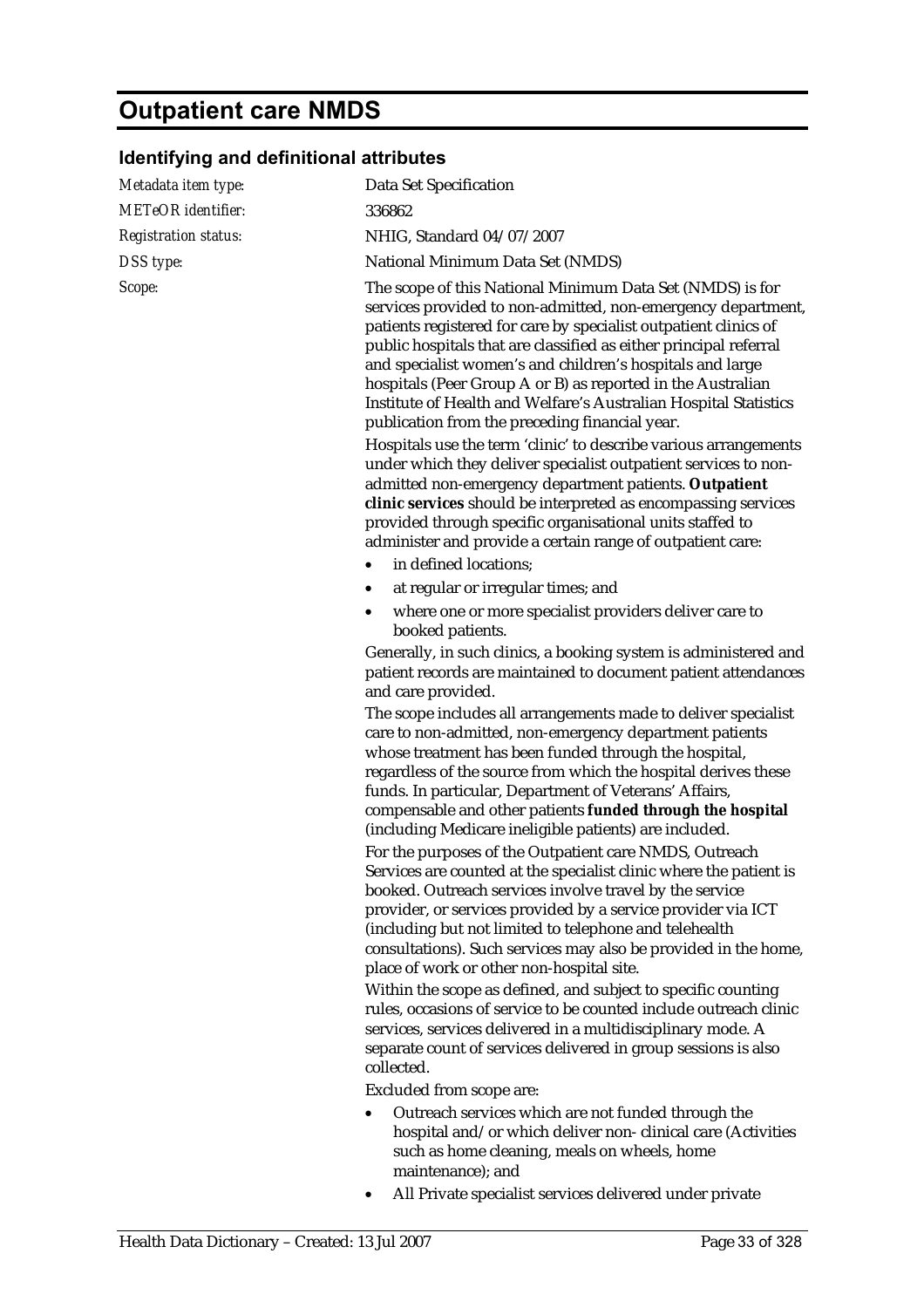# **Outpatient care NMDS**

## **Identifying and definitional attributes**

| Metadata item type:         | Data Set Specification                                                                                                                                                                                                                                                                                                                                                                                                                                                                                               |
|-----------------------------|----------------------------------------------------------------------------------------------------------------------------------------------------------------------------------------------------------------------------------------------------------------------------------------------------------------------------------------------------------------------------------------------------------------------------------------------------------------------------------------------------------------------|
| <b>METeOR</b> identifier:   | 336862                                                                                                                                                                                                                                                                                                                                                                                                                                                                                                               |
| <b>Registration status:</b> | NHIG, Standard 04/07/2007                                                                                                                                                                                                                                                                                                                                                                                                                                                                                            |
| DSS type:                   | National Minimum Data Set (NMDS)                                                                                                                                                                                                                                                                                                                                                                                                                                                                                     |
| Scope:                      | The scope of this National Minimum Data Set (NMDS) is for<br>services provided to non-admitted, non-emergency department,<br>patients registered for care by specialist outpatient clinics of<br>public hospitals that are classified as either principal referral<br>and specialist women's and children's hospitals and large<br>hospitals (Peer Group A or B) as reported in the Australian<br>Institute of Health and Welfare's Australian Hospital Statistics<br>publication from the preceding financial year. |
|                             | Hospitals use the term 'clinic' to describe various arrangements<br>under which they deliver specialist outpatient services to non-<br>admitted non-emergency department patients. Outpatient<br>clinic services should be interpreted as encompassing services<br>provided through specific organisational units staffed to<br>administer and provide a certain range of outpatient care:                                                                                                                           |
|                             | in defined locations;                                                                                                                                                                                                                                                                                                                                                                                                                                                                                                |
|                             | at regular or irregular times; and<br>٠                                                                                                                                                                                                                                                                                                                                                                                                                                                                              |
|                             | where one or more specialist providers deliver care to<br>booked patients.                                                                                                                                                                                                                                                                                                                                                                                                                                           |
|                             | Generally, in such clinics, a booking system is administered and<br>patient records are maintained to document patient attendances<br>and care provided.                                                                                                                                                                                                                                                                                                                                                             |
|                             | The scope includes all arrangements made to deliver specialist<br>care to non-admitted, non-emergency department patients<br>whose treatment has been funded through the hospital,<br>regardless of the source from which the hospital derives these<br>funds. In particular, Department of Veterans' Affairs,<br>compensable and other patients funded through the hospital<br>(including Medicare ineligible patients) are included.                                                                               |
|                             | For the purposes of the Outpatient care NMDS, Outreach<br>Services are counted at the specialist clinic where the patient is<br>booked. Outreach services involve travel by the service<br>provider, or services provided by a service provider via ICT<br>(including but not limited to telephone and telehealth<br>consultations). Such services may also be provided in the home,<br>place of work or other non-hospital site.                                                                                    |
|                             | Within the scope as defined, and subject to specific counting<br>rules, occasions of service to be counted include outreach clinic<br>services, services delivered in a multidisciplinary mode. A<br>separate count of services delivered in group sessions is also<br>collected.                                                                                                                                                                                                                                    |
|                             | Excluded from scope are:                                                                                                                                                                                                                                                                                                                                                                                                                                                                                             |
|                             | Outreach services which are not funded through the<br>hospital and/or which deliver non-clinical care (Activities<br>such as home cleaning, meals on wheels, home<br>maintenance); and                                                                                                                                                                                                                                                                                                                               |

• All Private specialist services delivered under private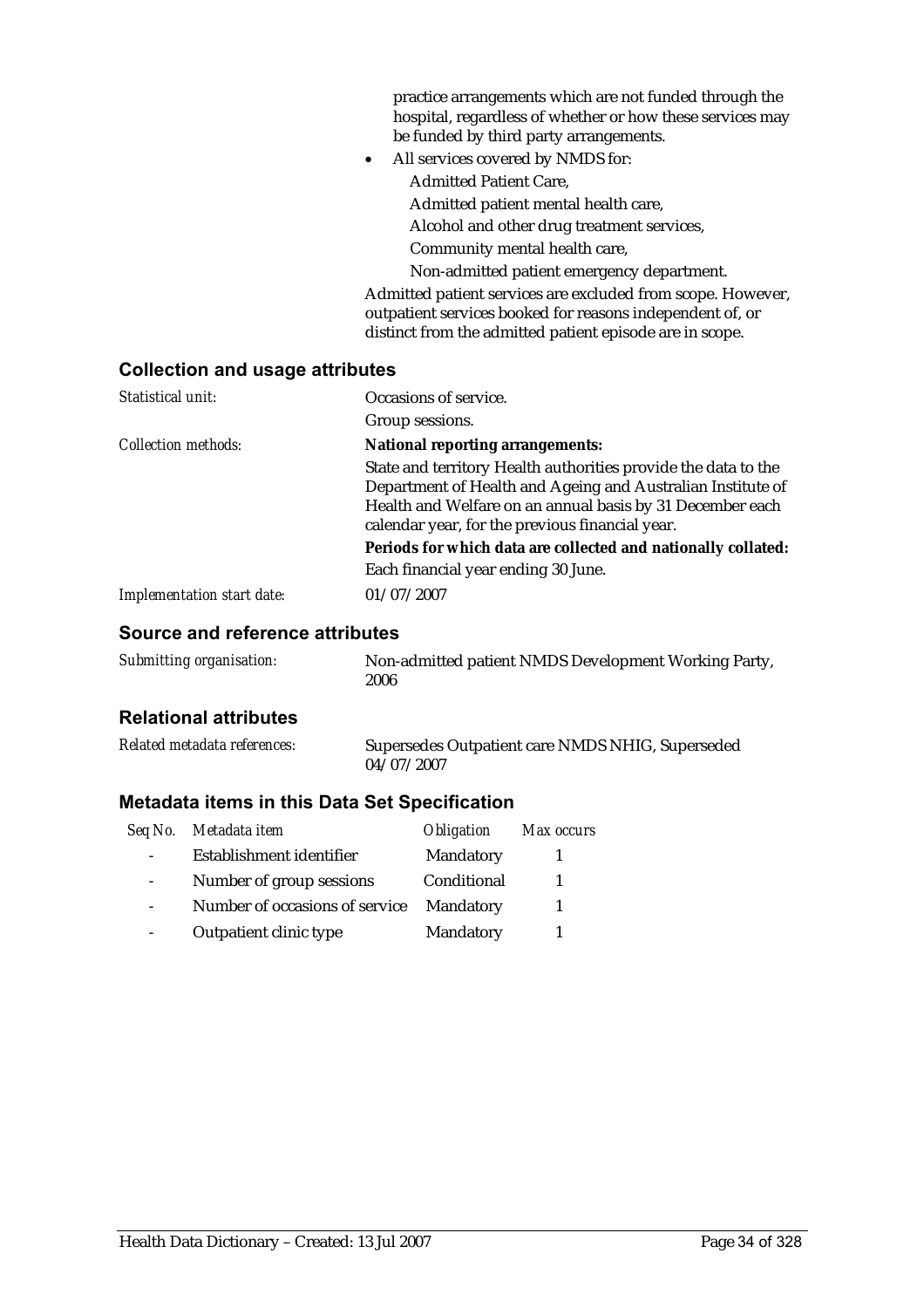|           | practice arrangements which are not funded through the      |
|-----------|-------------------------------------------------------------|
|           | hospital, regardless of whether or how these services may   |
|           | be funded by third party arrangements.                      |
| $\bullet$ | All services covered by NMDS for:                           |
|           | <b>Admitted Patient Care,</b>                               |
|           | Admitted patient mental health care,                        |
|           | Alcohol and other drug treatment services,                  |
|           | Community mental health care,                               |
|           | Non-admitted patient emergency department.                  |
|           | Admitted patient services are excluded from scope. However, |
|           | outpatient services booked for reasons independent of, or   |
|           | distinct from the admitted patient episode are in scope.    |

## **Collection and usage attributes**

| Statistical unit:                 | Occasions of service.                                          |
|-----------------------------------|----------------------------------------------------------------|
|                                   | Group sessions.                                                |
| <b>Collection methods:</b>        | <b>National reporting arrangements:</b>                        |
|                                   | State and territory Health authorities provide the data to the |
|                                   | Department of Health and Ageing and Australian Institute of    |
|                                   | Health and Welfare on an annual basis by 31 December each      |
|                                   | calendar year, for the previous financial year.                |
|                                   | Periods for which data are collected and nationally collated:  |
|                                   | Each financial year ending 30 June.                            |
| <b>Implementation start date:</b> | 01/07/2007                                                     |

### **Source and reference attributes**

| Submitting organisation: | Non-admitted patient NMDS Development Working Party, |
|--------------------------|------------------------------------------------------|
|                          | 2006                                                 |

## **Relational attributes**

| Related metadata references: | Supersedes Outpatient care NMDS NHIG, Superseded |
|------------------------------|--------------------------------------------------|
|                              | 04/07/2007                                       |

| Seq No. | Metadata item                  | <i><b>Obligation</b></i> | Max occurs |
|---------|--------------------------------|--------------------------|------------|
|         | Establishment identifier       | Mandatory                |            |
|         | Number of group sessions       | Conditional              |            |
|         | Number of occasions of service | Mandatory                |            |
|         | Outpatient clinic type         | Mandatory                |            |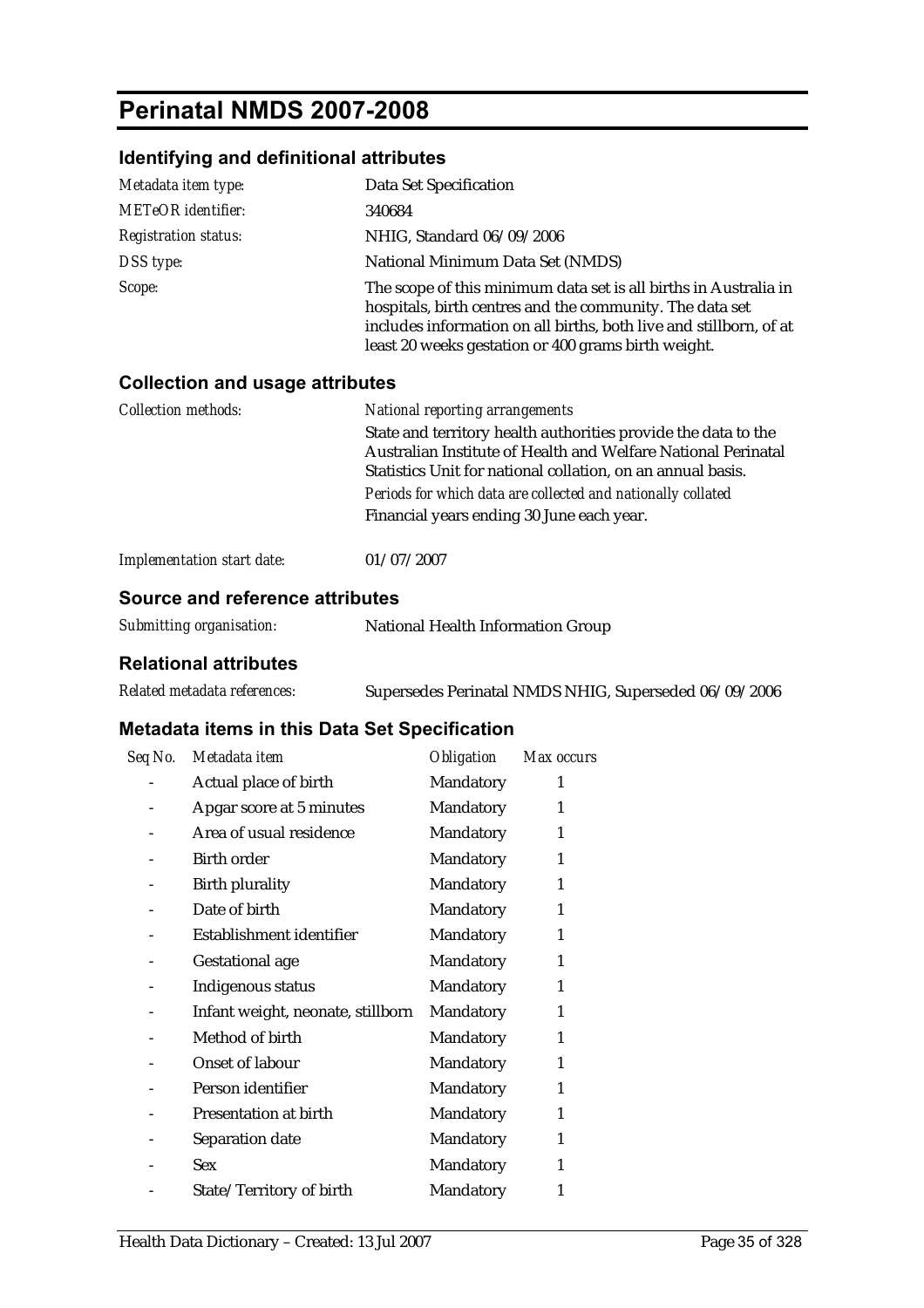# **Perinatal NMDS 2007-2008**

## **Identifying and definitional attributes**

| Metadata item type:         | Data Set Specification                                                                                                                                                                                                                                    |
|-----------------------------|-----------------------------------------------------------------------------------------------------------------------------------------------------------------------------------------------------------------------------------------------------------|
| <b>METeOR</b> identifier:   | 340684                                                                                                                                                                                                                                                    |
| <b>Registration status:</b> | NHIG, Standard 06/09/2006                                                                                                                                                                                                                                 |
| DSS type:                   | National Minimum Data Set (NMDS)                                                                                                                                                                                                                          |
| Scope:                      | The scope of this minimum data set is all births in Australia in<br>hospitals, birth centres and the community. The data set<br>includes information on all births, both live and stillborn, of at<br>least 20 weeks gestation or 400 grams birth weight. |

### **Collection and usage attributes**

| <b>National reporting arrangements</b>                         |
|----------------------------------------------------------------|
| State and territory health authorities provide the data to the |
| Australian Institute of Health and Welfare National Perinatal  |
| Statistics Unit for national collation, on an annual basis.    |
| Periods for which data are collected and nationally collated   |
| Financial years ending 30 June each year.                      |
|                                                                |
|                                                                |

| <b>Implementation start date:</b> | 01/07/2007 |
|-----------------------------------|------------|
|-----------------------------------|------------|

## **Source and reference attributes**

| Submitting organisation: | National Health Information Group |
|--------------------------|-----------------------------------|
|--------------------------|-----------------------------------|

## **Relational attributes**

| Related metadata references: | Supersedes Perinatal NMDS NHIG, Superseded 06/09/2006 |
|------------------------------|-------------------------------------------------------|
|------------------------------|-------------------------------------------------------|

| Seq No. | Metadata item                     | <i><b>Obligation</b></i> | Max occurs |
|---------|-----------------------------------|--------------------------|------------|
|         | Actual place of birth             | Mandatory                | 1          |
|         | Apgar score at 5 minutes          | Mandatory                | 1          |
|         | Area of usual residence           | Mandatory                | 1          |
|         | <b>Birth order</b>                | Mandatory                | 1          |
|         | <b>Birth plurality</b>            | Mandatory                | 1          |
|         | Date of birth                     | Mandatory                | 1          |
|         | Establishment identifier          | Mandatory                | 1          |
|         | <b>Gestational age</b>            | Mandatory                | 1          |
|         | Indigenous status                 | Mandatory                | 1          |
|         | Infant weight, neonate, stillborn | Mandatory                | 1          |
|         | Method of birth                   | Mandatory                | 1          |
|         | <b>Onset of labour</b>            | Mandatory                | 1          |
|         | Person identifier                 | Mandatory                | 1          |
|         | Presentation at birth             | Mandatory                | 1          |
|         | Separation date                   | Mandatory                | 1          |
|         | <b>Sex</b>                        | Mandatory                | 1          |
|         | State/Territory of birth          | Mandatory                | 1          |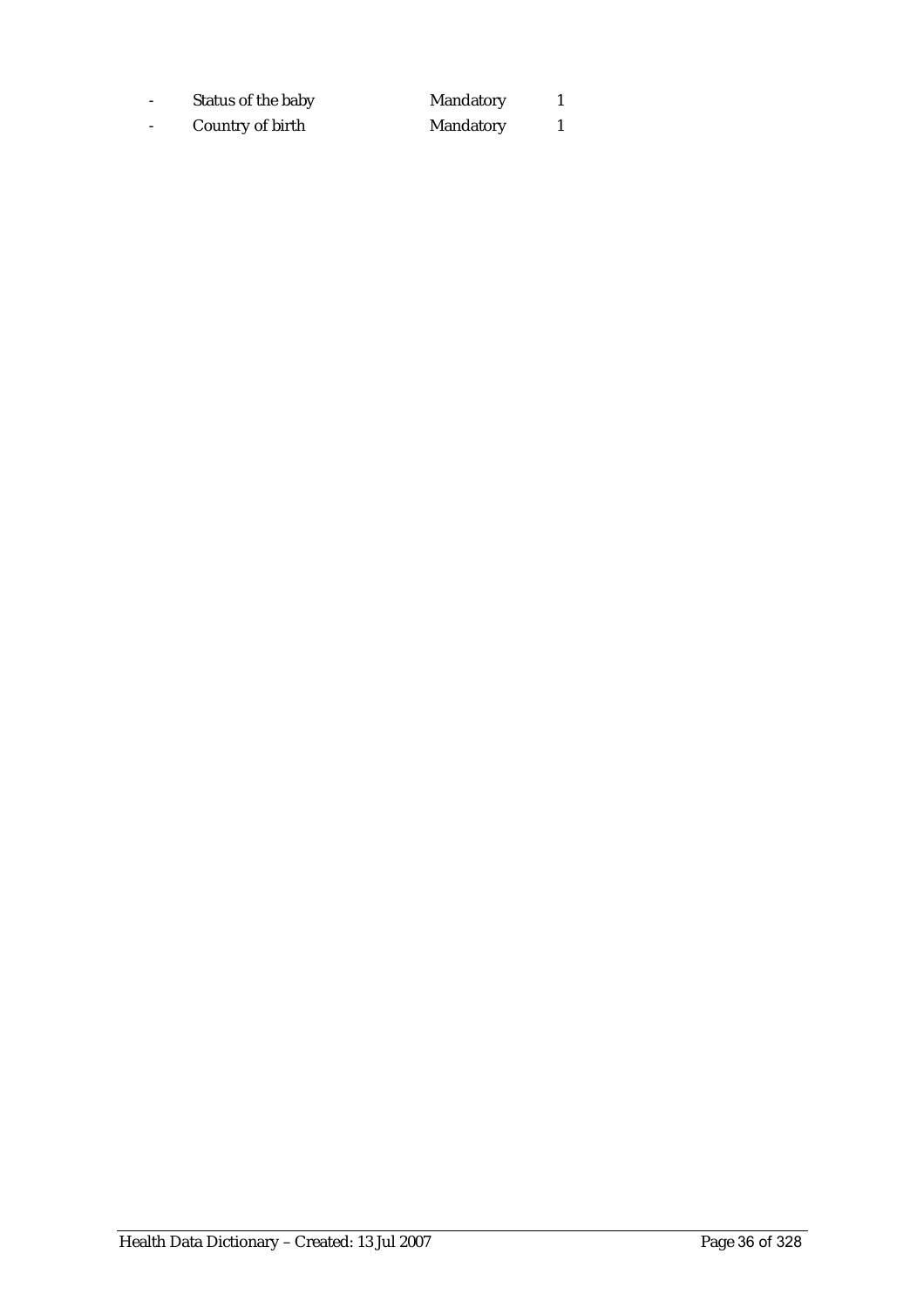- Status of the baby Mandatory 1 - Country of birth Mandatory 1

Health Data Dictionary – Created: 13 Jul 2007 Page 36 of 328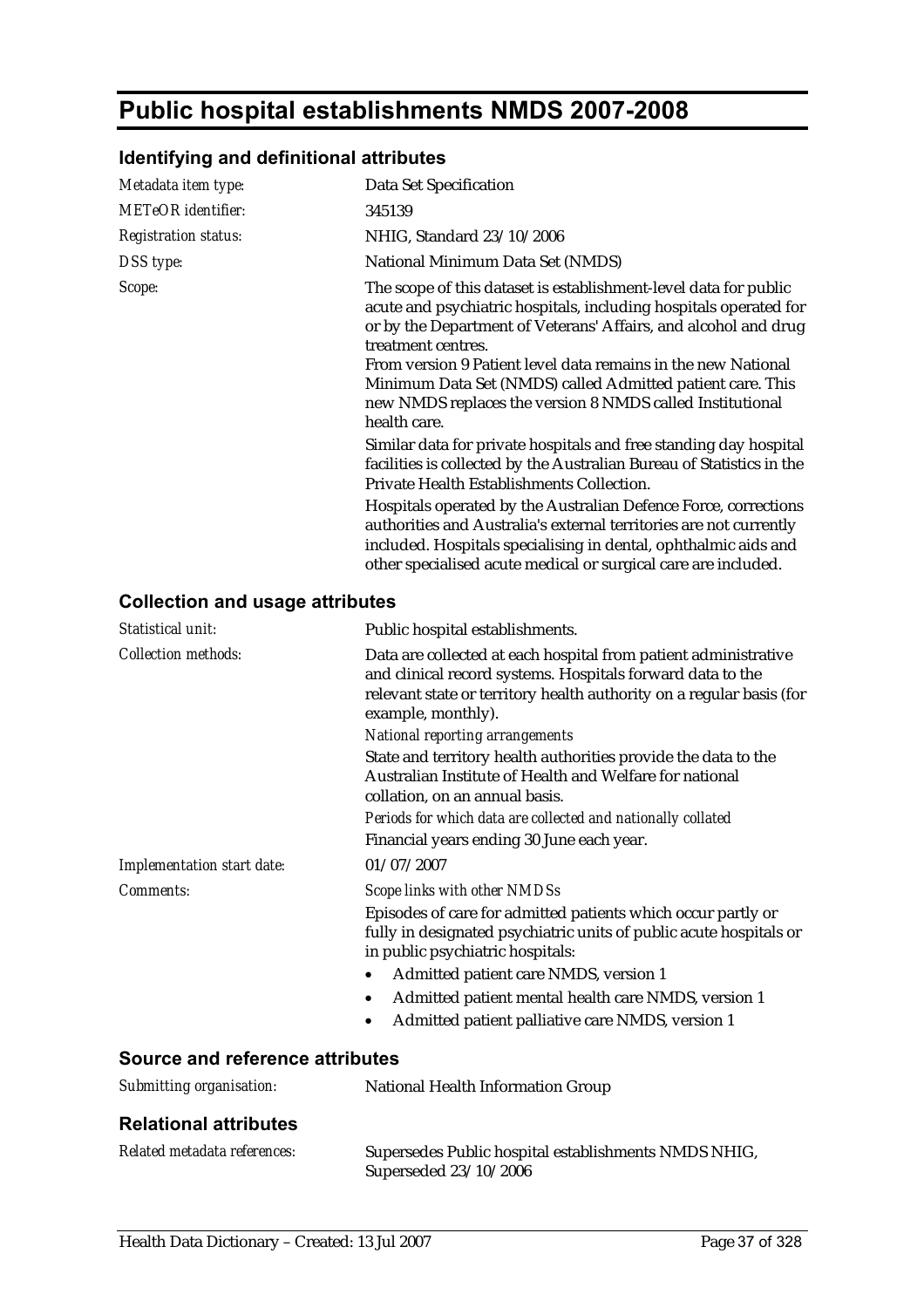# **Public hospital establishments NMDS 2007-2008**

## **Identifying and definitional attributes**

| Metadata item type:         | Data Set Specification                                                                                                                                                                                                                                                                                                                                                                                                                                                |
|-----------------------------|-----------------------------------------------------------------------------------------------------------------------------------------------------------------------------------------------------------------------------------------------------------------------------------------------------------------------------------------------------------------------------------------------------------------------------------------------------------------------|
| <b>METeOR</b> identifier:   | 345139                                                                                                                                                                                                                                                                                                                                                                                                                                                                |
| <b>Registration status:</b> | NHIG, Standard 23/10/2006                                                                                                                                                                                                                                                                                                                                                                                                                                             |
| DSS type:                   | National Minimum Data Set (NMDS)                                                                                                                                                                                                                                                                                                                                                                                                                                      |
| Scope:                      | The scope of this dataset is establishment-level data for public<br>acute and psychiatric hospitals, including hospitals operated for<br>or by the Department of Veterans' Affairs, and alcohol and drug<br>treatment centres.<br>From version 9 Patient level data remains in the new National<br>Minimum Data Set (NMDS) called Admitted patient care. This<br>new NMDS replaces the version 8 NMDS called Institutional<br>health care.                            |
|                             | Similar data for private hospitals and free standing day hospital<br>facilities is collected by the Australian Bureau of Statistics in the<br>Private Health Establishments Collection.<br>Hospitals operated by the Australian Defence Force, corrections<br>authorities and Australia's external territories are not currently<br>included. Hospitals specialising in dental, ophthalmic aids and<br>other specialised acute medical or surgical care are included. |
|                             |                                                                                                                                                                                                                                                                                                                                                                                                                                                                       |

#### **Collection and usage attributes**

| Statistical unit:               | Public hospital establishments.                                                                                                                                                                                             |
|---------------------------------|-----------------------------------------------------------------------------------------------------------------------------------------------------------------------------------------------------------------------------|
| <b>Collection methods:</b>      | Data are collected at each hospital from patient administrative<br>and clinical record systems. Hospitals forward data to the<br>relevant state or territory health authority on a regular basis (for<br>example, monthly). |
|                                 | <b>National reporting arrangements</b><br>State and territory health authorities provide the data to the<br>Australian Institute of Health and Welfare for national<br>collation, on an annual basis.                       |
|                                 | Periods for which data are collected and nationally collated                                                                                                                                                                |
|                                 | Financial years ending 30 June each year.                                                                                                                                                                                   |
| Implementation start date:      | 01/07/2007                                                                                                                                                                                                                  |
| Comments:                       | Scope links with other NMDSs                                                                                                                                                                                                |
|                                 | Episodes of care for admitted patients which occur partly or<br>fully in designated psychiatric units of public acute hospitals or<br>in public psychiatric hospitals:                                                      |
|                                 | Admitted patient care NMDS, version 1                                                                                                                                                                                       |
|                                 | Admitted patient mental health care NMDS, version 1                                                                                                                                                                         |
|                                 | Admitted patient palliative care NMDS, version 1                                                                                                                                                                            |
| Source and reference attributes |                                                                                                                                                                                                                             |
| Submitting organisation:        | <b>National Health Information Group</b>                                                                                                                                                                                    |

#### **Relational attributes**

| Related metadata references: | Supersedes Public hospital establishments NMDS NHIG, |
|------------------------------|------------------------------------------------------|
|                              | Superseded 23/10/2006                                |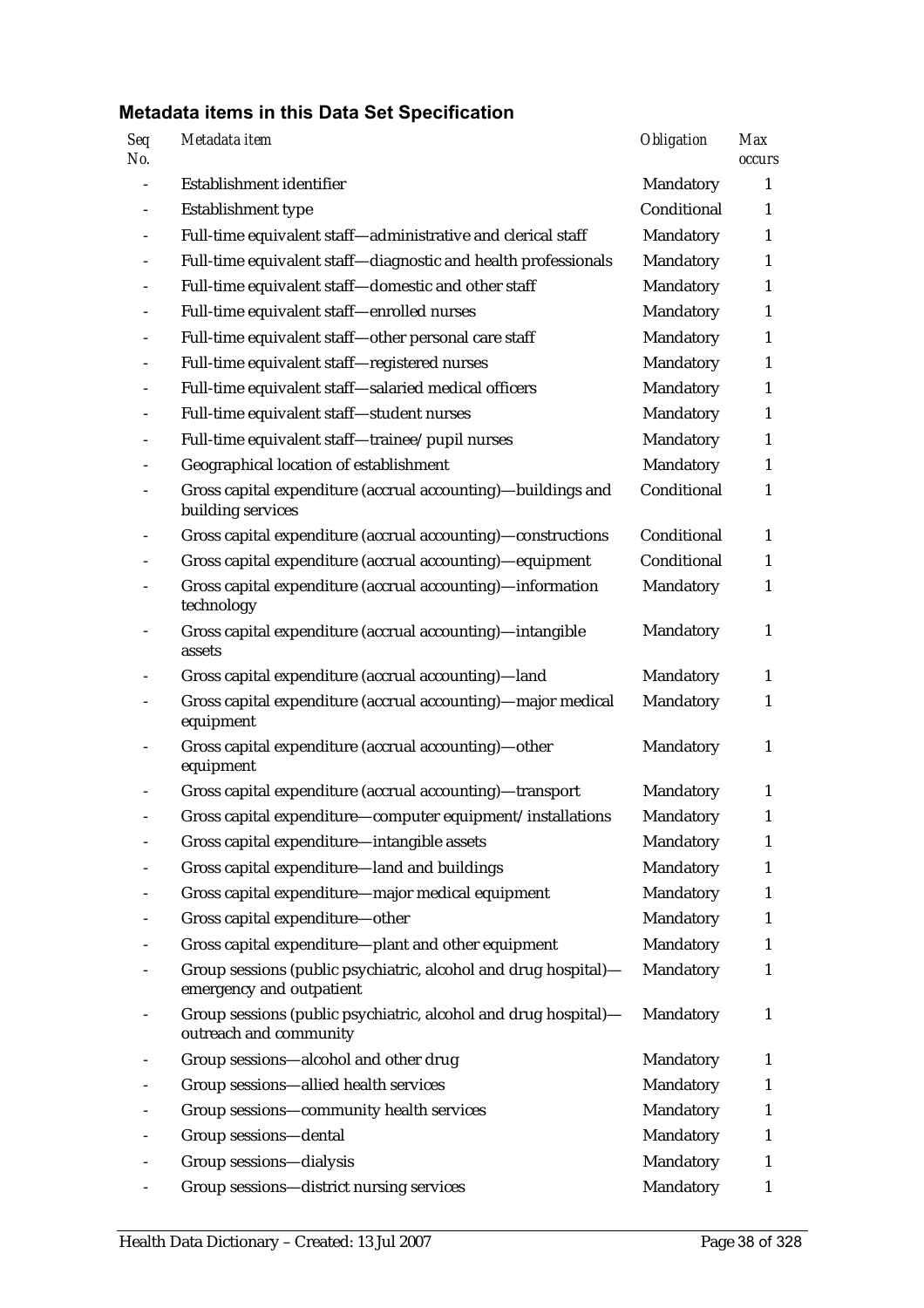| Seq<br>No. | Metadata item                                                                               | Obligation  | <b>Max</b><br>occurs |
|------------|---------------------------------------------------------------------------------------------|-------------|----------------------|
|            | Establishment identifier                                                                    | Mandatory   | 1                    |
|            | Establishment type                                                                          | Conditional | 1                    |
|            | Full-time equivalent staff-administrative and clerical staff                                | Mandatory   | $\mathbf{1}$         |
|            | Full-time equivalent staff-diagnostic and health professionals                              | Mandatory   | $\mathbf{1}$         |
|            | Full-time equivalent staff-domestic and other staff                                         | Mandatory   | $\mathbf{1}$         |
|            | Full-time equivalent staff-enrolled nurses                                                  | Mandatory   | $\mathbf{1}$         |
|            | Full-time equivalent staff-other personal care staff                                        | Mandatory   | $\mathbf{1}$         |
|            | Full-time equivalent staff-registered nurses                                                | Mandatory   | $\mathbf{1}$         |
|            | Full-time equivalent staff-salaried medical officers                                        | Mandatory   | 1                    |
|            | Full-time equivalent staff-student nurses                                                   | Mandatory   | 1                    |
|            | Full-time equivalent staff-trainee/pupil nurses                                             | Mandatory   | $\mathbf{1}$         |
|            | Geographical location of establishment                                                      | Mandatory   | $\mathbf{1}$         |
|            | Gross capital expenditure (accrual accounting)-buildings and<br>building services           | Conditional | $\mathbf{1}$         |
|            | Gross capital expenditure (accrual accounting)-constructions                                | Conditional | $\mathbf{1}$         |
|            | Gross capital expenditure (accrual accounting)-equipment                                    | Conditional | $\mathbf{1}$         |
|            | Gross capital expenditure (accrual accounting)-information<br>technology                    | Mandatory   | $\mathbf{1}$         |
|            | Gross capital expenditure (accrual accounting)-intangible<br>assets                         | Mandatory   | $\mathbf{1}$         |
|            | Gross capital expenditure (accrual accounting)-land                                         | Mandatory   | $\mathbf{1}$         |
|            | Gross capital expenditure (accrual accounting)-major medical<br>equipment                   | Mandatory   | $\mathbf{1}$         |
|            | Gross capital expenditure (accrual accounting)-other<br>equipment                           | Mandatory   | $\mathbf{1}$         |
|            | Gross capital expenditure (accrual accounting)-transport                                    | Mandatory   | 1                    |
|            | Gross capital expenditure-computer equipment/installations                                  | Mandatory   | $\mathbf{1}$         |
|            | Gross capital expenditure-intangible assets                                                 | Mandatory   | $\mathbf{1}$         |
|            | Gross capital expenditure-land and buildings                                                | Mandatory   | 1                    |
|            | Gross capital expenditure-major medical equipment                                           | Mandatory   | 1                    |
|            | Gross capital expenditure-other                                                             | Mandatory   | 1                    |
|            | Gross capital expenditure-plant and other equipment                                         | Mandatory   | 1                    |
|            | Group sessions (public psychiatric, alcohol and drug hospital)-<br>emergency and outpatient | Mandatory   | 1                    |
|            | Group sessions (public psychiatric, alcohol and drug hospital)-<br>outreach and community   | Mandatory   | 1                    |
|            | Group sessions-alcohol and other drug                                                       | Mandatory   | 1                    |
|            | Group sessions-allied health services                                                       | Mandatory   | 1                    |
|            | Group sessions-community health services                                                    | Mandatory   | $\mathbf{1}$         |
|            | Group sessions-dental                                                                       | Mandatory   | 1                    |
|            | Group sessions-dialysis                                                                     | Mandatory   | 1                    |
|            | Group sessions-district nursing services                                                    | Mandatory   | 1                    |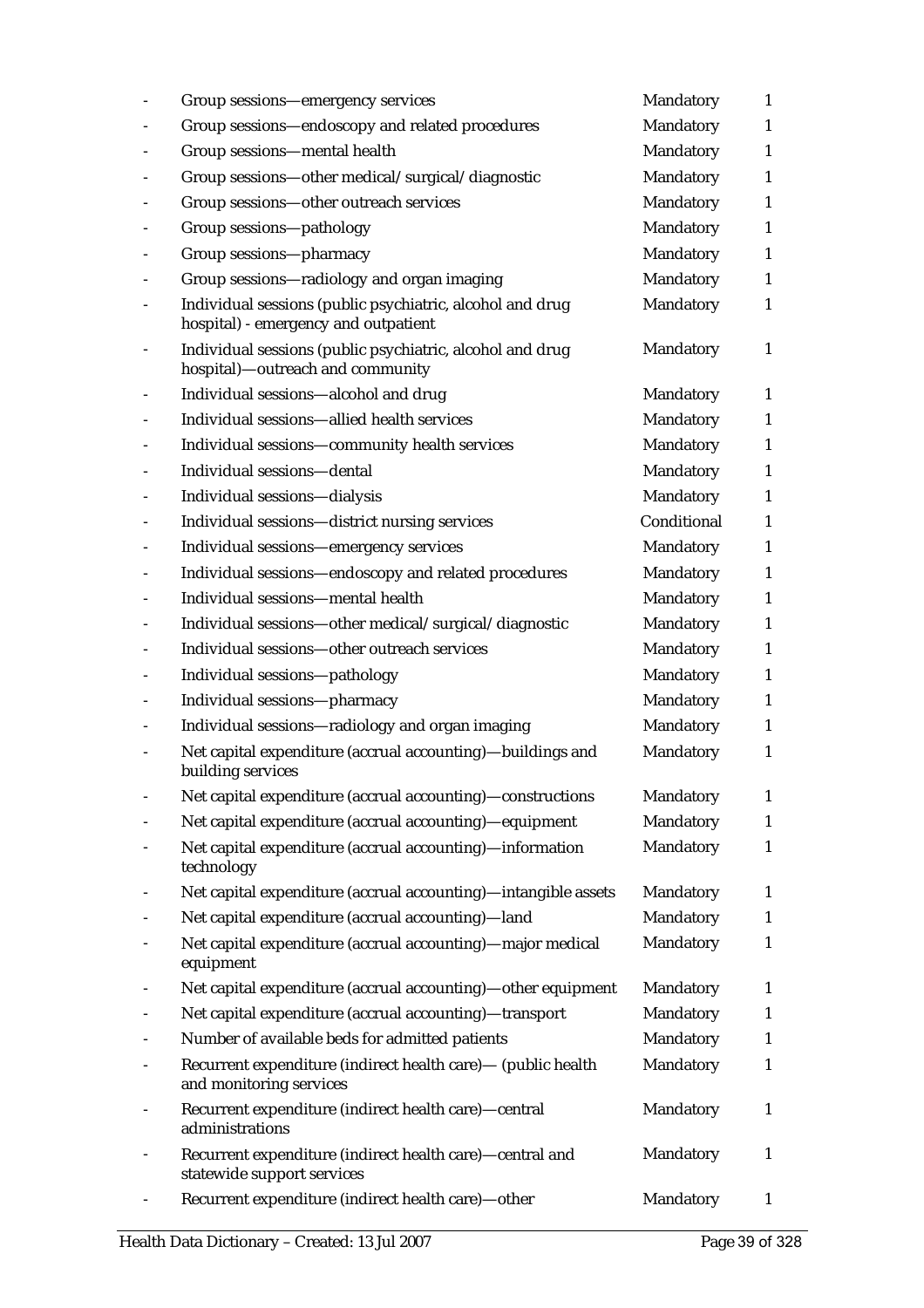| Group sessions—emergency services                                                                 | Mandatory   | 1            |
|---------------------------------------------------------------------------------------------------|-------------|--------------|
| Group sessions-endoscopy and related procedures                                                   | Mandatory   | $\mathbf{1}$ |
| Group sessions-mental health                                                                      | Mandatory   | $\mathbf{1}$ |
| Group sessions-other medical/surgical/diagnostic                                                  | Mandatory   | $\mathbf{1}$ |
| Group sessions-other outreach services                                                            | Mandatory   | $\mathbf{1}$ |
| Group sessions-pathology                                                                          | Mandatory   | $\mathbf{1}$ |
| Group sessions-pharmacy                                                                           | Mandatory   | $\mathbf{1}$ |
| Group sessions-radiology and organ imaging                                                        | Mandatory   | $\mathbf{1}$ |
| Individual sessions (public psychiatric, alcohol and drug<br>hospital) - emergency and outpatient | Mandatory   | 1            |
| Individual sessions (public psychiatric, alcohol and drug<br>hospital)—outreach and community     | Mandatory   | $\mathbf{1}$ |
| Individual sessions-alcohol and drug                                                              | Mandatory   | 1            |
| Individual sessions-allied health services                                                        | Mandatory   | $\mathbf{1}$ |
| Individual sessions-community health services                                                     | Mandatory   | $\mathbf{1}$ |
| Individual sessions-dental                                                                        | Mandatory   | $\mathbf{1}$ |
| Individual sessions-dialysis                                                                      | Mandatory   | $\mathbf{1}$ |
| Individual sessions-district nursing services                                                     | Conditional | $\mathbf{1}$ |
| Individual sessions-emergency services                                                            | Mandatory   | $\mathbf{1}$ |
| Individual sessions-endoscopy and related procedures                                              | Mandatory   | $\mathbf{1}$ |
| Individual sessions-mental health                                                                 | Mandatory   | $\mathbf{1}$ |
| Individual sessions-other medical/surgical/diagnostic                                             | Mandatory   | $\mathbf{1}$ |
| Individual sessions-other outreach services                                                       | Mandatory   | $\mathbf{1}$ |
| Individual sessions-pathology                                                                     | Mandatory   | $\mathbf{1}$ |
| Individual sessions-pharmacy                                                                      | Mandatory   | $\mathbf{1}$ |
| Individual sessions-radiology and organ imaging                                                   | Mandatory   | $\mathbf{1}$ |
| Net capital expenditure (accrual accounting)-buildings and<br>building services                   | Mandatory   | $\mathbf{1}$ |
| Net capital expenditure (accrual accounting)-constructions                                        | Mandatory   | $\mathbf{1}$ |
| Net capital expenditure (accrual accounting)-equipment                                            | Mandatory   | $\mathbf{1}$ |
| Net capital expenditure (accrual accounting)-information<br>technology                            | Mandatory   | $\mathbf{1}$ |
| Net capital expenditure (accrual accounting)-intangible assets                                    | Mandatory   | $\mathbf{1}$ |
| Net capital expenditure (accrual accounting)-land                                                 | Mandatory   | $\mathbf{1}$ |
| Net capital expenditure (accrual accounting)-major medical<br>equipment                           | Mandatory   | $\mathbf{1}$ |
| Net capital expenditure (accrual accounting)—other equipment                                      | Mandatory   | $\mathbf{1}$ |
| Net capital expenditure (accrual accounting)-transport                                            | Mandatory   | $\mathbf{1}$ |
| Number of available beds for admitted patients                                                    | Mandatory   | $\mathbf{1}$ |
| Recurrent expenditure (indirect health care) - (public health<br>and monitoring services          | Mandatory   | $\mathbf{1}$ |
| Recurrent expenditure (indirect health care)-central<br>administrations                           | Mandatory   | $\mathbf{1}$ |
| Recurrent expenditure (indirect health care)-central and<br>statewide support services            | Mandatory   | $\mathbf{1}$ |
| Recurrent expenditure (indirect health care)-other                                                | Mandatory   | 1            |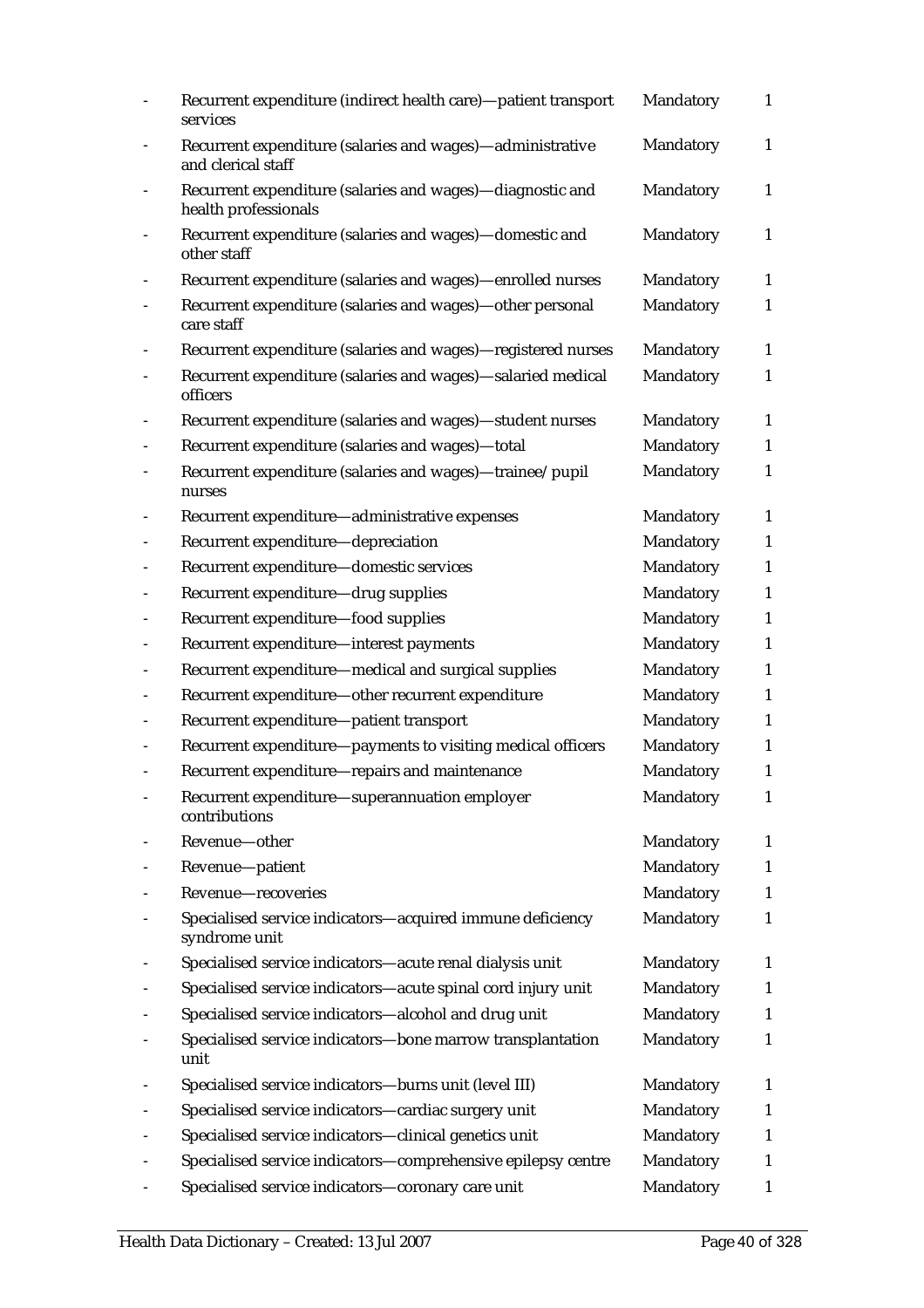| Recurrent expenditure (indirect health care)-patient transport<br>services        | Mandatory | $\mathbf{1}$ |
|-----------------------------------------------------------------------------------|-----------|--------------|
| Recurrent expenditure (salaries and wages)-administrative<br>and clerical staff   | Mandatory | $\mathbf{1}$ |
| Recurrent expenditure (salaries and wages)-diagnostic and<br>health professionals | Mandatory | $\mathbf{1}$ |
| Recurrent expenditure (salaries and wages)-domestic and<br>other staff            | Mandatory | $\mathbf{1}$ |
| Recurrent expenditure (salaries and wages)-enrolled nurses                        | Mandatory | $\mathbf{1}$ |
| Recurrent expenditure (salaries and wages)-other personal<br>care staff           | Mandatory | 1            |
| Recurrent expenditure (salaries and wages)-registered nurses                      | Mandatory | $\mathbf{1}$ |
| Recurrent expenditure (salaries and wages)-salaried medical<br>officers           | Mandatory | 1            |
| Recurrent expenditure (salaries and wages)-student nurses                         | Mandatory | $\mathbf{1}$ |
| Recurrent expenditure (salaries and wages)-total                                  | Mandatory | $\mathbf{1}$ |
| Recurrent expenditure (salaries and wages)-trainee/pupil<br>nurses                | Mandatory | $\mathbf{1}$ |
| Recurrent expenditure-administrative expenses                                     | Mandatory | $\mathbf{1}$ |
| Recurrent expenditure-depreciation                                                | Mandatory | 1            |
| Recurrent expenditure-domestic services                                           | Mandatory | $\mathbf{1}$ |
| Recurrent expenditure-drug supplies                                               | Mandatory | $\mathbf{1}$ |
| Recurrent expenditure-food supplies                                               | Mandatory | 1            |
| Recurrent expenditure—interest payments                                           | Mandatory | $\mathbf{1}$ |
| Recurrent expenditure-medical and surgical supplies                               | Mandatory | $\mathbf{1}$ |
| Recurrent expenditure-other recurrent expenditure                                 | Mandatory | $\mathbf{1}$ |
| Recurrent expenditure-patient transport                                           | Mandatory | $\mathbf{1}$ |
| Recurrent expenditure-payments to visiting medical officers                       | Mandatory | $\mathbf{1}$ |
| Recurrent expenditure-repairs and maintenance                                     | Mandatory | $\mathbf{1}$ |
| Recurrent expenditure-superannuation employer<br>contributions                    | Mandatory | 1            |
| Revenue-other                                                                     | Mandatory | $\mathbf{1}$ |
| Revenue-patient                                                                   | Mandatory | 1            |
| Revenue-recoveries                                                                | Mandatory | 1            |
| Specialised service indicators-acquired immune deficiency<br>syndrome unit        | Mandatory | 1            |
| Specialised service indicators-acute renal dialysis unit                          | Mandatory | 1            |
| Specialised service indicators-acute spinal cord injury unit                      | Mandatory | $\mathbf{1}$ |
| Specialised service indicators-alcohol and drug unit                              | Mandatory | 1            |
| Specialised service indicators-bone marrow transplantation<br>unit                | Mandatory | $\mathbf{1}$ |
| Specialised service indicators-burns unit (level III)                             | Mandatory | 1            |
| Specialised service indicators-cardiac surgery unit                               | Mandatory | 1            |
| Specialised service indicators-clinical genetics unit                             | Mandatory | 1            |
| Specialised service indicators-comprehensive epilepsy centre                      | Mandatory | 1            |
| Specialised service indicators-coronary care unit                                 | Mandatory | 1            |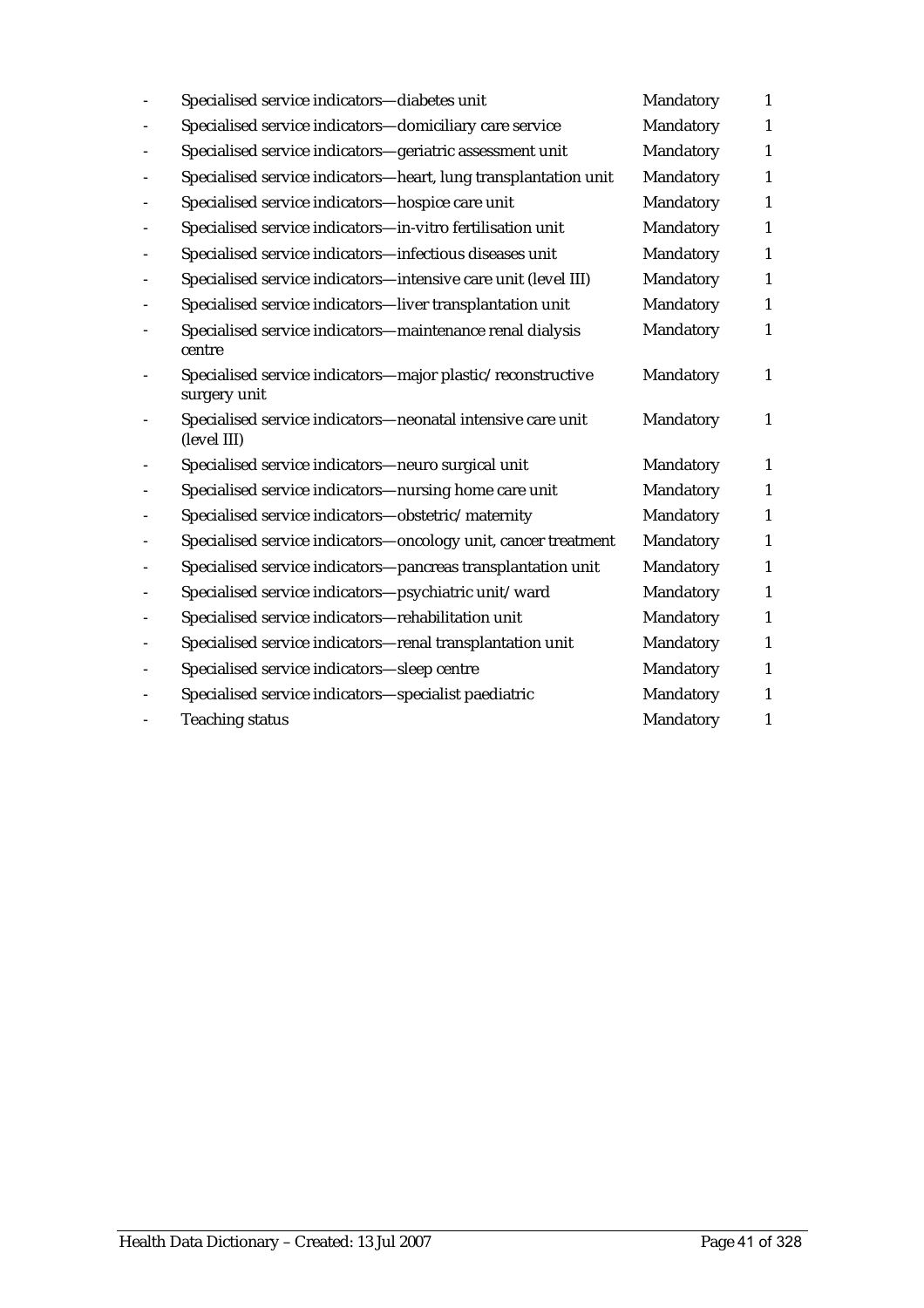| Specialised service indicators-diabetes unit                                | Mandatory | $\mathbf{1}$ |
|-----------------------------------------------------------------------------|-----------|--------------|
| Specialised service indicators-domiciliary care service                     | Mandatory | $\mathbf{1}$ |
| Specialised service indicators-geriatric assessment unit                    | Mandatory | 1            |
| Specialised service indicators-heart, lung transplantation unit             | Mandatory | 1            |
| Specialised service indicators-hospice care unit                            | Mandatory | 1            |
| Specialised service indicators-in-vitro fertilisation unit                  | Mandatory | $\mathbf{1}$ |
| Specialised service indicators-infectious diseases unit                     | Mandatory | $\mathbf{1}$ |
| Specialised service indicators-intensive care unit (level III)              | Mandatory | 1            |
| Specialised service indicators-liver transplantation unit                   | Mandatory | $\mathbf{1}$ |
| Specialised service indicators-maintenance renal dialysis<br>centre         | Mandatory | $\mathbf{1}$ |
| Specialised service indicators-major plastic/reconstructive<br>surgery unit | Mandatory | 1            |
| Specialised service indicators-neonatal intensive care unit<br>(level III)  | Mandatory | $\mathbf{1}$ |
| Specialised service indicators-neuro surgical unit                          | Mandatory | $\mathbf{1}$ |
| Specialised service indicators-nursing home care unit                       | Mandatory | 1            |
| Specialised service indicators-obstetric/maternity                          | Mandatory | $\mathbf{1}$ |
| Specialised service indicators-oncology unit, cancer treatment              | Mandatory | $\mathbf{1}$ |
| Specialised service indicators-pancreas transplantation unit                | Mandatory | $\mathbf{1}$ |
| Specialised service indicators-psychiatric unit/ward                        | Mandatory | $\mathbf{1}$ |
| Specialised service indicators-rehabilitation unit                          | Mandatory | $\mathbf{1}$ |
| Specialised service indicators-renal transplantation unit                   | Mandatory | $\mathbf{1}$ |
| Specialised service indicators-sleep centre                                 | Mandatory | $\mathbf{1}$ |
| Specialised service indicators-specialist paediatric                        | Mandatory | $\mathbf{1}$ |
| <b>Teaching status</b>                                                      | Mandatory | $\mathbf{1}$ |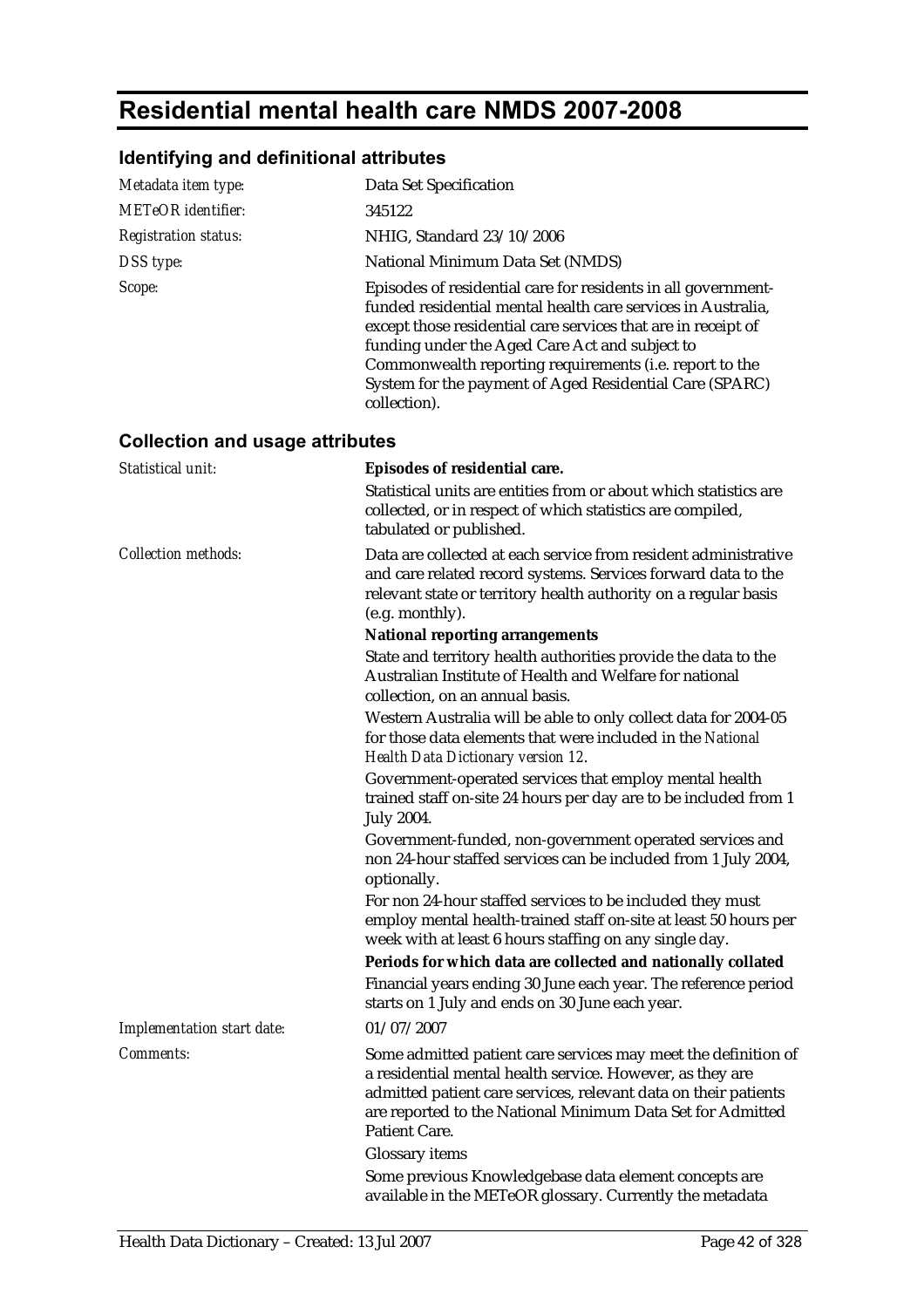## **Residential mental health care NMDS 2007-2008**

## **Identifying and definitional attributes**

| Metadata item type:                    | Data Set Specification                                                                                                                                                                                                                                                                                                                                                                 |
|----------------------------------------|----------------------------------------------------------------------------------------------------------------------------------------------------------------------------------------------------------------------------------------------------------------------------------------------------------------------------------------------------------------------------------------|
| <b>METeOR</b> identifier:              | 345122                                                                                                                                                                                                                                                                                                                                                                                 |
| <b>Registration status:</b>            | NHIG, Standard 23/10/2006                                                                                                                                                                                                                                                                                                                                                              |
| DSS type:                              | National Minimum Data Set (NMDS)                                                                                                                                                                                                                                                                                                                                                       |
| Scope:                                 | Episodes of residential care for residents in all government-<br>funded residential mental health care services in Australia,<br>except those residential care services that are in receipt of<br>funding under the Aged Care Act and subject to<br>Commonwealth reporting requirements (i.e. report to the<br>System for the payment of Aged Residential Care (SPARC)<br>collection). |
| <b>Collection and usage attributes</b> |                                                                                                                                                                                                                                                                                                                                                                                        |
| Statistical unit:                      | Episodes of residential care.                                                                                                                                                                                                                                                                                                                                                          |
|                                        | Statistical units are entities from or about which statistics are<br>collected, or in respect of which statistics are compiled,<br>tabulated or published.                                                                                                                                                                                                                             |
| <b>Collection methods:</b>             | Data are collected at each service from resident administrative<br>and care related record systems. Services forward data to the<br>relevant state or territory health authority on a regular basis<br>(e.g. monthly).                                                                                                                                                                 |
|                                        | <b>National reporting arrangements</b><br>State and territory health authorities provide the data to the<br>Australian Institute of Health and Welfare for national<br>collection, on an annual basis.                                                                                                                                                                                 |
|                                        | Western Australia will be able to only collect data for 2004-05<br>for those data elements that were included in the National<br>Health Data Dictionary version 12.                                                                                                                                                                                                                    |
|                                        | Government-operated services that employ mental health<br>trained staff on-site 24 hours per day are to be included from 1<br><b>July 2004.</b>                                                                                                                                                                                                                                        |
|                                        | Government-funded, non-government operated services and<br>non 24-hour staffed services can be included from 1 July 2004,<br>optionally.                                                                                                                                                                                                                                               |
|                                        | For non 24-hour staffed services to be included they must<br>employ mental health-trained staff on-site at least 50 hours per<br>week with at least 6 hours staffing on any single day.<br>Periods for which data are collected and nationally collated                                                                                                                                |
|                                        | Financial years ending 30 June each year. The reference period<br>starts on 1 July and ends on 30 June each year.                                                                                                                                                                                                                                                                      |
| Implementation start date:             | 01/07/2007                                                                                                                                                                                                                                                                                                                                                                             |
| Comments:                              | Some admitted patient care services may meet the definition of<br>a residential mental health service. However, as they are<br>admitted patient care services, relevant data on their patients<br>are reported to the National Minimum Data Set for Admitted<br><b>Patient Care.</b>                                                                                                   |
|                                        | <b>Glossary</b> items<br>Some previous Knowledgebase data element concepts are                                                                                                                                                                                                                                                                                                         |
|                                        | available in the METeOR glossary. Currently the metadata                                                                                                                                                                                                                                                                                                                               |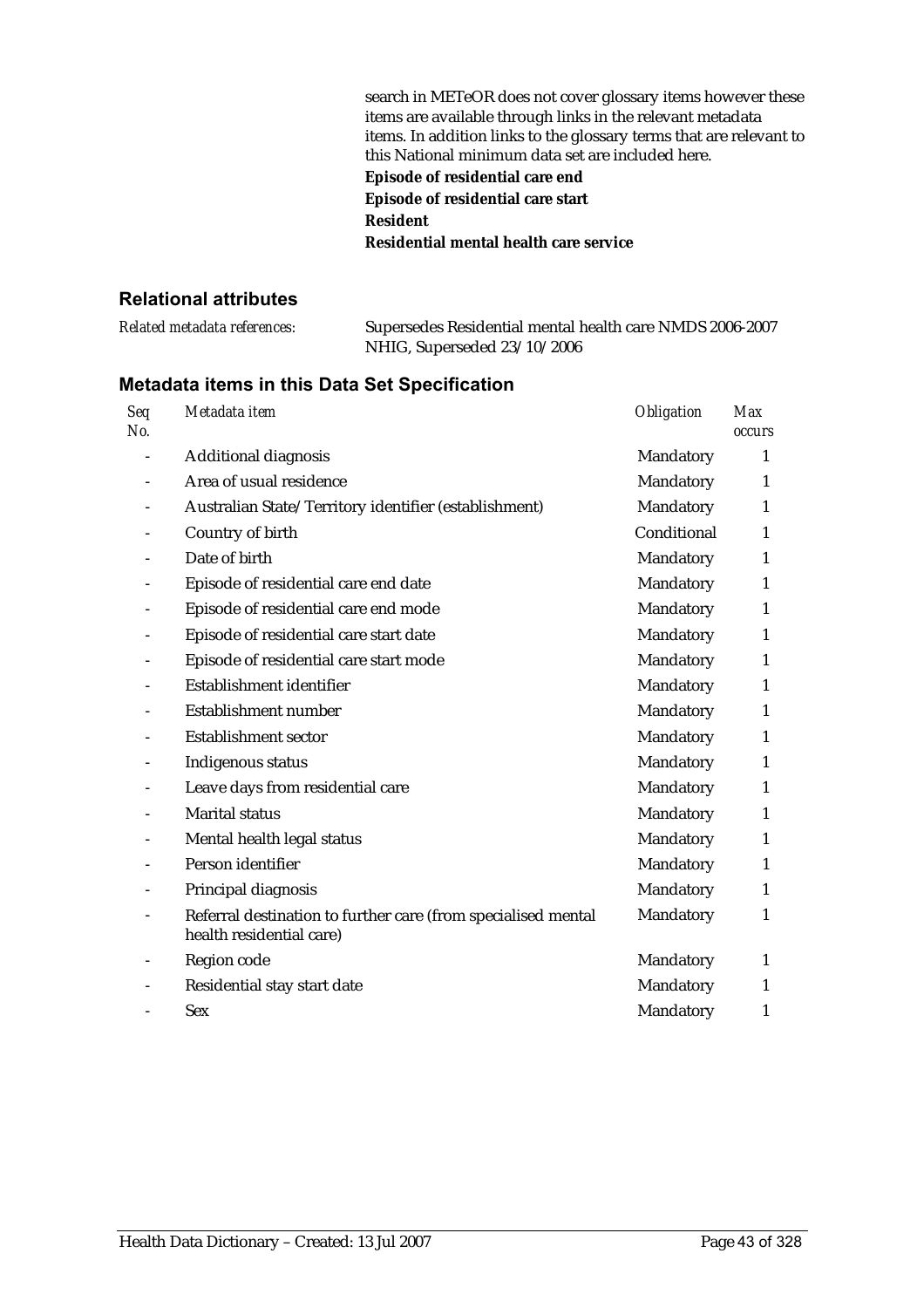| search in METeOR does not cover glossary items however these        |
|---------------------------------------------------------------------|
| items are available through links in the relevant metadata          |
| items. In addition links to the glossary terms that are relevant to |
| this National minimum data set are included here.                   |
| Episode of residential care end                                     |
| Episode of residential care start                                   |
| <b>Resident</b>                                                     |
| Residential mental health care service                              |

#### **Relational attributes**

| Related metadata references: | Supersedes Residential mental health care NMDS 2006-2007 |
|------------------------------|----------------------------------------------------------|
|                              | NHIG, Superseded 23/10/2006                              |

| Seq<br>No. | Metadata item                                                                             | Obligation  | <b>Max</b><br><b>occurs</b> |
|------------|-------------------------------------------------------------------------------------------|-------------|-----------------------------|
|            | Additional diagnosis                                                                      | Mandatory   | 1                           |
|            | Area of usual residence                                                                   | Mandatory   | 1                           |
|            | Australian State/Territory identifier (establishment)                                     | Mandatory   | 1                           |
|            | Country of birth                                                                          | Conditional | 1                           |
|            | Date of birth                                                                             | Mandatory   | 1                           |
|            | Episode of residential care end date                                                      | Mandatory   | 1                           |
|            | Episode of residential care end mode                                                      | Mandatory   | $\mathbf{1}$                |
|            | Episode of residential care start date                                                    | Mandatory   | $\mathbf{1}$                |
|            | Episode of residential care start mode                                                    | Mandatory   | 1                           |
|            | Establishment identifier                                                                  | Mandatory   | $\mathbf{1}$                |
|            | Establishment number                                                                      | Mandatory   | 1                           |
|            | <b>Establishment sector</b>                                                               | Mandatory   | 1                           |
|            | Indigenous status                                                                         | Mandatory   | 1                           |
|            | Leave days from residential care                                                          | Mandatory   | 1                           |
|            | <b>Marital status</b>                                                                     | Mandatory   | $\mathbf{1}$                |
|            | Mental health legal status                                                                | Mandatory   | $\mathbf{1}$                |
|            | Person identifier                                                                         | Mandatory   | $\mathbf{1}$                |
|            | Principal diagnosis                                                                       | Mandatory   | $\mathbf{1}$                |
|            | Referral destination to further care (from specialised mental<br>health residential care) | Mandatory   | 1                           |
|            | Region code                                                                               | Mandatory   | 1                           |
|            | Residential stay start date                                                               | Mandatory   | $\mathbf{1}$                |
|            | <b>Sex</b>                                                                                | Mandatory   | 1                           |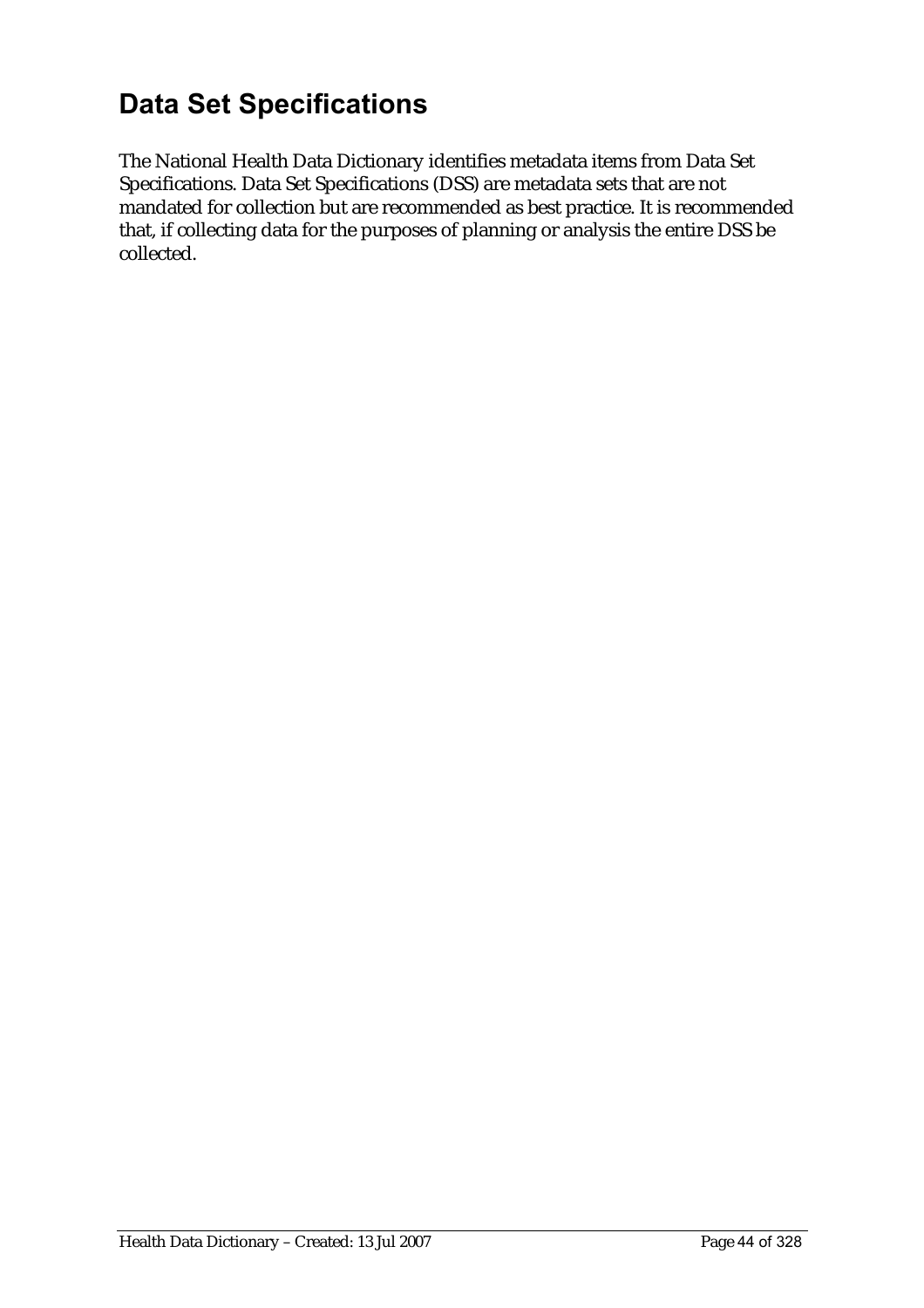# **Data Set Specifications**

The National Health Data Dictionary identifies metadata items from Data Set Specifications. Data Set Specifications (DSS) are metadata sets that are not mandated for collection but are recommended as best practice. It is recommended that, if collecting data for the purposes of planning or analysis the entire DSS be collected.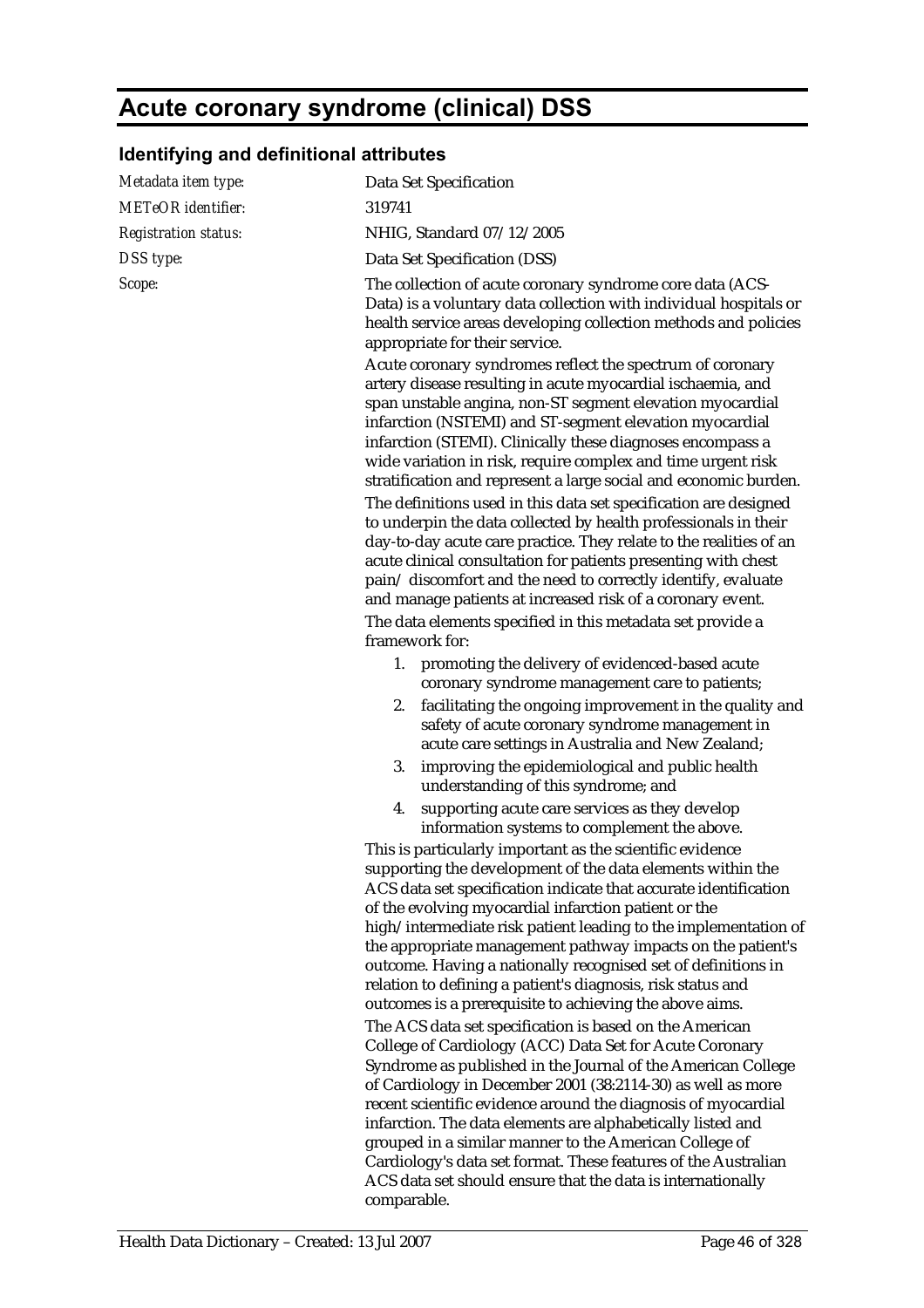## **Acute coronary syndrome (clinical) DSS**

## **Identifying and definitional attributes**

| Metadata item type:         | Data Set Specification                                                                                                                                                                                                                                                                                                                                                                                                                                                                                                                                                                                                                                                                                                            |
|-----------------------------|-----------------------------------------------------------------------------------------------------------------------------------------------------------------------------------------------------------------------------------------------------------------------------------------------------------------------------------------------------------------------------------------------------------------------------------------------------------------------------------------------------------------------------------------------------------------------------------------------------------------------------------------------------------------------------------------------------------------------------------|
| <b>METeOR</b> identifier:   | 319741                                                                                                                                                                                                                                                                                                                                                                                                                                                                                                                                                                                                                                                                                                                            |
| <b>Registration status:</b> | NHIG, Standard 07/12/2005                                                                                                                                                                                                                                                                                                                                                                                                                                                                                                                                                                                                                                                                                                         |
| DSS type:                   | Data Set Specification (DSS)                                                                                                                                                                                                                                                                                                                                                                                                                                                                                                                                                                                                                                                                                                      |
| Scope:                      | The collection of acute coronary syndrome core data (ACS-<br>Data) is a voluntary data collection with individual hospitals or<br>health service areas developing collection methods and policies<br>appropriate for their service.                                                                                                                                                                                                                                                                                                                                                                                                                                                                                               |
|                             | Acute coronary syndromes reflect the spectrum of coronary<br>artery disease resulting in acute myocardial ischaemia, and<br>span unstable angina, non-ST segment elevation myocardial<br>infarction (NSTEMI) and ST-segment elevation myocardial<br>infarction (STEMI). Clinically these diagnoses encompass a<br>wide variation in risk, require complex and time urgent risk<br>stratification and represent a large social and economic burden.<br>The definitions used in this data set specification are designed<br>to underpin the data collected by health professionals in their<br>day-to-day acute care practice. They relate to the realities of an<br>acute clinical consultation for patients presenting with chest |
|                             | pain/discomfort and the need to correctly identify, evaluate                                                                                                                                                                                                                                                                                                                                                                                                                                                                                                                                                                                                                                                                      |
|                             | and manage patients at increased risk of a coronary event.                                                                                                                                                                                                                                                                                                                                                                                                                                                                                                                                                                                                                                                                        |
|                             | The data elements specified in this metadata set provide a<br>framework for:                                                                                                                                                                                                                                                                                                                                                                                                                                                                                                                                                                                                                                                      |
|                             | promoting the delivery of evidenced-based acute<br>1.<br>coronary syndrome management care to patients;<br>facilitating the ongoing improvement in the quality and<br>2.<br>safety of acute coronary syndrome management in<br>acute care settings in Australia and New Zealand;                                                                                                                                                                                                                                                                                                                                                                                                                                                  |
|                             | improving the epidemiological and public health<br>3.<br>understanding of this syndrome; and                                                                                                                                                                                                                                                                                                                                                                                                                                                                                                                                                                                                                                      |
|                             | supporting acute care services as they develop<br>4.<br>information systems to complement the above.                                                                                                                                                                                                                                                                                                                                                                                                                                                                                                                                                                                                                              |
|                             | This is particularly important as the scientific evidence<br>supporting the development of the data elements within the<br>ACS data set specification indicate that accurate identification<br>of the evolving myocardial infarction patient or the<br>high/intermediate risk patient leading to the implementation of<br>the appropriate management pathway impacts on the patient's<br>outcome. Having a nationally recognised set of definitions in<br>relation to defining a patient's diagnosis, risk status and<br>outcomes is a prerequisite to achieving the above aims.<br>The ACS data set specification is based on the American<br>College of Cardiology (ACC) Data Set for Acute Coronary                            |
|                             | Syndrome as published in the Journal of the American College<br>of Cardiology in December 2001 (38:2114-30) as well as more<br>recent scientific evidence around the diagnosis of myocardial<br>infarction. The data elements are alphabetically listed and<br>grouped in a similar manner to the American College of<br>Cardiology's data set format. These features of the Australian<br>ACS data set should ensure that the data is internationally<br>comparable.                                                                                                                                                                                                                                                             |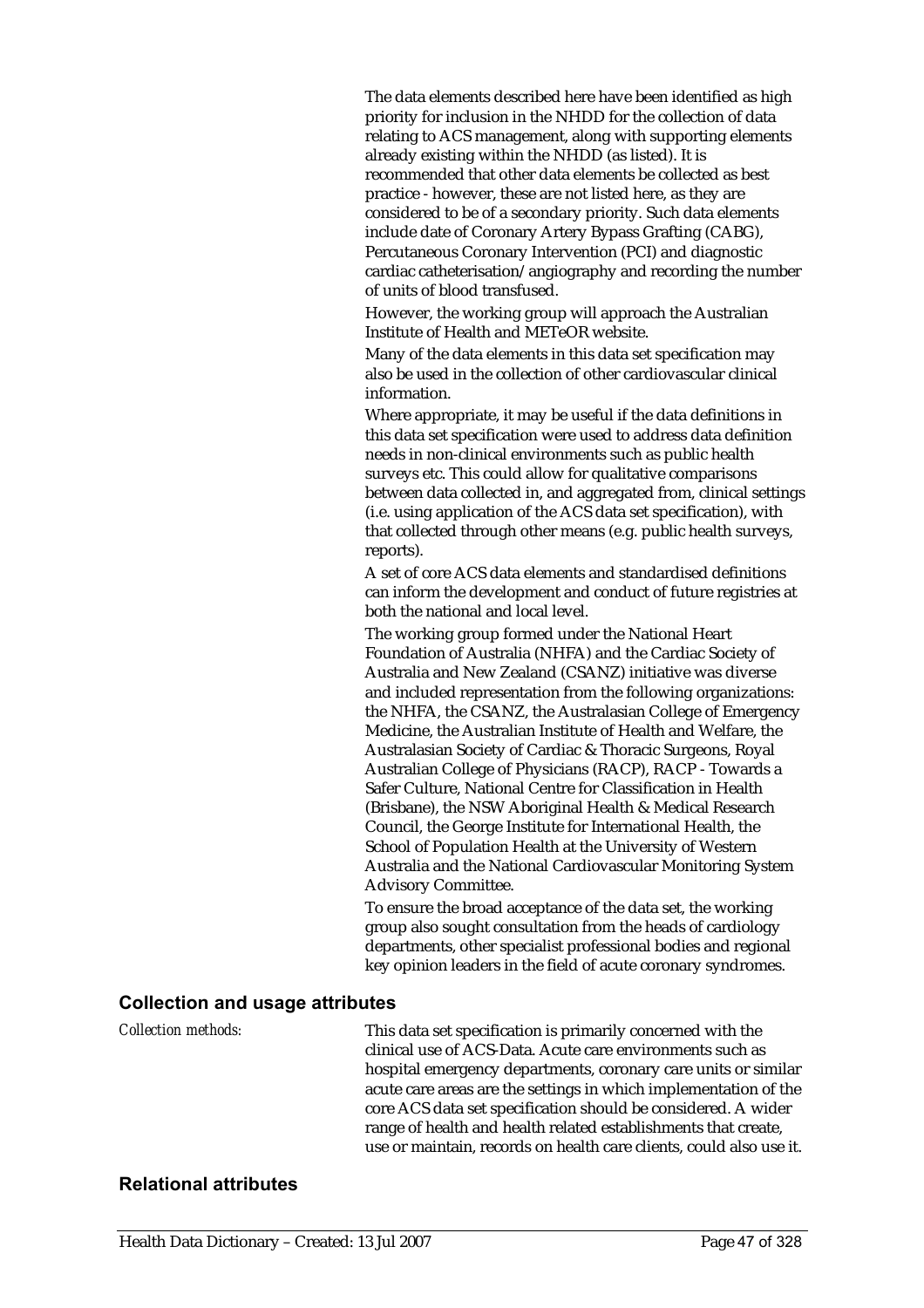The data elements described here have been identified as high priority for inclusion in the NHDD for the collection of data relating to ACS management, along with supporting elements already existing within the NHDD (as listed). It is recommended that other data elements be collected as best practice - however, these are not listed here, as they are considered to be of a secondary priority. Such data elements include date of Coronary Artery Bypass Grafting (CABG), Percutaneous Coronary Intervention (PCI) and diagnostic cardiac catheterisation/angiography and recording the number of units of blood transfused.

However, the working group will approach the Australian Institute of Health and METeOR website.

Many of the data elements in this data set specification may also be used in the collection of other cardiovascular clinical information.

Where appropriate, it may be useful if the data definitions in this data set specification were used to address data definition needs in non-clinical environments such as public health surveys etc. This could allow for qualitative comparisons between data collected in, and aggregated from, clinical settings (i.e. using application of the ACS data set specification), with that collected through other means (e.g. public health surveys, reports).

A set of core ACS data elements and standardised definitions can inform the development and conduct of future registries at both the national and local level.

The working group formed under the National Heart Foundation of Australia (NHFA) and the Cardiac Society of Australia and New Zealand (CSANZ) initiative was diverse and included representation from the following organizations: the NHFA, the CSANZ, the Australasian College of Emergency Medicine, the Australian Institute of Health and Welfare, the Australasian Society of Cardiac & Thoracic Surgeons, Royal Australian College of Physicians (RACP), RACP - Towards a Safer Culture, National Centre for Classification in Health (Brisbane), the NSW Aboriginal Health & Medical Research Council, the George Institute for International Health, the School of Population Health at the University of Western Australia and the National Cardiovascular Monitoring System Advisory Committee.

To ensure the broad acceptance of the data set, the working group also sought consultation from the heads of cardiology departments, other specialist professional bodies and regional key opinion leaders in the field of acute coronary syndromes.

#### **Collection and usage attributes**

*Collection methods:* This data set specification is primarily concerned with the clinical use of ACS-Data. Acute care environments such as hospital emergency departments, coronary care units or similar acute care areas are the settings in which implementation of the core ACS data set specification should be considered. A wider range of health and health related establishments that create, use or maintain, records on health care clients, could also use it.

#### **Relational attributes**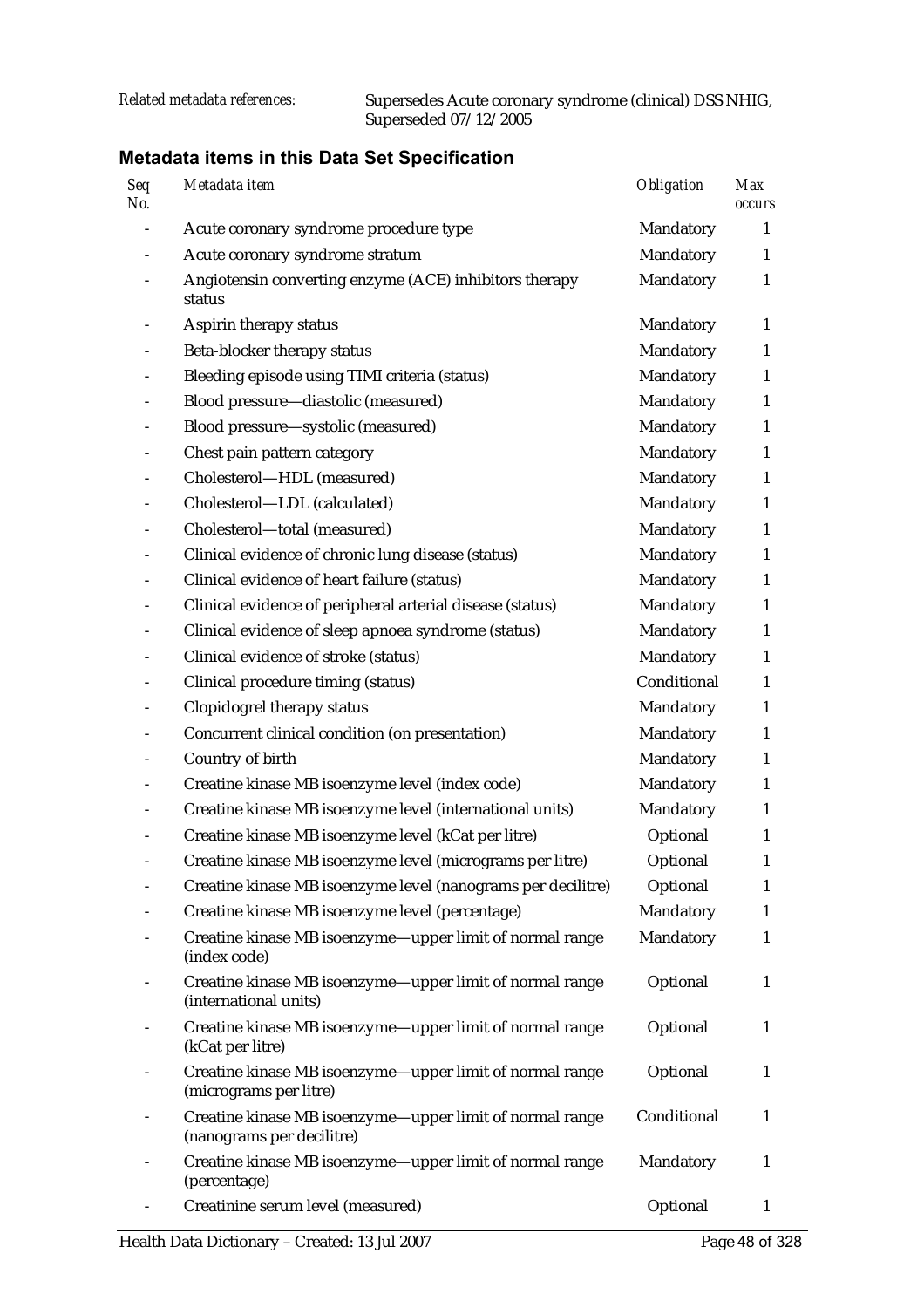| <b>Seq</b><br>No. | Metadata item                                                                         | <b>Obligation</b> | <b>Max</b><br><b>occurs</b> |
|-------------------|---------------------------------------------------------------------------------------|-------------------|-----------------------------|
|                   | Acute coronary syndrome procedure type                                                | Mandatory         | 1                           |
|                   | Acute coronary syndrome stratum                                                       | Mandatory         | 1                           |
|                   | Angiotensin converting enzyme (ACE) inhibitors therapy<br>status                      | Mandatory         | $\mathbf{1}$                |
|                   | Aspirin therapy status                                                                | Mandatory         | 1                           |
|                   | Beta-blocker therapy status                                                           | Mandatory         | 1                           |
|                   | Bleeding episode using TIMI criteria (status)                                         | Mandatory         | $\mathbf{1}$                |
|                   | Blood pressure-diastolic (measured)                                                   | Mandatory         | $\mathbf{1}$                |
|                   | Blood pressure-systolic (measured)                                                    | Mandatory         | $\mathbf{1}$                |
|                   | Chest pain pattern category                                                           | Mandatory         | $\mathbf{1}$                |
|                   | Cholesterol-HDL (measured)                                                            | Mandatory         | $\mathbf{1}$                |
|                   | Cholesterol-LDL (calculated)                                                          | Mandatory         | $\mathbf{1}$                |
|                   | Cholesterol-total (measured)                                                          | Mandatory         | $\mathbf{1}$                |
|                   | Clinical evidence of chronic lung disease (status)                                    | Mandatory         | 1                           |
|                   | Clinical evidence of heart failure (status)                                           | Mandatory         | $\mathbf{1}$                |
|                   | Clinical evidence of peripheral arterial disease (status)                             | Mandatory         | $\mathbf{1}$                |
|                   | Clinical evidence of sleep apnoea syndrome (status)                                   | Mandatory         | $\mathbf{1}$                |
|                   | Clinical evidence of stroke (status)                                                  | Mandatory         | $\mathbf{1}$                |
|                   | Clinical procedure timing (status)                                                    | Conditional       | $\mathbf{1}$                |
|                   | Clopidogrel therapy status                                                            | Mandatory         | $\mathbf{1}$                |
|                   | Concurrent clinical condition (on presentation)                                       | Mandatory         | $\mathbf{1}$                |
|                   | Country of birth                                                                      | Mandatory         | 1                           |
|                   | Creatine kinase MB isoenzyme level (index code)                                       | Mandatory         | $\mathbf{1}$                |
|                   | Creatine kinase MB isoenzyme level (international units)                              | Mandatory         | 1                           |
|                   | Creatine kinase MB isoenzyme level (kCat per litre)                                   | Optional          | 1                           |
|                   | Creatine kinase MB isoenzyme level (micrograms per litre)                             | Optional          | $\mathbf{1}$                |
|                   | Creatine kinase MB isoenzyme level (nanograms per decilitre)                          | Optional          | $\mathbf{1}$                |
|                   | Creatine kinase MB isoenzyme level (percentage)                                       | Mandatory         | 1                           |
|                   | Creatine kinase MB isoenzyme-upper limit of normal range<br>(index code)              | Mandatory         | 1                           |
|                   | Creatine kinase MB isoenzyme-upper limit of normal range<br>(international units)     | Optional          | 1                           |
|                   | Creatine kinase MB isoenzyme-upper limit of normal range<br>(kCat per litre)          | Optional          | $\mathbf{1}$                |
|                   | Creatine kinase MB isoenzyme-upper limit of normal range<br>(micrograms per litre)    | Optional          | 1                           |
|                   | Creatine kinase MB isoenzyme-upper limit of normal range<br>(nanograms per decilitre) | Conditional       | 1                           |
|                   | Creatine kinase MB isoenzyme-upper limit of normal range<br>(percentage)              | Mandatory         | 1                           |
|                   | Creatinine serum level (measured)                                                     | Optional          | $\mathbf{1}$                |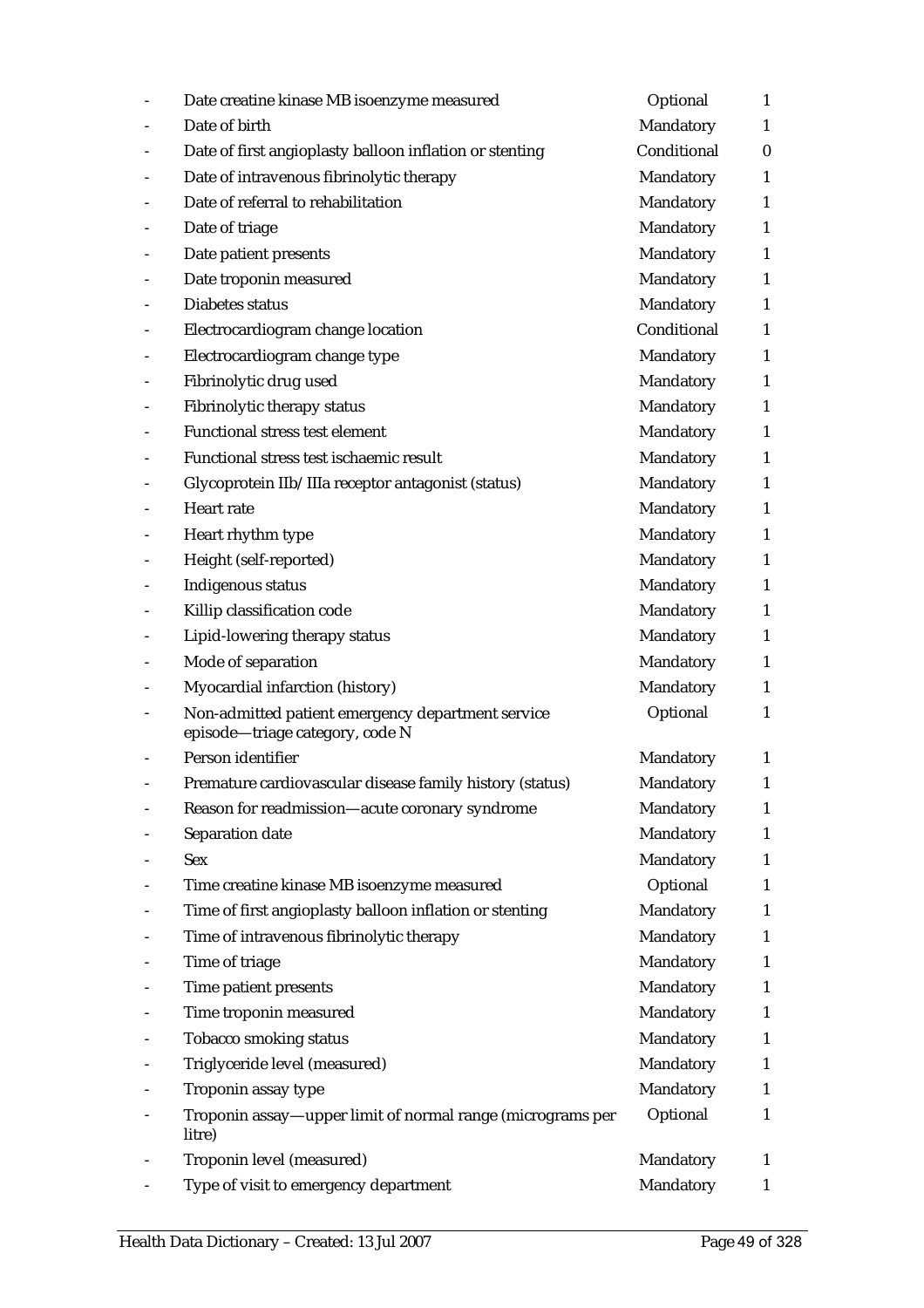| Date creatine kinase MB isoenzyme measured                                           | Optional         | $\mathbf{1}$ |
|--------------------------------------------------------------------------------------|------------------|--------------|
| Date of birth                                                                        | Mandatory        | $\mathbf{1}$ |
| Date of first angioplasty balloon inflation or stenting                              | Conditional      | $\mathbf{0}$ |
| Date of intravenous fibrinolytic therapy                                             | Mandatory        | $\mathbf{1}$ |
| Date of referral to rehabilitation                                                   | Mandatory        | $\mathbf{1}$ |
| Date of triage                                                                       | Mandatory        | $\mathbf{1}$ |
| Date patient presents                                                                | Mandatory        | 1            |
| Date troponin measured                                                               | Mandatory        | $\mathbf{1}$ |
| Diabetes status                                                                      | Mandatory        | 1            |
| Electrocardiogram change location                                                    | Conditional      | $\mathbf{1}$ |
| Electrocardiogram change type                                                        | Mandatory        | $\mathbf{1}$ |
| Fibrinolytic drug used                                                               | Mandatory        | $\mathbf{1}$ |
| Fibrinolytic therapy status                                                          | Mandatory        | $\mathbf{1}$ |
| Functional stress test element                                                       | Mandatory        | 1            |
| Functional stress test ischaemic result                                              | Mandatory        | $\mathbf{1}$ |
| Glycoprotein IIb/IIIa receptor antagonist (status)                                   | Mandatory        | $\mathbf{1}$ |
| Heart rate                                                                           | Mandatory        | $\mathbf{1}$ |
| Heart rhythm type                                                                    | Mandatory        | $\mathbf{1}$ |
| Height (self-reported)                                                               | Mandatory        | $\mathbf{1}$ |
| Indigenous status                                                                    | Mandatory        | $\mathbf{1}$ |
| Killip classification code                                                           | Mandatory        | $\mathbf{1}$ |
| Lipid-lowering therapy status                                                        | Mandatory        | 1            |
| Mode of separation                                                                   | Mandatory        | $\mathbf{1}$ |
| Myocardial infarction (history)                                                      | Mandatory        | $\mathbf{1}$ |
| Non-admitted patient emergency department service<br>episode-triage category, code N | Optional         | $\mathbf{1}$ |
| Person identifier                                                                    | Mandatory        | 1            |
| Premature cardiovascular disease family history (status)                             | <b>Mandatory</b> | 1            |
| Reason for readmission-acute coronary syndrome                                       | Mandatory        | 1            |
| Separation date                                                                      | Mandatory        | $\mathbf{1}$ |
| <b>Sex</b>                                                                           | Mandatory        | $\mathbf{1}$ |
| Time creatine kinase MB isoenzyme measured                                           | Optional         | $\mathbf{1}$ |
| Time of first angioplasty balloon inflation or stenting                              | Mandatory        | 1            |
| Time of intravenous fibrinolytic therapy                                             | Mandatory        | $\mathbf{1}$ |
| Time of triage                                                                       | Mandatory        | $\mathbf{1}$ |
| Time patient presents                                                                | Mandatory        | $\mathbf{1}$ |
| Time troponin measured                                                               | Mandatory        | $\mathbf{1}$ |
| <b>Tobacco smoking status</b>                                                        | Mandatory        | 1            |
| Triglyceride level (measured)                                                        | Mandatory        | 1            |
| Troponin assay type                                                                  | Mandatory        | $\mathbf{1}$ |
| Troponin assay-upper limit of normal range (micrograms per<br>litre)                 | Optional         | 1            |
| Troponin level (measured)                                                            | Mandatory        | 1            |
| Type of visit to emergency department                                                | Mandatory        | $\mathbf{1}$ |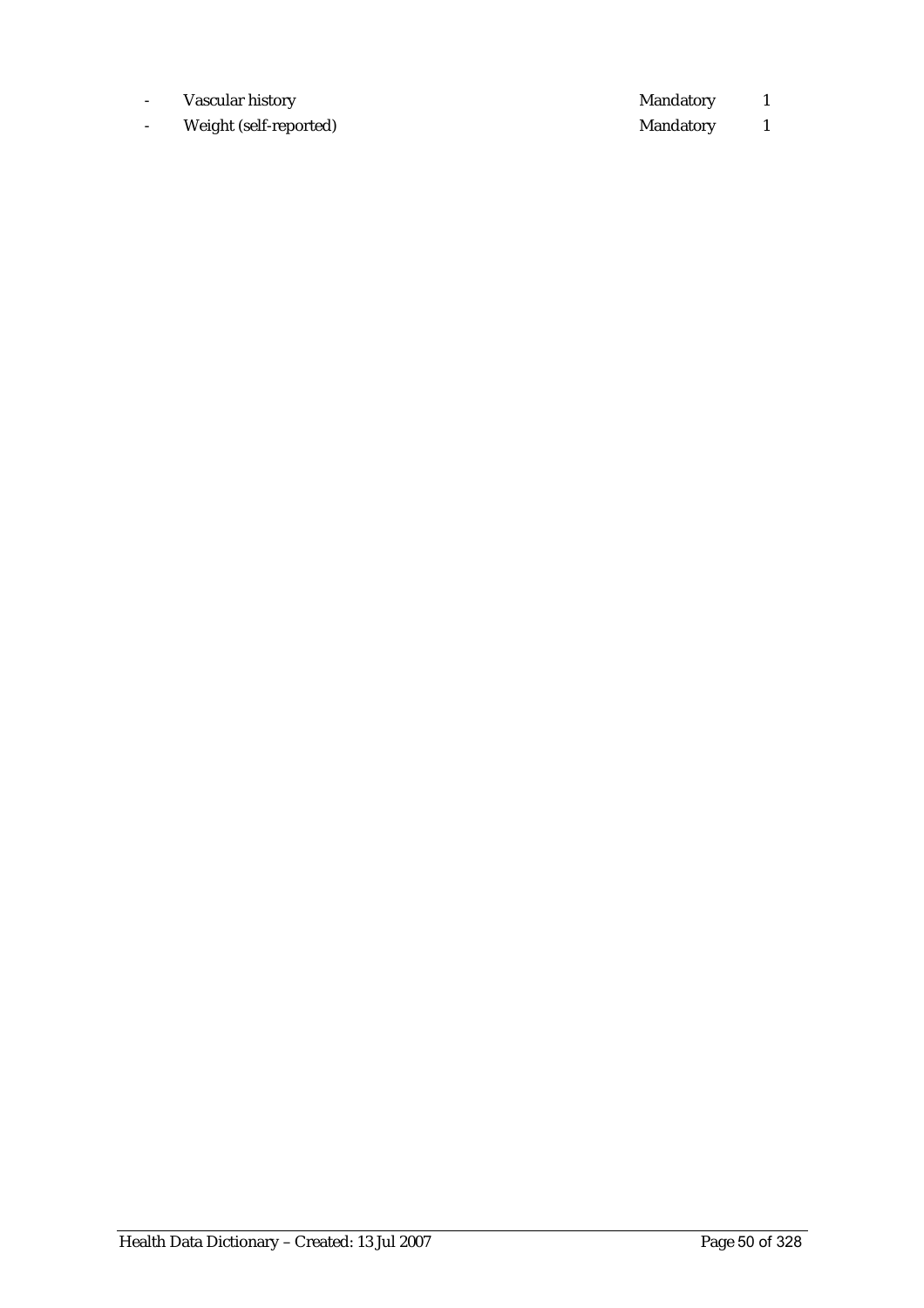- Vascular history 1
- Weight (self-reported) and a series of the Mandatory 1 Mandatory 1 and 1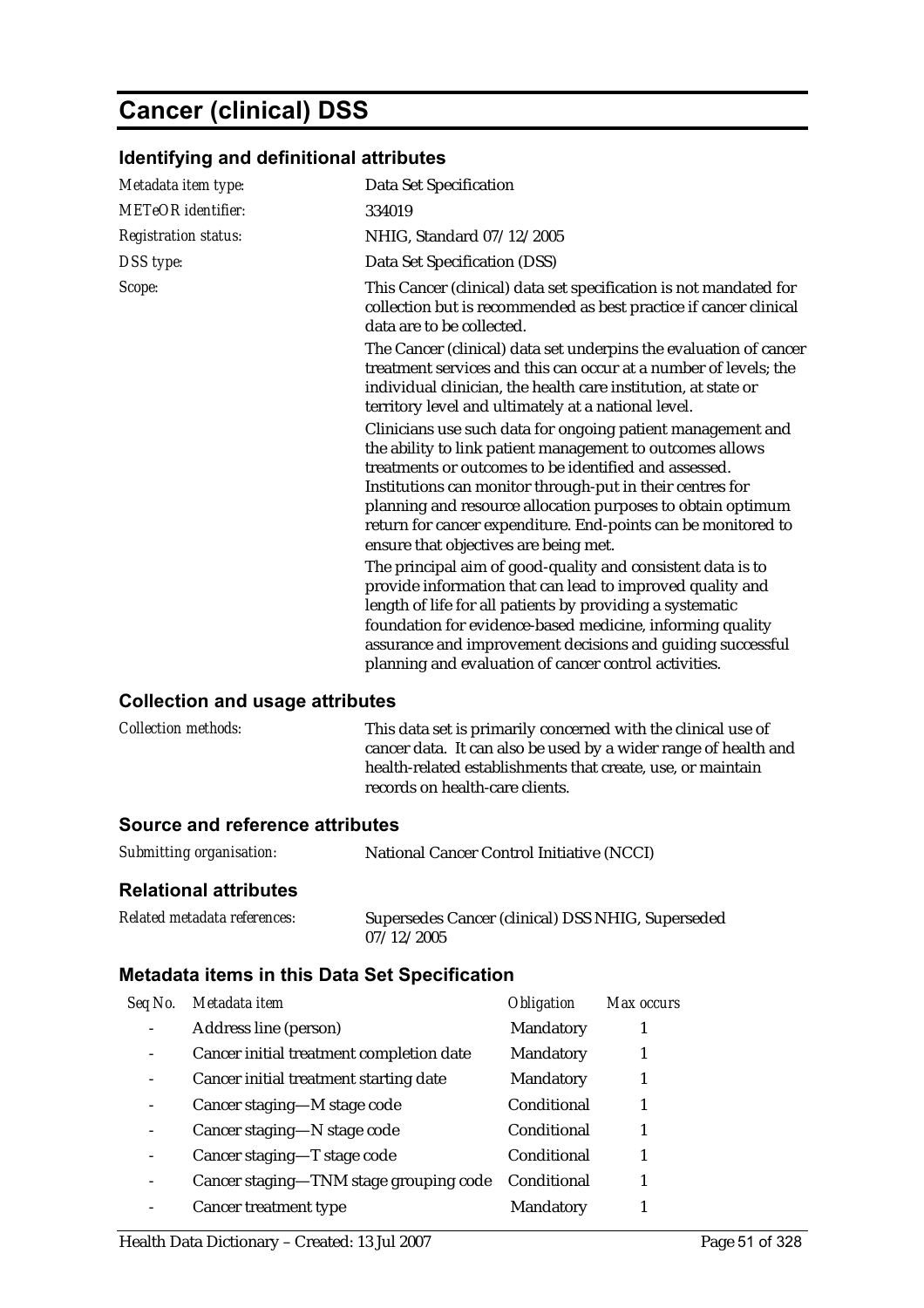## **Cancer (clinical) DSS**

## **Identifying and definitional attributes**

| Metadata item type:         | Data Set Specification                                                                                                                                                                                                                                                                                                                                                                                                  |
|-----------------------------|-------------------------------------------------------------------------------------------------------------------------------------------------------------------------------------------------------------------------------------------------------------------------------------------------------------------------------------------------------------------------------------------------------------------------|
| METeOR identifier:          | 334019                                                                                                                                                                                                                                                                                                                                                                                                                  |
| <b>Registration status:</b> | NHIG, Standard 07/12/2005                                                                                                                                                                                                                                                                                                                                                                                               |
| DSS type:                   | Data Set Specification (DSS)                                                                                                                                                                                                                                                                                                                                                                                            |
| Scope:                      | This Cancer (clinical) data set specification is not mandated for<br>collection but is recommended as best practice if cancer clinical<br>data are to be collected.                                                                                                                                                                                                                                                     |
|                             | The Cancer (clinical) data set underpins the evaluation of cancer<br>treatment services and this can occur at a number of levels; the<br>individual clinician, the health care institution, at state or<br>territory level and ultimately at a national level.                                                                                                                                                          |
|                             | Clinicians use such data for ongoing patient management and<br>the ability to link patient management to outcomes allows<br>treatments or outcomes to be identified and assessed.<br>Institutions can monitor through-put in their centres for<br>planning and resource allocation purposes to obtain optimum<br>return for cancer expenditure. End-points can be monitored to<br>ensure that objectives are being met. |
|                             | The principal aim of good-quality and consistent data is to<br>provide information that can lead to improved quality and<br>length of life for all patients by providing a systematic<br>foundation for evidence-based medicine, informing quality<br>assurance and improvement decisions and guiding successful<br>planning and evaluation of cancer control activities.                                               |

#### **Collection and usage attributes**

| <i>Collection methods:</i> | This data set is primarily concerned with the clinical use of<br>cancer data. It can also be used by a wider range of health and<br>health-related establishments that create, use, or maintain<br>records on health-care clients. |
|----------------------------|------------------------------------------------------------------------------------------------------------------------------------------------------------------------------------------------------------------------------------|
|                            |                                                                                                                                                                                                                                    |
|                            |                                                                                                                                                                                                                                    |

#### **Source and reference attributes**

| Submitting organisation: | National Cancer Control Initiative (NCCI) |
|--------------------------|-------------------------------------------|
|--------------------------|-------------------------------------------|

#### **Relational attributes**

| Related metadata references: | Supersedes Cancer (clinical) DSS NHIG, Superseded |
|------------------------------|---------------------------------------------------|
|                              | 07/12/2005                                        |

| Seq No. | Metadata item                            | <b>Obligation</b> | Max occurs |
|---------|------------------------------------------|-------------------|------------|
|         | Address line (person)                    | Mandatory         |            |
|         | Cancer initial treatment completion date | Mandatory         |            |
|         | Cancer initial treatment starting date   | Mandatory         |            |
|         | Cancer staging-M stage code              | Conditional       |            |
|         | Cancer staging—N stage code              | Conditional       |            |
|         | Cancer staging-T stage code              | Conditional       |            |
|         | Cancer staging-TNM stage grouping code   | Conditional       |            |
|         | Cancer treatment type                    | <b>Mandatory</b>  |            |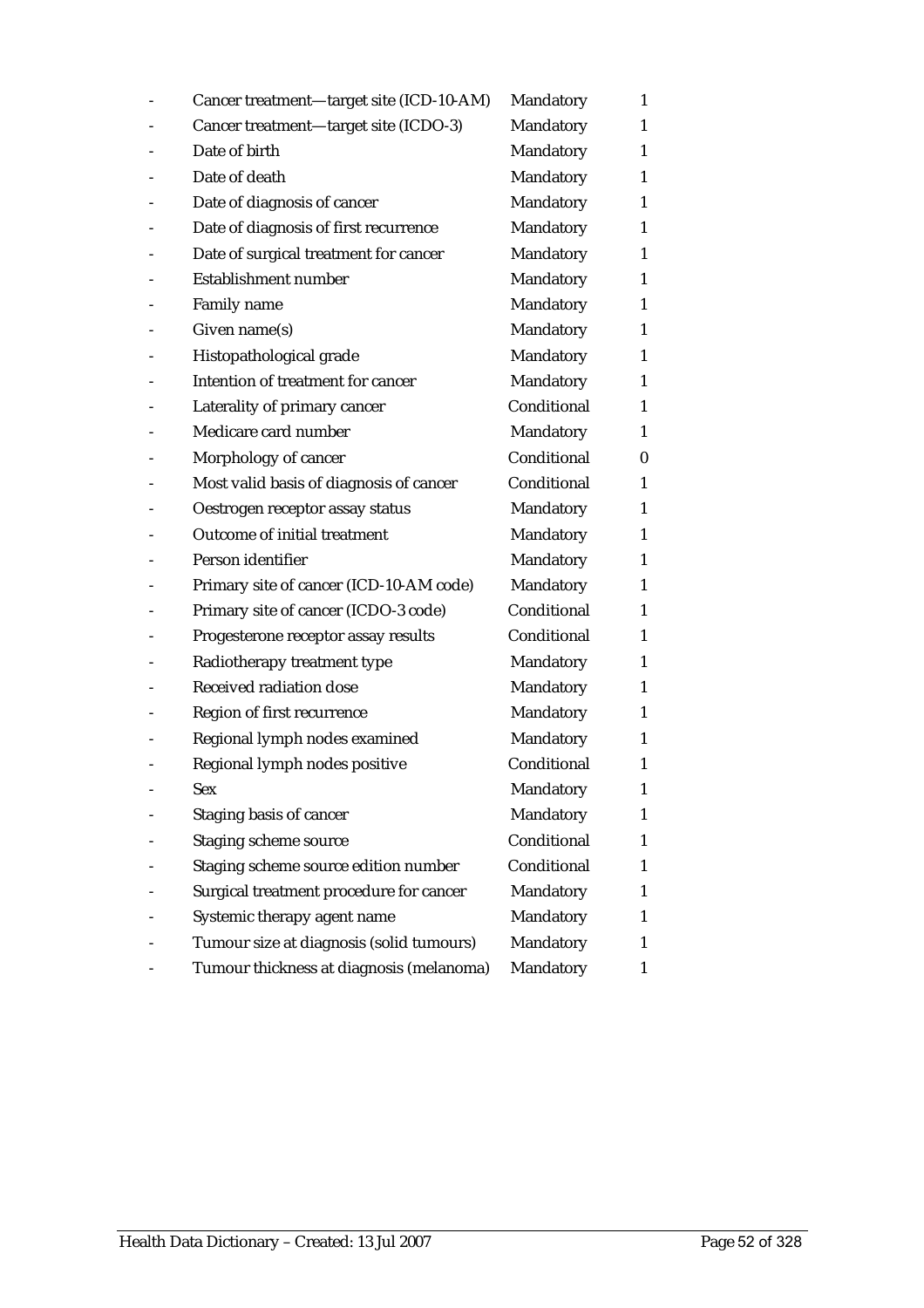| Cancer treatment-target site (ICD-10-AM) | Mandatory   | $\mathbf{1}$ |
|------------------------------------------|-------------|--------------|
| Cancer treatment-target site (ICDO-3)    | Mandatory   | 1            |
| Date of birth                            | Mandatory   | 1            |
| Date of death                            | Mandatory   | 1            |
| Date of diagnosis of cancer              | Mandatory   | 1            |
| Date of diagnosis of first recurrence    | Mandatory   | 1            |
| Date of surgical treatment for cancer    | Mandatory   | 1            |
| <b>Establishment number</b>              | Mandatory   | 1            |
| Family name                              | Mandatory   | 1            |
| Given name(s)                            | Mandatory   | 1            |
| Histopathological grade                  | Mandatory   | 1            |
| Intention of treatment for cancer        | Mandatory   | 1            |
| Laterality of primary cancer             | Conditional | 1            |
| Medicare card number                     | Mandatory   | 1            |
| Morphology of cancer                     | Conditional | 0            |
| Most valid basis of diagnosis of cancer  | Conditional | 1            |
| Oestrogen receptor assay status          | Mandatory   | 1            |
| Outcome of initial treatment             | Mandatory   | 1            |
| Person identifier                        | Mandatory   | 1            |
| Primary site of cancer (ICD-10-AM code)  | Mandatory   | 1            |
| Primary site of cancer (ICDO-3 code)     | Conditional | 1            |
| Progesterone receptor assay results      | Conditional | 1            |
| Radiotherapy treatment type              | Mandatory   | 1            |
| Received radiation dose                  | Mandatory   | 1            |
| Region of first recurrence               | Mandatory   | 1            |
| Regional lymph nodes examined            | Mandatory   | 1            |
| Regional lymph nodes positive            | Conditional | 1            |
| Sex                                      | Mandatory   | 1            |
| Staging basis of cancer                  | Mandatory   | 1            |
| <b>Staging scheme source</b>             | Conditional | 1            |
| Staging scheme source edition number     | Conditional | 1            |
| Surgical treatment procedure for cancer  | Mandatory   | 1            |
| Systemic therapy agent name              | Mandatory   | 1            |
| Tumour size at diagnosis (solid tumours) | Mandatory   | 1            |
| Tumour thickness at diagnosis (melanoma) | Mandatory   | 1            |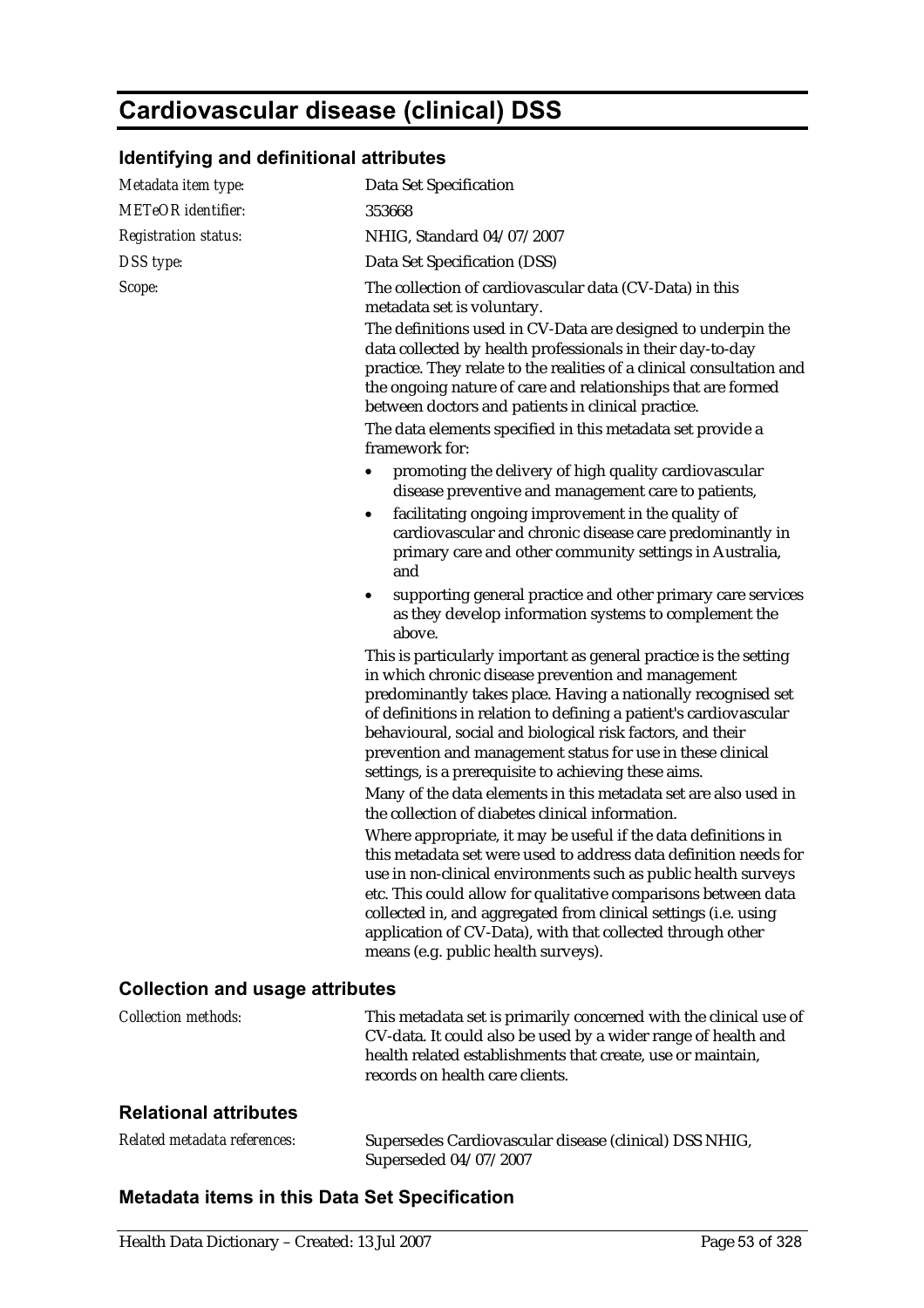# **Cardiovascular disease (clinical) DSS**

## **Identifying and definitional attributes**

| Metadata item type:                    | <b>Data Set Specification</b>                                                                                                                                                                                                                                                                                                                                                                                                                                                                      |  |  |
|----------------------------------------|----------------------------------------------------------------------------------------------------------------------------------------------------------------------------------------------------------------------------------------------------------------------------------------------------------------------------------------------------------------------------------------------------------------------------------------------------------------------------------------------------|--|--|
| <b>METeOR</b> identifier:              | 353668                                                                                                                                                                                                                                                                                                                                                                                                                                                                                             |  |  |
| <b>Registration status:</b>            | NHIG, Standard 04/07/2007                                                                                                                                                                                                                                                                                                                                                                                                                                                                          |  |  |
| DSS type:                              | Data Set Specification (DSS)                                                                                                                                                                                                                                                                                                                                                                                                                                                                       |  |  |
| Scope:                                 | The collection of cardiovascular data (CV-Data) in this<br>metadata set is voluntary.                                                                                                                                                                                                                                                                                                                                                                                                              |  |  |
|                                        | The definitions used in CV-Data are designed to underpin the<br>data collected by health professionals in their day-to-day<br>practice. They relate to the realities of a clinical consultation and<br>the ongoing nature of care and relationships that are formed<br>between doctors and patients in clinical practice.<br>The data elements specified in this metadata set provide a                                                                                                            |  |  |
|                                        | framework for:                                                                                                                                                                                                                                                                                                                                                                                                                                                                                     |  |  |
|                                        | promoting the delivery of high quality cardiovascular<br>disease preventive and management care to patients,                                                                                                                                                                                                                                                                                                                                                                                       |  |  |
|                                        | facilitating ongoing improvement in the quality of<br>cardiovascular and chronic disease care predominantly in<br>primary care and other community settings in Australia,<br>and                                                                                                                                                                                                                                                                                                                   |  |  |
|                                        | supporting general practice and other primary care services<br>$\bullet$<br>as they develop information systems to complement the<br>above.                                                                                                                                                                                                                                                                                                                                                        |  |  |
|                                        | This is particularly important as general practice is the setting<br>in which chronic disease prevention and management<br>predominantly takes place. Having a nationally recognised set<br>of definitions in relation to defining a patient's cardiovascular<br>behavioural, social and biological risk factors, and their<br>prevention and management status for use in these clinical<br>settings, is a prerequisite to achieving these aims.                                                  |  |  |
|                                        | Many of the data elements in this metadata set are also used in                                                                                                                                                                                                                                                                                                                                                                                                                                    |  |  |
|                                        | the collection of diabetes clinical information.<br>Where appropriate, it may be useful if the data definitions in<br>this metadata set were used to address data definition needs for<br>use in non-clinical environments such as public health surveys<br>etc. This could allow for qualitative comparisons between data<br>collected in, and aggregated from clinical settings (i.e. using<br>application of CV-Data), with that collected through other<br>means (e.g. public health surveys). |  |  |
| <b>Collection and usage attributes</b> |                                                                                                                                                                                                                                                                                                                                                                                                                                                                                                    |  |  |

| <i>Collection methods:</i> | This metadata set is primarily concerned with the clinical use of<br>CV-data. It could also be used by a wider range of health and |
|----------------------------|------------------------------------------------------------------------------------------------------------------------------------|
|                            | health related establishments that create, use or maintain.<br>records on health care clients.                                     |

#### **Relational attributes**

| Related metadata references: | Supersedes Cardiovascular disease (clinical) DSS NHIG, |
|------------------------------|--------------------------------------------------------|
|                              | Superseded 04/07/2007                                  |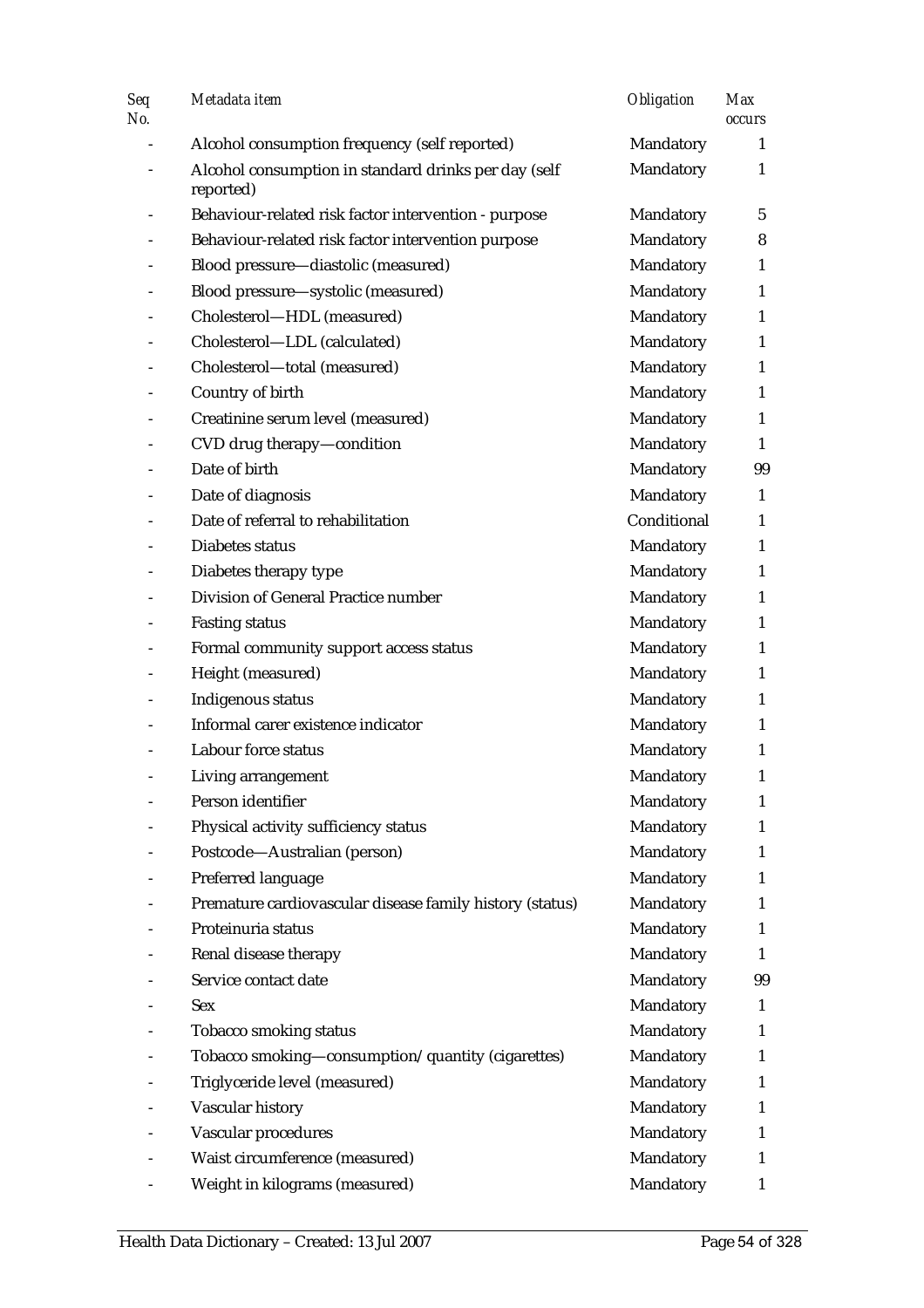| Seq<br>No. | Metadata item                                                     | <b>Obligation</b> | <b>Max</b><br>occurs |
|------------|-------------------------------------------------------------------|-------------------|----------------------|
|            | Alcohol consumption frequency (self reported)                     | Mandatory         | 1                    |
|            | Alcohol consumption in standard drinks per day (self<br>reported) | Mandatory         | $\mathbf{1}$         |
|            | Behaviour-related risk factor intervention - purpose              | Mandatory         | 5                    |
|            | Behaviour-related risk factor intervention purpose                | Mandatory         | 8                    |
|            | Blood pressure-diastolic (measured)                               | Mandatory         | $\mathbf{1}$         |
|            | Blood pressure-systolic (measured)                                | Mandatory         | $\mathbf{1}$         |
|            | Cholesterol-HDL (measured)                                        | Mandatory         | 1                    |
|            | Cholesterol-LDL (calculated)                                      | Mandatory         | $\mathbf{1}$         |
|            | Cholesterol-total (measured)                                      | Mandatory         | $\mathbf{1}$         |
|            | Country of birth                                                  | Mandatory         | $\mathbf{1}$         |
|            | Creatinine serum level (measured)                                 | Mandatory         | $\mathbf{1}$         |
|            | CVD drug therapy-condition                                        | Mandatory         | $\mathbf{1}$         |
|            | Date of birth                                                     | Mandatory         | 99                   |
|            | Date of diagnosis                                                 | Mandatory         | $\mathbf{1}$         |
|            | Date of referral to rehabilitation                                | Conditional       | $\mathbf{1}$         |
|            | Diabetes status                                                   | Mandatory         | 1                    |
|            | Diabetes therapy type                                             | Mandatory         | $\mathbf{1}$         |
|            | Division of General Practice number                               | Mandatory         | $\mathbf{1}$         |
|            | <b>Fasting status</b>                                             | Mandatory         | $\mathbf{1}$         |
|            | Formal community support access status                            | Mandatory         | $\mathbf{1}$         |
|            | Height (measured)                                                 | Mandatory         | $\mathbf{1}$         |
|            | Indigenous status                                                 | Mandatory         | $\mathbf{1}$         |
|            | Informal carer existence indicator                                | Mandatory         | $\mathbf{1}$         |
|            | Labour force status                                               | Mandatory         | 1                    |
|            | Living arrangement                                                | Mandatory         | $\mathbf{1}$         |
|            | Person identifier                                                 | Mandatory         | 1                    |
|            | Physical activity sufficiency status                              | Mandatory         | 1                    |
|            | Postcode-Australian (person)                                      | Mandatory         | 1                    |
|            | Preferred language                                                | Mandatory         | 1                    |
|            | Premature cardiovascular disease family history (status)          | Mandatory         | 1                    |
|            | Proteinuria status                                                | Mandatory         | 1                    |
|            | Renal disease therapy                                             | Mandatory         | 1                    |
|            | Service contact date                                              | Mandatory         | 99                   |
|            | Sex                                                               | Mandatory         | 1                    |
|            | Tobacco smoking status                                            | Mandatory         | 1                    |
|            | Tobacco smoking-consumption/quantity (cigarettes)                 | Mandatory         | 1                    |
|            | Triglyceride level (measured)                                     | Mandatory         | 1                    |
|            | Vascular history                                                  | Mandatory         | 1                    |
|            | Vascular procedures                                               | Mandatory         | 1                    |
|            | Waist circumference (measured)                                    | Mandatory         | 1                    |
|            | Weight in kilograms (measured)                                    | Mandatory         | 1                    |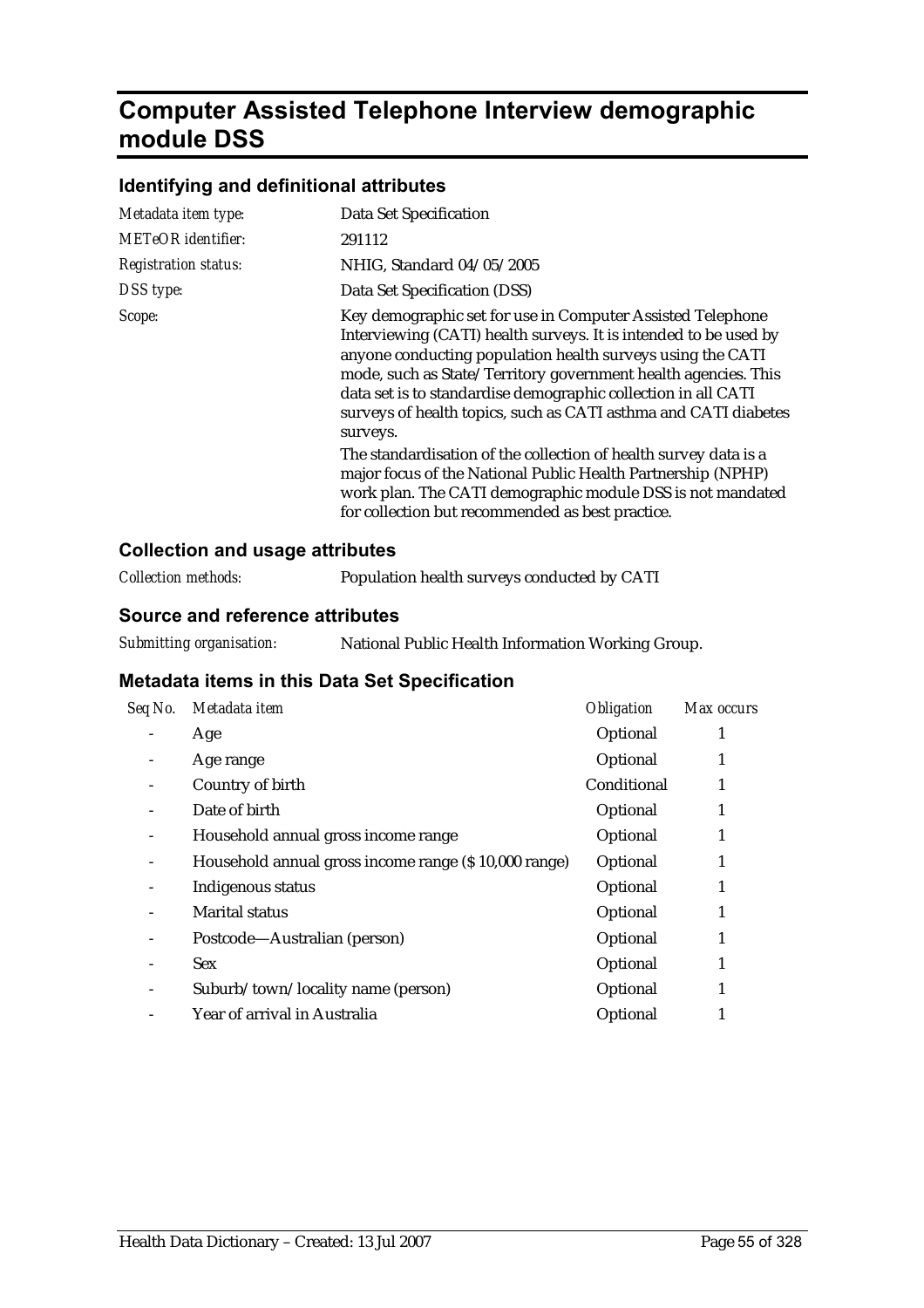## **Computer Assisted Telephone Interview demographic module DSS**

#### **Identifying and definitional attributes**

| Metadata item type:         | Data Set Specification                                                                                                                                                                                                                                                                                                                                                                                                                                                                                                                                                                                                                                               |
|-----------------------------|----------------------------------------------------------------------------------------------------------------------------------------------------------------------------------------------------------------------------------------------------------------------------------------------------------------------------------------------------------------------------------------------------------------------------------------------------------------------------------------------------------------------------------------------------------------------------------------------------------------------------------------------------------------------|
| <b>METeOR</b> identifier:   | 291112                                                                                                                                                                                                                                                                                                                                                                                                                                                                                                                                                                                                                                                               |
| <b>Registration status:</b> | NHIG, Standard 04/05/2005                                                                                                                                                                                                                                                                                                                                                                                                                                                                                                                                                                                                                                            |
| DSS type:                   | Data Set Specification (DSS)                                                                                                                                                                                                                                                                                                                                                                                                                                                                                                                                                                                                                                         |
| Scope:                      | Key demographic set for use in Computer Assisted Telephone<br>Interviewing (CATI) health surveys. It is intended to be used by<br>anyone conducting population health surveys using the CATI<br>mode, such as State/Territory government health agencies. This<br>data set is to standardise demographic collection in all CATI<br>surveys of health topics, such as CATI asthma and CATI diabetes<br>surveys.<br>The standardisation of the collection of health survey data is a<br>major focus of the National Public Health Partnership (NPHP)<br>work plan. The CATI demographic module DSS is not mandated<br>for collection but recommended as best practice. |

#### **Collection and usage attributes**

#### **Source and reference attributes**

| Seq No. | Metadata item                                        | <b>Obligation</b> | Max occurs |
|---------|------------------------------------------------------|-------------------|------------|
|         | Age                                                  | Optional          |            |
|         | Age range                                            | Optional          | 1          |
|         | Country of birth                                     | Conditional       |            |
|         | Date of birth                                        | Optional          | 1          |
|         | Household annual gross income range                  | Optional          |            |
|         | Household annual gross income range (\$10,000 range) | Optional          |            |
|         | Indigenous status                                    | Optional          | 1          |
|         | <b>Marital status</b>                                | Optional          | 1          |
|         | Postcode—Australian (person)                         | Optional          |            |
|         | <b>Sex</b>                                           | Optional          |            |
|         | Suburb/town/locality name (person)                   | Optional          |            |
|         | Year of arrival in Australia                         | Optional          |            |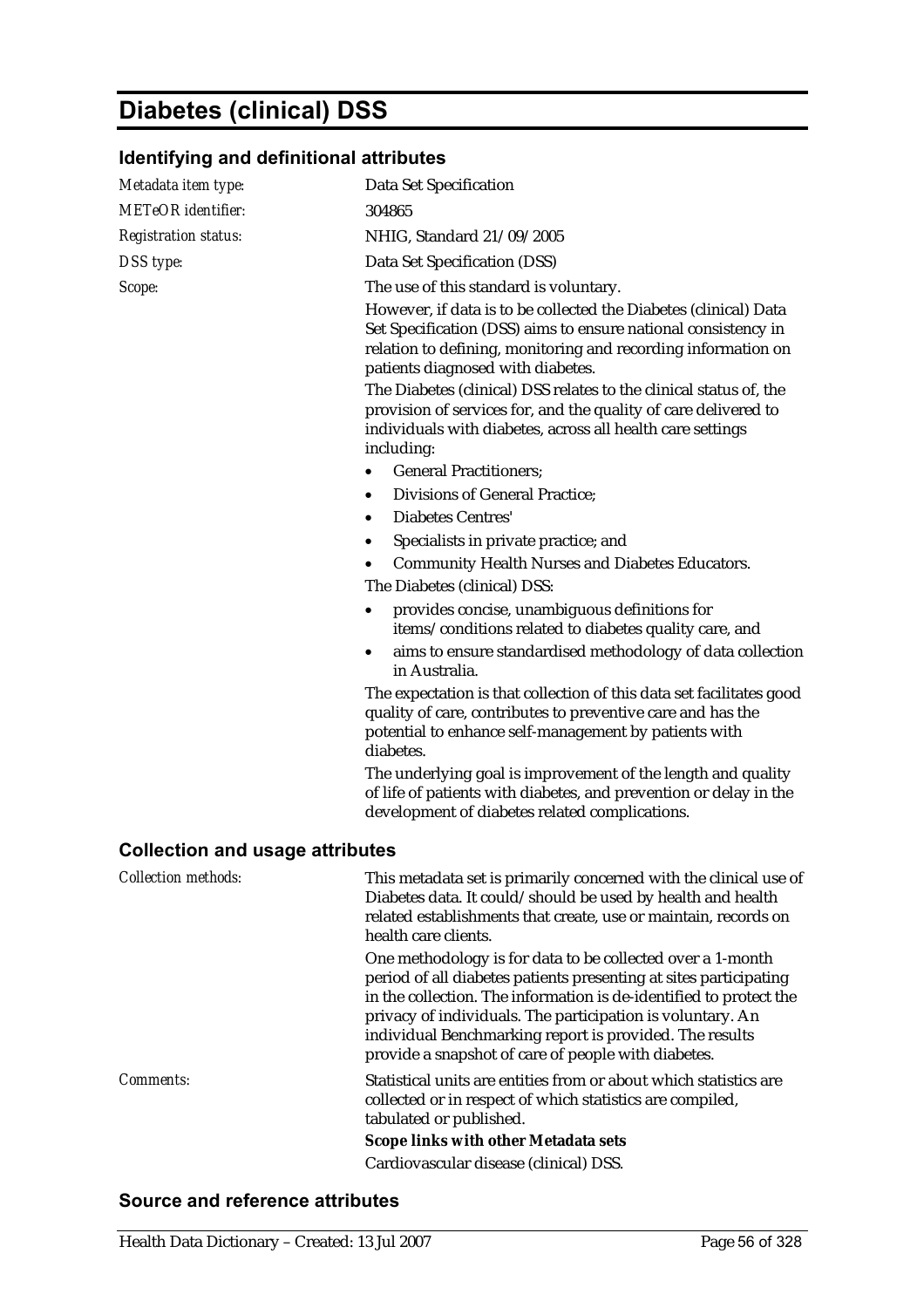## **Diabetes (clinical) DSS**

## **Identifying and definitional attributes**

| Metadata item type:                    | Data Set Specification                                                                                                                                                                                                                                                                                                                                                                |
|----------------------------------------|---------------------------------------------------------------------------------------------------------------------------------------------------------------------------------------------------------------------------------------------------------------------------------------------------------------------------------------------------------------------------------------|
| <b>METeOR</b> identifier:              | 304865                                                                                                                                                                                                                                                                                                                                                                                |
| <b>Registration status:</b>            | NHIG, Standard 21/09/2005                                                                                                                                                                                                                                                                                                                                                             |
| DSS type:                              | Data Set Specification (DSS)                                                                                                                                                                                                                                                                                                                                                          |
| Scope:                                 | The use of this standard is voluntary.                                                                                                                                                                                                                                                                                                                                                |
|                                        | However, if data is to be collected the Diabetes (clinical) Data<br>Set Specification (DSS) aims to ensure national consistency in<br>relation to defining, monitoring and recording information on<br>patients diagnosed with diabetes.                                                                                                                                              |
|                                        | The Diabetes (clinical) DSS relates to the clinical status of, the<br>provision of services for, and the quality of care delivered to<br>individuals with diabetes, across all health care settings<br>including:                                                                                                                                                                     |
|                                        | <b>General Practitioners;</b><br>$\bullet$                                                                                                                                                                                                                                                                                                                                            |
|                                        | <b>Divisions of General Practice;</b><br>٠                                                                                                                                                                                                                                                                                                                                            |
|                                        | <b>Diabetes Centres'</b><br>$\bullet$                                                                                                                                                                                                                                                                                                                                                 |
|                                        | Specialists in private practice; and<br>٠                                                                                                                                                                                                                                                                                                                                             |
|                                        | <b>Community Health Nurses and Diabetes Educators.</b>                                                                                                                                                                                                                                                                                                                                |
|                                        | The Diabetes (clinical) DSS:                                                                                                                                                                                                                                                                                                                                                          |
|                                        | provides concise, unambiguous definitions for<br>items/conditions related to diabetes quality care, and                                                                                                                                                                                                                                                                               |
|                                        | aims to ensure standardised methodology of data collection<br>٠<br>in Australia.                                                                                                                                                                                                                                                                                                      |
|                                        | The expectation is that collection of this data set facilitates good<br>quality of care, contributes to preventive care and has the<br>potential to enhance self-management by patients with<br>diabetes.                                                                                                                                                                             |
|                                        | The underlying goal is improvement of the length and quality<br>of life of patients with diabetes, and prevention or delay in the<br>development of diabetes related complications.                                                                                                                                                                                                   |
| <b>Collection and usage attributes</b> |                                                                                                                                                                                                                                                                                                                                                                                       |
| <b>Collection methods:</b>             | This metadata set is primarily concerned with the clinical use of<br>Diabetes data. It could/should be used by health and health<br>related establishments that create, use or maintain, records on<br>health care clients.                                                                                                                                                           |
|                                        | One methodology is for data to be collected over a 1-month<br>period of all diabetes patients presenting at sites participating<br>in the collection. The information is de-identified to protect the<br>privacy of individuals. The participation is voluntary. An<br>individual Benchmarking report is provided. The results<br>provide a snapshot of care of people with diabetes. |
| Comments:                              | Statistical units are entities from or about which statistics are<br>collected or in respect of which statistics are compiled,<br>tabulated or published.                                                                                                                                                                                                                             |
|                                        | <b>Scope links with other Metadata sets</b>                                                                                                                                                                                                                                                                                                                                           |
|                                        | Cardiovascular disease (clinical) DSS.                                                                                                                                                                                                                                                                                                                                                |

#### **Source and reference attributes**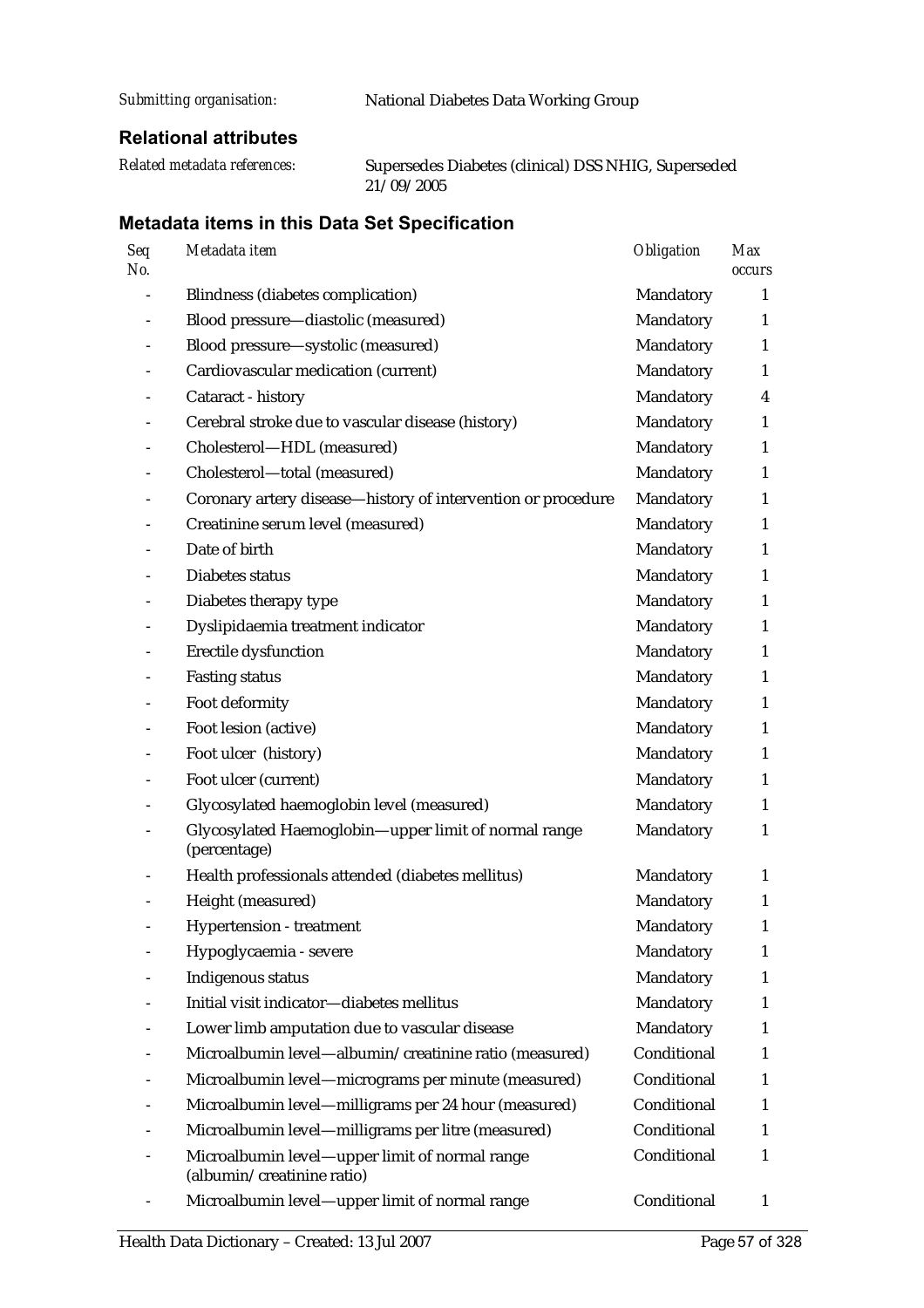*Submitting organisation:* National Diabetes Data Working Group

#### **Relational attributes**

*Related metadata references:* Supersedes Diabetes (clinical) DSS NHIG, Superseded 21/09/2005

| Seq<br>No.     | Metadata item                                                                | Obligation  | <b>Max</b><br>occurs |
|----------------|------------------------------------------------------------------------------|-------------|----------------------|
|                | <b>Blindness (diabetes complication)</b>                                     | Mandatory   | 1                    |
|                | Blood pressure-diastolic (measured)                                          | Mandatory   | 1                    |
|                | Blood pressure-systolic (measured)                                           | Mandatory   | 1                    |
|                | Cardiovascular medication (current)                                          | Mandatory   | 1                    |
|                | Cataract - history                                                           | Mandatory   | 4                    |
|                | Cerebral stroke due to vascular disease (history)                            | Mandatory   | 1                    |
|                | Cholesterol-HDL (measured)                                                   | Mandatory   | $\mathbf{1}$         |
|                | Cholesterol-total (measured)                                                 | Mandatory   | 1                    |
|                | Coronary artery disease-history of intervention or procedure                 | Mandatory   | $\mathbf{1}$         |
|                | Creatinine serum level (measured)                                            | Mandatory   | 1                    |
|                | Date of birth                                                                | Mandatory   | 1                    |
|                | Diabetes status                                                              | Mandatory   | 1                    |
|                | Diabetes therapy type                                                        | Mandatory   | $\mathbf{1}$         |
| $\overline{a}$ | Dyslipidaemia treatment indicator                                            | Mandatory   | 1                    |
|                | Erectile dysfunction                                                         | Mandatory   | $\mathbf{1}$         |
|                | <b>Fasting status</b>                                                        | Mandatory   | 1                    |
|                | Foot deformity                                                               | Mandatory   | 1                    |
|                | Foot lesion (active)                                                         | Mandatory   | 1                    |
|                | Foot ulcer (history)                                                         | Mandatory   | 1                    |
|                | Foot ulcer (current)                                                         | Mandatory   | 1                    |
|                | Glycosylated haemoglobin level (measured)                                    | Mandatory   | 1                    |
|                | Glycosylated Haemoglobin-upper limit of normal range<br>(percentage)         | Mandatory   | $\mathbf{1}$         |
|                | Health professionals attended (diabetes mellitus)                            | Mandatory   | 1                    |
|                | Height (measured)                                                            | Mandatory   | 1                    |
|                | <b>Hypertension</b> - treatment                                              | Mandatory   | 1                    |
|                | Hypoglycaemia - severe                                                       | Mandatory   | 1                    |
|                | <b>Indigenous status</b>                                                     | Mandatory   | 1                    |
|                | Initial visit indicator-diabetes mellitus                                    | Mandatory   | 1                    |
|                | Lower limb amputation due to vascular disease                                | Mandatory   | 1                    |
|                | Microalbumin level-albumin/creatinine ratio (measured)                       | Conditional | $\mathbf{1}$         |
|                | Microalbumin level-micrograms per minute (measured)                          | Conditional | 1                    |
|                | Microalbumin level—milligrams per 24 hour (measured)                         | Conditional | $\mathbf{1}$         |
|                | Microalbumin level-milligrams per litre (measured)                           | Conditional | 1                    |
|                | Microalbumin level-upper limit of normal range<br>(albumin/creatinine ratio) | Conditional | 1                    |
|                | Microalbumin level-upper limit of normal range                               | Conditional | 1                    |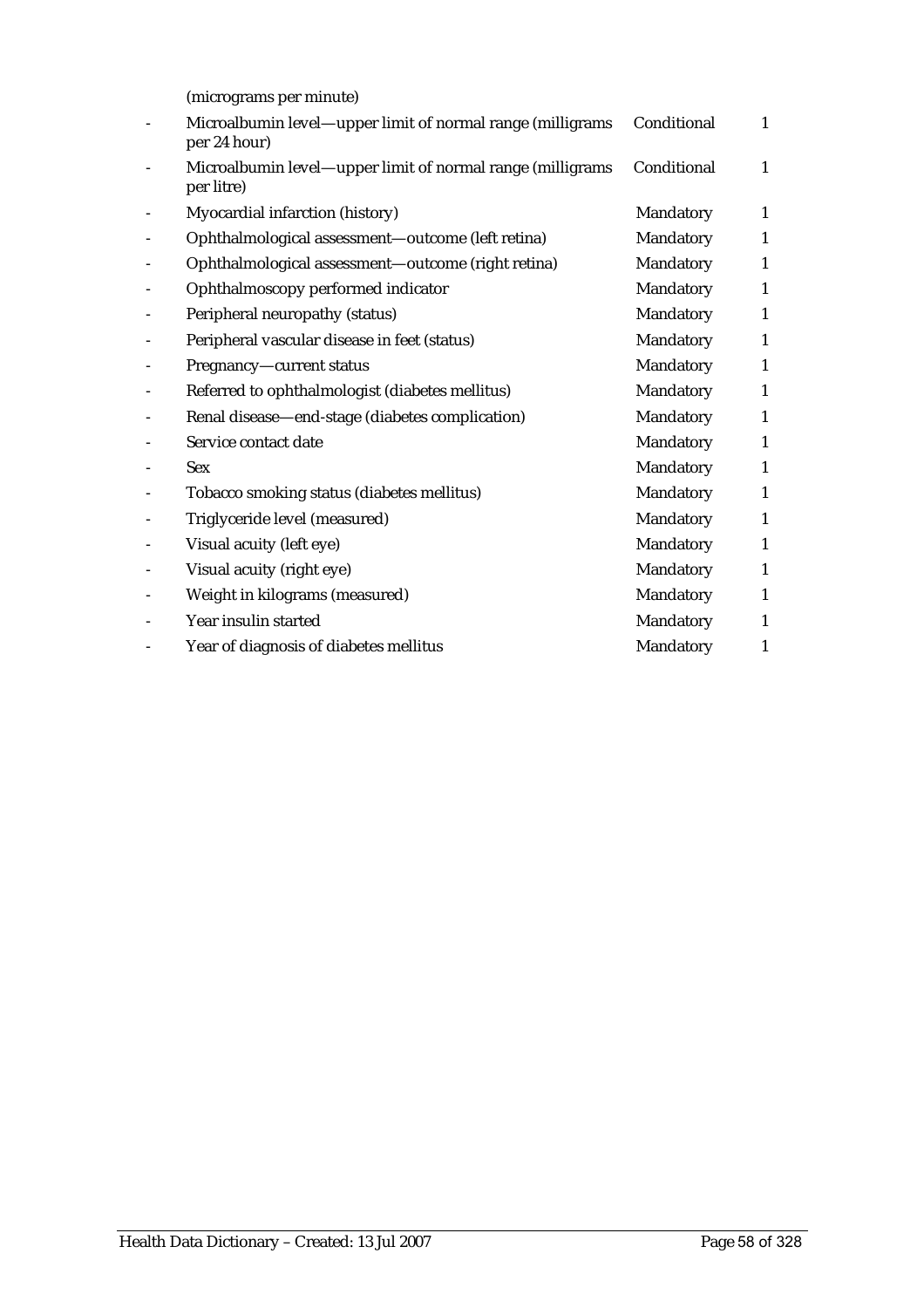(micrograms per minute)

| Microalbumin level—upper limit of normal range (milligrams<br>per 24 hour) | Conditional | $\mathbf{1}$ |
|----------------------------------------------------------------------------|-------------|--------------|
| Microalbumin level-upper limit of normal range (milligrams<br>per litre)   | Conditional | 1            |
| Myocardial infarction (history)                                            | Mandatory   | $\mathbf{1}$ |
| Ophthalmological assessment-outcome (left retina)                          | Mandatory   | 1            |
| Ophthalmological assessment-outcome (right retina)                         | Mandatory   | 1            |
| Ophthalmoscopy performed indicator                                         | Mandatory   | $\mathbf{1}$ |
| Peripheral neuropathy (status)                                             | Mandatory   | 1            |
| Peripheral vascular disease in feet (status)                               | Mandatory   | $\mathbf{1}$ |
| Pregnancy-current status                                                   | Mandatory   | 1            |
| Referred to ophthalmologist (diabetes mellitus)                            | Mandatory   | 1            |
| Renal disease-end-stage (diabetes complication)                            | Mandatory   | 1            |
| Service contact date                                                       | Mandatory   | $\mathbf{1}$ |
| <b>Sex</b>                                                                 | Mandatory   | 1            |
| Tobacco smoking status (diabetes mellitus)                                 | Mandatory   | 1            |
| Triglyceride level (measured)                                              | Mandatory   | 1            |
| Visual acuity (left eye)                                                   | Mandatory   | $\mathbf{1}$ |
| Visual acuity (right eye)                                                  | Mandatory   | 1            |
| Weight in kilograms (measured)                                             | Mandatory   | $\mathbf{1}$ |
| Year insulin started                                                       | Mandatory   | 1            |
| Year of diagnosis of diabetes mellitus                                     | Mandatory   | $\mathbf{1}$ |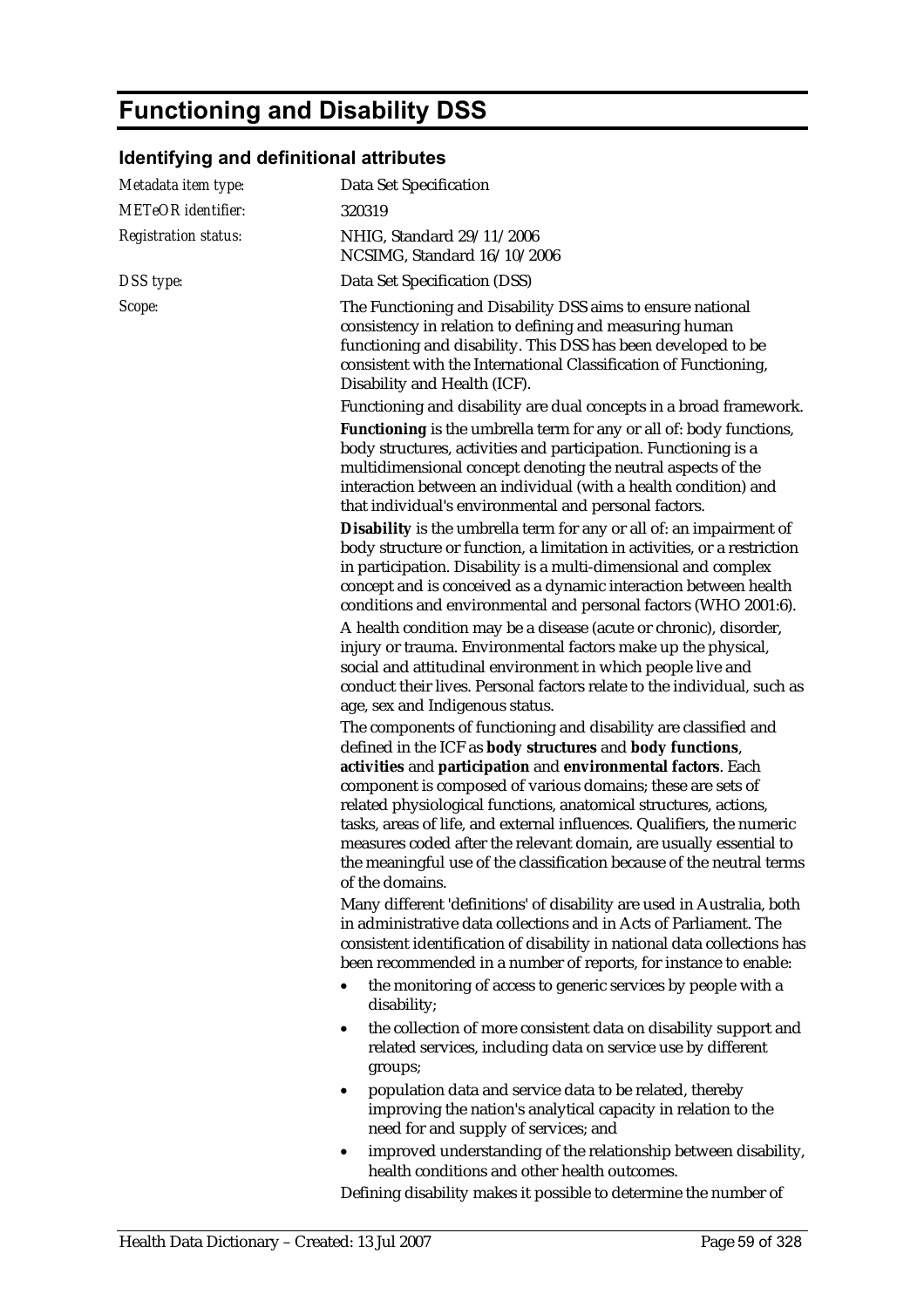## **Functioning and Disability DSS**

## **Identifying and definitional attributes**

| Metadata item type:         | Data Set Specification                                                                                                                                                                                                                                                                                                                                                                                                                                                                                                                                                      |
|-----------------------------|-----------------------------------------------------------------------------------------------------------------------------------------------------------------------------------------------------------------------------------------------------------------------------------------------------------------------------------------------------------------------------------------------------------------------------------------------------------------------------------------------------------------------------------------------------------------------------|
| <b>METeOR</b> identifier:   | 320319                                                                                                                                                                                                                                                                                                                                                                                                                                                                                                                                                                      |
| <b>Registration status:</b> | NHIG, Standard 29/11/2006<br>NCSIMG, Standard 16/10/2006                                                                                                                                                                                                                                                                                                                                                                                                                                                                                                                    |
| DSS type:                   | Data Set Specification (DSS)                                                                                                                                                                                                                                                                                                                                                                                                                                                                                                                                                |
| Scope:                      | The Functioning and Disability DSS aims to ensure national<br>consistency in relation to defining and measuring human<br>functioning and disability. This DSS has been developed to be<br>consistent with the International Classification of Functioning,<br>Disability and Health (ICF).                                                                                                                                                                                                                                                                                  |
|                             | Functioning and disability are dual concepts in a broad framework.                                                                                                                                                                                                                                                                                                                                                                                                                                                                                                          |
|                             | Functioning is the umbrella term for any or all of: body functions,<br>body structures, activities and participation. Functioning is a<br>multidimensional concept denoting the neutral aspects of the<br>interaction between an individual (with a health condition) and<br>that individual's environmental and personal factors.                                                                                                                                                                                                                                          |
|                             | Disability is the umbrella term for any or all of: an impairment of<br>body structure or function, a limitation in activities, or a restriction<br>in participation. Disability is a multi-dimensional and complex<br>concept and is conceived as a dynamic interaction between health<br>conditions and environmental and personal factors (WHO 2001:6).                                                                                                                                                                                                                   |
|                             | A health condition may be a disease (acute or chronic), disorder,<br>injury or trauma. Environmental factors make up the physical,<br>social and attitudinal environment in which people live and<br>conduct their lives. Personal factors relate to the individual, such as<br>age, sex and Indigenous status.                                                                                                                                                                                                                                                             |
|                             | The components of functioning and disability are classified and<br>defined in the ICF as body structures and body functions,<br>activities and participation and environmental factors. Each<br>component is composed of various domains; these are sets of<br>related physiological functions, anatomical structures, actions,<br>tasks, areas of life, and external influences. Qualifiers, the numeric<br>measures coded after the relevant domain, are usually essential to<br>the meaningful use of the classification because of the neutral terms<br>of the domains. |
|                             | Many different 'definitions' of disability are used in Australia, both<br>in administrative data collections and in Acts of Parliament. The<br>consistent identification of disability in national data collections has<br>been recommended in a number of reports, for instance to enable:                                                                                                                                                                                                                                                                                 |
|                             | the monitoring of access to generic services by people with a<br>$\bullet$<br>disability;                                                                                                                                                                                                                                                                                                                                                                                                                                                                                   |
|                             | the collection of more consistent data on disability support and<br>٠<br>related services, including data on service use by different<br>groups;                                                                                                                                                                                                                                                                                                                                                                                                                            |
|                             | population data and service data to be related, thereby<br>٠<br>improving the nation's analytical capacity in relation to the<br>need for and supply of services; and                                                                                                                                                                                                                                                                                                                                                                                                       |
|                             | improved understanding of the relationship between disability,<br>health conditions and other health outcomes.                                                                                                                                                                                                                                                                                                                                                                                                                                                              |

Defining disability makes it possible to determine the number of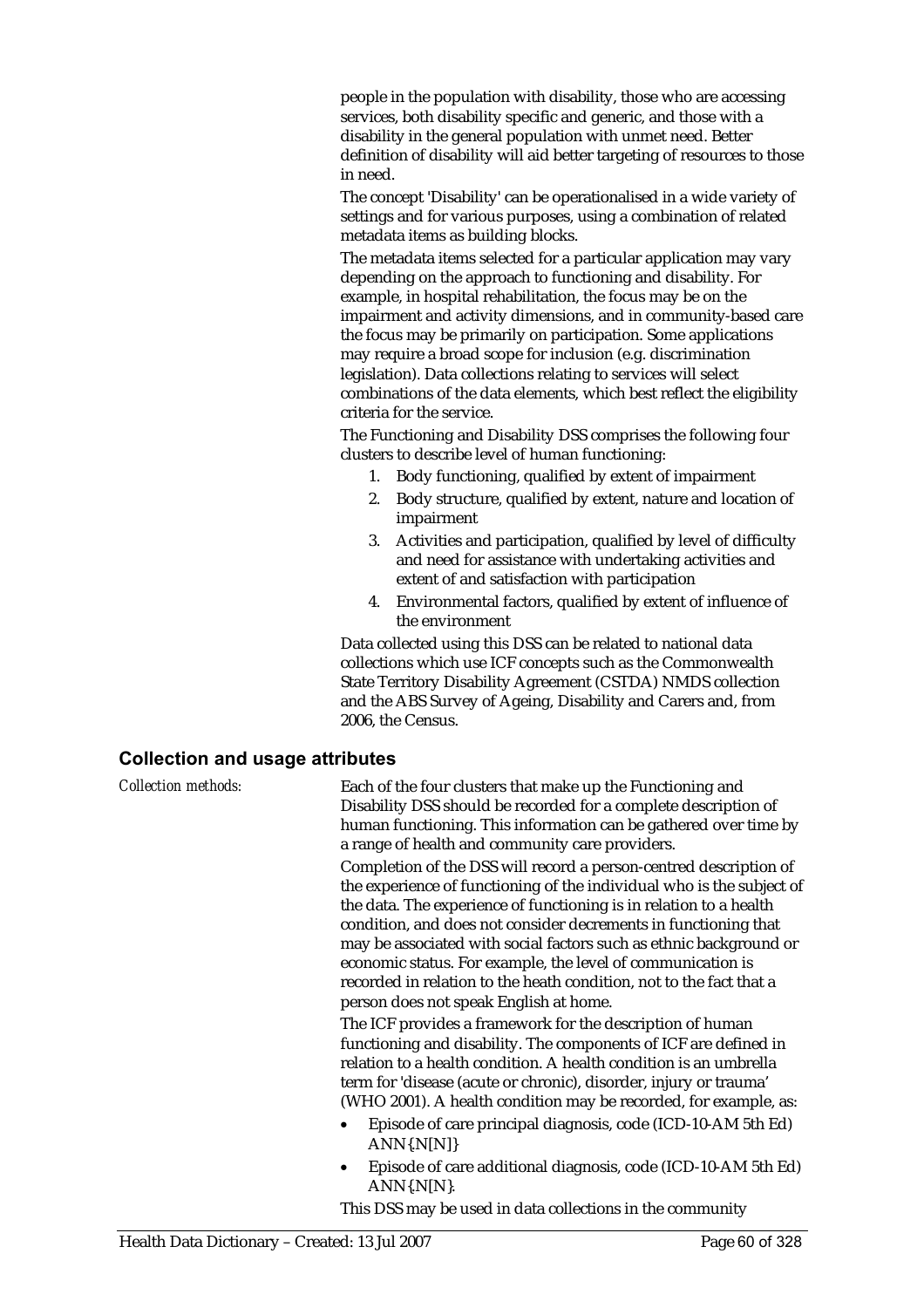people in the population with disability, those who are accessing services, both disability specific and generic, and those with a disability in the general population with unmet need. Better definition of disability will aid better targeting of resources to those in need.

The concept 'Disability' can be operationalised in a wide variety of settings and for various purposes, using a combination of related metadata items as building blocks.

The metadata items selected for a particular application may vary depending on the approach to functioning and disability. For example, in hospital rehabilitation, the focus may be on the impairment and activity dimensions, and in community-based care the focus may be primarily on participation. Some applications may require a broad scope for inclusion (e.g. discrimination legislation). Data collections relating to services will select combinations of the data elements, which best reflect the eligibility criteria for the service.

The Functioning and Disability DSS comprises the following four clusters to describe level of human functioning:

- 1. Body functioning, qualified by extent of impairment
- 2. Body structure, qualified by extent, nature and location of impairment
- 3. Activities and participation, qualified by level of difficulty and need for assistance with undertaking activities and extent of and satisfaction with participation
- 4. Environmental factors, qualified by extent of influence of the environment

Data collected using this DSS can be related to national data collections which use ICF concepts such as the Commonwealth State Territory Disability Agreement (CSTDA) NMDS collection and the ABS Survey of Ageing, Disability and Carers and, from 2006, the Census.

#### **Collection and usage attributes**

*Collection methods:* Each of the four clusters that make up the Functioning and Disability DSS should be recorded for a complete description of human functioning. This information can be gathered over time by a range of health and community care providers.

Completion of the DSS will record a person-centred description of the experience of functioning of the individual who is the subject of the data. The experience of functioning is in relation to a health condition, and does not consider decrements in functioning that may be associated with social factors such as ethnic background or economic status. For example, the level of communication is recorded in relation to the heath condition, not to the fact that a person does not speak English at home.

The ICF provides a framework for the description of human functioning and disability. The components of ICF are defined in relation to a health condition. A health condition is an umbrella term for 'disease (acute or chronic), disorder, injury or trauma' (WHO 2001). A health condition may be recorded, for example, as:

- Episode of care principal diagnosis, code (ICD-10-AM 5th Ed)  $ANN\{N[N]\}$
- Episode of care additional diagnosis, code (ICD-10-AM 5th Ed) ANN{.N[N}.

This DSS may be used in data collections in the community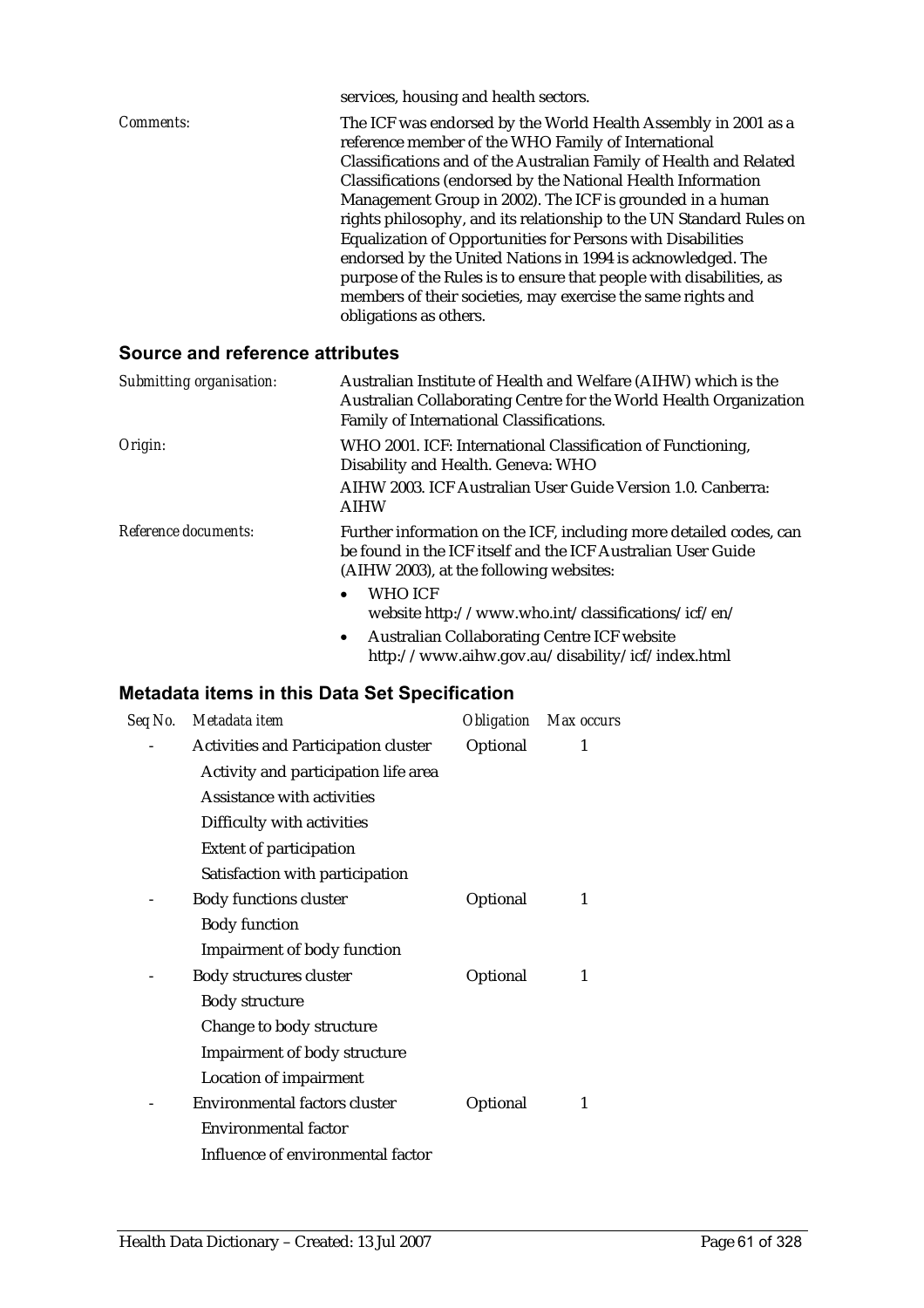|           | services, housing and health sectors.                                                                                 |
|-----------|-----------------------------------------------------------------------------------------------------------------------|
| Comments: | The ICF was endorsed by the World Health Assembly in 2001 as a<br>reference member of the WHO Family of International |
|           | Classifications and of the Australian Family of Health and Related                                                    |
|           | Classifications (endorsed by the National Health Information                                                          |
|           | Management Group in 2002). The ICF is grounded in a human                                                             |
|           | rights philosophy, and its relationship to the UN Standard Rules on                                                   |
|           | <b>Equalization of Opportunities for Persons with Disabilities</b>                                                    |
|           | endorsed by the United Nations in 1994 is acknowledged. The                                                           |
|           | purpose of the Rules is to ensure that people with disabilities, as                                                   |
|           | members of their societies, may exercise the same rights and                                                          |
|           | obligations as others.                                                                                                |
|           |                                                                                                                       |

#### **Source and reference attributes**

| Submitting organisation: | Australian Institute of Health and Welfare (AIHW) which is the<br>Australian Collaborating Centre for the World Health Organization<br>Family of International Classifications. |
|--------------------------|---------------------------------------------------------------------------------------------------------------------------------------------------------------------------------|
| Origin:                  | WHO 2001. ICF: International Classification of Functioning,<br>Disability and Health. Geneva: WHO                                                                               |
|                          | AIHW 2003. ICF Australian User Guide Version 1.0. Canberra:<br><b>AIHW</b>                                                                                                      |
| Reference documents:     | Further information on the ICF, including more detailed codes, can<br>be found in the ICF itself and the ICF Australian User Guide<br>(AIHW 2003), at the following websites:   |
|                          | <b>WHO ICF</b><br>$\bullet$<br>website http://www.who.int/classifications/icf/en/<br>$\lambda$ , it all it a rapel in                                                           |

• Australian Collaborating Centre ICF website http://www.aihw.gov.au/disability/icf/index.html

| Seq No. | Metadata item                        |          | <b>Obligation</b> Max occurs |
|---------|--------------------------------------|----------|------------------------------|
|         | Activities and Participation cluster | Optional | 1                            |
|         | Activity and participation life area |          |                              |
|         | Assistance with activities           |          |                              |
|         | Difficulty with activities           |          |                              |
|         | <b>Extent of participation</b>       |          |                              |
|         | Satisfaction with participation      |          |                              |
|         | <b>Body functions cluster</b>        | Optional | 1                            |
|         | <b>Body function</b>                 |          |                              |
|         | <b>Impairment of body function</b>   |          |                              |
|         | Body structures cluster              | Optional | 1                            |
|         | <b>Body structure</b>                |          |                              |
|         | Change to body structure             |          |                              |
|         | Impairment of body structure         |          |                              |
|         | Location of impairment               |          |                              |
|         | <b>Environmental factors cluster</b> | Optional | 1                            |
|         | <b>Environmental factor</b>          |          |                              |
|         | Influence of environmental factor    |          |                              |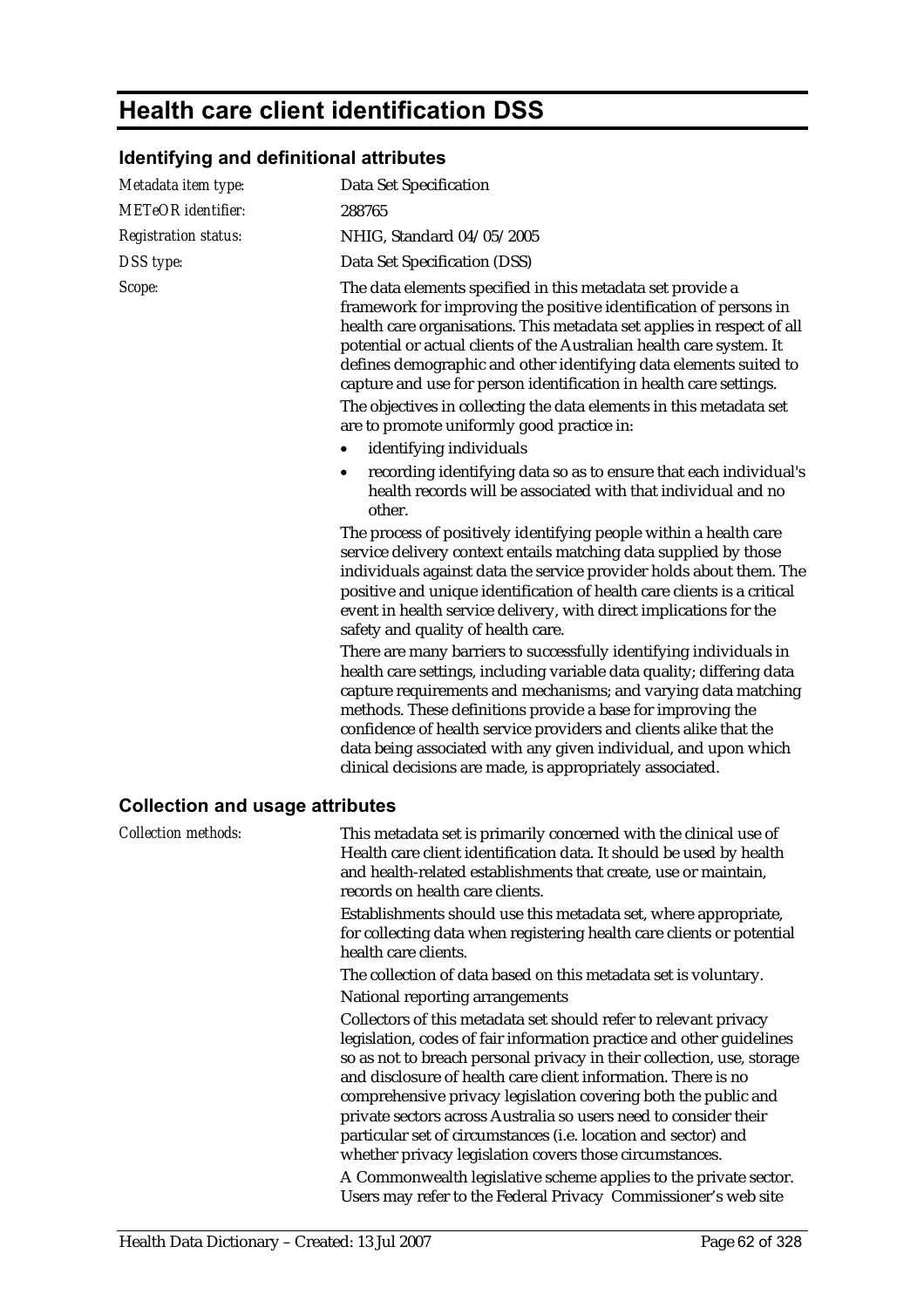## **Health care client identification DSS**

## **Identifying and definitional attributes**

| Metadata item type:                    | Data Set Specification                                                                                                                                                                                                                                                                                                                                                                                                                                                                                                                            |
|----------------------------------------|---------------------------------------------------------------------------------------------------------------------------------------------------------------------------------------------------------------------------------------------------------------------------------------------------------------------------------------------------------------------------------------------------------------------------------------------------------------------------------------------------------------------------------------------------|
| <b>METeOR</b> identifier:              | 288765                                                                                                                                                                                                                                                                                                                                                                                                                                                                                                                                            |
| <b>Registration status:</b>            | NHIG, Standard 04/05/2005                                                                                                                                                                                                                                                                                                                                                                                                                                                                                                                         |
| DSS type:                              | Data Set Specification (DSS)                                                                                                                                                                                                                                                                                                                                                                                                                                                                                                                      |
| Scope:                                 | The data elements specified in this metadata set provide a<br>framework for improving the positive identification of persons in<br>health care organisations. This metadata set applies in respect of all<br>potential or actual clients of the Australian health care system. It<br>defines demographic and other identifying data elements suited to<br>capture and use for person identification in health care settings.<br>The objectives in collecting the data elements in this metadata set<br>are to promote uniformly good practice in: |
|                                        | identifying individuals<br>$\bullet$                                                                                                                                                                                                                                                                                                                                                                                                                                                                                                              |
|                                        | recording identifying data so as to ensure that each individual's<br>$\bullet$<br>health records will be associated with that individual and no<br>other.                                                                                                                                                                                                                                                                                                                                                                                         |
|                                        | The process of positively identifying people within a health care<br>service delivery context entails matching data supplied by those<br>individuals against data the service provider holds about them. The<br>positive and unique identification of health care clients is a critical<br>event in health service delivery, with direct implications for the<br>safety and quality of health care.                                                                                                                                               |
|                                        | There are many barriers to successfully identifying individuals in<br>health care settings, including variable data quality; differing data<br>capture requirements and mechanisms; and varying data matching<br>methods. These definitions provide a base for improving the<br>confidence of health service providers and clients alike that the<br>data being associated with any given individual, and upon which<br>clinical decisions are made, is appropriately associated.                                                                 |
| <b>Collection and usage attributes</b> |                                                                                                                                                                                                                                                                                                                                                                                                                                                                                                                                                   |
| <b>Collection methods:</b>             | This metadata set is primarily concerned with the clinical use of<br>Health care client identification data. It should be used by health<br>and health-related establishments that create, use or maintain,<br>records on health care clients.<br>Establishments should use this metadata set, where appropriate,                                                                                                                                                                                                                                 |
|                                        | for collecting data when registering health care clients or potential<br>health care clients.                                                                                                                                                                                                                                                                                                                                                                                                                                                     |
|                                        | The collection of data based on this metadata set is voluntary.                                                                                                                                                                                                                                                                                                                                                                                                                                                                                   |
|                                        | National reporting arrangements<br>Collectors of this metadata set should refer to relevant privacy<br>legislation, codes of fair information practice and other guidelines                                                                                                                                                                                                                                                                                                                                                                       |
|                                        | so as not to breach personal privacy in their collection, use, storage<br>and disclosure of health care client information. There is no<br>comprehensive privacy legislation covering both the public and                                                                                                                                                                                                                                                                                                                                         |
|                                        | private sectors across Australia so users need to consider their<br>particular set of circumstances (i.e. location and sector) and<br>whether privacy legislation covers those circumstances.                                                                                                                                                                                                                                                                                                                                                     |
|                                        | A Commonwealth legislative scheme applies to the private sector.                                                                                                                                                                                                                                                                                                                                                                                                                                                                                  |
|                                        | Users may refer to the Federal Privacy Commissioner's web site                                                                                                                                                                                                                                                                                                                                                                                                                                                                                    |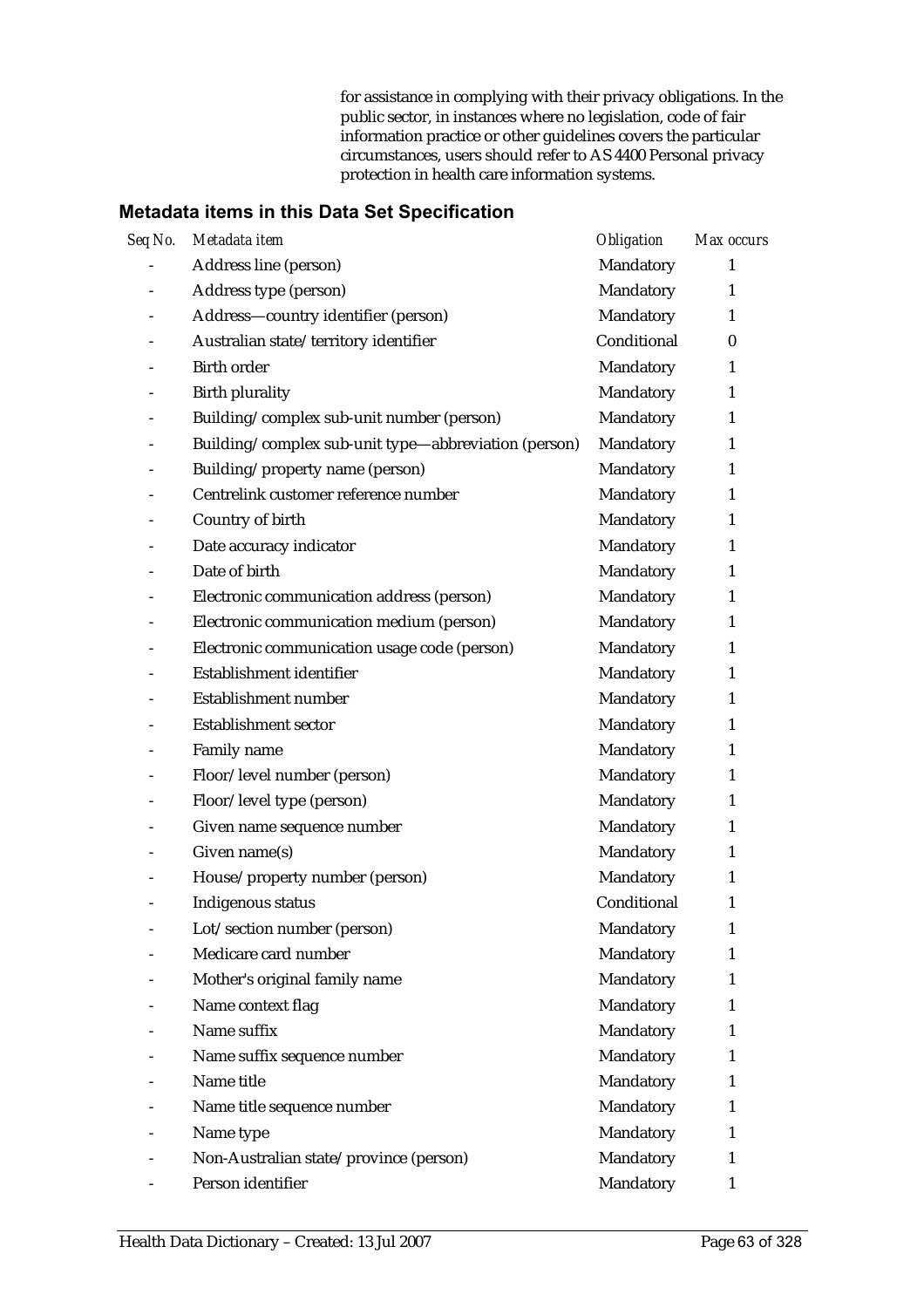for assistance in complying with their privacy obligations. In the public sector, in instances where no legislation, code of fair information practice or other guidelines covers the particular circumstances, users should refer to AS 4400 Personal privacy protection in health care information systems.

| Seq No.                  | Metadata item                                        | <b>Obligation</b> | Max occurs   |
|--------------------------|------------------------------------------------------|-------------------|--------------|
| $\overline{\phantom{a}}$ | Address line (person)                                | Mandatory         | 1            |
|                          | Address type (person)                                | Mandatory         | 1            |
|                          | Address-country identifier (person)                  | Mandatory         | $\mathbf{1}$ |
|                          | Australian state/territory identifier                | Conditional       | $\bf{0}$     |
|                          | <b>Birth order</b>                                   | Mandatory         | $\mathbf{1}$ |
|                          | <b>Birth plurality</b>                               | Mandatory         | 1            |
|                          | Building/complex sub-unit number (person)            | Mandatory         | $\mathbf{1}$ |
|                          | Building/complex sub-unit type-abbreviation (person) | Mandatory         | 1            |
|                          | Building/property name (person)                      | Mandatory         | 1            |
|                          | Centrelink customer reference number                 | Mandatory         | 1            |
|                          | Country of birth                                     | Mandatory         | $\mathbf{1}$ |
|                          | Date accuracy indicator                              | Mandatory         | 1            |
|                          | Date of birth                                        | Mandatory         | 1            |
|                          | Electronic communication address (person)            | Mandatory         | 1            |
|                          | Electronic communication medium (person)             | Mandatory         | 1            |
|                          | Electronic communication usage code (person)         | Mandatory         | 1            |
|                          | Establishment identifier                             | Mandatory         | 1            |
|                          | Establishment number                                 | Mandatory         | 1            |
|                          | <b>Establishment sector</b>                          | Mandatory         | 1            |
|                          | Family name                                          | Mandatory         | 1            |
|                          | Floor/level number (person)                          | Mandatory         | 1            |
|                          | Floor/level type (person)                            | Mandatory         | $\mathbf{1}$ |
|                          | Given name sequence number                           | Mandatory         | 1            |
| $\overline{a}$           | Given name(s)                                        | Mandatory         | 1            |
|                          | House/property number (person)                       | Mandatory         | 1            |
|                          | Indigenous status                                    | Conditional       | 1            |
| $\overline{a}$           | Lot/section number (person)                          | Mandatory         | 1            |
|                          | Medicare card number                                 | Mandatory         | 1            |
|                          | Mother's original family name                        | Mandatory         | 1            |
|                          | Name context flag                                    | Mandatory         | 1            |
|                          | Name suffix                                          | Mandatory         | 1            |
|                          | Name suffix sequence number                          | Mandatory         | 1            |
|                          | Name title                                           | Mandatory         | 1            |
|                          | Name title sequence number                           | Mandatory         | 1            |
|                          | Name type                                            | Mandatory         | 1            |
|                          | Non-Australian state/province (person)               | Mandatory         | 1            |
|                          | Person identifier                                    | Mandatory         | 1            |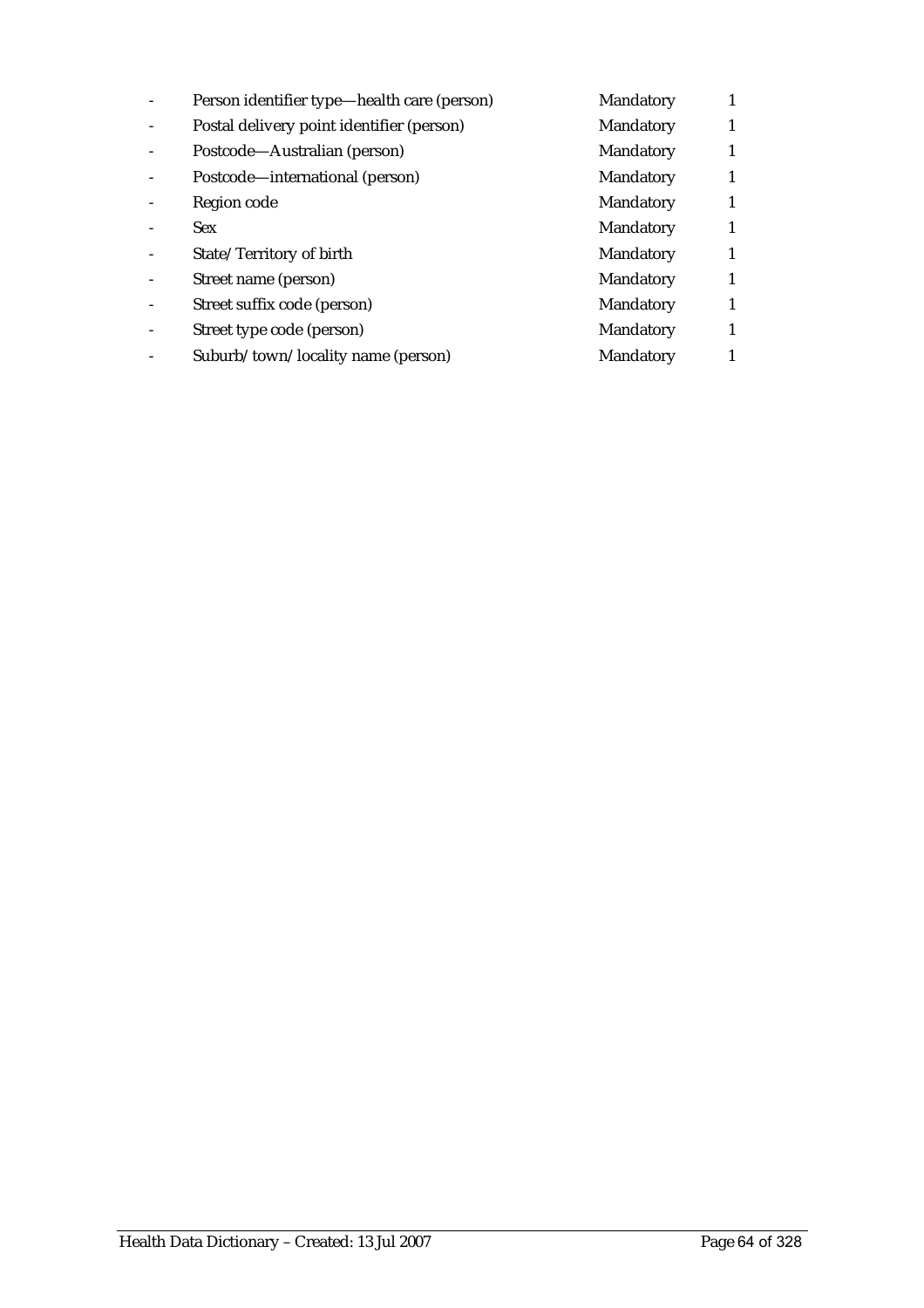| Person identifier type—health care (person) | Mandatory        |   |
|---------------------------------------------|------------------|---|
| Postal delivery point identifier (person)   | <b>Mandatory</b> |   |
| Postcode—Australian (person)                | Mandatory        |   |
| Postcode—international (person)             | Mandatory        |   |
| Region code                                 | Mandatory        |   |
| <b>Sex</b>                                  | Mandatory        | 1 |
| State/Territory of birth                    | <b>Mandatory</b> |   |
| Street name (person)                        | Mandatory        | 1 |
| Street suffix code (person)                 | Mandatory        |   |
| Street type code (person)                   | Mandatory        |   |
| Suburb/town/locality name (person)          | Mandatory        |   |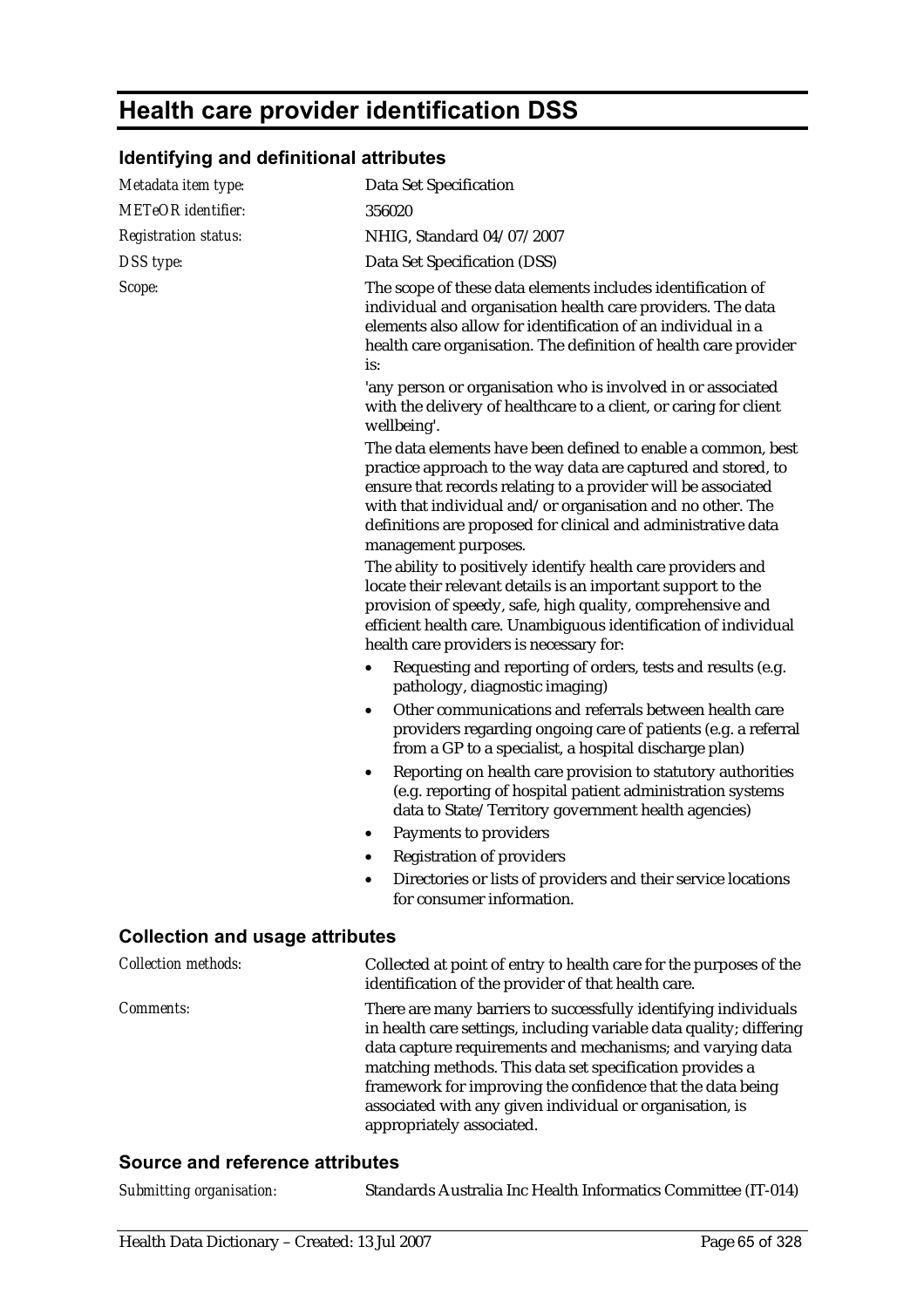# **Health care provider identification DSS**

## **Identifying and definitional attributes**

| Metadata item type:                    | <b>Data Set Specification</b>                                                                                                                                                                                                                                                                                                                                                                                           |
|----------------------------------------|-------------------------------------------------------------------------------------------------------------------------------------------------------------------------------------------------------------------------------------------------------------------------------------------------------------------------------------------------------------------------------------------------------------------------|
| <b>METeOR</b> identifier:              | 356020                                                                                                                                                                                                                                                                                                                                                                                                                  |
| <b>Registration status:</b>            | NHIG, Standard 04/07/2007                                                                                                                                                                                                                                                                                                                                                                                               |
| DSS type:                              | Data Set Specification (DSS)                                                                                                                                                                                                                                                                                                                                                                                            |
| Scope:                                 | The scope of these data elements includes identification of<br>individual and organisation health care providers. The data<br>elements also allow for identification of an individual in a<br>health care organisation. The definition of health care provider<br>is:<br>'any person or organisation who is involved in or associated                                                                                   |
|                                        | with the delivery of healthcare to a client, or caring for client<br>wellbeing'.                                                                                                                                                                                                                                                                                                                                        |
|                                        | The data elements have been defined to enable a common, best<br>practice approach to the way data are captured and stored, to<br>ensure that records relating to a provider will be associated<br>with that individual and/or organisation and no other. The<br>definitions are proposed for clinical and administrative data<br>management purposes.                                                                   |
|                                        | The ability to positively identify health care providers and<br>locate their relevant details is an important support to the<br>provision of speedy, safe, high quality, comprehensive and<br>efficient health care. Unambiguous identification of individual<br>health care providers is necessary for:                                                                                                                |
|                                        | Requesting and reporting of orders, tests and results (e.g.<br>$\bullet$<br>pathology, diagnostic imaging)                                                                                                                                                                                                                                                                                                              |
|                                        | Other communications and referrals between health care<br>$\bullet$<br>providers regarding ongoing care of patients (e.g. a referral<br>from a GP to a specialist, a hospital discharge plan)                                                                                                                                                                                                                           |
|                                        | Reporting on health care provision to statutory authorities<br>٠<br>(e.g. reporting of hospital patient administration systems<br>data to State/Territory government health agencies)                                                                                                                                                                                                                                   |
|                                        | Payments to providers                                                                                                                                                                                                                                                                                                                                                                                                   |
|                                        | <b>Registration of providers</b>                                                                                                                                                                                                                                                                                                                                                                                        |
|                                        | Directories or lists of providers and their service locations<br>٠<br>for consumer information.                                                                                                                                                                                                                                                                                                                         |
| <b>Collection and usage attributes</b> |                                                                                                                                                                                                                                                                                                                                                                                                                         |
| <b>Collection methods:</b>             | Collected at point of entry to health care for the purposes of the<br>identification of the provider of that health care.                                                                                                                                                                                                                                                                                               |
| Comments:                              | There are many barriers to successfully identifying individuals<br>in health care settings, including variable data quality; differing<br>data capture requirements and mechanisms; and varying data<br>matching methods. This data set specification provides a<br>framework for improving the confidence that the data being<br>associated with any given individual or organisation, is<br>appropriately associated. |

#### **Source and reference attributes**

| Submitting organisation: | Standards Australia Inc Health Informatics Committee (IT-014) |  |
|--------------------------|---------------------------------------------------------------|--|
|--------------------------|---------------------------------------------------------------|--|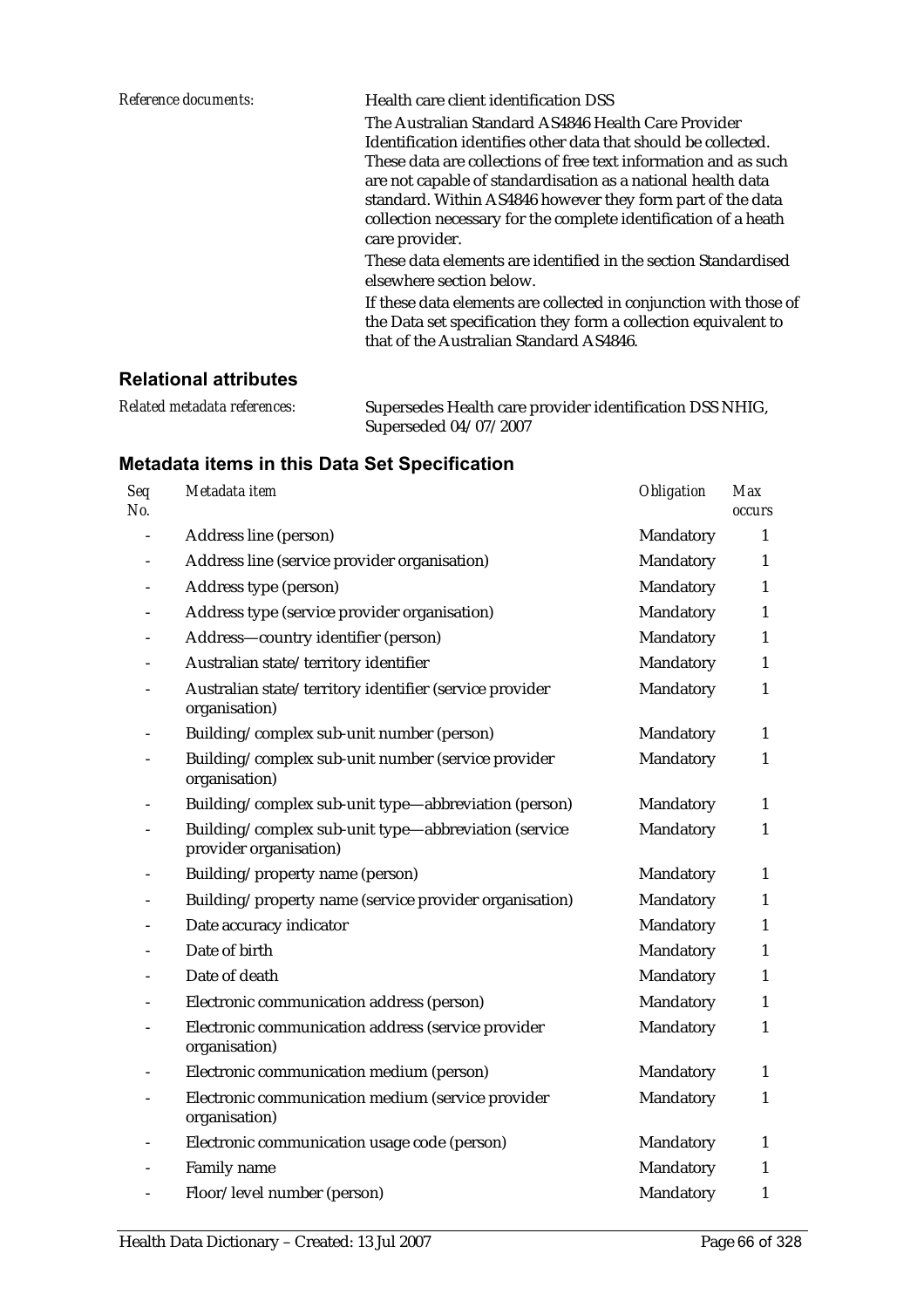| Reference documents: | Health care client identification DSS                                                      |
|----------------------|--------------------------------------------------------------------------------------------|
|                      | The Australian Standard AS4846 Health Care Provider                                        |
|                      | Identification identifies other data that should be collected.                             |
|                      | These data are collections of free text information and as such                            |
|                      | are not capable of standardisation as a national health data                               |
|                      | standard. Within AS4846 however they form part of the data                                 |
|                      | collection necessary for the complete identification of a heath                            |
|                      | care provider.                                                                             |
|                      | These data elements are identified in the section Standardised<br>elsewhere section below. |
|                      | If these data elements are collected in conjunction with those of                          |
|                      | the Data set specification they form a collection equivalent to                            |
|                      | that of the Australian Standard AS4846.                                                    |

#### **Relational attributes**

| Related metadata references: | Supersedes Health care provider identification DSS NHIG, |
|------------------------------|----------------------------------------------------------|
|                              | Superseded 04/07/2007                                    |

| Seq<br>No. | Metadata item                                                                  | Obligation | <b>Max</b><br><b>occurs</b> |
|------------|--------------------------------------------------------------------------------|------------|-----------------------------|
|            | Address line (person)                                                          | Mandatory  | 1                           |
|            | Address line (service provider organisation)                                   | Mandatory  | 1                           |
|            | Address type (person)                                                          | Mandatory  | $\mathbf{1}$                |
|            | Address type (service provider organisation)                                   | Mandatory  | 1                           |
|            | Address-country identifier (person)                                            | Mandatory  | $\mathbf{1}$                |
|            | Australian state/territory identifier                                          | Mandatory  | $\mathbf{1}$                |
|            | Australian state/territory identifier (service provider<br>organisation)       | Mandatory  | $\mathbf{1}$                |
|            | Building/complex sub-unit number (person)                                      | Mandatory  | $\mathbf{1}$                |
|            | Building/complex sub-unit number (service provider<br>organisation)            | Mandatory  | $\mathbf{1}$                |
|            | Building/complex sub-unit type-abbreviation (person)                           | Mandatory  | 1                           |
|            | Building/complex sub-unit type-abbreviation (service<br>provider organisation) | Mandatory  | $\mathbf{1}$                |
|            | Building/property name (person)                                                | Mandatory  | 1                           |
|            | Building/property name (service provider organisation)                         | Mandatory  | 1                           |
|            | Date accuracy indicator                                                        | Mandatory  | 1                           |
|            | Date of birth                                                                  | Mandatory  | 1                           |
|            | Date of death                                                                  | Mandatory  | $\mathbf{1}$                |
|            | Electronic communication address (person)                                      | Mandatory  | $\mathbf{1}$                |
|            | Electronic communication address (service provider<br>organisation)            | Mandatory  | $\mathbf{1}$                |
|            | Electronic communication medium (person)                                       | Mandatory  | $\mathbf{1}$                |
|            | Electronic communication medium (service provider<br>organisation)             | Mandatory  | $\mathbf{1}$                |
|            | Electronic communication usage code (person)                                   | Mandatory  | 1                           |
|            | Family name                                                                    | Mandatory  | 1                           |
|            | Floor/level number (person)                                                    | Mandatory  | $\mathbf{1}$                |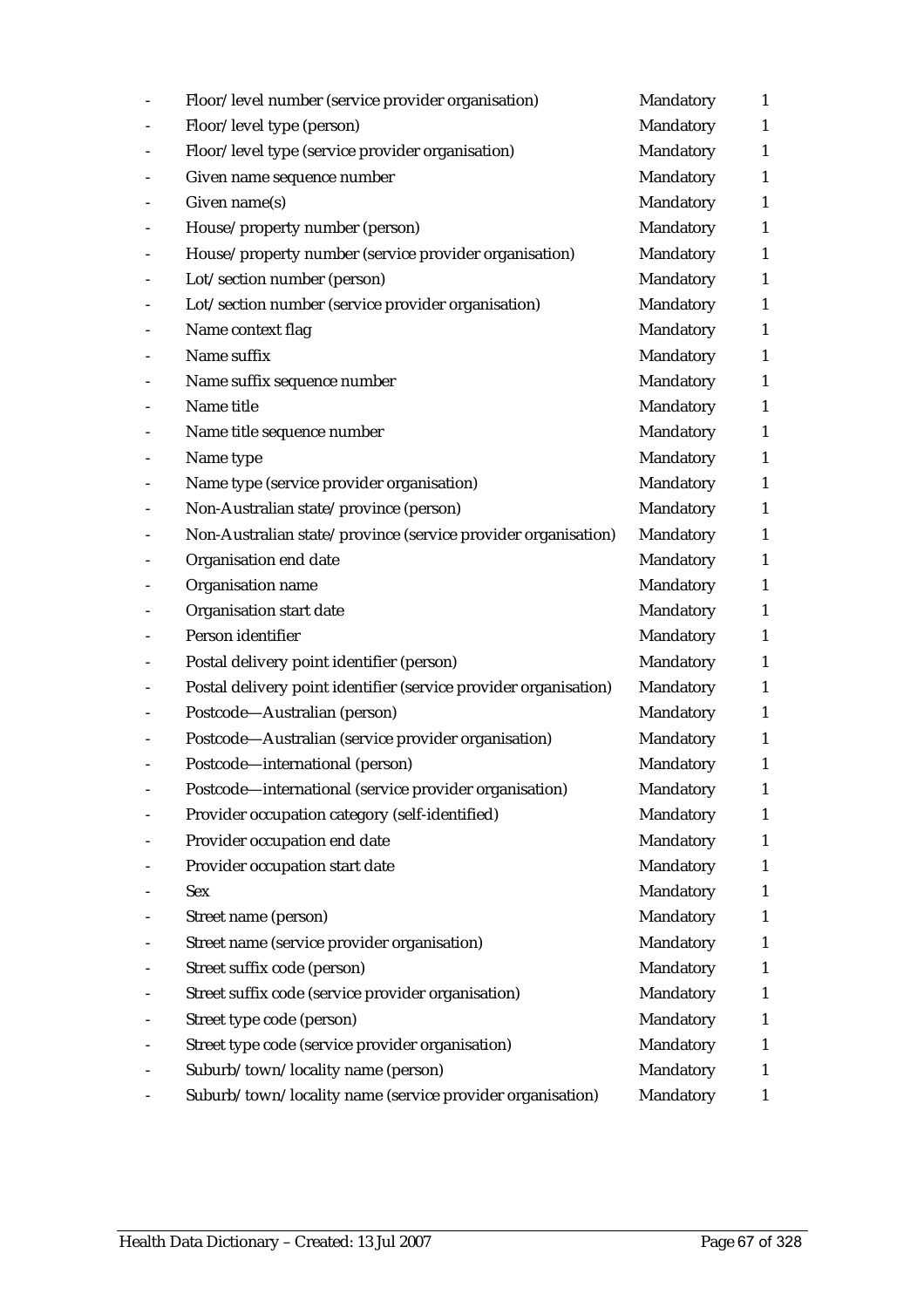| Floor/level number (service provider organisation)               | Mandatory | $\mathbf{1}$ |
|------------------------------------------------------------------|-----------|--------------|
| Floor/level type (person)                                        | Mandatory | $\mathbf{1}$ |
| Floor/level type (service provider organisation)                 | Mandatory | $\mathbf{1}$ |
| Given name sequence number                                       | Mandatory | $\mathbf{1}$ |
| Given name(s)                                                    | Mandatory | $\mathbf{1}$ |
| House/property number (person)                                   | Mandatory | $\mathbf{1}$ |
| House/property number (service provider organisation)            | Mandatory | $\mathbf{1}$ |
| Lot/section number (person)                                      | Mandatory | $\mathbf{1}$ |
| Lot/section number (service provider organisation)               | Mandatory | $\mathbf{1}$ |
| Name context flag                                                | Mandatory | $\mathbf{1}$ |
| Name suffix                                                      | Mandatory | $\mathbf{1}$ |
| Name suffix sequence number                                      | Mandatory | $\mathbf{1}$ |
| Name title                                                       | Mandatory | $\mathbf{1}$ |
| Name title sequence number                                       | Mandatory | $\mathbf{1}$ |
| Name type                                                        | Mandatory | $\mathbf{1}$ |
| Name type (service provider organisation)                        | Mandatory | $\mathbf{1}$ |
| Non-Australian state/province (person)                           | Mandatory | $\mathbf{1}$ |
| Non-Australian state/province (service provider organisation)    | Mandatory | $\mathbf{1}$ |
| Organisation end date                                            | Mandatory | $\mathbf{1}$ |
| Organisation name                                                | Mandatory | $\mathbf{1}$ |
| Organisation start date                                          | Mandatory | $\mathbf{1}$ |
| Person identifier                                                | Mandatory | $\mathbf{1}$ |
| Postal delivery point identifier (person)                        | Mandatory | $\mathbf{1}$ |
| Postal delivery point identifier (service provider organisation) | Mandatory | $\mathbf{1}$ |
| Postcode-Australian (person)                                     | Mandatory | $\mathbf{1}$ |
| Postcode-Australian (service provider organisation)              | Mandatory | $\mathbf{1}$ |
| Postcode-international (person)                                  | Mandatory | $\mathbf{1}$ |
| Postcode-international (service provider organisation)           | Mandatory | 1            |
| Provider occupation category (self-identified)                   | Mandatory | $\mathbf{1}$ |
| Provider occupation end date                                     | Mandatory | $\mathbf{1}$ |
| Provider occupation start date                                   | Mandatory | $\mathbf{1}$ |
| <b>Sex</b>                                                       | Mandatory | $\mathbf{1}$ |
| Street name (person)                                             | Mandatory | $\mathbf{1}$ |
| Street name (service provider organisation)                      | Mandatory | $\mathbf{1}$ |
| Street suffix code (person)                                      | Mandatory | $\mathbf{1}$ |
| Street suffix code (service provider organisation)               | Mandatory | $\mathbf{1}$ |
| Street type code (person)                                        | Mandatory | $\mathbf{1}$ |
| Street type code (service provider organisation)                 | Mandatory | $\mathbf{1}$ |
| Suburb/town/locality name (person)                               | Mandatory | 1            |
| Suburb/town/locality name (service provider organisation)        | Mandatory | $\mathbf{1}$ |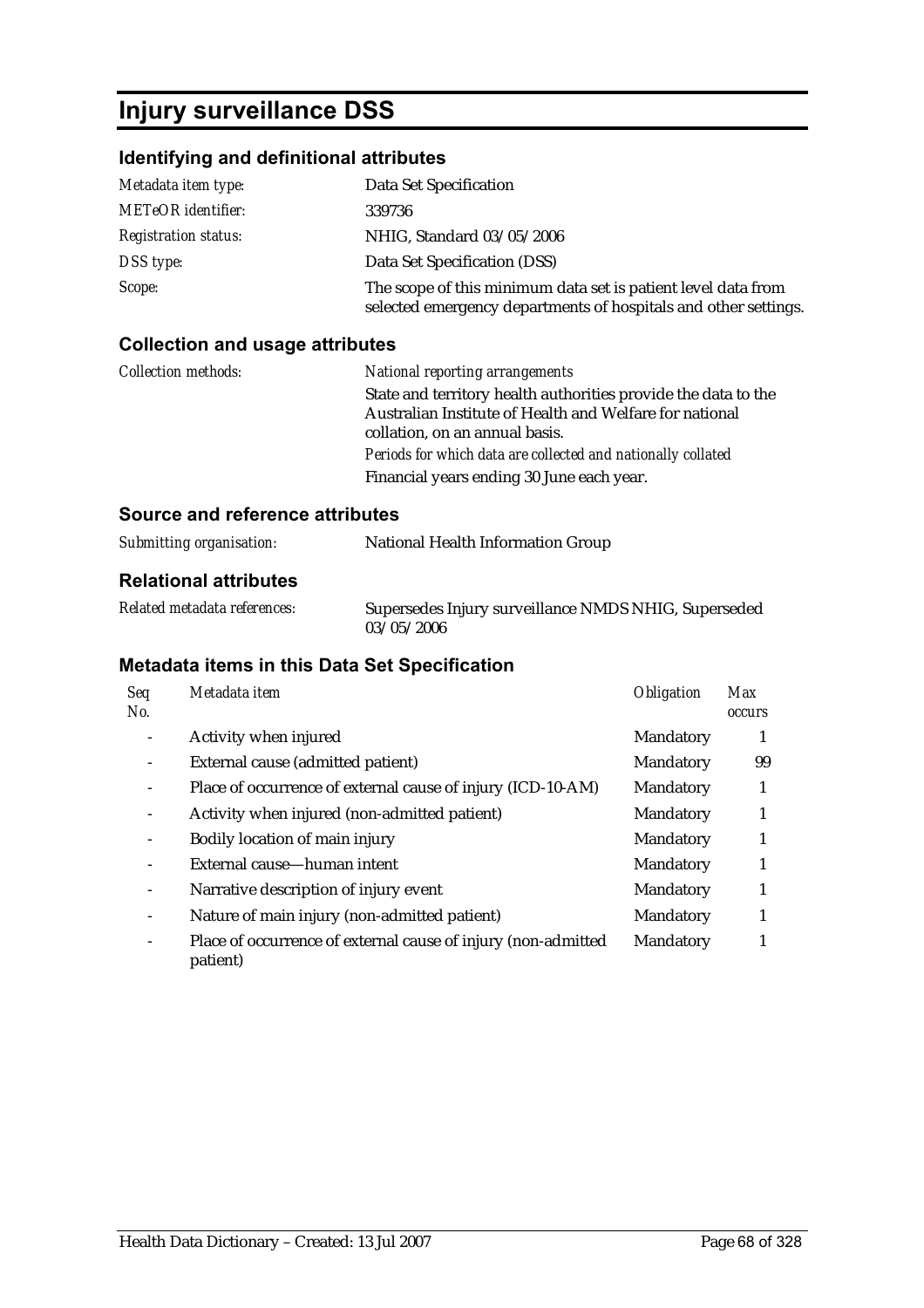## **Injury surveillance DSS**

### **Identifying and definitional attributes**

| Metadata item type:         | Data Set Specification                                                                                                           |
|-----------------------------|----------------------------------------------------------------------------------------------------------------------------------|
| <b>METeOR</b> identifier:   | 339736                                                                                                                           |
| <b>Registration status:</b> | NHIG, Standard 03/05/2006                                                                                                        |
| DSS type:                   | Data Set Specification (DSS)                                                                                                     |
| Scope:                      | The scope of this minimum data set is patient level data from<br>selected emergency departments of hospitals and other settings. |

#### **Collection and usage attributes**

| <i>Collection methods:</i> | National reporting arrangements                                |
|----------------------------|----------------------------------------------------------------|
|                            | State and territory health authorities provide the data to the |
|                            | Australian Institute of Health and Welfare for national        |
|                            | collation, on an annual basis.                                 |
|                            | Periods for which data are collected and nationally collated   |
|                            | Financial years ending 30 June each year.                      |

#### **Source and reference attributes**

| Submitting organisation: | National Health Information Group |  |
|--------------------------|-----------------------------------|--|
|                          |                                   |  |

#### **Relational attributes**

| Related metadata references: | Supersedes Injury surveillance NMDS NHIG, Superseded |
|------------------------------|------------------------------------------------------|
|                              | 03/05/2006                                           |

| Seq<br>No.                   | Metadata item                                                             | <b>Obligation</b> | <b>Max</b><br><i><b>occurs</b></i> |
|------------------------------|---------------------------------------------------------------------------|-------------------|------------------------------------|
|                              | Activity when injured                                                     | Mandatory         |                                    |
|                              | External cause (admitted patient)                                         | Mandatory         | 99                                 |
|                              | Place of occurrence of external cause of injury (ICD-10-AM)               | Mandatory         | 1                                  |
|                              | Activity when injured (non-admitted patient)                              | Mandatory         | 1                                  |
|                              | Bodily location of main injury                                            | Mandatory         | 1                                  |
|                              | External cause-human intent                                               | Mandatory         | 1                                  |
| $\qquad \qquad \blacksquare$ | Narrative description of injury event                                     | Mandatory         |                                    |
|                              | Nature of main injury (non-admitted patient)                              | Mandatory         | 1                                  |
| Ξ.                           | Place of occurrence of external cause of injury (non-admitted<br>patient) | Mandatory         |                                    |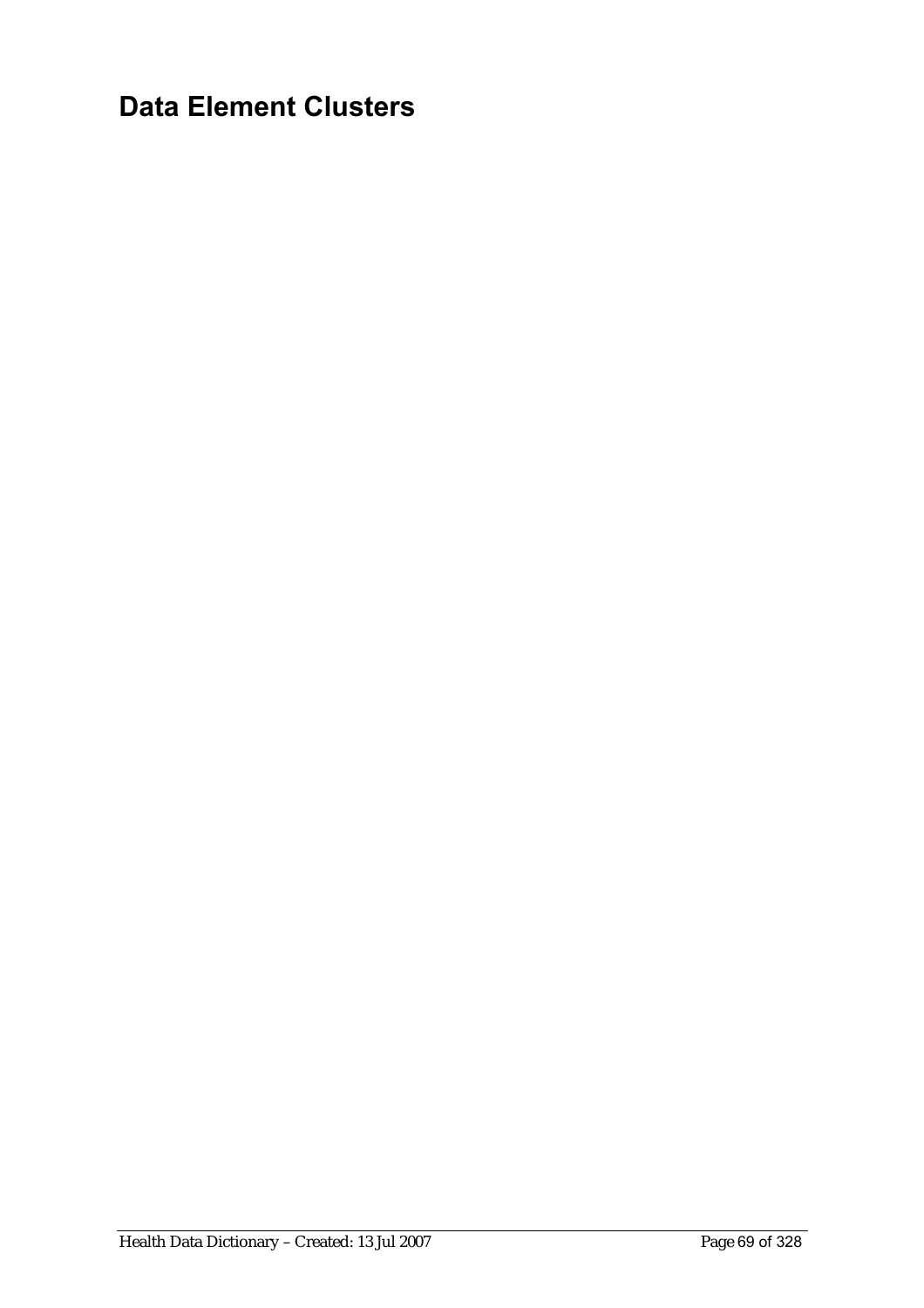# **Data Element Clusters**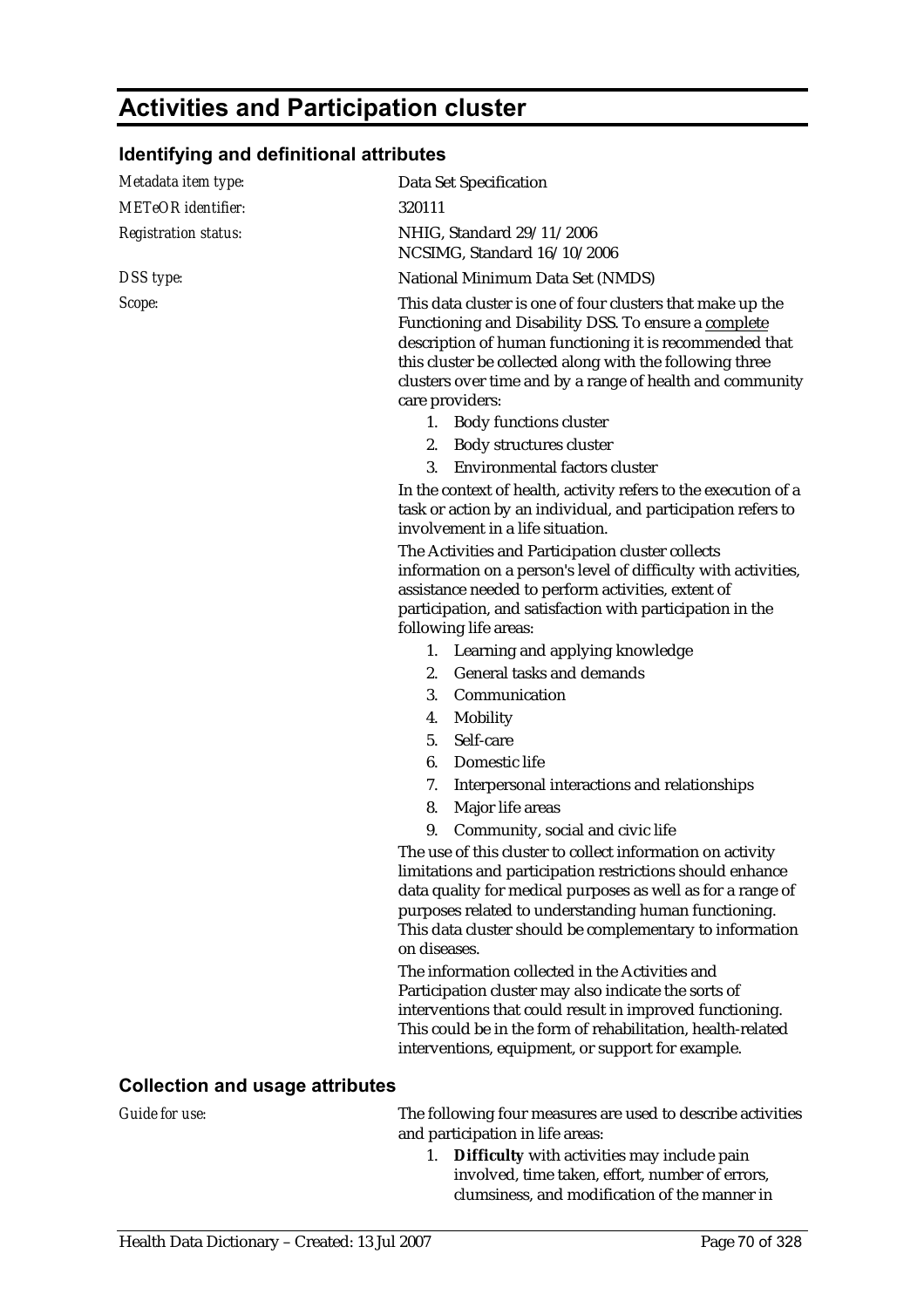## **Activities and Participation cluster**

#### **Identifying and definitional attributes**

| Metadata item type:                    | Data Set Specification                                                                                                                                                                                                                                                                                                     |
|----------------------------------------|----------------------------------------------------------------------------------------------------------------------------------------------------------------------------------------------------------------------------------------------------------------------------------------------------------------------------|
| <b>METeOR</b> identifier:              | 320111                                                                                                                                                                                                                                                                                                                     |
| <b>Registration status:</b>            | NHIG, Standard 29/11/2006<br>NCSIMG, Standard 16/10/2006                                                                                                                                                                                                                                                                   |
| DSS type:                              | National Minimum Data Set (NMDS)                                                                                                                                                                                                                                                                                           |
| Scope:                                 | This data cluster is one of four clusters that make up the<br>Functioning and Disability DSS. To ensure a complete<br>description of human functioning it is recommended that<br>this cluster be collected along with the following three<br>clusters over time and by a range of health and community<br>care providers:  |
|                                        | 1. Body functions cluster                                                                                                                                                                                                                                                                                                  |
|                                        | 2. Body structures cluster                                                                                                                                                                                                                                                                                                 |
|                                        | <b>Environmental factors cluster</b><br>3.                                                                                                                                                                                                                                                                                 |
|                                        | In the context of health, activity refers to the execution of a<br>task or action by an individual, and participation refers to<br>involvement in a life situation.                                                                                                                                                        |
|                                        | The Activities and Participation cluster collects<br>information on a person's level of difficulty with activities,<br>assistance needed to perform activities, extent of<br>participation, and satisfaction with participation in the<br>following life areas:                                                            |
|                                        | Learning and applying knowledge<br>1.                                                                                                                                                                                                                                                                                      |
|                                        | General tasks and demands<br>2.                                                                                                                                                                                                                                                                                            |
|                                        | 3.<br>Communication                                                                                                                                                                                                                                                                                                        |
|                                        | Mobility<br>4.                                                                                                                                                                                                                                                                                                             |
|                                        | Self-care<br>5.                                                                                                                                                                                                                                                                                                            |
|                                        | 6.<br>Domestic life                                                                                                                                                                                                                                                                                                        |
|                                        | 7.<br>Interpersonal interactions and relationships                                                                                                                                                                                                                                                                         |
|                                        | Major life areas<br>8.                                                                                                                                                                                                                                                                                                     |
|                                        | Community, social and civic life<br>9.                                                                                                                                                                                                                                                                                     |
|                                        | The use of this cluster to collect information on activity<br>limitations and participation restrictions should enhance<br>data quality for medical purposes as well as for a range of<br>purposes related to understanding human functioning.<br>This data cluster should be complementary to information<br>on diseases. |
|                                        | The information collected in the Activities and<br>Participation cluster may also indicate the sorts of<br>interventions that could result in improved functioning.<br>This could be in the form of rehabilitation, health-related<br>interventions, equipment, or support for example.                                    |
| <b>Collection and usage attributes</b> |                                                                                                                                                                                                                                                                                                                            |
| Guide for use:                         | The following four measures are used to describe activities                                                                                                                                                                                                                                                                |

clumsiness, and modification of the manner in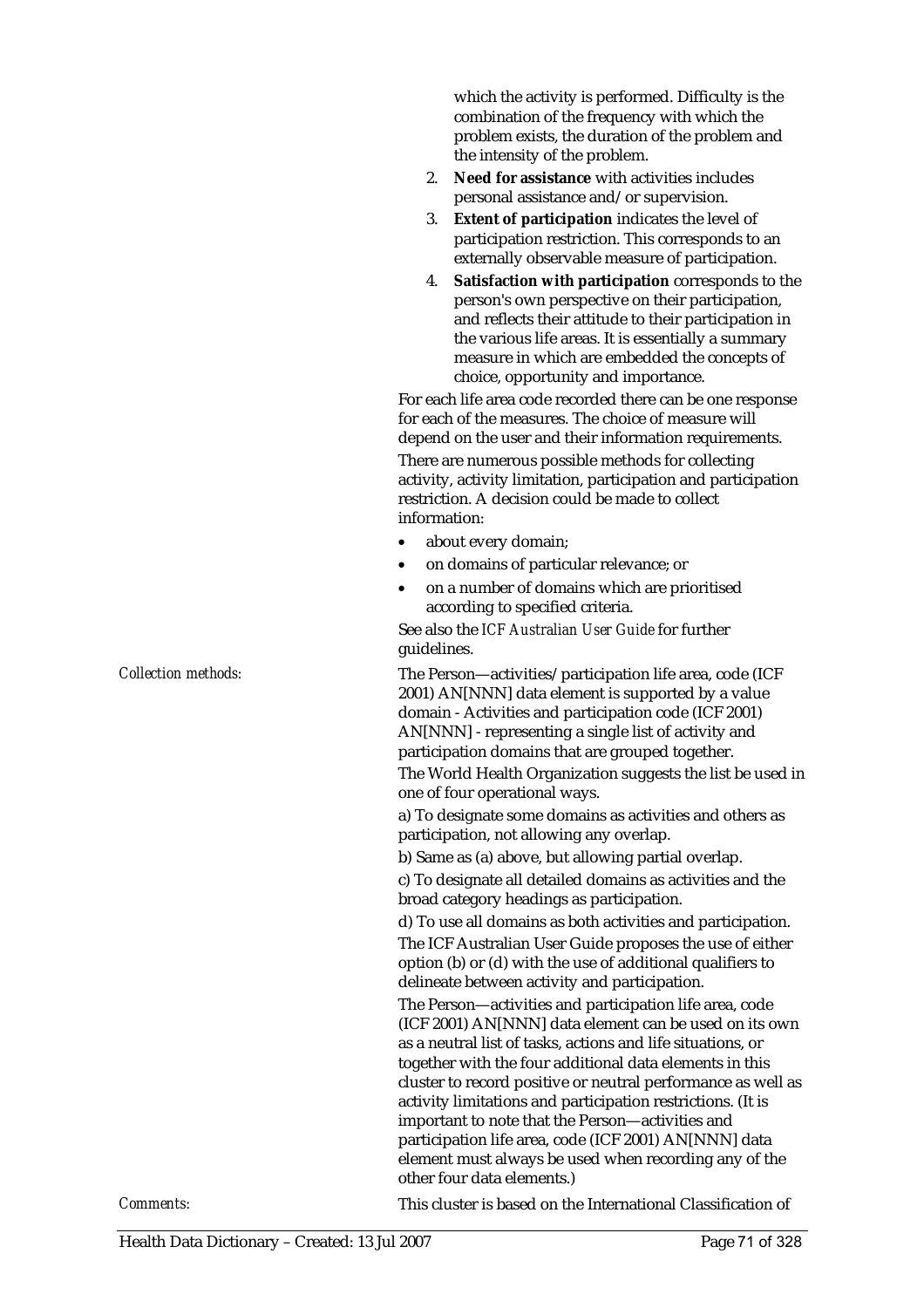which the activity is performed. Difficulty is the combination of the frequency with which the problem exists, the duration of the problem and the intensity of the problem.

- 2. **Need for assistance** with activities includes personal assistance and/or supervision.
- 3. **Extent of participation** indicates the level of participation restriction. This corresponds to an externally observable measure of participation.
- 4. **Satisfaction with participation** corresponds to the person's own perspective on their participation, and reflects their attitude to their participation in the various life areas. It is essentially a summary measure in which are embedded the concepts of choice, opportunity and importance.

For each life area code recorded there can be one response for each of the measures. The choice of measure will depend on the user and their information requirements. There are numerous possible methods for collecting activity, activity limitation, participation and participation restriction. A decision could be made to collect information:

- about every domain;
- on domains of particular relevance; or
- on a number of domains which are prioritised according to specified criteria.

See also the *ICF Australian User Guide* for further guidelines.

*Collection methods:* The Person—activities/participation life area, code (ICF 2001) AN[NNN] data element is supported by a value domain - Activities and participation code (ICF 2001) AN[NNN] - representing a single list of activity and participation domains that are grouped together.

The World Health Organization suggests the list be used in one of four operational ways.

a) To designate some domains as activities and others as participation, not allowing any overlap.

b) Same as (a) above, but allowing partial overlap. c) To designate all detailed domains as activities and the broad category headings as participation.

d) To use all domains as both activities and participation. The ICF Australian User Guide proposes the use of either option (b) or (d) with the use of additional qualifiers to delineate between activity and participation.

The Person—activities and participation life area, code (ICF 2001) AN[NNN] data element can be used on its own as a neutral list of tasks, actions and life situations, or together with the four additional data elements in this cluster to record positive or neutral performance as well as activity limitations and participation restrictions. (It is important to note that the Person—activities and participation life area, code (ICF 2001) AN[NNN] data element must always be used when recording any of the other four data elements.)

*Comments:* This cluster is based on the International Classification of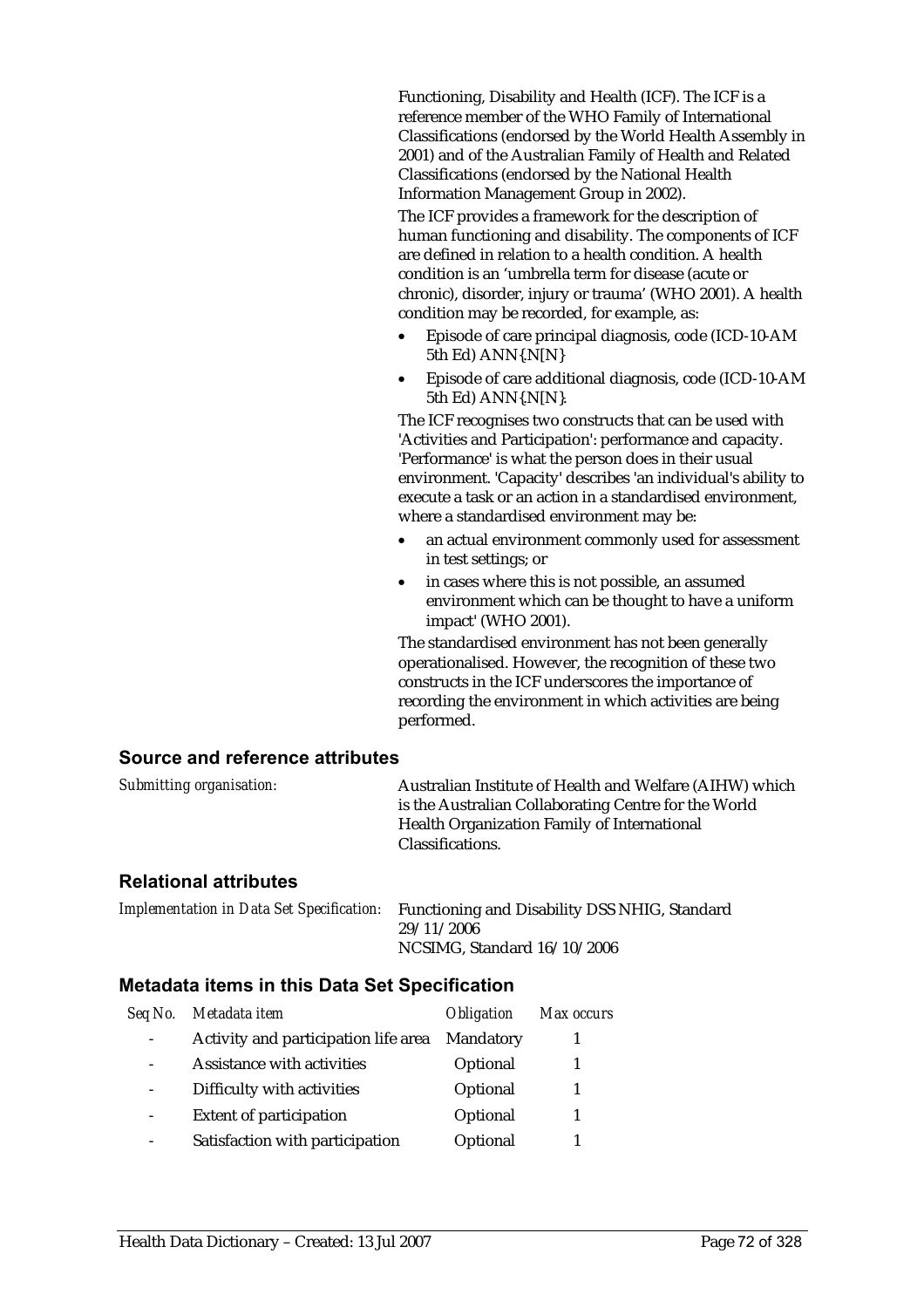Functioning, Disability and Health (ICF). The ICF is a reference member of the WHO Family of International Classifications (endorsed by the World Health Assembly in 2001) and of the Australian Family of Health and Related Classifications (endorsed by the National Health Information Management Group in 2002).

The ICF provides a framework for the description of human functioning and disability. The components of ICF are defined in relation to a health condition. A health condition is an 'umbrella term for disease (acute or chronic), disorder, injury or trauma' (WHO 2001). A health condition may be recorded, for example, as:

- Episode of care principal diagnosis, code (ICD-10-AM 5th Ed) ANN{.N[N}
- Episode of care additional diagnosis, code (ICD-10-AM 5th Ed) ANN{.N[N}.

The ICF recognises two constructs that can be used with 'Activities and Participation': performance and capacity. 'Performance' is what the person does in their usual environment. 'Capacity' describes 'an individual's ability to execute a task or an action in a standardised environment, where a standardised environment may be:

- an actual environment commonly used for assessment in test settings; or
- in cases where this is not possible, an assumed environment which can be thought to have a uniform impact' (WHO 2001).

The standardised environment has not been generally operationalised. However, the recognition of these two constructs in the ICF underscores the importance of recording the environment in which activities are being performed.

#### **Source and reference attributes**

| Submitting organisation: | Australian Institute of Health and Welfare (AIHW) which |
|--------------------------|---------------------------------------------------------|
|                          | is the Australian Collaborating Centre for the World    |
|                          | Health Organization Family of International             |
|                          | Classifications.                                        |
|                          |                                                         |

#### **Relational attributes**

*Implementation in Data Set Specification:* Functioning and Disability DSS NHIG, Standard 29/11/2006 NCSIMG, Standard 16/10/2006

| Seq No. | Metadata item                        | <i><b>Obligation</b></i> | Max occurs |
|---------|--------------------------------------|--------------------------|------------|
|         | Activity and participation life area | Mandatory                |            |
|         | Assistance with activities           | Optional                 |            |
|         | Difficulty with activities           | Optional                 |            |
|         | <b>Extent of participation</b>       | Optional                 |            |
|         | Satisfaction with participation      | Optional                 |            |
|         |                                      |                          |            |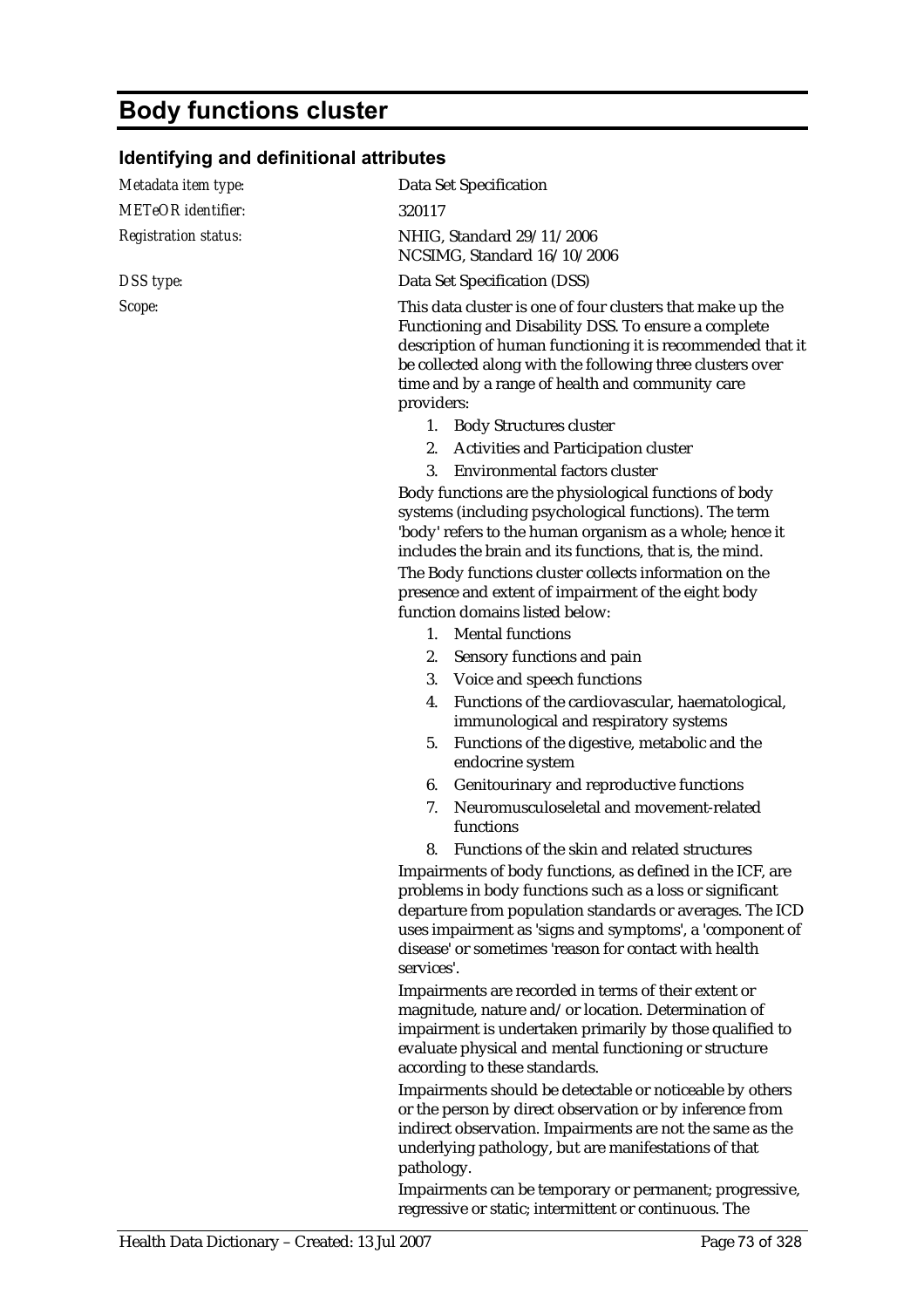## **Body functions cluster**

### **Identifying and definitional attributes**

| Metadata item type:         | Data Set Specification                                                                                                                                                                                                                                                                                               |  |  |
|-----------------------------|----------------------------------------------------------------------------------------------------------------------------------------------------------------------------------------------------------------------------------------------------------------------------------------------------------------------|--|--|
| <b>METeOR</b> identifier:   | 320117                                                                                                                                                                                                                                                                                                               |  |  |
| <b>Registration status:</b> | NHIG, Standard 29/11/2006<br>NCSIMG, Standard 16/10/2006                                                                                                                                                                                                                                                             |  |  |
| DSS type:                   | Data Set Specification (DSS)                                                                                                                                                                                                                                                                                         |  |  |
| Scope:                      | This data cluster is one of four clusters that make up the<br>Functioning and Disability DSS. To ensure a complete<br>description of human functioning it is recommended that it<br>be collected along with the following three clusters over<br>time and by a range of health and community care<br>providers:      |  |  |
|                             | 1. Body Structures cluster                                                                                                                                                                                                                                                                                           |  |  |
|                             | 2. Activities and Participation cluster                                                                                                                                                                                                                                                                              |  |  |
|                             | Environmental factors cluster<br>3.                                                                                                                                                                                                                                                                                  |  |  |
|                             | Body functions are the physiological functions of body<br>systems (including psychological functions). The term<br>'body' refers to the human organism as a whole; hence it<br>includes the brain and its functions, that is, the mind.                                                                              |  |  |
|                             | The Body functions cluster collects information on the<br>presence and extent of impairment of the eight body<br>function domains listed below:                                                                                                                                                                      |  |  |
|                             | 1. Mental functions                                                                                                                                                                                                                                                                                                  |  |  |
|                             | 2.<br>Sensory functions and pain                                                                                                                                                                                                                                                                                     |  |  |
|                             | 3. Voice and speech functions                                                                                                                                                                                                                                                                                        |  |  |
|                             | Functions of the cardiovascular, haematological,<br>4.<br>immunological and respiratory systems                                                                                                                                                                                                                      |  |  |
|                             | Functions of the digestive, metabolic and the<br>5.<br>endocrine system                                                                                                                                                                                                                                              |  |  |
|                             | Genitourinary and reproductive functions<br>6.                                                                                                                                                                                                                                                                       |  |  |
|                             | Neuromusculoseletal and movement-related<br>7.<br>functions                                                                                                                                                                                                                                                          |  |  |
|                             | Functions of the skin and related structures<br>8.                                                                                                                                                                                                                                                                   |  |  |
|                             | Impairments of body functions, as defined in the ICF, are<br>problems in body functions such as a loss or significant<br>departure from population standards or averages. The ICD<br>uses impairment as 'signs and symptoms', a 'component of<br>disease' or sometimes 'reason for contact with health<br>services'. |  |  |
|                             | Impairments are recorded in terms of their extent or<br>magnitude, nature and/or location. Determination of<br>impairment is undertaken primarily by those qualified to<br>evaluate physical and mental functioning or structure<br>according to these standards.                                                    |  |  |
|                             | Impairments should be detectable or noticeable by others<br>or the person by direct observation or by inference from<br>indirect observation. Impairments are not the same as the<br>underlying pathology, but are manifestations of that<br>pathology.                                                              |  |  |

Impairments can be temporary or permanent; progressive, regressive or static; intermittent or continuous. The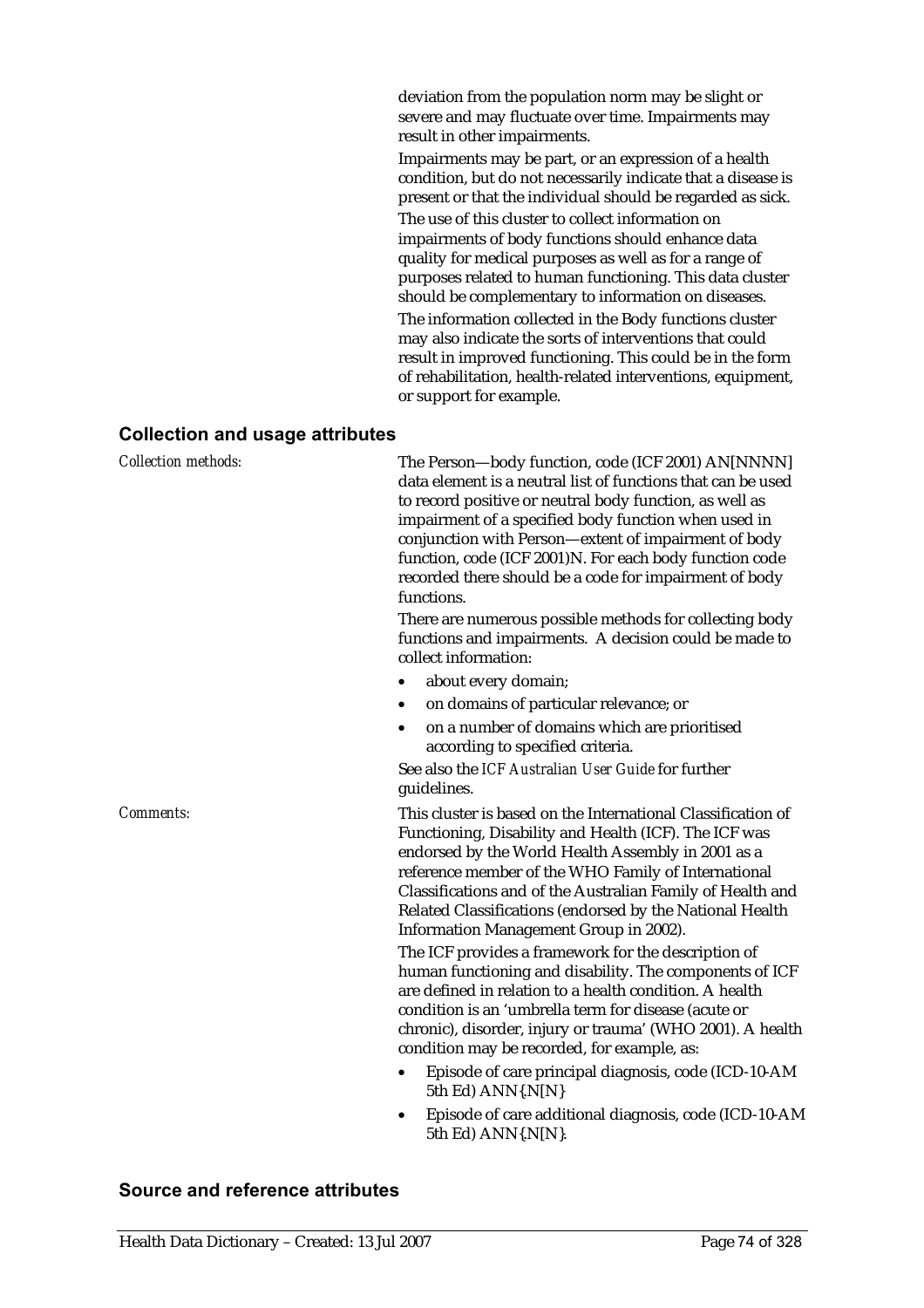deviation from the population norm may be slight or severe and may fluctuate over time. Impairments may result in other impairments.

Impairments may be part, or an expression of a health condition, but do not necessarily indicate that a disease is present or that the individual should be regarded as sick. The use of this cluster to collect information on impairments of body functions should enhance data quality for medical purposes as well as for a range of purposes related to human functioning. This data cluster should be complementary to information on diseases.

The information collected in the Body functions cluster may also indicate the sorts of interventions that could result in improved functioning. This could be in the form of rehabilitation, health-related interventions, equipment, or support for example.

#### **Collection and usage attributes**

| <b>Collection methods:</b> | The Person-body function, code (ICF 2001) AN[NNNN]<br>data element is a neutral list of functions that can be used<br>to record positive or neutral body function, as well as<br>impairment of a specified body function when used in<br>conjunction with Person-extent of impairment of body<br>function, code (ICF 2001)N. For each body function code<br>recorded there should be a code for impairment of body<br>functions. |
|----------------------------|----------------------------------------------------------------------------------------------------------------------------------------------------------------------------------------------------------------------------------------------------------------------------------------------------------------------------------------------------------------------------------------------------------------------------------|
|                            | There are numerous possible methods for collecting body<br>functions and impairments. A decision could be made to<br>collect information:                                                                                                                                                                                                                                                                                        |
|                            | about every domain;                                                                                                                                                                                                                                                                                                                                                                                                              |
|                            | on domains of particular relevance; or                                                                                                                                                                                                                                                                                                                                                                                           |
|                            | on a number of domains which are prioritised<br>$\bullet$<br>according to specified criteria.                                                                                                                                                                                                                                                                                                                                    |
|                            | See also the ICF Australian User Guide for further<br>guidelines.                                                                                                                                                                                                                                                                                                                                                                |
| Comments:                  | This cluster is based on the International Classification of<br>Functioning, Disability and Health (ICF). The ICF was<br>endorsed by the World Health Assembly in 2001 as a<br>reference member of the WHO Family of International<br>Classifications and of the Australian Family of Health and<br>Related Classifications (endorsed by the National Health<br>Information Management Group in 2002).                           |
|                            | The ICF provides a framework for the description of<br>human functioning and disability. The components of ICF<br>are defined in relation to a health condition. A health<br>condition is an 'umbrella term for disease (acute or<br>chronic), disorder, injury or trauma' (WHO 2001). A health<br>condition may be recorded, for example, as:                                                                                   |
|                            | Episode of care principal diagnosis, code (ICD-10-AM<br>5th Ed) ANN{.N[N}                                                                                                                                                                                                                                                                                                                                                        |
|                            | Episode of care additional diagnosis, code (ICD-10-AM<br>5th Ed) $ANN\{N[N]\}$ .                                                                                                                                                                                                                                                                                                                                                 |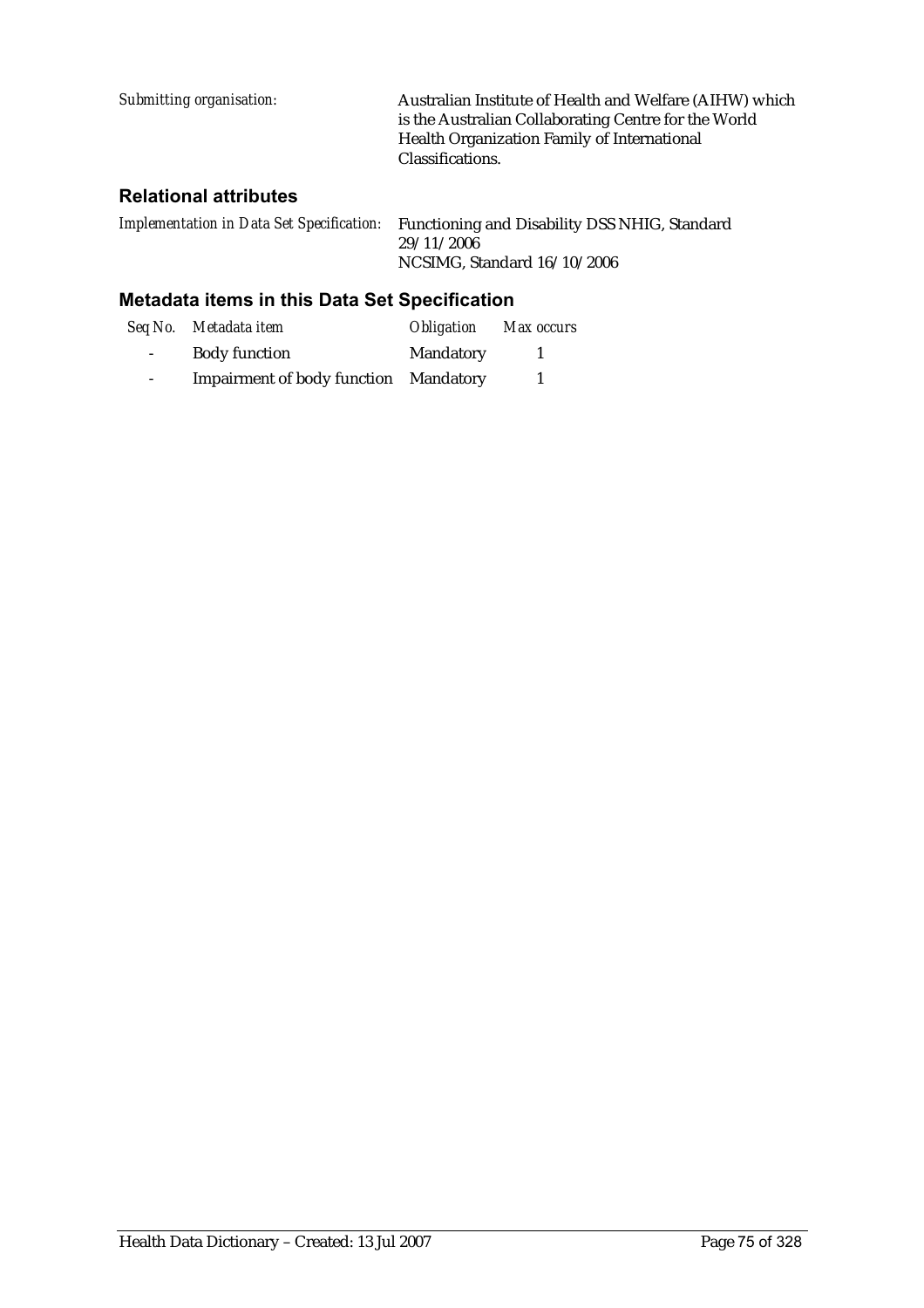| Submitting organisation: | Australian Institute of Health and Welfare (AIHW) which                                                    |
|--------------------------|------------------------------------------------------------------------------------------------------------|
|                          | is the Australian Collaborating Centre for the World<br><b>Health Organization Family of International</b> |
|                          | Classifications.                                                                                           |

### **Relational attributes**

| Implementation in Data Set Specification: Functioning and Disability DSS NHIG, Standard |
|-----------------------------------------------------------------------------------------|
| 29/11/2006                                                                              |
| NCSIMG, Standard 16/10/2006                                                             |

### **Metadata items in this Data Set Specification**

|                 | Seq No. Metadata item                 | <i><b>Obligation</b></i> | Max occurs |
|-----------------|---------------------------------------|--------------------------|------------|
| $\sim 100$      | <b>Body function</b>                  | Mandatory                |            |
| $\sim$ 10 $\pm$ | Impairment of body function Mandatory |                          |            |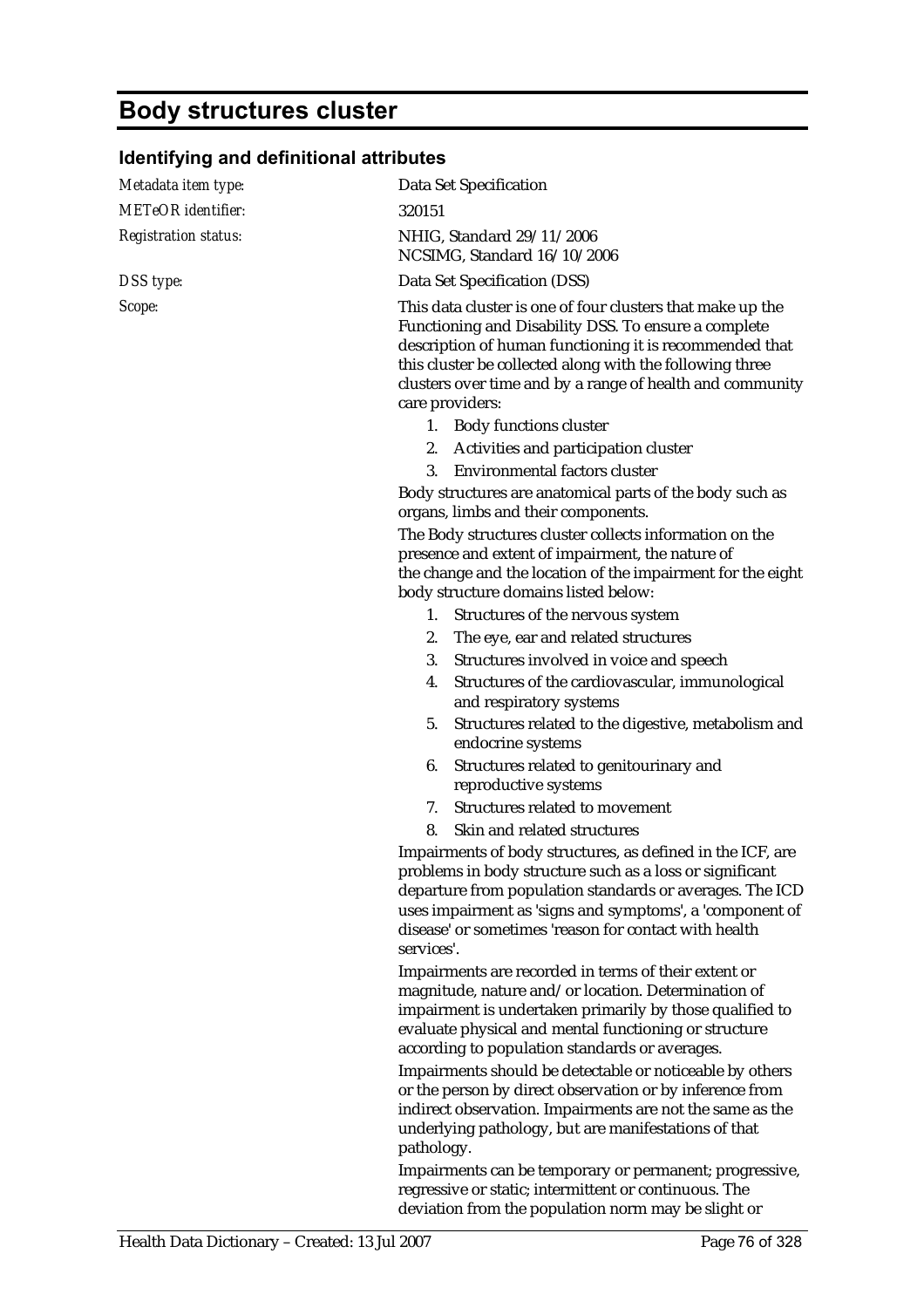## **Body structures cluster**

### **Identifying and definitional attributes**

| Metadata item type:         | Data Set Specification                                                                                                                                                                                                                                                                                                    |  |  |
|-----------------------------|---------------------------------------------------------------------------------------------------------------------------------------------------------------------------------------------------------------------------------------------------------------------------------------------------------------------------|--|--|
| <b>METeOR</b> identifier:   | 320151                                                                                                                                                                                                                                                                                                                    |  |  |
| <b>Registration status:</b> | NHIG, Standard 29/11/2006<br>NCSIMG, Standard 16/10/2006                                                                                                                                                                                                                                                                  |  |  |
| DSS type:                   | Data Set Specification (DSS)                                                                                                                                                                                                                                                                                              |  |  |
| Scope:                      | This data cluster is one of four clusters that make up the<br>Functioning and Disability DSS. To ensure a complete<br>description of human functioning it is recommended that<br>this cluster be collected along with the following three<br>clusters over time and by a range of health and community<br>care providers: |  |  |
|                             | 1. Body functions cluster                                                                                                                                                                                                                                                                                                 |  |  |
|                             | 2. Activities and participation cluster                                                                                                                                                                                                                                                                                   |  |  |
|                             | Environmental factors cluster<br>3.                                                                                                                                                                                                                                                                                       |  |  |
|                             | Body structures are anatomical parts of the body such as<br>organs, limbs and their components.                                                                                                                                                                                                                           |  |  |
|                             | The Body structures cluster collects information on the<br>presence and extent of impairment, the nature of<br>the change and the location of the impairment for the eight<br>body structure domains listed below:                                                                                                        |  |  |
|                             | 1. Structures of the nervous system                                                                                                                                                                                                                                                                                       |  |  |
|                             | The eye, ear and related structures<br>2.                                                                                                                                                                                                                                                                                 |  |  |
|                             | 3.<br>Structures involved in voice and speech                                                                                                                                                                                                                                                                             |  |  |
|                             | Structures of the cardiovascular, immunological<br>4.<br>and respiratory systems                                                                                                                                                                                                                                          |  |  |
|                             | Structures related to the digestive, metabolism and<br>5.<br>endocrine systems                                                                                                                                                                                                                                            |  |  |
|                             | Structures related to genitourinary and<br>6.<br>reproductive systems                                                                                                                                                                                                                                                     |  |  |
|                             | Structures related to movement<br>7.                                                                                                                                                                                                                                                                                      |  |  |
|                             | Skin and related structures<br>8.                                                                                                                                                                                                                                                                                         |  |  |
|                             | Impairments of body structures, as defined in the ICF, are<br>problems in body structure such as a loss or significant<br>departure from population standards or averages. The ICD<br>uses impairment as 'signs and symptoms', a 'component of<br>disease' or sometimes 'reason for contact with health<br>services'.     |  |  |
|                             | Impairments are recorded in terms of their extent or<br>magnitude, nature and/or location. Determination of<br>impairment is undertaken primarily by those qualified to<br>evaluate physical and mental functioning or structure<br>according to population standards or averages.                                        |  |  |
|                             | Impairments should be detectable or noticeable by others<br>or the person by direct observation or by inference from<br>indirect observation. Impairments are not the same as the<br>underlying pathology, but are manifestations of that<br>pathology.                                                                   |  |  |
|                             | Impairments can be temporary or permanent: progressive.                                                                                                                                                                                                                                                                   |  |  |

Impairments can be temporary or permanent; progressive, regressive or static; intermittent or continuous. The deviation from the population norm may be slight or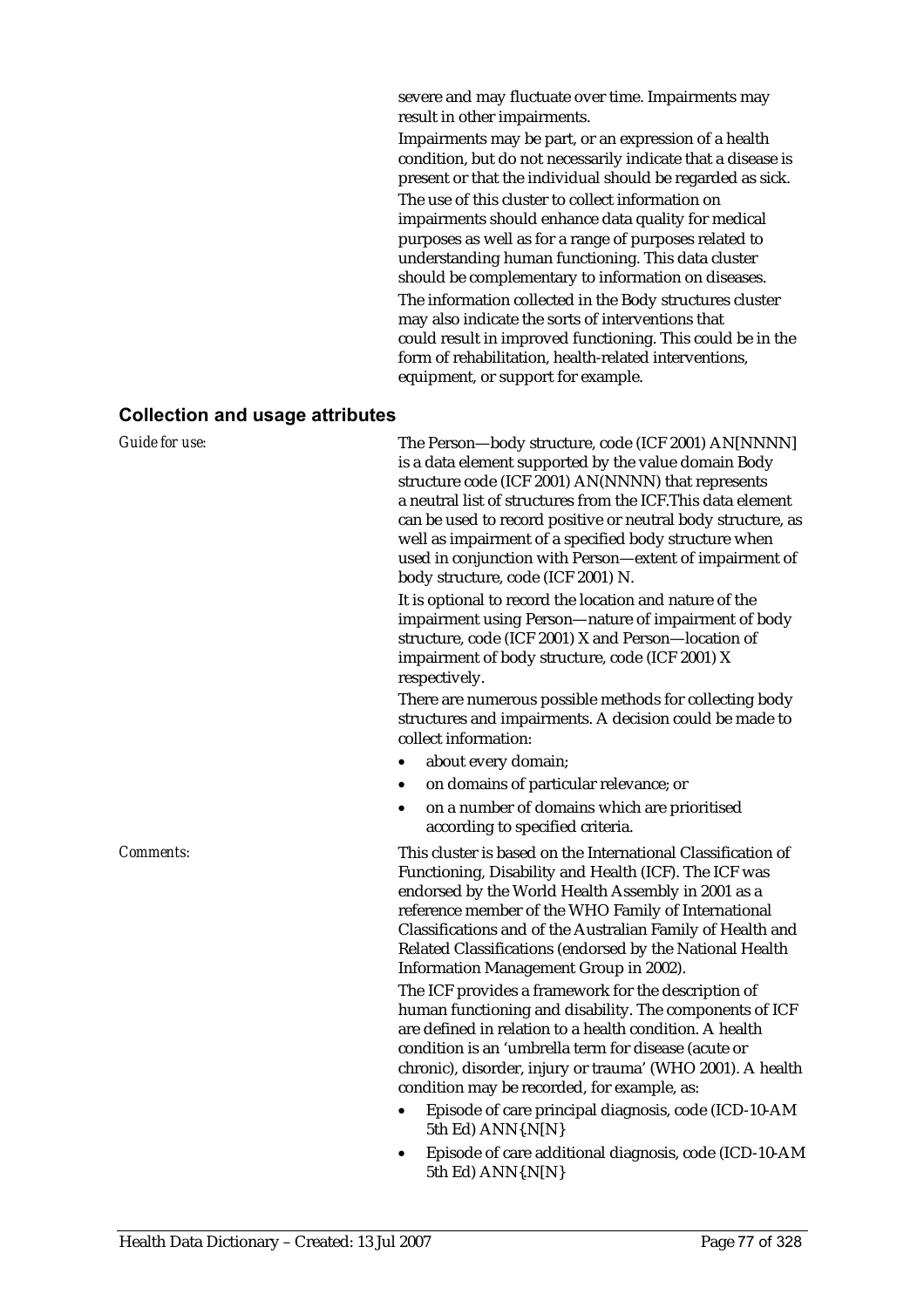severe and may fluctuate over time. Impairments may result in other impairments.

Impairments may be part, or an expression of a health condition, but do not necessarily indicate that a disease is present or that the individual should be regarded as sick.

The use of this cluster to collect information on impairments should enhance data quality for medical purposes as well as for a range of purposes related to understanding human functioning. This data cluster should be complementary to information on diseases. The information collected in the Body structures cluster may also indicate the sorts of interventions that could result in improved functioning. This could be in the form of rehabilitation, health-related interventions, equipment, or support for example.

#### **Collection and usage attributes**

| Guide for use:   | The Person-body structure, code (ICF 2001) AN[NNNN]<br>is a data element supported by the value domain Body<br>structure code (ICF 2001) AN(NNNN) that represents<br>a neutral list of structures from the ICF. This data element<br>can be used to record positive or neutral body structure, as<br>well as impairment of a specified body structure when<br>used in conjunction with Person-extent of impairment of<br>body structure, code (ICF 2001) N. |  |  |
|------------------|-------------------------------------------------------------------------------------------------------------------------------------------------------------------------------------------------------------------------------------------------------------------------------------------------------------------------------------------------------------------------------------------------------------------------------------------------------------|--|--|
|                  | It is optional to record the location and nature of the<br>impairment using Person-nature of impairment of body<br>structure, code (ICF 2001) X and Person-location of<br>impairment of body structure, code (ICF 2001) X<br>respectively.                                                                                                                                                                                                                  |  |  |
|                  | There are numerous possible methods for collecting body<br>structures and impairments. A decision could be made to<br>collect information:                                                                                                                                                                                                                                                                                                                  |  |  |
|                  | about every domain;                                                                                                                                                                                                                                                                                                                                                                                                                                         |  |  |
|                  | on domains of particular relevance; or                                                                                                                                                                                                                                                                                                                                                                                                                      |  |  |
|                  | on a number of domains which are prioritised<br>$\bullet$<br>according to specified criteria.                                                                                                                                                                                                                                                                                                                                                               |  |  |
| <i>Comments:</i> | This cluster is based on the International Classification of<br>Functioning, Disability and Health (ICF). The ICF was<br>endorsed by the World Health Assembly in 2001 as a<br>reference member of the WHO Family of International<br>Classifications and of the Australian Family of Health and<br>Related Classifications (endorsed by the National Health<br>Information Management Group in 2002).                                                      |  |  |
|                  | The ICF provides a framework for the description of<br>human functioning and disability. The components of ICF<br>are defined in relation to a health condition. A health<br>condition is an 'umbrella term for disease (acute or<br>chronic), disorder, injury or trauma' (WHO 2001). A health<br>condition may be recorded, for example, as:                                                                                                              |  |  |
|                  | Episode of care principal diagnosis, code (ICD-10-AM<br>$\bullet$<br>5th Ed) ANN{.N[N}                                                                                                                                                                                                                                                                                                                                                                      |  |  |
|                  | Episode of care additional diagnosis, code (ICD-10-AM<br>5th Ed) ANN{.N[N}                                                                                                                                                                                                                                                                                                                                                                                  |  |  |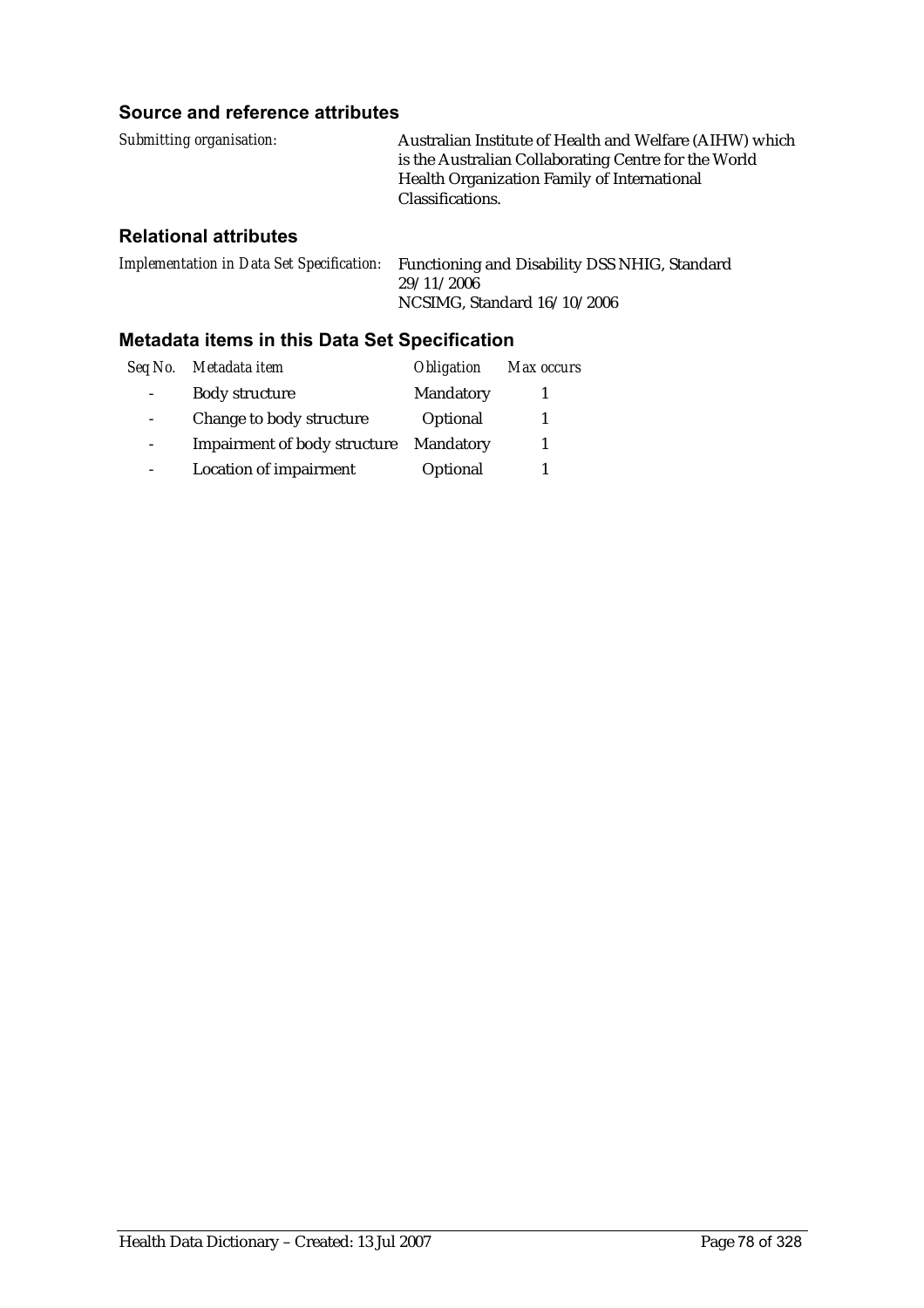### **Source and reference attributes**

| Submitting organisation: | Australian Institute of Health and Welfare (AIHW) which |
|--------------------------|---------------------------------------------------------|
|                          | is the Australian Collaborating Centre for the World    |
|                          | Health Organization Family of International             |
|                          | Classifications.                                        |
|                          |                                                         |

### **Relational attributes**

*Implementation in Data Set Specification:* Functioning and Disability DSS NHIG, Standard 29/11/2006 NCSIMG, Standard 16/10/2006

### **Metadata items in this Data Set Specification**

| Seq No. | Metadata item                 | <i><b>Obligation</b></i> | Max occurs |
|---------|-------------------------------|--------------------------|------------|
|         | <b>Body structure</b>         | Mandatory                |            |
|         | Change to body structure      | Optional                 |            |
|         | Impairment of body structure  | Mandatory                |            |
|         | <b>Location of impairment</b> | Optional                 |            |
|         |                               |                          |            |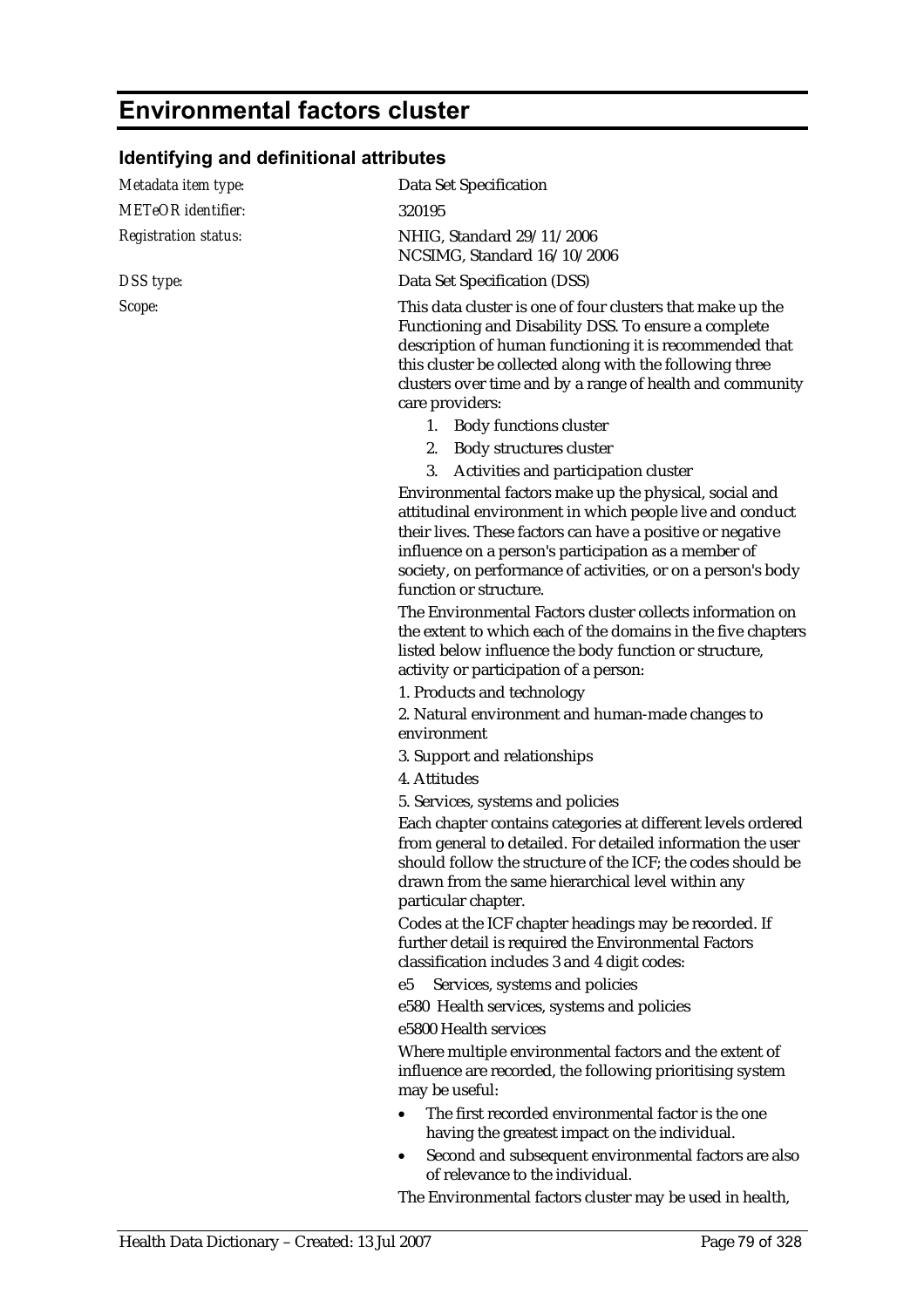## **Environmental factors cluster**

## **Identifying and definitional attributes**

| Metadata item type:         | Data Set Specification                                                                                                                                                                                                                                                                                                             |
|-----------------------------|------------------------------------------------------------------------------------------------------------------------------------------------------------------------------------------------------------------------------------------------------------------------------------------------------------------------------------|
| <b>METeOR</b> identifier:   | 320195                                                                                                                                                                                                                                                                                                                             |
| <b>Registration status:</b> | NHIG, Standard 29/11/2006<br>NCSIMG, Standard 16/10/2006                                                                                                                                                                                                                                                                           |
| DSS type:                   | Data Set Specification (DSS)                                                                                                                                                                                                                                                                                                       |
| Scope:                      | This data cluster is one of four clusters that make up the<br>Functioning and Disability DSS. To ensure a complete<br>description of human functioning it is recommended that<br>this cluster be collected along with the following three<br>clusters over time and by a range of health and community<br>care providers:          |
|                             | 1. Body functions cluster                                                                                                                                                                                                                                                                                                          |
|                             | Body structures cluster<br>2.                                                                                                                                                                                                                                                                                                      |
|                             | Activities and participation cluster<br>3.                                                                                                                                                                                                                                                                                         |
|                             | Environmental factors make up the physical, social and<br>attitudinal environment in which people live and conduct<br>their lives. These factors can have a positive or negative<br>influence on a person's participation as a member of<br>society, on performance of activities, or on a person's body<br>function or structure. |
|                             | The Environmental Factors cluster collects information on<br>the extent to which each of the domains in the five chapters<br>listed below influence the body function or structure,<br>activity or participation of a person:                                                                                                      |
|                             | 1. Products and technology                                                                                                                                                                                                                                                                                                         |
|                             | 2. Natural environment and human-made changes to<br>environment                                                                                                                                                                                                                                                                    |
|                             | 3. Support and relationships                                                                                                                                                                                                                                                                                                       |
|                             | 4. Attitudes                                                                                                                                                                                                                                                                                                                       |
|                             | 5. Services, systems and policies                                                                                                                                                                                                                                                                                                  |
|                             | Each chapter contains categories at different levels ordered<br>from general to detailed. For detailed information the user<br>should follow the structure of the ICF; the codes should be<br>drawn from the same hierarchical level within any<br>particular chapter.                                                             |
|                             | Codes at the ICF chapter headings may be recorded. If<br>further detail is required the Environmental Factors<br>classification includes 3 and 4 digit codes:                                                                                                                                                                      |
|                             | Services, systems and policies<br>e5                                                                                                                                                                                                                                                                                               |
|                             | e580 Health services, systems and policies                                                                                                                                                                                                                                                                                         |
|                             | e5800 Health services                                                                                                                                                                                                                                                                                                              |
|                             | Where multiple environmental factors and the extent of<br>influence are recorded, the following prioritising system<br>may be useful:                                                                                                                                                                                              |
|                             | The first recorded environmental factor is the one<br>having the greatest impact on the individual.                                                                                                                                                                                                                                |
|                             | Second and subsequent environmental factors are also<br>٠<br>of relevance to the individual.                                                                                                                                                                                                                                       |
|                             | The Environmental factors cluster may be used in health,                                                                                                                                                                                                                                                                           |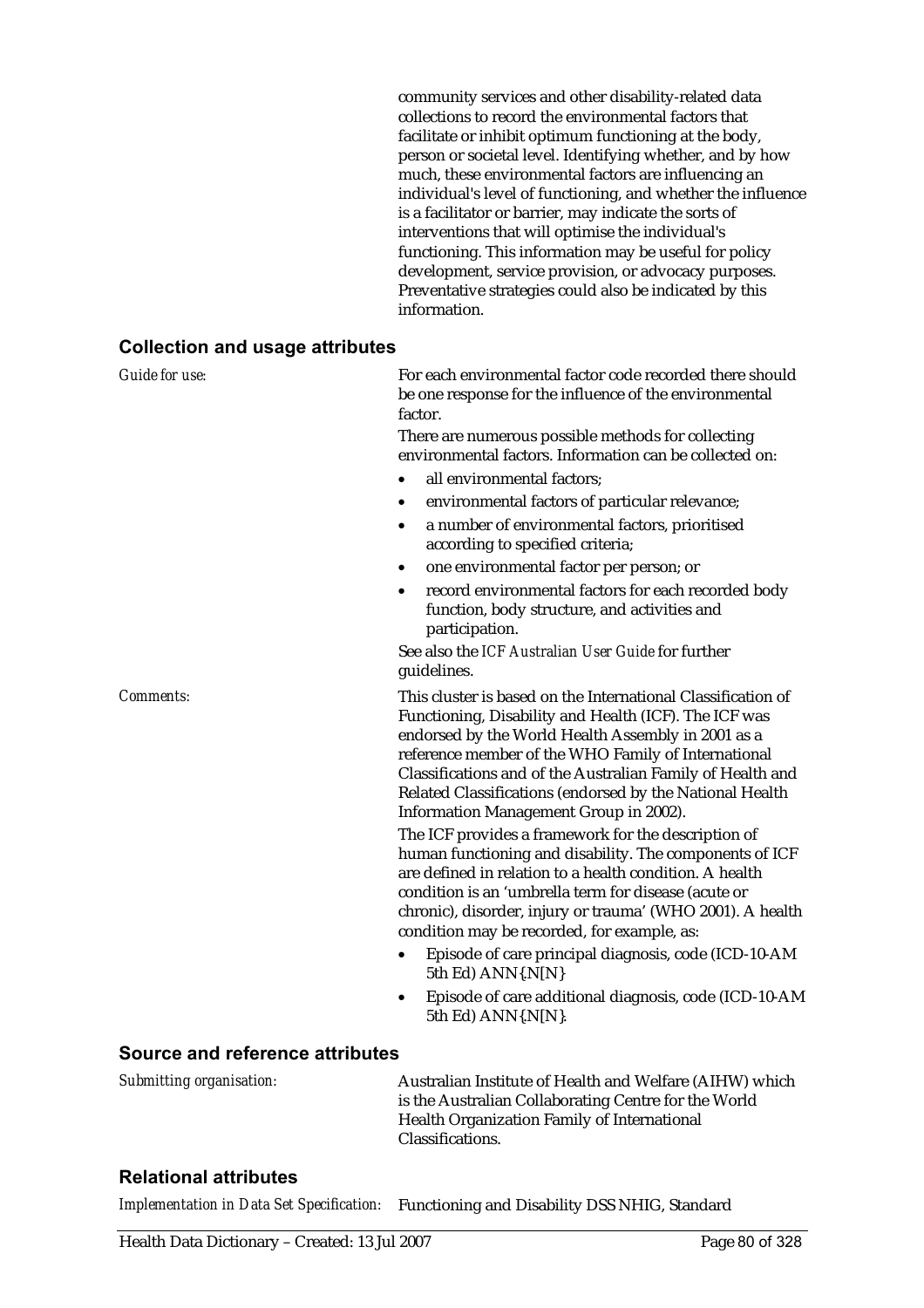community services and other disability-related data collections to record the environmental factors that facilitate or inhibit optimum functioning at the body, person or societal level. Identifying whether, and by how much, these environmental factors are influencing an individual's level of functioning, and whether the influence is a facilitator or barrier, may indicate the sorts of interventions that will optimise the individual's functioning. This information may be useful for policy development, service provision, or advocacy purposes. Preventative strategies could also be indicated by this information.

#### **Collection and usage attributes**

| Guide for use:   | For each environmental factor code recorded there should<br>be one response for the influence of the environmental<br>factor.                                                                                                                                                                                                                                                                                                                                                                                            |  |
|------------------|--------------------------------------------------------------------------------------------------------------------------------------------------------------------------------------------------------------------------------------------------------------------------------------------------------------------------------------------------------------------------------------------------------------------------------------------------------------------------------------------------------------------------|--|
|                  | There are numerous possible methods for collecting<br>environmental factors. Information can be collected on:                                                                                                                                                                                                                                                                                                                                                                                                            |  |
|                  | all environmental factors;<br>$\bullet$                                                                                                                                                                                                                                                                                                                                                                                                                                                                                  |  |
|                  | environmental factors of particular relevance;                                                                                                                                                                                                                                                                                                                                                                                                                                                                           |  |
|                  | a number of environmental factors, prioritised<br>$\bullet$<br>according to specified criteria;                                                                                                                                                                                                                                                                                                                                                                                                                          |  |
|                  | one environmental factor per person; or<br>٠                                                                                                                                                                                                                                                                                                                                                                                                                                                                             |  |
|                  | record environmental factors for each recorded body<br>$\bullet$<br>function, body structure, and activities and<br>participation.                                                                                                                                                                                                                                                                                                                                                                                       |  |
|                  | See also the ICF Australian User Guide for further<br>guidelines.                                                                                                                                                                                                                                                                                                                                                                                                                                                        |  |
| <b>Comments:</b> | This cluster is based on the International Classification of<br>Functioning, Disability and Health (ICF). The ICF was<br>endorsed by the World Health Assembly in 2001 as a<br>reference member of the WHO Family of International<br>Classifications and of the Australian Family of Health and<br>Related Classifications (endorsed by the National Health<br>Information Management Group in 2002).<br>The ICF provides a framework for the description of<br>human functioning and disability. The components of ICF |  |
|                  | are defined in relation to a health condition. A health<br>condition is an 'umbrella term for disease (acute or<br>chronic), disorder, injury or trauma' (WHO 2001). A health<br>condition may be recorded, for example, as:                                                                                                                                                                                                                                                                                             |  |
|                  | Episode of care principal diagnosis, code (ICD-10-AM<br>5th Ed) ANN{.N[N}                                                                                                                                                                                                                                                                                                                                                                                                                                                |  |
|                  | Episode of care additional diagnosis, code (ICD-10-AM<br>$\bullet$<br>5th Ed) ANN{.N[N}.                                                                                                                                                                                                                                                                                                                                                                                                                                 |  |

#### **Source and reference attributes**

*Submitting organisation:* Australian Institute of Health and Welfare (AIHW) which is the Australian Collaborating Centre for the World Health Organization Family of International Classifications.

### **Relational attributes**

*Implementation in Data Set Specification:* Functioning and Disability DSS NHIG, Standard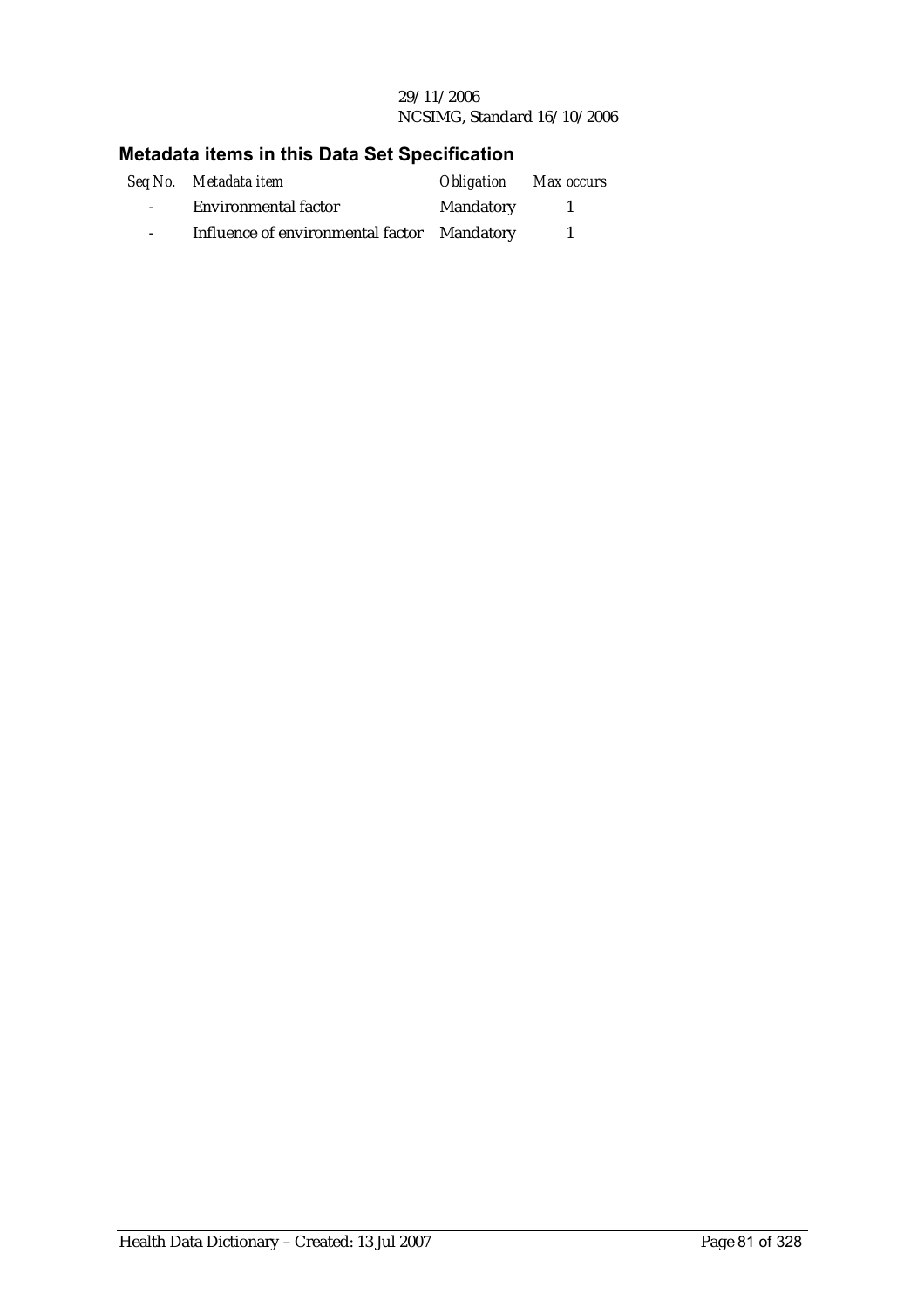#### 29/11/2006 NCSIMG, Standard 16/10/2006

## **Metadata items in this Data Set Specification**

|                  | Seq No. Metadata item                       | <b>Obligation</b> Max occurs |  |
|------------------|---------------------------------------------|------------------------------|--|
| $\sim$ 100 $\mu$ | <b>Environmental factor</b>                 | Mandatory                    |  |
| $\sim$           | Influence of environmental factor Mandatory |                              |  |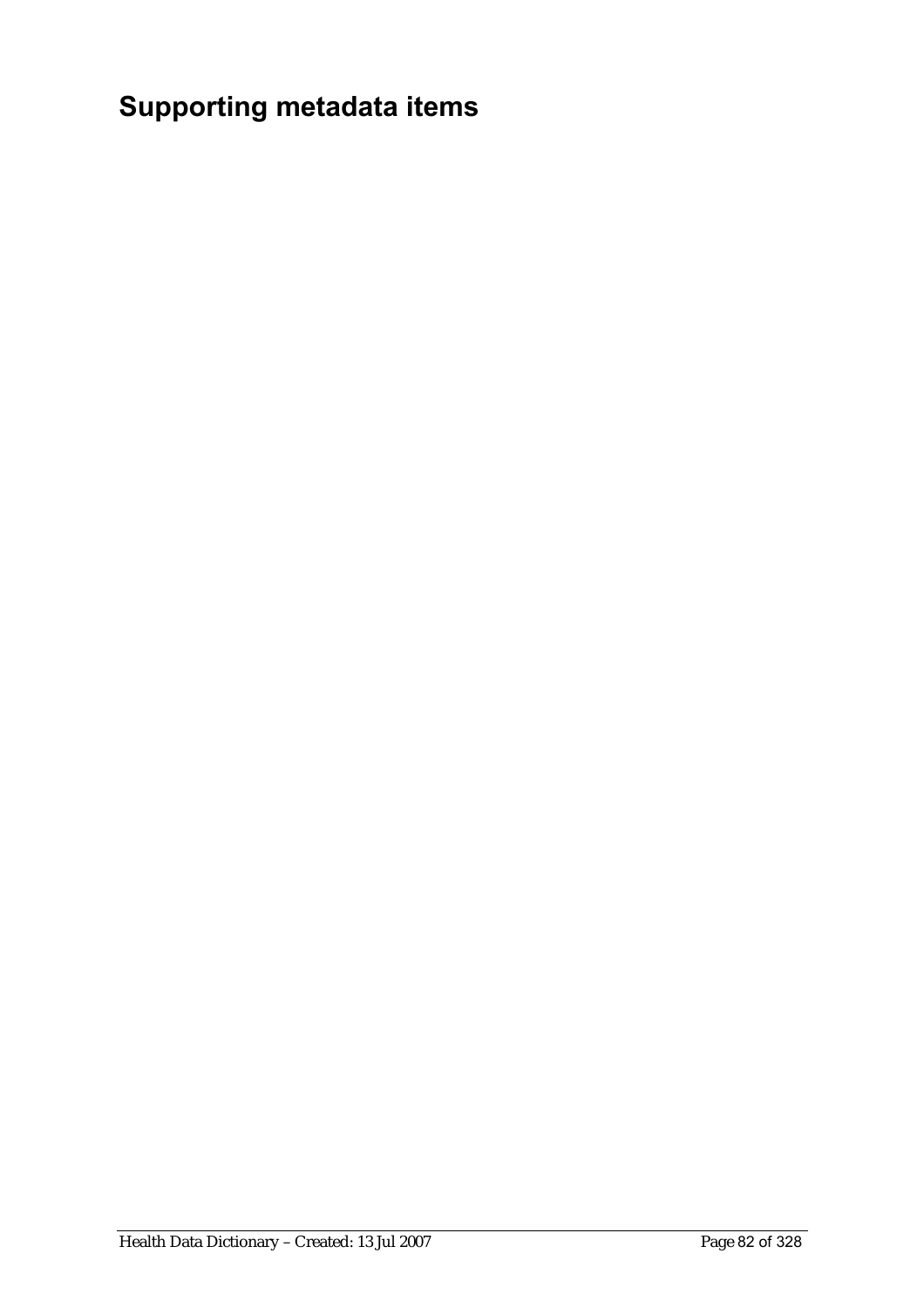# **Supporting metadata items**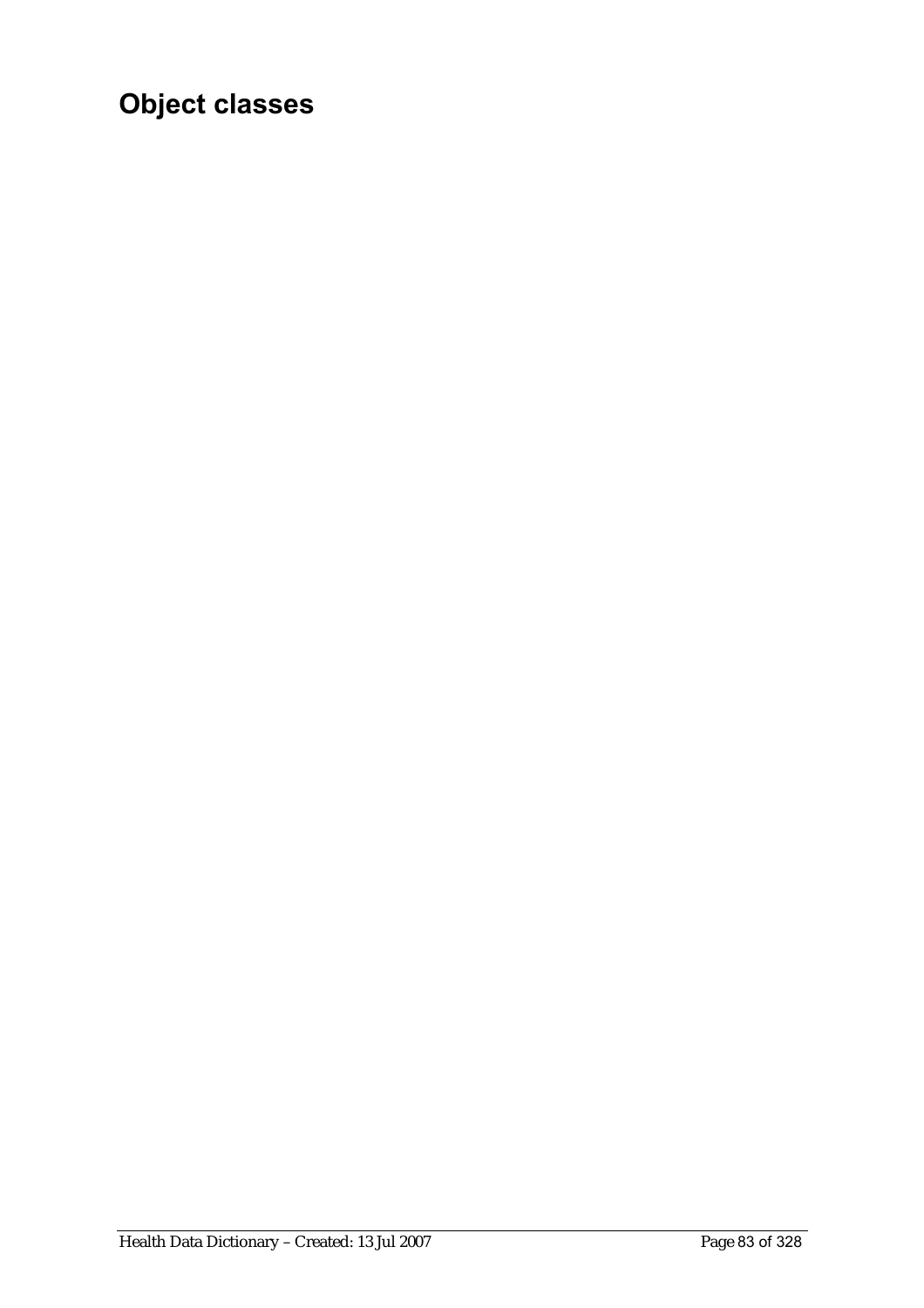# **Object classes**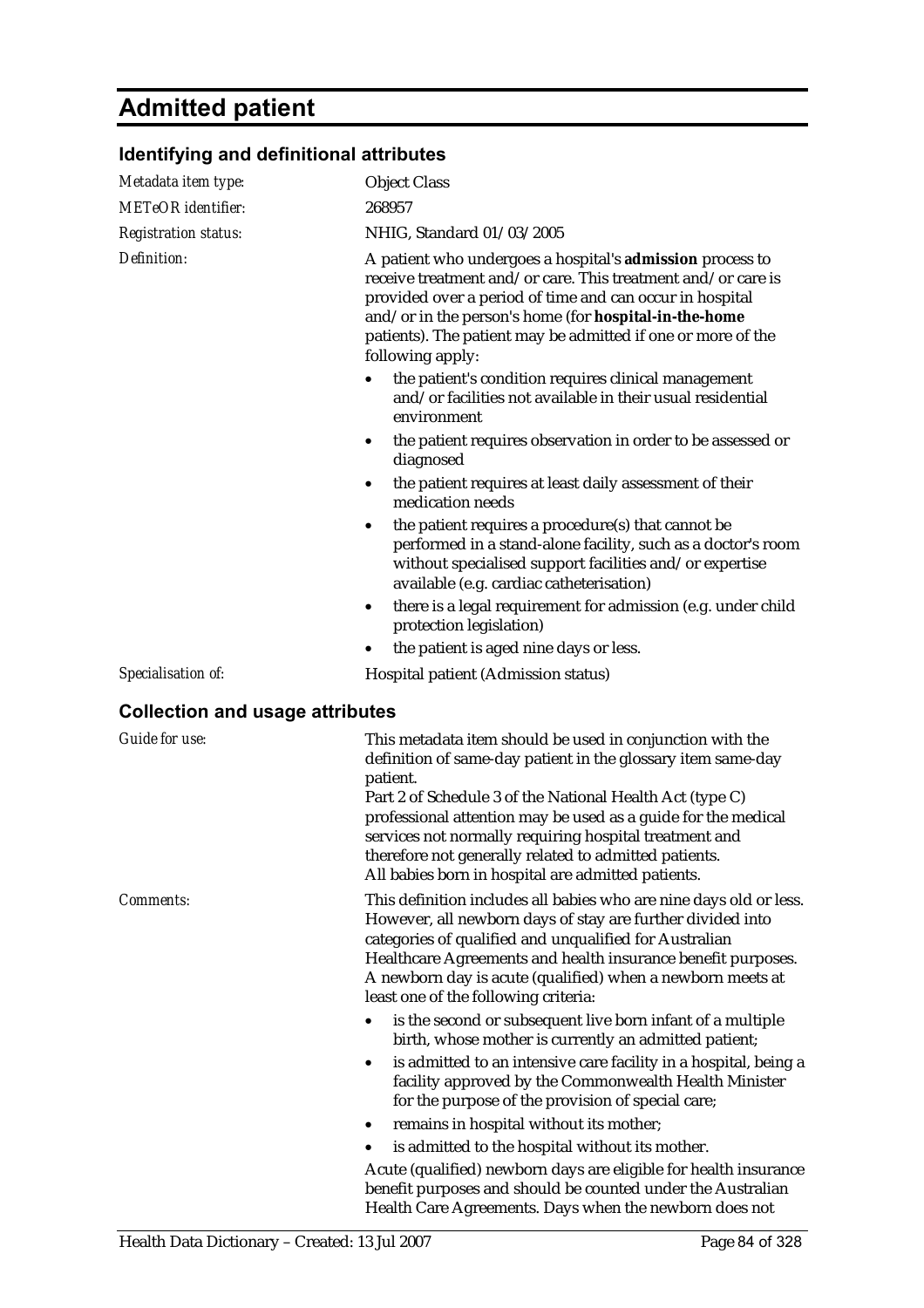## **Admitted patient**

#### **Identifying and definitional attributes**  *Metadata item type:* Object Class *METeOR identifier:* 268957 *Registration status:* NHIG, Standard 01/03/2005 *Definition:* A patient who undergoes a hospital's **admission** process to receive treatment and/or care. This treatment and/or care is provided over a period of time and can occur in hospital and/or in the person's home (for **hospital-in-the-home** patients). The patient may be admitted if one or more of the following apply: • the patient's condition requires clinical management and/or facilities not available in their usual residential environment • the patient requires observation in order to be assessed or diagnosed the patient requires at least daily assessment of their medication needs • the patient requires a procedure(s) that cannot be performed in a stand-alone facility, such as a doctor's room without specialised support facilities and/or expertise available (e.g. cardiac catheterisation) • there is a legal requirement for admission (e.g. under child protection legislation) the patient is aged nine days or less. *Specialisation of:* Hospital patient (Admission status) **Collection and usage attributes**  *Guide for use:* This metadata item should be used in conjunction with the definition of same-day patient in the glossary item same-day patient. Part 2 of Schedule 3 of the National Health Act (type C) professional attention may be used as a guide for the medical services not normally requiring hospital treatment and therefore not generally related to admitted patients. All babies born in hospital are admitted patients. *Comments:* This definition includes all babies who are nine days old or less. However, all newborn days of stay are further divided into categories of qualified and unqualified for Australian Healthcare Agreements and health insurance benefit purposes. A newborn day is acute (qualified) when a newborn meets at least one of the following criteria: • is the second or subsequent live born infant of a multiple birth, whose mother is currently an admitted patient; is admitted to an intensive care facility in a hospital, being a facility approved by the Commonwealth Health Minister for the purpose of the provision of special care; • remains in hospital without its mother; is admitted to the hospital without its mother. Acute (qualified) newborn days are eligible for health insurance benefit purposes and should be counted under the Australian

Health Care Agreements. Days when the newborn does not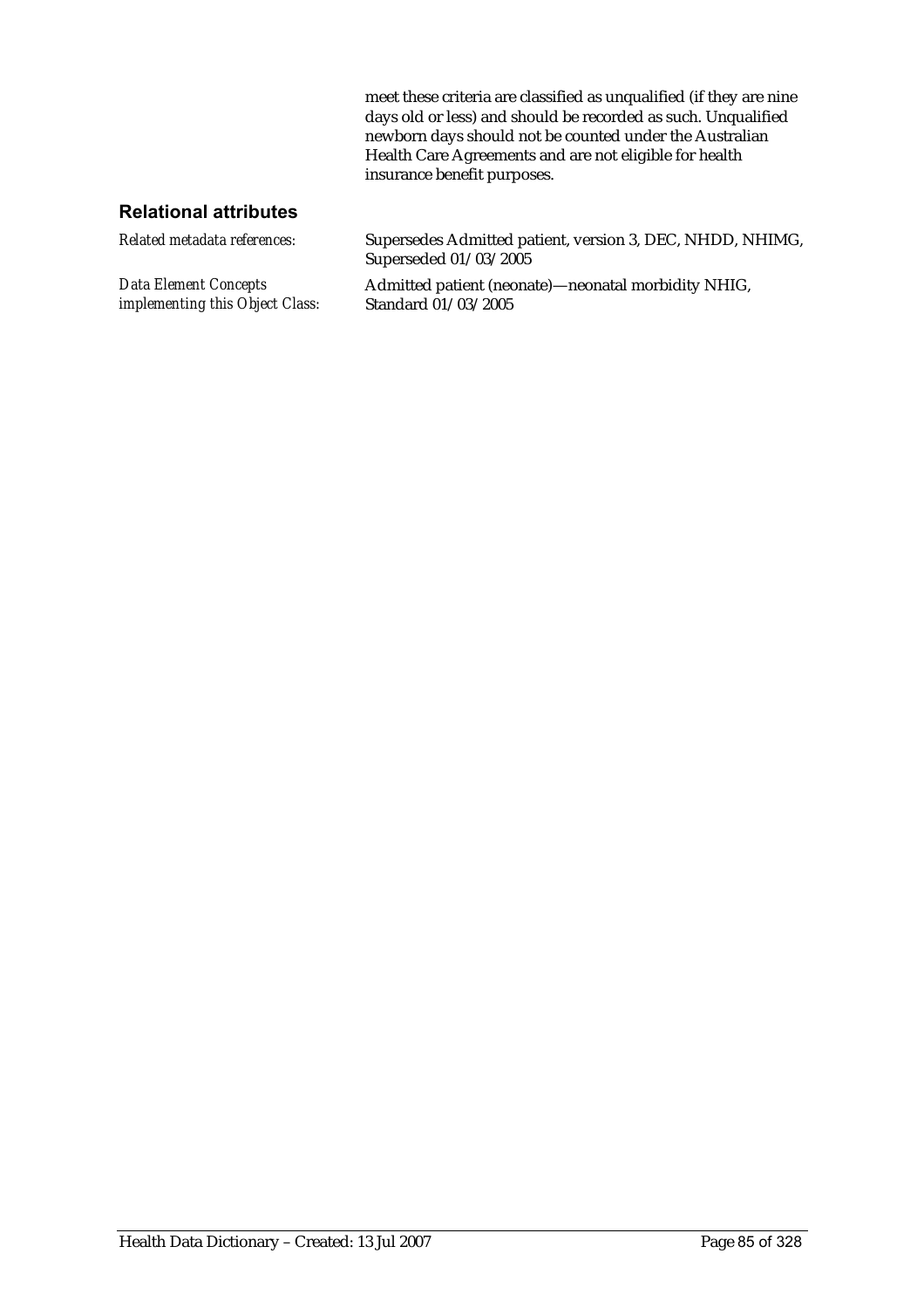meet these criteria are classified as unqualified (if they are nine days old or less) and should be recorded as such. Unqualified newborn days should not be counted under the Australian Health Care Agreements and are not eligible for health insurance benefit purposes.

| Related metadata references:           | Supersedes Admitted patient, version 3, DEC, NHDD, NHIMG,<br>Superseded 01/03/2005 |
|----------------------------------------|------------------------------------------------------------------------------------|
| Data Element Concepts                  | Admitted patient (neonate)—neonatal morbidity NHIG,                                |
| <i>implementing this Object Class:</i> | Standard 01/03/2005                                                                |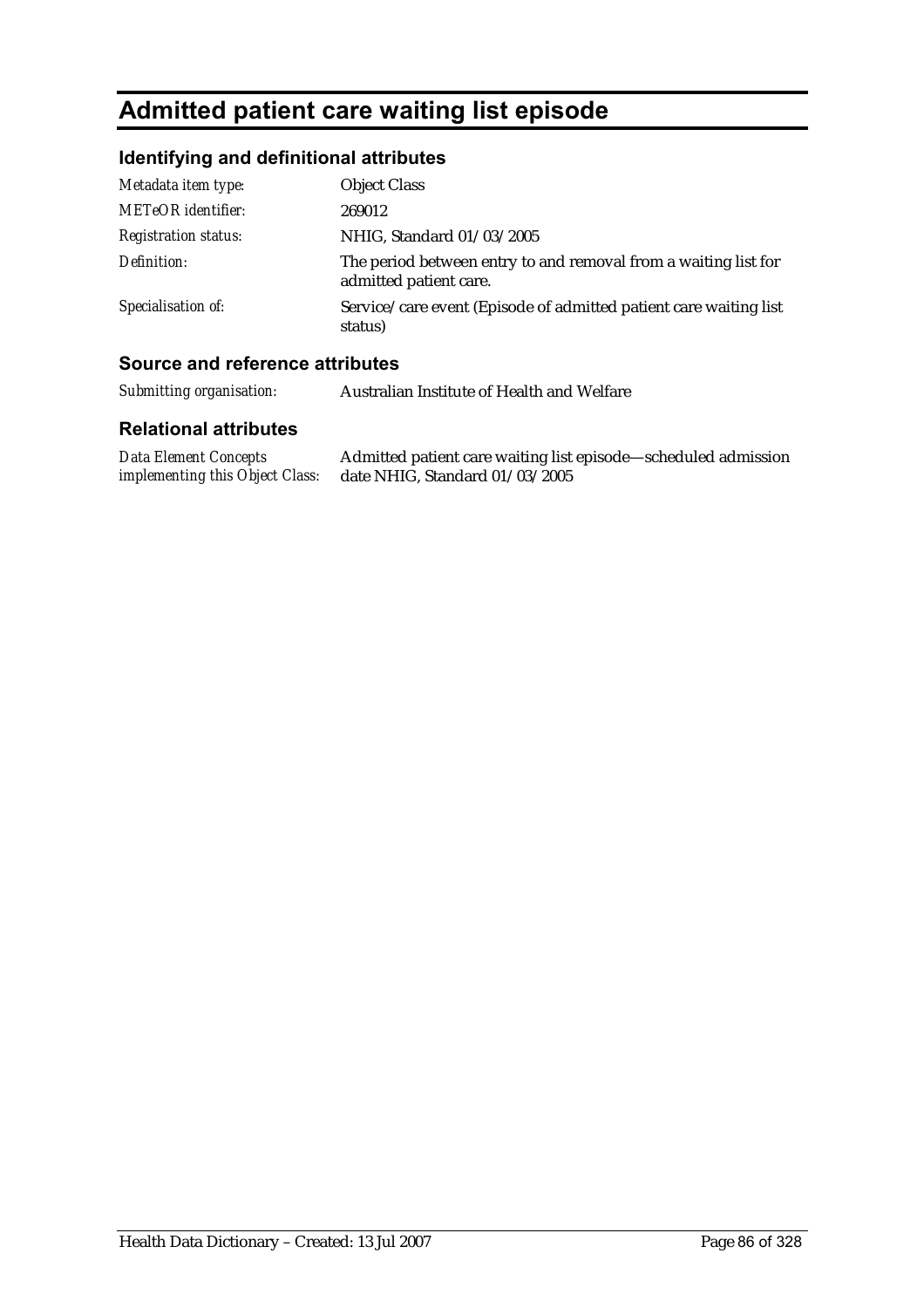## **Admitted patient care waiting list episode**

### **Identifying and definitional attributes**

| Metadata item type:         | <b>Object Class</b>                                                                       |
|-----------------------------|-------------------------------------------------------------------------------------------|
| METeOR identifier:          | 269012                                                                                    |
| <b>Registration status:</b> | NHIG, Standard 01/03/2005                                                                 |
| Definition:                 | The period between entry to and removal from a waiting list for<br>admitted patient care. |
| Specialisation of:          | Service/care event (Episode of admitted patient care waiting list<br>status)              |

### **Source and reference attributes**

*Submitting organisation:* Australian Institute of Health and Welfare

| <b>Data Element Concepts</b> | Admitted patient care waiting list episode—scheduled admission |
|------------------------------|----------------------------------------------------------------|
|                              | implementing this Object Class: date NHIG, Standard 01/03/2005 |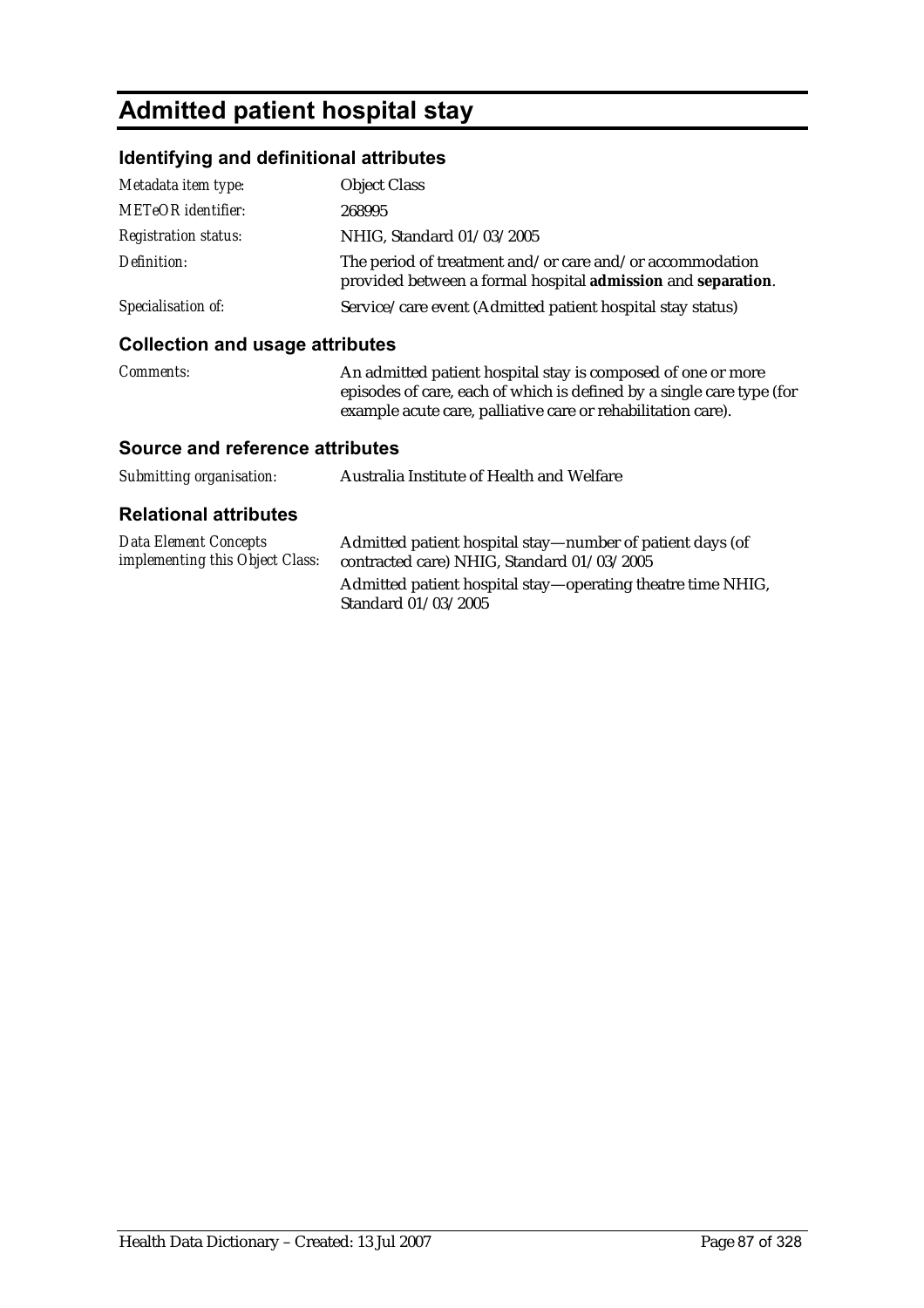## **Admitted patient hospital stay**

### **Identifying and definitional attributes**

| Metadata item type:         | <b>Object Class</b>                                                                                                      |
|-----------------------------|--------------------------------------------------------------------------------------------------------------------------|
| <b>METeOR</b> identifier:   | 268995                                                                                                                   |
| <b>Registration status:</b> | NHIG, Standard 01/03/2005                                                                                                |
| Definition:                 | The period of treatment and/or care and/or accommodation<br>provided between a formal hospital admission and separation. |
| Specialisation of:          | Service/care event (Admitted patient hospital stay status)                                                               |

### **Collection and usage attributes**

| <b>Comments:</b> | An admitted patient hospital stay is composed of one or more          |
|------------------|-----------------------------------------------------------------------|
|                  | episodes of care, each of which is defined by a single care type (for |
|                  | example acute care, palliative care or rehabilitation care).          |

#### **Source and reference attributes**

| Submitting organisation: | Australia Institute of Health and Welfare |
|--------------------------|-------------------------------------------|
|                          |                                           |

| Data Element Concepts                  | Admitted patient hospital stay—number of patient days (of                          |
|----------------------------------------|------------------------------------------------------------------------------------|
| <i>implementing this Object Class:</i> | contracted care) NHIG, Standard 01/03/2005                                         |
|                                        | Admitted patient hospital stay—operating theatre time NHIG,<br>Standard 01/03/2005 |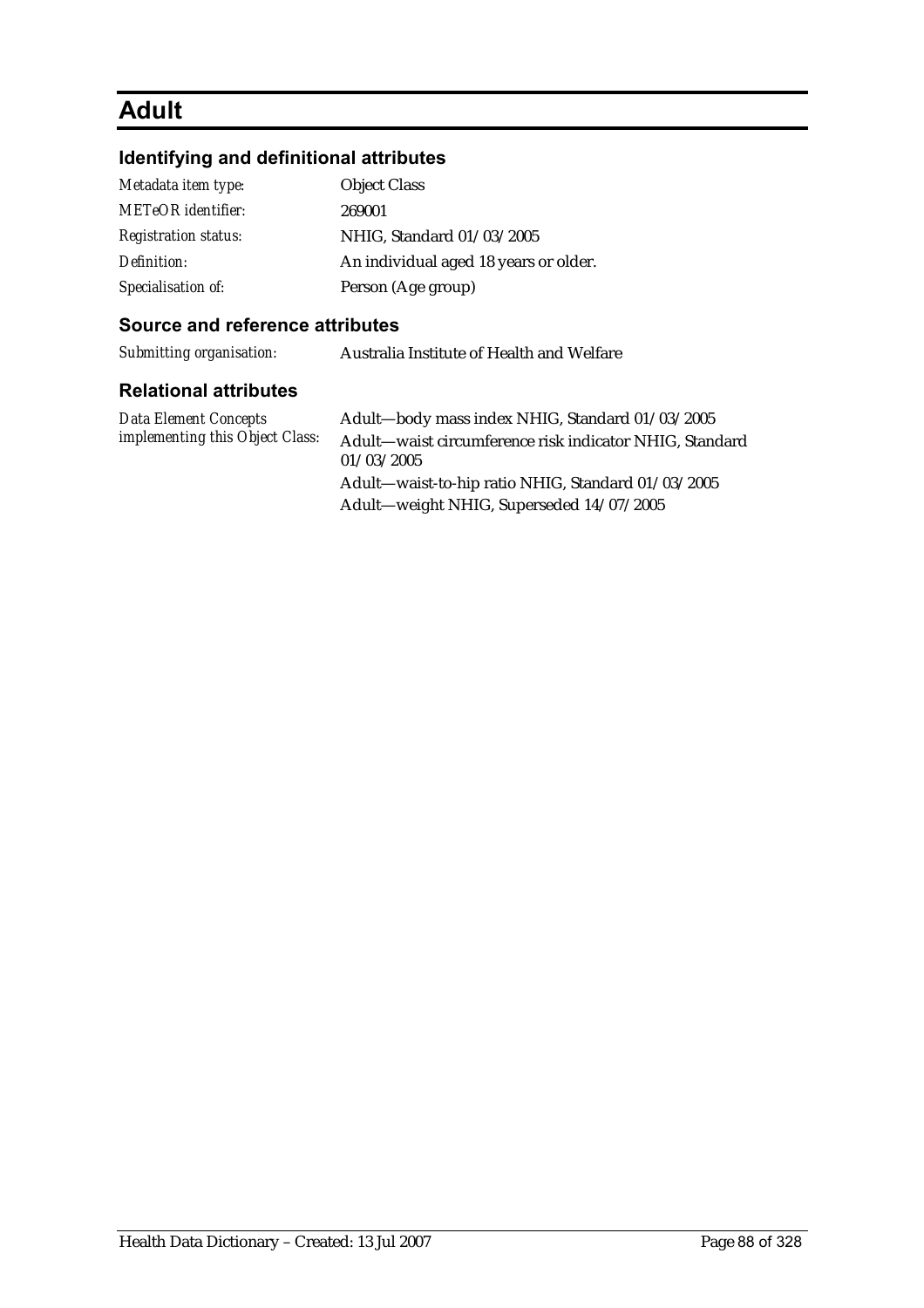## **Adult**

### **Identifying and definitional attributes**

| Metadata item type:         | <b>Object Class</b>                   |
|-----------------------------|---------------------------------------|
| <b>METeOR</b> identifier:   | 269001                                |
| <b>Registration status:</b> | NHIG, Standard 01/03/2005             |
| Definition:                 | An individual aged 18 years or older. |
| Specialisation of:          | Person (Age group)                    |

#### **Source and reference attributes**

*Submitting organisation:* Australia Institute of Health and Welfare

#### **Relational attributes**

*Data Element Concepts implementing this Object Class:*

Adult—body mass index NHIG, Standard 01/03/2005 Adult—waist circumference risk indicator NHIG, Standard 01/03/2005 Adult—waist-to-hip ratio NHIG, Standard 01/03/2005 Adult—weight NHIG, Superseded 14/07/2005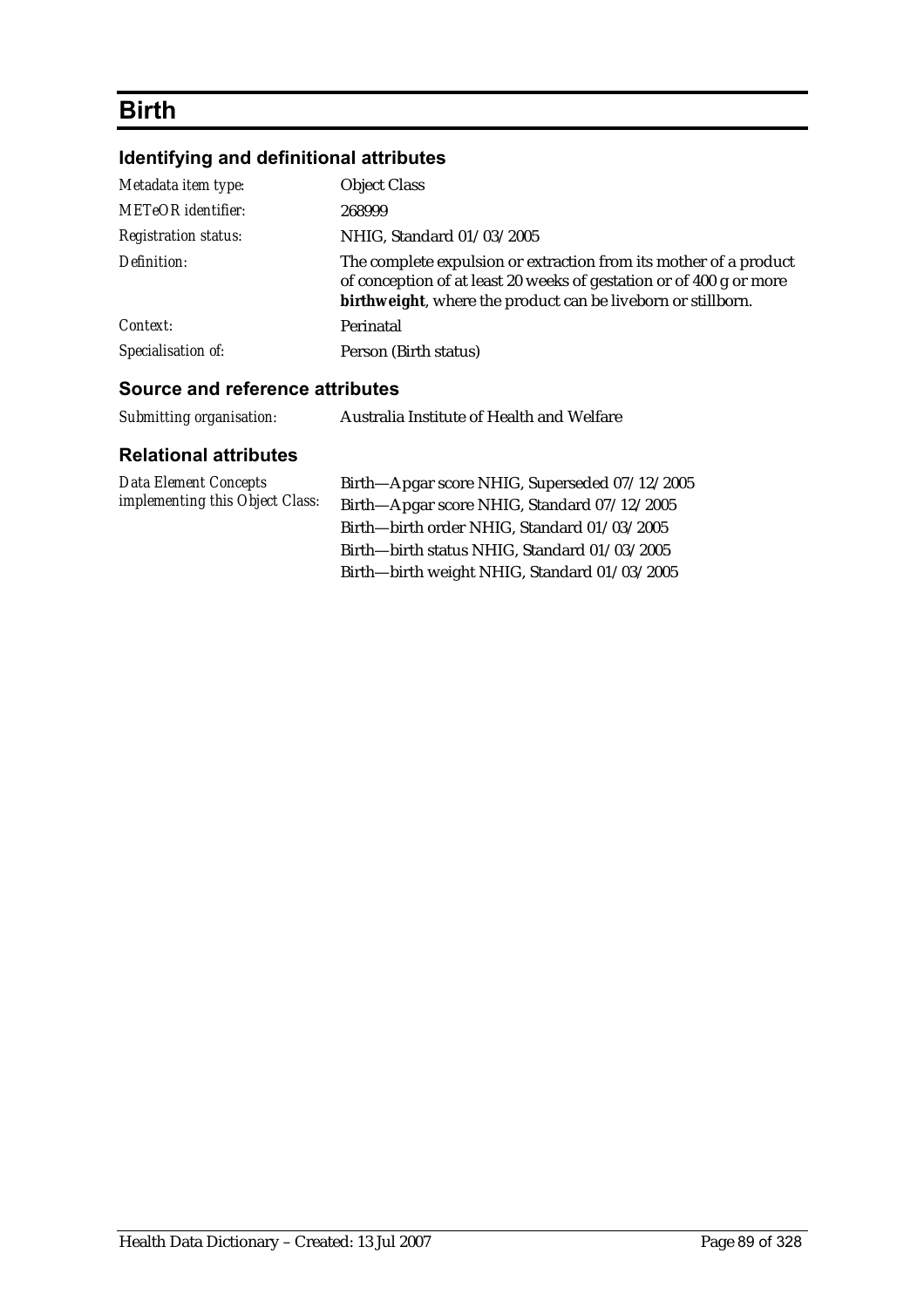## **Birth**

## **Identifying and definitional attributes**

| Metadata item type:         | <b>Object Class</b>                                                                                                                                                                                      |
|-----------------------------|----------------------------------------------------------------------------------------------------------------------------------------------------------------------------------------------------------|
| <b>METeOR</b> identifier:   | 268999                                                                                                                                                                                                   |
| <b>Registration status:</b> | NHIG, Standard 01/03/2005                                                                                                                                                                                |
| Definition:                 | The complete expulsion or extraction from its mother of a product<br>of conception of at least 20 weeks of gestation or of 400 g or more<br>birthweight, where the product can be liveborn or stillborn. |
| Context:                    | Perinatal                                                                                                                                                                                                |
| Specialisation of:          | Person (Birth status)                                                                                                                                                                                    |

### **Source and reference attributes**

| Submitting organisation: | Australia Institute of Health and Welfare |
|--------------------------|-------------------------------------------|
|                          |                                           |

| <b>Data Element Concepts</b>    | Birth—Apgar score NHIG, Superseded 07/12/2005 |
|---------------------------------|-----------------------------------------------|
| implementing this Object Class: | Birth-Apgar score NHIG, Standard 07/12/2005   |
|                                 | Birth-birth order NHIG, Standard 01/03/2005   |
|                                 | Birth-birth status NHIG, Standard 01/03/2005  |
|                                 | Birth-birth weight NHIG, Standard 01/03/2005  |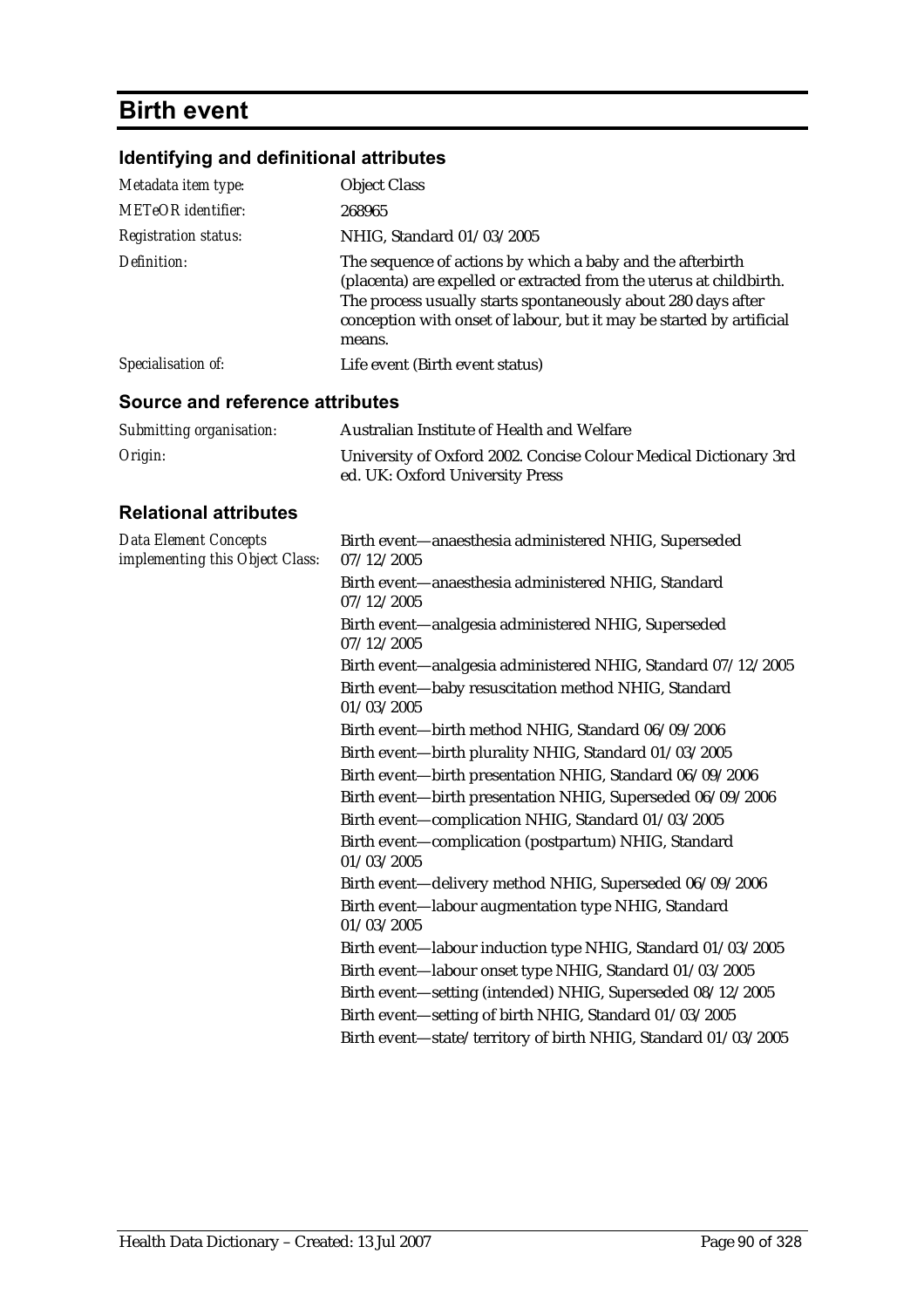## **Birth event**

## **Identifying and definitional attributes**

| Metadata item type:                                             | <b>Object Class</b>                                                                                                                                                                                                                                                                  |
|-----------------------------------------------------------------|--------------------------------------------------------------------------------------------------------------------------------------------------------------------------------------------------------------------------------------------------------------------------------------|
| <b>METeOR</b> identifier:                                       | 268965                                                                                                                                                                                                                                                                               |
| <b>Registration status:</b>                                     | NHIG, Standard 01/03/2005                                                                                                                                                                                                                                                            |
| Definition:                                                     | The sequence of actions by which a baby and the afterbirth<br>(placenta) are expelled or extracted from the uterus at childbirth.<br>The process usually starts spontaneously about 280 days after<br>conception with onset of labour, but it may be started by artificial<br>means. |
| Specialisation of:                                              | Life event (Birth event status)                                                                                                                                                                                                                                                      |
| <b>Source and reference attributes</b>                          |                                                                                                                                                                                                                                                                                      |
| Submitting organisation:                                        | Australian Institute of Health and Welfare                                                                                                                                                                                                                                           |
| Origin:                                                         | University of Oxford 2002. Concise Colour Medical Dictionary 3rd<br>ed. UK: Oxford University Press                                                                                                                                                                                  |
| <b>Relational attributes</b>                                    |                                                                                                                                                                                                                                                                                      |
| <b>Data Element Concepts</b><br>implementing this Object Class: | Birth event-anaesthesia administered NHIG, Superseded<br>07/12/2005                                                                                                                                                                                                                  |
|                                                                 | Birth event-anaesthesia administered NHIG, Standard<br>07/12/2005                                                                                                                                                                                                                    |
|                                                                 | Birth event-analgesia administered NHIG, Superseded<br>07/12/2005                                                                                                                                                                                                                    |
|                                                                 | Birth event-analgesia administered NHIG, Standard 07/12/2005<br>Birth event-baby resuscitation method NHIG, Standard<br>01/03/2005                                                                                                                                                   |
|                                                                 | Birth event-birth method NHIG, Standard 06/09/2006                                                                                                                                                                                                                                   |
|                                                                 | Birth event-birth plurality NHIG, Standard 01/03/2005                                                                                                                                                                                                                                |
|                                                                 | Birth event-birth presentation NHIG, Standard 06/09/2006                                                                                                                                                                                                                             |
|                                                                 | Birth event-birth presentation NHIG, Superseded 06/09/2006                                                                                                                                                                                                                           |
|                                                                 | Birth event-complication NHIG, Standard 01/03/2005                                                                                                                                                                                                                                   |
|                                                                 | Birth event-complication (postpartum) NHIG, Standard<br>01/03/2005                                                                                                                                                                                                                   |
|                                                                 | Birth event-delivery method NHIG, Superseded 06/09/2006                                                                                                                                                                                                                              |
|                                                                 | Birth event-labour augmentation type NHIG, Standard<br>01/03/2005                                                                                                                                                                                                                    |
|                                                                 | Birth event-labour induction type NHIG, Standard 01/03/2005                                                                                                                                                                                                                          |
|                                                                 | Birth event-labour onset type NHIG, Standard 01/03/2005                                                                                                                                                                                                                              |
|                                                                 | Birth event-setting (intended) NHIG, Superseded 08/12/2005                                                                                                                                                                                                                           |
|                                                                 | Birth event-setting of birth NHIG, Standard 01/03/2005                                                                                                                                                                                                                               |
|                                                                 | Birth event-state/territory of birth NHIG, Standard 01/03/2005                                                                                                                                                                                                                       |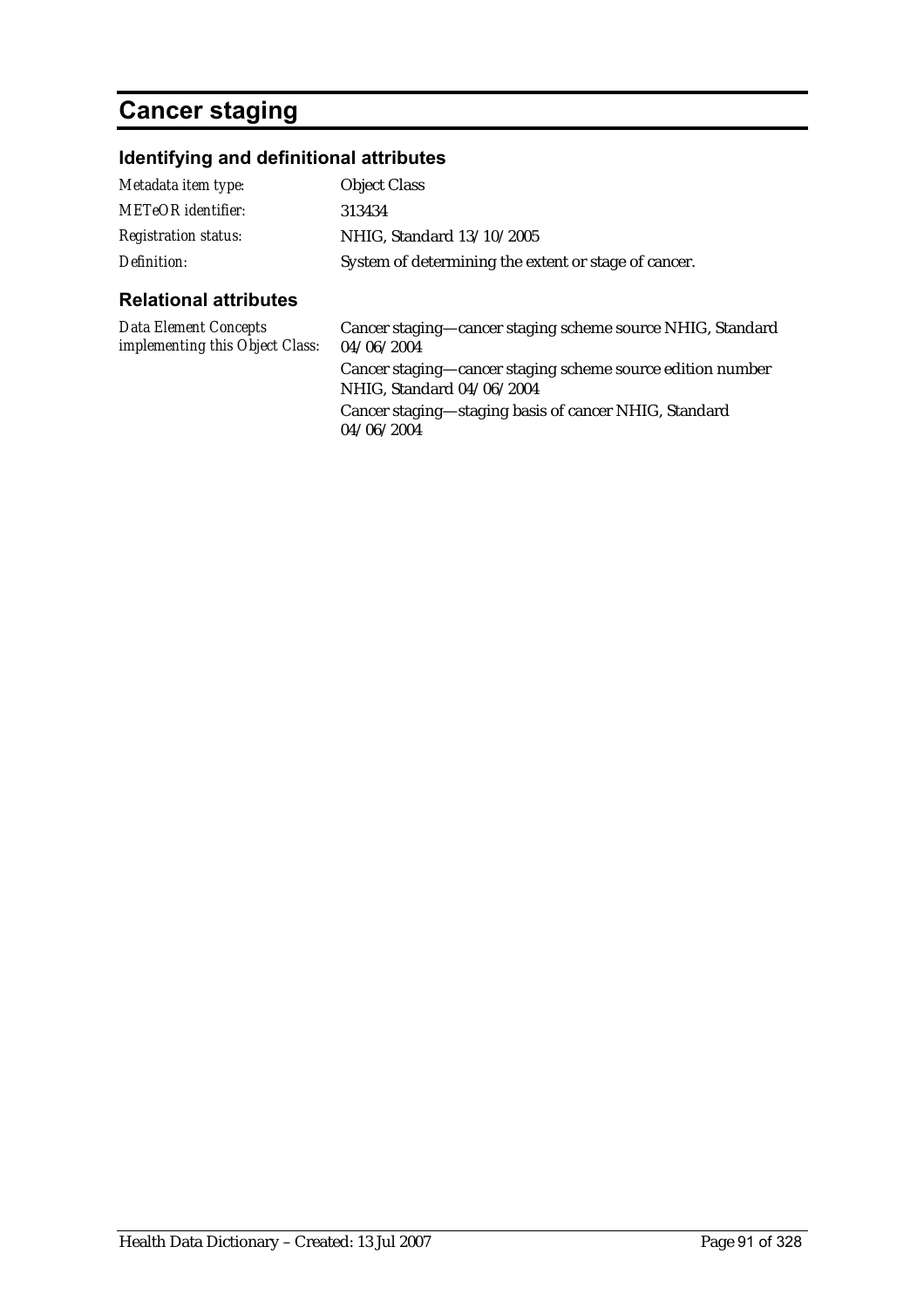## **Cancer staging**

### **Identifying and definitional attributes**

| المماديط المفارس والموالم التراجي |                                                      |
|-----------------------------------|------------------------------------------------------|
| Definition:                       | System of determining the extent or stage of cancer. |
| <b>Registration status:</b>       | NHIG, Standard 13/10/2005                            |
| <b>METeOR</b> identifier:         | 313434                                               |
| Metadata item type:               | <b>Object Class</b>                                  |
|                                   |                                                      |

### **Relational attributes**

*Data Element Concepts* 

*implementing this Object Class:* Cancer staging—cancer staging scheme source NHIG, Standard 04/06/2004 Cancer staging—cancer staging scheme source edition number NHIG, Standard 04/06/2004 Cancer staging—staging basis of cancer NHIG, Standard 04/06/2004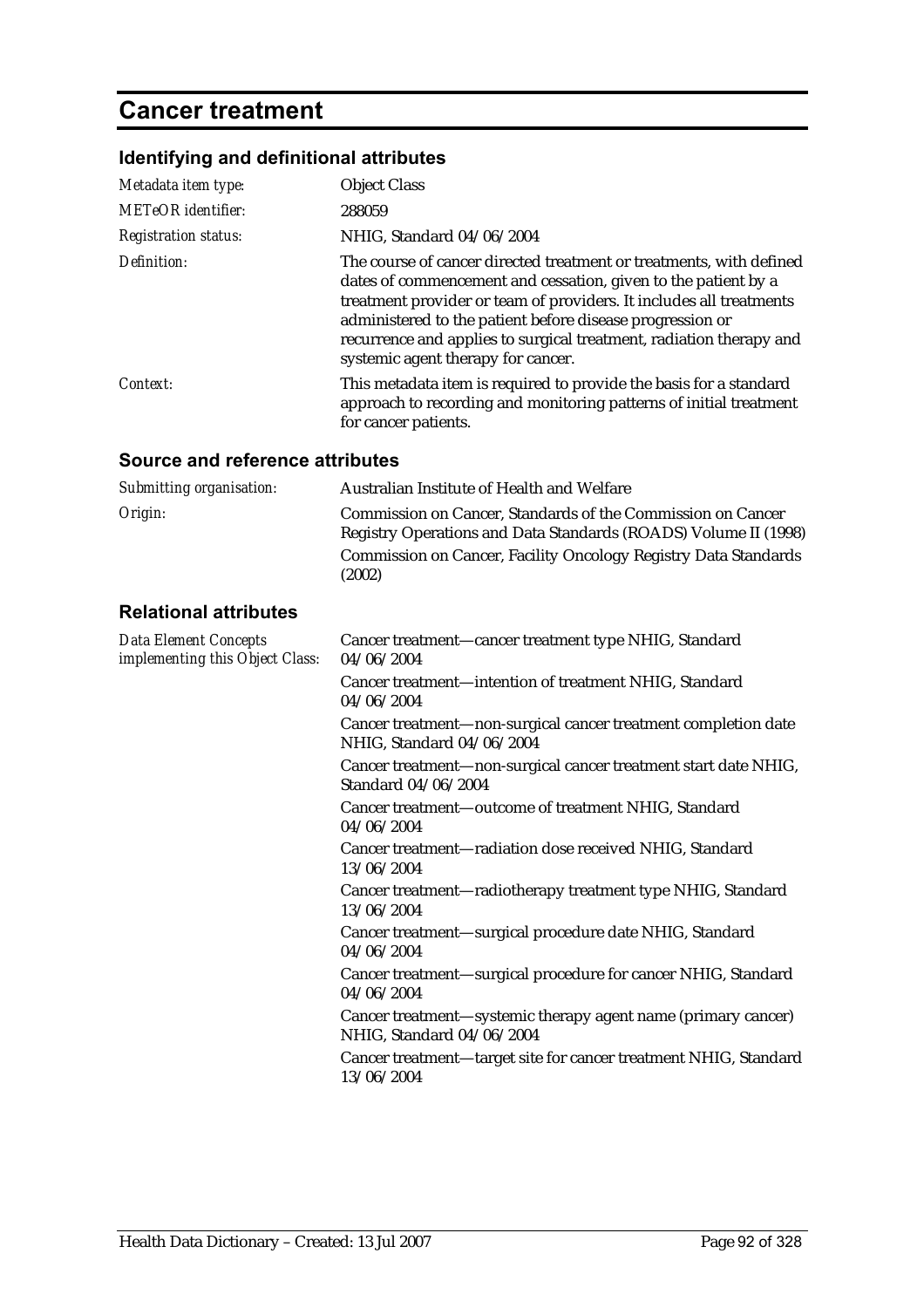## **Cancer treatment**

## **Identifying and definitional attributes**

| Metadata item type:         | <b>Object Class</b>                                                                                                                                                                                                                                                                                                                                                                    |
|-----------------------------|----------------------------------------------------------------------------------------------------------------------------------------------------------------------------------------------------------------------------------------------------------------------------------------------------------------------------------------------------------------------------------------|
| <b>METeOR</b> identifier:   | 288059                                                                                                                                                                                                                                                                                                                                                                                 |
| <b>Registration status:</b> | NHIG, Standard 04/06/2004                                                                                                                                                                                                                                                                                                                                                              |
| Definition:                 | The course of cancer directed treatment or treatments, with defined<br>dates of commencement and cessation, given to the patient by a<br>treatment provider or team of providers. It includes all treatments<br>administered to the patient before disease progression or<br>recurrence and applies to surgical treatment, radiation therapy and<br>systemic agent therapy for cancer. |
| Context:                    | This metadata item is required to provide the basis for a standard<br>approach to recording and monitoring patterns of initial treatment<br>for cancer patients.                                                                                                                                                                                                                       |

| Submitting organisation:                                        | Australian Institute of Health and Welfare                                                                                     |
|-----------------------------------------------------------------|--------------------------------------------------------------------------------------------------------------------------------|
| Origin:                                                         | Commission on Cancer, Standards of the Commission on Cancer<br>Registry Operations and Data Standards (ROADS) Volume II (1998) |
|                                                                 | Commission on Cancer, Facility Oncology Registry Data Standards<br>(2002)                                                      |
| <b>Relational attributes</b>                                    |                                                                                                                                |
| <b>Data Element Concepts</b><br>implementing this Object Class: | Cancer treatment—cancer treatment type NHIG, Standard<br>04/06/2004                                                            |
|                                                                 | Cancer treatment-intention of treatment NHIG, Standard<br>04/06/2004                                                           |
|                                                                 | Cancer treatment-non-surgical cancer treatment completion date<br>NHIG, Standard 04/06/2004                                    |
|                                                                 | Cancer treatment-non-surgical cancer treatment start date NHIG,<br>Standard 04/06/2004                                         |
|                                                                 | Cancer treatment-outcome of treatment NHIG, Standard<br>04/06/2004                                                             |
|                                                                 | Cancer treatment-radiation dose received NHIG, Standard<br>13/06/2004                                                          |
|                                                                 | Cancer treatment-radiotherapy treatment type NHIG, Standard<br>13/06/2004                                                      |
|                                                                 | Cancer treatment-surgical procedure date NHIG, Standard<br>04/06/2004                                                          |
|                                                                 | Cancer treatment-surgical procedure for cancer NHIG, Standard<br>04/06/2004                                                    |
|                                                                 | Cancer treatment—systemic therapy agent name (primary cancer)<br>NHIG, Standard 04/06/2004                                     |
|                                                                 | Cancer treatment—target site for cancer treatment NHIG, Standard<br>13/06/2004                                                 |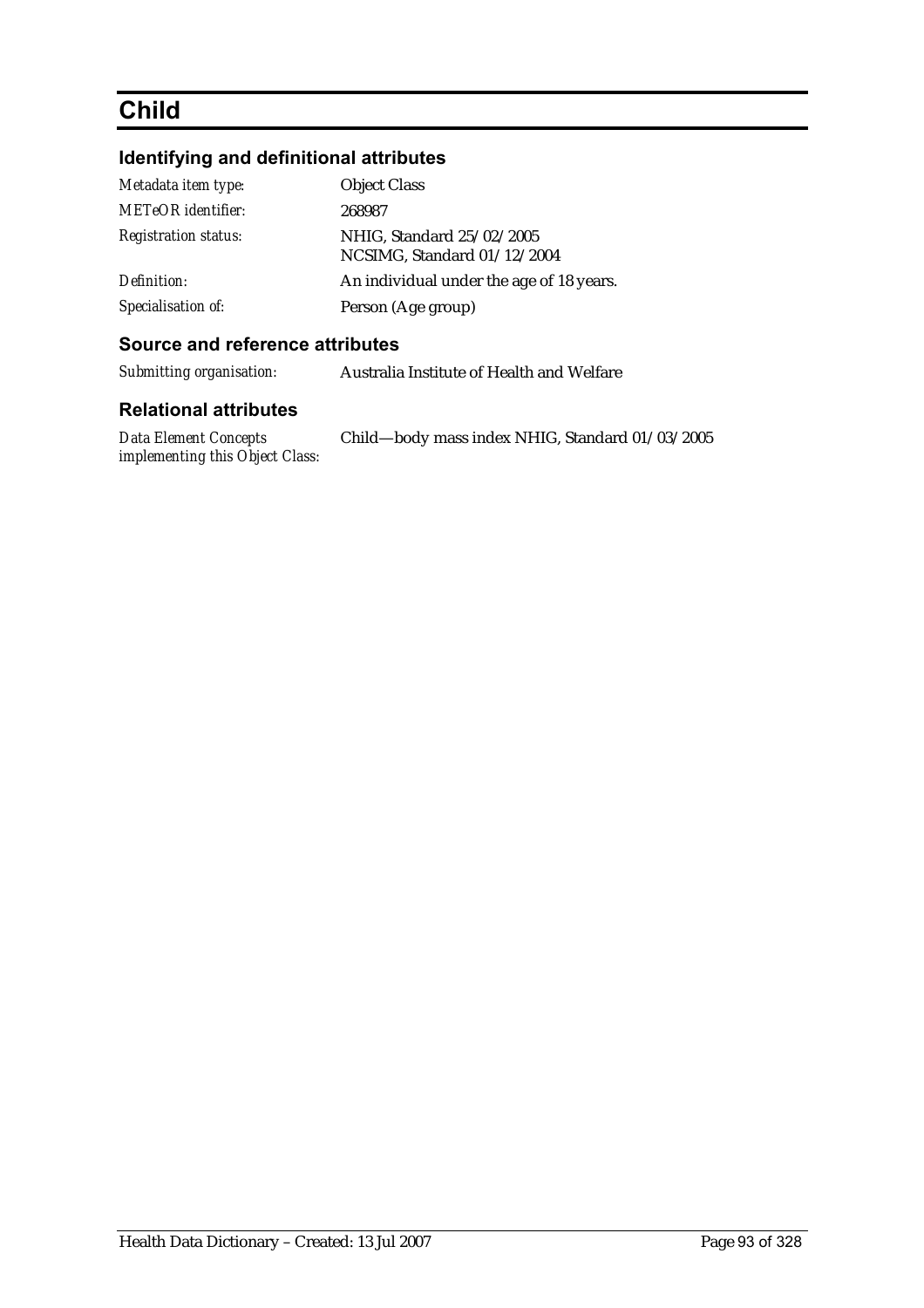## **Child**

## **Identifying and definitional attributes**

| Metadata item type:         | <b>Object Class</b>                                      |
|-----------------------------|----------------------------------------------------------|
| <b>METeOR</b> identifier:   | 268987                                                   |
| <b>Registration status:</b> | NHIG, Standard 25/02/2005<br>NCSIMG, Standard 01/12/2004 |
| Definition:                 | An individual under the age of 18 years.                 |
| Specialisation of:          | Person (Age group)                                       |

#### **Source and reference attributes**

| Submitting organisation: | Australia Institute of Health and Welfare |
|--------------------------|-------------------------------------------|
|--------------------------|-------------------------------------------|

| Data Element Concepts           | Child—body mass index NHIG, Standard 01/03/2005 |
|---------------------------------|-------------------------------------------------|
| implementing this Object Class: |                                                 |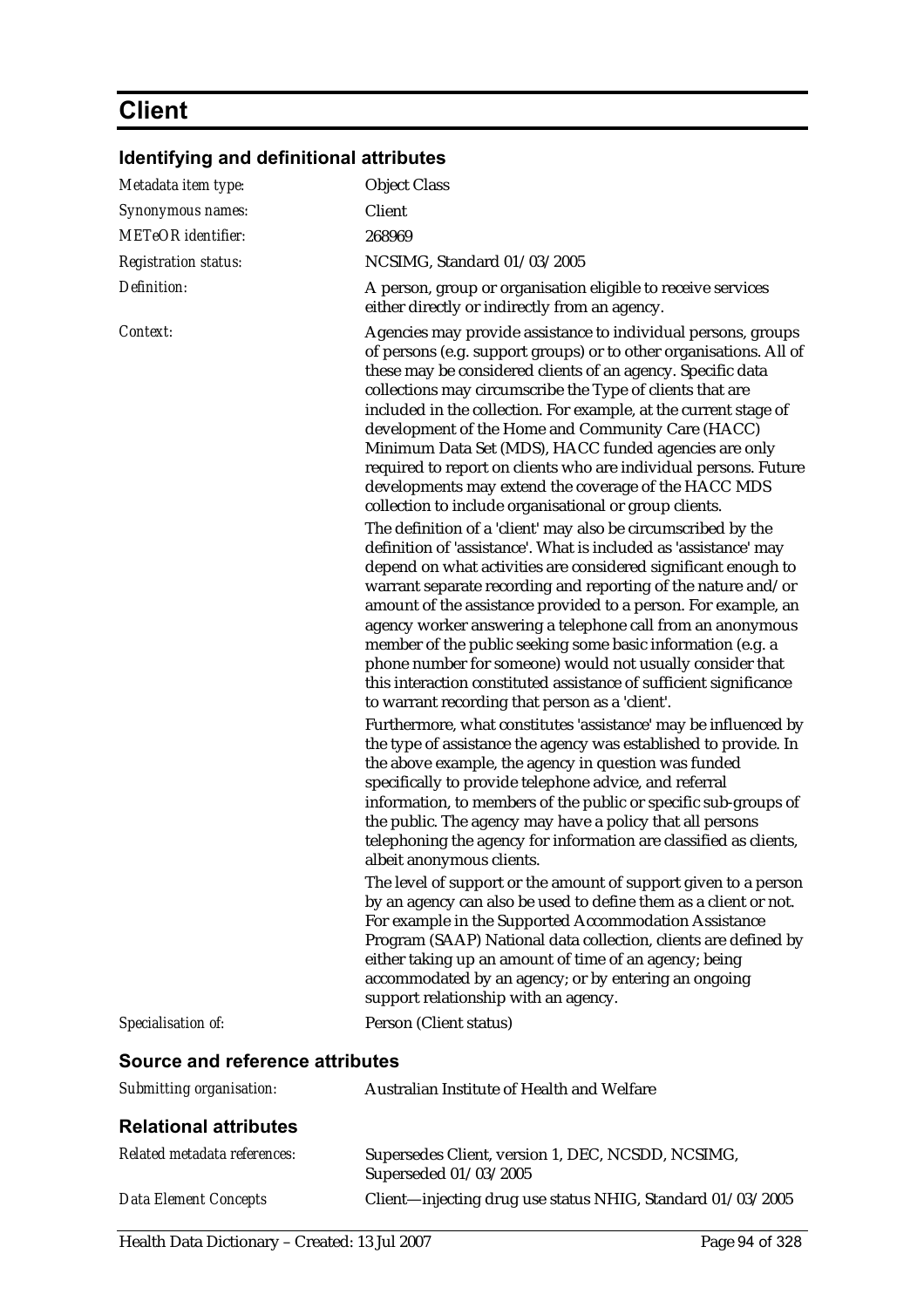## **Client**

| Metadata item type:             | <b>Object Class</b>                                                                                                                                                                                                                                                                                                                                                                                                                                                                                                                                                                                                                                                                                                                                                                                                                                                                                             |
|---------------------------------|-----------------------------------------------------------------------------------------------------------------------------------------------------------------------------------------------------------------------------------------------------------------------------------------------------------------------------------------------------------------------------------------------------------------------------------------------------------------------------------------------------------------------------------------------------------------------------------------------------------------------------------------------------------------------------------------------------------------------------------------------------------------------------------------------------------------------------------------------------------------------------------------------------------------|
| Synonymous names:               | Client                                                                                                                                                                                                                                                                                                                                                                                                                                                                                                                                                                                                                                                                                                                                                                                                                                                                                                          |
| <b>METeOR</b> identifier:       | 268969                                                                                                                                                                                                                                                                                                                                                                                                                                                                                                                                                                                                                                                                                                                                                                                                                                                                                                          |
| <b>Registration status:</b>     | NCSIMG, Standard 01/03/2005                                                                                                                                                                                                                                                                                                                                                                                                                                                                                                                                                                                                                                                                                                                                                                                                                                                                                     |
| Definition:                     | A person, group or organisation eligible to receive services<br>either directly or indirectly from an agency.                                                                                                                                                                                                                                                                                                                                                                                                                                                                                                                                                                                                                                                                                                                                                                                                   |
| Context:                        | Agencies may provide assistance to individual persons, groups<br>of persons (e.g. support groups) or to other organisations. All of<br>these may be considered clients of an agency. Specific data<br>collections may circumscribe the Type of clients that are<br>included in the collection. For example, at the current stage of<br>development of the Home and Community Care (HACC)<br>Minimum Data Set (MDS), HACC funded agencies are only<br>required to report on clients who are individual persons. Future<br>developments may extend the coverage of the HACC MDS<br>collection to include organisational or group clients.<br>The definition of a 'client' may also be circumscribed by the<br>definition of 'assistance'. What is included as 'assistance' may<br>depend on what activities are considered significant enough to<br>warrant separate recording and reporting of the nature and/or |
|                                 | amount of the assistance provided to a person. For example, an<br>agency worker answering a telephone call from an anonymous<br>member of the public seeking some basic information (e.g. a<br>phone number for someone) would not usually consider that<br>this interaction constituted assistance of sufficient significance<br>to warrant recording that person as a 'client'.                                                                                                                                                                                                                                                                                                                                                                                                                                                                                                                               |
|                                 | Furthermore, what constitutes 'assistance' may be influenced by<br>the type of assistance the agency was established to provide. In<br>the above example, the agency in question was funded<br>specifically to provide telephone advice, and referral<br>information, to members of the public or specific sub-groups of<br>the public. The agency may have a policy that all persons<br>telephoning the agency for information are classified as clients,<br>albeit anonymous clients.                                                                                                                                                                                                                                                                                                                                                                                                                         |
|                                 | The level of support or the amount of support given to a person<br>by an agency can also be used to define them as a client or not.<br>For example in the Supported Accommodation Assistance<br>Program (SAAP) National data collection, clients are defined by<br>either taking up an amount of time of an agency; being<br>accommodated by an agency; or by entering an ongoing<br>support relationship with an agency.                                                                                                                                                                                                                                                                                                                                                                                                                                                                                       |
| Specialisation of:              | Person (Client status)                                                                                                                                                                                                                                                                                                                                                                                                                                                                                                                                                                                                                                                                                                                                                                                                                                                                                          |
| Source and reference attributes |                                                                                                                                                                                                                                                                                                                                                                                                                                                                                                                                                                                                                                                                                                                                                                                                                                                                                                                 |
| Submitting organisation:        | Australian Institute of Health and Welfare                                                                                                                                                                                                                                                                                                                                                                                                                                                                                                                                                                                                                                                                                                                                                                                                                                                                      |
| <b>Relational attributes</b>    |                                                                                                                                                                                                                                                                                                                                                                                                                                                                                                                                                                                                                                                                                                                                                                                                                                                                                                                 |
| Related metadata references:    | Supersedes Client, version 1, DEC, NCSDD, NCSIMG,<br>Superseded 01/03/2005                                                                                                                                                                                                                                                                                                                                                                                                                                                                                                                                                                                                                                                                                                                                                                                                                                      |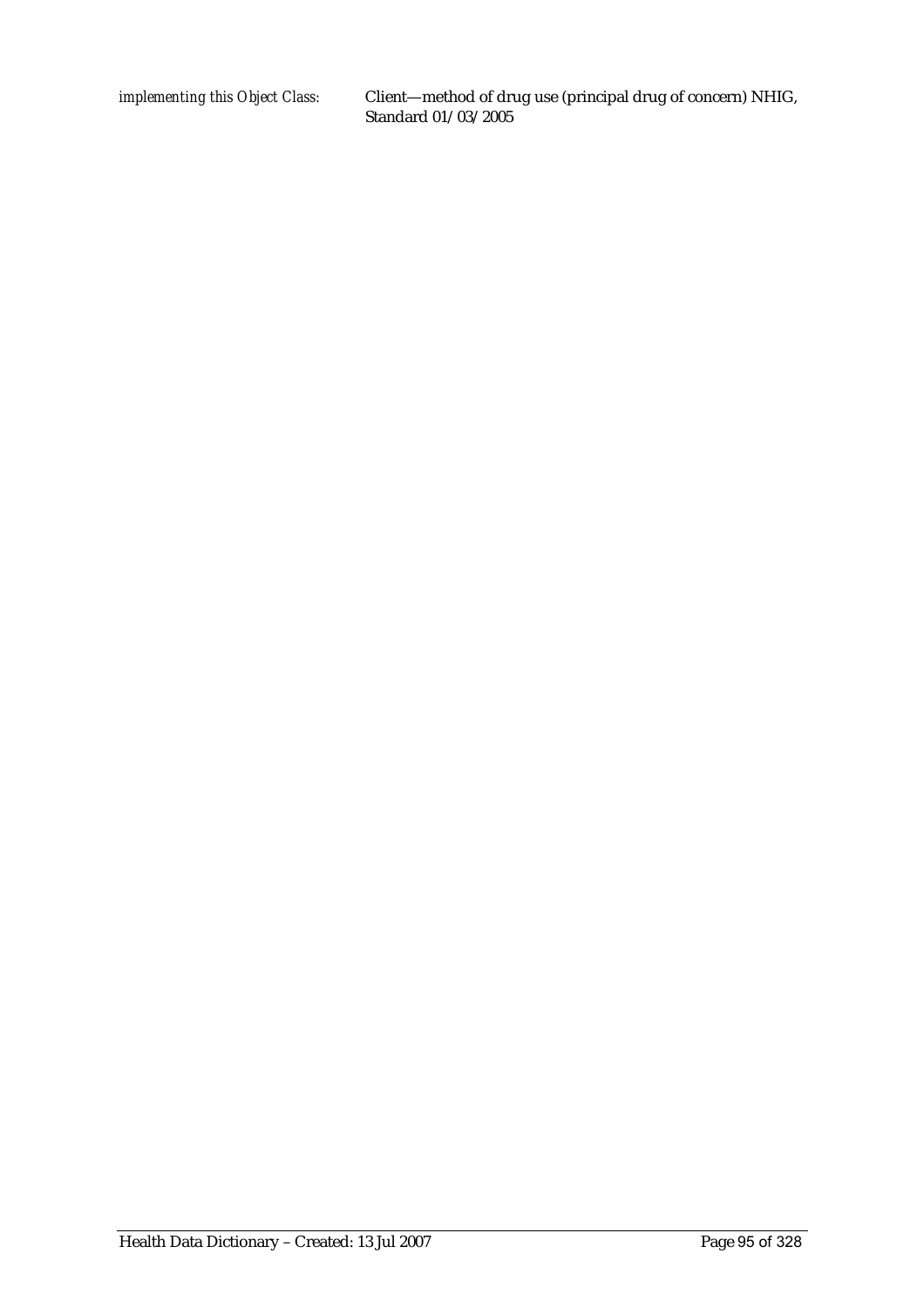*implementing this Object Class:* Client—method of drug use (principal drug of concern) NHIG, Standard 01/03/2005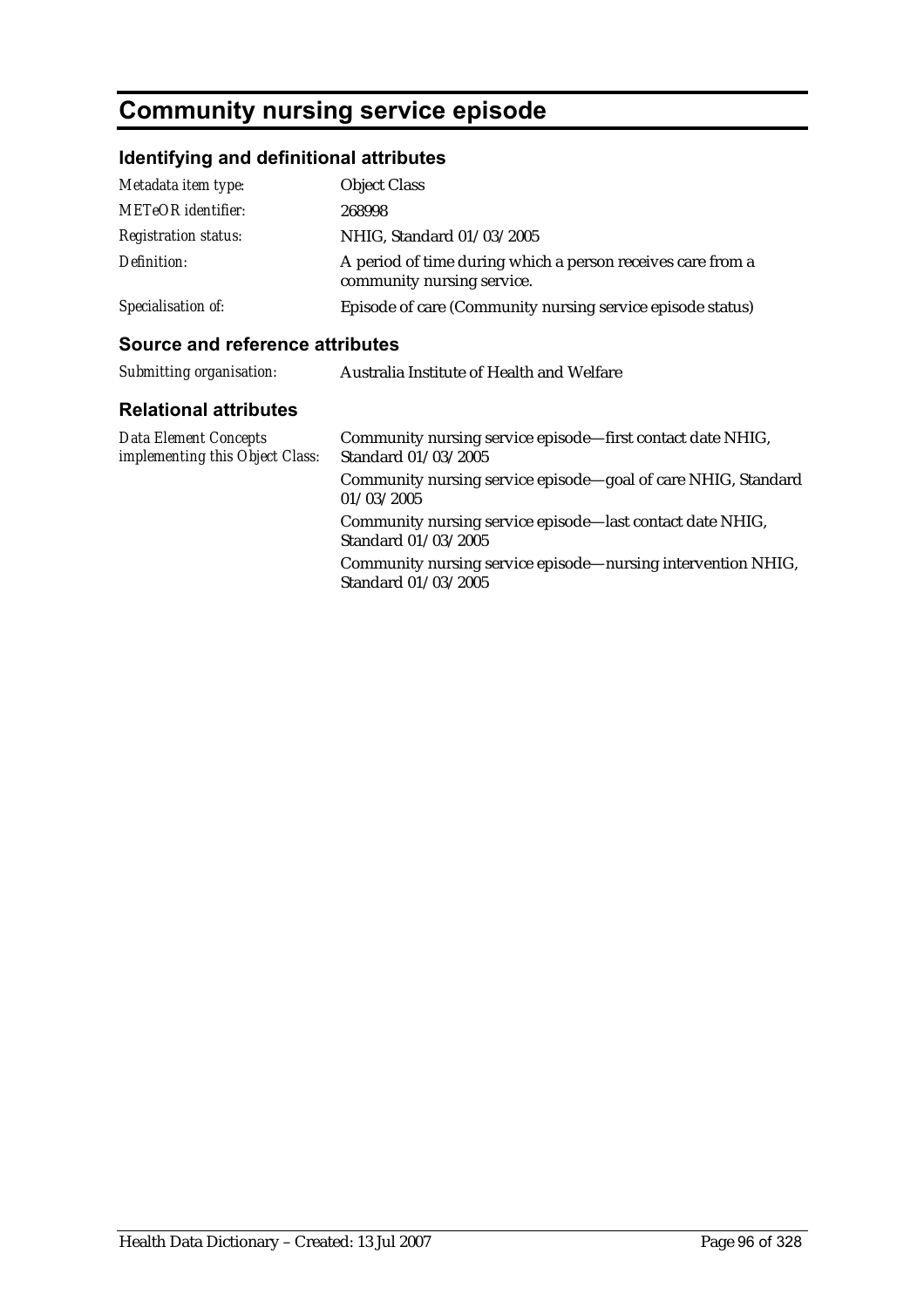## **Community nursing service episode**

## **Identifying and definitional attributes**

| Metadata item type:         | <b>Object Class</b>                                                                       |
|-----------------------------|-------------------------------------------------------------------------------------------|
| METeOR identifier:          | 268998                                                                                    |
| <i>Registration status:</i> | NHIG, Standard 01/03/2005                                                                 |
| Definition:                 | A period of time during which a person receives care from a<br>community nursing service. |
| Specialisation of:          | Episode of care (Community nursing service episode status)                                |

| Submitting organisation:                                 | Australia Institute of Health and Welfare                                           |
|----------------------------------------------------------|-------------------------------------------------------------------------------------|
| <b>Relational attributes</b>                             |                                                                                     |
| Data Element Concepts<br>implementing this Object Class: | Community nursing service episode—first contact date NHIG,<br>Standard 01/03/2005   |
|                                                          | Community nursing service episode-goal of care NHIG, Standard<br>01/03/2005         |
|                                                          | Community nursing service episode—last contact date NHIG,<br>Standard 01/03/2005    |
|                                                          | Community nursing service episode—nursing intervention NHIG,<br>Standard 01/03/2005 |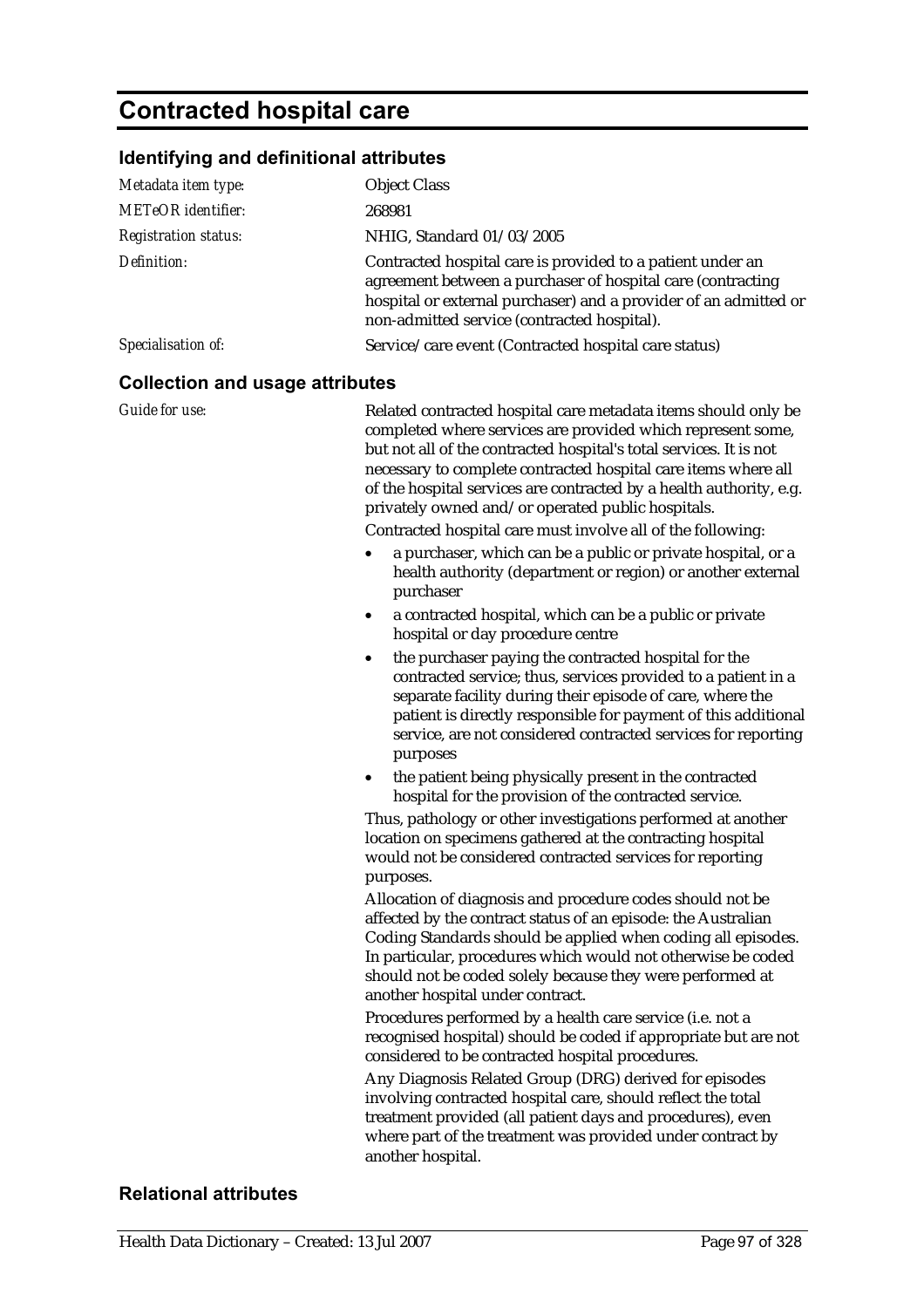## **Contracted hospital care**

### **Identifying and definitional attributes**

| <u>identifying and definitional attributes</u> |                                                                                                                                                                                                                                                                                                                                                                                                                                                                                                                                                                                                                                                                                                                                                                                                                                                                                                                |
|------------------------------------------------|----------------------------------------------------------------------------------------------------------------------------------------------------------------------------------------------------------------------------------------------------------------------------------------------------------------------------------------------------------------------------------------------------------------------------------------------------------------------------------------------------------------------------------------------------------------------------------------------------------------------------------------------------------------------------------------------------------------------------------------------------------------------------------------------------------------------------------------------------------------------------------------------------------------|
| Metadata item type:                            | <b>Object Class</b>                                                                                                                                                                                                                                                                                                                                                                                                                                                                                                                                                                                                                                                                                                                                                                                                                                                                                            |
| METeOR identifier:                             | 268981                                                                                                                                                                                                                                                                                                                                                                                                                                                                                                                                                                                                                                                                                                                                                                                                                                                                                                         |
| <b>Registration status:</b>                    | NHIG, Standard 01/03/2005                                                                                                                                                                                                                                                                                                                                                                                                                                                                                                                                                                                                                                                                                                                                                                                                                                                                                      |
| Definition:                                    | Contracted hospital care is provided to a patient under an<br>agreement between a purchaser of hospital care (contracting<br>hospital or external purchaser) and a provider of an admitted or<br>non-admitted service (contracted hospital).                                                                                                                                                                                                                                                                                                                                                                                                                                                                                                                                                                                                                                                                   |
| Specialisation of:                             | Service/care event (Contracted hospital care status)                                                                                                                                                                                                                                                                                                                                                                                                                                                                                                                                                                                                                                                                                                                                                                                                                                                           |
| <b>Collection and usage attributes</b>         |                                                                                                                                                                                                                                                                                                                                                                                                                                                                                                                                                                                                                                                                                                                                                                                                                                                                                                                |
| <b>Guide for use:</b>                          | Related contracted hospital care metadata items should only be<br>completed where services are provided which represent some,<br>but not all of the contracted hospital's total services. It is not<br>necessary to complete contracted hospital care items where all<br>of the hospital services are contracted by a health authority, e.g.<br>privately owned and/or operated public hospitals.<br>Contracted hospital care must involve all of the following:<br>a purchaser, which can be a public or private hospital, or a<br>health authority (department or region) or another external<br>purchaser<br>a contracted hospital, which can be a public or private<br>hospital or day procedure centre<br>the purchaser paying the contracted hospital for the<br>$\bullet$<br>contracted service; thus, services provided to a patient in a<br>separate facility during their episode of care, where the |
|                                                | patient is directly responsible for payment of this additional<br>service, are not considered contracted services for reporting<br>purposes<br>the patient being physically present in the contracted<br>٠                                                                                                                                                                                                                                                                                                                                                                                                                                                                                                                                                                                                                                                                                                     |
|                                                | hospital for the provision of the contracted service.<br>Thus, pathology or other investigations performed at another<br>location on specimens gathered at the contracting hospital<br>would not be considered contracted services for reporting<br>purposes.                                                                                                                                                                                                                                                                                                                                                                                                                                                                                                                                                                                                                                                  |
|                                                | Allocation of diagnosis and procedure codes should not be<br>affected by the contract status of an episode: the Australian<br>Coding Standards should be applied when coding all episodes.<br>In particular, procedures which would not otherwise be coded<br>should not be coded solely because they were performed at<br>another hospital under contract.                                                                                                                                                                                                                                                                                                                                                                                                                                                                                                                                                    |
|                                                | Procedures performed by a health care service (i.e. not a<br>recognised hospital) should be coded if appropriate but are not<br>considered to be contracted hospital procedures.                                                                                                                                                                                                                                                                                                                                                                                                                                                                                                                                                                                                                                                                                                                               |
|                                                | Any Diagnosis Related Group (DRG) derived for episodes<br>involving contracted hospital care, should reflect the total<br>treatment provided (all patient days and procedures), even<br>where part of the treatment was provided under contract by<br>another hospital.                                                                                                                                                                                                                                                                                                                                                                                                                                                                                                                                                                                                                                        |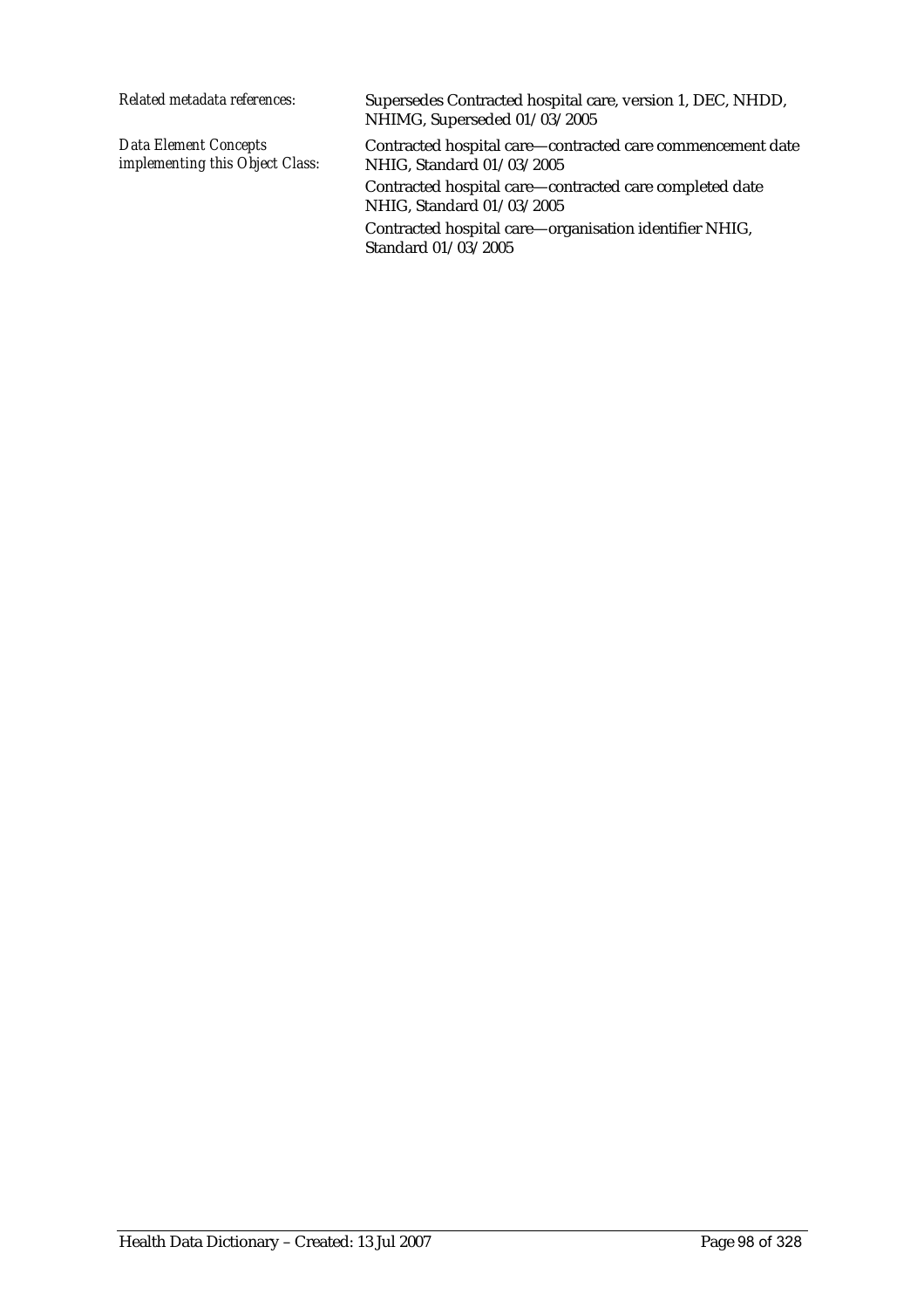| Supersedes Contracted hospital care, version 1, DEC, NHDD,<br>NHIMG, Superseded 01/03/2005 |
|--------------------------------------------------------------------------------------------|
| Contracted hospital care—contracted care commencement date<br>NHIG, Standard 01/03/2005    |
| Contracted hospital care—contracted care completed date<br>NHIG, Standard 01/03/2005       |
| Contracted hospital care—organisation identifier NHIG,<br>Standard 01/03/2005              |
|                                                                                            |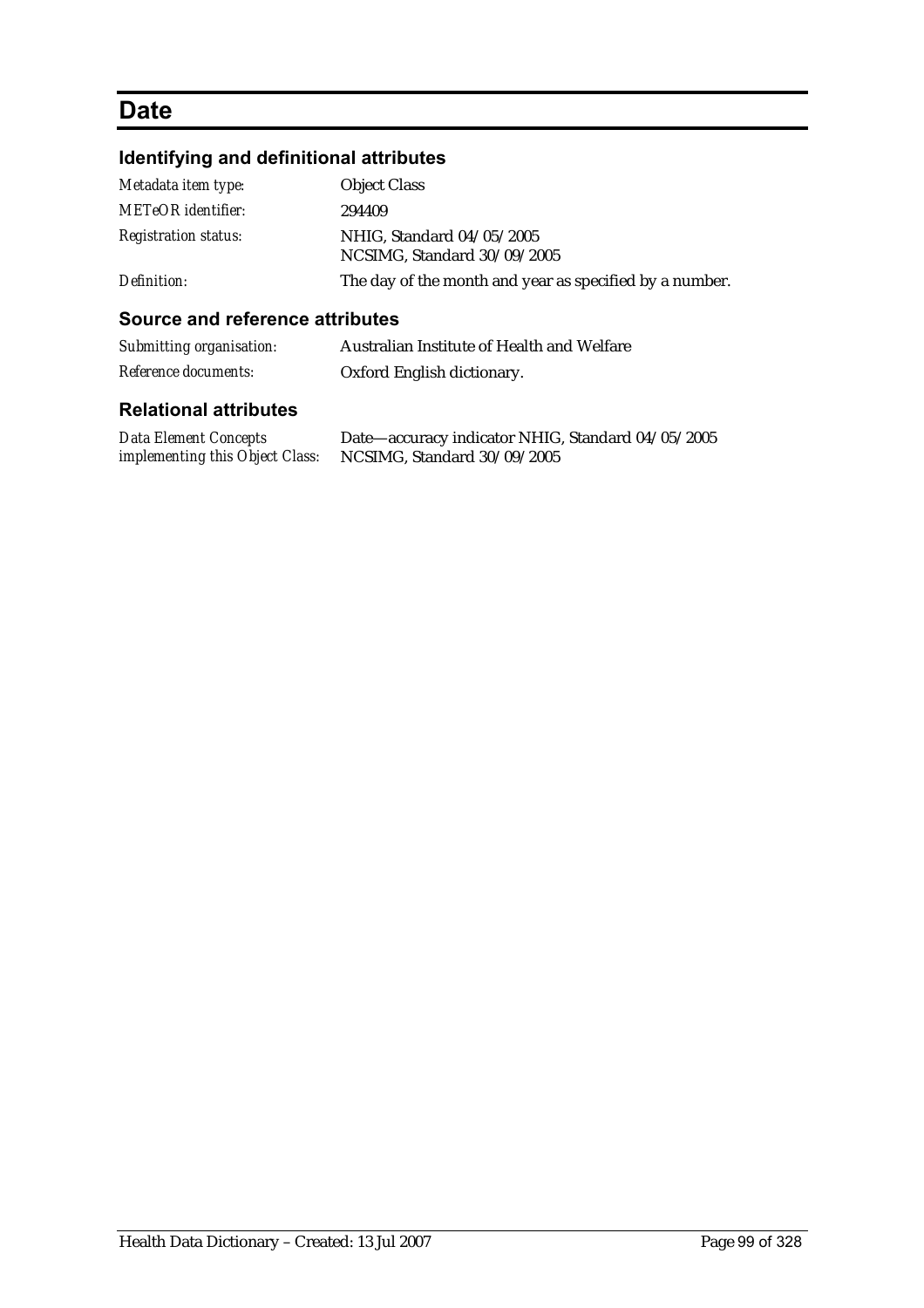## **Date**

## **Identifying and definitional attributes**

| Metadata item type:         | <b>Object Class</b>                                      |
|-----------------------------|----------------------------------------------------------|
| <b>METeOR</b> identifier:   | 294409                                                   |
| <i>Registration status:</i> | NHIG, Standard 04/05/2005<br>NCSIMG, Standard 30/09/2005 |
| Definition:                 | The day of the month and year as specified by a number.  |

### **Source and reference attributes**

| Submitting organisation: | Australian Institute of Health and Welfare |
|--------------------------|--------------------------------------------|
| Reference documents:     | Oxford English dictionary.                 |

| <b>Data Element Concepts</b>    | Date—accuracy indicator NHIG, Standard 04/05/2005 |
|---------------------------------|---------------------------------------------------|
| implementing this Object Class: | NCSIMG, Standard 30/09/2005                       |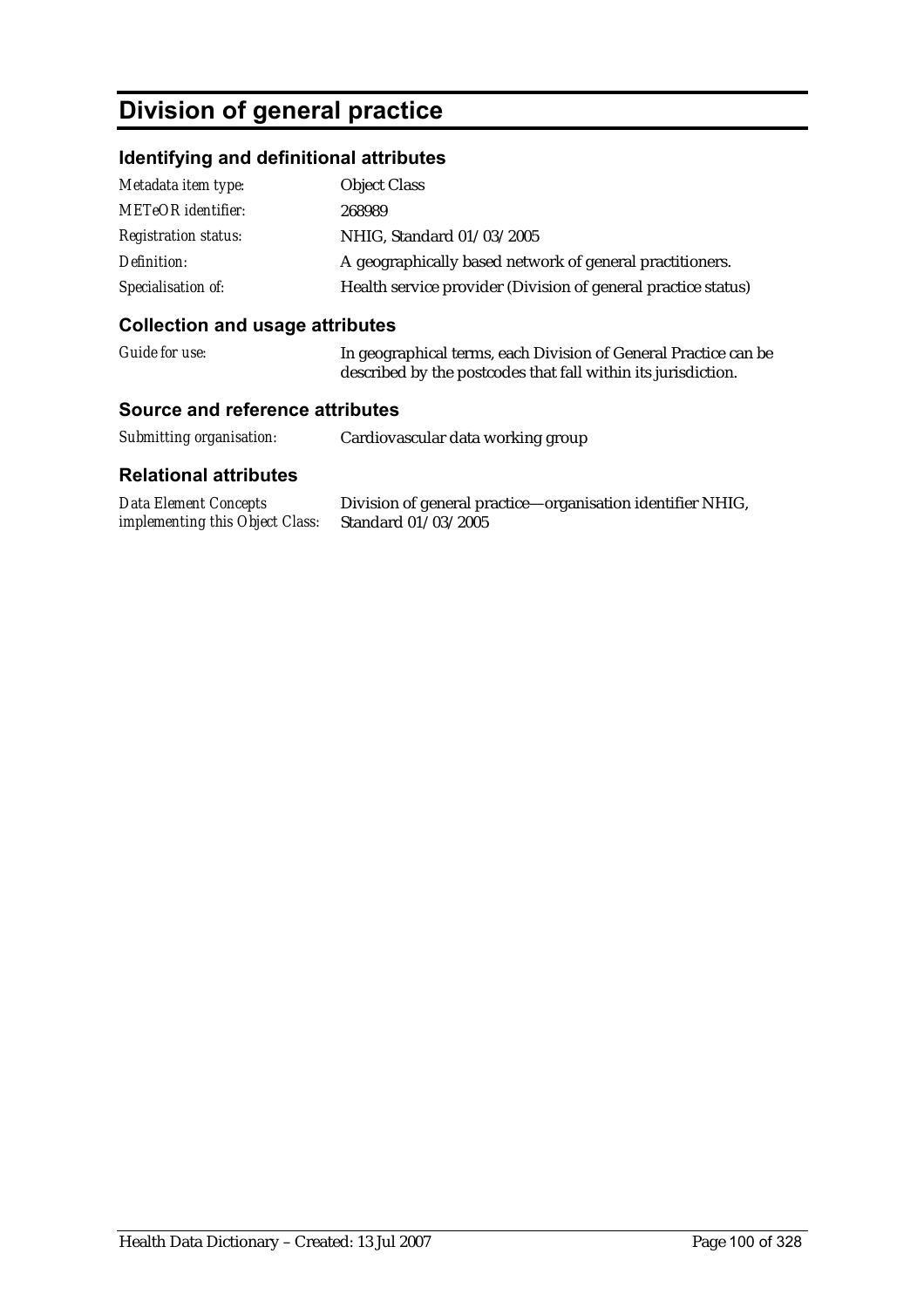## **Division of general practice**

### **Identifying and definitional attributes**

| Metadata item type:         | <b>Object Class</b>                                           |
|-----------------------------|---------------------------------------------------------------|
| <b>METeOR</b> identifier:   | 268989                                                        |
| <b>Registration status:</b> | NHIG, Standard 01/03/2005                                     |
| Definition:                 | A geographically based network of general practitioners.      |
| Specialisation of:          | Health service provider (Division of general practice status) |

### **Collection and usage attributes**

| Guide for use: | In geographical terms, each Division of General Practice can be |
|----------------|-----------------------------------------------------------------|
|                | described by the postcodes that fall within its jurisdiction.   |

### **Source and reference attributes**

| Submitting organisation: | Cardiovascular data working group |
|--------------------------|-----------------------------------|
|                          |                                   |

| Data Element Concepts                               | Division of general practice—organisation identifier NHIG, |
|-----------------------------------------------------|------------------------------------------------------------|
| implementing this Object Class: Standard 01/03/2005 |                                                            |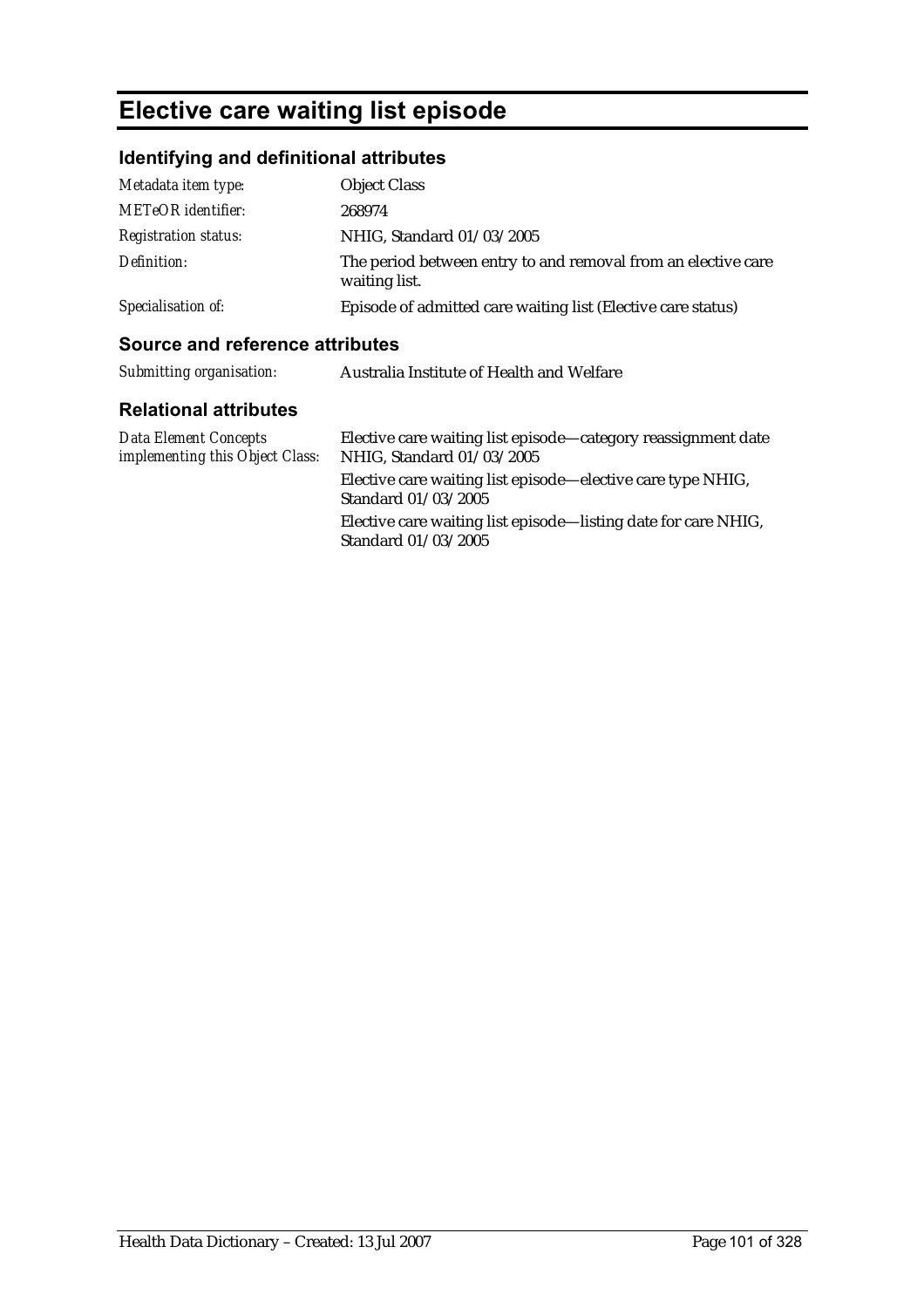## **Elective care waiting list episode**

## **Identifying and definitional attributes**

| Metadata item type:         | <b>Object Class</b>                                                            |
|-----------------------------|--------------------------------------------------------------------------------|
| <b>METeOR</b> identifier:   | 268974                                                                         |
| <i>Registration status:</i> | NHIG, Standard 01/03/2005                                                      |
| Definition:                 | The period between entry to and removal from an elective care<br>waiting list. |
| Specialisation of:          | Episode of admitted care waiting list (Elective care status)                   |

| Submitting organisation:                                 | Australia Institute of Health and Welfare                                                  |
|----------------------------------------------------------|--------------------------------------------------------------------------------------------|
| <b>Relational attributes</b>                             |                                                                                            |
| Data Element Concepts<br>implementing this Object Class: | Elective care waiting list episode—category reassignment date<br>NHIG, Standard 01/03/2005 |
|                                                          | Elective care waiting list episode—elective care type NHIG,<br>Standard 01/03/2005         |
|                                                          | Elective care waiting list episode—listing date for care NHIG,<br>Standard 01/03/2005      |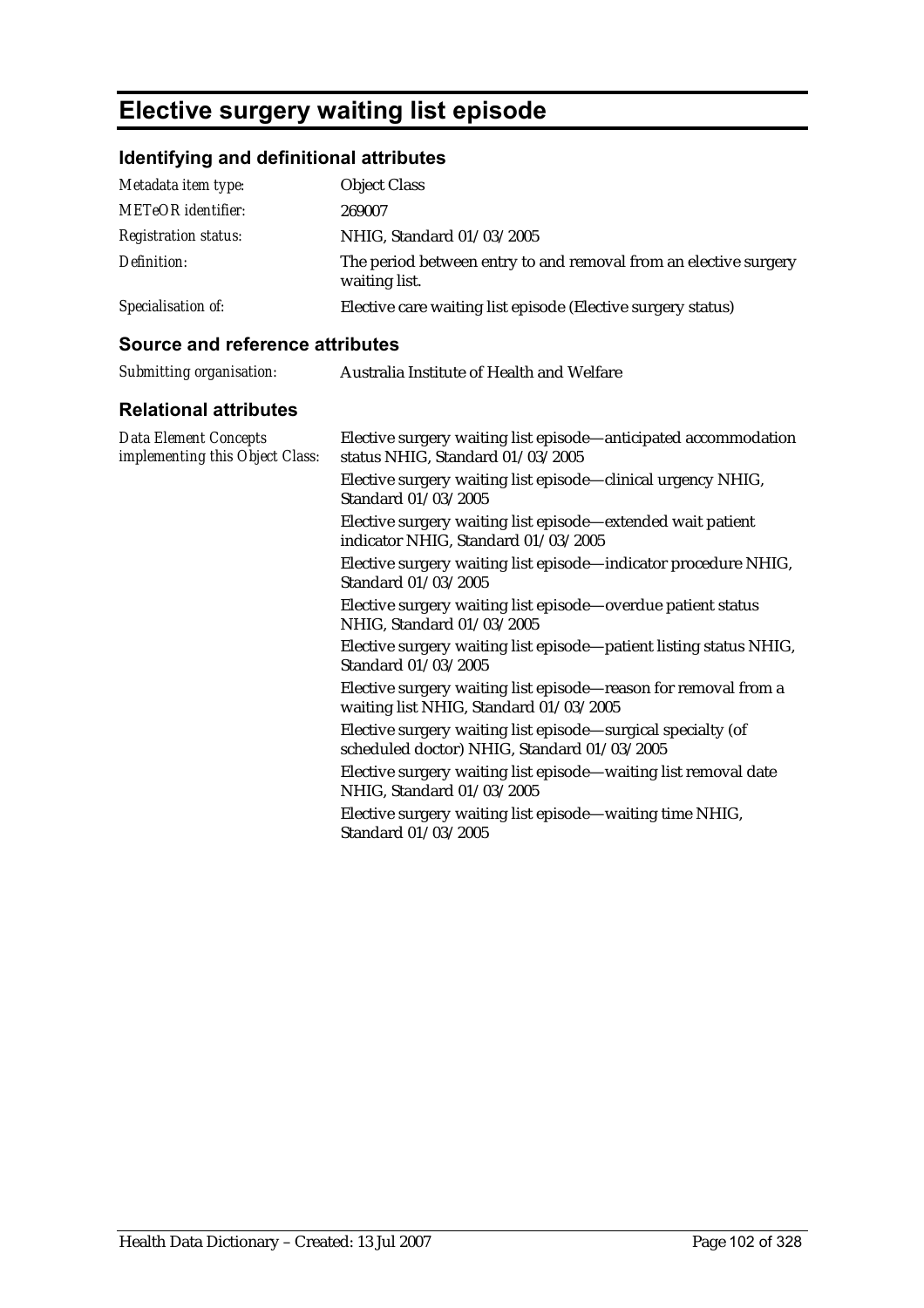## **Elective surgery waiting list episode**

## **Identifying and definitional attributes**

| Metadata item type:         | <b>Object Class</b>                                                               |
|-----------------------------|-----------------------------------------------------------------------------------|
| <b>METeOR</b> identifier:   | 269007                                                                            |
| <b>Registration status:</b> | NHIG, Standard 01/03/2005                                                         |
| Definition:                 | The period between entry to and removal from an elective surgery<br>waiting list. |
| Specialisation of:          | Elective care waiting list episode (Elective surgery status)                      |

| Submitting organisation:     | Australia Institute of Health and Welfare     |
|------------------------------|-----------------------------------------------|
| <b>Relational attributes</b> |                                               |
| Data Flement Concents        | Flective surgery waiting list enjsode—anticin |

| <b>Data Element Concepts</b><br>implementing this Object Class: | Elective surgery waiting list episode—anticipated accommodation<br>status NHIG, Standard 01/03/2005<br>Elective surgery waiting list episode—clinical urgency NHIG,<br>Standard 01/03/2005 |
|-----------------------------------------------------------------|--------------------------------------------------------------------------------------------------------------------------------------------------------------------------------------------|
|                                                                 | Elective surgery waiting list episode—extended wait patient<br>indicator NHIG, Standard 01/03/2005                                                                                         |
|                                                                 | Elective surgery waiting list episode—indicator procedure NHIG,<br>Standard 01/03/2005                                                                                                     |
|                                                                 | Elective surgery waiting list episode—overdue patient status<br>NHIG, Standard 01/03/2005                                                                                                  |
|                                                                 | Elective surgery waiting list episode—patient listing status NHIG,<br>Standard 01/03/2005                                                                                                  |
|                                                                 | Elective surgery waiting list episode—reason for removal from a<br>waiting list NHIG, Standard 01/03/2005                                                                                  |
|                                                                 | Elective surgery waiting list episode—surgical specialty (of<br>scheduled doctor) NHIG, Standard 01/03/2005                                                                                |
|                                                                 | Elective surgery waiting list episode—waiting list removal date<br>NHIG, Standard 01/03/2005                                                                                               |
|                                                                 | Elective surgery waiting list episode—waiting time NHIG,<br>Standard 01/03/2005                                                                                                            |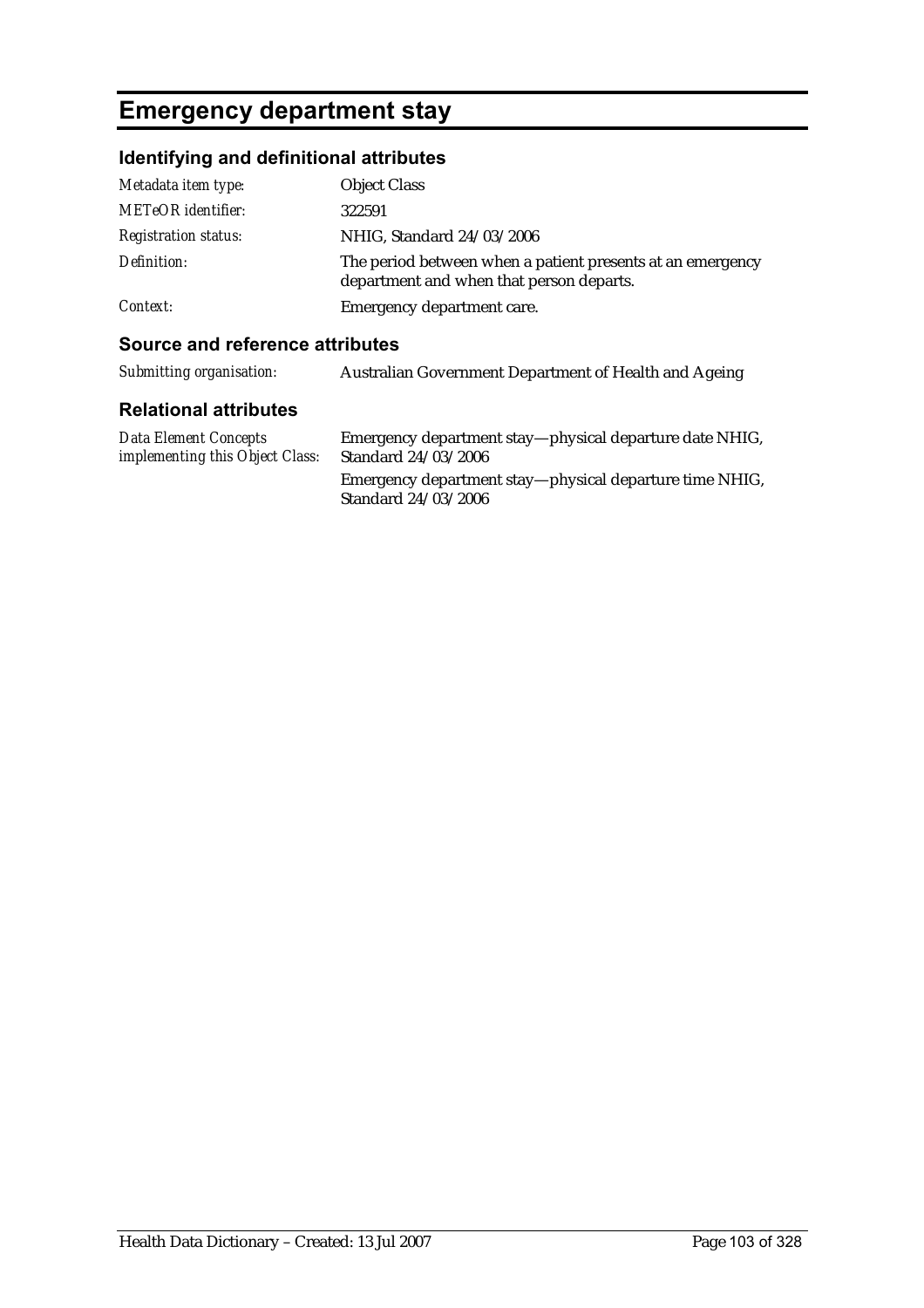## **Emergency department stay**

### **Identifying and definitional attributes**

| Metadata item type:         | <b>Object Class</b>                                                                                    |
|-----------------------------|--------------------------------------------------------------------------------------------------------|
| <b>METeOR</b> identifier:   | 322591                                                                                                 |
| <b>Registration status:</b> | NHIG, Standard 24/03/2006                                                                              |
| Definition:                 | The period between when a patient presents at an emergency<br>department and when that person departs. |
| Context:                    | Emergency department care.                                                                             |

| Submitting organisation:                                 | Australian Government Department of Health and Ageing                          |
|----------------------------------------------------------|--------------------------------------------------------------------------------|
| <b>Relational attributes</b>                             |                                                                                |
| Data Element Concepts<br>implementing this Object Class: | Emergency department stay—physical departure date NHIG,<br>Standard 24/03/2006 |
|                                                          | Emergency department stay—physical departure time NHIG,<br>Standard 24/03/2006 |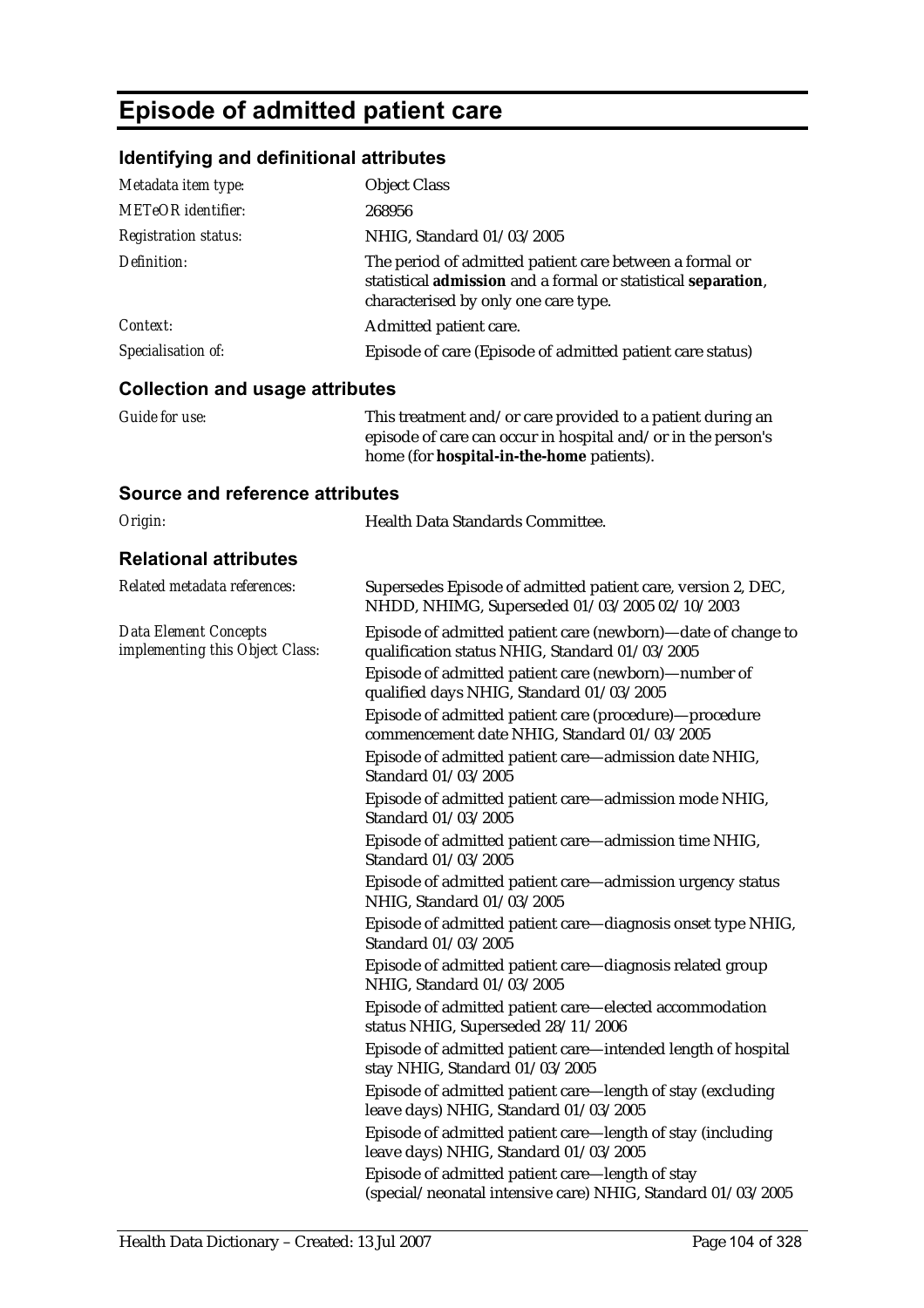## **Episode of admitted patient care**

### **Identifying and definitional attributes**

| Specialisation of:          | Episode of care (Episode of admitted patient care status)                                                                                                        |
|-----------------------------|------------------------------------------------------------------------------------------------------------------------------------------------------------------|
| Context:                    | Admitted patient care.                                                                                                                                           |
| Definition:                 | The period of admitted patient care between a formal or<br>statistical admission and a formal or statistical separation,<br>characterised by only one care type. |
| <b>Registration status:</b> | NHIG, Standard 01/03/2005                                                                                                                                        |
| <b>METeOR</b> identifier:   | 268956                                                                                                                                                           |
| Metadata item type:         | <b>Object Class</b>                                                                                                                                              |

#### **Collection and usage attributes**

| Guide for use: | This treatment and/or care provided to a patient during an   |
|----------------|--------------------------------------------------------------|
|                | episode of care can occur in hospital and/or in the person's |
|                | home (for <b>hospital-in-the-home</b> patients).             |

| Origin:                                                         | Health Data Standards Committee.                                                                               |
|-----------------------------------------------------------------|----------------------------------------------------------------------------------------------------------------|
| <b>Relational attributes</b>                                    |                                                                                                                |
| Related metadata references:                                    | Supersedes Episode of admitted patient care, version 2, DEC,<br>NHDD, NHIMG, Superseded 01/03/2005 02/10/2003  |
| <b>Data Element Concepts</b><br>implementing this Object Class: | Episode of admitted patient care (newborn)-date of change to<br>qualification status NHIG, Standard 01/03/2005 |
|                                                                 | Episode of admitted patient care (newborn)-number of<br>qualified days NHIG, Standard 01/03/2005               |
|                                                                 | Episode of admitted patient care (procedure)-procedure<br>commencement date NHIG, Standard 01/03/2005          |
|                                                                 | Episode of admitted patient care-admission date NHIG,<br>Standard 01/03/2005                                   |
|                                                                 | Episode of admitted patient care-admission mode NHIG,<br>Standard 01/03/2005                                   |
|                                                                 | Episode of admitted patient care-admission time NHIG,<br>Standard 01/03/2005                                   |
|                                                                 | Episode of admitted patient care-admission urgency status<br>NHIG, Standard 01/03/2005                         |
|                                                                 | Episode of admitted patient care-diagnosis onset type NHIG,<br>Standard 01/03/2005                             |
|                                                                 | Episode of admitted patient care-diagnosis related group<br>NHIG, Standard 01/03/2005                          |
|                                                                 | Episode of admitted patient care-elected accommodation<br>status NHIG, Superseded 28/11/2006                   |
|                                                                 | Episode of admitted patient care-intended length of hospital<br>stay NHIG, Standard 01/03/2005                 |
|                                                                 | Episode of admitted patient care-length of stay (excluding<br>leave days) NHIG, Standard 01/03/2005            |
|                                                                 | Episode of admitted patient care-length of stay (including<br>leave days) NHIG, Standard 01/03/2005            |
|                                                                 | Episode of admitted patient care-length of stay<br>(special/neonatal intensive care) NHIG, Standard 01/03/2005 |
|                                                                 |                                                                                                                |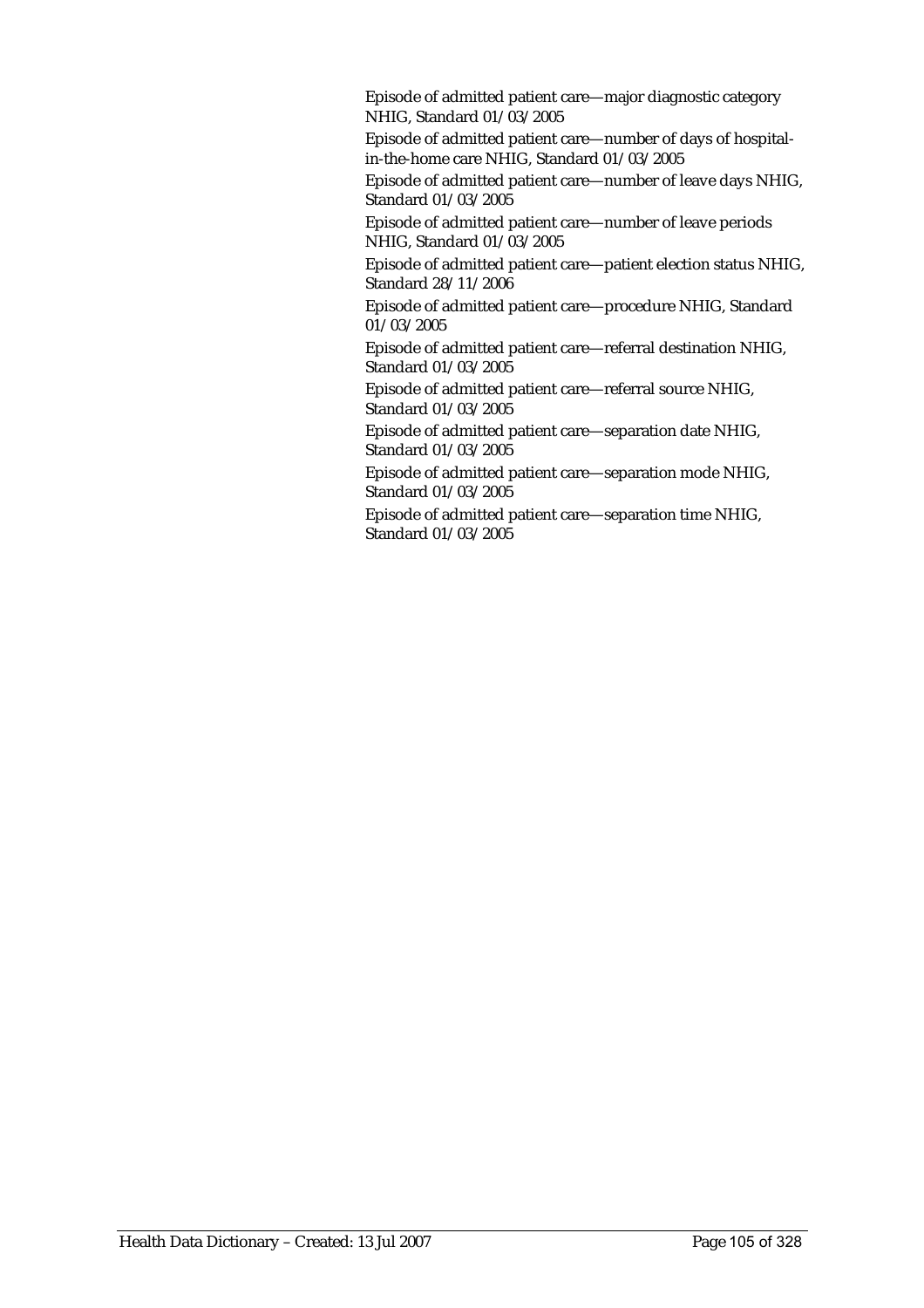Episode of admitted patient care—major diagnostic category NHIG, Standard 01/03/2005

Episode of admitted patient care—number of days of hospitalin-the-home care NHIG, Standard 01/03/2005

Episode of admitted patient care—number of leave days NHIG, Standard 01/03/2005

Episode of admitted patient care—number of leave periods NHIG, Standard 01/03/2005

Episode of admitted patient care—patient election status NHIG, Standard 28/11/2006

Episode of admitted patient care—procedure NHIG, Standard 01/03/2005

Episode of admitted patient care—referral destination NHIG, Standard 01/03/2005

Episode of admitted patient care—referral source NHIG, Standard 01/03/2005

Episode of admitted patient care—separation date NHIG, Standard 01/03/2005

Episode of admitted patient care—separation mode NHIG, Standard 01/03/2005

Episode of admitted patient care—separation time NHIG, Standard 01/03/2005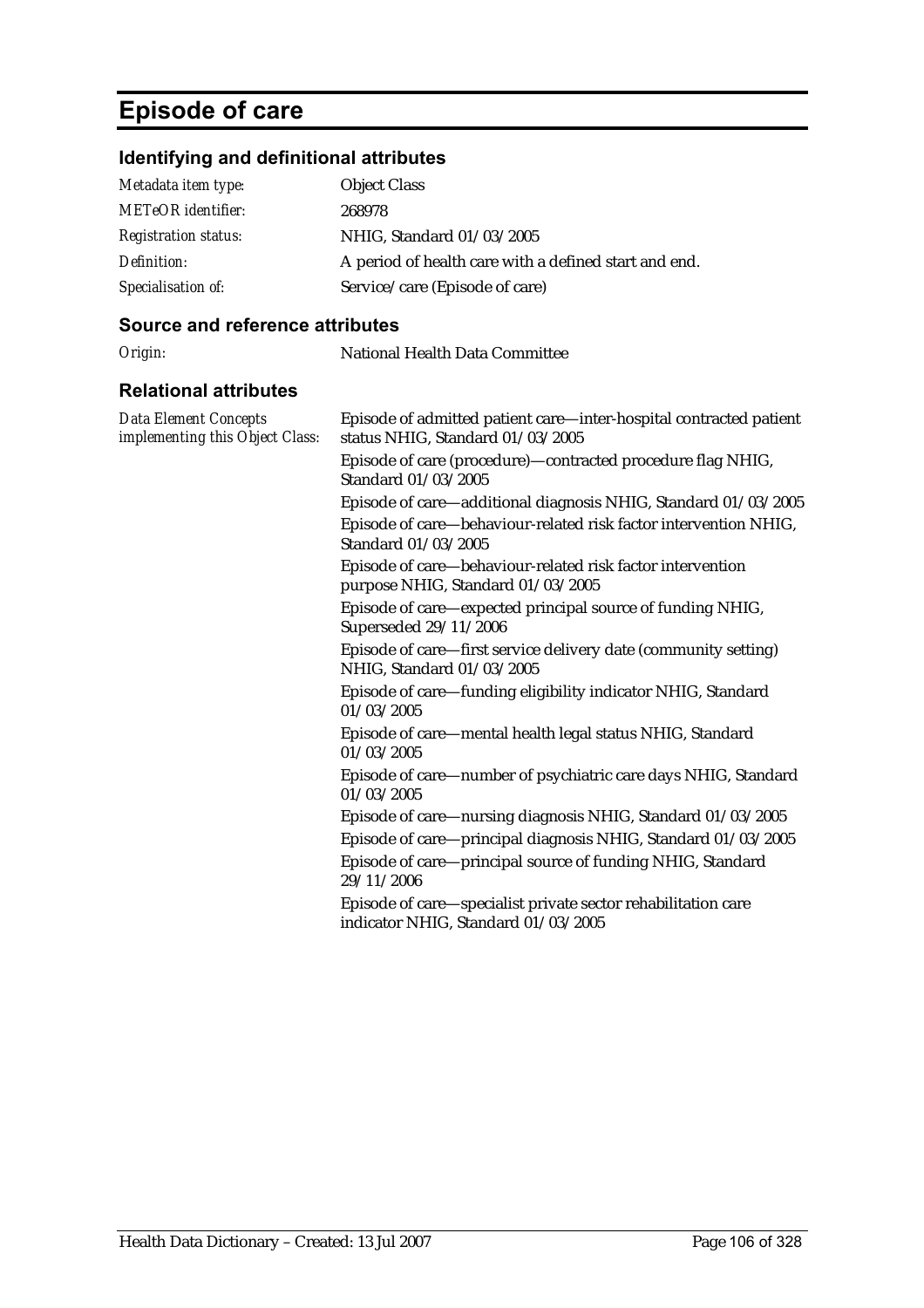## **Episode of care**

## **Identifying and definitional attributes**

| Metadata item type:         | <b>Object Class</b>                                   |
|-----------------------------|-------------------------------------------------------|
| <b>METeOR</b> identifier:   | 268978                                                |
| <b>Registration status:</b> | NHIG, Standard 01/03/2005                             |
| Definition:                 | A period of health care with a defined start and end. |
| Specialisation of:          | Service/care (Episode of care)                        |

| Origin:                                                         | National Health Data Committee                                                                                               |
|-----------------------------------------------------------------|------------------------------------------------------------------------------------------------------------------------------|
| <b>Relational attributes</b>                                    |                                                                                                                              |
| <b>Data Element Concepts</b><br>implementing this Object Class: | Episode of admitted patient care-inter-hospital contracted patient<br>status NHIG, Standard 01/03/2005                       |
|                                                                 | Episode of care (procedure)-contracted procedure flag NHIG,<br>Standard 01/03/2005                                           |
|                                                                 | Episode of care-additional diagnosis NHIG, Standard 01/03/2005                                                               |
|                                                                 | Episode of care-behaviour-related risk factor intervention NHIG,<br>Standard 01/03/2005                                      |
|                                                                 | Episode of care-behaviour-related risk factor intervention<br>purpose NHIG, Standard 01/03/2005                              |
|                                                                 | Episode of care-expected principal source of funding NHIG,<br>Superseded 29/11/2006                                          |
|                                                                 | Episode of care—first service delivery date (community setting)<br>NHIG, Standard 01/03/2005                                 |
|                                                                 | Episode of care—funding eligibility indicator NHIG, Standard<br>01/03/2005                                                   |
|                                                                 | Episode of care—mental health legal status NHIG, Standard<br>01/03/2005                                                      |
|                                                                 | Episode of care—number of psychiatric care days NHIG, Standard<br>01/03/2005                                                 |
|                                                                 | Episode of care—nursing diagnosis NHIG, Standard 01/03/2005<br>Episode of care-principal diagnosis NHIG, Standard 01/03/2005 |
|                                                                 | Episode of care-principal source of funding NHIG, Standard<br>29/11/2006                                                     |
|                                                                 | Episode of care—specialist private sector rehabilitation care<br>indicator NHIG, Standard 01/03/2005                         |
|                                                                 |                                                                                                                              |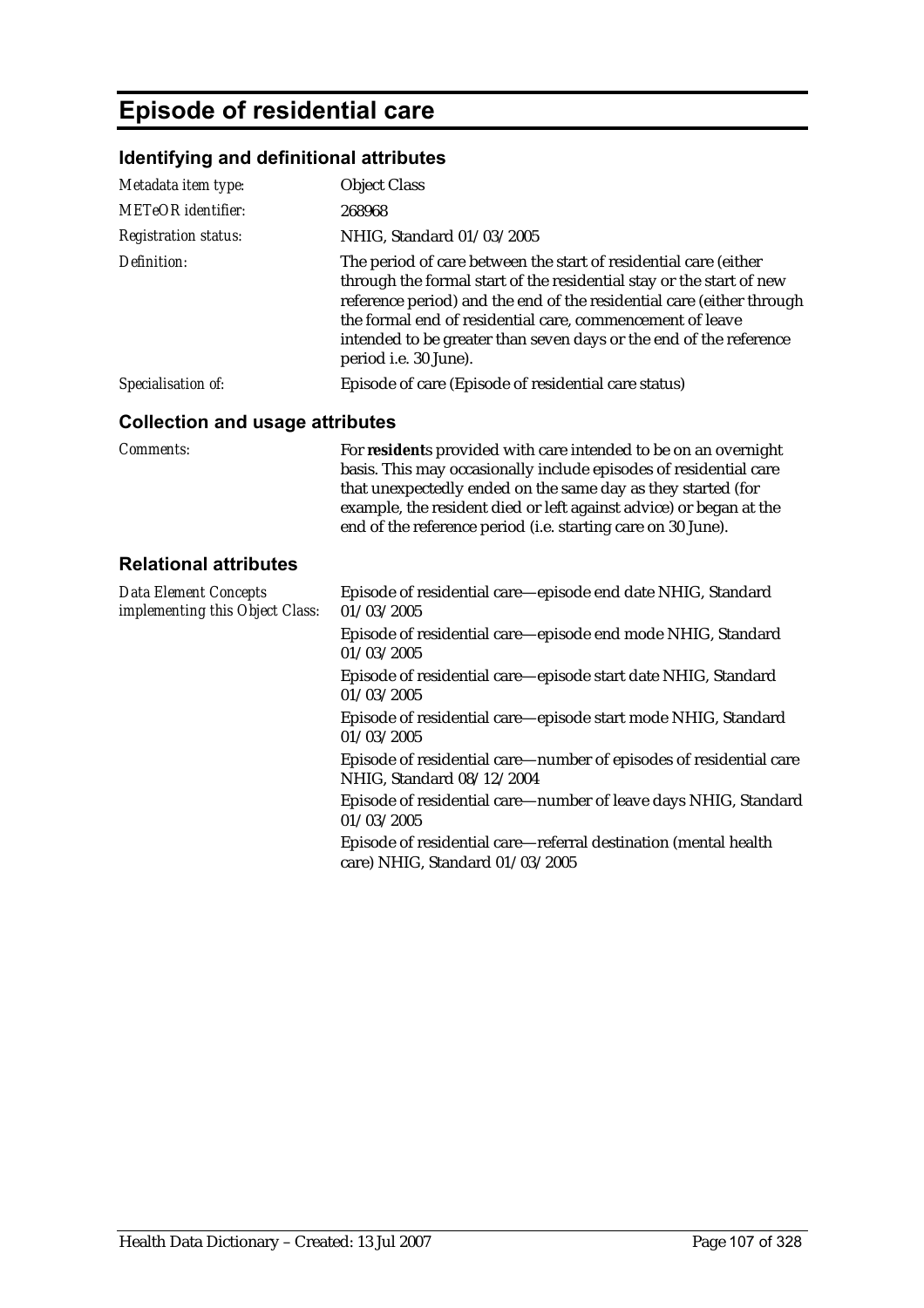# **Episode of residential care**

## **Identifying and definitional attributes**

| Metadata item type:                                             | <b>Object Class</b>                                                                                                                                                                                                                                                                                                                                                           |
|-----------------------------------------------------------------|-------------------------------------------------------------------------------------------------------------------------------------------------------------------------------------------------------------------------------------------------------------------------------------------------------------------------------------------------------------------------------|
| <b>METeOR</b> identifier:                                       | 268968                                                                                                                                                                                                                                                                                                                                                                        |
| <b>Registration status:</b>                                     | NHIG, Standard 01/03/2005                                                                                                                                                                                                                                                                                                                                                     |
| Definition:                                                     | The period of care between the start of residential care (either<br>through the formal start of the residential stay or the start of new<br>reference period) and the end of the residential care (either through<br>the formal end of residential care, commencement of leave<br>intended to be greater than seven days or the end of the reference<br>period i.e. 30 June). |
| Specialisation of:                                              | Episode of care (Episode of residential care status)                                                                                                                                                                                                                                                                                                                          |
| <b>Collection and usage attributes</b>                          |                                                                                                                                                                                                                                                                                                                                                                               |
| <b>Comments:</b>                                                | For residents provided with care intended to be on an overnight<br>basis. This may occasionally include episodes of residential care<br>that unexpectedly ended on the same day as they started (for<br>example, the resident died or left against advice) or began at the<br>end of the reference period (i.e. starting care on 30 June).                                    |
| <b>Relational attributes</b>                                    |                                                                                                                                                                                                                                                                                                                                                                               |
| <b>Data Element Concepts</b><br>implementing this Object Class: | Episode of residential care-episode end date NHIG, Standard<br>01/03/2005                                                                                                                                                                                                                                                                                                     |
|                                                                 | Episode of residential care-episode end mode NHIG, Standard<br>01/03/2005                                                                                                                                                                                                                                                                                                     |
|                                                                 | Episode of residential care-episode start date NHIG, Standard<br>01/03/2005                                                                                                                                                                                                                                                                                                   |
|                                                                 | Episode of residential care—episode start mode NHIG, Standard<br>01/03/2005                                                                                                                                                                                                                                                                                                   |
|                                                                 | Episode of residential care—number of episodes of residential care<br>NHIG, Standard 08/12/2004                                                                                                                                                                                                                                                                               |
|                                                                 | Episode of residential care-number of leave days NHIG, Standard<br>01/03/2005                                                                                                                                                                                                                                                                                                 |
|                                                                 | Episode of residential care—referral destination (mental health<br>care) NHIG, Standard 01/03/2005                                                                                                                                                                                                                                                                            |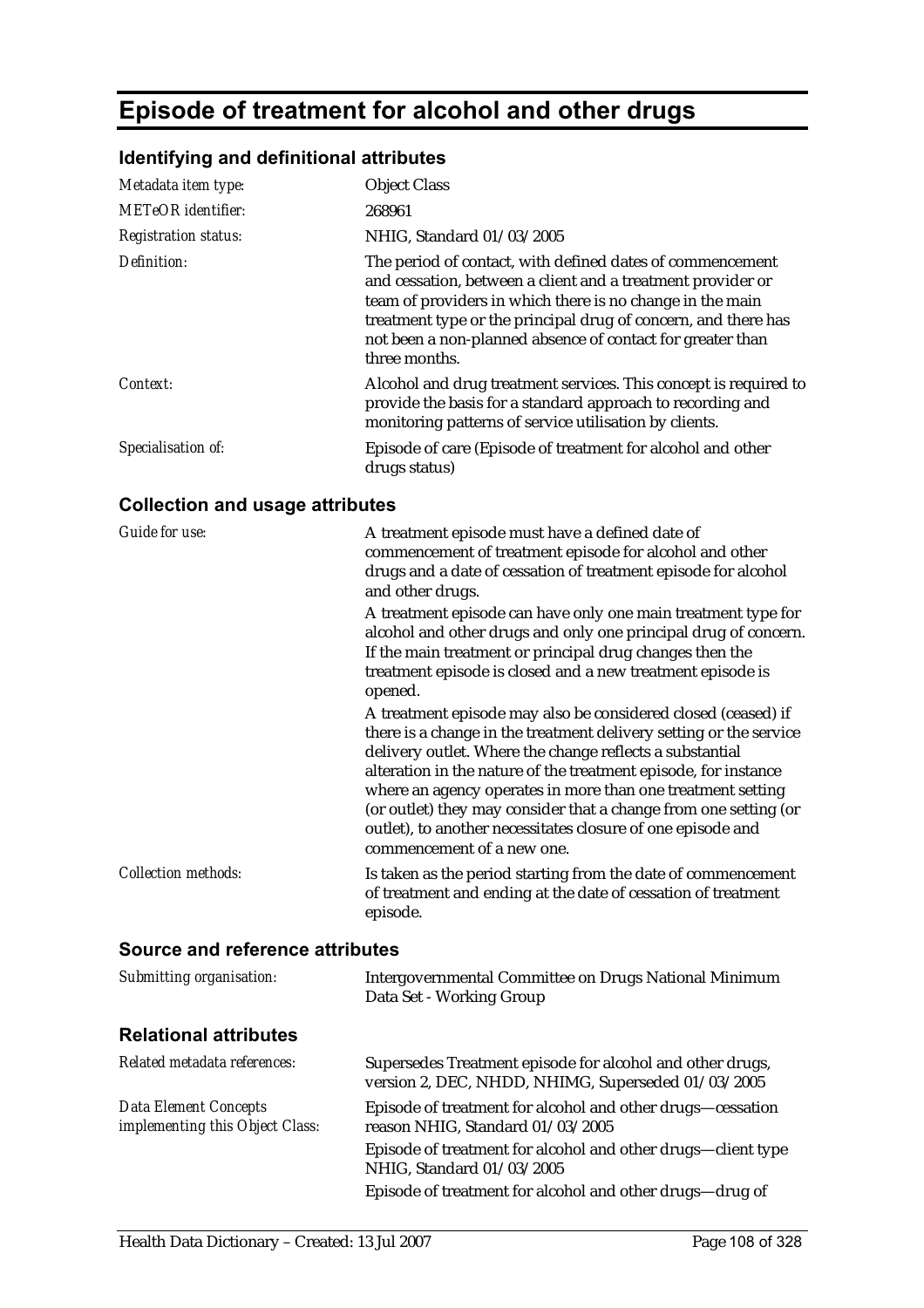## **Episode of treatment for alcohol and other drugs**

### **Identifying and definitional attributes**

| Metadata item type:         | <b>Object Class</b>                                                                                                                                                                                                                                                                                                                    |
|-----------------------------|----------------------------------------------------------------------------------------------------------------------------------------------------------------------------------------------------------------------------------------------------------------------------------------------------------------------------------------|
| <b>METeOR</b> identifier:   | 268961                                                                                                                                                                                                                                                                                                                                 |
| <b>Registration status:</b> | NHIG, Standard 01/03/2005                                                                                                                                                                                                                                                                                                              |
| Definition:                 | The period of contact, with defined dates of commencement<br>and cessation, between a client and a treatment provider or<br>team of providers in which there is no change in the main<br>treatment type or the principal drug of concern, and there has<br>not been a non-planned absence of contact for greater than<br>three months. |
| Context:                    | Alcohol and drug treatment services. This concept is required to<br>provide the basis for a standard approach to recording and<br>monitoring patterns of service utilisation by clients.                                                                                                                                               |
| Specialisation of:          | Episode of care (Episode of treatment for alcohol and other<br>drugs status)                                                                                                                                                                                                                                                           |

### **Collection and usage attributes**

| Guide for use:             | A treatment episode must have a defined date of<br>commencement of treatment episode for alcohol and other<br>drugs and a date of cessation of treatment episode for alcohol<br>and other drugs.                                                                                                                                                                                                                                                                                                   |
|----------------------------|----------------------------------------------------------------------------------------------------------------------------------------------------------------------------------------------------------------------------------------------------------------------------------------------------------------------------------------------------------------------------------------------------------------------------------------------------------------------------------------------------|
|                            | A treatment episode can have only one main treatment type for<br>alcohol and other drugs and only one principal drug of concern.<br>If the main treatment or principal drug changes then the<br>treatment episode is closed and a new treatment episode is<br>opened.                                                                                                                                                                                                                              |
|                            | A treatment episode may also be considered closed (ceased) if<br>there is a change in the treatment delivery setting or the service<br>delivery outlet. Where the change reflects a substantial<br>alteration in the nature of the treatment episode, for instance<br>where an agency operates in more than one treatment setting<br>(or outlet) they may consider that a change from one setting (or<br>outlet), to another necessitates closure of one episode and<br>commencement of a new one. |
| <b>Collection methods:</b> | Is taken as the period starting from the date of commencement<br>of treatment and ending at the date of cessation of treatment<br>episode.                                                                                                                                                                                                                                                                                                                                                         |

| Submitting organisation:                                        | Intergovernmental Committee on Drugs National Minimum<br>Data Set - Working Group                               |
|-----------------------------------------------------------------|-----------------------------------------------------------------------------------------------------------------|
| <b>Relational attributes</b>                                    |                                                                                                                 |
| Related metadata references:                                    | Supersedes Treatment episode for alcohol and other drugs,<br>version 2, DEC, NHDD, NHIMG, Superseded 01/03/2005 |
| <b>Data Element Concepts</b><br>implementing this Object Class: | Episode of treatment for alcohol and other drugs—cessation<br>reason NHIG, Standard 01/03/2005                  |
|                                                                 | Episode of treatment for alcohol and other drugs-client type<br>NHIG, Standard 01/03/2005                       |
|                                                                 | Episode of treatment for alcohol and other drugs—drug of                                                        |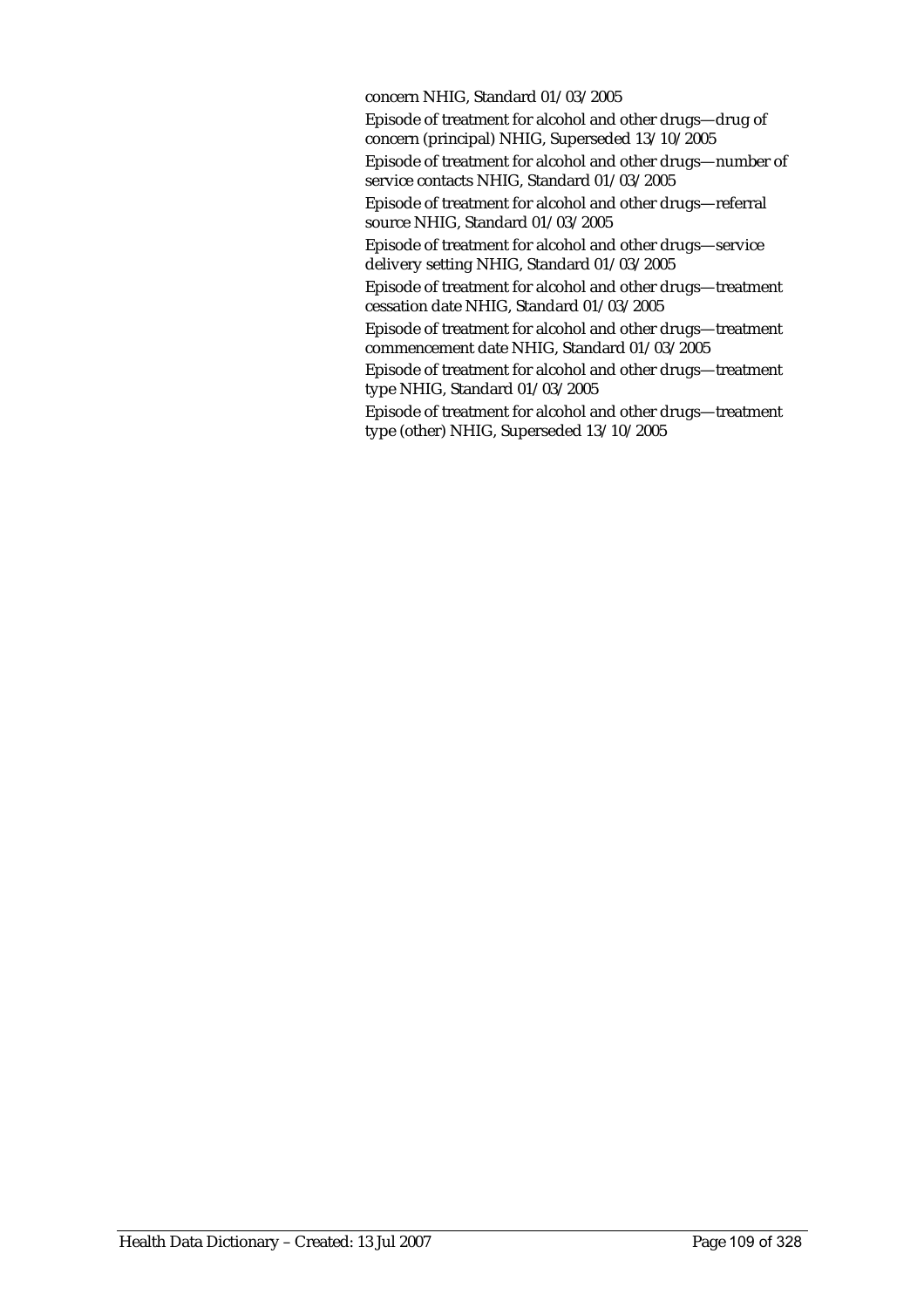concern NHIG, Standard 01/03/2005

Episode of treatment for alcohol and other drugs—drug of concern (principal) NHIG, Superseded 13/10/2005

Episode of treatment for alcohol and other drugs—number of service contacts NHIG, Standard 01/03/2005

Episode of treatment for alcohol and other drugs—referral source NHIG, Standard 01/03/2005

Episode of treatment for alcohol and other drugs—service delivery setting NHIG, Standard 01/03/2005

Episode of treatment for alcohol and other drugs—treatment cessation date NHIG, Standard 01/03/2005

Episode of treatment for alcohol and other drugs—treatment commencement date NHIG, Standard 01/03/2005

Episode of treatment for alcohol and other drugs—treatment type NHIG, Standard 01/03/2005

Episode of treatment for alcohol and other drugs—treatment type (other) NHIG, Superseded 13/10/2005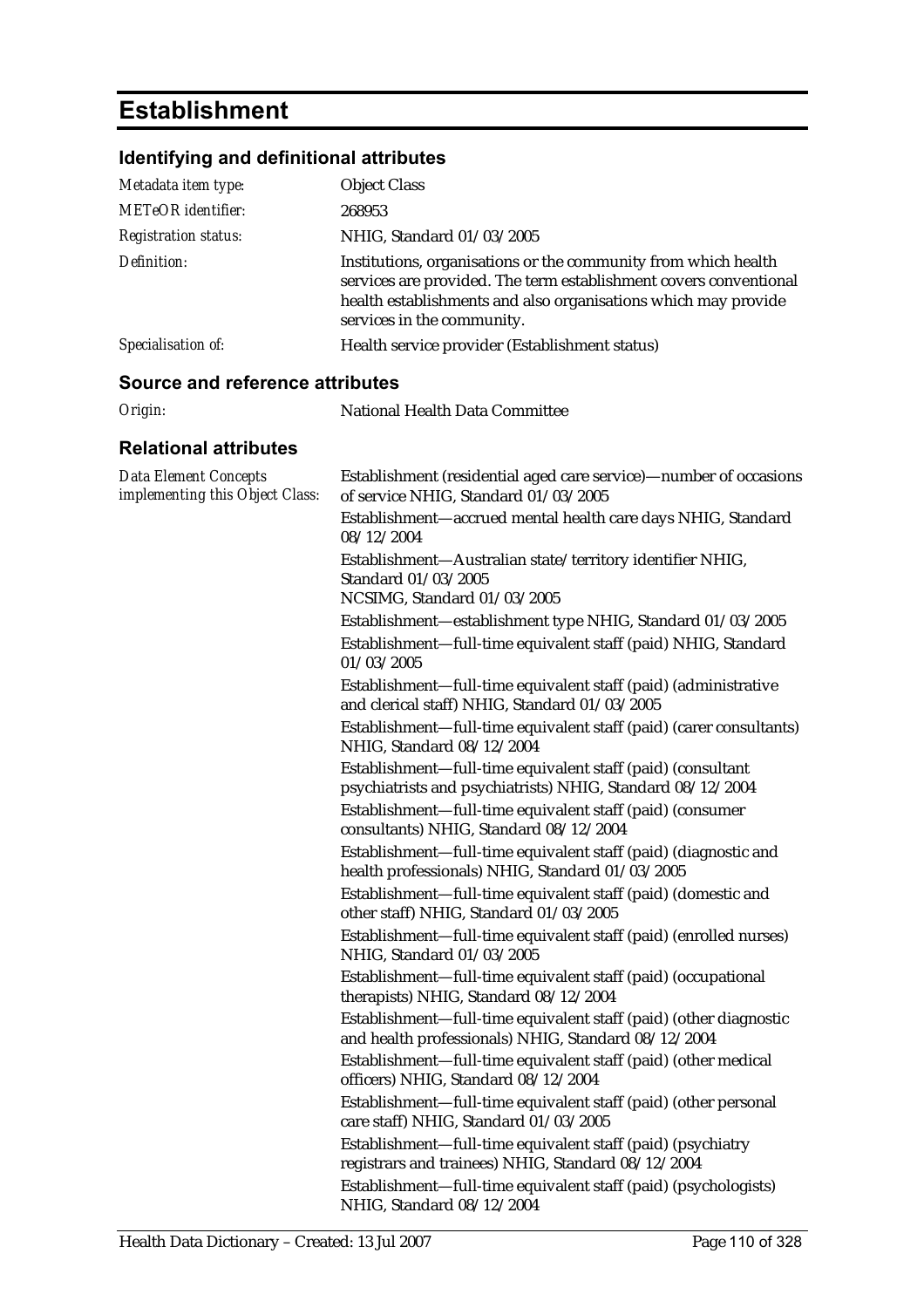# **Establishment**

## **Identifying and definitional attributes**

| Metadata item type:                    | <b>Object Class</b>                                                                                                                                                                                                                 |
|----------------------------------------|-------------------------------------------------------------------------------------------------------------------------------------------------------------------------------------------------------------------------------------|
| METeOR identifier:                     | 268953                                                                                                                                                                                                                              |
| <i><b>Registration status:</b></i>     | NHIG, Standard 01/03/2005                                                                                                                                                                                                           |
| Definition:                            | Institutions, organisations or the community from which health<br>services are provided. The term establishment covers conventional<br>health establishments and also organisations which may provide<br>services in the community. |
| Specialisation of:                     | Health service provider (Establishment status)                                                                                                                                                                                      |
| <b>Source and reference attributes</b> |                                                                                                                                                                                                                                     |
| Origin:                                | National Health Data Committee                                                                                                                                                                                                      |
| <b>Relational attributes</b>           |                                                                                                                                                                                                                                     |

| <b>Data Element Concepts</b><br>implementing this Object Class: | Establishment (residential aged care service)—number of occasions<br>of service NHIG, Standard 01/03/2005                 |
|-----------------------------------------------------------------|---------------------------------------------------------------------------------------------------------------------------|
|                                                                 | Establishment-accrued mental health care days NHIG, Standard<br>08/12/2004                                                |
|                                                                 | Establishment-Australian state/territory identifier NHIG,<br>Standard 01/03/2005                                          |
|                                                                 | NCSIMG, Standard 01/03/2005                                                                                               |
|                                                                 | Establishment-establishment type NHIG, Standard 01/03/2005                                                                |
|                                                                 | Establishment-full-time equivalent staff (paid) NHIG, Standard<br>01/03/2005                                              |
|                                                                 | Establishment—full-time equivalent staff (paid) (administrative<br>and clerical staff) NHIG, Standard 01/03/2005          |
|                                                                 | Establishment-full-time equivalent staff (paid) (carer consultants)<br>NHIG, Standard 08/12/2004                          |
|                                                                 | Establishment-full-time equivalent staff (paid) (consultant<br>psychiatrists and psychiatrists) NHIG, Standard 08/12/2004 |
|                                                                 | Establishment-full-time equivalent staff (paid) (consumer<br>consultants) NHIG, Standard 08/12/2004                       |
|                                                                 | Establishment-full-time equivalent staff (paid) (diagnostic and<br>health professionals) NHIG, Standard 01/03/2005        |
|                                                                 | Establishment-full-time equivalent staff (paid) (domestic and<br>other staff) NHIG, Standard 01/03/2005                   |
|                                                                 | Establishment-full-time equivalent staff (paid) (enrolled nurses)<br>NHIG, Standard 01/03/2005                            |
|                                                                 | Establishment-full-time equivalent staff (paid) (occupational<br>therapists) NHIG, Standard 08/12/2004                    |
|                                                                 | Establishment-full-time equivalent staff (paid) (other diagnostic<br>and health professionals) NHIG, Standard 08/12/2004  |
|                                                                 | Establishment-full-time equivalent staff (paid) (other medical<br>officers) NHIG, Standard 08/12/2004                     |
|                                                                 | Establishment—full-time equivalent staff (paid) (other personal<br>care staff) NHIG, Standard 01/03/2005                  |
|                                                                 | Establishment-full-time equivalent staff (paid) (psychiatry<br>registrars and trainees) NHIG, Standard 08/12/2004         |
|                                                                 | Establishment-full-time equivalent staff (paid) (psychologists)<br>NHIG, Standard 08/12/2004                              |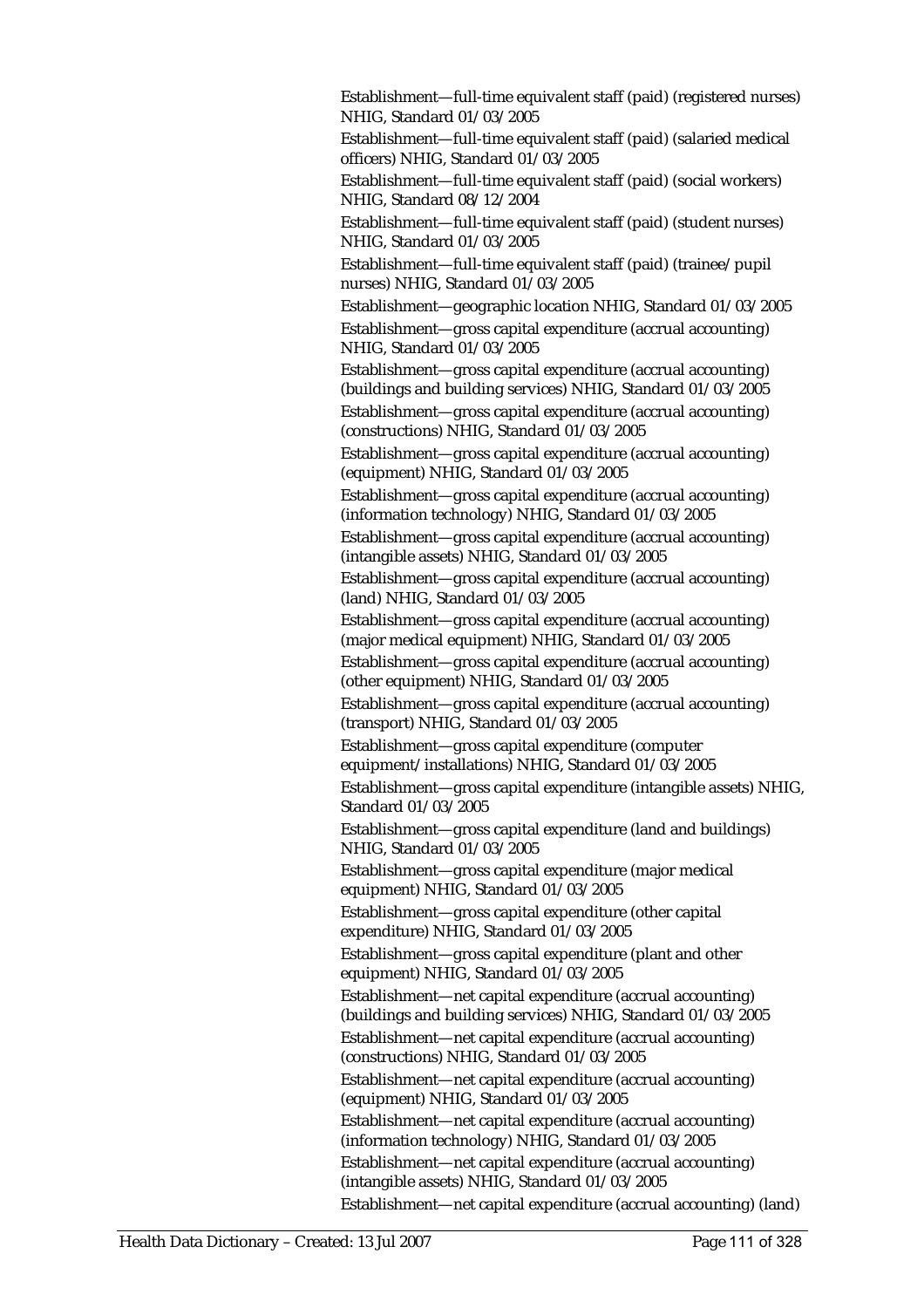Establishment—full-time equivalent staff (paid) (registered nurses) NHIG, Standard 01/03/2005

Establishment—full-time equivalent staff (paid) (salaried medical officers) NHIG, Standard 01/03/2005

Establishment—full-time equivalent staff (paid) (social workers) NHIG, Standard 08/12/2004

Establishment—full-time equivalent staff (paid) (student nurses) NHIG, Standard 01/03/2005

Establishment—full-time equivalent staff (paid) (trainee/pupil nurses) NHIG, Standard 01/03/2005

Establishment—geographic location NHIG, Standard 01/03/2005 Establishment—gross capital expenditure (accrual accounting) NHIG, Standard 01/03/2005

Establishment—gross capital expenditure (accrual accounting) (buildings and building services) NHIG, Standard 01/03/2005 Establishment—gross capital expenditure (accrual accounting) (constructions) NHIG, Standard 01/03/2005

Establishment—gross capital expenditure (accrual accounting) (equipment) NHIG, Standard 01/03/2005

Establishment—gross capital expenditure (accrual accounting) (information technology) NHIG, Standard 01/03/2005

Establishment—gross capital expenditure (accrual accounting) (intangible assets) NHIG, Standard 01/03/2005

Establishment—gross capital expenditure (accrual accounting) (land) NHIG, Standard 01/03/2005

Establishment—gross capital expenditure (accrual accounting) (major medical equipment) NHIG, Standard 01/03/2005

Establishment—gross capital expenditure (accrual accounting) (other equipment) NHIG, Standard 01/03/2005

Establishment—gross capital expenditure (accrual accounting) (transport) NHIG, Standard 01/03/2005

Establishment—gross capital expenditure (computer equipment/installations) NHIG, Standard 01/03/2005

Establishment—gross capital expenditure (intangible assets) NHIG, Standard 01/03/2005

Establishment—gross capital expenditure (land and buildings) NHIG, Standard 01/03/2005

Establishment—gross capital expenditure (major medical equipment) NHIG, Standard 01/03/2005

Establishment—gross capital expenditure (other capital expenditure) NHIG, Standard 01/03/2005

Establishment—gross capital expenditure (plant and other equipment) NHIG, Standard 01/03/2005

Establishment—net capital expenditure (accrual accounting) (buildings and building services) NHIG, Standard 01/03/2005

Establishment—net capital expenditure (accrual accounting) (constructions) NHIG, Standard 01/03/2005

Establishment—net capital expenditure (accrual accounting) (equipment) NHIG, Standard 01/03/2005

Establishment—net capital expenditure (accrual accounting) (information technology) NHIG, Standard 01/03/2005

Establishment—net capital expenditure (accrual accounting) (intangible assets) NHIG, Standard 01/03/2005

Establishment—net capital expenditure (accrual accounting) (land)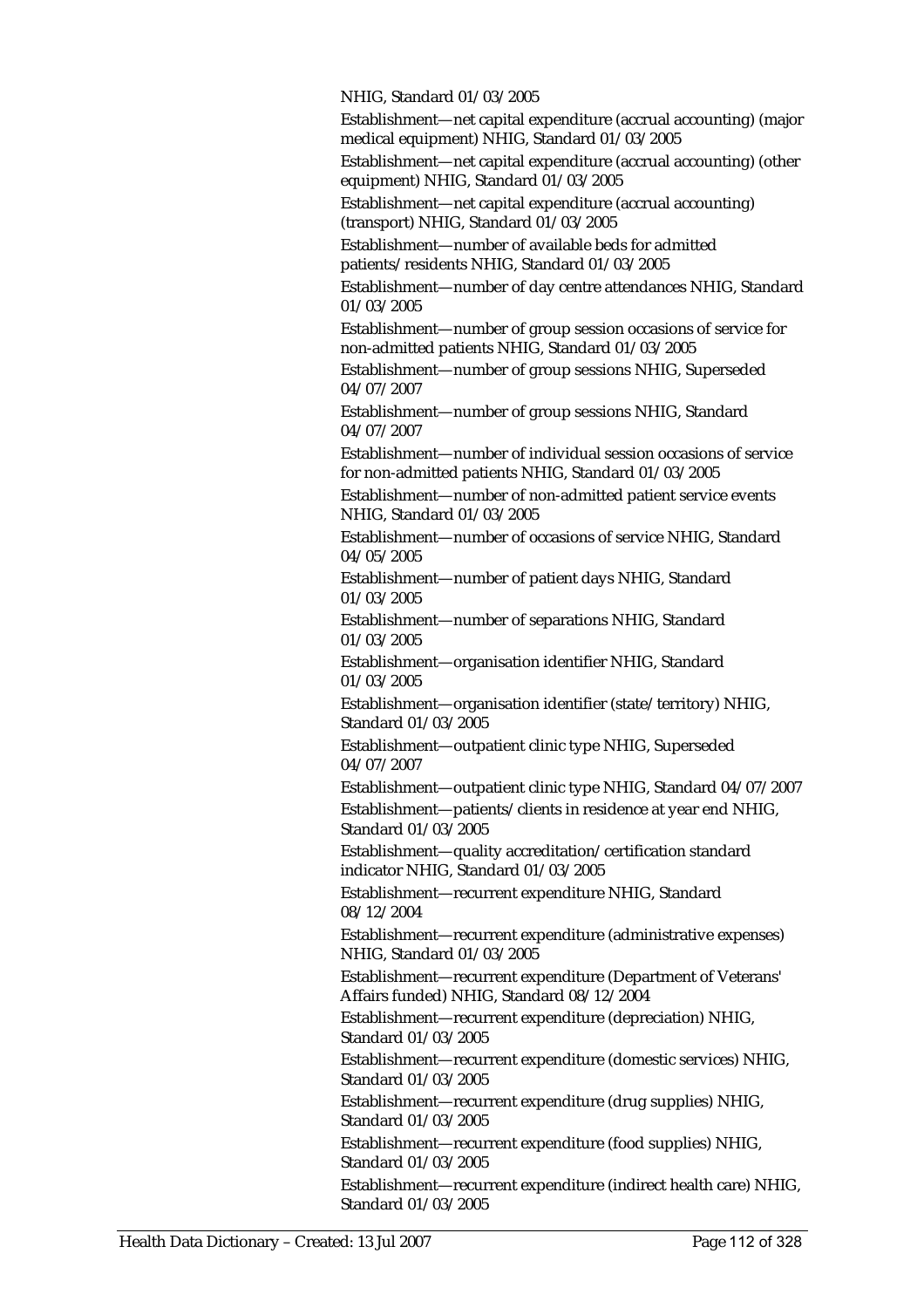NHIG, Standard 01/03/2005

Establishment—net capital expenditure (accrual accounting) (major medical equipment) NHIG, Standard 01/03/2005

Establishment—net capital expenditure (accrual accounting) (other equipment) NHIG, Standard 01/03/2005

Establishment—net capital expenditure (accrual accounting) (transport) NHIG, Standard 01/03/2005

Establishment—number of available beds for admitted patients/residents NHIG, Standard 01/03/2005

Establishment—number of day centre attendances NHIG, Standard 01/03/2005

Establishment—number of group session occasions of service for non-admitted patients NHIG, Standard 01/03/2005

Establishment—number of group sessions NHIG, Superseded 04/07/2007

Establishment—number of group sessions NHIG, Standard 04/07/2007

Establishment—number of individual session occasions of service for non-admitted patients NHIG, Standard 01/03/2005

Establishment—number of non-admitted patient service events NHIG, Standard 01/03/2005

Establishment—number of occasions of service NHIG, Standard 04/05/2005

Establishment—number of patient days NHIG, Standard 01/03/2005

Establishment—number of separations NHIG, Standard 01/03/2005

Establishment—organisation identifier NHIG, Standard 01/03/2005

Establishment—organisation identifier (state/territory) NHIG, Standard 01/03/2005

Establishment—outpatient clinic type NHIG, Superseded 04/07/2007

Establishment—outpatient clinic type NHIG, Standard 04/07/2007 Establishment—patients/clients in residence at year end NHIG, Standard 01/03/2005

Establishment—quality accreditation/certification standard indicator NHIG, Standard 01/03/2005

Establishment—recurrent expenditure NHIG, Standard 08/12/2004

Establishment—recurrent expenditure (administrative expenses) NHIG, Standard 01/03/2005

Establishment—recurrent expenditure (Department of Veterans' Affairs funded) NHIG, Standard 08/12/2004

Establishment—recurrent expenditure (depreciation) NHIG, Standard 01/03/2005

Establishment—recurrent expenditure (domestic services) NHIG, Standard 01/03/2005

Establishment—recurrent expenditure (drug supplies) NHIG, Standard 01/03/2005

Establishment—recurrent expenditure (food supplies) NHIG, Standard 01/03/2005

Establishment—recurrent expenditure (indirect health care) NHIG, Standard 01/03/2005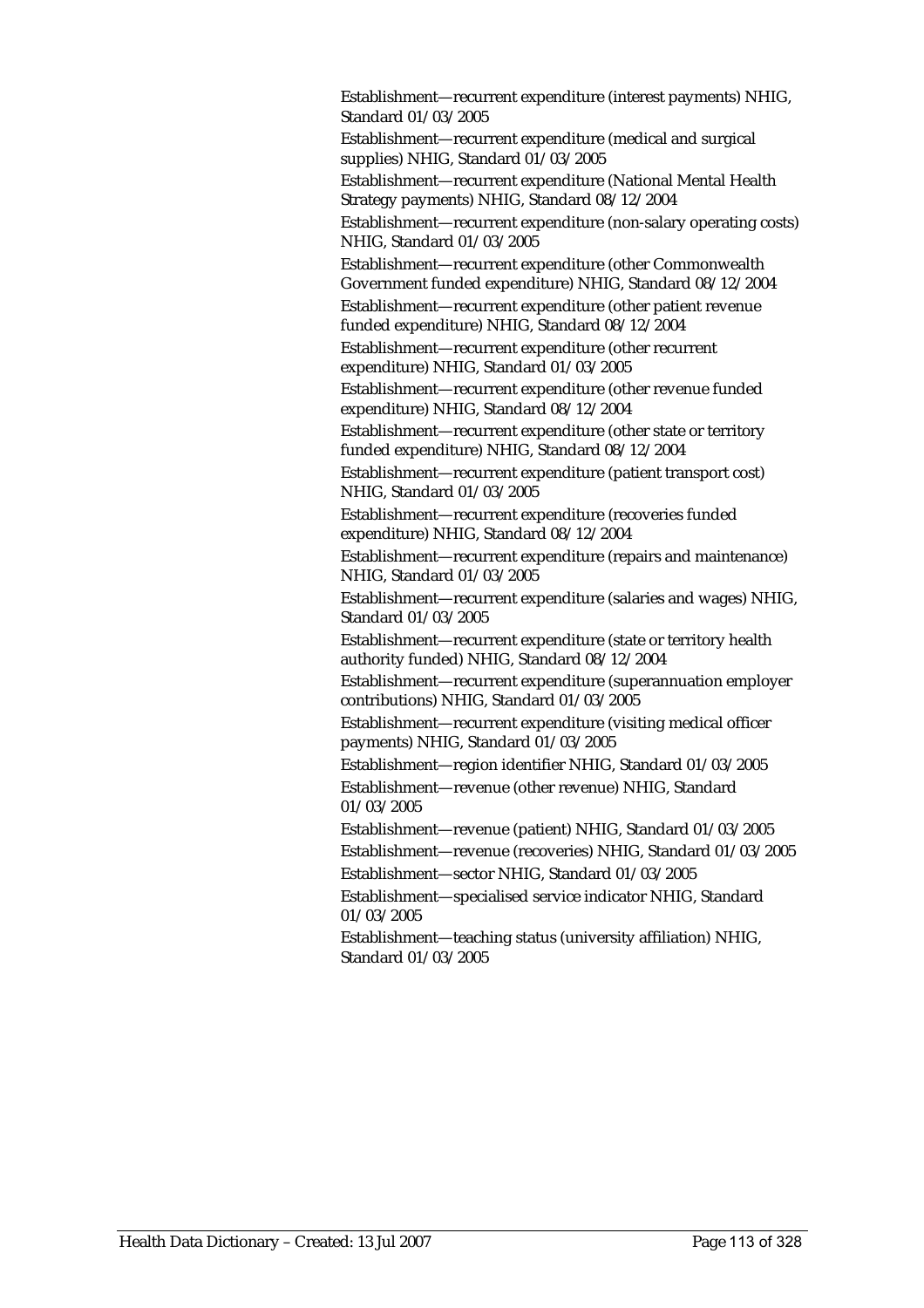Establishment—recurrent expenditure (interest payments) NHIG, Standard 01/03/2005 Establishment—recurrent expenditure (medical and surgical supplies) NHIG, Standard 01/03/2005 Establishment—recurrent expenditure (National Mental Health Strategy payments) NHIG, Standard 08/12/2004 Establishment—recurrent expenditure (non-salary operating costs) NHIG, Standard 01/03/2005 Establishment—recurrent expenditure (other Commonwealth Government funded expenditure) NHIG, Standard 08/12/2004 Establishment—recurrent expenditure (other patient revenue funded expenditure) NHIG, Standard 08/12/2004 Establishment—recurrent expenditure (other recurrent expenditure) NHIG, Standard 01/03/2005 Establishment—recurrent expenditure (other revenue funded expenditure) NHIG, Standard 08/12/2004 Establishment—recurrent expenditure (other state or territory funded expenditure) NHIG, Standard 08/12/2004 Establishment—recurrent expenditure (patient transport cost) NHIG, Standard 01/03/2005 Establishment—recurrent expenditure (recoveries funded expenditure) NHIG, Standard 08/12/2004 Establishment—recurrent expenditure (repairs and maintenance) NHIG, Standard 01/03/2005 Establishment—recurrent expenditure (salaries and wages) NHIG, Standard 01/03/2005 Establishment—recurrent expenditure (state or territory health authority funded) NHIG, Standard 08/12/2004 Establishment—recurrent expenditure (superannuation employer contributions) NHIG, Standard 01/03/2005 Establishment—recurrent expenditure (visiting medical officer payments) NHIG, Standard 01/03/2005 Establishment—region identifier NHIG, Standard 01/03/2005 Establishment—revenue (other revenue) NHIG, Standard 01/03/2005 Establishment—revenue (patient) NHIG, Standard 01/03/2005 Establishment—revenue (recoveries) NHIG, Standard 01/03/2005 Establishment—sector NHIG, Standard 01/03/2005 Establishment—specialised service indicator NHIG, Standard 01/03/2005 Establishment—teaching status (university affiliation) NHIG, Standard 01/03/2005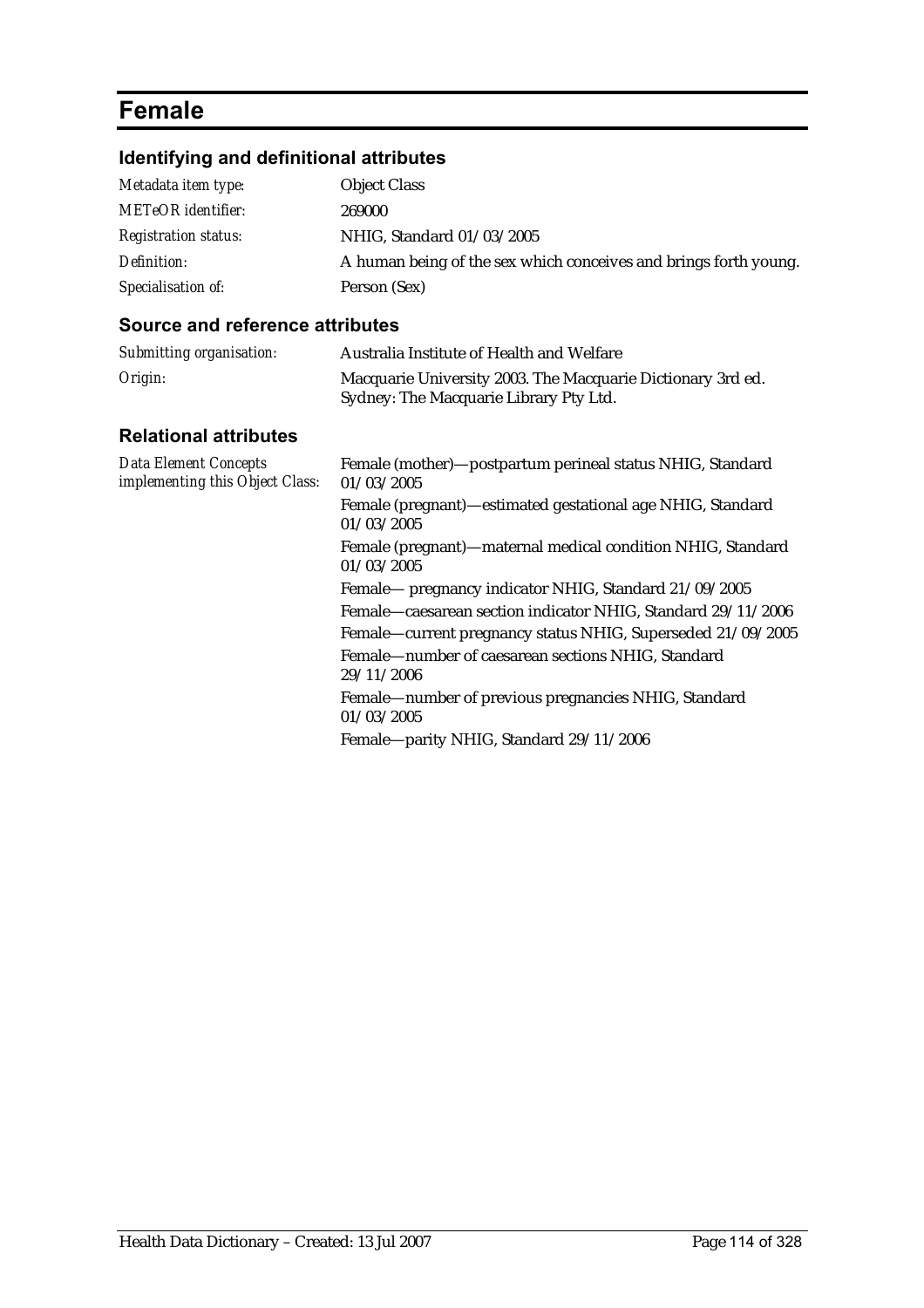# **Female**

## **Identifying and definitional attributes**

| Metadata item type:         | <b>Object Class</b>                                              |
|-----------------------------|------------------------------------------------------------------|
| <b>METeOR</b> identifier:   | 269000                                                           |
| <b>Registration status:</b> | NHIG, Standard 01/03/2005                                        |
| Definition:                 | A human being of the sex which conceives and brings forth young. |
| Specialisation of:          | Person (Sex)                                                     |

| Submitting organisation:                                        | Australia Institute of Health and Welfare                                                                                                                                                                                                                |
|-----------------------------------------------------------------|----------------------------------------------------------------------------------------------------------------------------------------------------------------------------------------------------------------------------------------------------------|
| Origin:                                                         | Macquarie University 2003. The Macquarie Dictionary 3rd ed.<br>Sydney: The Macquarie Library Pty Ltd.                                                                                                                                                    |
| <b>Relational attributes</b>                                    |                                                                                                                                                                                                                                                          |
| <b>Data Element Concepts</b><br>implementing this Object Class: | Female (mother)-postpartum perineal status NHIG, Standard<br>01/03/2005                                                                                                                                                                                  |
|                                                                 | Female (pregnant)—estimated gestational age NHIG, Standard<br>01/03/2005                                                                                                                                                                                 |
|                                                                 | Female (pregnant)—maternal medical condition NHIG, Standard<br>01/03/2005                                                                                                                                                                                |
|                                                                 | Female— pregnancy indicator NHIG, Standard 21/09/2005<br>Female—caesarean section indicator NHIG, Standard 29/11/2006<br>Female—current pregnancy status NHIG, Superseded 21/09/2005<br>Female-number of caesarean sections NHIG, Standard<br>29/11/2006 |
|                                                                 | Female-number of previous pregnancies NHIG, Standard<br>01/03/2005                                                                                                                                                                                       |
|                                                                 | Female-parity NHIG, Standard 29/11/2006                                                                                                                                                                                                                  |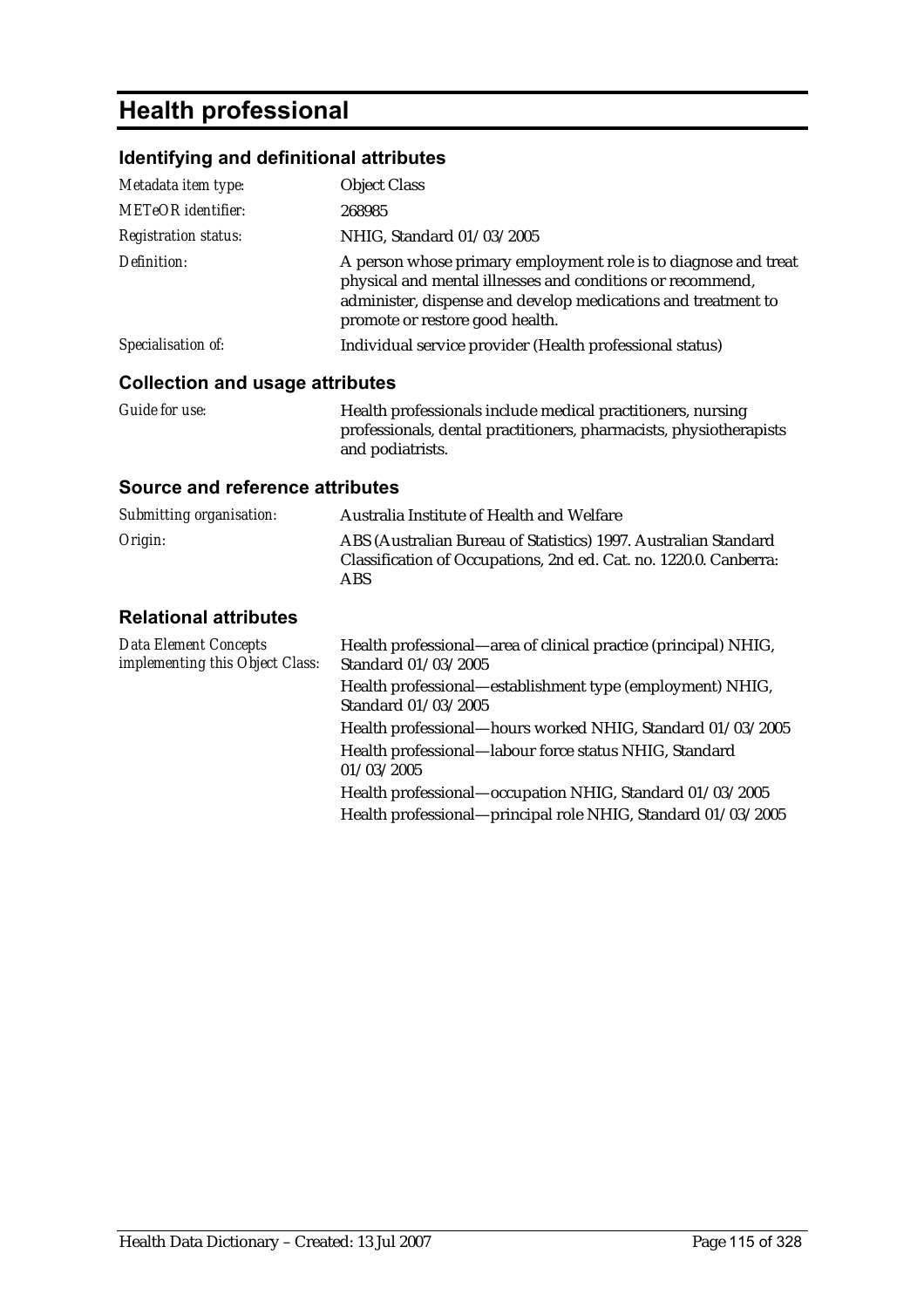# **Health professional**

### **Identifying and definitional attributes**

| Metadata item type:                    | <b>Object Class</b>                                                                                                                                                                                                               |
|----------------------------------------|-----------------------------------------------------------------------------------------------------------------------------------------------------------------------------------------------------------------------------------|
| <b>METeOR</b> identifier:              | 268985                                                                                                                                                                                                                            |
| <b>Registration status:</b>            | NHIG, Standard 01/03/2005                                                                                                                                                                                                         |
| Definition:                            | A person whose primary employment role is to diagnose and treat<br>physical and mental illnesses and conditions or recommend,<br>administer, dispense and develop medications and treatment to<br>promote or restore good health. |
| Specialisation of:                     | Individual service provider (Health professional status)                                                                                                                                                                          |
| <b>Collection and usage attributes</b> |                                                                                                                                                                                                                                   |

## *Guide for use:* Health professionals include medical practitioners, nursing professionals, dental practitioners, pharmacists, physiotherapists

# and podiatrists.

#### **Source and reference attributes**

| Submitting organisation: | Australia Institute of Health and Welfare                                                                                                   |
|--------------------------|---------------------------------------------------------------------------------------------------------------------------------------------|
| Origin:                  | ABS (Australian Bureau of Statistics) 1997. Australian Standard<br>Classification of Occupations, 2nd ed. Cat. no. 1220.0. Canberra:<br>ABS |

| <b>Data Element Concepts</b><br>implementing this Object Class: | Health professional—area of clinical practice (principal) NHIG,<br>Standard 01/03/2005 |
|-----------------------------------------------------------------|----------------------------------------------------------------------------------------|
|                                                                 | Health professional—establishment type (employment) NHIG,<br>Standard 01/03/2005       |
|                                                                 | Health professional-hours worked NHIG, Standard 01/03/2005                             |
|                                                                 | Health professional—labour force status NHIG, Standard<br>01/03/2005                   |
|                                                                 | Health professional—occupation NHIG, Standard 01/03/2005                               |
|                                                                 | Health professional—principal role NHIG, Standard 01/03/2005                           |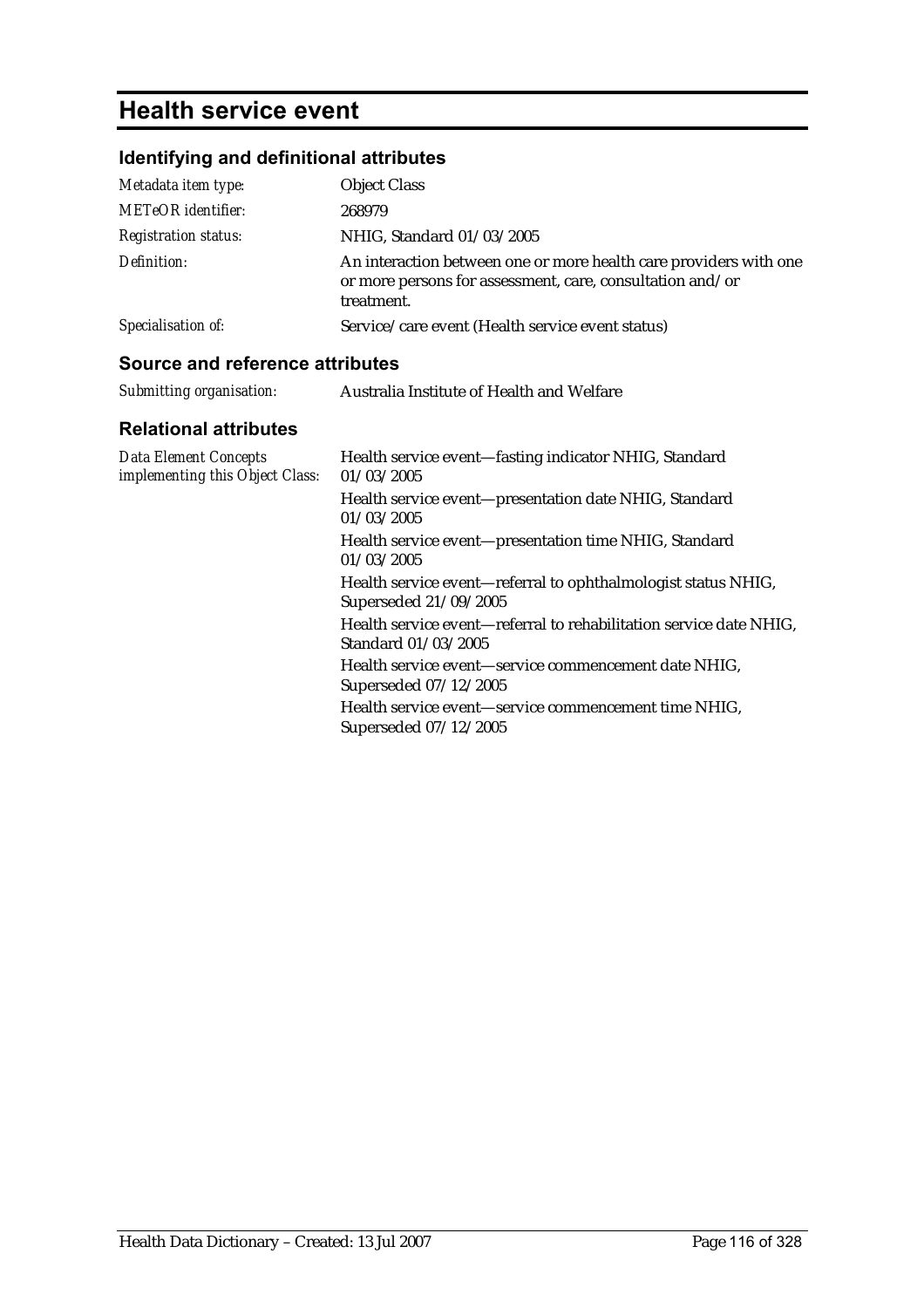# **Health service event**

## **Identifying and definitional attributes**

| <b>Object Class</b>                                                                                                                          |
|----------------------------------------------------------------------------------------------------------------------------------------------|
| 268979                                                                                                                                       |
| NHIG, Standard 01/03/2005                                                                                                                    |
| An interaction between one or more health care providers with one<br>or more persons for assessment, care, consultation and/or<br>treatment. |
| Service/care event (Health service event status)                                                                                             |
|                                                                                                                                              |

#### **Source and reference attributes**

| Submitting organisation: | Australia Institute of Health and Welfare |
|--------------------------|-------------------------------------------|
|                          |                                           |

| <b>Data Element Concepts</b><br>implementing this Object Class: | Health service event-fasting indicator NHIG, Standard<br>01/03/2005                       |
|-----------------------------------------------------------------|-------------------------------------------------------------------------------------------|
|                                                                 | Health service event-presentation date NHIG, Standard<br>01/03/2005                       |
|                                                                 | Health service event-presentation time NHIG, Standard<br>01/03/2005                       |
|                                                                 | Health service event—referral to ophthalmologist status NHIG,<br>Superseded 21/09/2005    |
|                                                                 | Health service event-referral to rehabilitation service date NHIG,<br>Standard 01/03/2005 |
|                                                                 | Health service event-service commencement date NHIG,<br>Superseded 07/12/2005             |
|                                                                 | Health service event—service commencement time NHIG,<br>Superseded 07/12/2005             |
|                                                                 |                                                                                           |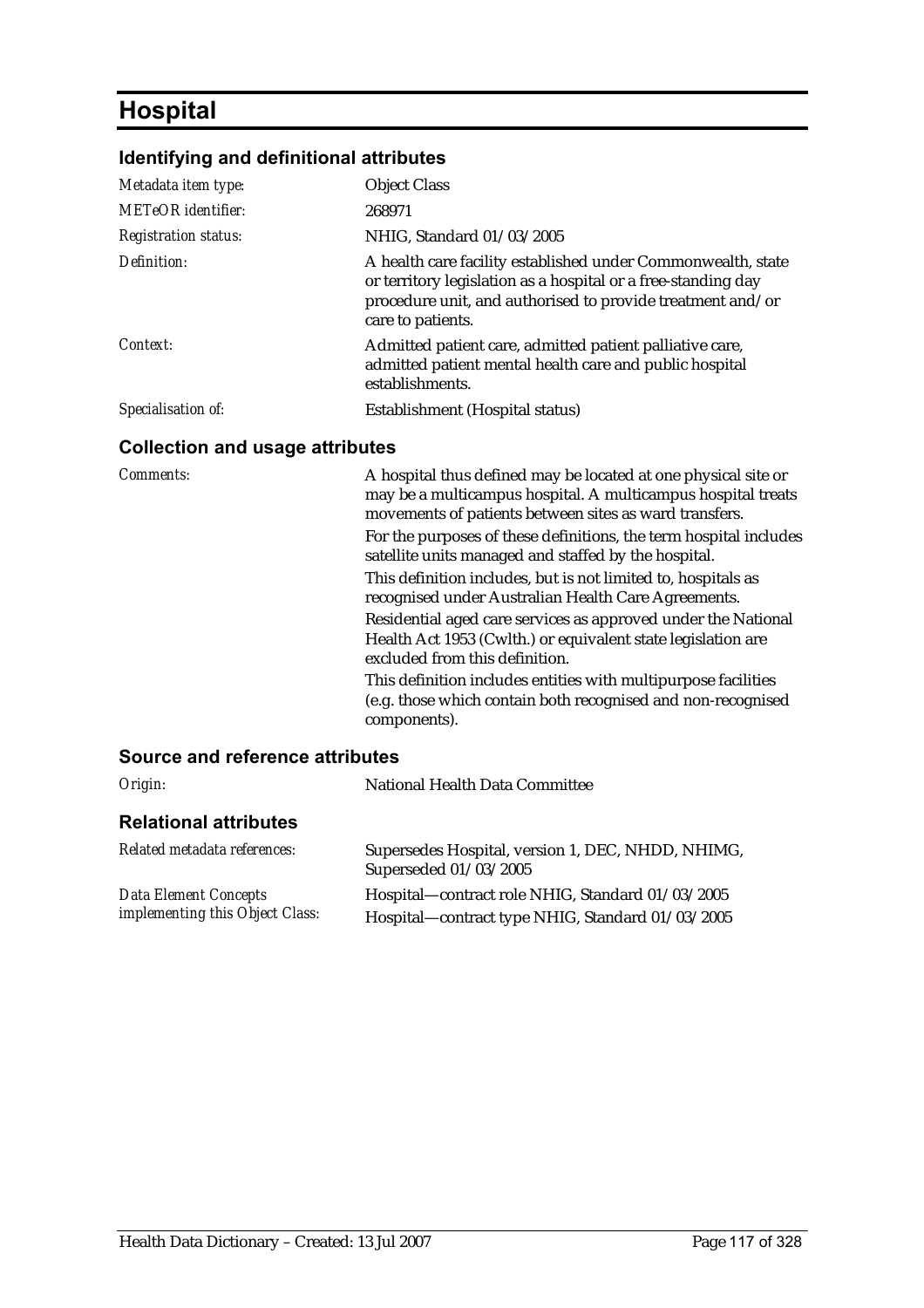# **Hospital**

## **Identifying and definitional attributes**

| Metadata item type:                    | <b>Object Class</b>                                                                                                                                                                                              |  |
|----------------------------------------|------------------------------------------------------------------------------------------------------------------------------------------------------------------------------------------------------------------|--|
| <b>METeOR</b> identifier:              | 268971                                                                                                                                                                                                           |  |
| <b>Registration status:</b>            | NHIG, Standard 01/03/2005                                                                                                                                                                                        |  |
| Definition:                            | A health care facility established under Commonwealth, state<br>or territory legislation as a hospital or a free-standing day<br>procedure unit, and authorised to provide treatment and/or<br>care to patients. |  |
| Context:                               | Admitted patient care, admitted patient palliative care,<br>admitted patient mental health care and public hospital<br>establishments.                                                                           |  |
| Specialisation of:                     | Establishment (Hospital status)                                                                                                                                                                                  |  |
| <b>Collection and usage attributes</b> |                                                                                                                                                                                                                  |  |
| <i>Comments:</i>                       | A hospital thus defined may be located at one physical site or                                                                                                                                                   |  |

| Comments: | A hospital thus defined may be located at one physical site or<br>may be a multicampus hospital. A multicampus hospital treats<br>movements of patients between sites as ward transfers. |
|-----------|------------------------------------------------------------------------------------------------------------------------------------------------------------------------------------------|
|           | For the purposes of these definitions, the term hospital includes<br>satellite units managed and staffed by the hospital.                                                                |
|           | This definition includes, but is not limited to, hospitals as<br>recognised under Australian Health Care Agreements.                                                                     |
|           | Residential aged care services as approved under the National<br>Health Act 1953 (Cwlth.) or equivalent state legislation are<br>excluded from this definition.                          |
|           | This definition includes entities with multipurpose facilities<br>(e.g. those which contain both recognised and non-recognised<br>components).                                           |
|           |                                                                                                                                                                                          |

| Origin:                                                         | National Health Data Committee                                                                       |
|-----------------------------------------------------------------|------------------------------------------------------------------------------------------------------|
| <b>Relational attributes</b>                                    |                                                                                                      |
| Related metadata references:                                    | Supersedes Hospital, version 1, DEC, NHDD, NHIMG,<br>Superseded 01/03/2005                           |
| <b>Data Element Concepts</b><br>implementing this Object Class: | Hospital—contract role NHIG, Standard 01/03/2005<br>Hospital—contract type NHIG, Standard 01/03/2005 |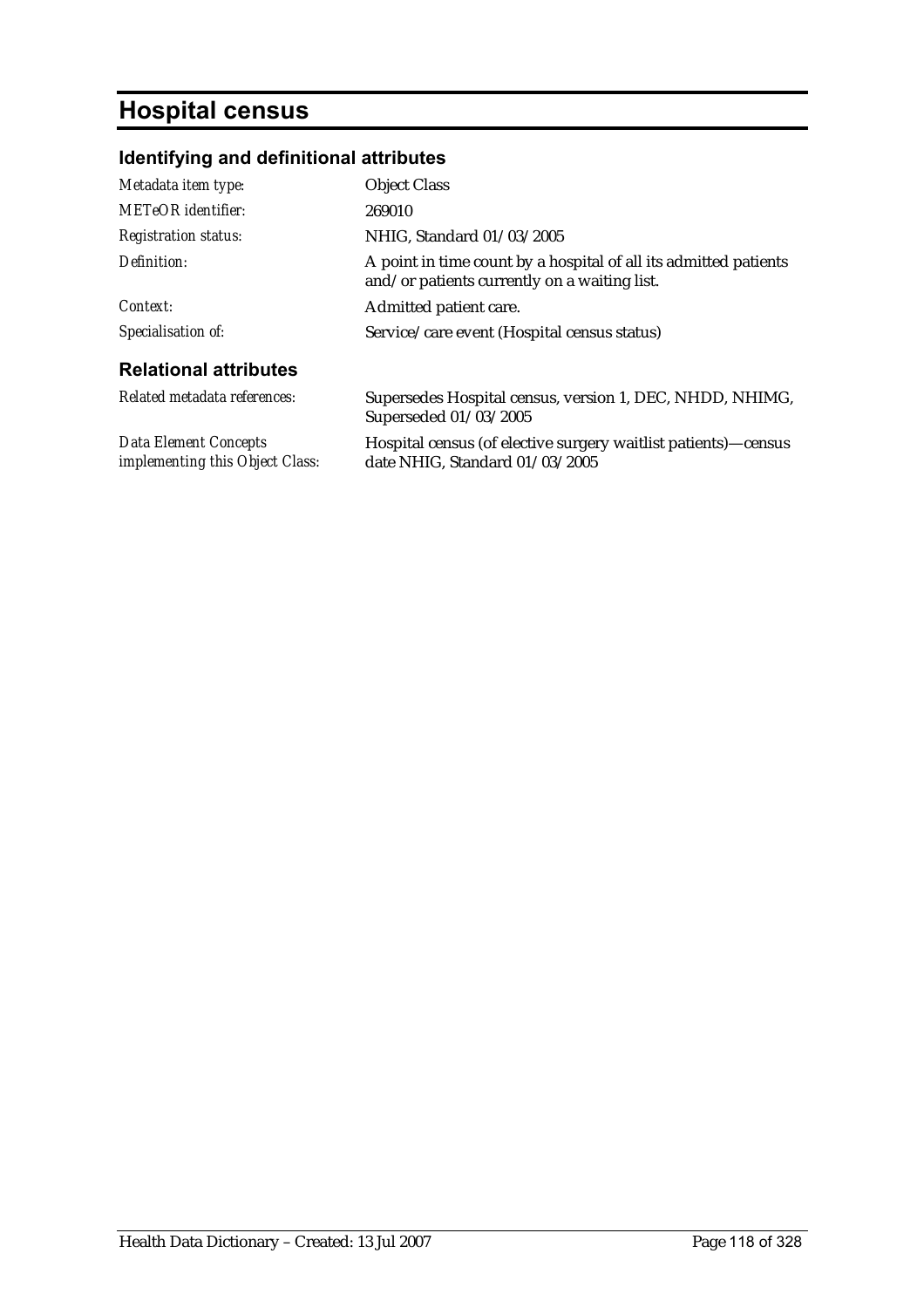# **Hospital census**

## **Identifying and definitional attributes**

| Metadata item type:                                             | <b>Object Class</b>                                                                                              |
|-----------------------------------------------------------------|------------------------------------------------------------------------------------------------------------------|
| <b>METeOR</b> identifier:                                       | 269010                                                                                                           |
| <b>Registration status:</b>                                     | NHIG, Standard 01/03/2005                                                                                        |
| Definition:                                                     | A point in time count by a hospital of all its admitted patients<br>and/or patients currently on a waiting list. |
| Context:                                                        | Admitted patient care.                                                                                           |
| Specialisation of:                                              | Service/care event (Hospital census status)                                                                      |
| <b>Relational attributes</b>                                    |                                                                                                                  |
| Related metadata references:                                    | Supersedes Hospital census, version 1, DEC, NHDD, NHIMG,<br>Superseded 01/03/2005                                |
| <b>Data Element Concepts</b><br>implementing this Object Class: | Hospital census (of elective surgery waitlist patients)—census<br>date NHIG, Standard 01/03/2005                 |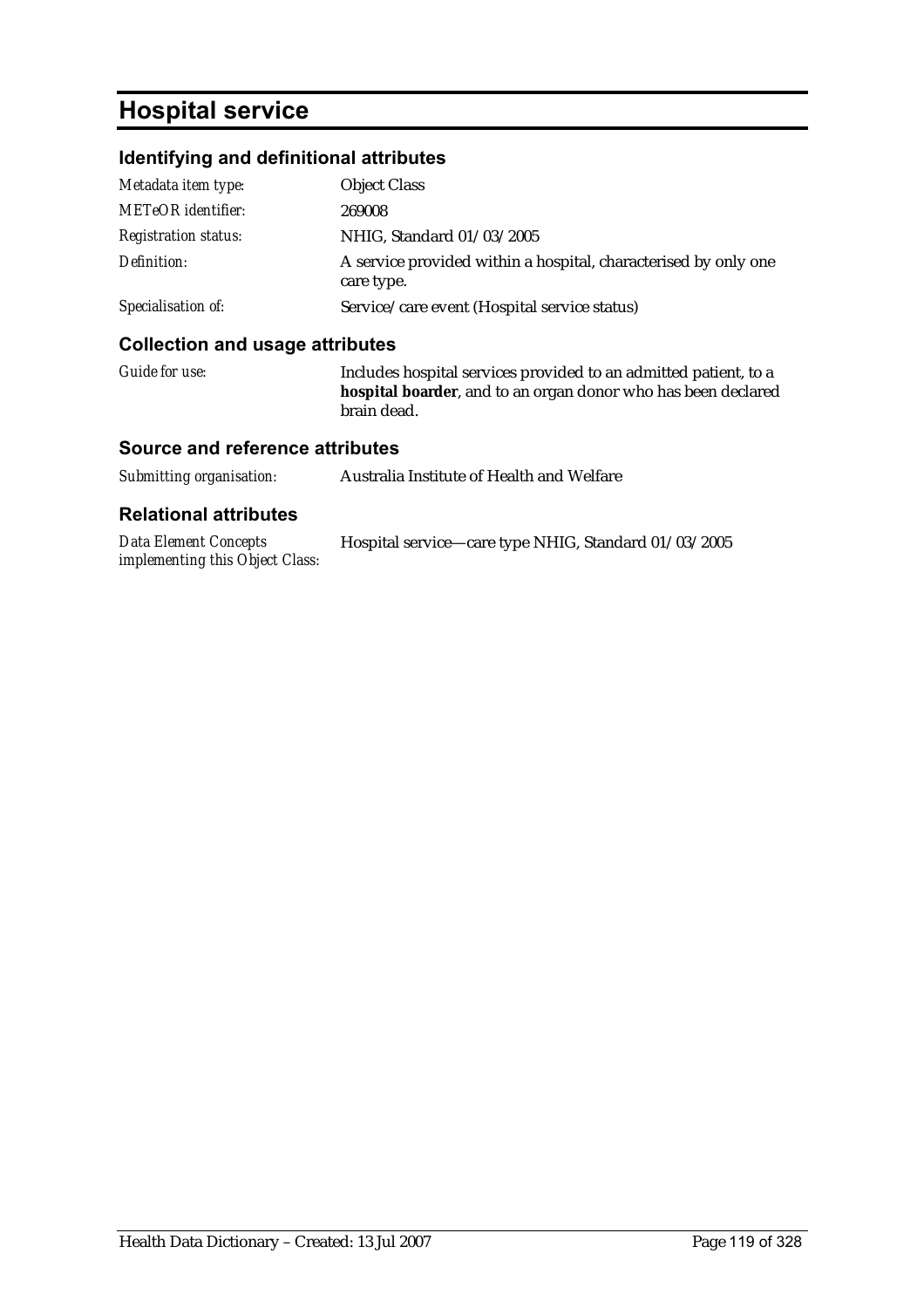## **Hospital service**

### **Identifying and definitional attributes**

| Callection and users etteikutes |                                                                               |
|---------------------------------|-------------------------------------------------------------------------------|
| Specialisation of:              | Service/care event (Hospital service status)                                  |
| Definition:                     | A service provided within a hospital, characterised by only one<br>care type. |
| <b>Registration status:</b>     | NHIG, Standard 01/03/2005                                                     |
| <b>METeOR</b> identifier:       | 269008                                                                        |
| Metadata item type:             | <b>Object Class</b>                                                           |
|                                 |                                                                               |

#### **Collection and usage attributes**

*Guide for use:* Includes hospital services provided to an admitted patient, to a **hospital boarder**, and to an organ donor who has been declared brain dead.

#### **Source and reference attributes**

*implementing this Object Class:*

| Submitting organisation:     | Australia Institute of Health and Welfare            |
|------------------------------|------------------------------------------------------|
| <b>Relational attributes</b> |                                                      |
| Data Element Concepts        | Hospital service—care type NHIG, Standard 01/03/2005 |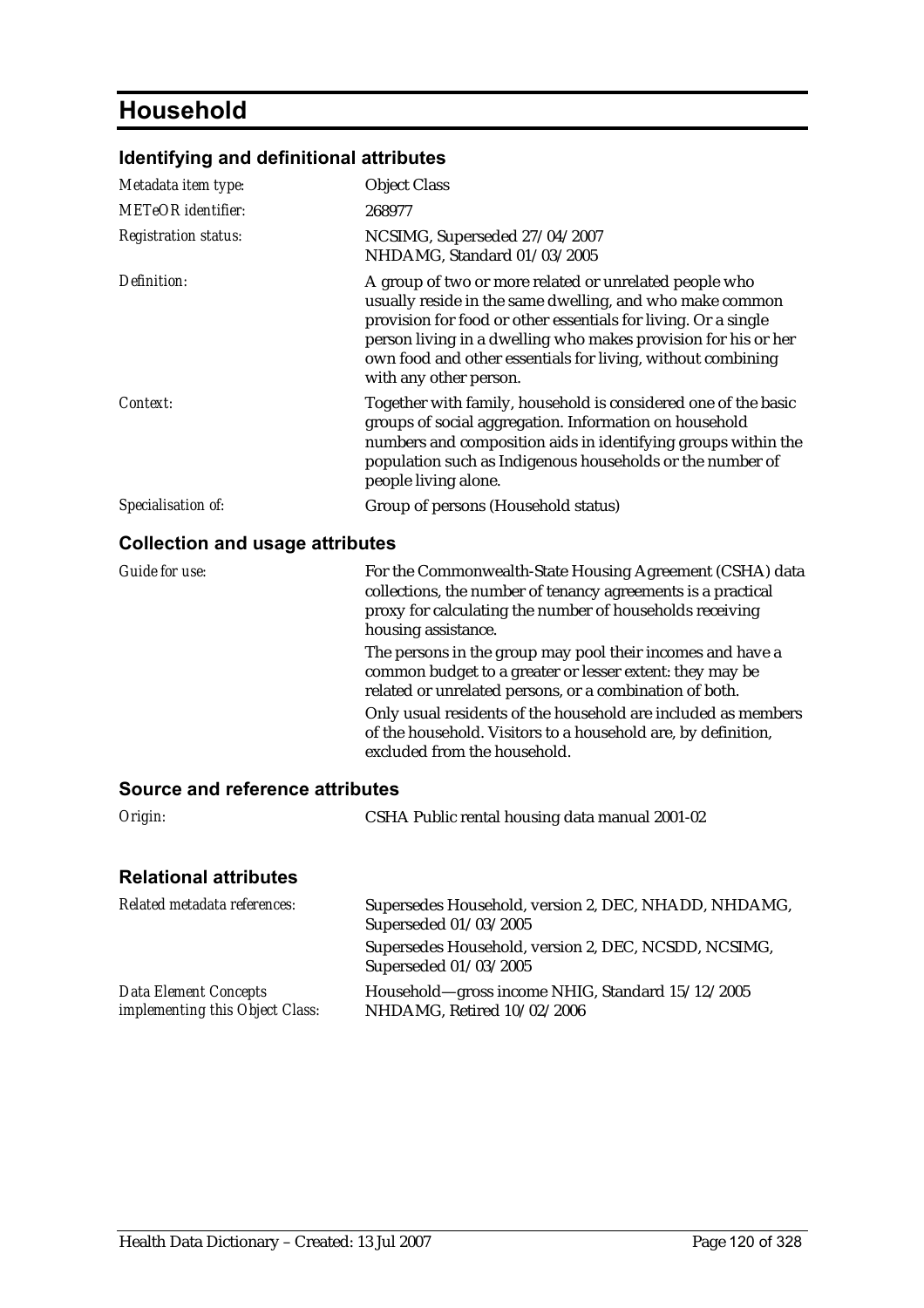# **Household**

### **Identifying and definitional attributes**

| Metadata item type:                    | <b>Object Class</b>                                                                                                                                                                                                                                                                                                                             |
|----------------------------------------|-------------------------------------------------------------------------------------------------------------------------------------------------------------------------------------------------------------------------------------------------------------------------------------------------------------------------------------------------|
| <b>METeOR</b> identifier:              | 268977                                                                                                                                                                                                                                                                                                                                          |
| <b>Registration status:</b>            | NCSIMG, Superseded 27/04/2007<br>NHDAMG, Standard 01/03/2005                                                                                                                                                                                                                                                                                    |
| Definition:                            | A group of two or more related or unrelated people who<br>usually reside in the same dwelling, and who make common<br>provision for food or other essentials for living. Or a single<br>person living in a dwelling who makes provision for his or her<br>own food and other essentials for living, without combining<br>with any other person. |
| Context:                               | Together with family, household is considered one of the basic<br>groups of social aggregation. Information on household<br>numbers and composition aids in identifying groups within the<br>population such as Indigenous households or the number of<br>people living alone.                                                                  |
| Specialisation of:                     | Group of persons (Household status)                                                                                                                                                                                                                                                                                                             |
| <b>Collection and usage attributes</b> |                                                                                                                                                                                                                                                                                                                                                 |
| <b>Guide for use:</b>                  | For the Commonwealth-State Housing Agreement (CSHA) data<br>collections, the number of tenancy agreements is a practical<br>proxy for calculating the number of households receiving<br>housing assistance.                                                                                                                                     |
|                                        | The persons in the group may pool their incomes and have a<br>common budget to a greater or lesser extent: they may be<br>related or unrelated persons, or a combination of both.                                                                                                                                                               |
|                                        | Only usual residents of the household are included as members<br>of the household. Visitors to a household are, by definition,<br>excluded from the household.                                                                                                                                                                                  |
| Source and reference attributes        |                                                                                                                                                                                                                                                                                                                                                 |
| Origin:                                | CSHA Public rental housing data manual 2001-02                                                                                                                                                                                                                                                                                                  |

| Related metadata references:                                    | Supersedes Household, version 2, DEC, NHADD, NHDAMG,<br>Superseded 01/03/2005  |
|-----------------------------------------------------------------|--------------------------------------------------------------------------------|
|                                                                 | Supersedes Household, version 2, DEC, NCSDD, NCSIMG,<br>Superseded 01/03/2005  |
| <b>Data Element Concepts</b><br>implementing this Object Class: | Household-gross income NHIG, Standard 15/12/2005<br>NHDAMG, Retired 10/02/2006 |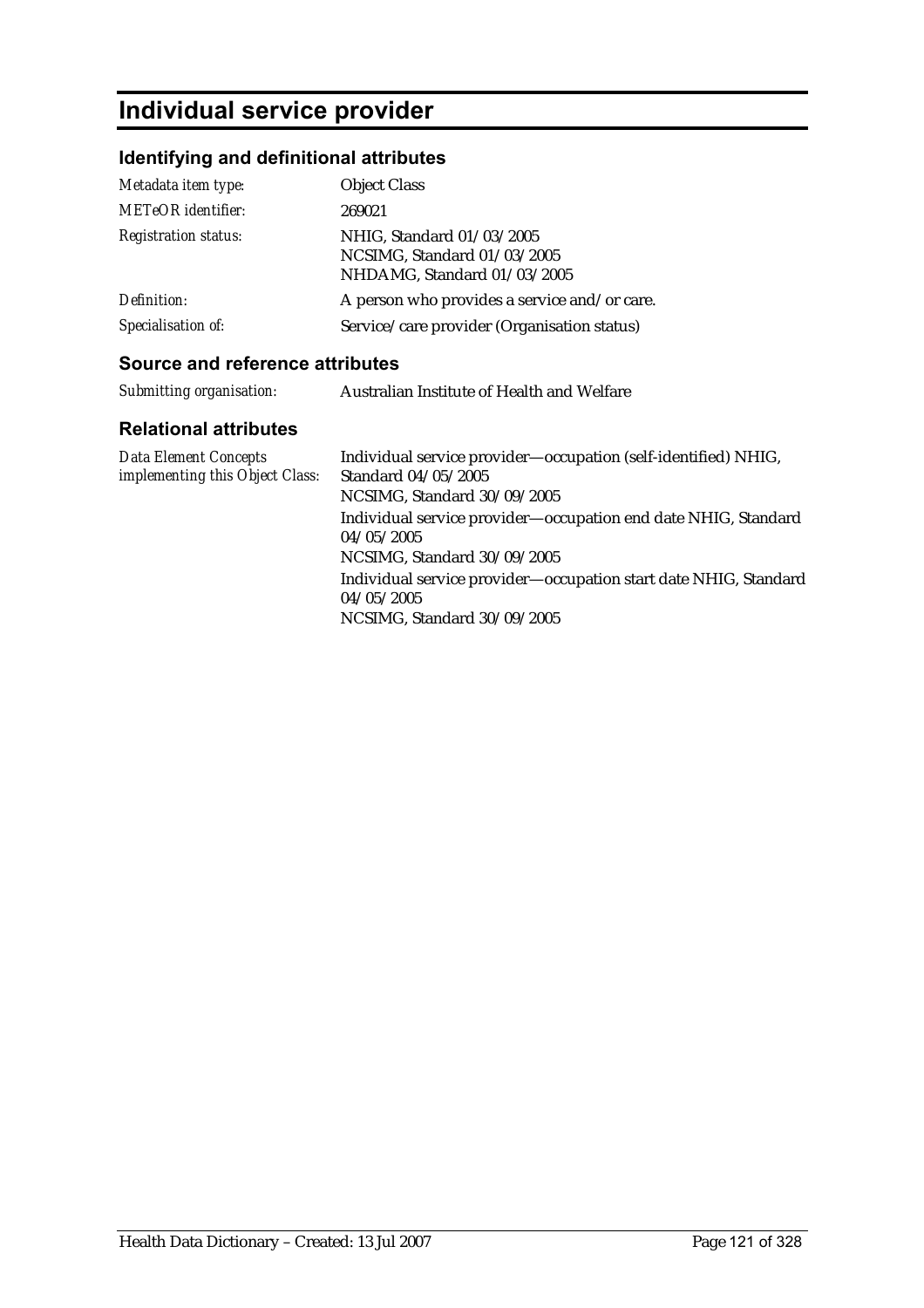# **Individual service provider**

## **Identifying and definitional attributes**

| Metadata item type:         | <b>Object Class</b>                                                                     |
|-----------------------------|-----------------------------------------------------------------------------------------|
| <b>METeOR</b> identifier:   | 269021                                                                                  |
| <b>Registration status:</b> | NHIG, Standard 01/03/2005<br>NCSIMG, Standard 01/03/2005<br>NHDAMG, Standard 01/03/2005 |
| Definition:                 | A person who provides a service and/or care.                                            |
| Specialisation of:          | Service/care provider (Organisation status)                                             |

#### **Source and reference attributes**

| Submitting organisation: | Australian Institute of Health and Welfare |
|--------------------------|--------------------------------------------|
|                          |                                            |

| <b>Data Element Concepts</b><br>implementing this Object Class: | Individual service provider—occupation (self-identified) NHIG,<br>Standard 04/05/2005<br>NCSIMG, Standard 30/09/2005 |
|-----------------------------------------------------------------|----------------------------------------------------------------------------------------------------------------------|
|                                                                 | Individual service provider—occupation end date NHIG, Standard<br>04/05/2005<br>NCSIMG, Standard 30/09/2005          |
|                                                                 | Individual service provider-occupation start date NHIG, Standard<br>04/05/2005<br>NCSIMG, Standard 30/09/2005        |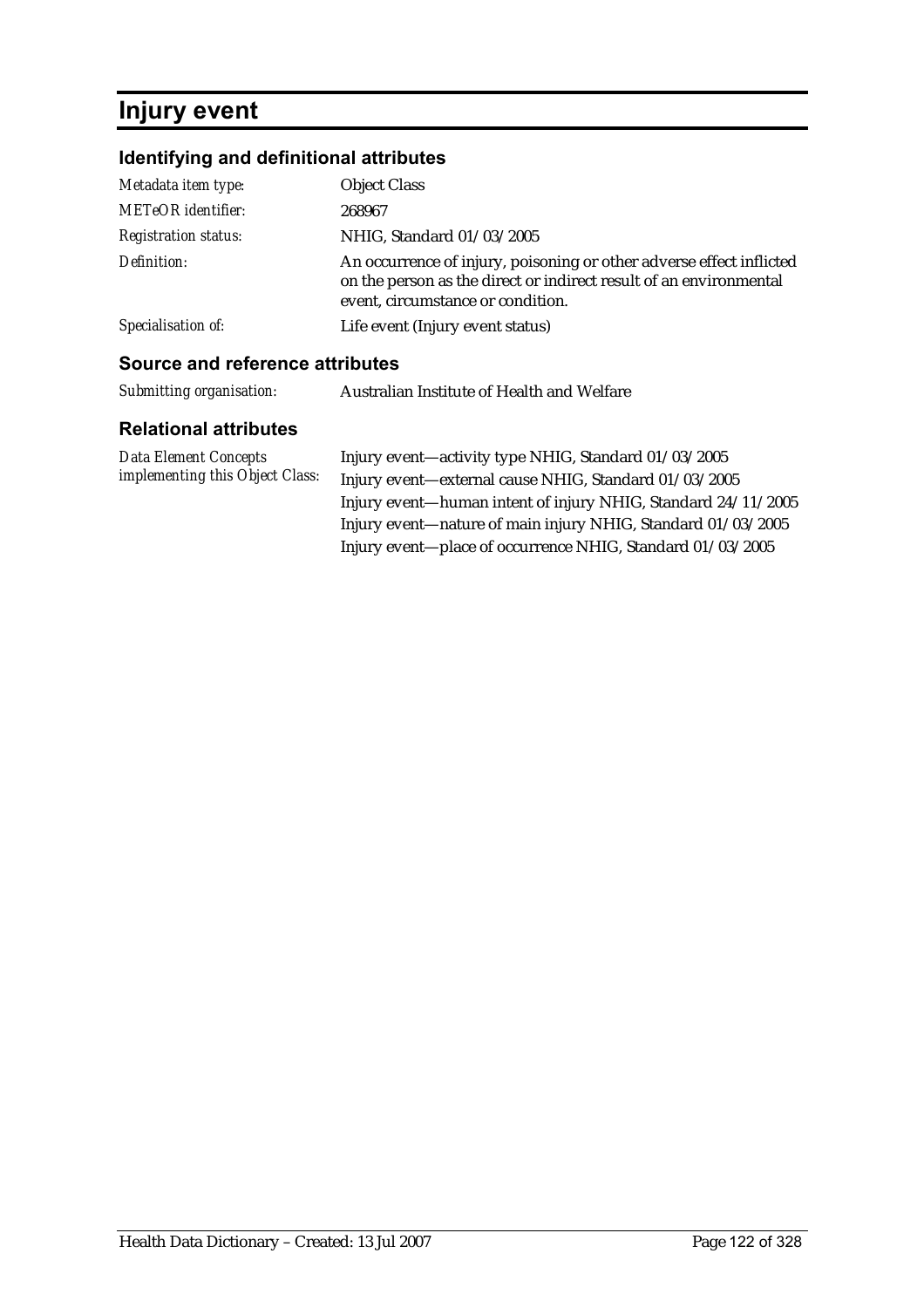# **Injury event**

## **Identifying and definitional attributes**

| <b>Source and reference attributes</b> |                                                                                                                                                                                 |
|----------------------------------------|---------------------------------------------------------------------------------------------------------------------------------------------------------------------------------|
| Specialisation of:                     | Life event (Injury event status)                                                                                                                                                |
| Definition:                            | An occurrence of injury, poisoning or other adverse effect inflicted<br>on the person as the direct or indirect result of an environmental<br>event, circumstance or condition. |
| <b>Registration status:</b>            | NHIG, Standard 01/03/2005                                                                                                                                                       |
| <b>METeOR</b> identifier:              | 268967                                                                                                                                                                          |
| Metadata item type:                    | <b>Object Class</b>                                                                                                                                                             |

| Submitting organisation: | Australian Institute of Health and Welfare |
|--------------------------|--------------------------------------------|
|--------------------------|--------------------------------------------|

| Data Element Concepts           | Injury event—activity type NHIG, Standard 01/03/2005          |
|---------------------------------|---------------------------------------------------------------|
| implementing this Object Class: | Injury event-external cause NHIG, Standard 01/03/2005         |
|                                 | Injury event—human intent of injury NHIG, Standard 24/11/2005 |
|                                 | Injury event—nature of main injury NHIG, Standard 01/03/2005  |
|                                 | Injury event—place of occurrence NHIG, Standard 01/03/2005    |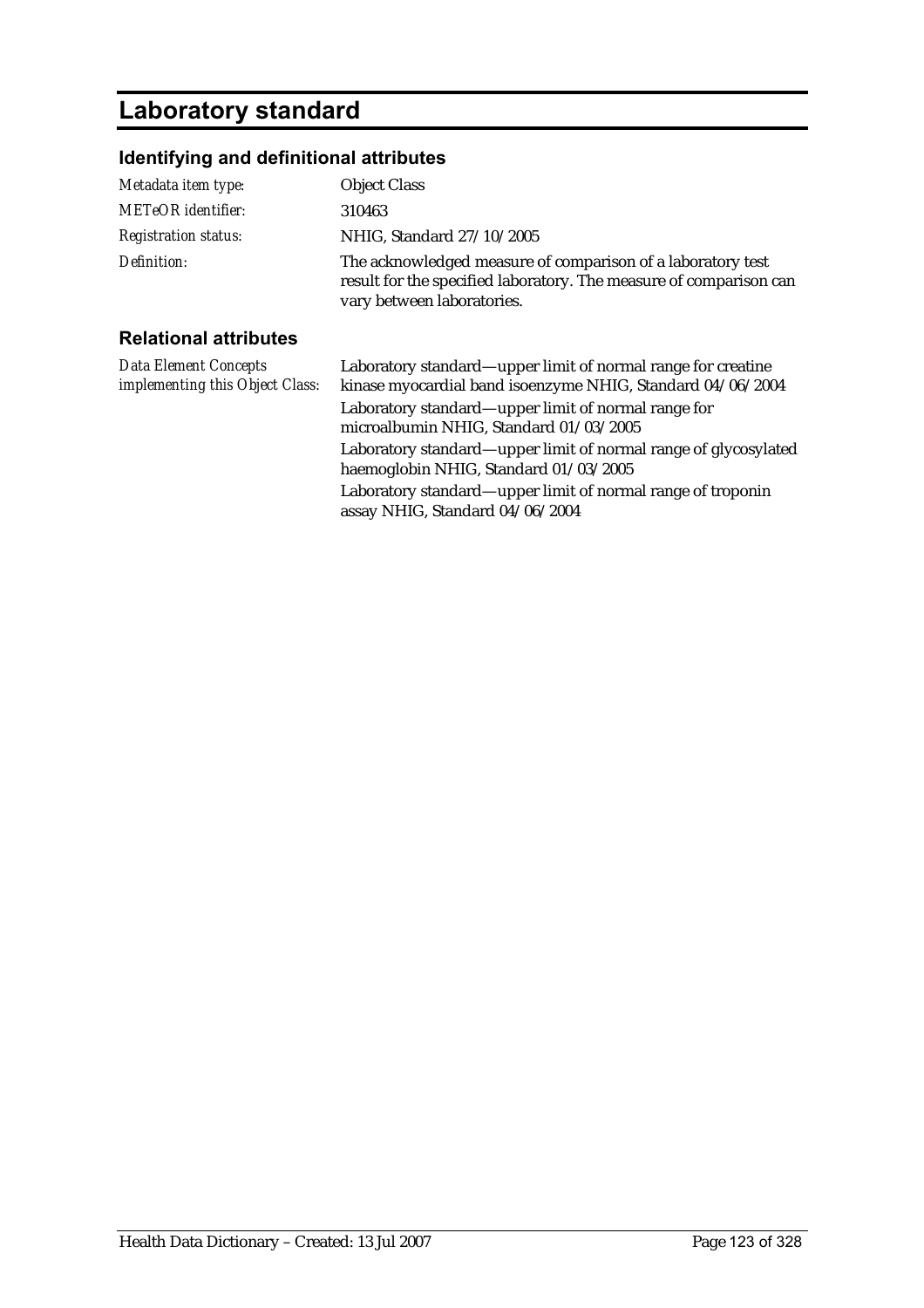## **Laboratory standard**

### **Identifying and definitional attributes**

| Metadata item type:                                             | <b>Object Class</b>                                                                                                                                                               |
|-----------------------------------------------------------------|-----------------------------------------------------------------------------------------------------------------------------------------------------------------------------------|
| <b>METeOR</b> identifier:                                       | 310463                                                                                                                                                                            |
| <b>Registration status:</b>                                     | NHIG, Standard 27/10/2005                                                                                                                                                         |
| Definition:                                                     | The acknowledged measure of comparison of a laboratory test<br>result for the specified laboratory. The measure of comparison can<br>vary between laboratories.                   |
| <b>Relational attributes</b>                                    |                                                                                                                                                                                   |
| <b>Data Element Concepts</b><br>implementing this Object Class: | Laboratory standard—upper limit of normal range for creatine<br>kinase myocardial band isoenzyme NHIG, Standard 04/06/2004<br>Laboratory standard—upper limit of normal range for |

assay NHIG, Standard 04/06/2004

microalbumin NHIG, Standard 01/03/2005 Laboratory standard—upper limit of normal range of glycosylated haemoglobin NHIG, Standard 01/03/2005 Laboratory standard—upper limit of normal range of troponin

Health Data Dictionary – Created: 13 Jul 2007 Page 123 of 328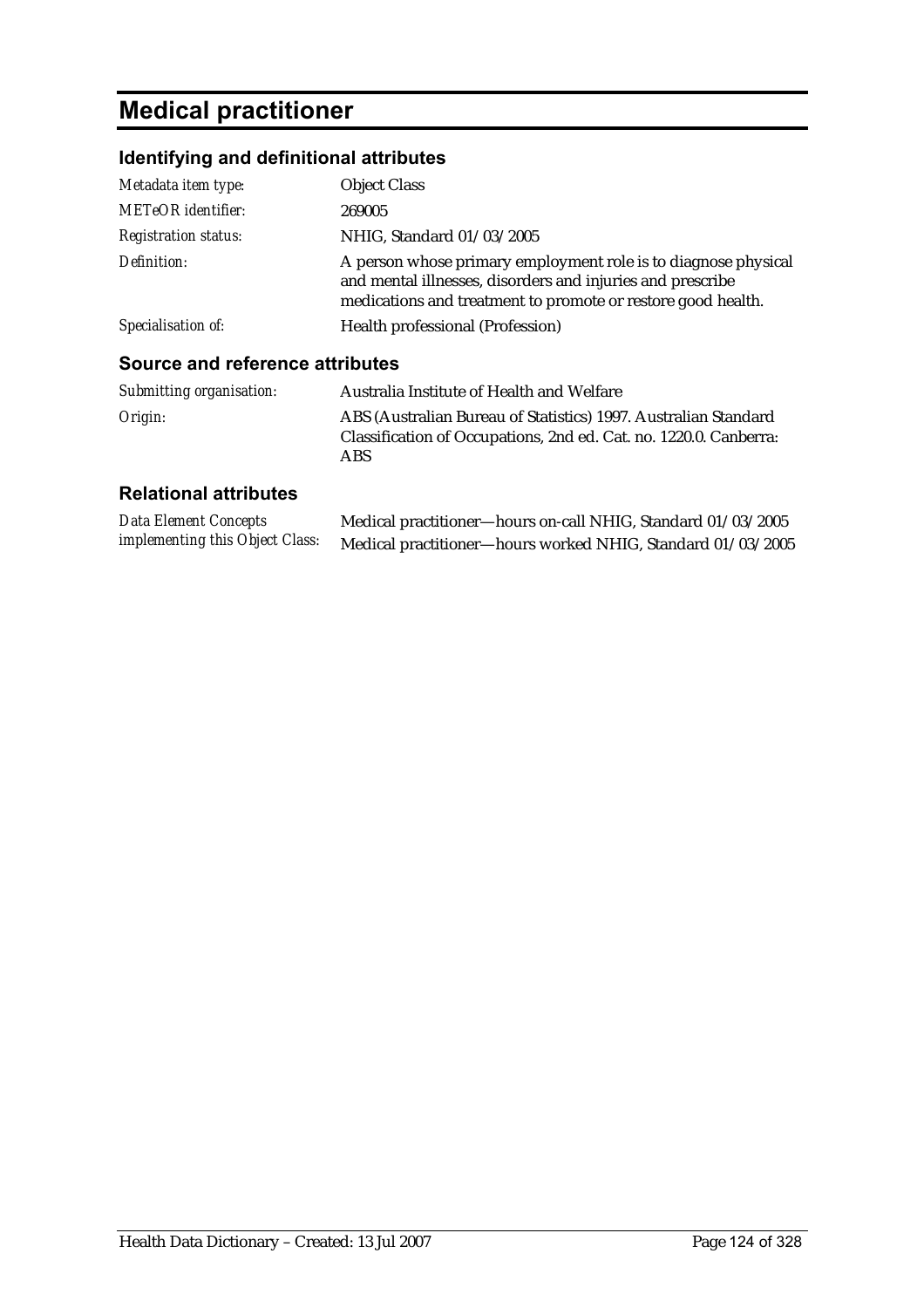# **Medical practitioner**

## **Identifying and definitional attributes**

| Metadata item type:                    | <b>Object Class</b>                                                                                                                                                                          |
|----------------------------------------|----------------------------------------------------------------------------------------------------------------------------------------------------------------------------------------------|
| <b>METeOR</b> identifier:              | 269005                                                                                                                                                                                       |
| <b>Registration status:</b>            | NHIG, Standard 01/03/2005                                                                                                                                                                    |
| Definition:                            | A person whose primary employment role is to diagnose physical<br>and mental illnesses, disorders and injuries and prescribe<br>medications and treatment to promote or restore good health. |
| Specialisation of:                     | Health professional (Profession)                                                                                                                                                             |
| <b>Source and reference attributes</b> |                                                                                                                                                                                              |
| Submitting organisation:               | Australia Institute of Health and Welfare                                                                                                                                                    |

| Origin: | ABS (Australian Bureau of Statistics) 1997. Australian Standard   |
|---------|-------------------------------------------------------------------|
|         | Classification of Occupations, 2nd ed. Cat. no. 1220.0. Canberra: |
|         | ABS.                                                              |

| <b>Data Element Concepts</b>    | Medical practitioner—hours on-call NHIG, Standard 01/03/2005 |
|---------------------------------|--------------------------------------------------------------|
| implementing this Object Class: | Medical practitioner-hours worked NHIG, Standard 01/03/2005  |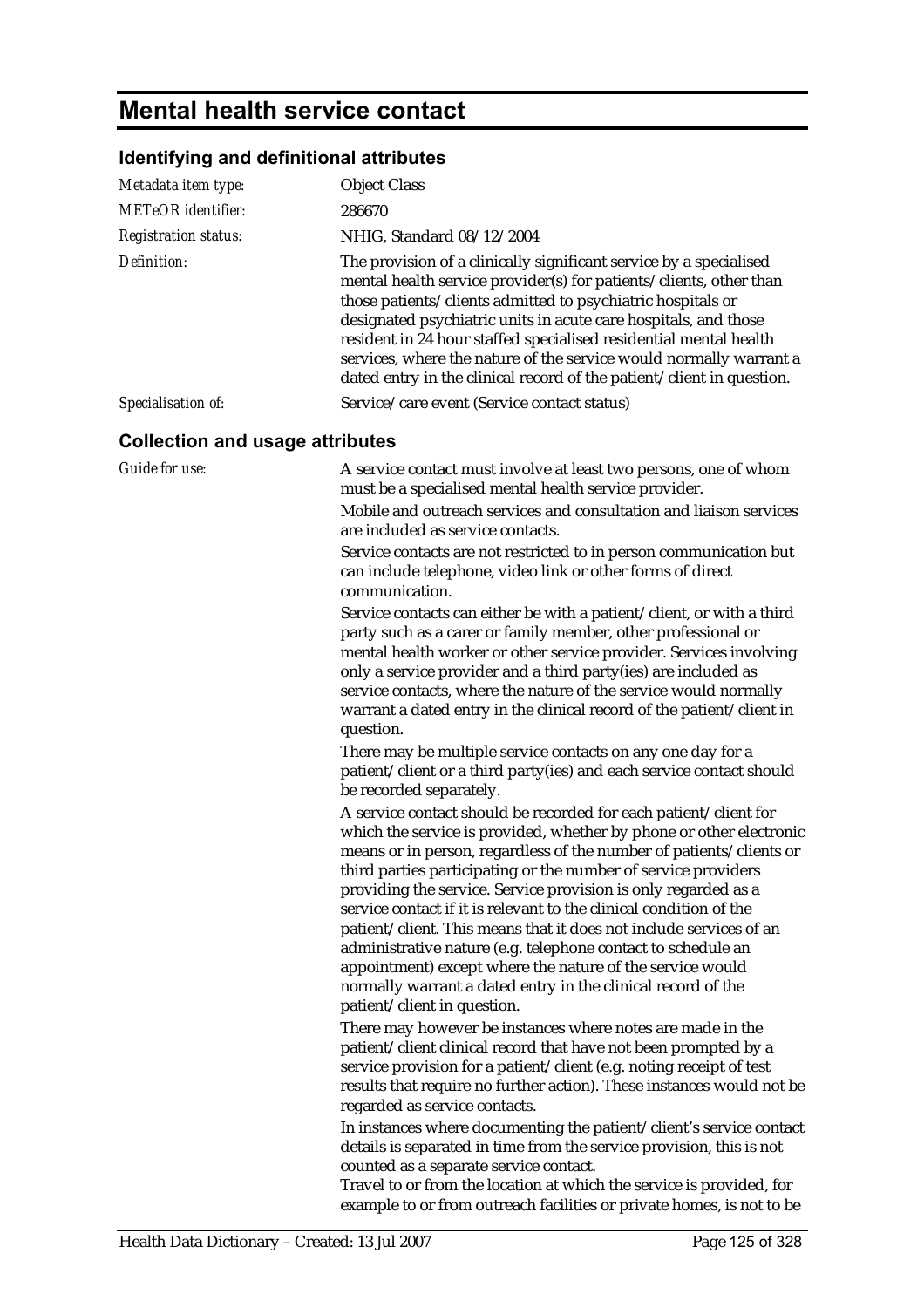# **Mental health service contact**

## **Identifying and definitional attributes**

| Metadata item type:                    | <b>Object Class</b>                                                                                                                                                                                                                                                                                                                                                                                                                                                                                                                                                                                                                                                                                                                                                                                                                                                                                                                                                                                                                                                                                                                                                                                                                                                                                                                                                                    |
|----------------------------------------|----------------------------------------------------------------------------------------------------------------------------------------------------------------------------------------------------------------------------------------------------------------------------------------------------------------------------------------------------------------------------------------------------------------------------------------------------------------------------------------------------------------------------------------------------------------------------------------------------------------------------------------------------------------------------------------------------------------------------------------------------------------------------------------------------------------------------------------------------------------------------------------------------------------------------------------------------------------------------------------------------------------------------------------------------------------------------------------------------------------------------------------------------------------------------------------------------------------------------------------------------------------------------------------------------------------------------------------------------------------------------------------|
| <b>METeOR</b> identifier:              | 286670                                                                                                                                                                                                                                                                                                                                                                                                                                                                                                                                                                                                                                                                                                                                                                                                                                                                                                                                                                                                                                                                                                                                                                                                                                                                                                                                                                                 |
| <b>Registration status:</b>            | NHIG, Standard 08/12/2004                                                                                                                                                                                                                                                                                                                                                                                                                                                                                                                                                                                                                                                                                                                                                                                                                                                                                                                                                                                                                                                                                                                                                                                                                                                                                                                                                              |
| Definition:                            | The provision of a clinically significant service by a specialised<br>mental health service provider(s) for patients/clients, other than<br>those patients/clients admitted to psychiatric hospitals or<br>designated psychiatric units in acute care hospitals, and those<br>resident in 24 hour staffed specialised residential mental health<br>services, where the nature of the service would normally warrant a<br>dated entry in the clinical record of the patient/client in question.                                                                                                                                                                                                                                                                                                                                                                                                                                                                                                                                                                                                                                                                                                                                                                                                                                                                                         |
| Specialisation of:                     | Service/care event (Service contact status)                                                                                                                                                                                                                                                                                                                                                                                                                                                                                                                                                                                                                                                                                                                                                                                                                                                                                                                                                                                                                                                                                                                                                                                                                                                                                                                                            |
| <b>Collection and usage attributes</b> |                                                                                                                                                                                                                                                                                                                                                                                                                                                                                                                                                                                                                                                                                                                                                                                                                                                                                                                                                                                                                                                                                                                                                                                                                                                                                                                                                                                        |
| Guide for use:                         | A service contact must involve at least two persons, one of whom<br>must be a specialised mental health service provider.<br>Mobile and outreach services and consultation and liaison services<br>are included as service contacts.<br>Service contacts are not restricted to in person communication but<br>can include telephone, video link or other forms of direct<br>communication.                                                                                                                                                                                                                                                                                                                                                                                                                                                                                                                                                                                                                                                                                                                                                                                                                                                                                                                                                                                             |
|                                        | Service contacts can either be with a patient/client, or with a third<br>party such as a carer or family member, other professional or<br>mental health worker or other service provider. Services involving<br>only a service provider and a third party(ies) are included as<br>service contacts, where the nature of the service would normally<br>warrant a dated entry in the clinical record of the patient/client in<br>question.<br>There may be multiple service contacts on any one day for a<br>patient/client or a third party(ies) and each service contact should<br>be recorded separately.                                                                                                                                                                                                                                                                                                                                                                                                                                                                                                                                                                                                                                                                                                                                                                             |
|                                        | A service contact should be recorded for each patient/client for<br>which the service is provided, whether by phone or other electronic<br>means or in person, regardless of the number of patients/clients or<br>third parties participating or the number of service providers<br>providing the service. Service provision is only regarded as a<br>service contact if it is relevant to the clinical condition of the<br>patient/client. This means that it does not include services of an<br>administrative nature (e.g. telephone contact to schedule an<br>appointment) except where the nature of the service would<br>normally warrant a dated entry in the clinical record of the<br>patient/client in question.<br>There may however be instances where notes are made in the<br>patient/client clinical record that have not been prompted by a<br>service provision for a patient/client (e.g. noting receipt of test<br>results that require no further action). These instances would not be<br>regarded as service contacts.<br>In instances where documenting the patient/client's service contact<br>details is separated in time from the service provision, this is not<br>counted as a separate service contact.<br>Travel to or from the location at which the service is provided, for<br>example to or from outreach facilities or private homes, is not to be |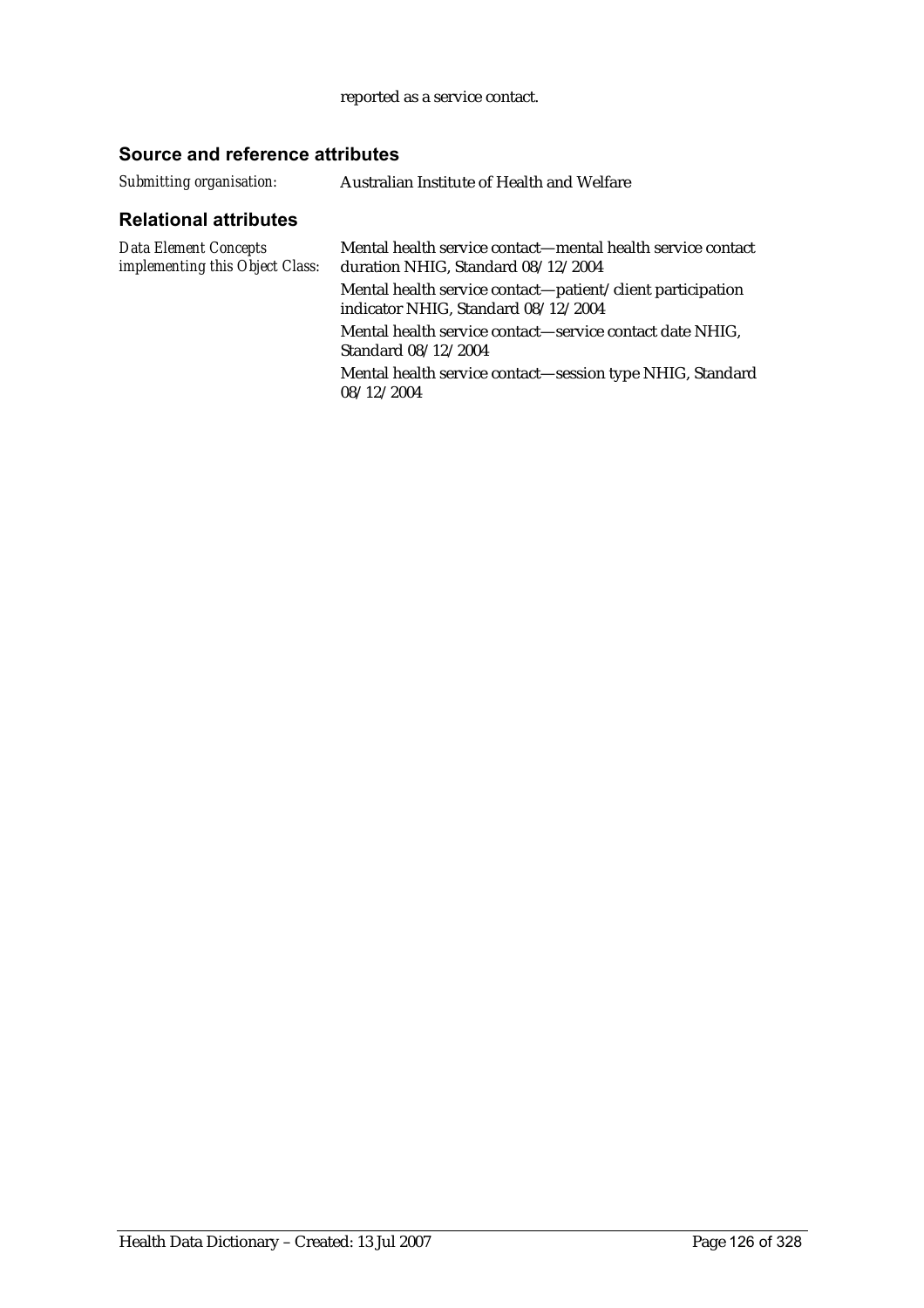#### reported as a service contact.

### **Source and reference attributes**

| Submitting organisation: | Australian Institute of Health and Welfare |
|--------------------------|--------------------------------------------|
|--------------------------|--------------------------------------------|

| Mental health service contact—mental health service contact<br>duration NHIG, Standard 08/12/2004 |
|---------------------------------------------------------------------------------------------------|
| Mental health service contact—patient/client participation<br>indicator NHIG, Standard 08/12/2004 |
| Mental health service contact—service contact date NHIG,<br>Standard 08/12/2004                   |
| Mental health service contact—session type NHIG, Standard<br>08/12/2004                           |
|                                                                                                   |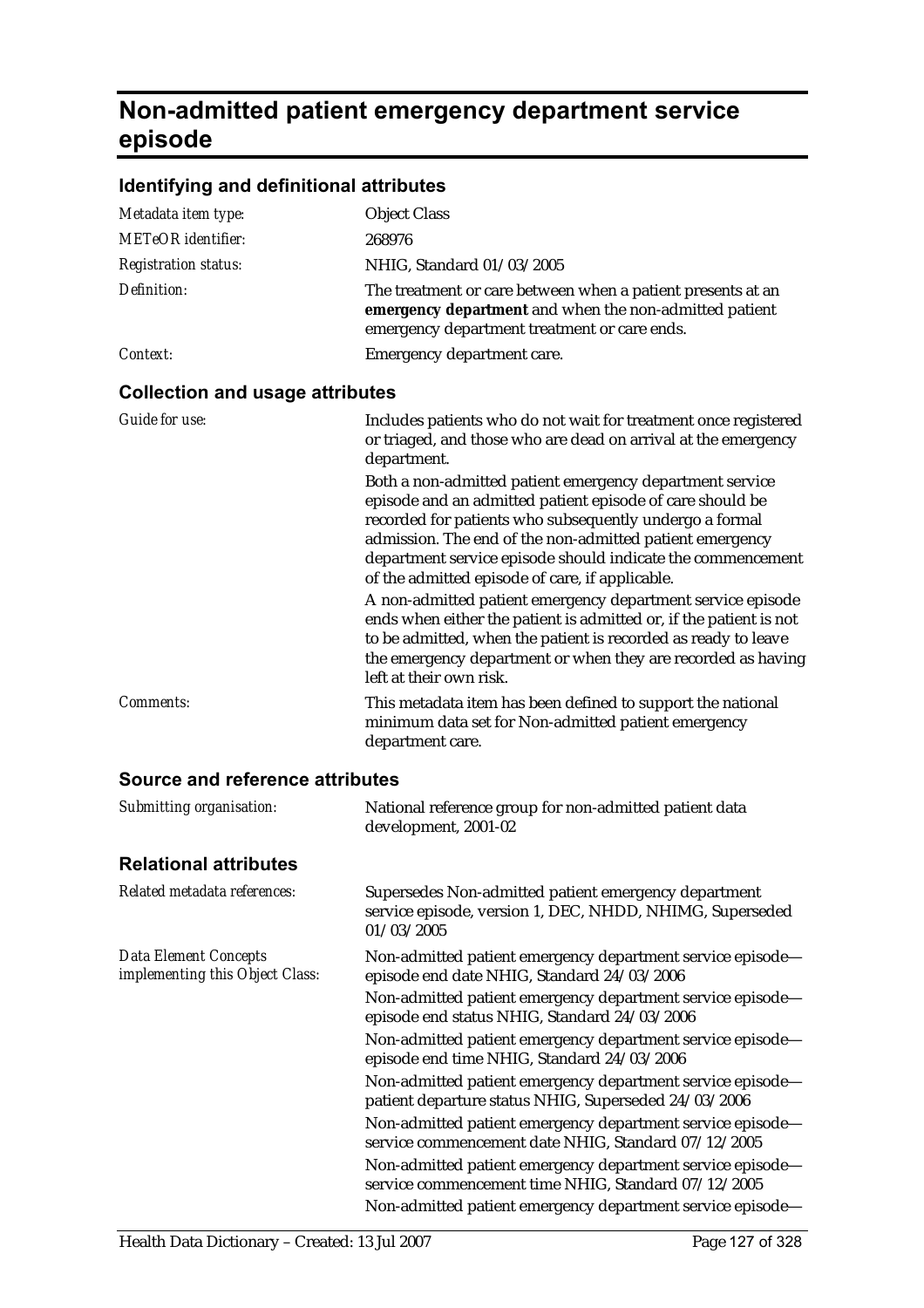# **Non-admitted patient emergency department service episode**

## **Identifying and definitional attributes**

| Metadata item type:                    | <b>Object Class</b>                                                                                                                                                                                                                                                                                                                                                                                                                                                                                                                                                                                                                                                                                                                                                                                                  |
|----------------------------------------|----------------------------------------------------------------------------------------------------------------------------------------------------------------------------------------------------------------------------------------------------------------------------------------------------------------------------------------------------------------------------------------------------------------------------------------------------------------------------------------------------------------------------------------------------------------------------------------------------------------------------------------------------------------------------------------------------------------------------------------------------------------------------------------------------------------------|
| <b>METeOR</b> identifier:              | 268976                                                                                                                                                                                                                                                                                                                                                                                                                                                                                                                                                                                                                                                                                                                                                                                                               |
| <b>Registration status:</b>            | NHIG, Standard 01/03/2005                                                                                                                                                                                                                                                                                                                                                                                                                                                                                                                                                                                                                                                                                                                                                                                            |
| Definition:                            | The treatment or care between when a patient presents at an<br>emergency department and when the non-admitted patient<br>emergency department treatment or care ends.                                                                                                                                                                                                                                                                                                                                                                                                                                                                                                                                                                                                                                                |
| Context:                               | Emergency department care.                                                                                                                                                                                                                                                                                                                                                                                                                                                                                                                                                                                                                                                                                                                                                                                           |
| <b>Collection and usage attributes</b> |                                                                                                                                                                                                                                                                                                                                                                                                                                                                                                                                                                                                                                                                                                                                                                                                                      |
| <b>Guide for use:</b>                  | Includes patients who do not wait for treatment once registered<br>or triaged, and those who are dead on arrival at the emergency<br>department.<br>Both a non-admitted patient emergency department service<br>episode and an admitted patient episode of care should be<br>recorded for patients who subsequently undergo a formal<br>admission. The end of the non-admitted patient emergency<br>department service episode should indicate the commencement<br>of the admitted episode of care, if applicable.<br>A non-admitted patient emergency department service episode<br>ends when either the patient is admitted or, if the patient is not<br>to be admitted, when the patient is recorded as ready to leave<br>the emergency department or when they are recorded as having<br>left at their own risk. |
| Comments:                              | This metadata item has been defined to support the national<br>minimum data set for Non-admitted patient emergency<br>department care.                                                                                                                                                                                                                                                                                                                                                                                                                                                                                                                                                                                                                                                                               |

| Submitting organisation:                                        | National reference group for non-admitted patient data<br>development, 2001-02                                                 |
|-----------------------------------------------------------------|--------------------------------------------------------------------------------------------------------------------------------|
| <b>Relational attributes</b>                                    |                                                                                                                                |
| Related metadata references:                                    | Supersedes Non-admitted patient emergency department<br>service episode, version 1, DEC, NHDD, NHIMG, Superseded<br>01/03/2005 |
| <b>Data Element Concepts</b><br>implementing this Object Class: | Non-admitted patient emergency department service episode-<br>episode end date NHIG, Standard 24/03/2006                       |
|                                                                 | Non-admitted patient emergency department service episode-<br>episode end status NHIG, Standard 24/03/2006                     |
|                                                                 | Non-admitted patient emergency department service episode-<br>episode end time NHIG, Standard 24/03/2006                       |
|                                                                 | Non-admitted patient emergency department service episode—<br>patient departure status NHIG, Superseded 24/03/2006             |
|                                                                 | Non-admitted patient emergency department service episode-<br>service commencement date NHIG, Standard 07/12/2005              |
|                                                                 | Non-admitted patient emergency department service episode-<br>service commencement time NHIG, Standard 07/12/2005              |
|                                                                 | Non-admitted patient emergency department service episode-                                                                     |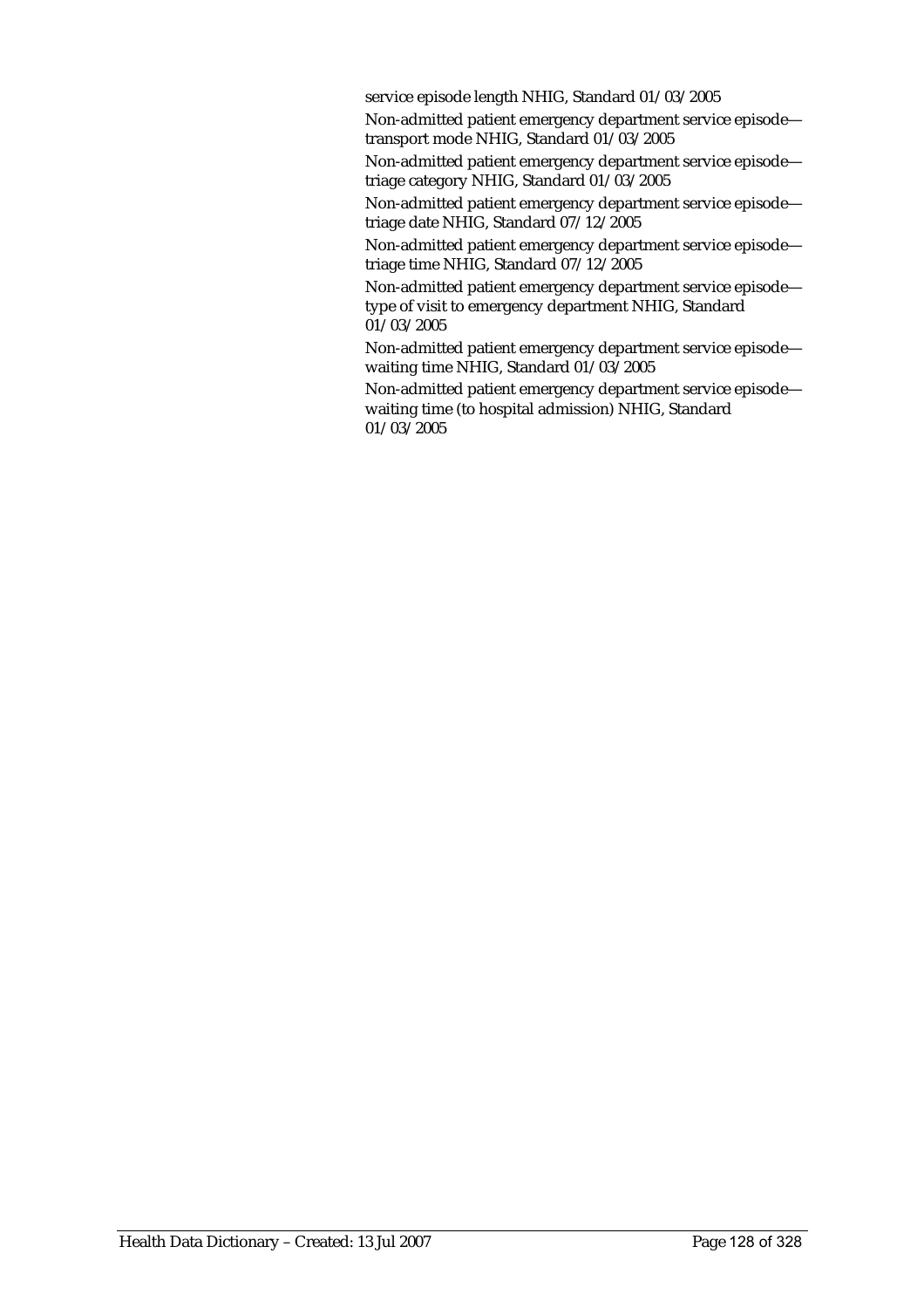service episode length NHIG, Standard 01/03/2005

Non-admitted patient emergency department service episode transport mode NHIG, Standard 01/03/2005

Non-admitted patient emergency department service episode triage category NHIG, Standard 01/03/2005

Non-admitted patient emergency department service episode triage date NHIG, Standard 07/12/2005

Non-admitted patient emergency department service episode triage time NHIG, Standard 07/12/2005

Non-admitted patient emergency department service episode type of visit to emergency department NHIG, Standard 01/03/2005

Non-admitted patient emergency department service episode waiting time NHIG, Standard 01/03/2005

Non-admitted patient emergency department service episode waiting time (to hospital admission) NHIG, Standard 01/03/2005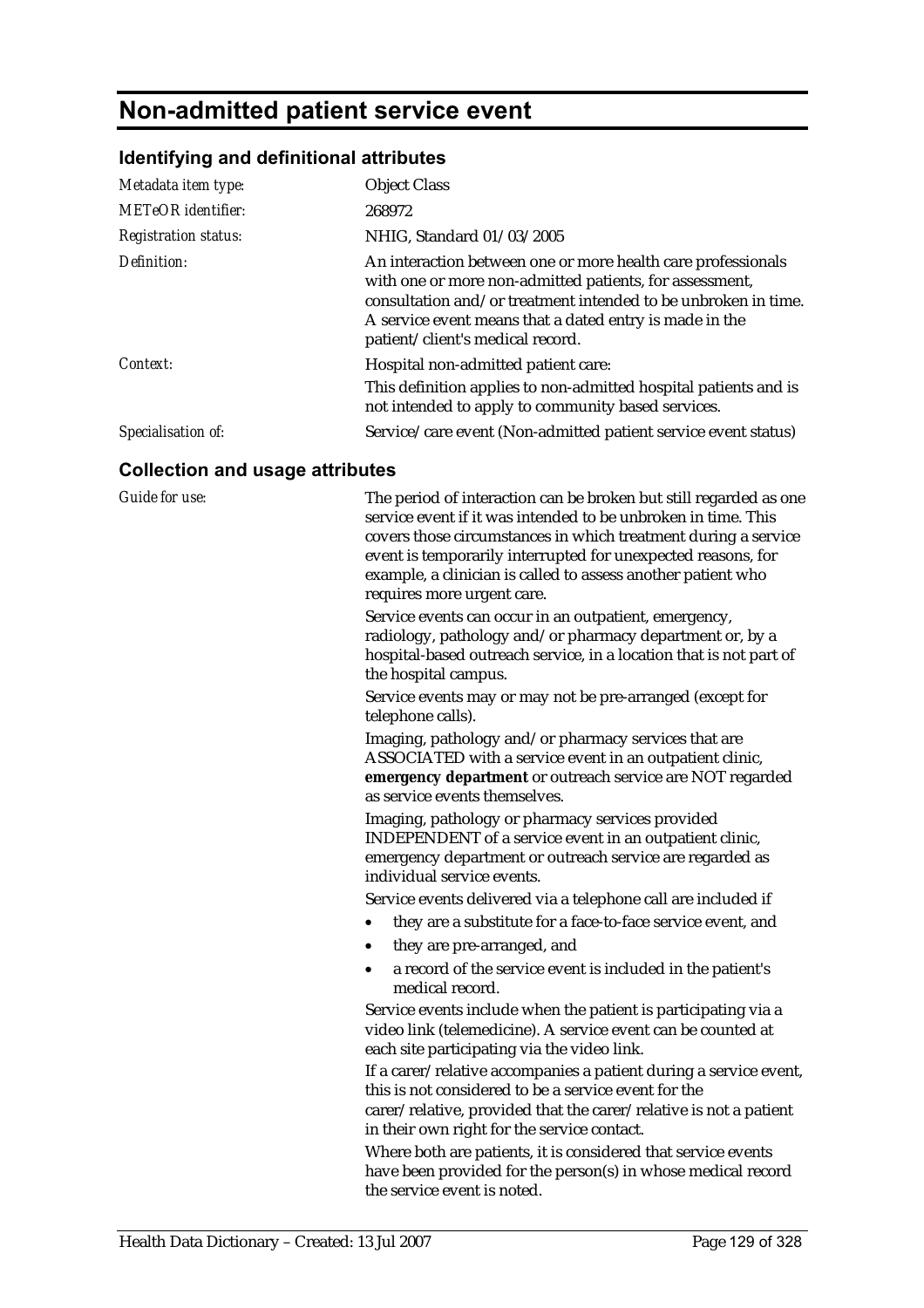## **Non-admitted patient service event**

#### **Identifying and definitional attributes**

| Metadata item type:<br><b>METeOR</b> identifier:<br><b>Registration status:</b> | <b>Object Class</b><br>268972<br>NHIG, Standard 01/03/2005                                                                                                                                                                                                                               |
|---------------------------------------------------------------------------------|------------------------------------------------------------------------------------------------------------------------------------------------------------------------------------------------------------------------------------------------------------------------------------------|
| Definition:                                                                     | An interaction between one or more health care professionals<br>with one or more non-admitted patients, for assessment,<br>consultation and/or treatment intended to be unbroken in time.<br>A service event means that a dated entry is made in the<br>patient/client's medical record. |
| Context:                                                                        | Hospital non-admitted patient care:<br>This definition applies to non-admitted hospital patients and is<br>not intended to apply to community based services.                                                                                                                            |
| Specialisation of:                                                              | Service/care event (Non-admitted patient service event status)                                                                                                                                                                                                                           |

#### **Collection and usage attributes**

*Guide for use:* The period of interaction can be broken but still regarded as one service event if it was intended to be unbroken in time. This covers those circumstances in which treatment during a service event is temporarily interrupted for unexpected reasons, for example, a clinician is called to assess another patient who requires more urgent care.

> Service events can occur in an outpatient, emergency, radiology, pathology and/or pharmacy department or, by a hospital-based outreach service, in a location that is not part of the hospital campus.

Service events may or may not be pre-arranged (except for telephone calls).

Imaging, pathology and/or pharmacy services that are ASSOCIATED with a service event in an outpatient clinic, **emergency department** or outreach service are NOT regarded as service events themselves.

Imaging, pathology or pharmacy services provided INDEPENDENT of a service event in an outpatient clinic, emergency department or outreach service are regarded as individual service events.

Service events delivered via a telephone call are included if

- they are a substitute for a face-to-face service event, and
- they are pre-arranged, and
- a record of the service event is included in the patient's medical record.

Service events include when the patient is participating via a video link (telemedicine). A service event can be counted at each site participating via the video link.

If a carer/relative accompanies a patient during a service event, this is not considered to be a service event for the carer/relative, provided that the carer/relative is not a patient in their own right for the service contact.

Where both are patients, it is considered that service events have been provided for the person(s) in whose medical record the service event is noted.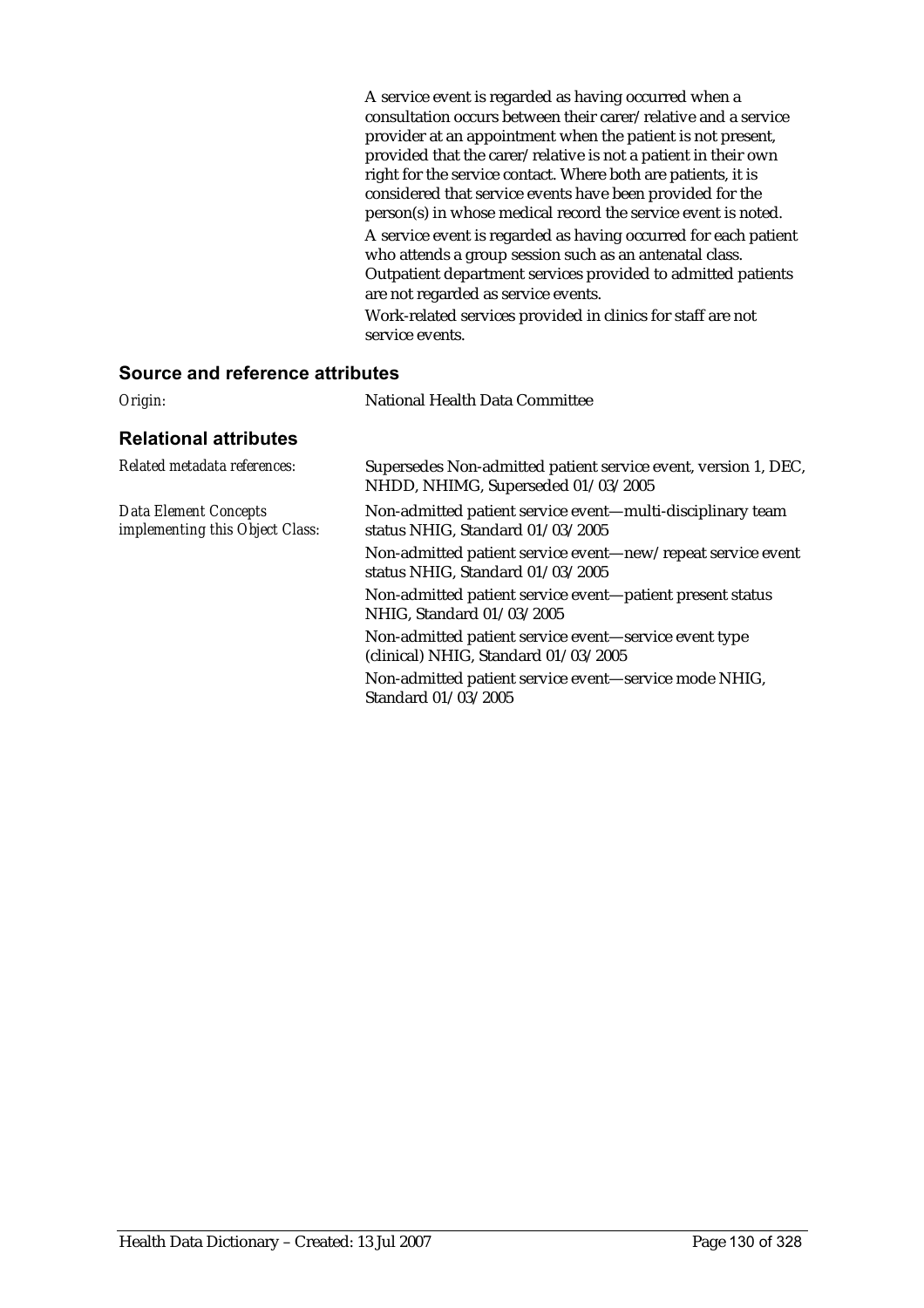A service event is regarded as having occurred when a consultation occurs between their carer/relative and a service provider at an appointment when the patient is not present, provided that the carer/relative is not a patient in their own right for the service contact. Where both are patients, it is considered that service events have been provided for the person(s) in whose medical record the service event is noted. A service event is regarded as having occurred for each patient who attends a group session such as an antenatal class. Outpatient department services provided to admitted patients are not regarded as service events. Work-related services provided in clinics for staff are not service events.

| National Health Data Committee                                                                       |
|------------------------------------------------------------------------------------------------------|
|                                                                                                      |
| Supersedes Non-admitted patient service event, version 1, DEC,<br>NHDD, NHIMG, Superseded 01/03/2005 |
| Non-admitted patient service event-multi-disciplinary team<br>status NHIG, Standard 01/03/2005       |
| Non-admitted patient service event—new/repeat service event<br>status NHIG, Standard 01/03/2005      |
| Non-admitted patient service event—patient present status<br>NHIG, Standard 01/03/2005               |
| Non-admitted patient service event—service event type<br>(clinical) NHIG, Standard 01/03/2005        |
| Non-admitted patient service event—service mode NHIG,<br>Standard 01/03/2005                         |
|                                                                                                      |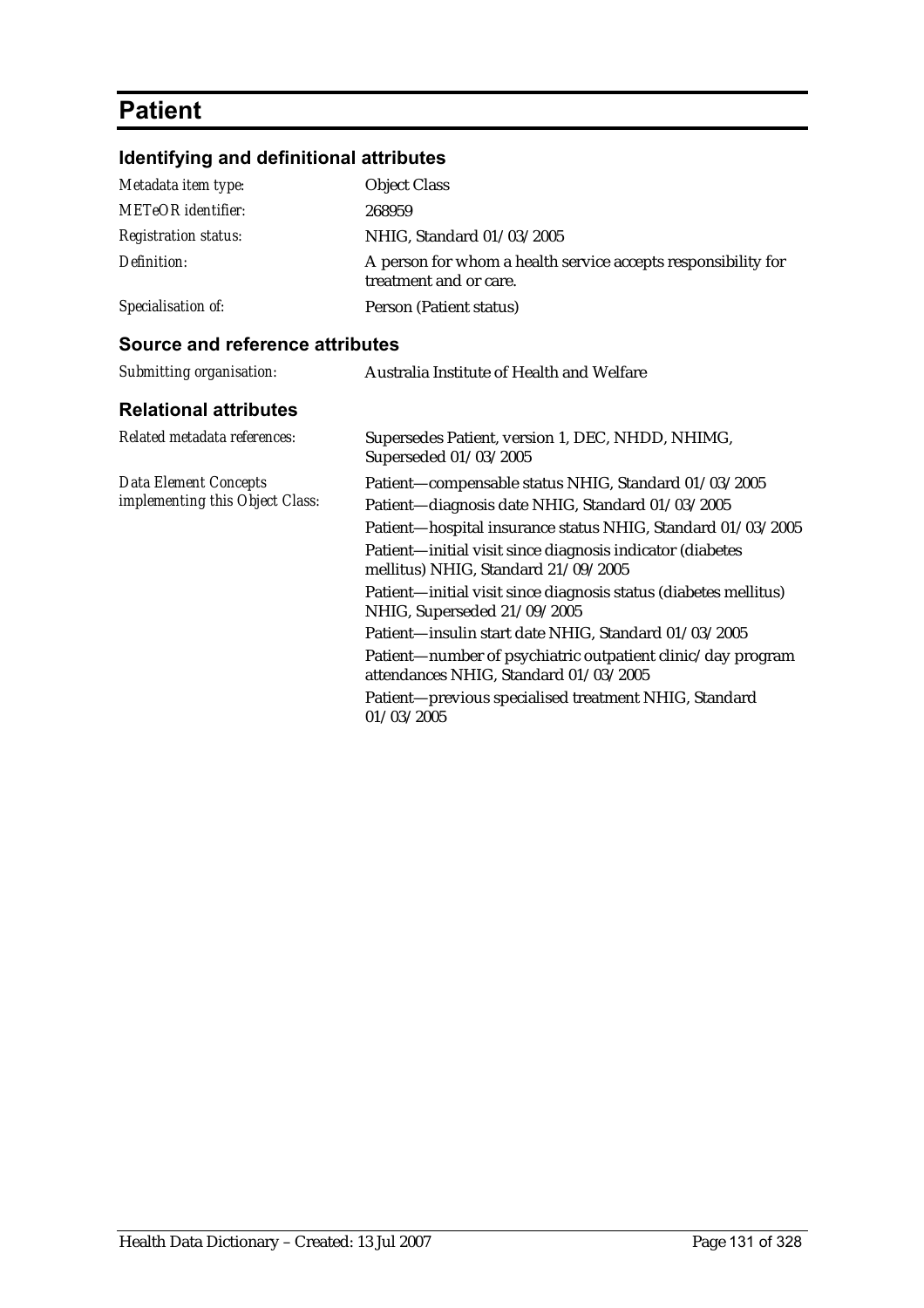# **Patient**

## **Identifying and definitional attributes**

| Metadata item type:         | <b>Object Class</b>                                                                     |
|-----------------------------|-----------------------------------------------------------------------------------------|
| <b>METeOR</b> identifier:   | 268959                                                                                  |
| <b>Registration status:</b> | NHIG, Standard 01/03/2005                                                               |
| Definition:                 | A person for whom a health service accepts responsibility for<br>treatment and or care. |
| Specialisation of:          | Person (Patient status)                                                                 |

| Submitting organisation:                                 | Australia Institute of Health and Welfare                                                                                                                                                                                                                                                                                                                                      |
|----------------------------------------------------------|--------------------------------------------------------------------------------------------------------------------------------------------------------------------------------------------------------------------------------------------------------------------------------------------------------------------------------------------------------------------------------|
| <b>Relational attributes</b>                             |                                                                                                                                                                                                                                                                                                                                                                                |
| Related metadata references:                             | Supersedes Patient, version 1, DEC, NHDD, NHIMG,<br>Superseded 01/03/2005                                                                                                                                                                                                                                                                                                      |
| Data Element Concepts<br>implementing this Object Class: | Patient-compensable status NHIG, Standard 01/03/2005<br>Patient-diagnosis date NHIG, Standard 01/03/2005<br>Patient-hospital insurance status NHIG, Standard 01/03/2005<br>Patient-initial visit since diagnosis indicator (diabetes<br>mellitus) NHIG, Standard 21/09/2005<br>Patient-initial visit since diagnosis status (diabetes mellitus)<br>NHIG, Superseded 21/09/2005 |
|                                                          | Patient-insulin start date NHIG, Standard 01/03/2005<br>Patient-number of psychiatric outpatient clinic/day program<br>attendances NHIG, Standard 01/03/2005<br>Patient-previous specialised treatment NHIG, Standard<br>01/03/2005                                                                                                                                            |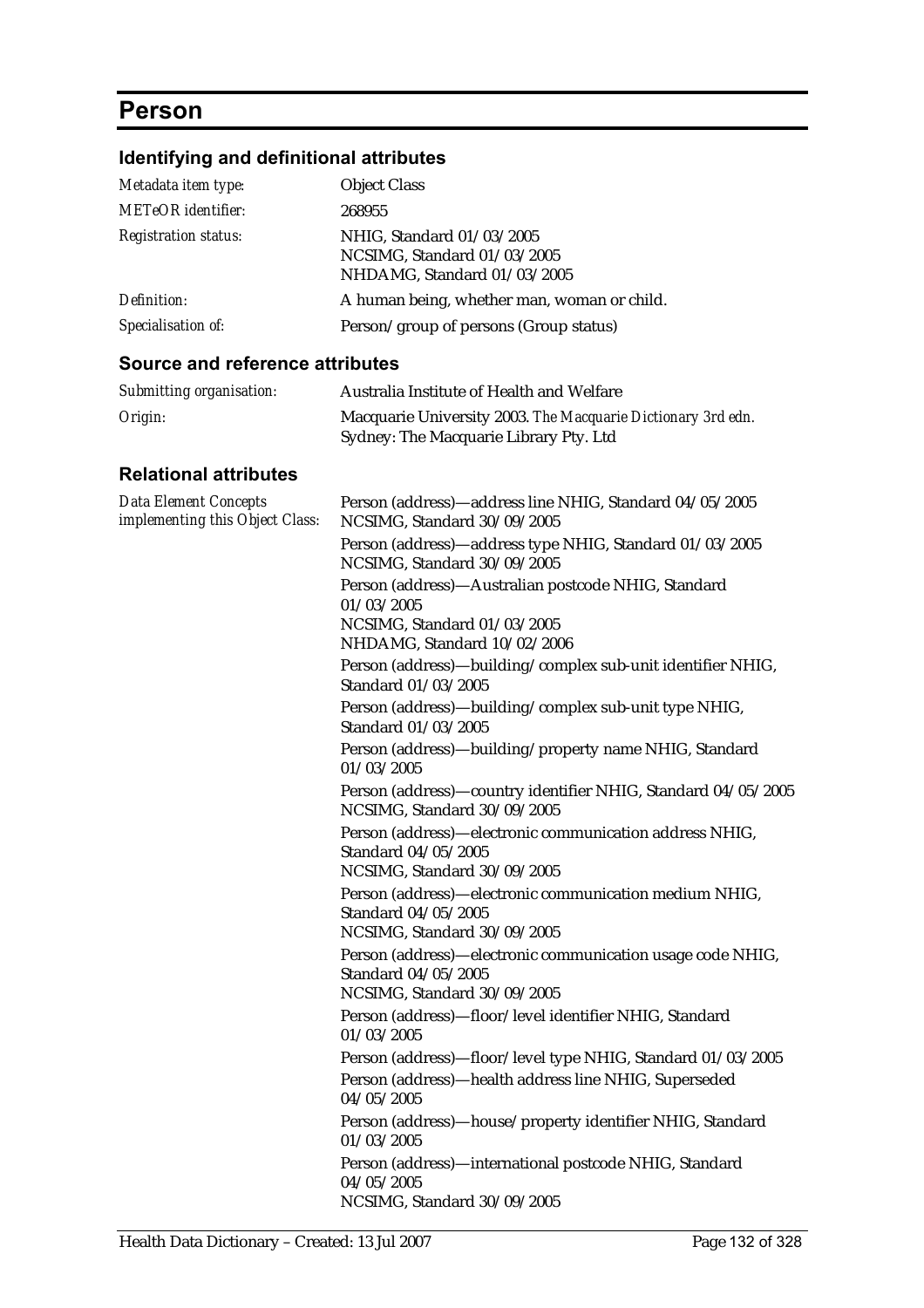## **Person**

## **Identifying and definitional attributes**

| Metadata item type:         | <b>Object Class</b>                                                                     |
|-----------------------------|-----------------------------------------------------------------------------------------|
| <b>METeOR</b> identifier:   | 268955                                                                                  |
| <b>Registration status:</b> | NHIG, Standard 01/03/2005<br>NCSIMG, Standard 01/03/2005<br>NHDAMG, Standard 01/03/2005 |
| Definition:                 | A human being, whether man, woman or child.                                             |
| Specialisation of:          | Person/group of persons (Group status)                                                  |

#### **Source and reference attributes**

| Submitting organisation: | Australia Institute of Health and Welfare                                                              |
|--------------------------|--------------------------------------------------------------------------------------------------------|
| Origin:                  | Macquarie University 2003. The Macquarie Dictionary 3rd edn.<br>Sydney: The Macquarie Library Pty. Ltd |

| <b>Data Element Concepts</b><br>implementing this Object Class: | Person (address)—address line NHIG, Standard 04/05/2005<br>NCSIMG, Standard 30/09/2005       |
|-----------------------------------------------------------------|----------------------------------------------------------------------------------------------|
|                                                                 | Person (address)-address type NHIG, Standard 01/03/2005<br>NCSIMG, Standard 30/09/2005       |
|                                                                 | Person (address)-Australian postcode NHIG, Standard<br>01/03/2005                            |
|                                                                 | NCSIMG, Standard 01/03/2005<br>NHDAMG, Standard 10/02/2006                                   |
|                                                                 | Person (address)-building/complex sub-unit identifier NHIG,<br>Standard 01/03/2005           |
|                                                                 | Person (address)-building/complex sub-unit type NHIG,<br>Standard 01/03/2005                 |
|                                                                 | Person (address)—building/property name NHIG, Standard<br>01/03/2005                         |
|                                                                 | Person (address)-country identifier NHIG, Standard 04/05/2005<br>NCSIMG, Standard 30/09/2005 |
|                                                                 | Person (address)-electronic communication address NHIG,<br>Standard 04/05/2005               |
|                                                                 | NCSIMG, Standard 30/09/2005                                                                  |
|                                                                 | Person (address)-electronic communication medium NHIG,<br>Standard 04/05/2005                |
|                                                                 | NCSIMG, Standard 30/09/2005                                                                  |
|                                                                 | Person (address)—electronic communication usage code NHIG,<br>Standard 04/05/2005            |
|                                                                 | NCSIMG, Standard 30/09/2005                                                                  |
|                                                                 | Person (address)-floor/level identifier NHIG, Standard<br>01/03/2005                         |
|                                                                 | Person (address)-floor/level type NHIG, Standard 01/03/2005                                  |
|                                                                 | Person (address)-health address line NHIG, Superseded<br>04/05/2005                          |
|                                                                 | Person (address)-house/property identifier NHIG, Standard<br>01/03/2005                      |
|                                                                 | Person (address)-international postcode NHIG, Standard<br>04/05/2005                         |
|                                                                 | NCSIMG, Standard 30/09/2005                                                                  |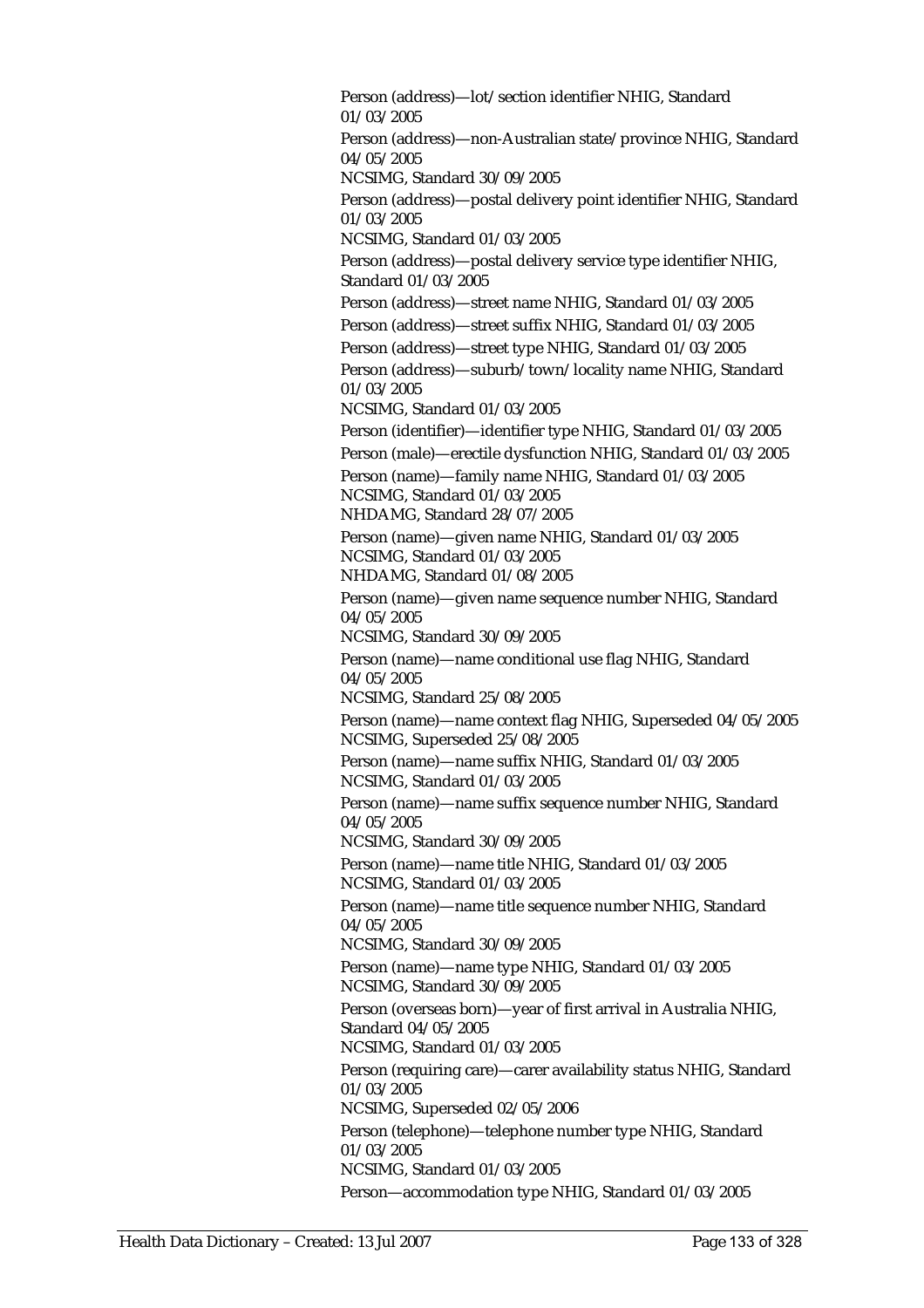Person (address)—lot/section identifier NHIG, Standard 01/03/2005 Person (address)—non-Australian state/province NHIG, Standard 04/05/2005 NCSIMG, Standard 30/09/2005 Person (address)—postal delivery point identifier NHIG, Standard 01/03/2005 NCSIMG, Standard 01/03/2005 Person (address)—postal delivery service type identifier NHIG, Standard 01/03/2005 Person (address)—street name NHIG, Standard 01/03/2005 Person (address)—street suffix NHIG, Standard 01/03/2005 Person (address)—street type NHIG, Standard 01/03/2005 Person (address)—suburb/town/locality name NHIG, Standard 01/03/2005 NCSIMG, Standard 01/03/2005 Person (identifier)—identifier type NHIG, Standard 01/03/2005 Person (male)—erectile dysfunction NHIG, Standard 01/03/2005 Person (name)—family name NHIG, Standard 01/03/2005 NCSIMG, Standard 01/03/2005 NHDAMG, Standard 28/07/2005 Person (name)—given name NHIG, Standard 01/03/2005 NCSIMG, Standard 01/03/2005 NHDAMG, Standard 01/08/2005 Person (name)—given name sequence number NHIG, Standard 04/05/2005 NCSIMG, Standard 30/09/2005 Person (name)—name conditional use flag NHIG, Standard 04/05/2005 NCSIMG, Standard 25/08/2005 Person (name)—name context flag NHIG, Superseded 04/05/2005 NCSIMG, Superseded 25/08/2005 Person (name)—name suffix NHIG, Standard 01/03/2005 NCSIMG, Standard 01/03/2005 Person (name)—name suffix sequence number NHIG, Standard 04/05/2005 NCSIMG, Standard 30/09/2005 Person (name)—name title NHIG, Standard 01/03/2005 NCSIMG, Standard 01/03/2005 Person (name)—name title sequence number NHIG, Standard 04/05/2005 NCSIMG, Standard 30/09/2005 Person (name)—name type NHIG, Standard 01/03/2005 NCSIMG, Standard 30/09/2005 Person (overseas born)—year of first arrival in Australia NHIG, Standard 04/05/2005 NCSIMG, Standard 01/03/2005 Person (requiring care)—carer availability status NHIG, Standard 01/03/2005 NCSIMG, Superseded 02/05/2006 Person (telephone)—telephone number type NHIG, Standard 01/03/2005 NCSIMG, Standard 01/03/2005 Person—accommodation type NHIG, Standard 01/03/2005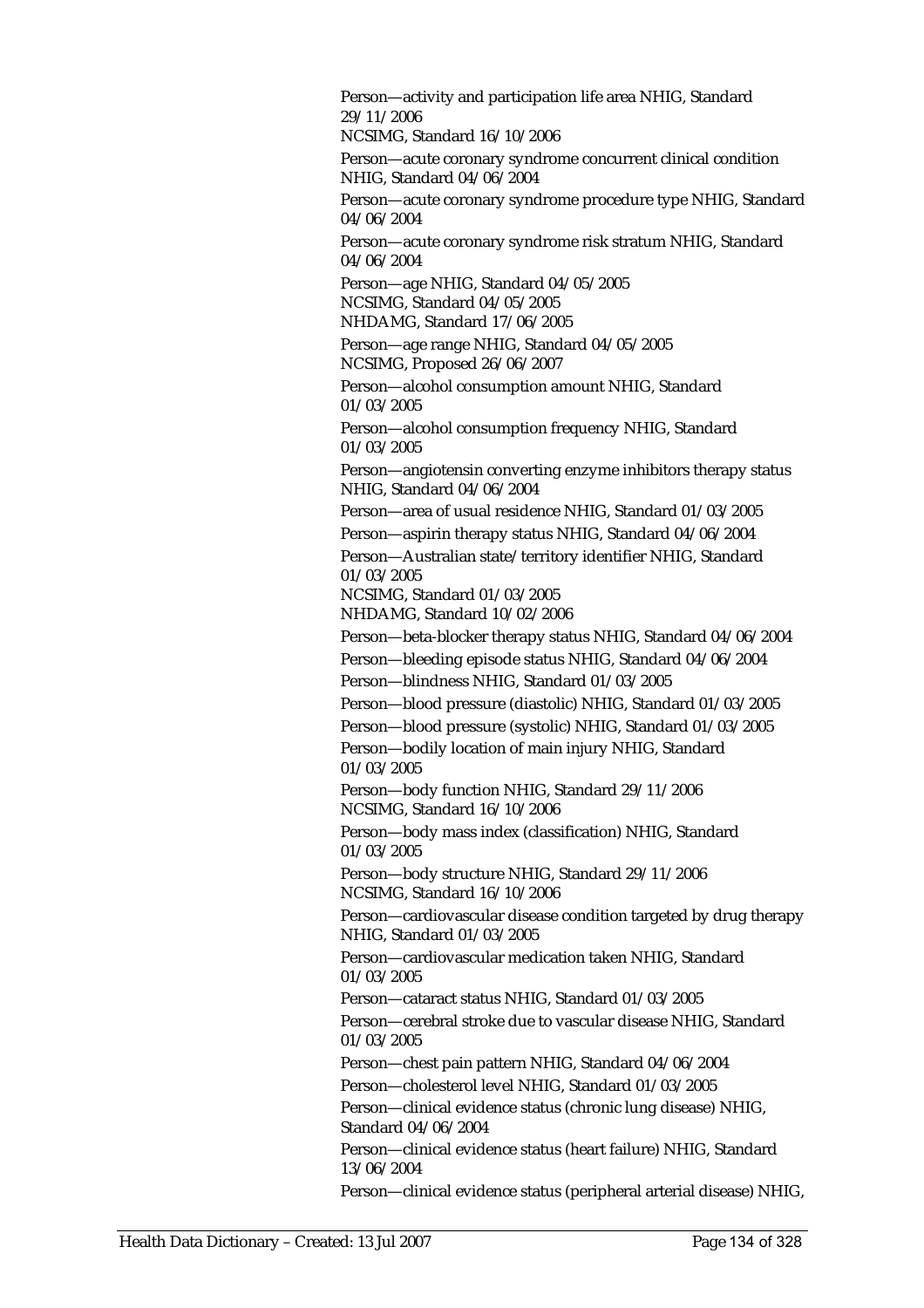Person—activity and participation life area NHIG, Standard 29/11/2006 NCSIMG, Standard 16/10/2006 Person—acute coronary syndrome concurrent clinical condition NHIG, Standard 04/06/2004 Person—acute coronary syndrome procedure type NHIG, Standard 04/06/2004 Person—acute coronary syndrome risk stratum NHIG, Standard 04/06/2004 Person—age NHIG, Standard 04/05/2005 NCSIMG, Standard 04/05/2005 NHDAMG, Standard 17/06/2005 Person—age range NHIG, Standard 04/05/2005 NCSIMG, Proposed 26/06/2007 Person—alcohol consumption amount NHIG, Standard 01/03/2005 Person—alcohol consumption frequency NHIG, Standard 01/03/2005 Person—angiotensin converting enzyme inhibitors therapy status NHIG, Standard 04/06/2004 Person—area of usual residence NHIG, Standard 01/03/2005 Person—aspirin therapy status NHIG, Standard 04/06/2004 Person—Australian state/territory identifier NHIG, Standard 01/03/2005 NCSIMG, Standard 01/03/2005 NHDAMG, Standard 10/02/2006 Person—beta-blocker therapy status NHIG, Standard 04/06/2004 Person—bleeding episode status NHIG, Standard 04/06/2004 Person—blindness NHIG, Standard 01/03/2005 Person—blood pressure (diastolic) NHIG, Standard 01/03/2005 Person—blood pressure (systolic) NHIG, Standard 01/03/2005 Person—bodily location of main injury NHIG, Standard 01/03/2005 Person—body function NHIG, Standard 29/11/2006 NCSIMG, Standard 16/10/2006 Person—body mass index (classification) NHIG, Standard 01/03/2005 Person—body structure NHIG, Standard 29/11/2006 NCSIMG, Standard 16/10/2006 Person—cardiovascular disease condition targeted by drug therapy NHIG, Standard 01/03/2005 Person—cardiovascular medication taken NHIG, Standard 01/03/2005 Person—cataract status NHIG, Standard 01/03/2005 Person—cerebral stroke due to vascular disease NHIG, Standard 01/03/2005 Person—chest pain pattern NHIG, Standard 04/06/2004 Person—cholesterol level NHIG, Standard 01/03/2005 Person—clinical evidence status (chronic lung disease) NHIG, Standard 04/06/2004 Person—clinical evidence status (heart failure) NHIG, Standard 13/06/2004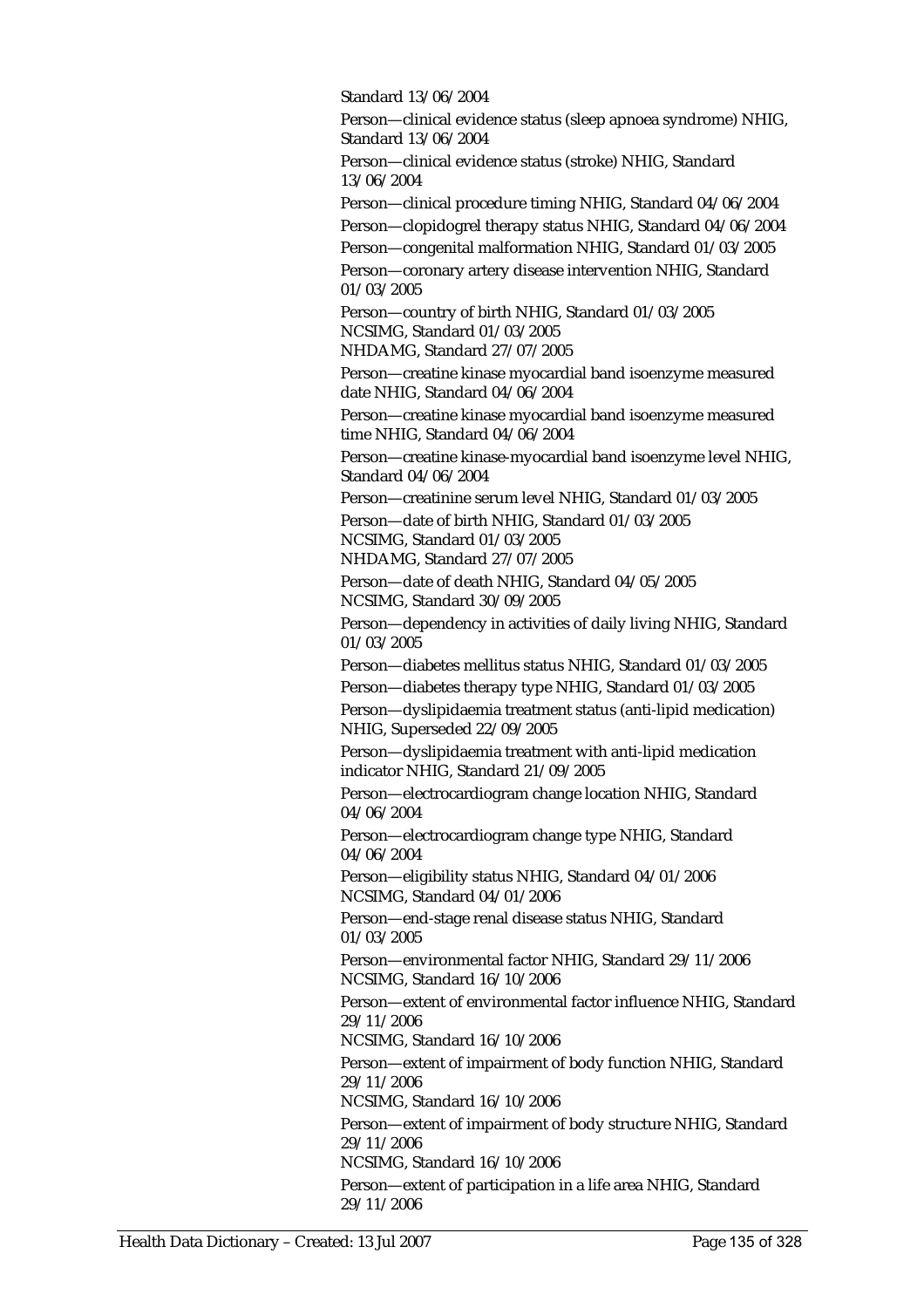Standard 13/06/2004

Person—clinical evidence status (sleep apnoea syndrome) NHIG, Standard 13/06/2004

Person—clinical evidence status (stroke) NHIG, Standard 13/06/2004

Person—clinical procedure timing NHIG, Standard 04/06/2004 Person—clopidogrel therapy status NHIG, Standard 04/06/2004 Person—congenital malformation NHIG, Standard 01/03/2005 Person—coronary artery disease intervention NHIG, Standard 01/03/2005

Person—country of birth NHIG, Standard 01/03/2005 NCSIMG, Standard 01/03/2005

NHDAMG, Standard 27/07/2005

Person—creatine kinase myocardial band isoenzyme measured date NHIG, Standard 04/06/2004

Person—creatine kinase myocardial band isoenzyme measured time NHIG, Standard 04/06/2004

Person—creatine kinase-myocardial band isoenzyme level NHIG, Standard 04/06/2004

Person—creatinine serum level NHIG, Standard 01/03/2005 Person—date of birth NHIG, Standard 01/03/2005

NCSIMG, Standard 01/03/2005 NHDAMG, Standard 27/07/2005

Person—date of death NHIG, Standard 04/05/2005 NCSIMG, Standard 30/09/2005

Person—dependency in activities of daily living NHIG, Standard 01/03/2005

Person—diabetes mellitus status NHIG, Standard 01/03/2005 Person—diabetes therapy type NHIG, Standard 01/03/2005

Person—dyslipidaemia treatment status (anti-lipid medication)

NHIG, Superseded 22/09/2005

Person—dyslipidaemia treatment with anti-lipid medication indicator NHIG, Standard 21/09/2005

Person—electrocardiogram change location NHIG, Standard 04/06/2004

Person—electrocardiogram change type NHIG, Standard 04/06/2004

Person—eligibility status NHIG, Standard 04/01/2006 NCSIMG, Standard 04/01/2006

Person—end-stage renal disease status NHIG, Standard 01/03/2005

Person—environmental factor NHIG, Standard 29/11/2006 NCSIMG, Standard 16/10/2006

Person—extent of environmental factor influence NHIG, Standard 29/11/2006

NCSIMG, Standard 16/10/2006

Person—extent of impairment of body function NHIG, Standard 29/11/2006

NCSIMG, Standard 16/10/2006

Person—extent of impairment of body structure NHIG, Standard 29/11/2006

NCSIMG, Standard 16/10/2006

Person—extent of participation in a life area NHIG, Standard 29/11/2006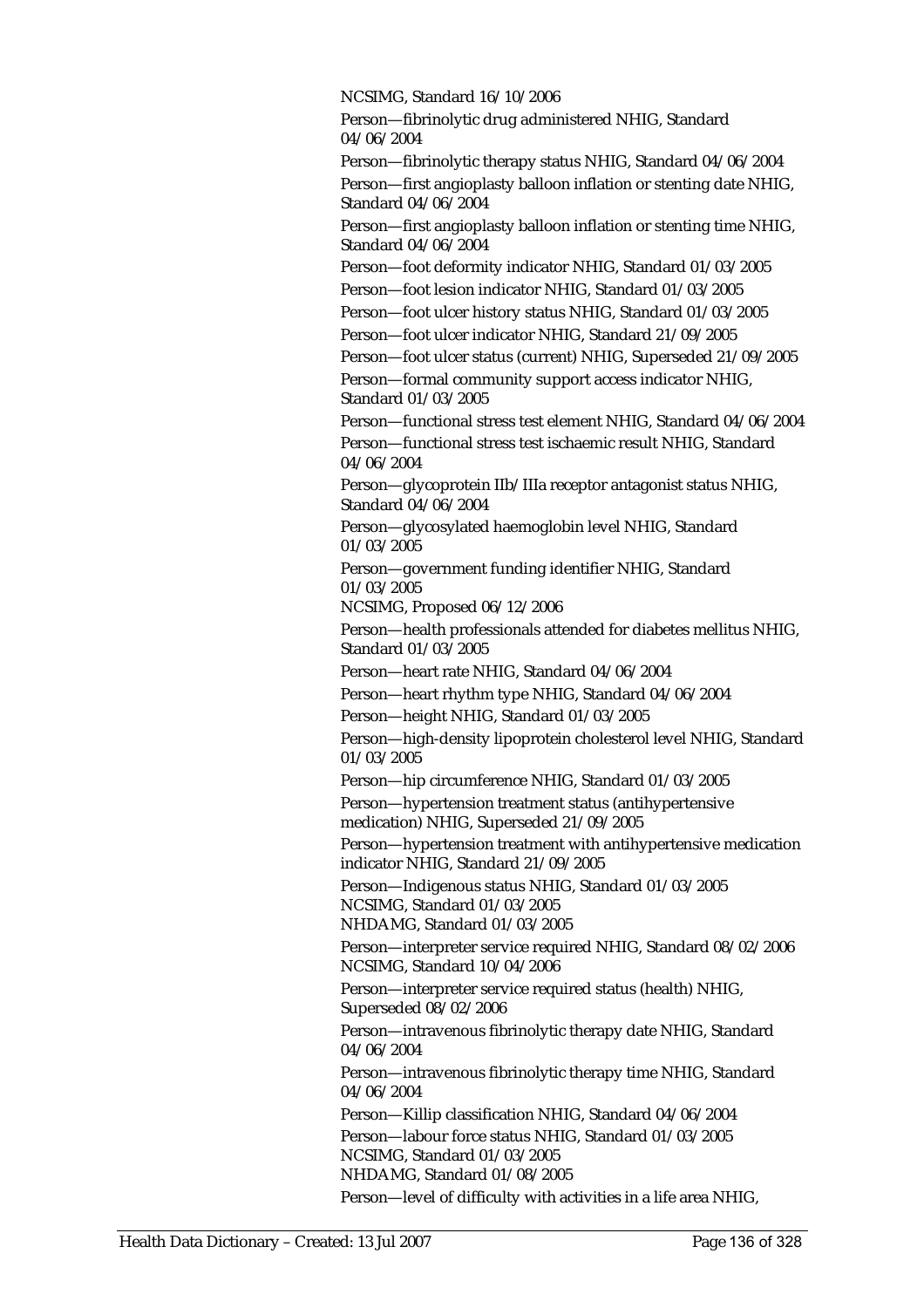NCSIMG, Standard 16/10/2006

Person—fibrinolytic drug administered NHIG, Standard 04/06/2004

Person—fibrinolytic therapy status NHIG, Standard 04/06/2004 Person—first angioplasty balloon inflation or stenting date NHIG, Standard 04/06/2004

Person—first angioplasty balloon inflation or stenting time NHIG, Standard 04/06/2004

Person—foot deformity indicator NHIG, Standard 01/03/2005 Person—foot lesion indicator NHIG, Standard 01/03/2005

Person—foot ulcer history status NHIG, Standard 01/03/2005

Person—foot ulcer indicator NHIG, Standard 21/09/2005

Person—foot ulcer status (current) NHIG, Superseded 21/09/2005 Person—formal community support access indicator NHIG, Standard 01/03/2005

Person—functional stress test element NHIG, Standard 04/06/2004 Person—functional stress test ischaemic result NHIG, Standard 04/06/2004

Person—glycoprotein IIb/IIIa receptor antagonist status NHIG, Standard 04/06/2004

Person—glycosylated haemoglobin level NHIG, Standard 01/03/2005

Person—government funding identifier NHIG, Standard 01/03/2005

NCSIMG, Proposed 06/12/2006

Person—health professionals attended for diabetes mellitus NHIG, Standard 01/03/2005

Person—heart rate NHIG, Standard 04/06/2004

Person—heart rhythm type NHIG, Standard 04/06/2004

Person—height NHIG, Standard 01/03/2005

Person—high-density lipoprotein cholesterol level NHIG, Standard 01/03/2005

Person—hip circumference NHIG, Standard 01/03/2005

Person—hypertension treatment status (antihypertensive medication) NHIG, Superseded 21/09/2005

Person—hypertension treatment with antihypertensive medication indicator NHIG, Standard 21/09/2005

Person—Indigenous status NHIG, Standard 01/03/2005 NCSIMG, Standard 01/03/2005

NHDAMG, Standard 01/03/2005

Person—interpreter service required NHIG, Standard 08/02/2006 NCSIMG, Standard 10/04/2006

Person—interpreter service required status (health) NHIG, Superseded 08/02/2006

Person—intravenous fibrinolytic therapy date NHIG, Standard 04/06/2004

Person—intravenous fibrinolytic therapy time NHIG, Standard 04/06/2004

Person—Killip classification NHIG, Standard 04/06/2004

Person—labour force status NHIG, Standard 01/03/2005 NCSIMG, Standard 01/03/2005 NHDAMG, Standard 01/08/2005

Person—level of difficulty with activities in a life area NHIG,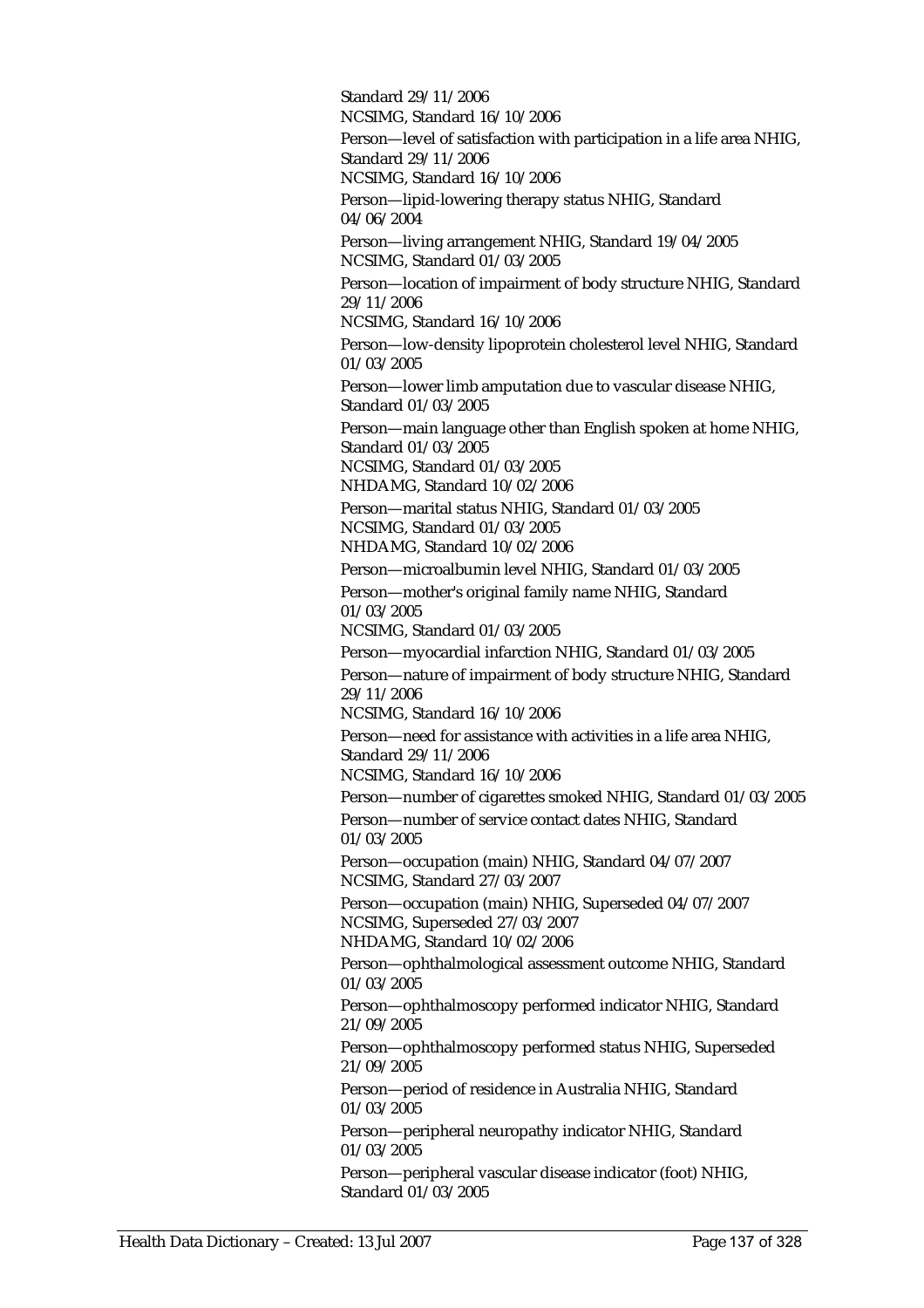Standard 29/11/2006 NCSIMG, Standard 16/10/2006 Person—level of satisfaction with participation in a life area NHIG, Standard 29/11/2006 NCSIMG, Standard 16/10/2006 Person—lipid-lowering therapy status NHIG, Standard 04/06/2004 Person—living arrangement NHIG, Standard 19/04/2005 NCSIMG, Standard 01/03/2005 Person—location of impairment of body structure NHIG, Standard 29/11/2006 NCSIMG, Standard 16/10/2006 Person—low-density lipoprotein cholesterol level NHIG, Standard 01/03/2005 Person—lower limb amputation due to vascular disease NHIG, Standard 01/03/2005 Person—main language other than English spoken at home NHIG, Standard 01/03/2005 NCSIMG, Standard 01/03/2005 NHDAMG, Standard 10/02/2006 Person—marital status NHIG, Standard 01/03/2005 NCSIMG, Standard 01/03/2005 NHDAMG, Standard 10/02/2006 Person—microalbumin level NHIG, Standard 01/03/2005 Person—mother's original family name NHIG, Standard 01/03/2005 NCSIMG, Standard 01/03/2005 Person—myocardial infarction NHIG, Standard 01/03/2005 Person—nature of impairment of body structure NHIG, Standard 29/11/2006 NCSIMG, Standard 16/10/2006 Person—need for assistance with activities in a life area NHIG, Standard 29/11/2006 NCSIMG, Standard 16/10/2006 Person—number of cigarettes smoked NHIG, Standard 01/03/2005 Person—number of service contact dates NHIG, Standard 01/03/2005 Person—occupation (main) NHIG, Standard 04/07/2007 NCSIMG, Standard 27/03/2007 Person—occupation (main) NHIG, Superseded 04/07/2007 NCSIMG, Superseded 27/03/2007 NHDAMG, Standard 10/02/2006 Person—ophthalmological assessment outcome NHIG, Standard 01/03/2005 Person—ophthalmoscopy performed indicator NHIG, Standard 21/09/2005 Person—ophthalmoscopy performed status NHIG, Superseded 21/09/2005 Person—period of residence in Australia NHIG, Standard 01/03/2005 Person—peripheral neuropathy indicator NHIG, Standard 01/03/2005 Person—peripheral vascular disease indicator (foot) NHIG, Standard 01/03/2005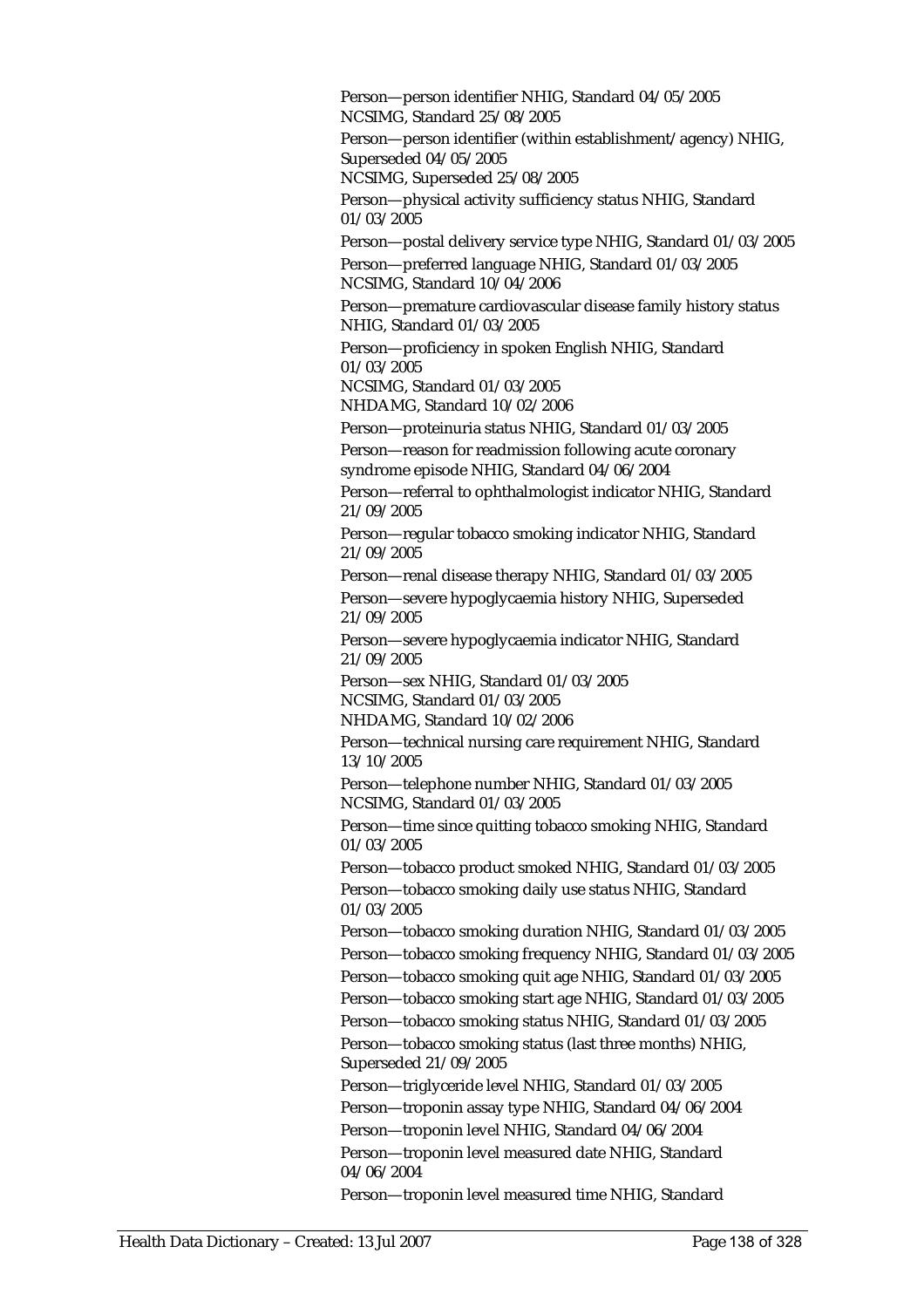Person—person identifier NHIG, Standard 04/05/2005 NCSIMG, Standard 25/08/2005 Person—person identifier (within establishment/agency) NHIG, Superseded 04/05/2005 NCSIMG, Superseded 25/08/2005 Person—physical activity sufficiency status NHIG, Standard 01/03/2005 Person—postal delivery service type NHIG, Standard 01/03/2005 Person—preferred language NHIG, Standard 01/03/2005 NCSIMG, Standard 10/04/2006 Person—premature cardiovascular disease family history status NHIG, Standard 01/03/2005 Person—proficiency in spoken English NHIG, Standard 01/03/2005 NCSIMG, Standard 01/03/2005 NHDAMG, Standard 10/02/2006 Person—proteinuria status NHIG, Standard 01/03/2005 Person—reason for readmission following acute coronary syndrome episode NHIG, Standard 04/06/2004 Person—referral to ophthalmologist indicator NHIG, Standard 21/09/2005 Person—regular tobacco smoking indicator NHIG, Standard 21/09/2005 Person—renal disease therapy NHIG, Standard 01/03/2005 Person—severe hypoglycaemia history NHIG, Superseded 21/09/2005 Person—severe hypoglycaemia indicator NHIG, Standard 21/09/2005 Person—sex NHIG, Standard 01/03/2005 NCSIMG, Standard 01/03/2005 NHDAMG, Standard 10/02/2006 Person—technical nursing care requirement NHIG, Standard 13/10/2005 Person—telephone number NHIG, Standard 01/03/2005 NCSIMG, Standard 01/03/2005 Person—time since quitting tobacco smoking NHIG, Standard 01/03/2005 Person—tobacco product smoked NHIG, Standard 01/03/2005 Person—tobacco smoking daily use status NHIG, Standard 01/03/2005 Person—tobacco smoking duration NHIG, Standard 01/03/2005 Person—tobacco smoking frequency NHIG, Standard 01/03/2005 Person—tobacco smoking quit age NHIG, Standard 01/03/2005 Person—tobacco smoking start age NHIG, Standard 01/03/2005 Person—tobacco smoking status NHIG, Standard 01/03/2005 Person—tobacco smoking status (last three months) NHIG, Superseded 21/09/2005 Person—triglyceride level NHIG, Standard 01/03/2005 Person—troponin assay type NHIG, Standard 04/06/2004 Person—troponin level NHIG, Standard 04/06/2004 Person—troponin level measured date NHIG, Standard 04/06/2004 Person—troponin level measured time NHIG, Standard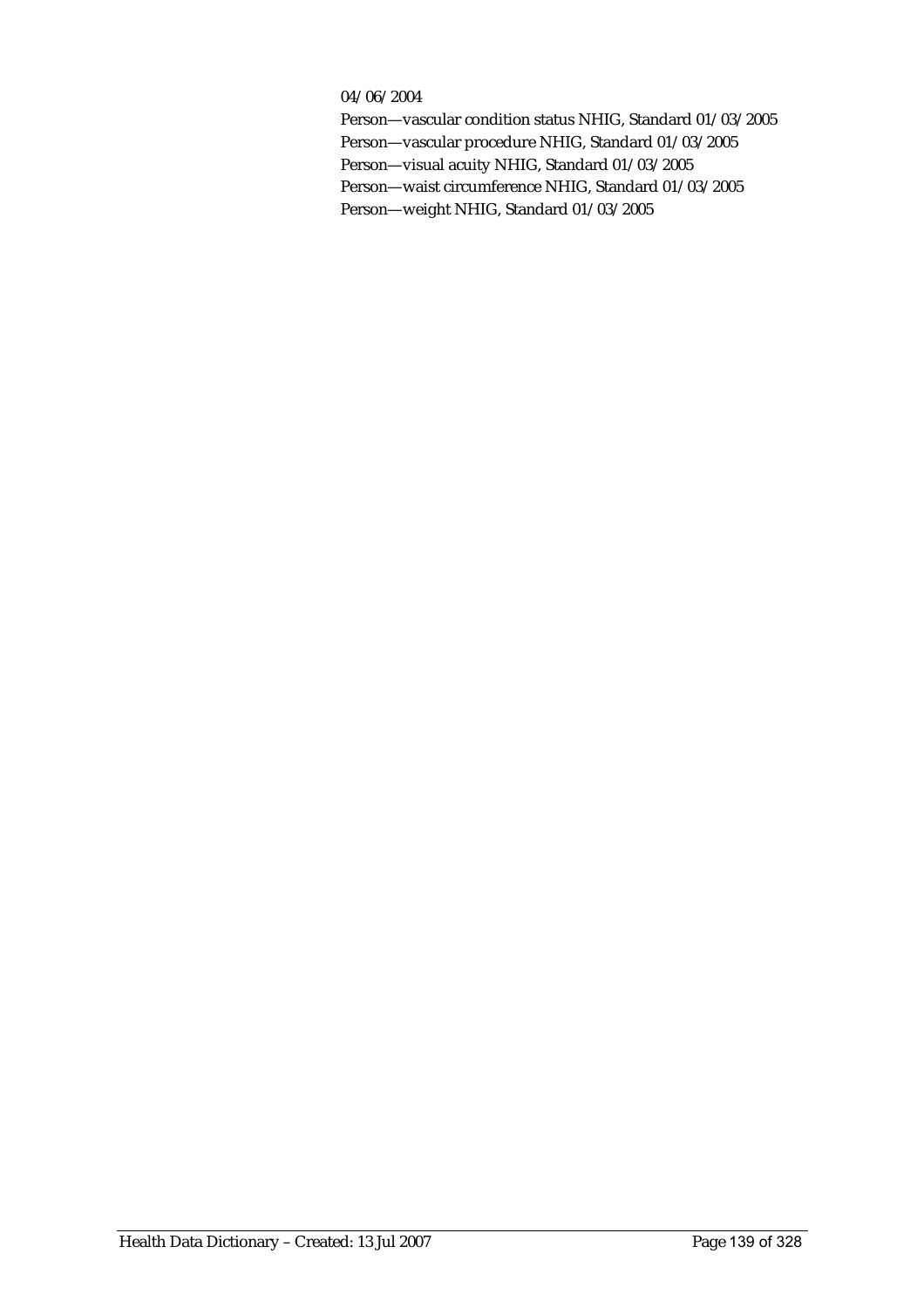#### 04/06/2004

Person—vascular condition status NHIG, Standard 01/03/2005 Person—vascular procedure NHIG, Standard 01/03/2005 Person—visual acuity NHIG, Standard 01/03/2005 Person—waist circumference NHIG, Standard 01/03/2005 Person—weight NHIG, Standard 01/03/2005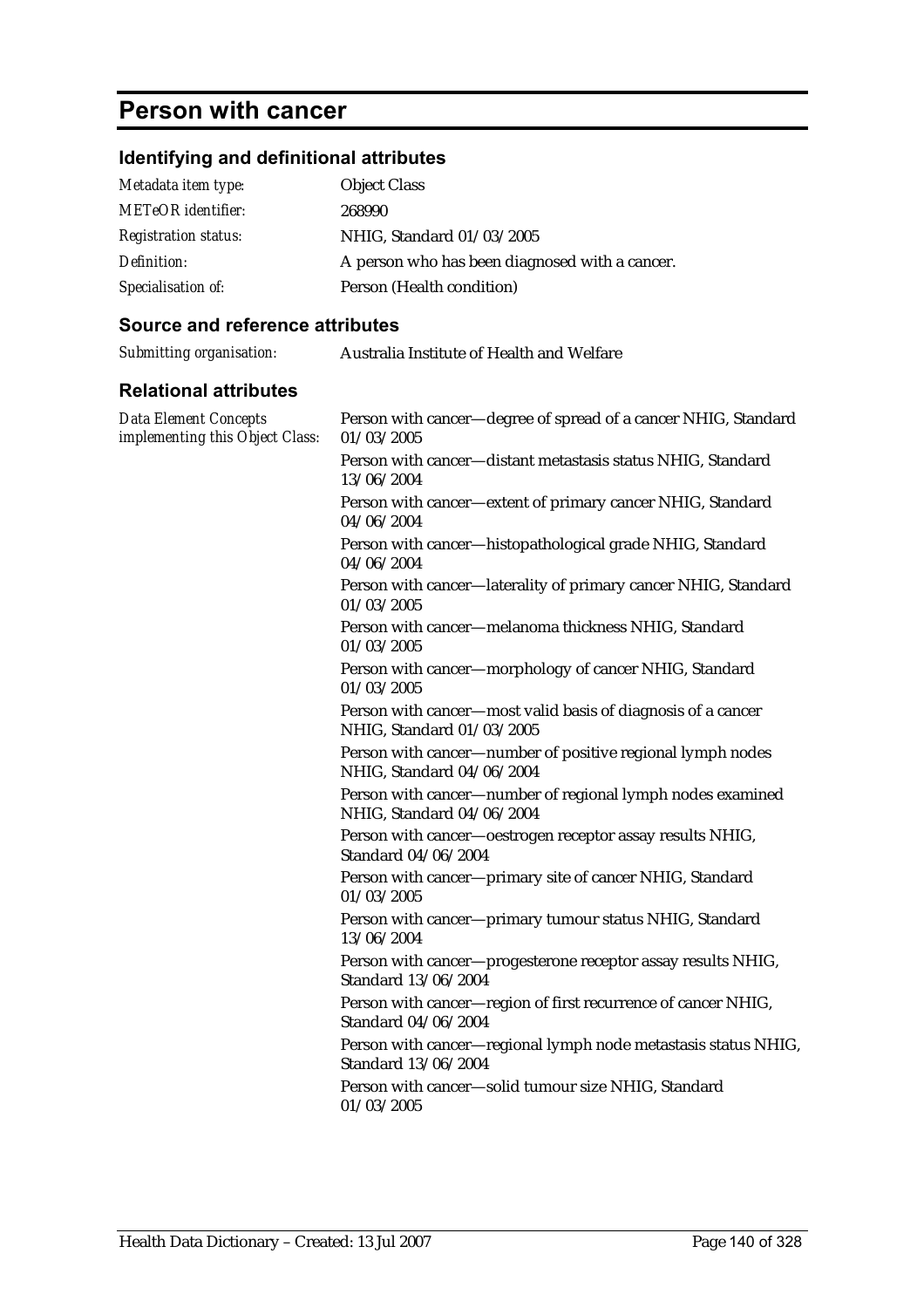# **Person with cancer**

## **Identifying and definitional attributes**

| Metadata item type:         | <b>Object Class</b>                            |
|-----------------------------|------------------------------------------------|
| <b>METeOR</b> identifier:   | 268990                                         |
| <b>Registration status:</b> | NHIG, Standard 01/03/2005                      |
| Definition:                 | A person who has been diagnosed with a cancer. |
| Specialisation of:          | Person (Health condition)                      |

| Submitting organisation:                                        | Australia Institute of Health and Welfare                                                 |
|-----------------------------------------------------------------|-------------------------------------------------------------------------------------------|
| <b>Relational attributes</b>                                    |                                                                                           |
| <b>Data Element Concepts</b><br>implementing this Object Class: | Person with cancer-degree of spread of a cancer NHIG, Standard<br>01/03/2005              |
|                                                                 | Person with cancer-distant metastasis status NHIG, Standard<br>13/06/2004                 |
|                                                                 | Person with cancer-extent of primary cancer NHIG, Standard<br>04/06/2004                  |
|                                                                 | Person with cancer-histopathological grade NHIG, Standard<br>04/06/2004                   |
|                                                                 | Person with cancer-laterality of primary cancer NHIG, Standard<br>01/03/2005              |
|                                                                 | Person with cancer-melanoma thickness NHIG, Standard<br>01/03/2005                        |
|                                                                 | Person with cancer-morphology of cancer NHIG, Standard<br>01/03/2005                      |
|                                                                 | Person with cancer-most valid basis of diagnosis of a cancer<br>NHIG, Standard 01/03/2005 |
|                                                                 | Person with cancer-number of positive regional lymph nodes<br>NHIG, Standard 04/06/2004   |
|                                                                 | Person with cancer-number of regional lymph nodes examined<br>NHIG, Standard 04/06/2004   |
|                                                                 | Person with cancer-oestrogen receptor assay results NHIG,<br>Standard 04/06/2004          |
|                                                                 | Person with cancer-primary site of cancer NHIG, Standard<br>01/03/2005                    |
|                                                                 | Person with cancer-primary tumour status NHIG, Standard<br>13/06/2004                     |
|                                                                 | Person with cancer-progesterone receptor assay results NHIG,<br>Standard 13/06/2004       |
|                                                                 | Person with cancer-region of first recurrence of cancer NHIG,<br>Standard 04/06/2004      |
|                                                                 | Person with cancer-regional lymph node metastasis status NHIG,<br>Standard 13/06/2004     |
|                                                                 | Person with cancer-solid tumour size NHIG, Standard<br>01/03/2005                         |
|                                                                 |                                                                                           |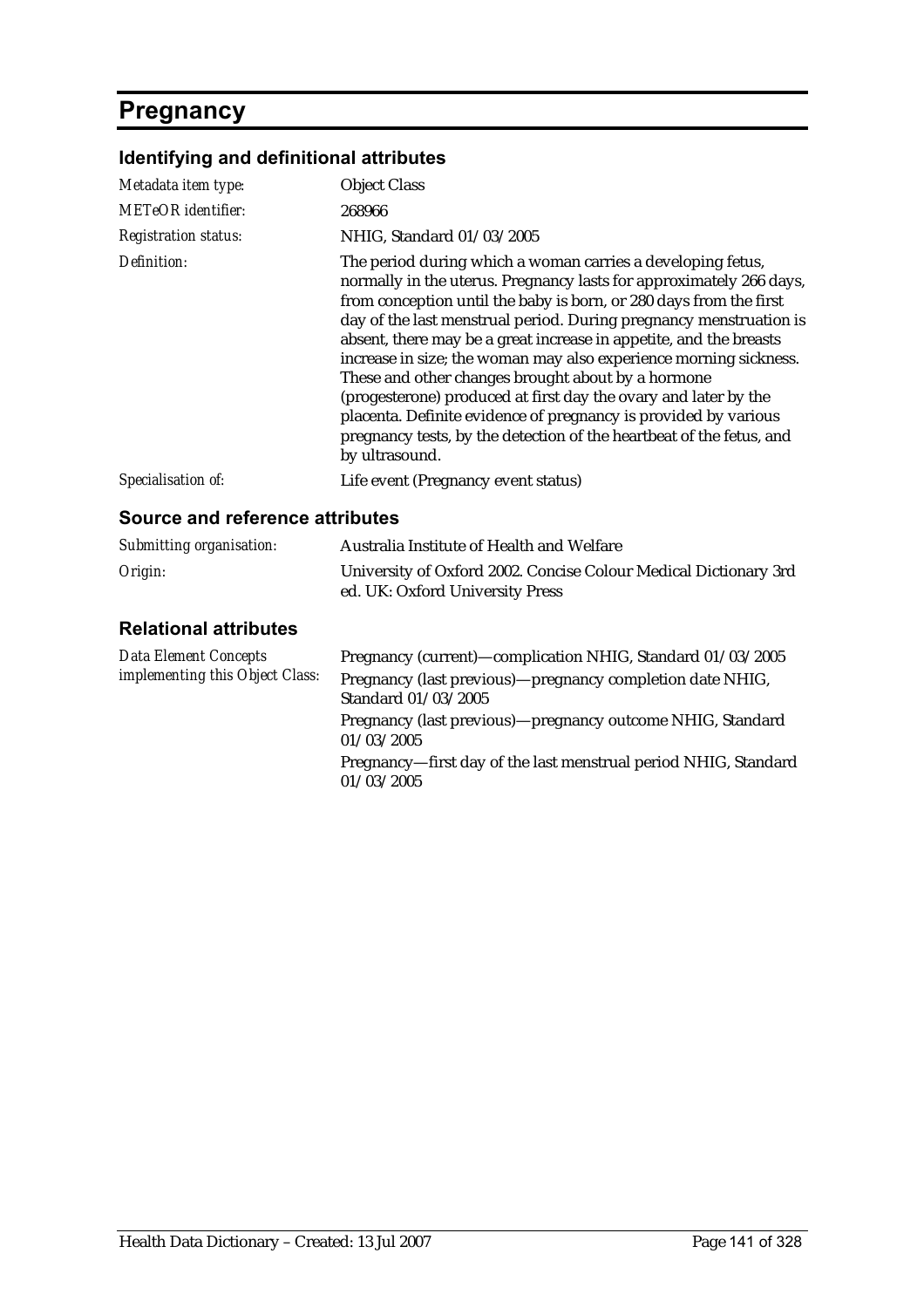# **Pregnancy**

## **Identifying and definitional attributes**

| Metadata item type:         | <b>Object Class</b>                                                                                                                                                                                                                                                                                                                                                                                                                                                                                                                                                                                                                                                                                             |
|-----------------------------|-----------------------------------------------------------------------------------------------------------------------------------------------------------------------------------------------------------------------------------------------------------------------------------------------------------------------------------------------------------------------------------------------------------------------------------------------------------------------------------------------------------------------------------------------------------------------------------------------------------------------------------------------------------------------------------------------------------------|
| <b>METeOR</b> identifier:   | 268966                                                                                                                                                                                                                                                                                                                                                                                                                                                                                                                                                                                                                                                                                                          |
| <b>Registration status:</b> | NHIG, Standard 01/03/2005                                                                                                                                                                                                                                                                                                                                                                                                                                                                                                                                                                                                                                                                                       |
| Definition:                 | The period during which a woman carries a developing fetus,<br>normally in the uterus. Pregnancy lasts for approximately 266 days,<br>from conception until the baby is born, or 280 days from the first<br>day of the last menstrual period. During pregnancy menstruation is<br>absent, there may be a great increase in appetite, and the breasts<br>increase in size; the woman may also experience morning sickness.<br>These and other changes brought about by a hormone<br>(progesterone) produced at first day the ovary and later by the<br>placenta. Definite evidence of pregnancy is provided by various<br>pregnancy tests, by the detection of the heartbeat of the fetus, and<br>by ultrasound. |
| Specialisation of:          | Life event (Pregnancy event status)                                                                                                                                                                                                                                                                                                                                                                                                                                                                                                                                                                                                                                                                             |

#### **Source and reference attributes**

| Submitting organisation: | Australia Institute of Health and Welfare                                                           |
|--------------------------|-----------------------------------------------------------------------------------------------------|
| Origin:                  | University of Oxford 2002. Concise Colour Medical Dictionary 3rd<br>ed. UK: Oxford University Press |

| <b>Data Element Concepts</b><br>implementing this Object Class: | Pregnancy (current)—complication NHIG, Standard 01/03/2005                       |
|-----------------------------------------------------------------|----------------------------------------------------------------------------------|
|                                                                 | Pregnancy (last previous)—pregnancy completion date NHIG,<br>Standard 01/03/2005 |
|                                                                 | Pregnancy (last previous)—pregnancy outcome NHIG, Standard<br>01/03/2005         |
|                                                                 | Pregnancy—first day of the last menstrual period NHIG, Standard<br>01/03/2005    |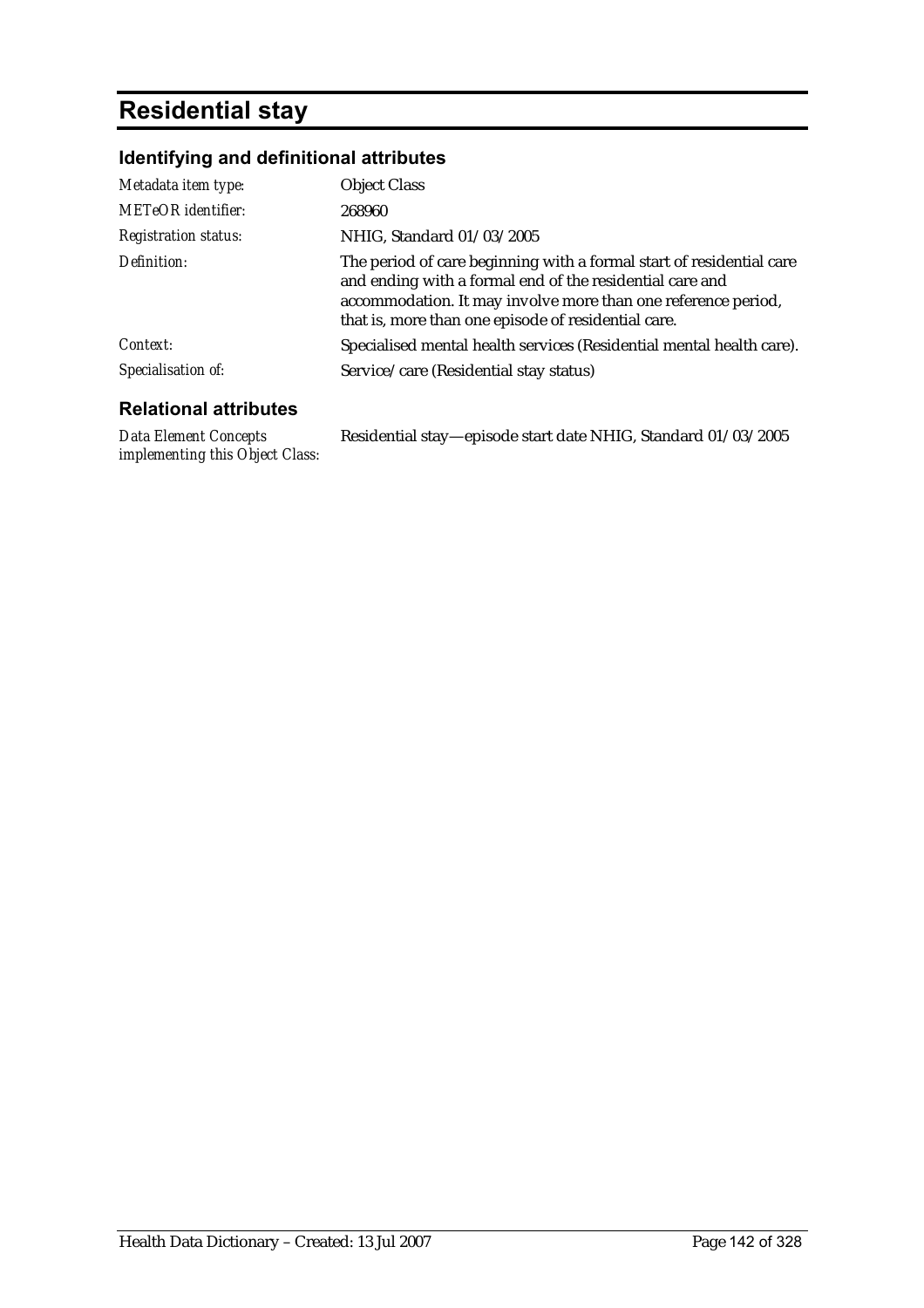# **Residential stay**

## **Identifying and definitional attributes**

| Metadata item type:          | <b>Object Class</b>                                                                                                                                                                                                                                      |
|------------------------------|----------------------------------------------------------------------------------------------------------------------------------------------------------------------------------------------------------------------------------------------------------|
| <b>METeOR</b> identifier:    | 268960                                                                                                                                                                                                                                                   |
| <b>Registration status:</b>  | NHIG, Standard 01/03/2005                                                                                                                                                                                                                                |
| Definition:                  | The period of care beginning with a formal start of residential care<br>and ending with a formal end of the residential care and<br>accommodation. It may involve more than one reference period,<br>that is, more than one episode of residential care. |
| Context:                     | Specialised mental health services (Residential mental health care).                                                                                                                                                                                     |
| Specialisation of:           | Service/care (Residential stay status)                                                                                                                                                                                                                   |
| <b>Relational attributes</b> |                                                                                                                                                                                                                                                          |

*Data Element Concepts implementing this Object Class:* Residential stay—episode start date NHIG, Standard 01/03/2005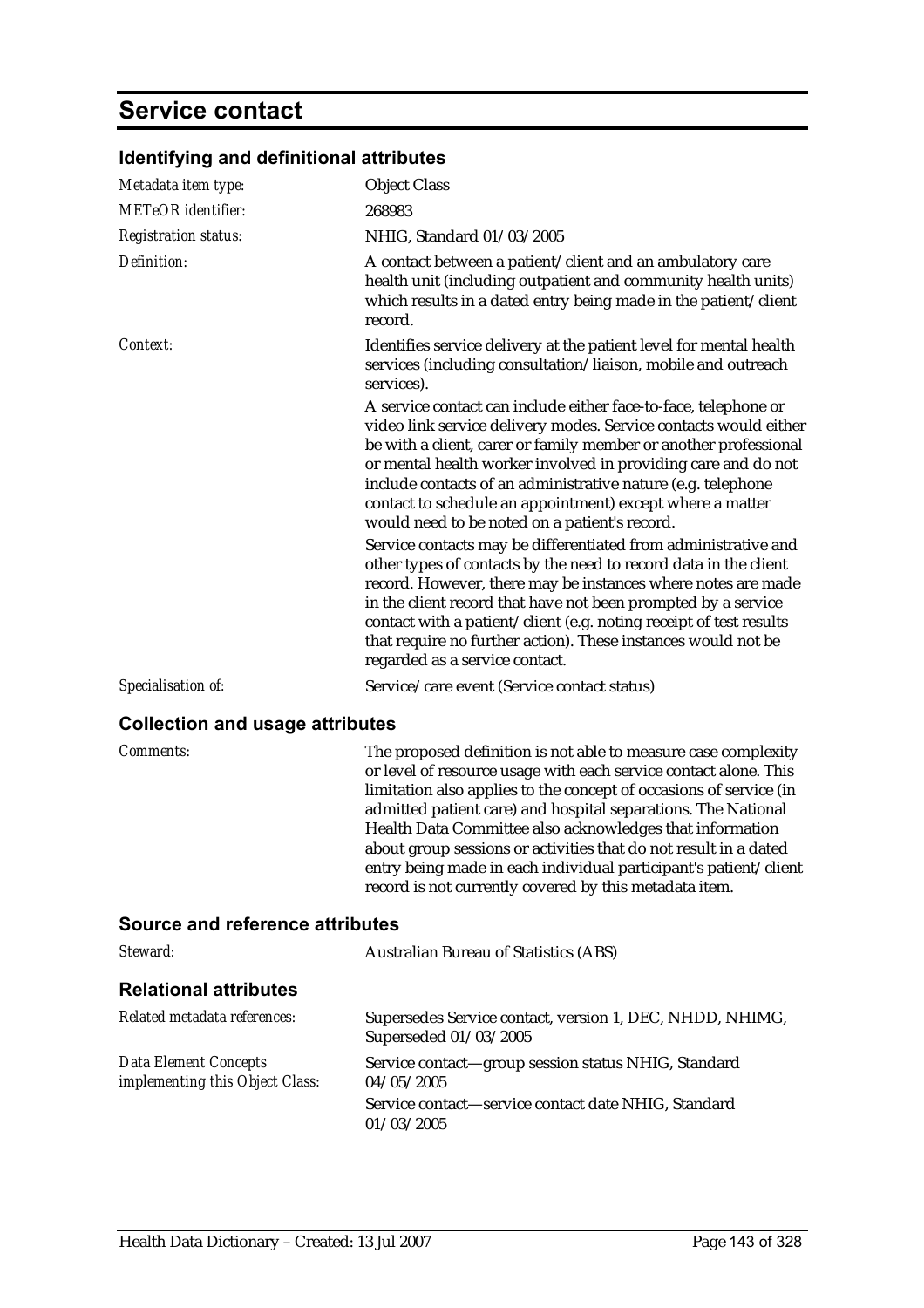# **Service contact**

| Metadata item type:         | <b>Object Class</b>                                                                                                                                                                                                                                                                                                                                                                                                                                    |
|-----------------------------|--------------------------------------------------------------------------------------------------------------------------------------------------------------------------------------------------------------------------------------------------------------------------------------------------------------------------------------------------------------------------------------------------------------------------------------------------------|
| <b>METeOR</b> identifier:   | 268983                                                                                                                                                                                                                                                                                                                                                                                                                                                 |
| <b>Registration status:</b> | NHIG, Standard 01/03/2005                                                                                                                                                                                                                                                                                                                                                                                                                              |
| Definition:                 | A contact between a patient/client and an ambulatory care<br>health unit (including outpatient and community health units)<br>which results in a dated entry being made in the patient/client<br>record.                                                                                                                                                                                                                                               |
| Context:                    | Identifies service delivery at the patient level for mental health<br>services (including consultation/liaison, mobile and outreach<br>services).                                                                                                                                                                                                                                                                                                      |
|                             | A service contact can include either face-to-face, telephone or<br>video link service delivery modes. Service contacts would either<br>be with a client, carer or family member or another professional<br>or mental health worker involved in providing care and do not<br>include contacts of an administrative nature (e.g. telephone<br>contact to schedule an appointment) except where a matter<br>would need to be noted on a patient's record. |
|                             | Service contacts may be differentiated from administrative and<br>other types of contacts by the need to record data in the client<br>record. However, there may be instances where notes are made<br>in the client record that have not been prompted by a service<br>contact with a patient/client (e.g. noting receipt of test results<br>that require no further action). These instances would not be<br>regarded as a service contact.           |
| Specialisation of:          | Service/care event (Service contact status)                                                                                                                                                                                                                                                                                                                                                                                                            |

### **Identifying and definitional attributes**

### **Collection and usage attributes**

| <b>Comments:</b> | The proposed definition is not able to measure case complexity<br>or level of resource usage with each service contact alone. This<br>limitation also applies to the concept of occasions of service (in<br>admitted patient care) and hospital separations. The National<br>Health Data Committee also acknowledges that information<br>about group sessions or activities that do not result in a dated<br>entry being made in each individual participant's patient/client |
|------------------|-------------------------------------------------------------------------------------------------------------------------------------------------------------------------------------------------------------------------------------------------------------------------------------------------------------------------------------------------------------------------------------------------------------------------------------------------------------------------------|
|                  | record is not currently covered by this metadata item.                                                                                                                                                                                                                                                                                                                                                                                                                        |

| Steward:                                                        | <b>Australian Bureau of Statistics (ABS)</b>                                      |
|-----------------------------------------------------------------|-----------------------------------------------------------------------------------|
| <b>Relational attributes</b>                                    |                                                                                   |
| Related metadata references:                                    | Supersedes Service contact, version 1, DEC, NHDD, NHIMG,<br>Superseded 01/03/2005 |
| <b>Data Element Concepts</b><br>implementing this Object Class: | Service contact—group session status NHIG, Standard<br>04/05/2005                 |
|                                                                 | Service contact-service contact date NHIG, Standard<br>01/03/2005                 |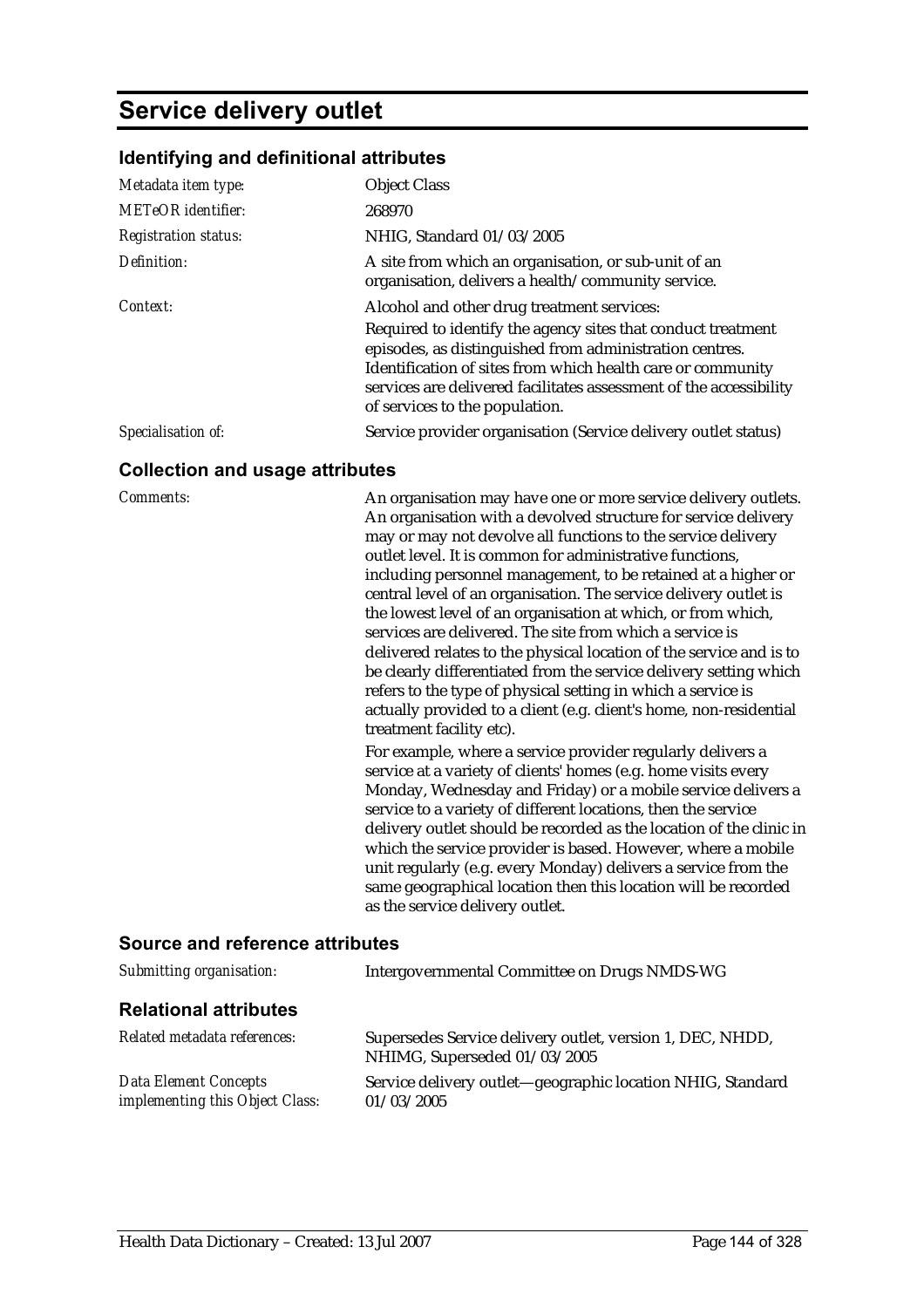## **Service delivery outlet**

#### **Identifying and definitional attributes**

| Metadata item type:         | <b>Object Class</b>                                                                                                                                                                                                                                                                            |
|-----------------------------|------------------------------------------------------------------------------------------------------------------------------------------------------------------------------------------------------------------------------------------------------------------------------------------------|
| <b>METeOR</b> identifier:   | 268970                                                                                                                                                                                                                                                                                         |
| <b>Registration status:</b> | NHIG, Standard 01/03/2005                                                                                                                                                                                                                                                                      |
| Definition:                 | A site from which an organisation, or sub-unit of an<br>organisation, delivers a health/community service.                                                                                                                                                                                     |
| Context:                    | Alcohol and other drug treatment services:                                                                                                                                                                                                                                                     |
|                             | Required to identify the agency sites that conduct treatment<br>episodes, as distinguished from administration centres.<br>Identification of sites from which health care or community<br>services are delivered facilitates assessment of the accessibility<br>of services to the population. |
| Specialisation of:          | Service provider organisation (Service delivery outlet status)                                                                                                                                                                                                                                 |

#### **Collection and usage attributes**

*Comments:* An organisation may have one or more service delivery outlets. An organisation with a devolved structure for service delivery may or may not devolve all functions to the service delivery outlet level. It is common for administrative functions, including personnel management, to be retained at a higher or central level of an organisation. The service delivery outlet is the lowest level of an organisation at which, or from which, services are delivered. The site from which a service is delivered relates to the physical location of the service and is to be clearly differentiated from the service delivery setting which refers to the type of physical setting in which a service is actually provided to a client (e.g. client's home, non-residential treatment facility etc).

> For example, where a service provider regularly delivers a service at a variety of clients' homes (e.g. home visits every Monday, Wednesday and Friday) or a mobile service delivers a service to a variety of different locations, then the service delivery outlet should be recorded as the location of the clinic in which the service provider is based. However, where a mobile unit regularly (e.g. every Monday) delivers a service from the same geographical location then this location will be recorded as the service delivery outlet.

| Submitting organisation:                                        | Intergovernmental Committee on Drugs NMDS-WG                                              |
|-----------------------------------------------------------------|-------------------------------------------------------------------------------------------|
| <b>Relational attributes</b>                                    |                                                                                           |
| Related metadata references:                                    | Supersedes Service delivery outlet, version 1, DEC, NHDD,<br>NHIMG, Superseded 01/03/2005 |
| <b>Data Element Concepts</b><br>implementing this Object Class: | Service delivery outlet—geographic location NHIG, Standard<br>01/03/2005                  |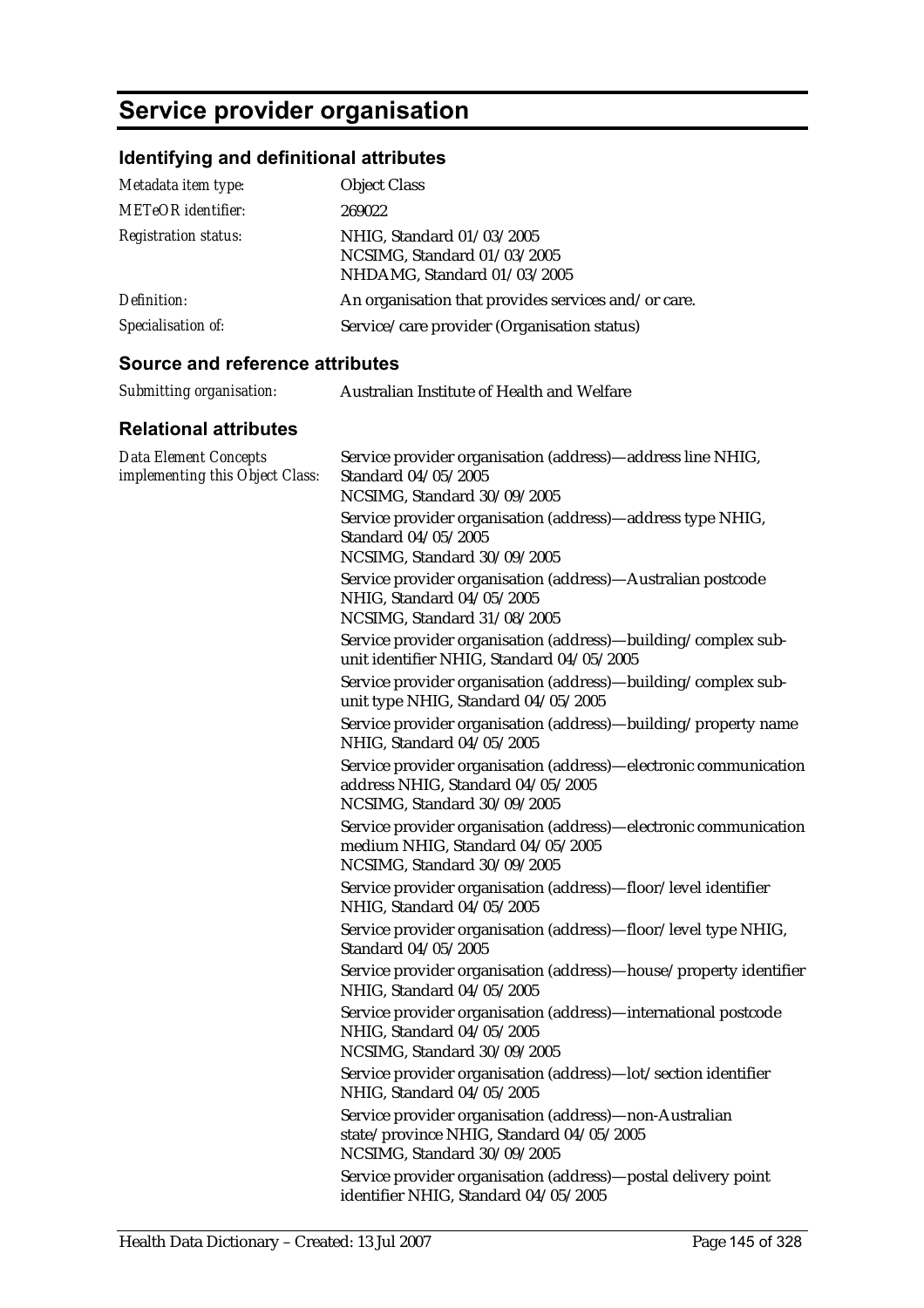# **Service provider organisation**

### **Identifying and definitional attributes**

| Metadata item type:         | <b>Object Class</b>                                                                     |
|-----------------------------|-----------------------------------------------------------------------------------------|
| <b>METeOR</b> identifier:   | 269022                                                                                  |
| <b>Registration status:</b> | NHIG, Standard 01/03/2005<br>NCSIMG, Standard 01/03/2005<br>NHDAMG, Standard 01/03/2005 |
| Definition:                 | An organisation that provides services and/or care.                                     |
| Specialisation of:          | Service/care provider (Organisation status)                                             |

#### **Source and reference attributes**

| Submitting organisation: | Australian Institute of Health and Welfare |
|--------------------------|--------------------------------------------|
|                          |                                            |

| <b>Data Element Concepts</b><br>implementing this Object Class: | Service provider organisation (address)-address line NHIG,<br>Standard 04/05/2005<br>NCSIMG, Standard 30/09/2005                     |
|-----------------------------------------------------------------|--------------------------------------------------------------------------------------------------------------------------------------|
|                                                                 | Service provider organisation (address)—address type NHIG,<br>Standard 04/05/2005<br>NCSIMG, Standard 30/09/2005                     |
|                                                                 | Service provider organisation (address)-Australian postcode<br>NHIG, Standard 04/05/2005<br>NCSIMG, Standard 31/08/2005              |
|                                                                 | Service provider organisation (address)—building/complex sub-<br>unit identifier NHIG, Standard 04/05/2005                           |
|                                                                 | Service provider organisation (address)-building/complex sub-<br>unit type NHIG, Standard 04/05/2005                                 |
|                                                                 | Service provider organisation (address)—building/property name<br>NHIG, Standard 04/05/2005                                          |
|                                                                 | Service provider organisation (address)-electronic communication<br>address NHIG, Standard 04/05/2005<br>NCSIMG, Standard 30/09/2005 |
|                                                                 | Service provider organisation (address)-electronic communication<br>medium NHIG, Standard 04/05/2005<br>NCSIMG, Standard 30/09/2005  |
|                                                                 | Service provider organisation (address)-floor/level identifier<br>NHIG, Standard 04/05/2005                                          |
|                                                                 | Service provider organisation (address)-floor/level type NHIG,<br>Standard 04/05/2005                                                |
|                                                                 | Service provider organisation (address)-house/property identifier<br>NHIG, Standard 04/05/2005                                       |
|                                                                 | Service provider organisation (address)-international postcode<br>NHIG, Standard 04/05/2005<br>NCSIMG, Standard 30/09/2005           |
|                                                                 | Service provider organisation (address)-lot/section identifier<br>NHIG, Standard 04/05/2005                                          |
|                                                                 | Service provider organisation (address)-non-Australian<br>state/province NHIG, Standard 04/05/2005<br>NCSIMG, Standard 30/09/2005    |
|                                                                 | Service provider organisation (address)—postal delivery point<br>identifier NHIG, Standard 04/05/2005                                |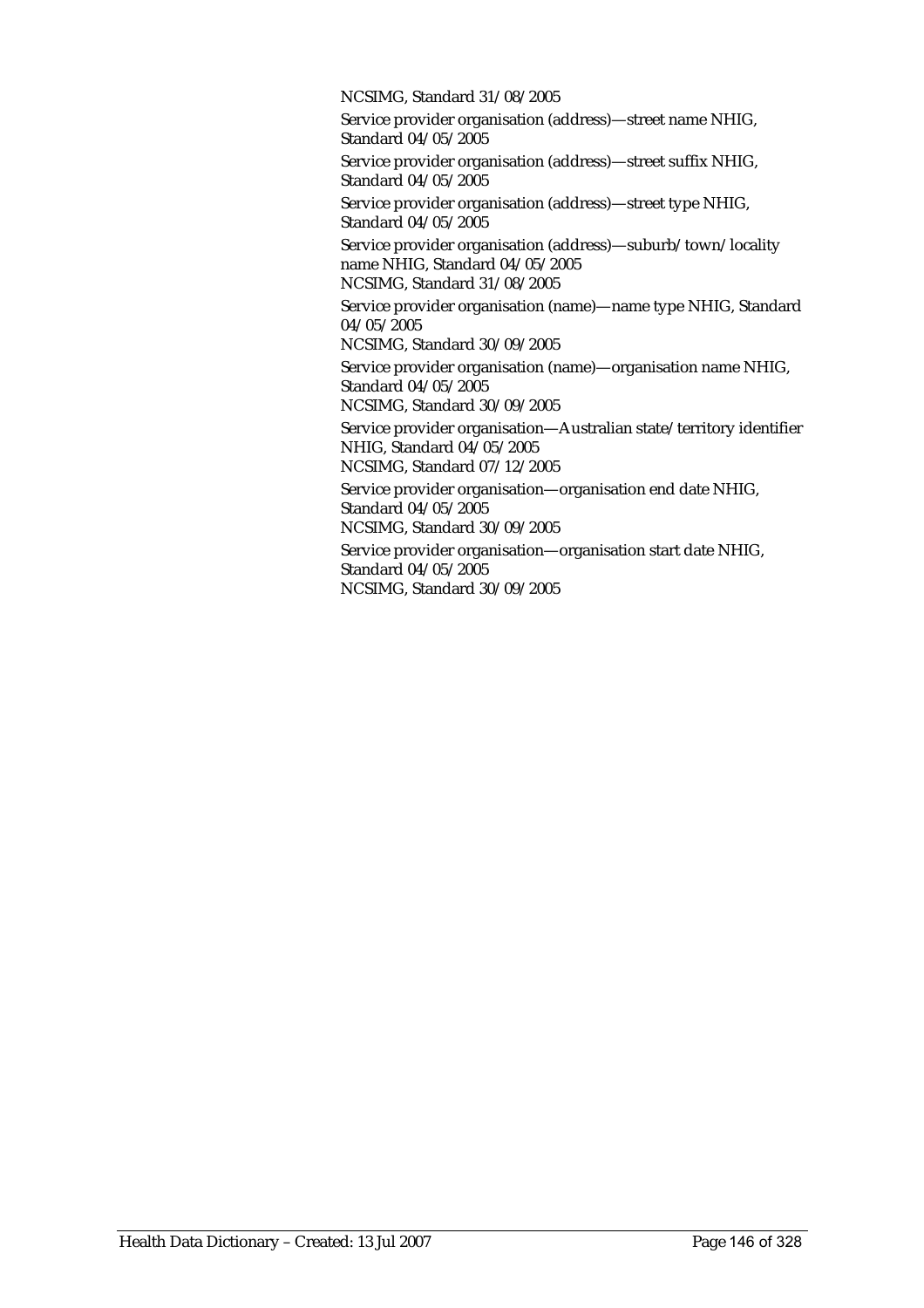NCSIMG, Standard 31/08/2005

Service provider organisation (address)—street name NHIG, Standard 04/05/2005

Service provider organisation (address)—street suffix NHIG, Standard 04/05/2005

Service provider organisation (address)—street type NHIG, Standard 04/05/2005

Service provider organisation (address)—suburb/town/locality name NHIG, Standard 04/05/2005

NCSIMG, Standard 31/08/2005

Service provider organisation (name)—name type NHIG, Standard 04/05/2005

NCSIMG, Standard 30/09/2005

Service provider organisation (name)—organisation name NHIG, Standard 04/05/2005

NCSIMG, Standard 30/09/2005

Service provider organisation—Australian state/territory identifier NHIG, Standard 04/05/2005

NCSIMG, Standard 07/12/2005

Service provider organisation—organisation end date NHIG, Standard 04/05/2005

NCSIMG, Standard 30/09/2005

Service provider organisation—organisation start date NHIG, Standard 04/05/2005 NCSIMG, Standard 30/09/2005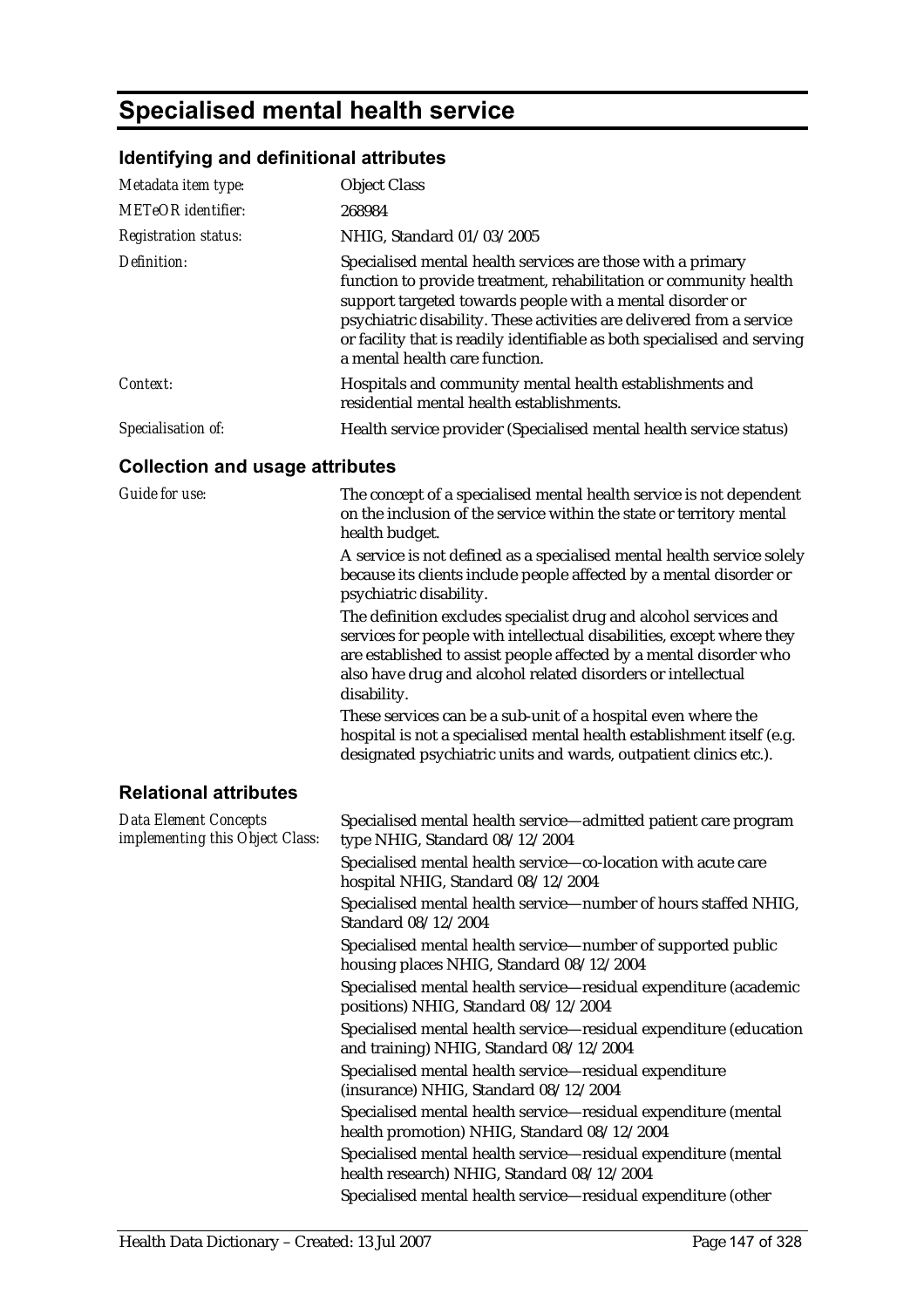# **Specialised mental health service**

### **Identifying and definitional attributes**

| Metadata item type:                                             | <b>Object Class</b>                                                                                                                                                                                                                                                                                                                                                                  |
|-----------------------------------------------------------------|--------------------------------------------------------------------------------------------------------------------------------------------------------------------------------------------------------------------------------------------------------------------------------------------------------------------------------------------------------------------------------------|
| <b>METeOR</b> identifier:                                       | 268984                                                                                                                                                                                                                                                                                                                                                                               |
| <b>Registration status:</b>                                     | NHIG, Standard 01/03/2005                                                                                                                                                                                                                                                                                                                                                            |
| Definition:                                                     | Specialised mental health services are those with a primary<br>function to provide treatment, rehabilitation or community health<br>support targeted towards people with a mental disorder or<br>psychiatric disability. These activities are delivered from a service<br>or facility that is readily identifiable as both specialised and serving<br>a mental health care function. |
| Context:                                                        | Hospitals and community mental health establishments and<br>residential mental health establishments.                                                                                                                                                                                                                                                                                |
| Specialisation of:                                              | Health service provider (Specialised mental health service status)                                                                                                                                                                                                                                                                                                                   |
| <b>Collection and usage attributes</b>                          |                                                                                                                                                                                                                                                                                                                                                                                      |
| <b>Guide for use:</b>                                           | The concept of a specialised mental health service is not dependent<br>on the inclusion of the service within the state or territory mental<br>health budget.                                                                                                                                                                                                                        |
|                                                                 | A service is not defined as a specialised mental health service solely<br>because its clients include people affected by a mental disorder or<br>psychiatric disability.                                                                                                                                                                                                             |
|                                                                 | The definition excludes specialist drug and alcohol services and<br>services for people with intellectual disabilities, except where they<br>are established to assist people affected by a mental disorder who<br>also have drug and alcohol related disorders or intellectual<br>disability.                                                                                       |
|                                                                 | These services can be a sub-unit of a hospital even where the<br>hospital is not a specialised mental health establishment itself (e.g.<br>designated psychiatric units and wards, outpatient clinics etc.).                                                                                                                                                                         |
| <b>Relational attributes</b>                                    |                                                                                                                                                                                                                                                                                                                                                                                      |
| <b>Data Element Concepts</b><br>implementing this Object Class: | Specialised mental health service-admitted patient care program<br>type NHIG, Standard 08/12/2004                                                                                                                                                                                                                                                                                    |
|                                                                 | Specialised mental health service-co-location with acute care<br>hospital NHIG, Standard 08/12/2004                                                                                                                                                                                                                                                                                  |
|                                                                 | Specialised mental health service—number of hours staffed NHIG,<br>Standard 08/12/2004                                                                                                                                                                                                                                                                                               |
|                                                                 | Specialised mental health service-number of supported public<br>housing places NHIG, Standard 08/12/2004                                                                                                                                                                                                                                                                             |
|                                                                 | Specialised mental health service-residual expenditure (academic<br>positions) NHIG, Standard 08/12/2004                                                                                                                                                                                                                                                                             |
|                                                                 | Specialised mental health service-residual expenditure (education<br>and training) NHIG, Standard 08/12/2004                                                                                                                                                                                                                                                                         |
|                                                                 | Specialised mental health service-residual expenditure<br>(insurance) NHIG, Standard 08/12/2004                                                                                                                                                                                                                                                                                      |
|                                                                 | Specialised mental health service-residual expenditure (mental<br>health promotion) NHIG, Standard 08/12/2004                                                                                                                                                                                                                                                                        |
|                                                                 | Specialised mental health service-residual expenditure (mental<br>health research) NHIG, Standard 08/12/2004                                                                                                                                                                                                                                                                         |
|                                                                 | Specialised mental health service-residual expenditure (other                                                                                                                                                                                                                                                                                                                        |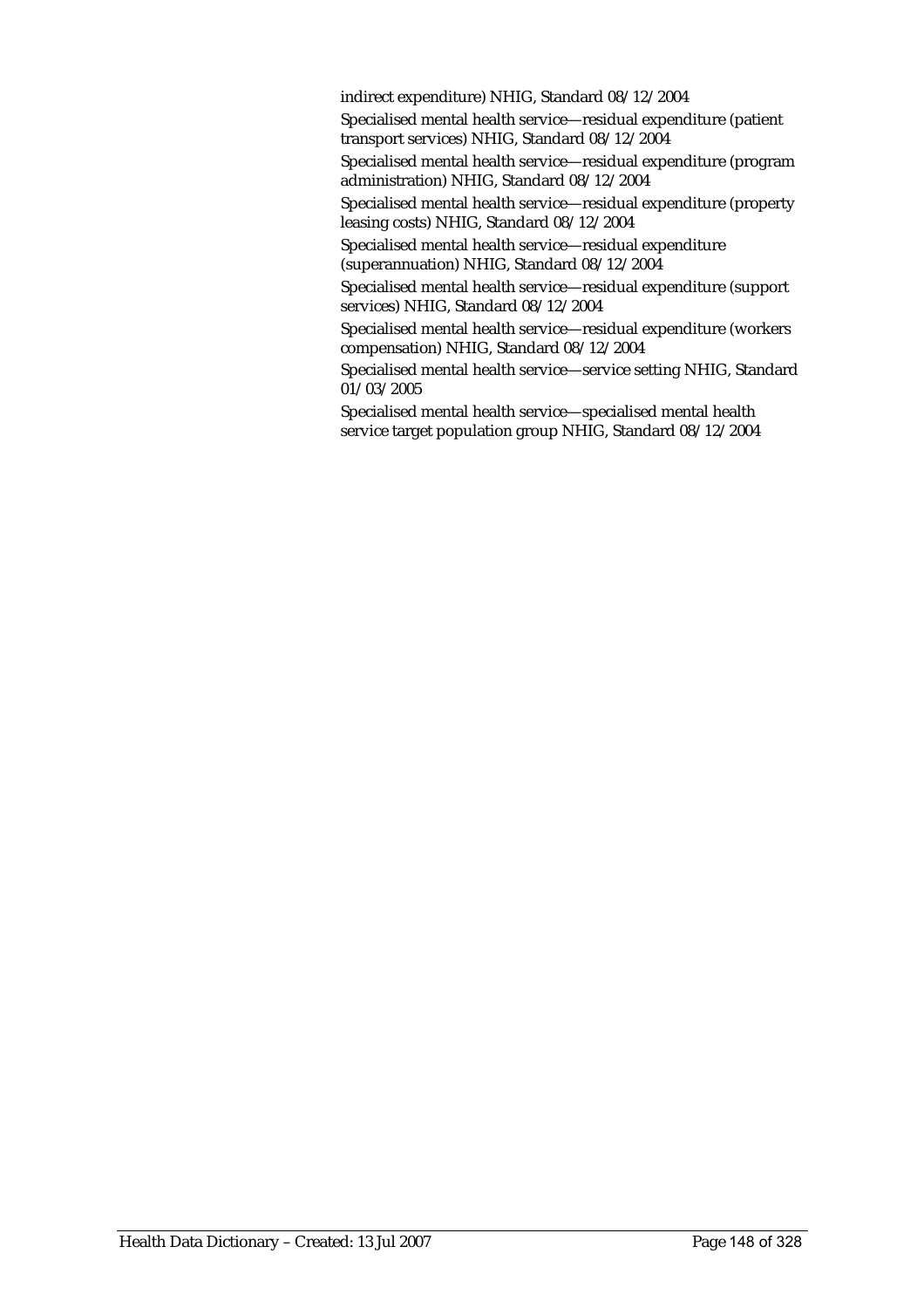indirect expenditure) NHIG, Standard 08/12/2004

Specialised mental health service—residual expenditure (patient transport services) NHIG, Standard 08/12/2004

Specialised mental health service—residual expenditure (program administration) NHIG, Standard 08/12/2004

Specialised mental health service—residual expenditure (property leasing costs) NHIG, Standard 08/12/2004

Specialised mental health service—residual expenditure (superannuation) NHIG, Standard 08/12/2004

Specialised mental health service—residual expenditure (support services) NHIG, Standard 08/12/2004

Specialised mental health service—residual expenditure (workers compensation) NHIG, Standard 08/12/2004

Specialised mental health service—service setting NHIG, Standard 01/03/2005

Specialised mental health service—specialised mental health service target population group NHIG, Standard 08/12/2004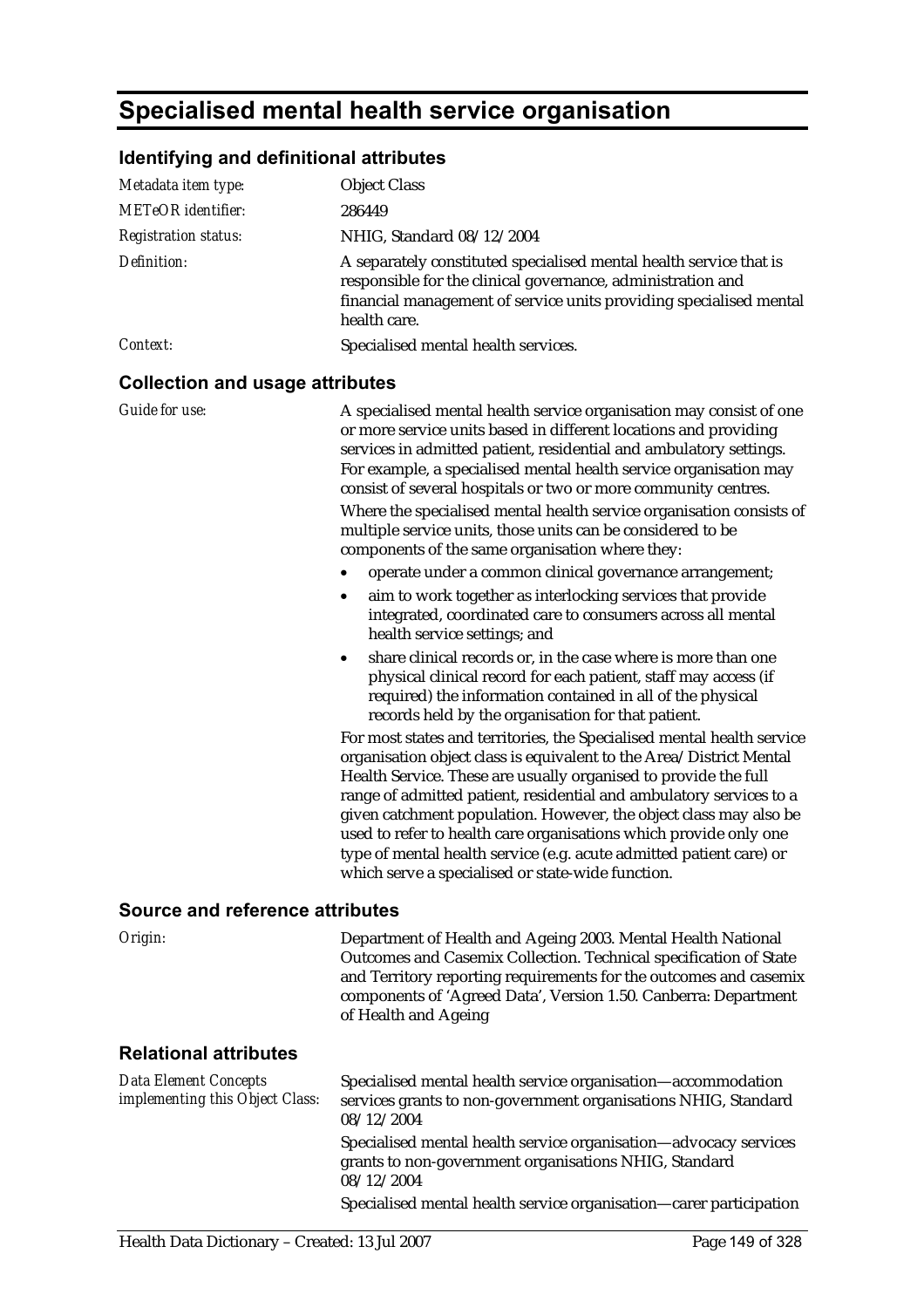### **Specialised mental health service organisation**

#### **Identifying and definitional attributes**

| Metadata item type:                    | <b>Object Class</b>                                                                                                                                                                                                                                                                                                                                  |
|----------------------------------------|------------------------------------------------------------------------------------------------------------------------------------------------------------------------------------------------------------------------------------------------------------------------------------------------------------------------------------------------------|
| METeOR identifier:                     | 286449                                                                                                                                                                                                                                                                                                                                               |
| <b>Registration status:</b>            | NHIG, Standard 08/12/2004                                                                                                                                                                                                                                                                                                                            |
| Definition:                            | A separately constituted specialised mental health service that is<br>responsible for the clinical governance, administration and<br>financial management of service units providing specialised mental<br>health care.                                                                                                                              |
| <i>Context:</i>                        | Specialised mental health services.                                                                                                                                                                                                                                                                                                                  |
| <b>Collection and usage attributes</b> |                                                                                                                                                                                                                                                                                                                                                      |
| Guide for use:                         | A specialised mental health service organisation may consist of one<br>or more service units based in different locations and providing<br>services in admitted patient, residential and ambulatory settings.<br>For example, a specialised mental health service organisation may<br>consist of several hospitals or two or more community centres. |

Where the specialised mental health service organisation consists of multiple service units, those units can be considered to be components of the same organisation where they:

- operate under a common clinical governance arrangement;
- aim to work together as interlocking services that provide integrated, coordinated care to consumers across all mental health service settings; and
- share clinical records or, in the case where is more than one physical clinical record for each patient, staff may access (if required) the information contained in all of the physical records held by the organisation for that patient.

For most states and territories, the Specialised mental health service organisation object class is equivalent to the Area/District Mental Health Service. These are usually organised to provide the full range of admitted patient, residential and ambulatory services to a given catchment population. However, the object class may also be used to refer to health care organisations which provide only one type of mental health service (e.g. acute admitted patient care) or which serve a specialised or state-wide function.

#### **Source and reference attributes**

| Origin:                                                  | Department of Health and Ageing 2003. Mental Health National<br>Outcomes and Casemix Collection. Technical specification of State<br>and Territory reporting requirements for the outcomes and casemix<br>components of 'Agreed Data', Version 1.50. Canberra: Department<br>of Health and Ageing |
|----------------------------------------------------------|---------------------------------------------------------------------------------------------------------------------------------------------------------------------------------------------------------------------------------------------------------------------------------------------------|
| <b>Relational attributes</b>                             |                                                                                                                                                                                                                                                                                                   |
| Data Element Concepts<br>implementing this Object Class: | Specialised mental health service organisation-accommodation<br>services grants to non-government organisations NHIG, Standard<br>08/12/2004                                                                                                                                                      |
|                                                          | Specialised mental health service organisation—advocacy services<br>grants to non-government organisations NHIG, Standard<br>08/12/2004                                                                                                                                                           |
|                                                          | Specialised mental health service organisation—carer participation                                                                                                                                                                                                                                |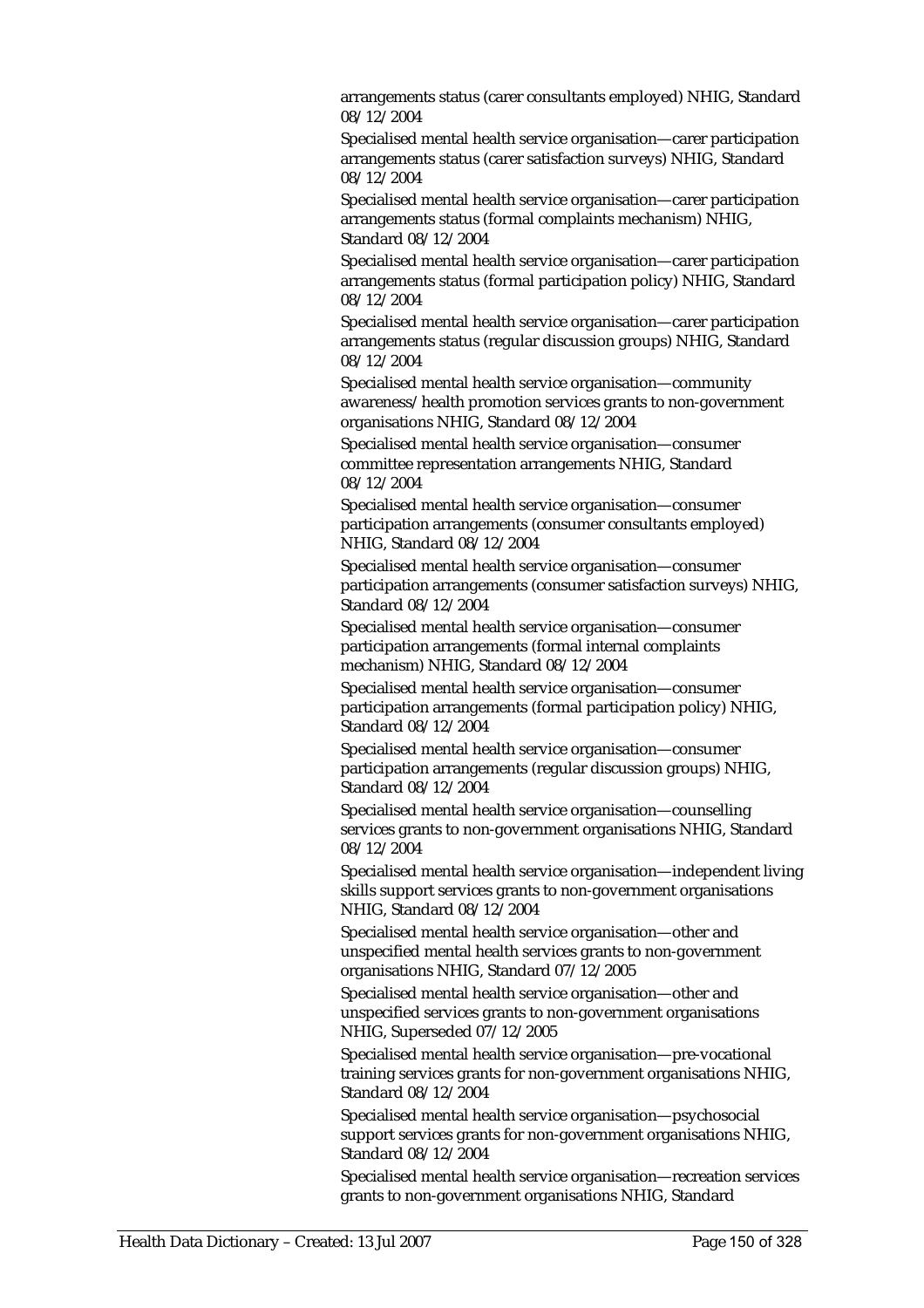arrangements status (carer consultants employed) NHIG, Standard 08/12/2004

Specialised mental health service organisation—carer participation arrangements status (carer satisfaction surveys) NHIG, Standard 08/12/2004

Specialised mental health service organisation—carer participation arrangements status (formal complaints mechanism) NHIG, Standard 08/12/2004

Specialised mental health service organisation—carer participation arrangements status (formal participation policy) NHIG, Standard 08/12/2004

Specialised mental health service organisation—carer participation arrangements status (regular discussion groups) NHIG, Standard 08/12/2004

Specialised mental health service organisation—community awareness/health promotion services grants to non-government organisations NHIG, Standard 08/12/2004

Specialised mental health service organisation—consumer committee representation arrangements NHIG, Standard 08/12/2004

Specialised mental health service organisation—consumer participation arrangements (consumer consultants employed) NHIG, Standard 08/12/2004

Specialised mental health service organisation—consumer participation arrangements (consumer satisfaction surveys) NHIG, Standard 08/12/2004

Specialised mental health service organisation—consumer participation arrangements (formal internal complaints mechanism) NHIG, Standard 08/12/2004

Specialised mental health service organisation—consumer participation arrangements (formal participation policy) NHIG, Standard 08/12/2004

Specialised mental health service organisation—consumer participation arrangements (regular discussion groups) NHIG, Standard 08/12/2004

Specialised mental health service organisation—counselling services grants to non-government organisations NHIG, Standard 08/12/2004

Specialised mental health service organisation—independent living skills support services grants to non-government organisations NHIG, Standard 08/12/2004

Specialised mental health service organisation—other and unspecified mental health services grants to non-government organisations NHIG, Standard 07/12/2005

Specialised mental health service organisation—other and unspecified services grants to non-government organisations NHIG, Superseded 07/12/2005

Specialised mental health service organisation—pre-vocational training services grants for non-government organisations NHIG, Standard 08/12/2004

Specialised mental health service organisation—psychosocial support services grants for non-government organisations NHIG, Standard 08/12/2004

Specialised mental health service organisation—recreation services grants to non-government organisations NHIG, Standard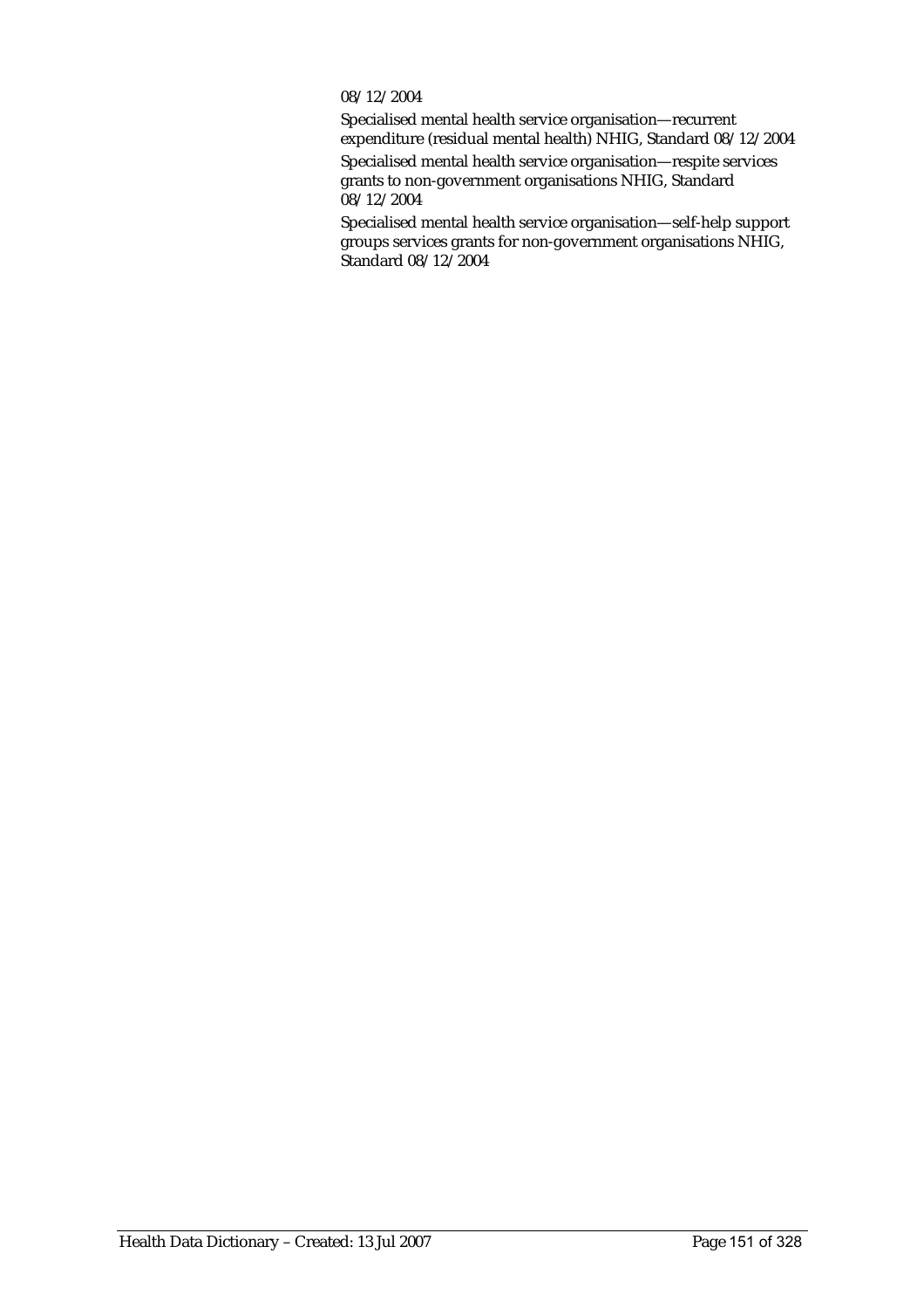#### 08/12/2004

Specialised mental health service organisation—recurrent expenditure (residual mental health) NHIG, Standard 08/12/2004

Specialised mental health service organisation—respite services grants to non-government organisations NHIG, Standard 08/12/2004

Specialised mental health service organisation—self-help support groups services grants for non-government organisations NHIG, Standard 08/12/2004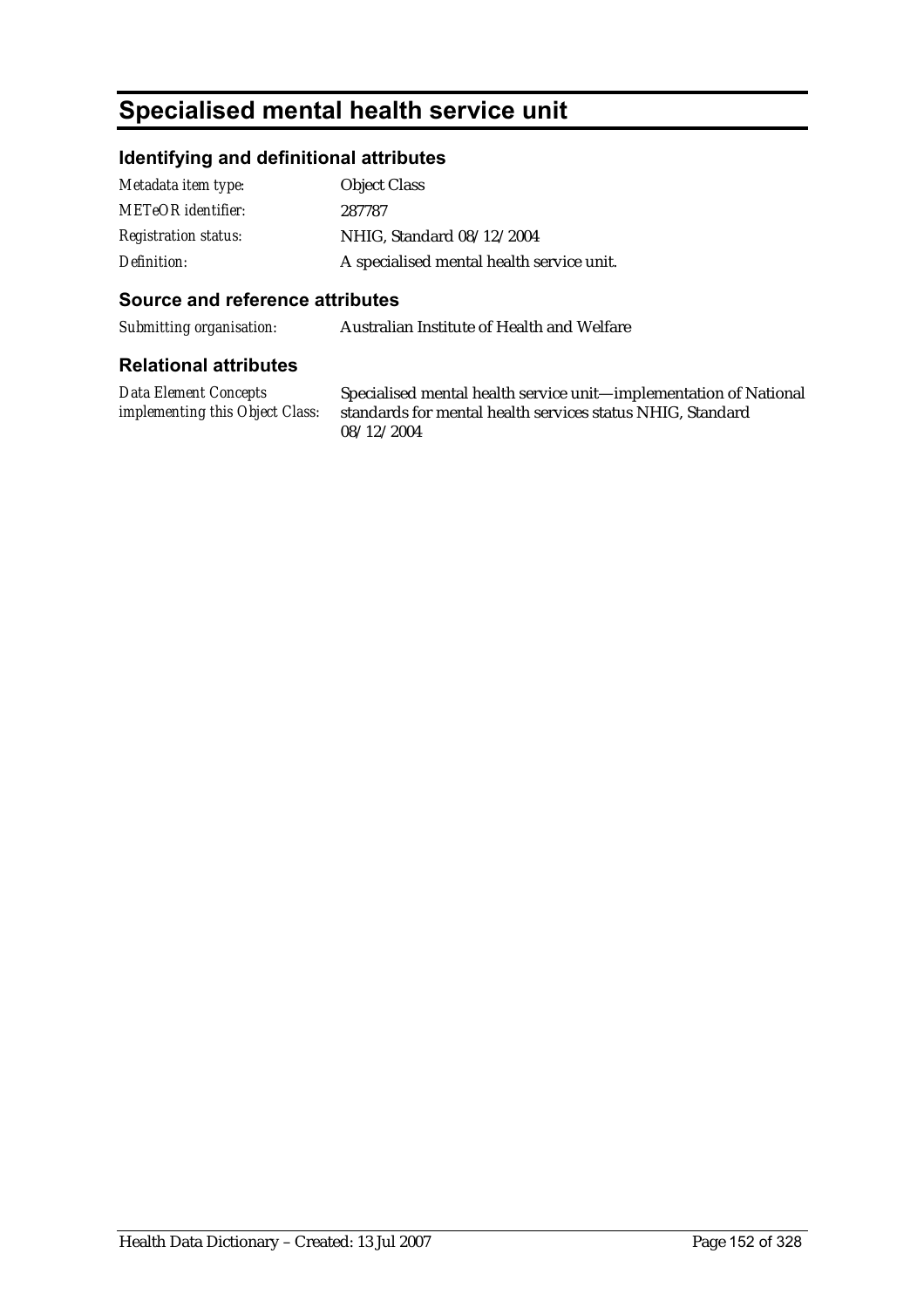# **Specialised mental health service unit**

#### **Identifying and definitional attributes**

| Metadata item type:         | <b>Object Class</b>                       |
|-----------------------------|-------------------------------------------|
| METeOR identifier:          | 287787                                    |
| <b>Registration status:</b> | NHIG. Standard 08/12/2004                 |
| Definition:                 | A specialised mental health service unit. |

#### **Source and reference attributes**

*Submitting organisation:* Australian Institute of Health and Welfare

#### **Relational attributes**

*Data Element Concepts implementing this Object Class:* Specialised mental health service unit—implementation of National standards for mental health services status NHIG, Standard 08/12/2004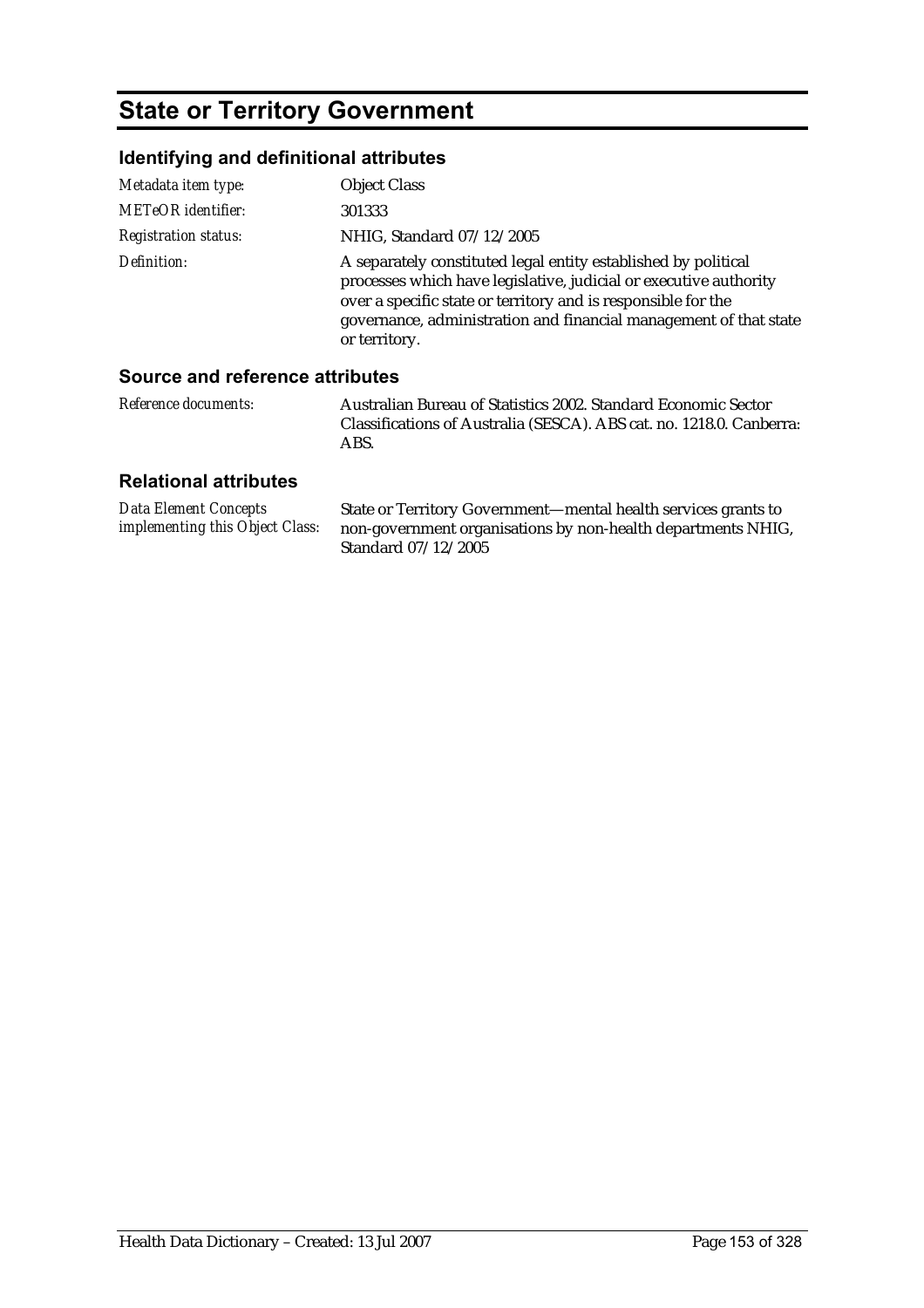# **State or Territory Government**

### **Identifying and definitional attributes**

| Metadata item type:         | <b>Object Class</b>                                                                                                                                                                                                                                                                        |
|-----------------------------|--------------------------------------------------------------------------------------------------------------------------------------------------------------------------------------------------------------------------------------------------------------------------------------------|
| <b>METeOR</b> identifier:   | 301333                                                                                                                                                                                                                                                                                     |
| <b>Registration status:</b> | NHIG, Standard 07/12/2005                                                                                                                                                                                                                                                                  |
| Definition:                 | A separately constituted legal entity established by political<br>processes which have legislative, judicial or executive authority<br>over a specific state or territory and is responsible for the<br>governance, administration and financial management of that state<br>or territory. |

#### **Source and reference attributes**

| <i>Reference documents:</i> | Australian Bureau of Statistics 2002. Standard Economic Sector       |
|-----------------------------|----------------------------------------------------------------------|
|                             | Classifications of Australia (SESCA). ABS cat. no. 1218.0. Canberra: |
|                             | ABS.                                                                 |

| Data Element Concepts                  | State or Territory Government—mental health services grants to |
|----------------------------------------|----------------------------------------------------------------|
| <i>implementing this Object Class:</i> | non-government organisations by non-health departments NHIG,   |
|                                        | Standard 07/12/2005                                            |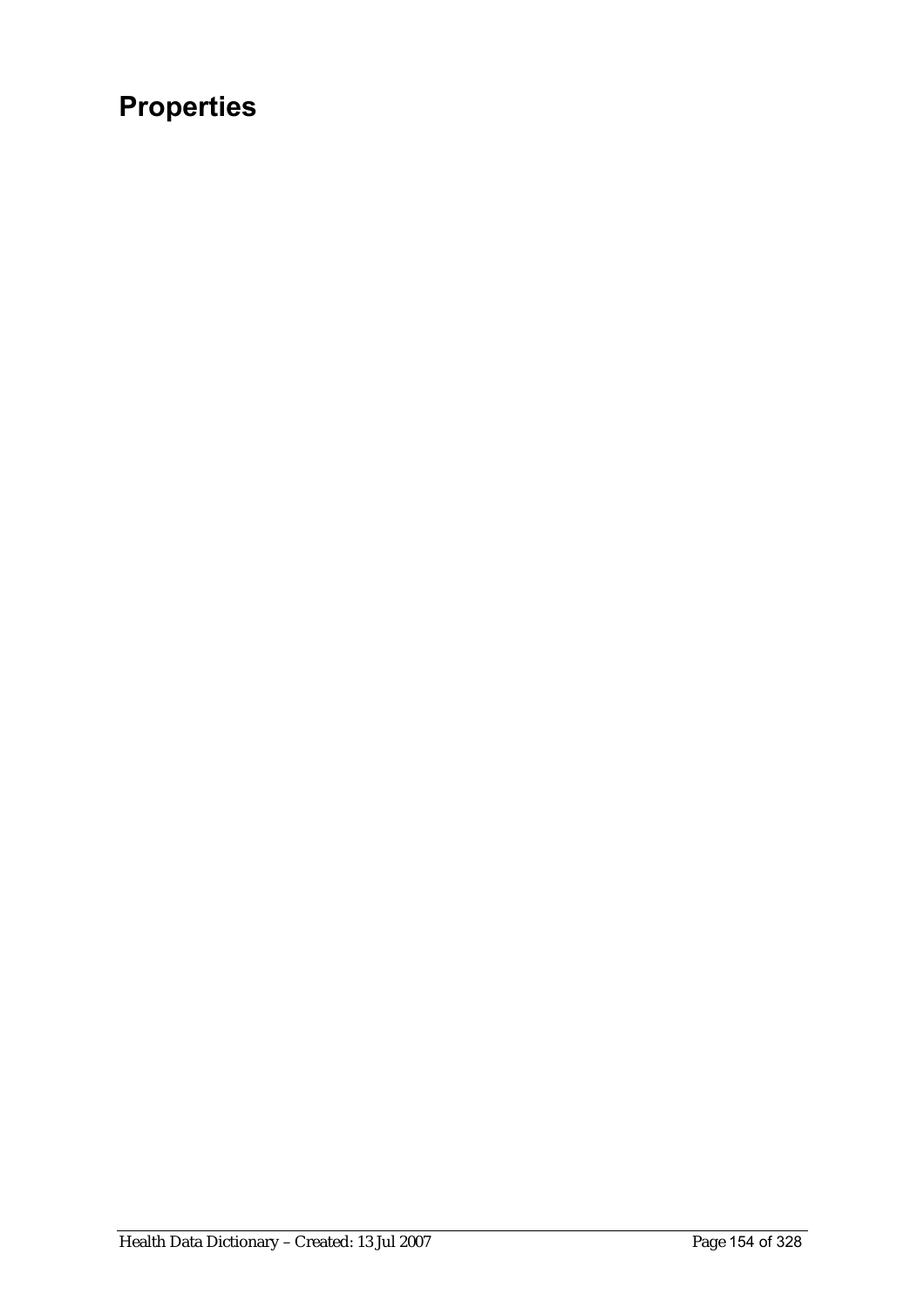# **Properties**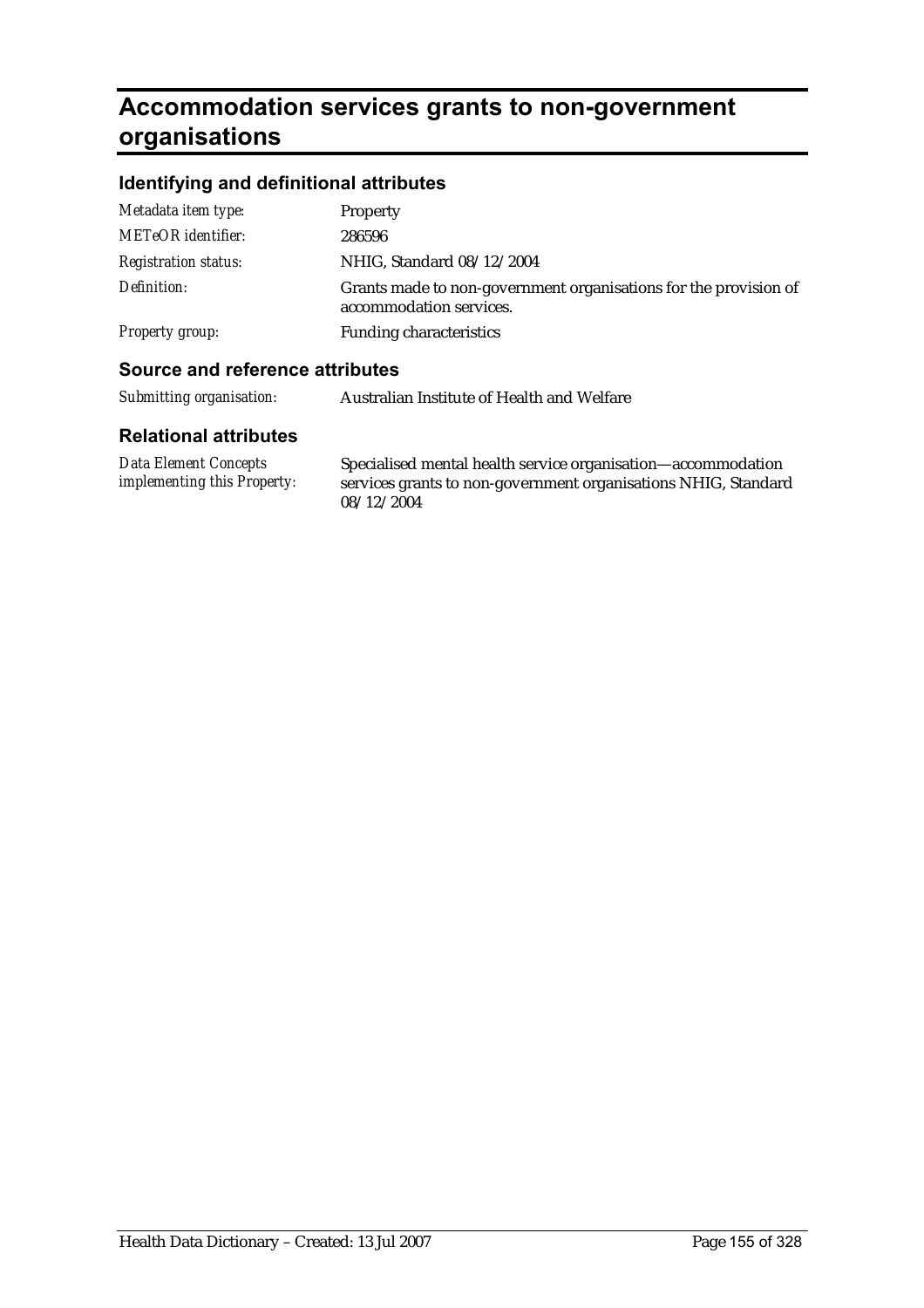# **Accommodation services grants to non-government organisations**

### **Identifying and definitional attributes**

| <b>Source and reference attributes</b> |                                                                                             |
|----------------------------------------|---------------------------------------------------------------------------------------------|
| <b>Property group:</b>                 | <b>Funding characteristics</b>                                                              |
| Definition:                            | Grants made to non-government organisations for the provision of<br>accommodation services. |
| <b>Registration status:</b>            | NHIG, Standard 08/12/2004                                                                   |
| <b>METeOR</b> identifier:              | 286596                                                                                      |
| Metadata item type:                    | <b>Property</b>                                                                             |
|                                        |                                                                                             |

| Submitting organisation:     | Australian Institute of Health and Welfare |
|------------------------------|--------------------------------------------|
| <b>Relational attributes</b> |                                            |
| $\mathbf{r}$ $\mathbf{r}$    |                                            |

| Data Element Concepts              | Specialised mental health service organisation—accommodation   |
|------------------------------------|----------------------------------------------------------------|
| <i>implementing this Property:</i> | services grants to non-government organisations NHIG, Standard |
|                                    | 08/12/2004                                                     |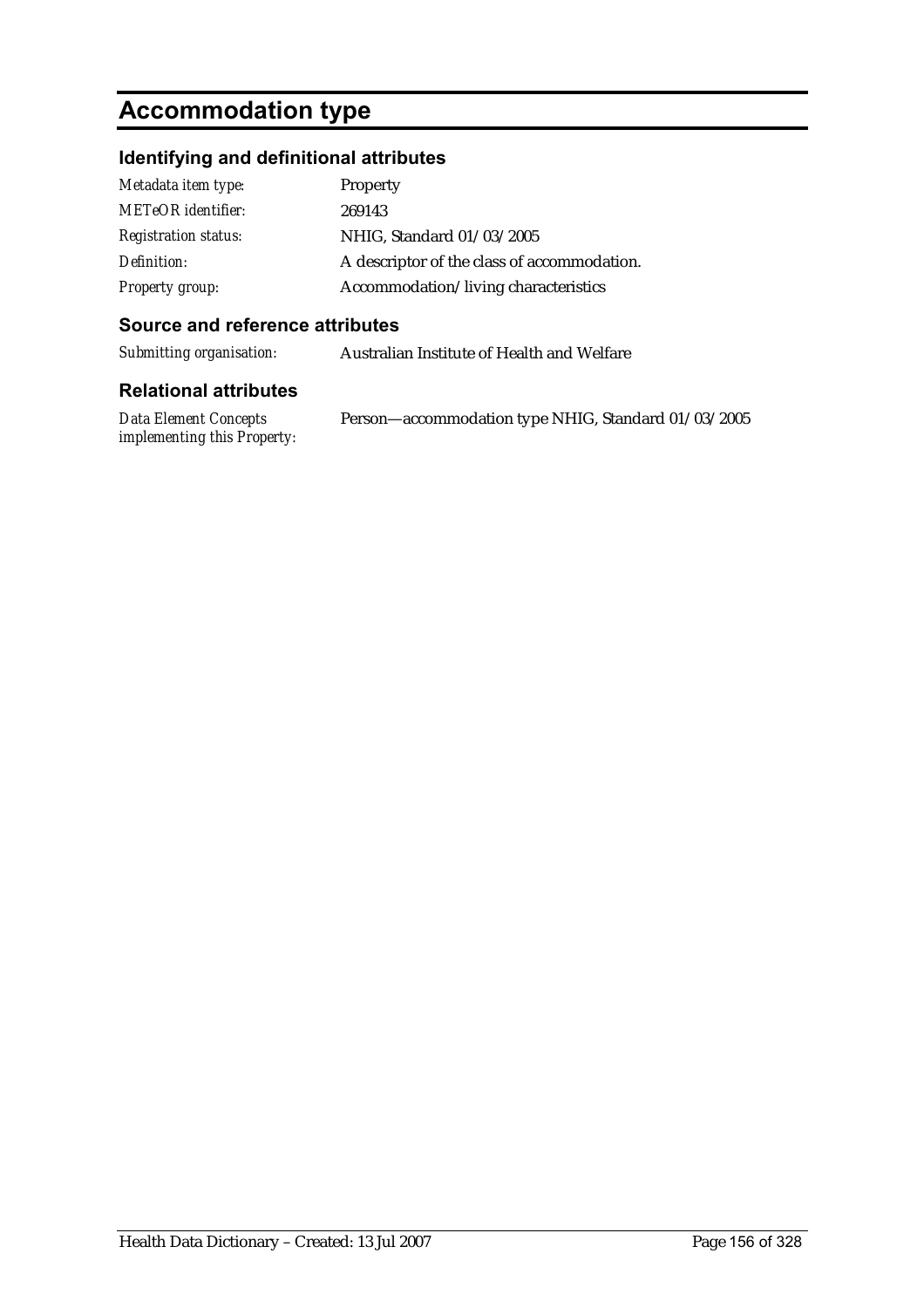# **Accommodation type**

### **Identifying and definitional attributes**

| Metadata item type:         | Property                                    |
|-----------------------------|---------------------------------------------|
| <b>METeOR</b> identifier:   | 269143                                      |
| <b>Registration status:</b> | NHIG, Standard 01/03/2005                   |
| Definition:                 | A descriptor of the class of accommodation. |
| <b>Property group:</b>      | Accommodation/living characteristics        |

#### **Source and reference attributes**

| Australian Institute of Health and Welfare |
|--------------------------------------------|
|                                            |
|                                            |

| Data Element Concepts              | Person-accommodation type NHIG, Standard 01/03/2005 |
|------------------------------------|-----------------------------------------------------|
| <i>implementing this Property:</i> |                                                     |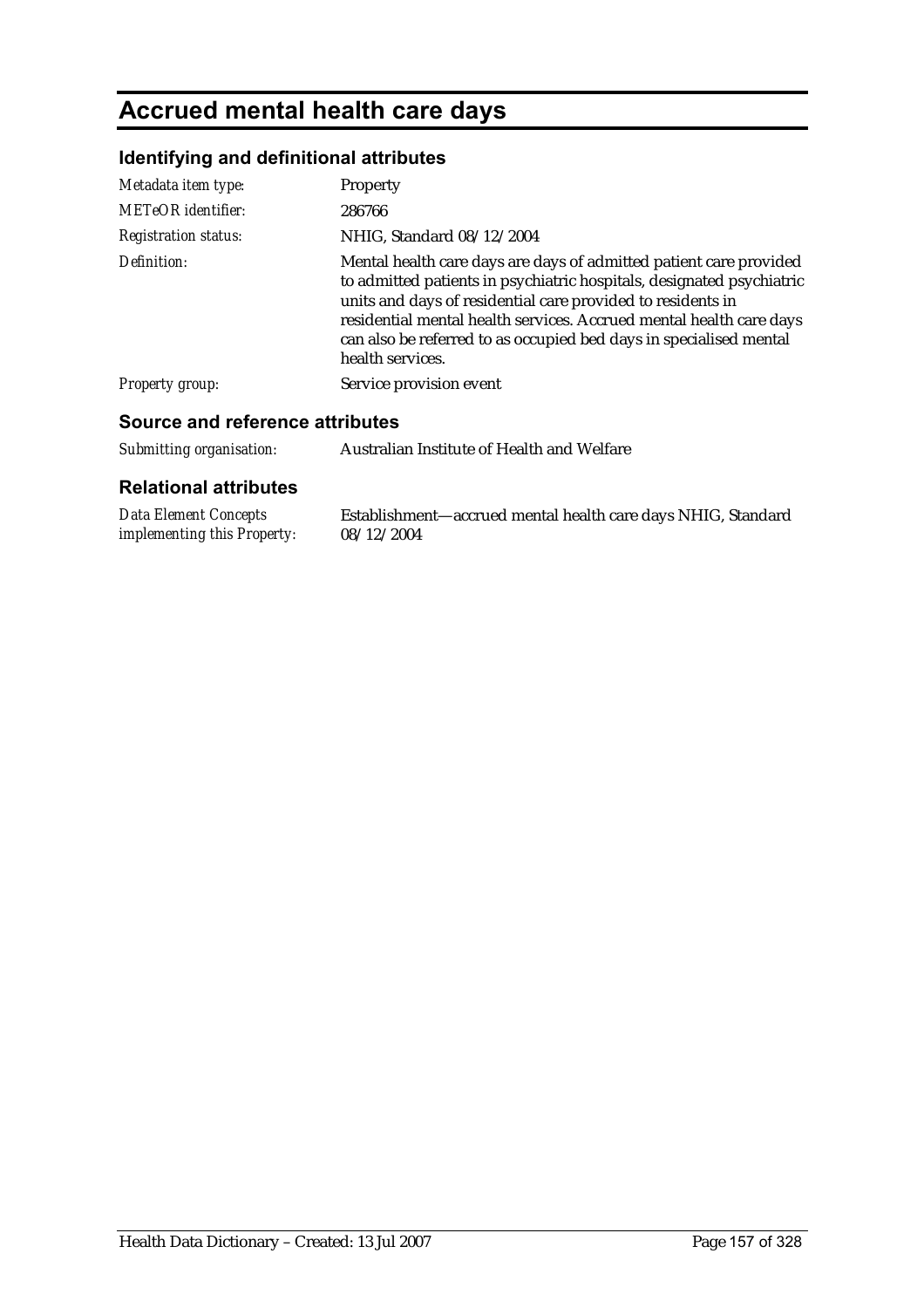# **Accrued mental health care days**

### **Identifying and definitional attributes**

| Metadata item type:         | <b>Property</b>                                                                                                                                                                                                                                                                                                                                                             |
|-----------------------------|-----------------------------------------------------------------------------------------------------------------------------------------------------------------------------------------------------------------------------------------------------------------------------------------------------------------------------------------------------------------------------|
| <b>METeOR</b> identifier:   | 286766                                                                                                                                                                                                                                                                                                                                                                      |
| <b>Registration status:</b> | NHIG, Standard 08/12/2004                                                                                                                                                                                                                                                                                                                                                   |
| Definition:                 | Mental health care days are days of admitted patient care provided<br>to admitted patients in psychiatric hospitals, designated psychiatric<br>units and days of residential care provided to residents in<br>residential mental health services. Accrued mental health care days<br>can also be referred to as occupied bed days in specialised mental<br>health services. |
| <b>Property group:</b>      | Service provision event                                                                                                                                                                                                                                                                                                                                                     |

#### **Source and reference attributes**

| Submitting organisation: | Australian Institute of Health and Welfare |
|--------------------------|--------------------------------------------|
|--------------------------|--------------------------------------------|

| Data Element Concepts              | Establishment—accrued mental health care days NHIG, Standard |
|------------------------------------|--------------------------------------------------------------|
| <i>implementing this Property:</i> | 08/12/2004                                                   |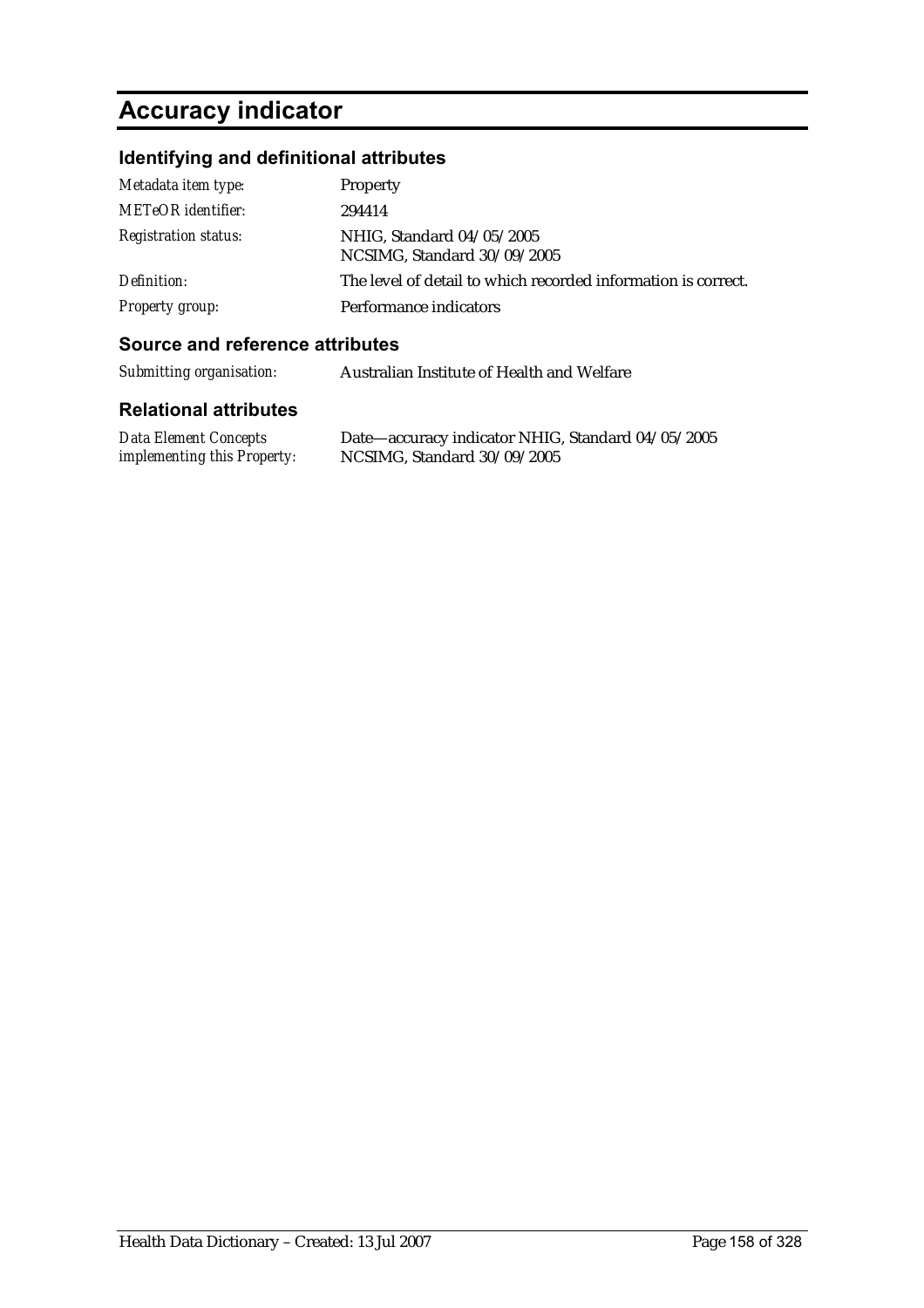# **Accuracy indicator**

### **Identifying and definitional attributes**

| Metadata item type:         | Property                                                      |
|-----------------------------|---------------------------------------------------------------|
| <b>METeOR</b> identifier:   | 294414                                                        |
| <b>Registration status:</b> | NHIG, Standard 04/05/2005<br>NCSIMG, Standard 30/09/2005      |
| Definition:                 | The level of detail to which recorded information is correct. |
| <b>Property group:</b>      | Performance indicators                                        |

#### **Source and reference attributes**

| Submitting organisation: | Australian Institute of Health and Welfare |
|--------------------------|--------------------------------------------|
|                          |                                            |

| <b>Data Element Concepts</b>       | Date—accuracy indicator NHIG, Standard 04/05/2005 |
|------------------------------------|---------------------------------------------------|
| <i>implementing this Property:</i> | NCSIMG, Standard 30/09/2005                       |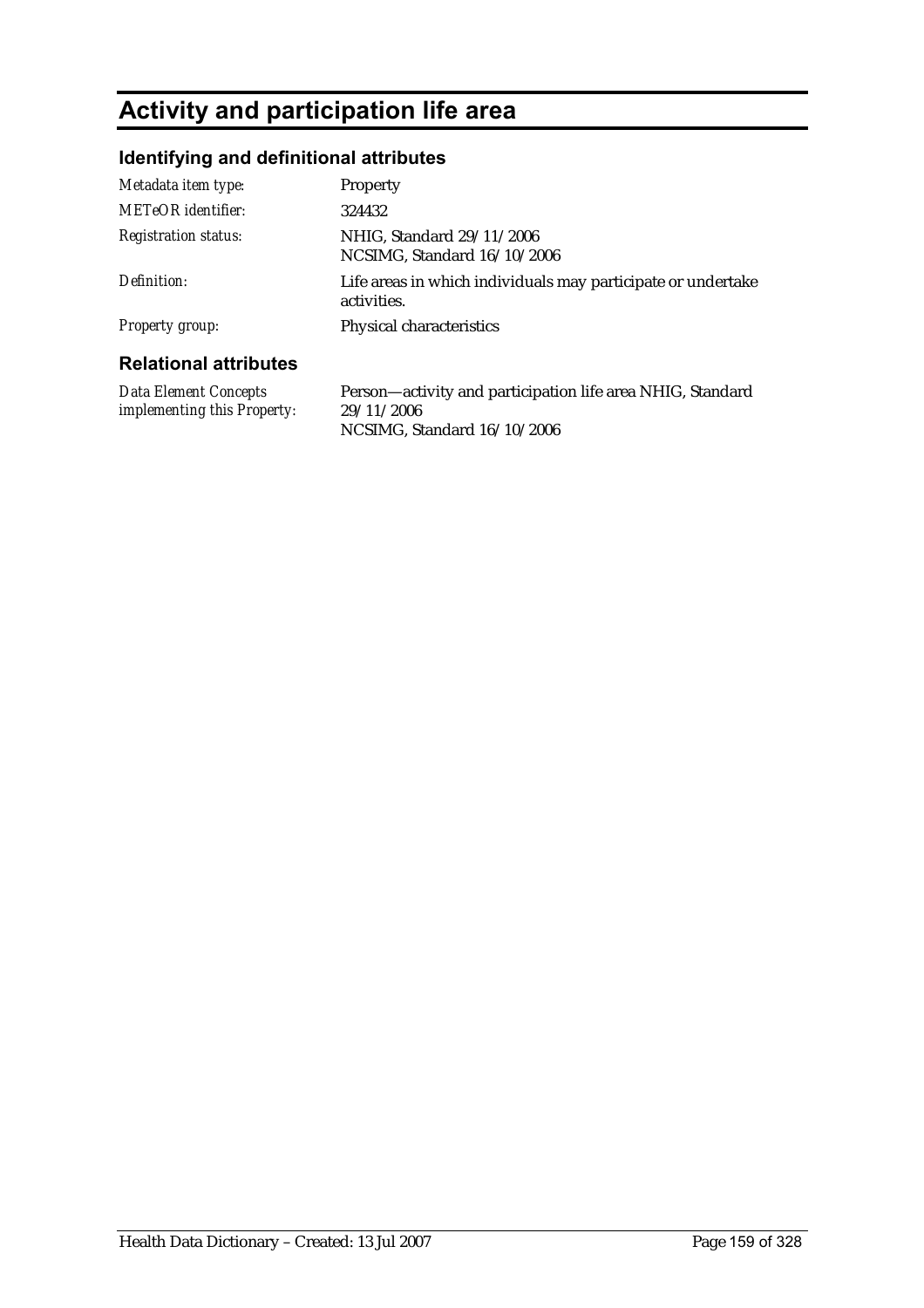# **Activity and participation life area**

### **Identifying and definitional attributes**

| Metadata item type:                                  | <b>Property</b>                                                             |
|------------------------------------------------------|-----------------------------------------------------------------------------|
| METeOR identifier:                                   | 324432                                                                      |
| <b>Registration status:</b>                          | NHIG, Standard 29/11/2006<br>NCSIMG, Standard 16/10/2006                    |
| Definition:                                          | Life areas in which individuals may participate or undertake<br>activities. |
| <b>Property group:</b>                               | Physical characteristics                                                    |
| <b>Relational attributes</b>                         |                                                                             |
| Data Element Concepts<br>implementing this Property: | Person—activity and participation life area NHIG, Standard<br>29/11/2006    |

NCSIMG, Standard 16/10/2006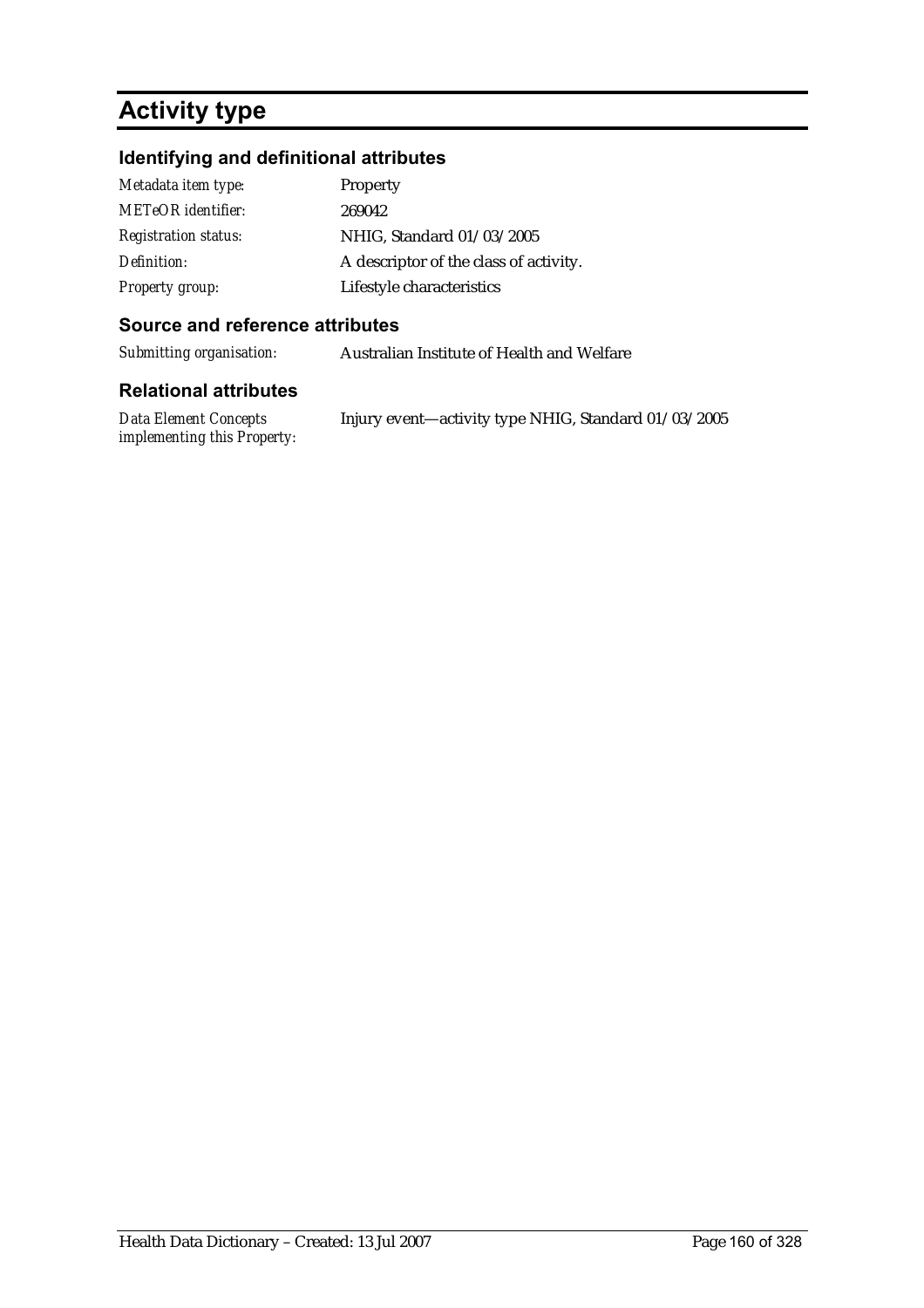# **Activity type**

### **Identifying and definitional attributes**

| Metadata item type:         | Property                               |
|-----------------------------|----------------------------------------|
| METeOR identifier:          | 269042                                 |
| <b>Registration status:</b> | NHIG, Standard 01/03/2005              |
| Definition:                 | A descriptor of the class of activity. |
| <b>Property group:</b>      | Lifestyle characteristics              |

#### **Source and reference attributes**

*Submitting organisation:* Australian Institute of Health and Welfare

| Data Element Concepts              | Injury event—activity type NHIG, Standard 01/03/2005 |
|------------------------------------|------------------------------------------------------|
| <i>implementing this Property:</i> |                                                      |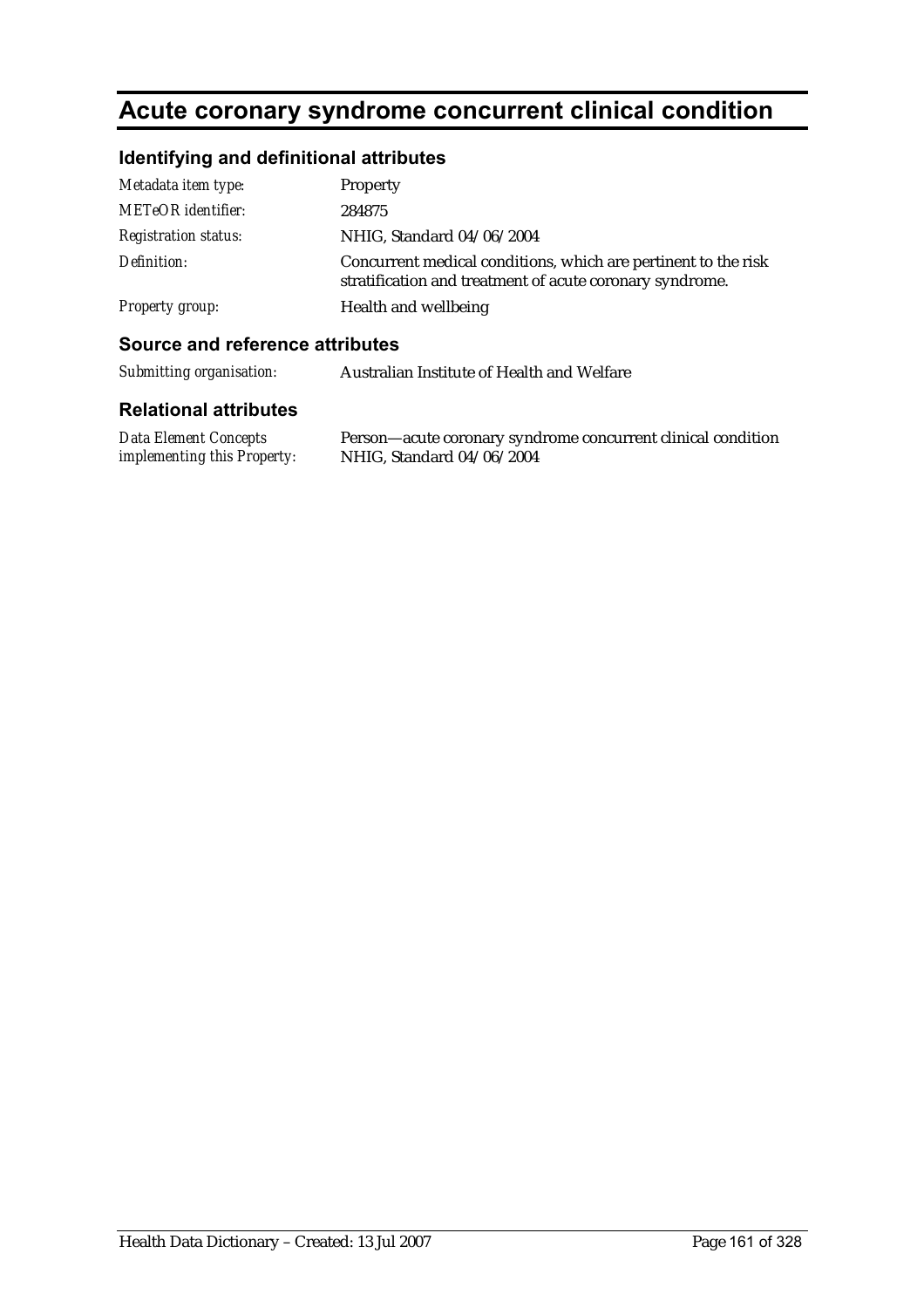# **Acute coronary syndrome concurrent clinical condition**

### **Identifying and definitional attributes**

| Metadata item type:         | Property                                                                                                                   |
|-----------------------------|----------------------------------------------------------------------------------------------------------------------------|
| <b>METeOR</b> identifier:   | 284875                                                                                                                     |
| <b>Registration status:</b> | NHIG, Standard 04/06/2004                                                                                                  |
| Definition:                 | Concurrent medical conditions, which are pertinent to the risk<br>stratification and treatment of acute coronary syndrome. |
| Property group:             | Health and wellbeing                                                                                                       |

#### **Source and reference attributes**

| Submitting organisation: | Australian Institute of Health and Welfare |
|--------------------------|--------------------------------------------|
|--------------------------|--------------------------------------------|

| Data Element Concepts              | Person-acute coronary syndrome concurrent clinical condition |
|------------------------------------|--------------------------------------------------------------|
| <i>implementing this Property:</i> | NHIG, Standard 04/06/2004                                    |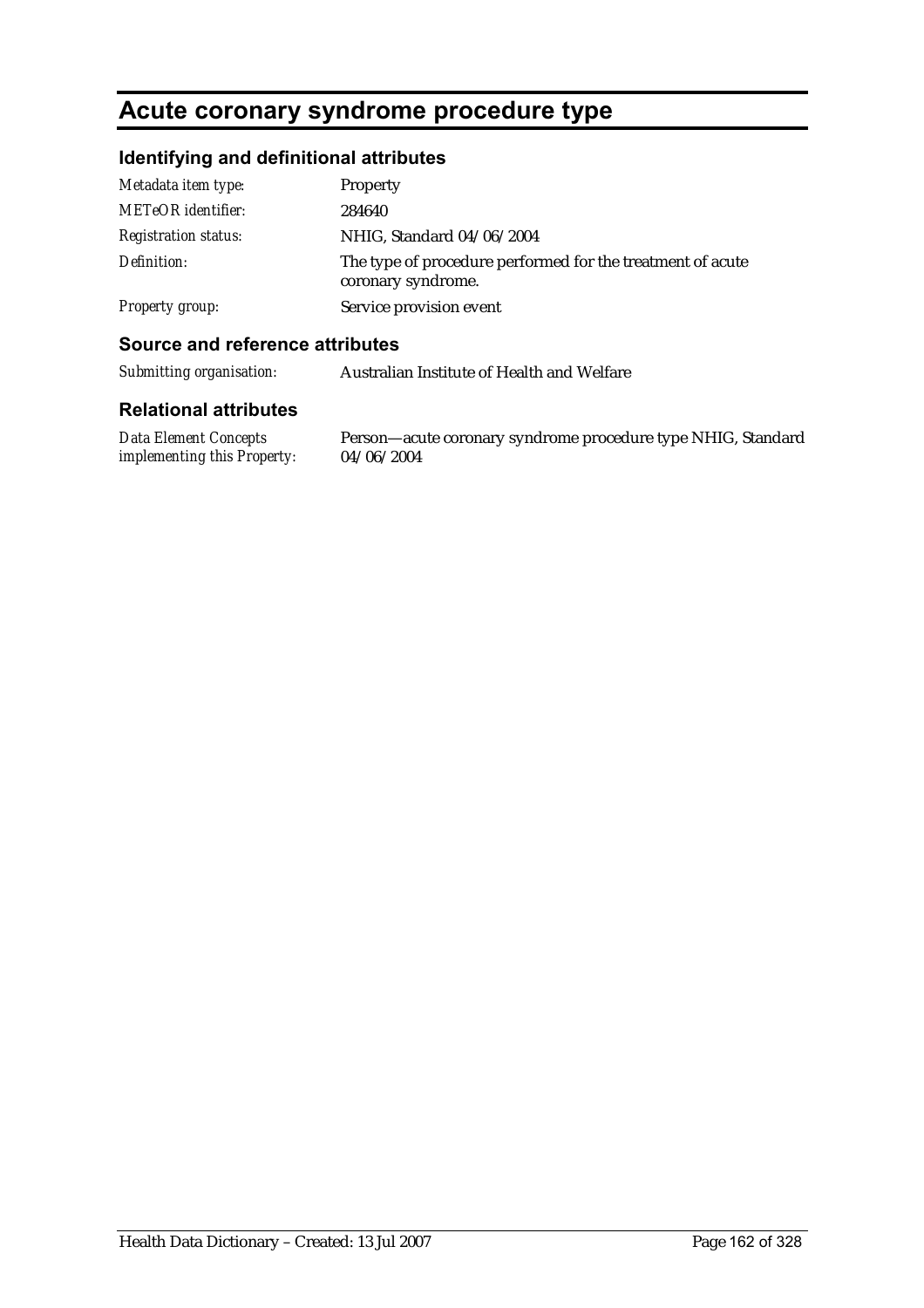### **Acute coronary syndrome procedure type**

#### **Identifying and definitional attributes**

| Metadata item type:         | Property                                                                         |
|-----------------------------|----------------------------------------------------------------------------------|
| METeOR identifier:          | 284640                                                                           |
| <b>Registration status:</b> | NHIG, Standard 04/06/2004                                                        |
| Definition:                 | The type of procedure performed for the treatment of acute<br>coronary syndrome. |
| <b>Property group:</b>      | Service provision event                                                          |

#### **Source and reference attributes**

*Submitting organisation:* Australian Institute of Health and Welfare

#### **Relational attributes**

*Data Element Concepts implementing this Property:*

Person—acute coronary syndrome procedure type NHIG, Standard 04/06/2004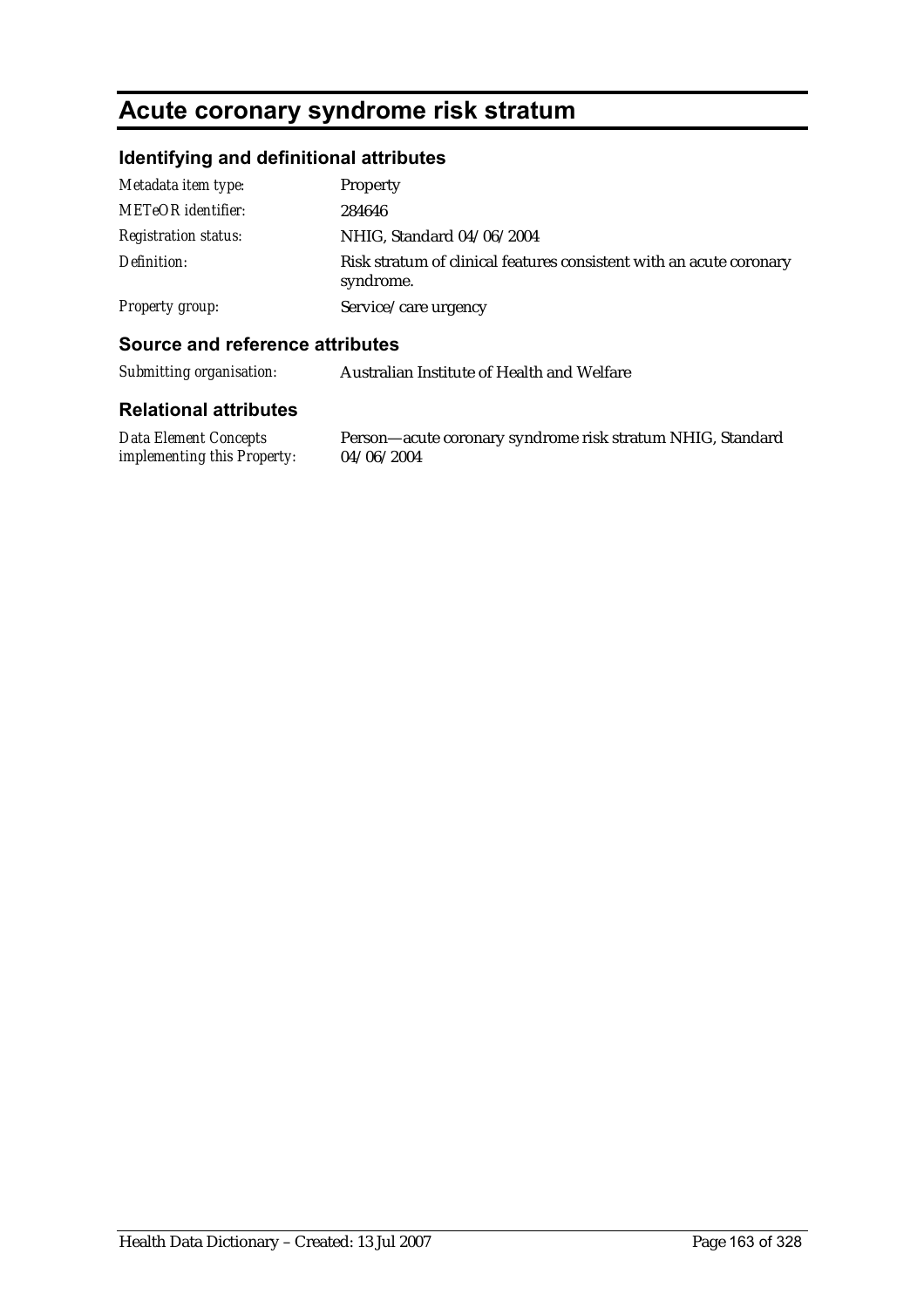### **Acute coronary syndrome risk stratum**

### **Identifying and definitional attributes**

| Metadata item type:         | Property                                                                         |
|-----------------------------|----------------------------------------------------------------------------------|
| <b>METeOR</b> identifier:   | 284646                                                                           |
| <b>Registration status:</b> | NHIG, Standard 04/06/2004                                                        |
| Definition:                 | Risk stratum of clinical features consistent with an acute coronary<br>syndrome. |
| Property group:             | Service/care urgency                                                             |

#### **Source and reference attributes**

*Submitting organisation:* Australian Institute of Health and Welfare

#### **Relational attributes**

*Data Element Concepts implementing this Property:* Person—acute coronary syndrome risk stratum NHIG, Standard 04/06/2004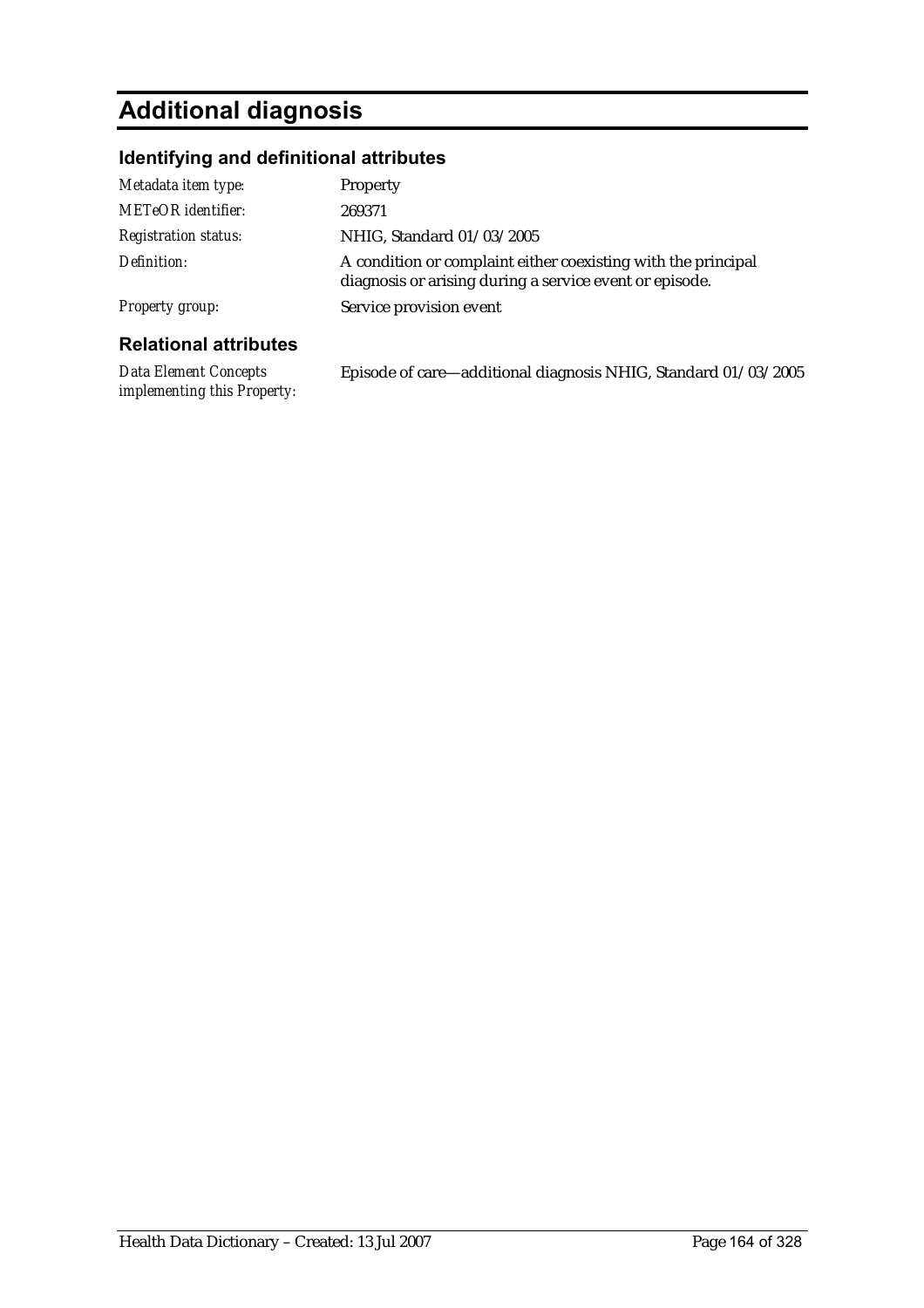# **Additional diagnosis**

*implementing this Property:*

### **Identifying and definitional attributes**

| Metadata item type:          | <b>Property</b>                                                                                                          |
|------------------------------|--------------------------------------------------------------------------------------------------------------------------|
| METeOR identifier:           | 269371                                                                                                                   |
| <b>Registration status:</b>  | NHIG, Standard 01/03/2005                                                                                                |
| Definition:                  | A condition or complaint either coexisting with the principal<br>diagnosis or arising during a service event or episode. |
| Property group:              | Service provision event                                                                                                  |
| <b>Relational attributes</b> |                                                                                                                          |
| Data Element Concepts        | Episode of care—additional diagnosis NHIG, Standard 01/03/2005                                                           |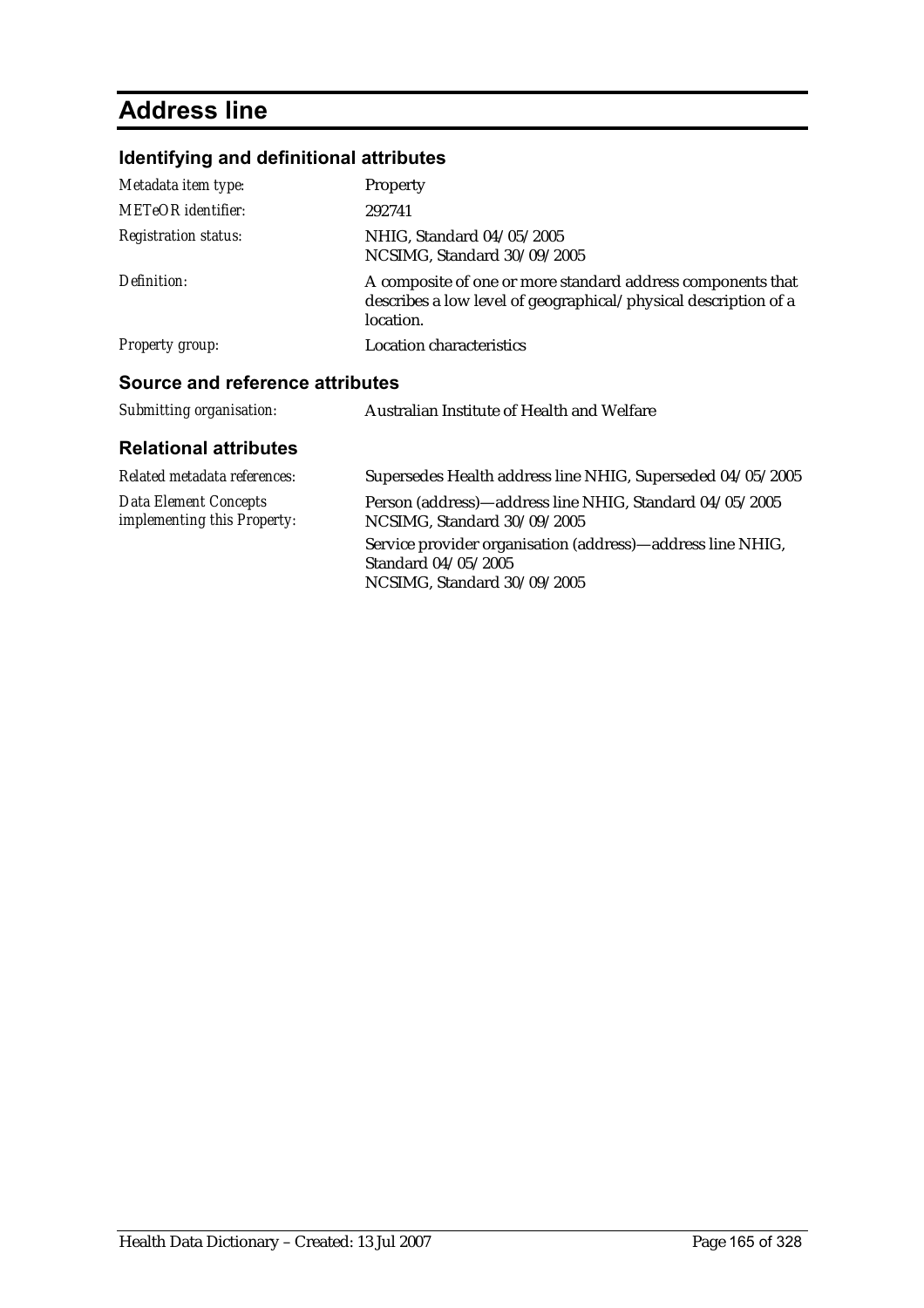# **Address line**

### **Identifying and definitional attributes**

| Metadata item type:                                         | Property                                                                                                                                    |
|-------------------------------------------------------------|---------------------------------------------------------------------------------------------------------------------------------------------|
| <b>METeOR</b> identifier:                                   | 292741                                                                                                                                      |
| <b>Registration status:</b>                                 | NHIG, Standard 04/05/2005<br>NCSIMG, Standard 30/09/2005                                                                                    |
| Definition:                                                 | A composite of one or more standard address components that<br>describes a low level of geographical/physical description of a<br>location. |
| <b>Property group:</b>                                      | <b>Location characteristics</b>                                                                                                             |
| Source and reference attributes                             |                                                                                                                                             |
| Submitting organisation:                                    | Australian Institute of Health and Welfare                                                                                                  |
| <b>Relational attributes</b>                                |                                                                                                                                             |
| Related metadata references:                                | Supersedes Health address line NHIG, Superseded 04/05/2005                                                                                  |
| <b>Data Element Concepts</b><br>implementing this Property: | Person (address)—address line NHIG, Standard 04/05/2005<br>NCSIMG, Standard 30/09/2005                                                      |
|                                                             | Service provider organisation (address)—address line NHIG,<br>Standard 04/05/2005                                                           |

NCSIMG, Standard 30/09/2005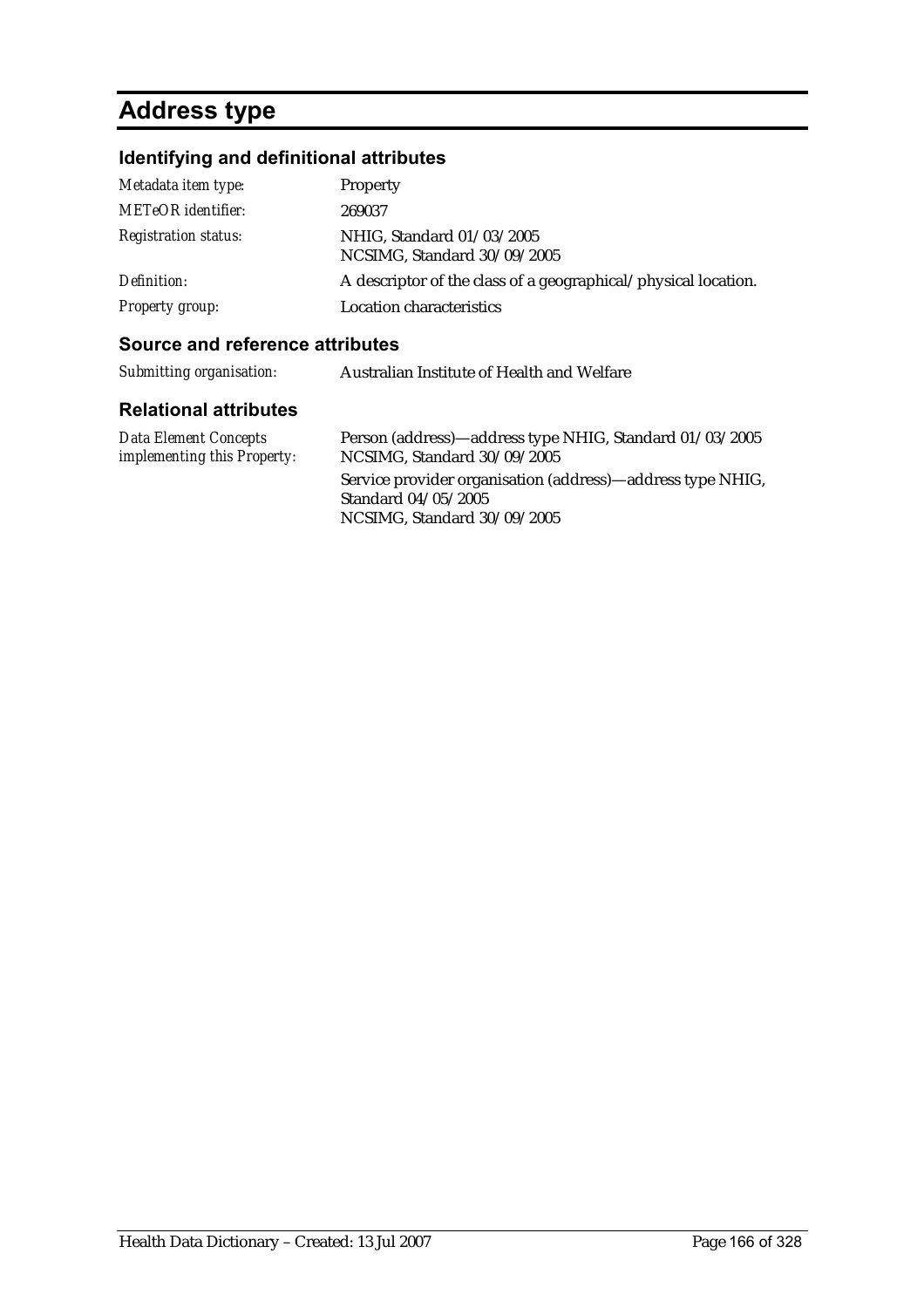# **Address type**

### **Identifying and definitional attributes**

| Metadata item type:                                      | <b>Property</b>                                                |
|----------------------------------------------------------|----------------------------------------------------------------|
| <b>METeOR</b> identifier:<br><i>Registration status:</i> | 269037<br>NHIG, Standard 01/03/2005                            |
|                                                          | NCSIMG, Standard 30/09/2005                                    |
| Definition:                                              | A descriptor of the class of a geographical/physical location. |
| <b>Property group:</b>                                   | Location characteristics                                       |

#### **Source and reference attributes**

| Submitting organisation:                                    | Australian Institute of Health and Welfare                                             |
|-------------------------------------------------------------|----------------------------------------------------------------------------------------|
| <b>Relational attributes</b>                                |                                                                                        |
| <b>Data Element Concepts</b><br>implementing this Property: | Person (address)—address type NHIG, Standard 01/03/2005<br>NCSIMG, Standard 30/09/2005 |

Service provider organisation (address)—address type NHIG, Standard 04/05/2005 NCSIMG, Standard 30/09/2005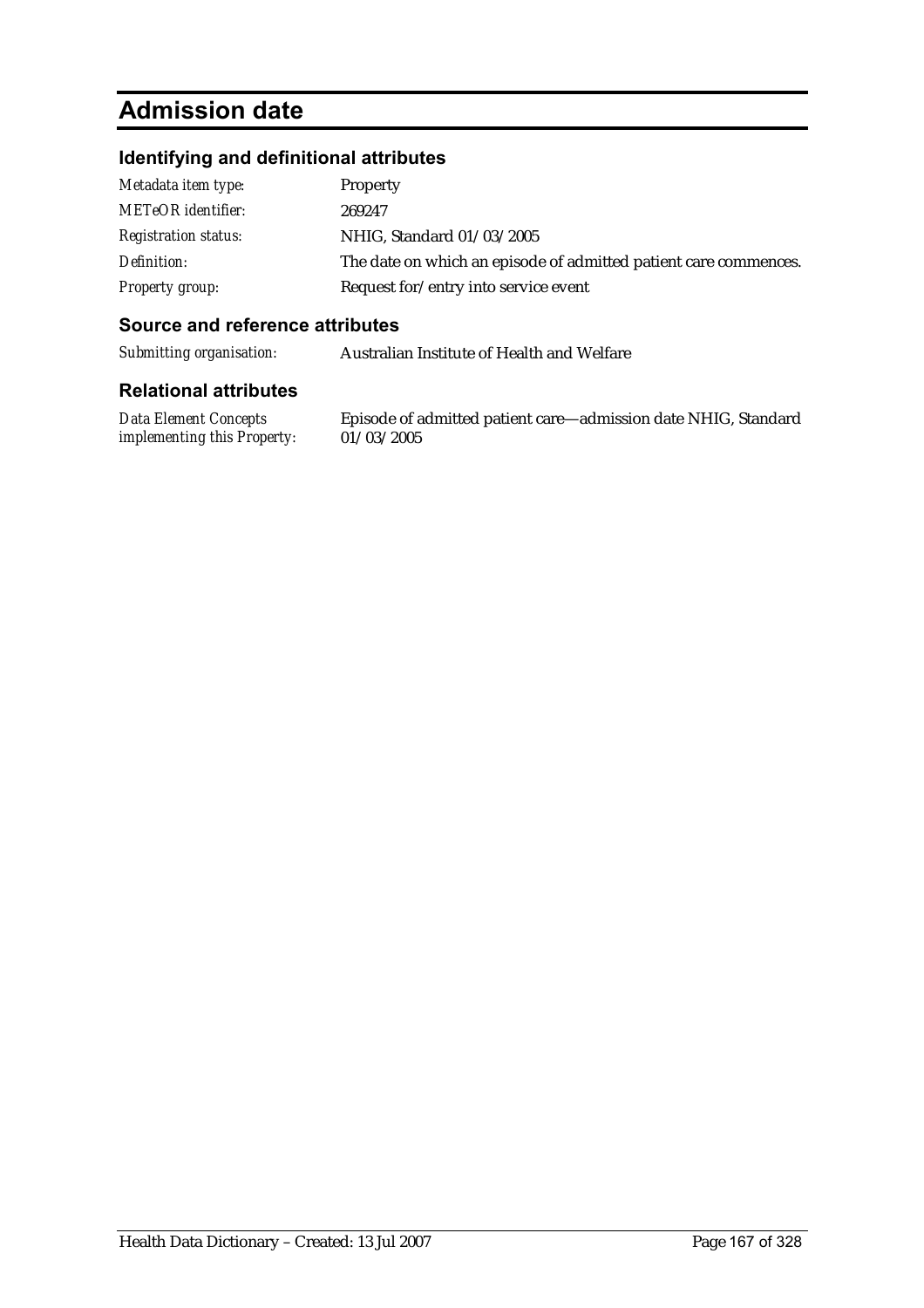# **Admission date**

#### **Identifying and definitional attributes**

| Metadata item type:         | Property                                                         |
|-----------------------------|------------------------------------------------------------------|
| <b>METeOR</b> identifier:   | 269247                                                           |
| <i>Registration status:</i> | NHIG, Standard 01/03/2005                                        |
| Definition:                 | The date on which an episode of admitted patient care commences. |
| <b>Property group:</b>      | Request for/entry into service event                             |

#### **Source and reference attributes**

*Submitting organisation:* Australian Institute of Health and Welfare

#### **Relational attributes**

*Data Element Concepts implementing this Property:*

Episode of admitted patient care—admission date NHIG, Standard 01/03/2005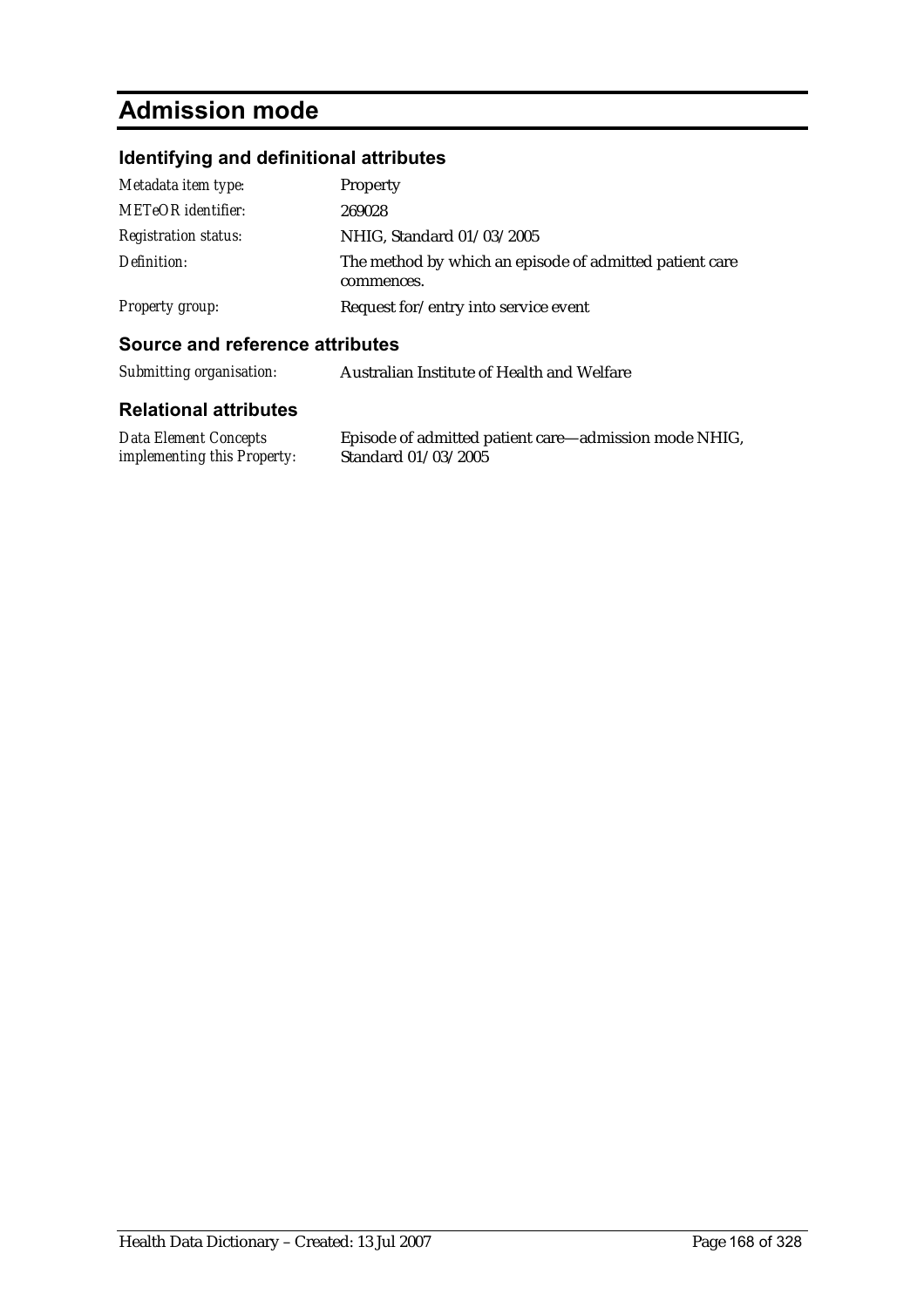# **Admission mode**

### **Identifying and definitional attributes**

| Metadata item type:         | Property                                                              |
|-----------------------------|-----------------------------------------------------------------------|
| <b>METeOR</b> identifier:   | 269028                                                                |
| <b>Registration status:</b> | NHIG, Standard 01/03/2005                                             |
| Definition:                 | The method by which an episode of admitted patient care<br>commences. |
| <b>Property group:</b>      | Request for/entry into service event                                  |

#### **Source and reference attributes**

| Submitting organisation: | Australian Institute of Health and Welfare |
|--------------------------|--------------------------------------------|
|                          |                                            |

| <b>Data Element Concepts</b>       | Episode of admitted patient care—admission mode NHIG, |
|------------------------------------|-------------------------------------------------------|
| <i>implementing this Property:</i> | Standard 01/03/2005                                   |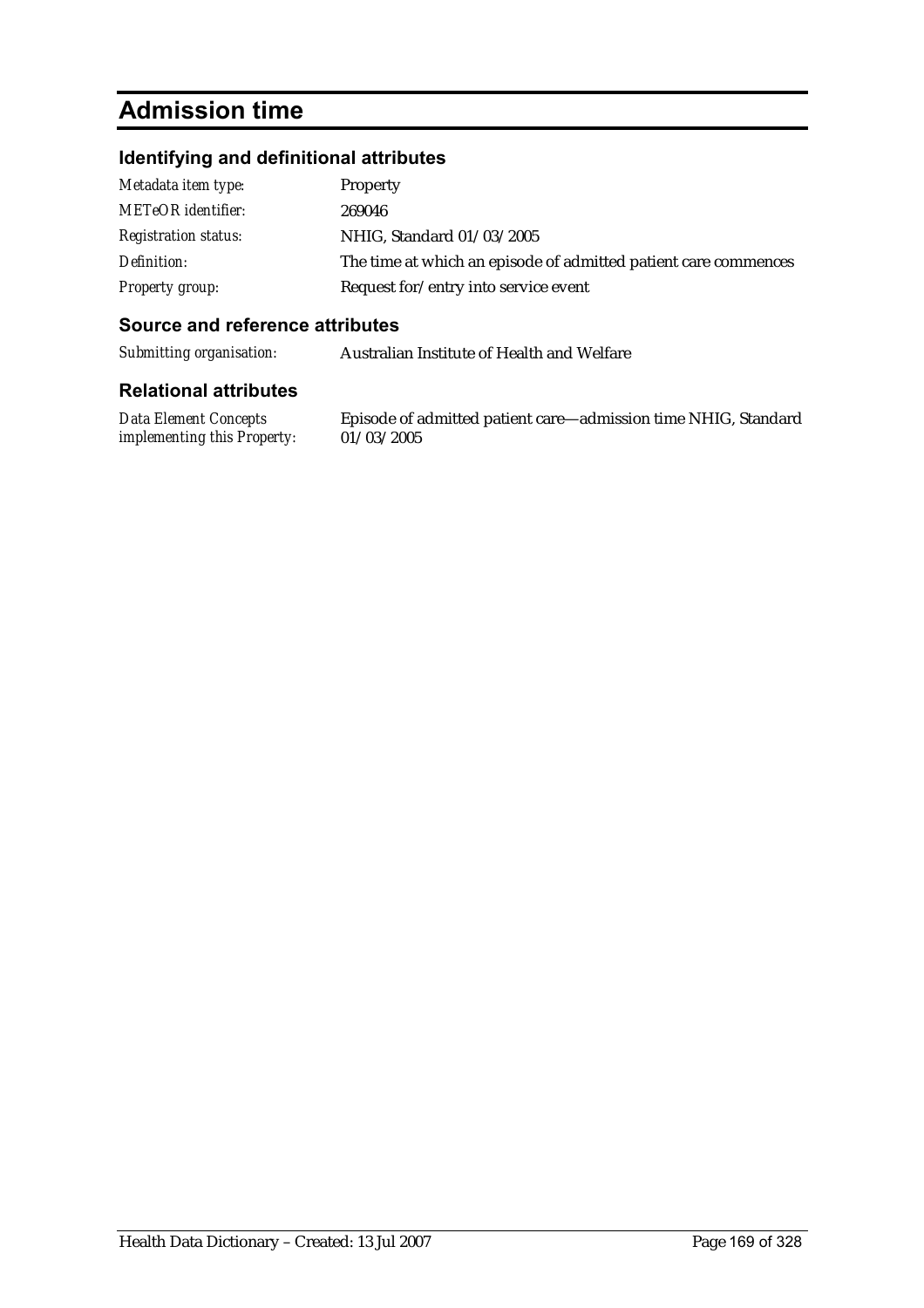# **Admission time**

#### **Identifying and definitional attributes**

| Metadata item type:         | Property                                                        |
|-----------------------------|-----------------------------------------------------------------|
| <b>METeOR</b> identifier:   | 269046                                                          |
| <b>Registration status:</b> | NHIG, Standard 01/03/2005                                       |
| Definition:                 | The time at which an episode of admitted patient care commences |
| Property group:             | Request for/entry into service event                            |

#### **Source and reference attributes**

*Submitting organisation:* Australian Institute of Health and Welfare

#### **Relational attributes**

*Data Element Concepts implementing this Property:*

Episode of admitted patient care—admission time NHIG, Standard 01/03/2005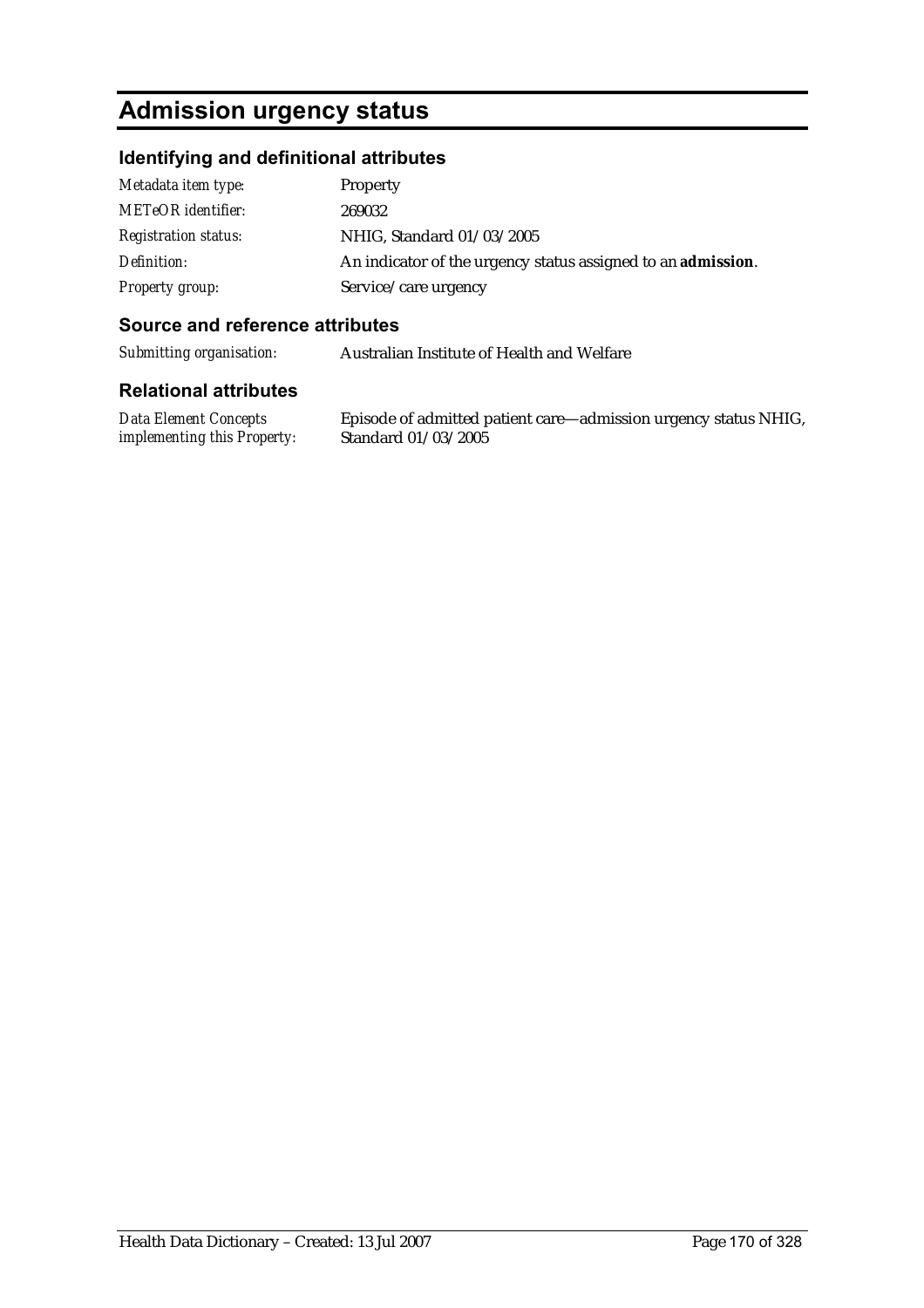# **Admission urgency status**

#### **Identifying and definitional attributes**

| Metadata item type:         | Property                                                             |
|-----------------------------|----------------------------------------------------------------------|
| <b>METeOR</b> identifier:   | 269032                                                               |
| <b>Registration status:</b> | NHIG, Standard 01/03/2005                                            |
| Definition:                 | An indicator of the urgency status assigned to an <b>admission</b> . |
| Property group:             | Service/care urgency                                                 |

#### **Source and reference attributes**

*Submitting organisation:* Australian Institute of Health and Welfare

#### **Relational attributes**

*Data Element Concepts implementing this Property:*

Episode of admitted patient care—admission urgency status NHIG, Standard 01/03/2005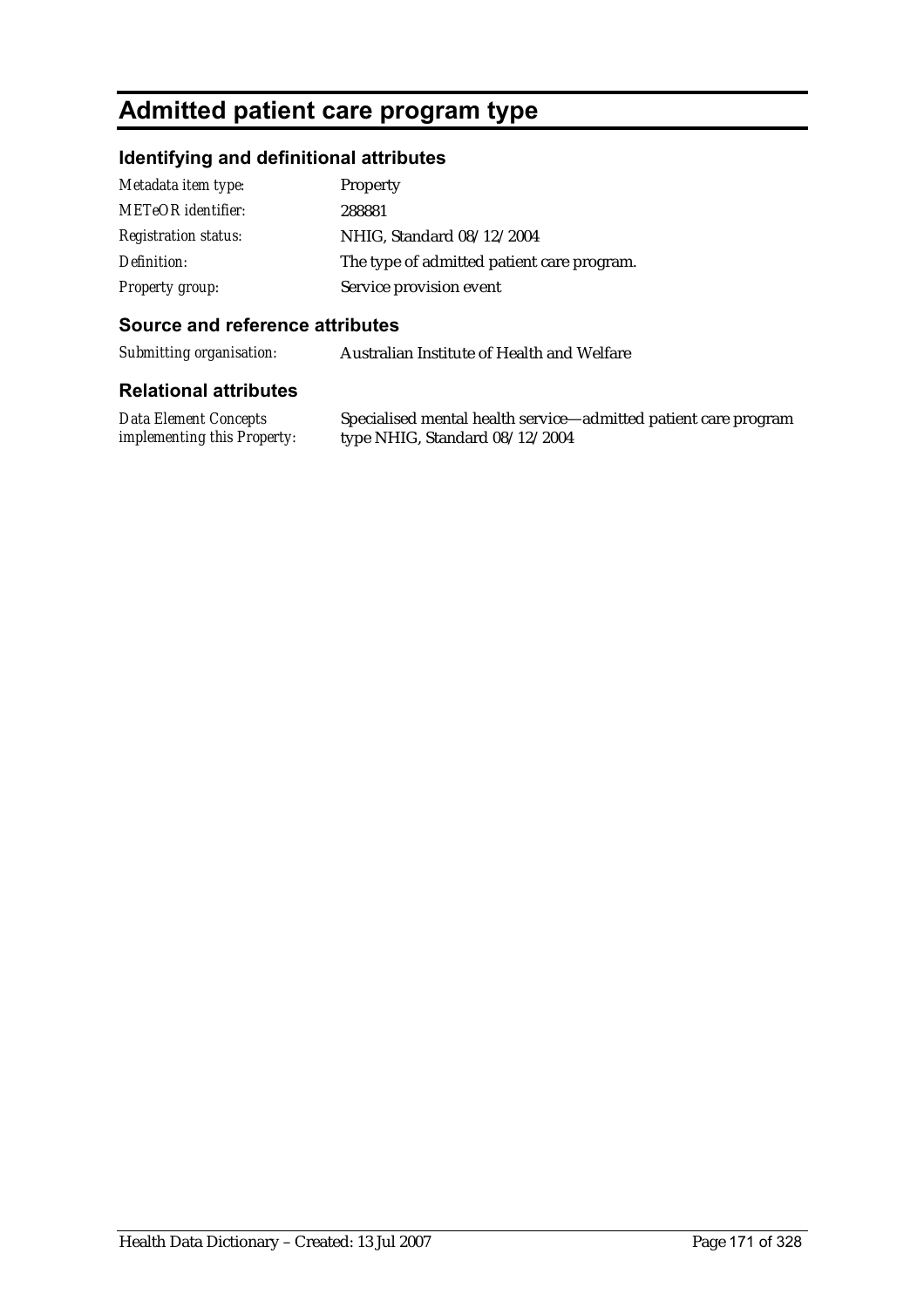# **Admitted patient care program type**

#### **Identifying and definitional attributes**

| Metadata item type:         | Property                                   |
|-----------------------------|--------------------------------------------|
| <b>METeOR</b> identifier:   | 288881                                     |
| <b>Registration status:</b> | NHIG, Standard 08/12/2004                  |
| Definition:                 | The type of admitted patient care program. |
| <b>Property group:</b>      | Service provision event                    |

#### **Source and reference attributes**

*Submitting organisation:* Australian Institute of Health and Welfare

#### **Relational attributes**

*Data Element Concepts implementing this Property:* Specialised mental health service—admitted patient care program type NHIG, Standard 08/12/2004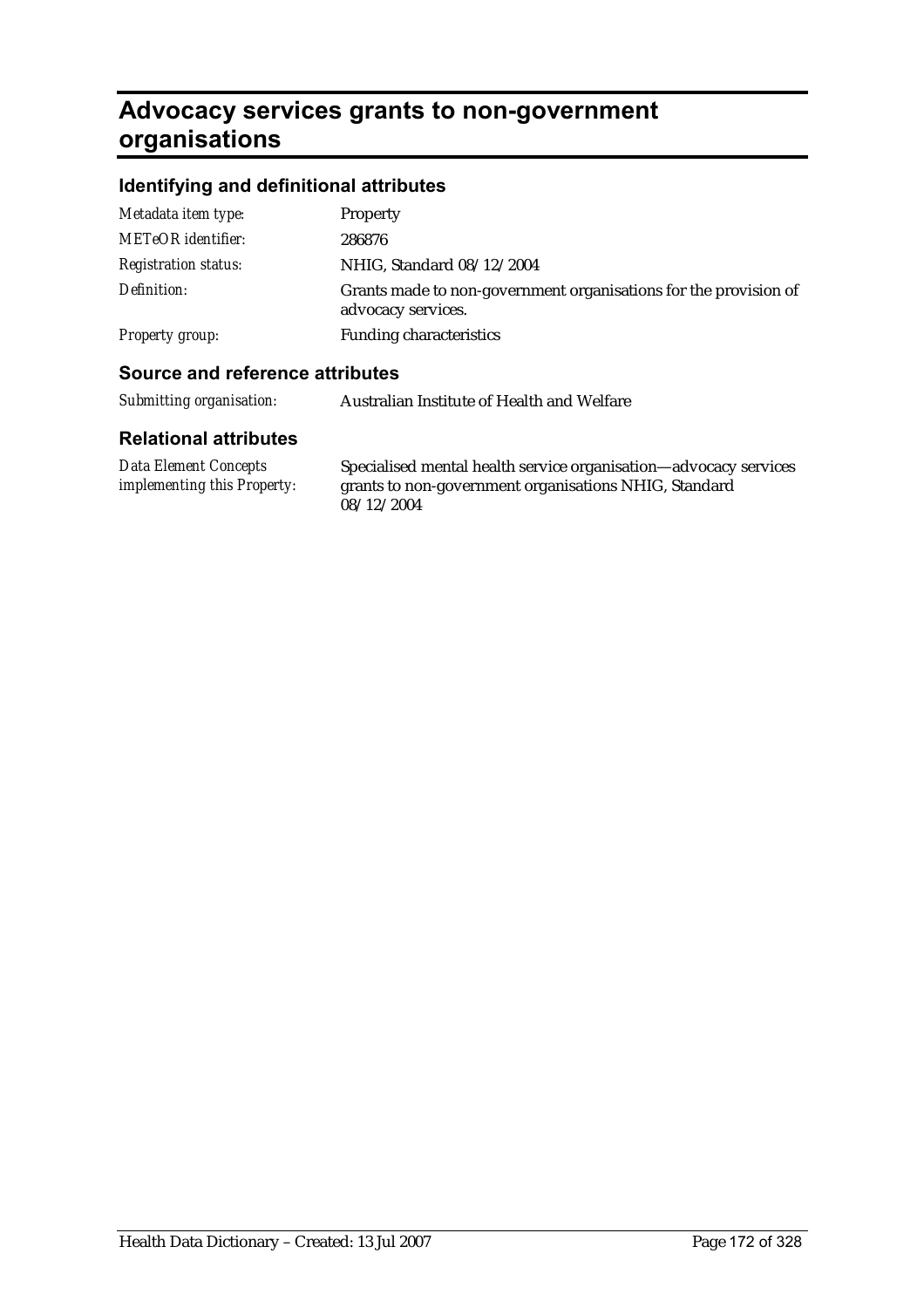# **Advocacy services grants to non-government organisations**

#### **Identifying and definitional attributes**

| Metadata item type:         | Property                                                                               |
|-----------------------------|----------------------------------------------------------------------------------------|
| <b>METeOR</b> identifier:   | 286876                                                                                 |
| <b>Registration status:</b> | NHIG, Standard 08/12/2004                                                              |
| Definition:                 | Grants made to non-government organisations for the provision of<br>advocacy services. |
| Property group:             | <b>Funding characteristics</b>                                                         |
|                             |                                                                                        |

#### **Source and reference attributes**

| Submitting organisation: | Australian Institute of Health and Welfare |
|--------------------------|--------------------------------------------|
|--------------------------|--------------------------------------------|

| Data Element Concepts              | Specialised mental health service organisation—advocacy services |
|------------------------------------|------------------------------------------------------------------|
| <i>implementing this Property:</i> | grants to non-government organisations NHIG, Standard            |
|                                    | 08/12/2004                                                       |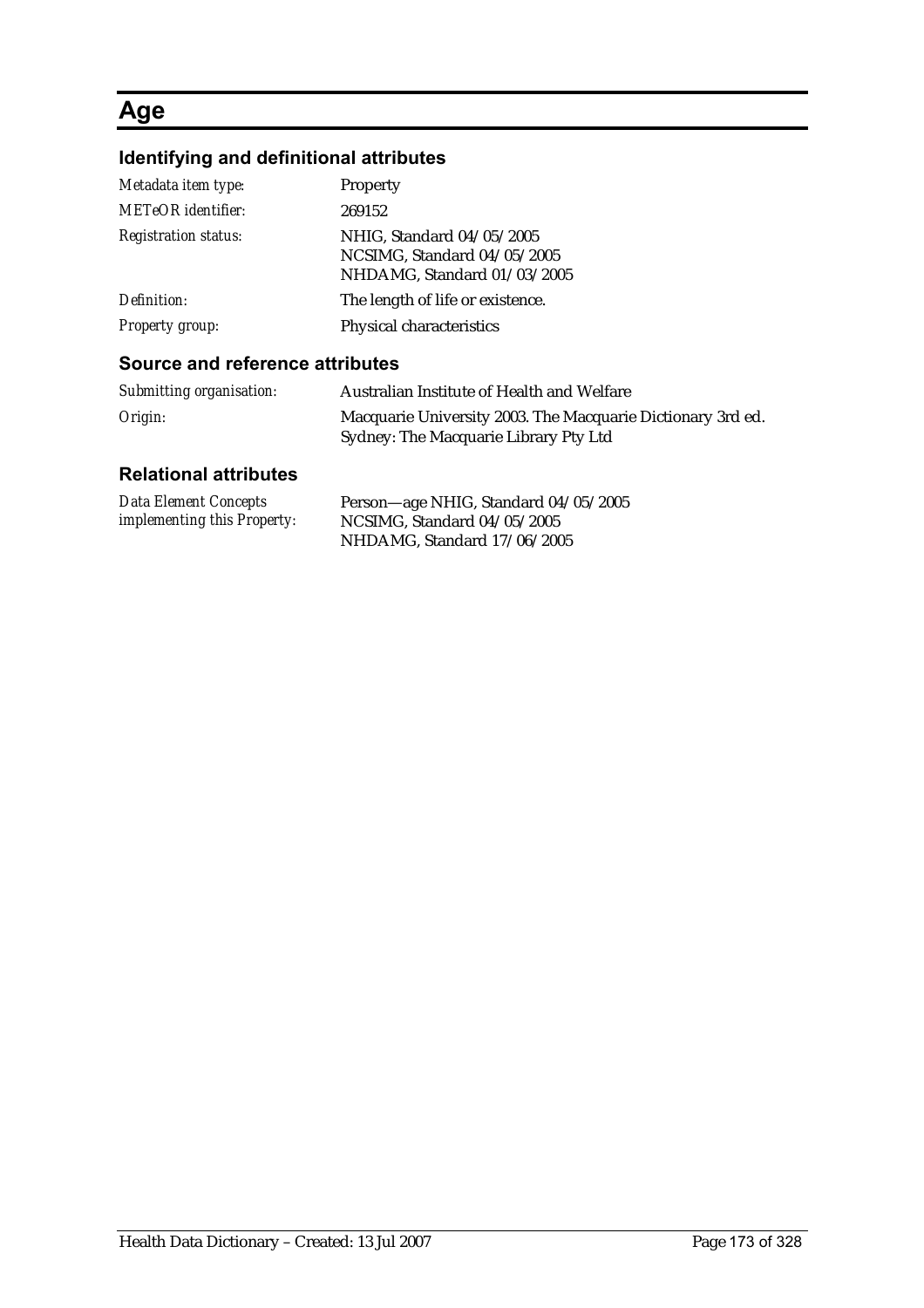### **Age**

### **Identifying and definitional attributes**

| Metadata item type:             | Property                                                                                |
|---------------------------------|-----------------------------------------------------------------------------------------|
| <b>METeOR</b> identifier:       | 269152                                                                                  |
| <b>Registration status:</b>     | NHIG, Standard 04/05/2005<br>NCSIMG, Standard 04/05/2005<br>NHDAMG, Standard 01/03/2005 |
| Definition:                     | The length of life or existence.                                                        |
| Property group:                 | Physical characteristics                                                                |
| Course and reference offributes |                                                                                         |

#### **Source and reference attributes**

| Submitting organisation: | Australian Institute of Health and Welfare                                                           |
|--------------------------|------------------------------------------------------------------------------------------------------|
| Origin:                  | Macquarie University 2003. The Macquarie Dictionary 3rd ed.<br>Sydney: The Macquarie Library Pty Ltd |

| Data Element Concepts              | Person-age NHIG, Standard 04/05/2005 |
|------------------------------------|--------------------------------------|
| <i>implementing this Property:</i> | NCSIMG, Standard 04/05/2005          |
|                                    | NHDAMG, Standard 17/06/2005          |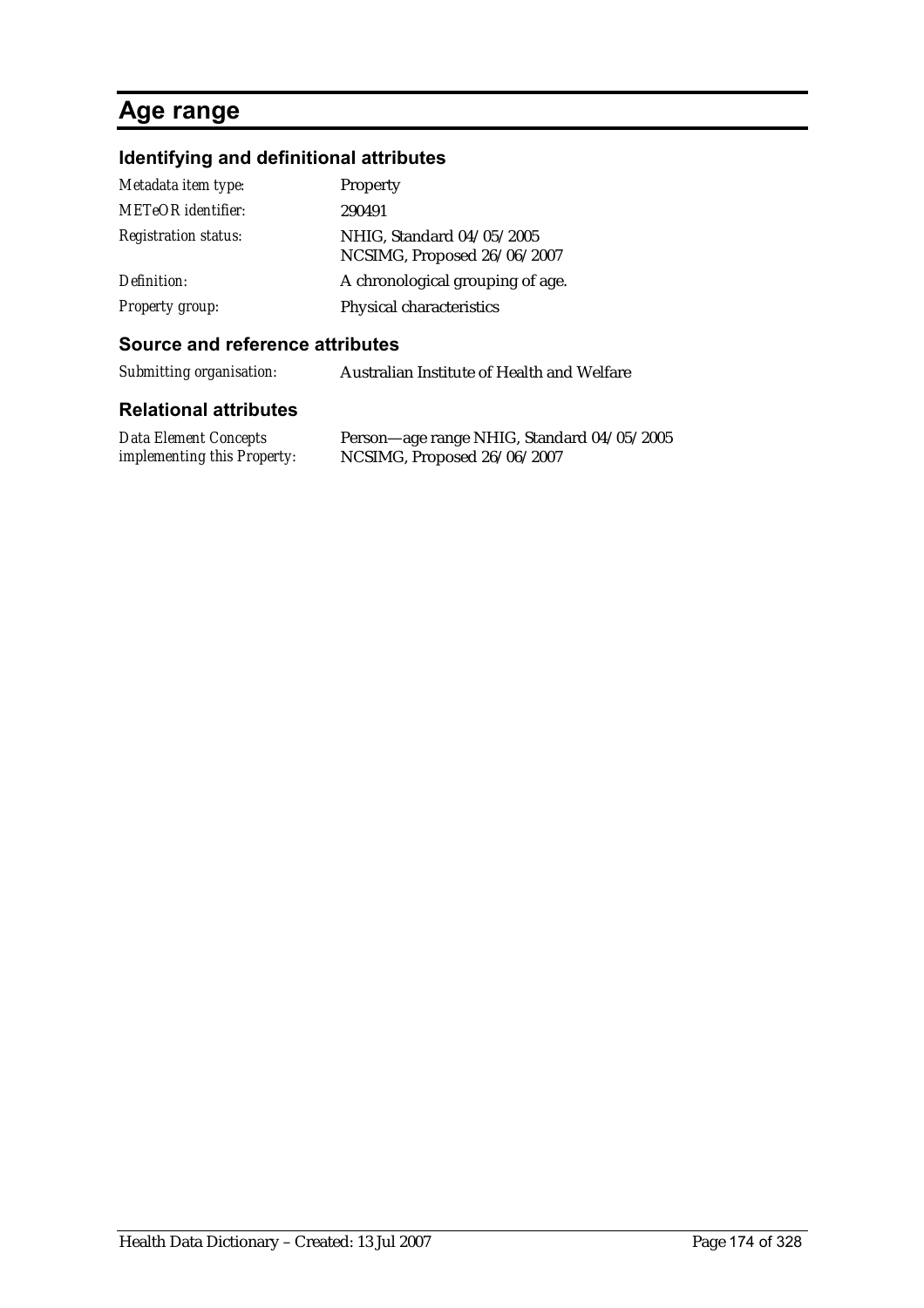# **Age range**

### **Identifying and definitional attributes**

| Metadata item type:         | Property                                                 |
|-----------------------------|----------------------------------------------------------|
| <b>METeOR</b> identifier:   | 290491                                                   |
| <b>Registration status:</b> | NHIG, Standard 04/05/2005<br>NCSIMG, Proposed 26/06/2007 |
| Definition:                 | A chronological grouping of age.                         |
| Property group:             | Physical characteristics                                 |

#### **Source and reference attributes**

| Submitting organisation: | Australian Institute of Health and Welfare |
|--------------------------|--------------------------------------------|
|--------------------------|--------------------------------------------|

| <b>Data Element Concepts</b>       | Person—age range NHIG, Standard 04/05/2005 |
|------------------------------------|--------------------------------------------|
| <i>implementing this Property:</i> | NCSIMG, Proposed 26/06/2007                |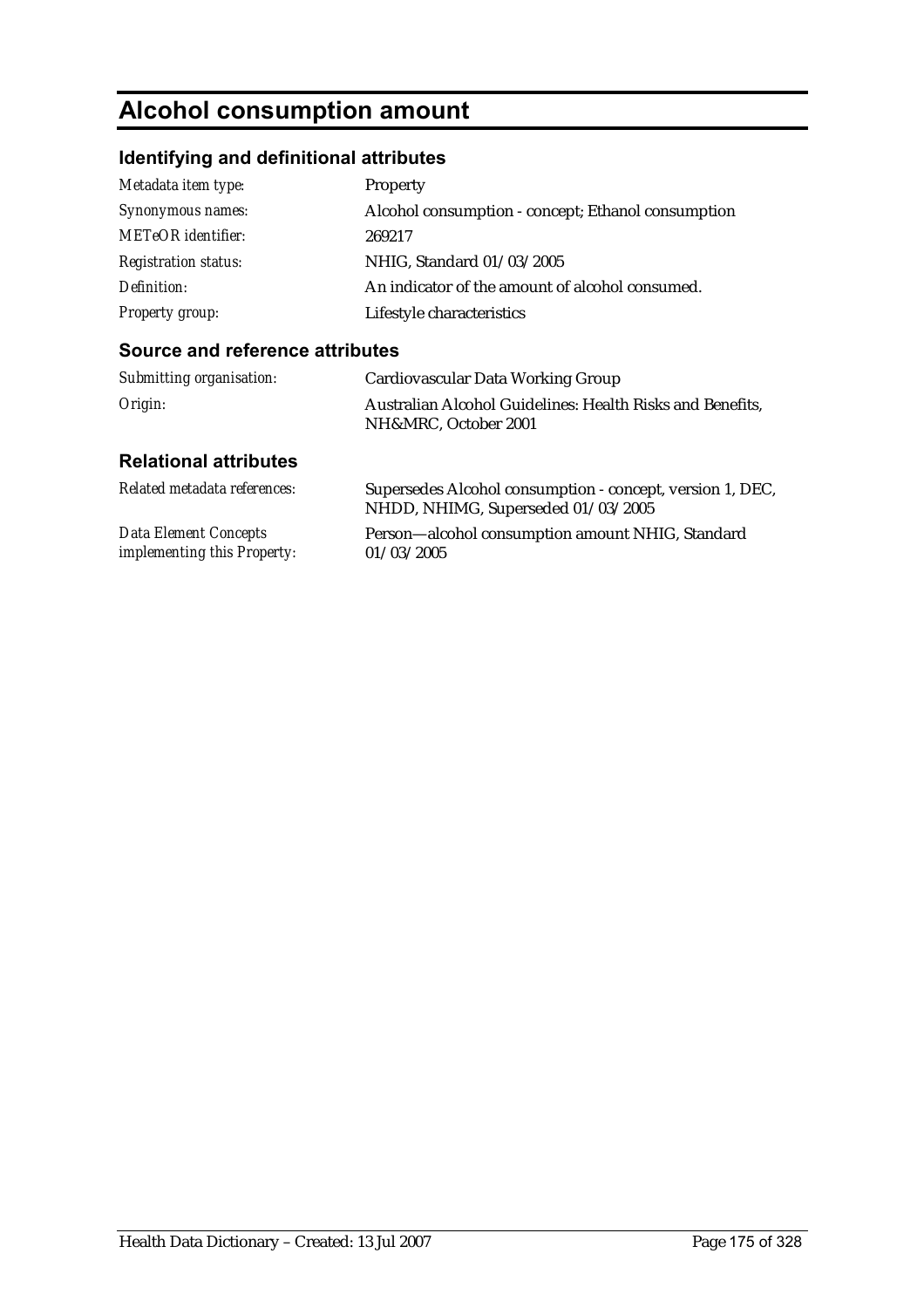# **Alcohol consumption amount**

### **Identifying and definitional attributes**

| Metadata item type:         | <b>Property</b>                                    |
|-----------------------------|----------------------------------------------------|
| Synonymous names:           | Alcohol consumption - concept; Ethanol consumption |
| <b>METeOR</b> identifier:   | 269217                                             |
| <b>Registration status:</b> | NHIG, Standard 01/03/2005                          |
| Definition:                 | An indicator of the amount of alcohol consumed.    |
| <b>Property group:</b>      | Lifestyle characteristics                          |

#### **Source and reference attributes**

| Submitting organisation: | Cardiovascular Data Working Group                                                 |
|--------------------------|-----------------------------------------------------------------------------------|
| Origin:                  | Australian Alcohol Guidelines: Health Risks and Benefits,<br>NH&MRC, October 2001 |

| Related metadata references:       | Supersedes Alcohol consumption - concept, version 1, DEC,<br>NHDD, NHIMG, Superseded 01/03/2005 |
|------------------------------------|-------------------------------------------------------------------------------------------------|
| Data Element Concepts              | Person-alcohol consumption amount NHIG, Standard                                                |
| <i>implementing this Property:</i> | 01/03/2005                                                                                      |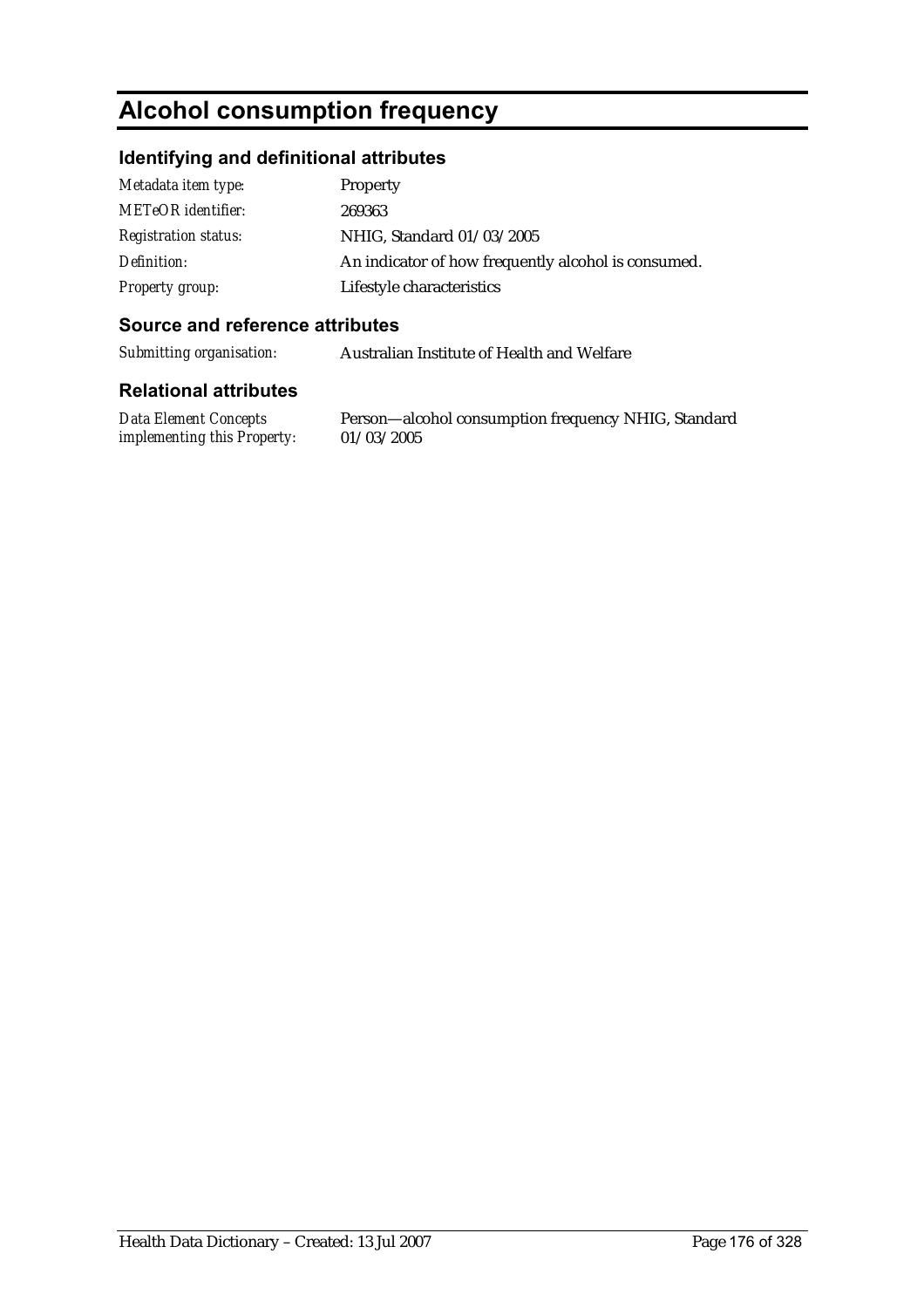# **Alcohol consumption frequency**

#### **Identifying and definitional attributes**

| Metadata item type:         | Property                                            |
|-----------------------------|-----------------------------------------------------|
| <b>METeOR</b> identifier:   | 269363                                              |
| <b>Registration status:</b> | NHIG, Standard 01/03/2005                           |
| Definition:                 | An indicator of how frequently alcohol is consumed. |
| <b>Property group:</b>      | Lifestyle characteristics                           |

#### **Source and reference attributes**

*Submitting organisation:* Australian Institute of Health and Welfare

#### **Relational attributes**

*Data Element Concepts implementing this Property:*

Person—alcohol consumption frequency NHIG, Standard 01/03/2005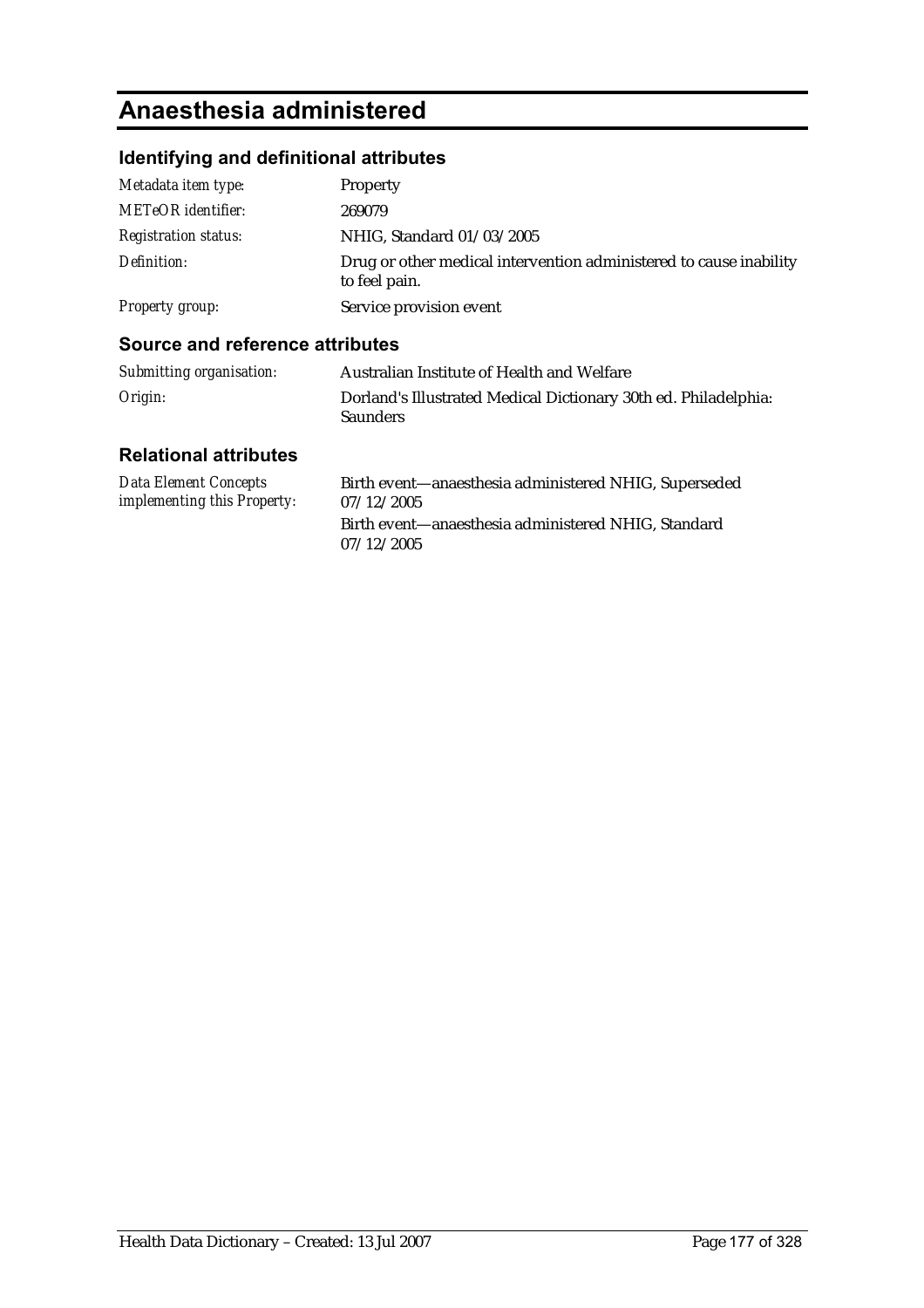# **Anaesthesia administered**

### **Identifying and definitional attributes**

| Metadata item type:         | Property                                                                            |
|-----------------------------|-------------------------------------------------------------------------------------|
| <b>METeOR</b> identifier:   | 269079                                                                              |
| <b>Registration status:</b> | NHIG, Standard 01/03/2005                                                           |
| Definition:                 | Drug or other medical intervention administered to cause inability<br>to feel pain. |
| Property group:             | Service provision event                                                             |

#### **Source and reference attributes**

| Submitting organisation: | Australian Institute of Health and Welfare                                         |
|--------------------------|------------------------------------------------------------------------------------|
| Origin:                  | Dorland's Illustrated Medical Dictionary 30th ed. Philadelphia:<br><b>Saunders</b> |

| Data Element Concepts              | Birth event—anaesthesia administered NHIG, Superseded |
|------------------------------------|-------------------------------------------------------|
| <i>implementing this Property:</i> | 07/12/2005                                            |
|                                    | Birth event—anaesthesia administered NHIG, Standard   |
|                                    | 07/12/2005                                            |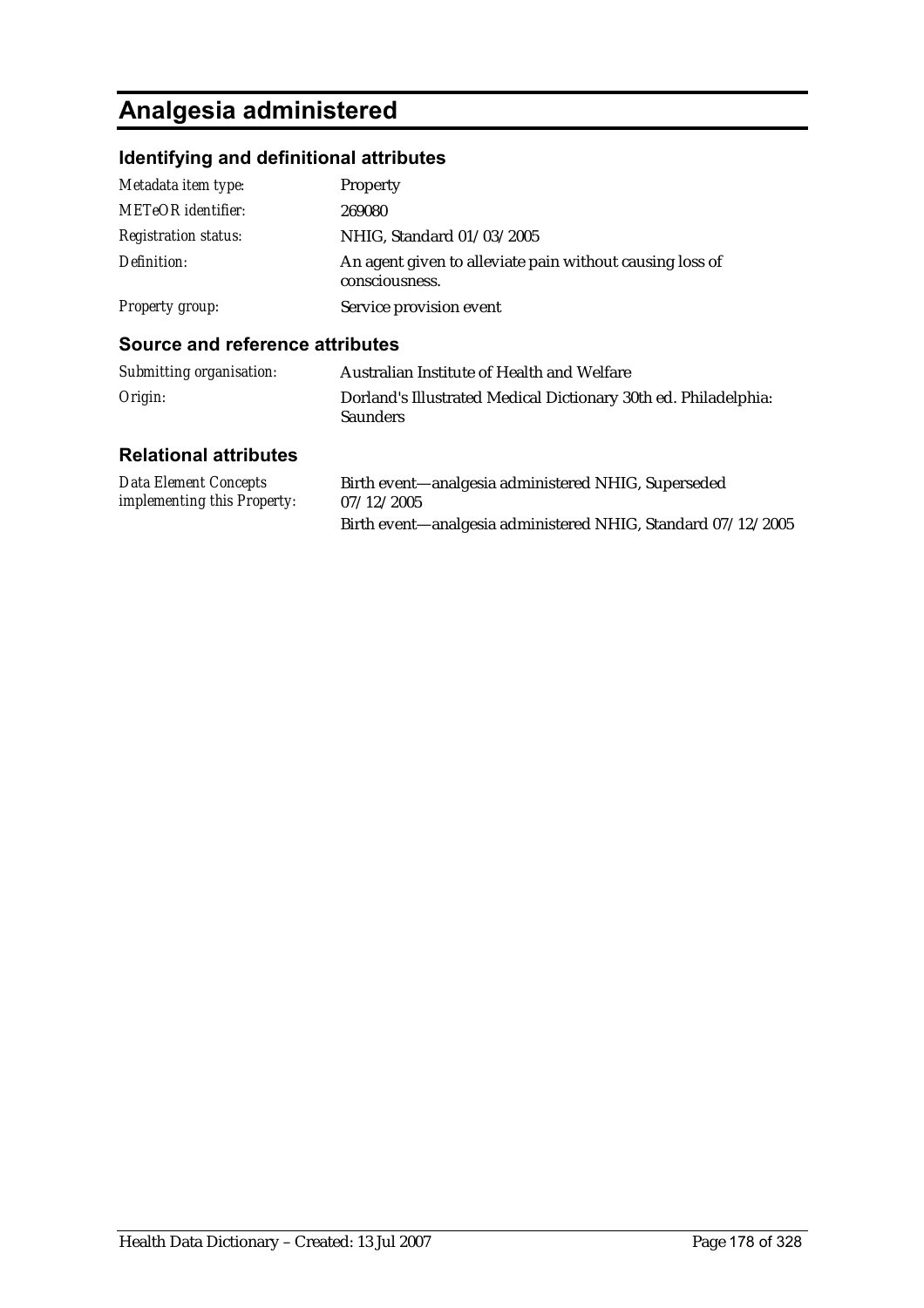# **Analgesia administered**

### **Identifying and definitional attributes**

| Metadata item type:         | Property                                                                   |
|-----------------------------|----------------------------------------------------------------------------|
| <b>METeOR</b> identifier:   | 269080                                                                     |
| <b>Registration status:</b> | NHIG, Standard 01/03/2005                                                  |
| Definition:                 | An agent given to alleviate pain without causing loss of<br>consciousness. |
| <b>Property group:</b>      | Service provision event                                                    |

#### **Source and reference attributes**

| Submitting organisation: | Australian Institute of Health and Welfare                                         |
|--------------------------|------------------------------------------------------------------------------------|
| Origin:                  | Dorland's Illustrated Medical Dictionary 30th ed. Philadelphia:<br><b>Saunders</b> |

| Data Element Concepts              | Birth event—analgesia administered NHIG, Superseded          |
|------------------------------------|--------------------------------------------------------------|
| <i>implementing this Property:</i> | 07/12/2005                                                   |
|                                    | Birth event—analgesia administered NHIG, Standard 07/12/2005 |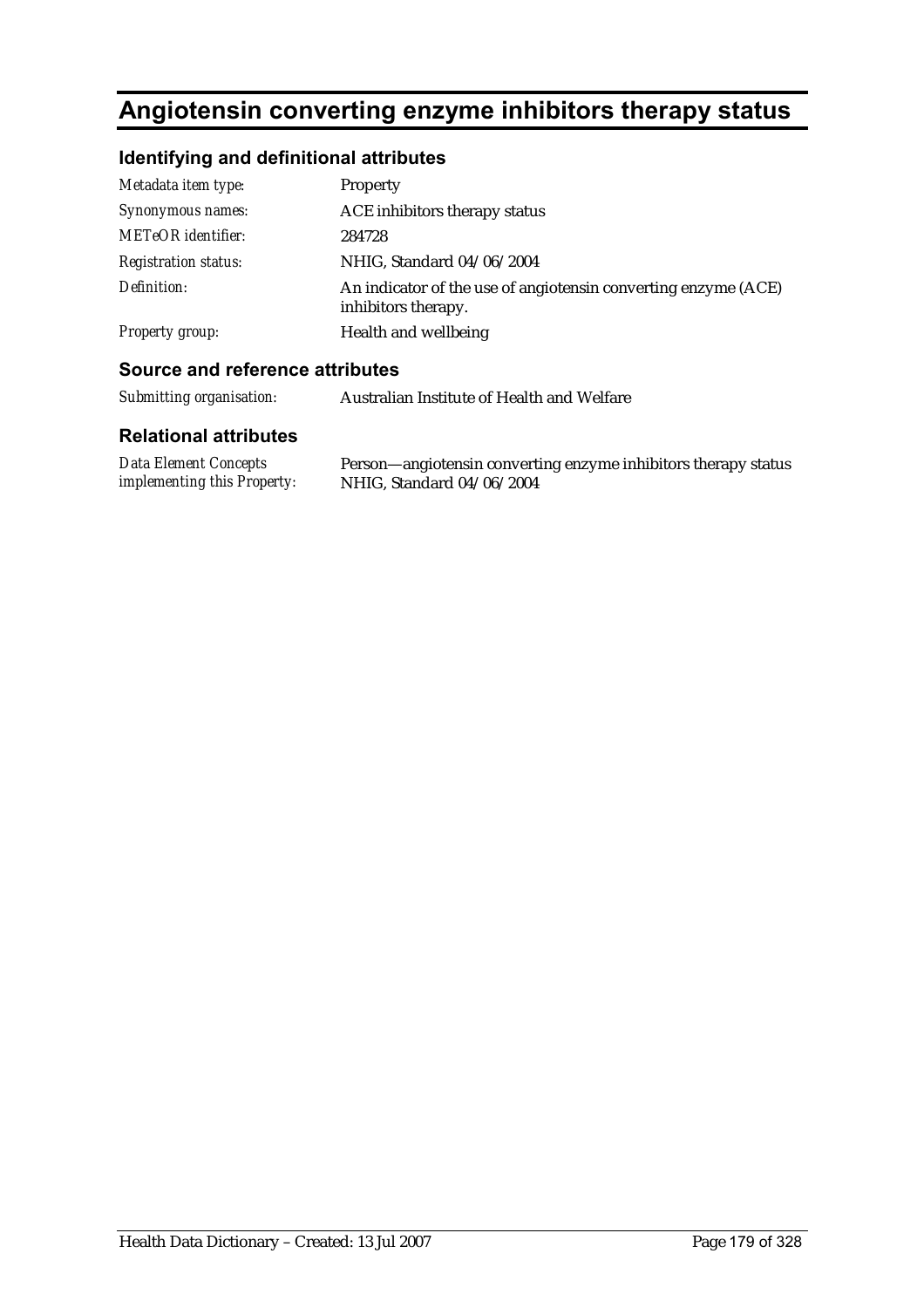# **Angiotensin converting enzyme inhibitors therapy status**

### **Identifying and definitional attributes**

| Metadata item type:         | <b>Property</b>                                                                       |
|-----------------------------|---------------------------------------------------------------------------------------|
| Synonymous names:           | ACE inhibitors therapy status                                                         |
| <b>METeOR</b> identifier:   | 284728                                                                                |
| <b>Registration status:</b> | NHIG, Standard 04/06/2004                                                             |
| Definition:                 | An indicator of the use of angiotensin converting enzyme (ACE)<br>inhibitors therapy. |
| Property group:             | Health and wellbeing                                                                  |

#### **Source and reference attributes**

*implementing this Property:*

| Submitting organisation:     | Australian Institute of Health and Welfare                     |
|------------------------------|----------------------------------------------------------------|
| <b>Relational attributes</b> |                                                                |
| Data Element Concepts        | Person-angiotensin converting enzyme inhibitors therapy status |

NHIG, Standard 04/06/2004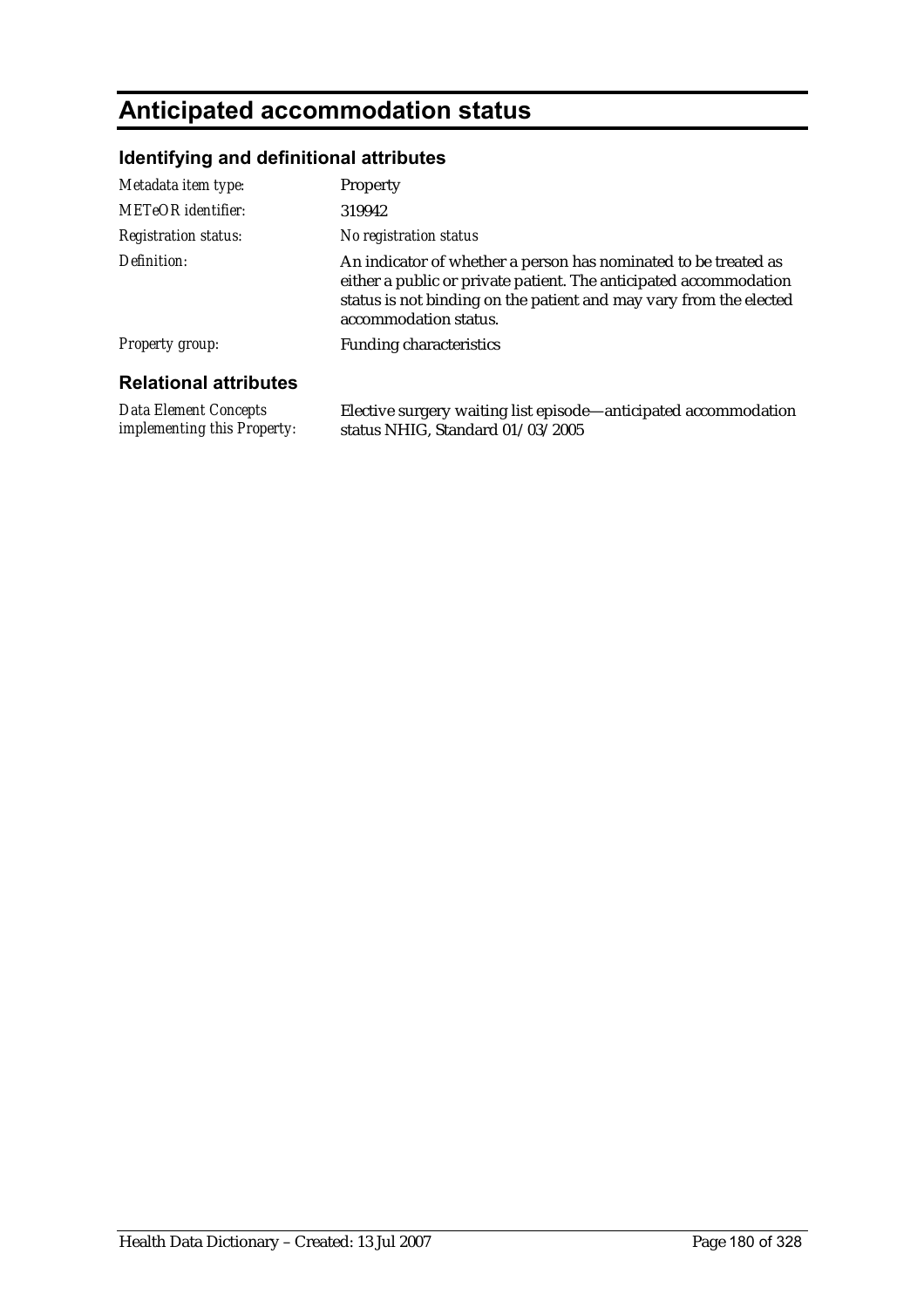# **Anticipated accommodation status**

### **Identifying and definitional attributes**

| <b>Relational attributes</b> |                                                                                                                                                                                                                                     |
|------------------------------|-------------------------------------------------------------------------------------------------------------------------------------------------------------------------------------------------------------------------------------|
| <b>Property group:</b>       | <b>Funding characteristics</b>                                                                                                                                                                                                      |
| Definition:                  | An indicator of whether a person has nominated to be treated as<br>either a public or private patient. The anticipated accommodation<br>status is not binding on the patient and may vary from the elected<br>accommodation status. |
| <b>Registration status:</b>  | No registration status                                                                                                                                                                                                              |
| <b>METeOR</b> identifier:    | 319942                                                                                                                                                                                                                              |
| Metadata item type:          | Property                                                                                                                                                                                                                            |

*Data Element Concepts implementing this Property:*

Elective surgery waiting list episode—anticipated accommodation status NHIG, Standard 01/03/2005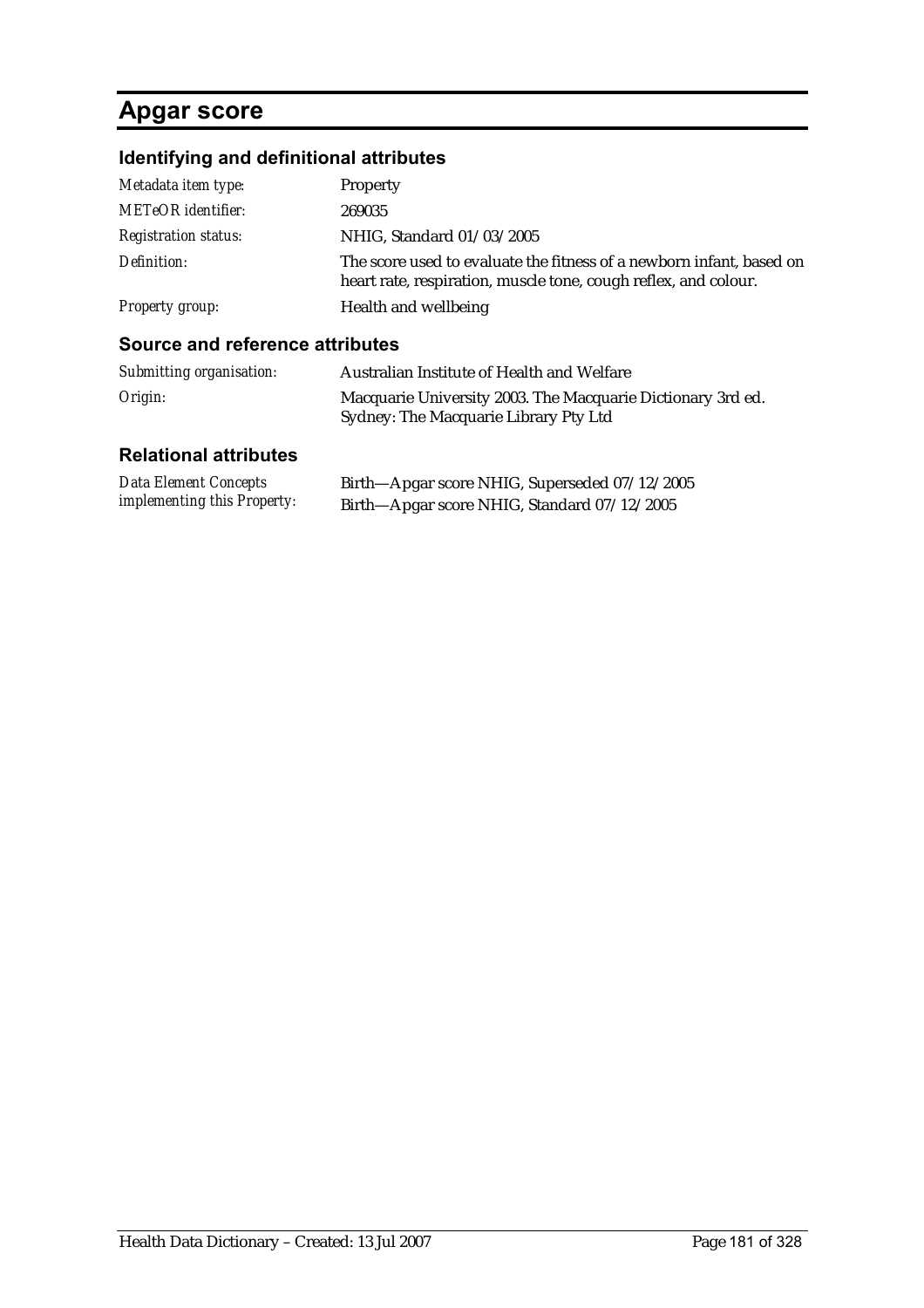## **Apgar score**

## **Identifying and definitional attributes**

| Metadata item type:         | Property                                                                                                                                |
|-----------------------------|-----------------------------------------------------------------------------------------------------------------------------------------|
| <b>METeOR</b> identifier:   | 269035                                                                                                                                  |
| <b>Registration status:</b> | NHIG, Standard 01/03/2005                                                                                                               |
| Definition:                 | The score used to evaluate the fitness of a newborn infant, based on<br>heart rate, respiration, muscle tone, cough reflex, and colour. |
| Property group:             | Health and wellbeing                                                                                                                    |

### **Source and reference attributes**

| Submitting organisation: | Australian Institute of Health and Welfare                                                           |
|--------------------------|------------------------------------------------------------------------------------------------------|
| Origin:                  | Macquarie University 2003. The Macquarie Dictionary 3rd ed.<br>Sydney: The Macquarie Library Pty Ltd |

| Data Element Concepts              | Birth-Apgar score NHIG, Superseded 07/12/2005 |
|------------------------------------|-----------------------------------------------|
| <i>implementing this Property:</i> | Birth—Apgar score NHIG, Standard 07/12/2005   |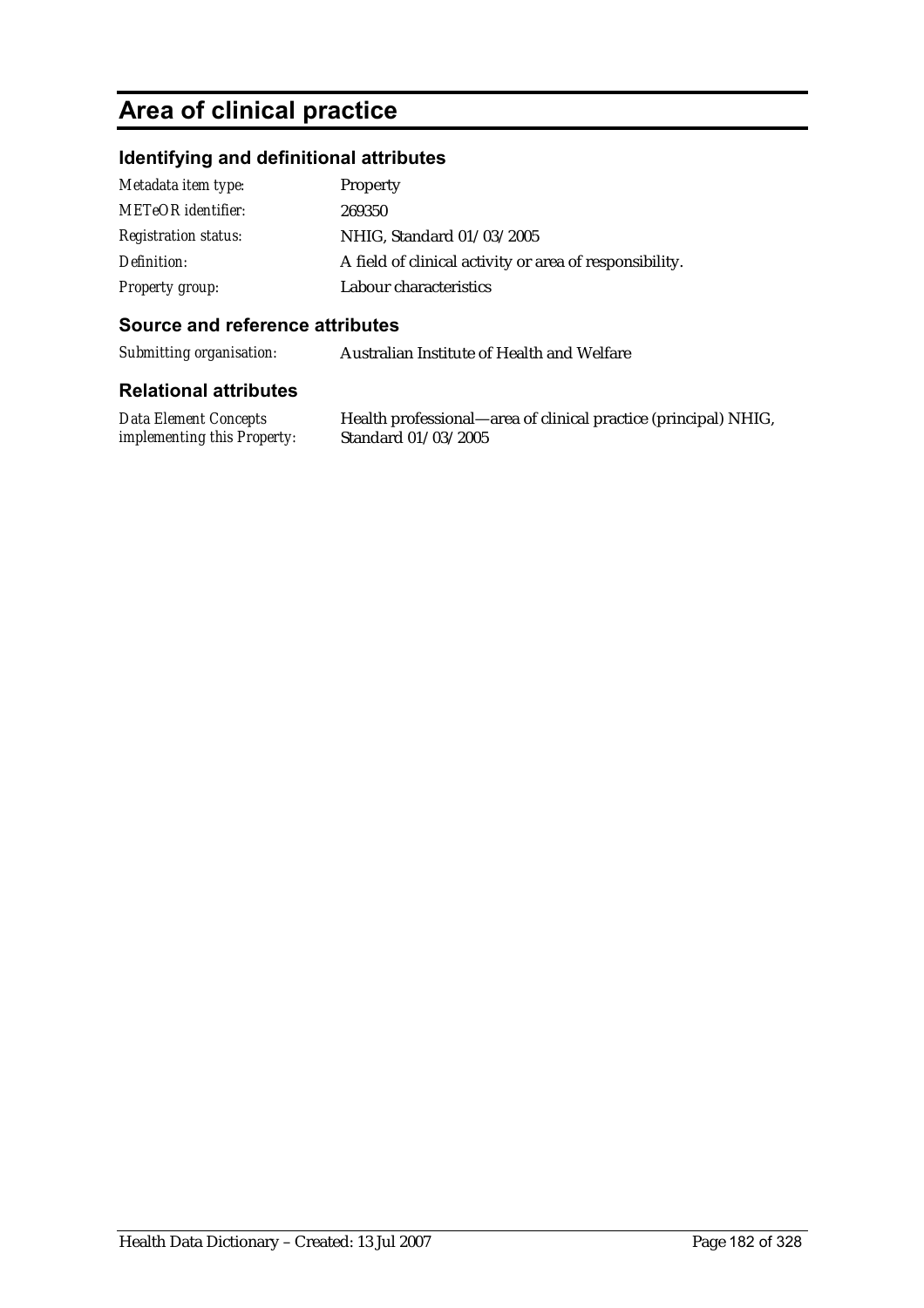## **Area of clinical practice**

### **Identifying and definitional attributes**

| Metadata item type:         | Property                                                |
|-----------------------------|---------------------------------------------------------|
| <b>METeOR</b> identifier:   | 269350                                                  |
| <b>Registration status:</b> | NHIG, Standard 01/03/2005                               |
| Definition:                 | A field of clinical activity or area of responsibility. |
| Property group:             | Labour characteristics                                  |

### **Source and reference attributes**

*Submitting organisation:* Australian Institute of Health and Welfare

### **Relational attributes**

*Data Element Concepts implementing this Property:*

Health professional—area of clinical practice (principal) NHIG, Standard 01/03/2005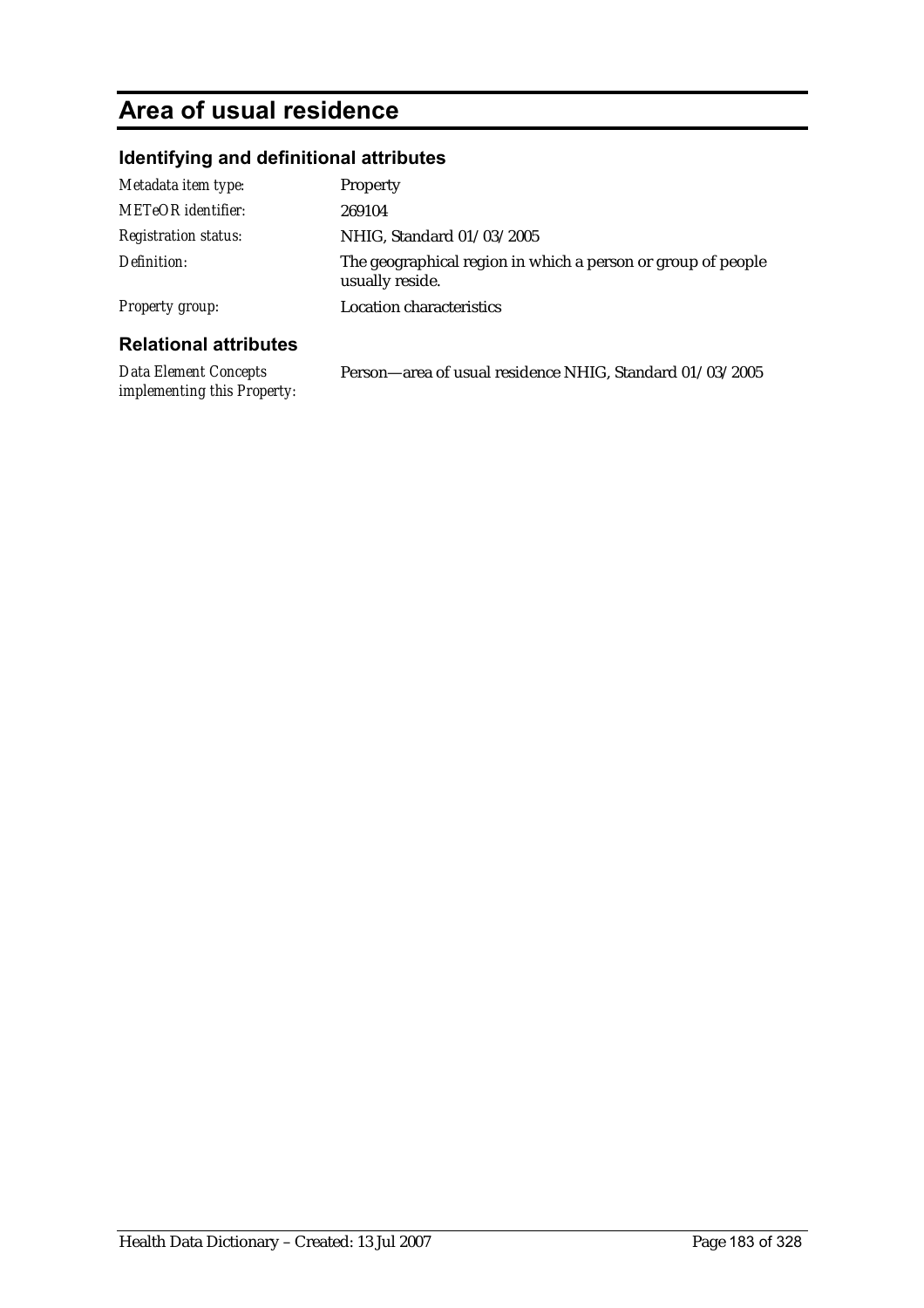# **Area of usual residence**

*implementing this Property:*

## **Identifying and definitional attributes**

| Metadata item type:          | <b>Property</b>                                                                 |
|------------------------------|---------------------------------------------------------------------------------|
| METeOR identifier:           | 269104                                                                          |
| <b>Registration status:</b>  | NHIG, Standard 01/03/2005                                                       |
| Definition:                  | The geographical region in which a person or group of people<br>usually reside. |
| <b>Property group:</b>       | <b>Location characteristics</b>                                                 |
| <b>Relational attributes</b> |                                                                                 |
| Data Element Concepts        | Person—area of usual residence NHIG, Standard 01/03/2005                        |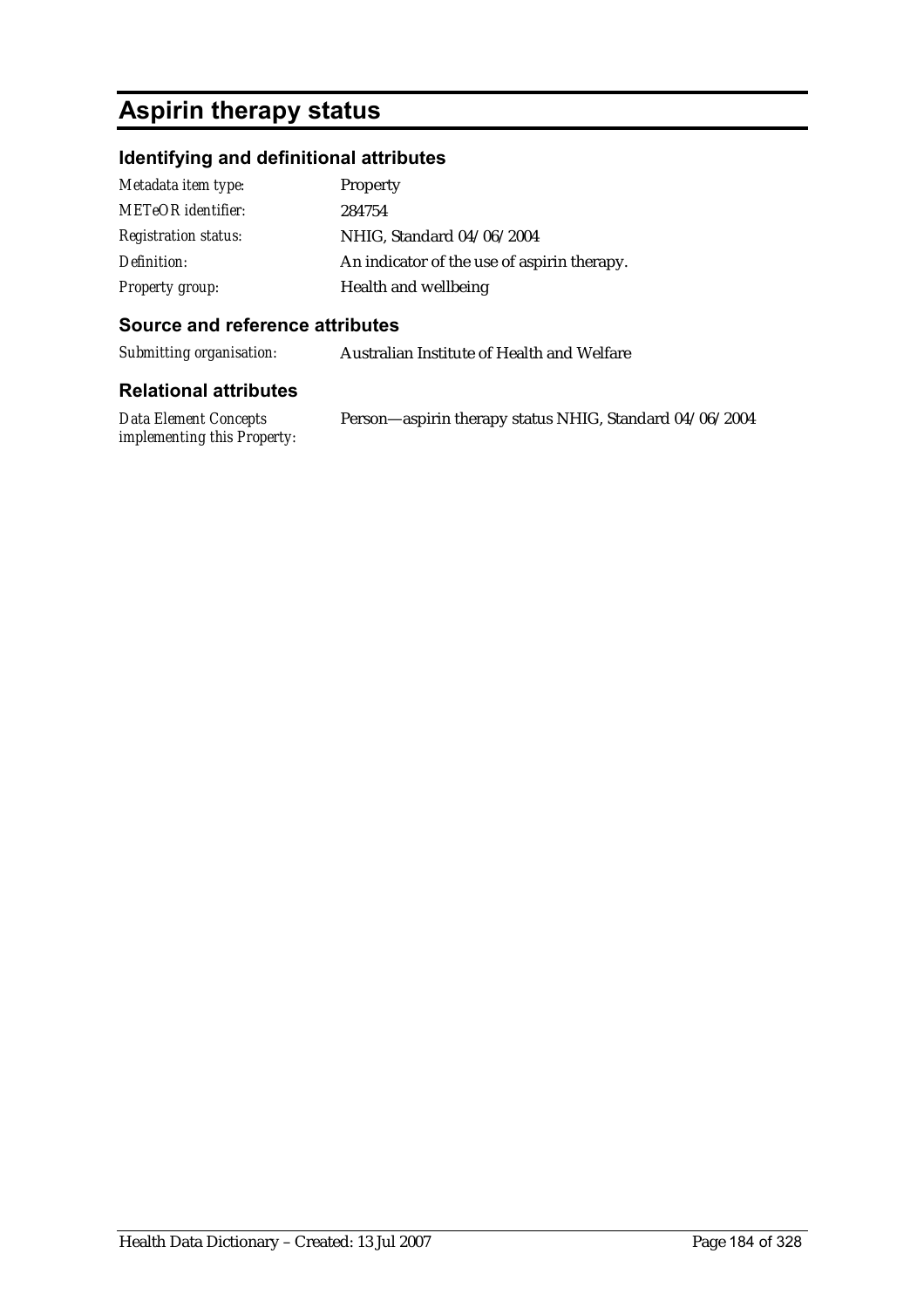# **Aspirin therapy status**

## **Identifying and definitional attributes**

| Metadata item type:         | Property                                    |
|-----------------------------|---------------------------------------------|
| <b>METeOR</b> identifier:   | 284754                                      |
| <b>Registration status:</b> | NHIG. Standard 04/06/2004                   |
| Definition:                 | An indicator of the use of aspirin therapy. |
| <b>Property group:</b>      | Health and wellbeing                        |

### **Source and reference attributes**

*Submitting organisation:* Australian Institute of Health and Welfare

| Data Element Concepts       | Person-aspirin therapy status NHIG, Standard 04/06/2004 |
|-----------------------------|---------------------------------------------------------|
| implementing this Property: |                                                         |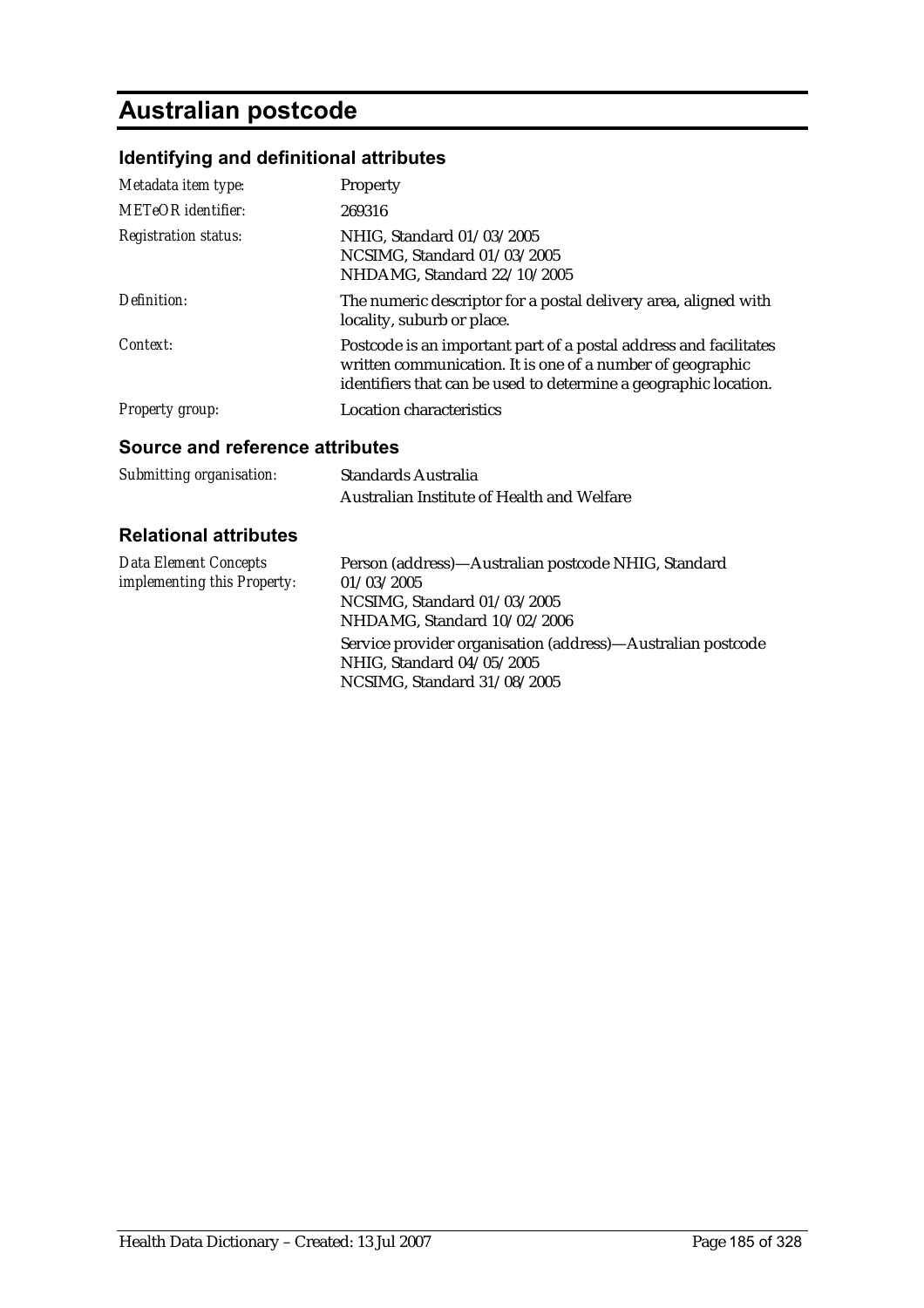# **Australian postcode**

## **Identifying and definitional attributes**

| Metadata item type:         | <b>Property</b>                                                                                                                                                                                     |
|-----------------------------|-----------------------------------------------------------------------------------------------------------------------------------------------------------------------------------------------------|
| <b>METeOR</b> identifier:   | 269316                                                                                                                                                                                              |
| <b>Registration status:</b> | NHIG, Standard 01/03/2005<br>NCSIMG, Standard 01/03/2005<br>NHDAMG, Standard 22/10/2005                                                                                                             |
| Definition:                 | The numeric descriptor for a postal delivery area, aligned with<br>locality, suburb or place.                                                                                                       |
| Context:                    | Postcode is an important part of a postal address and facilitates<br>written communication. It is one of a number of geographic<br>identifiers that can be used to determine a geographic location. |
| <b>Property group:</b>      | Location characteristics                                                                                                                                                                            |

### **Source and reference attributes**

| Submitting organisation: | <b>Standards Australia</b>                 |
|--------------------------|--------------------------------------------|
|                          | Australian Institute of Health and Welfare |

| Data Element Concepts              | Person (address)—Australian postcode NHIG, Standard                                                                     |
|------------------------------------|-------------------------------------------------------------------------------------------------------------------------|
| <i>implementing this Property:</i> | 01/03/2005                                                                                                              |
|                                    | NCSIMG. Standard $01/03/2005$                                                                                           |
|                                    | NHDAMG, Standard 10/02/2006                                                                                             |
|                                    | Service provider organisation (address)—Australian postcode<br>NHIG, Standard 04/05/2005<br>NCSIMG, Standard 31/08/2005 |
|                                    |                                                                                                                         |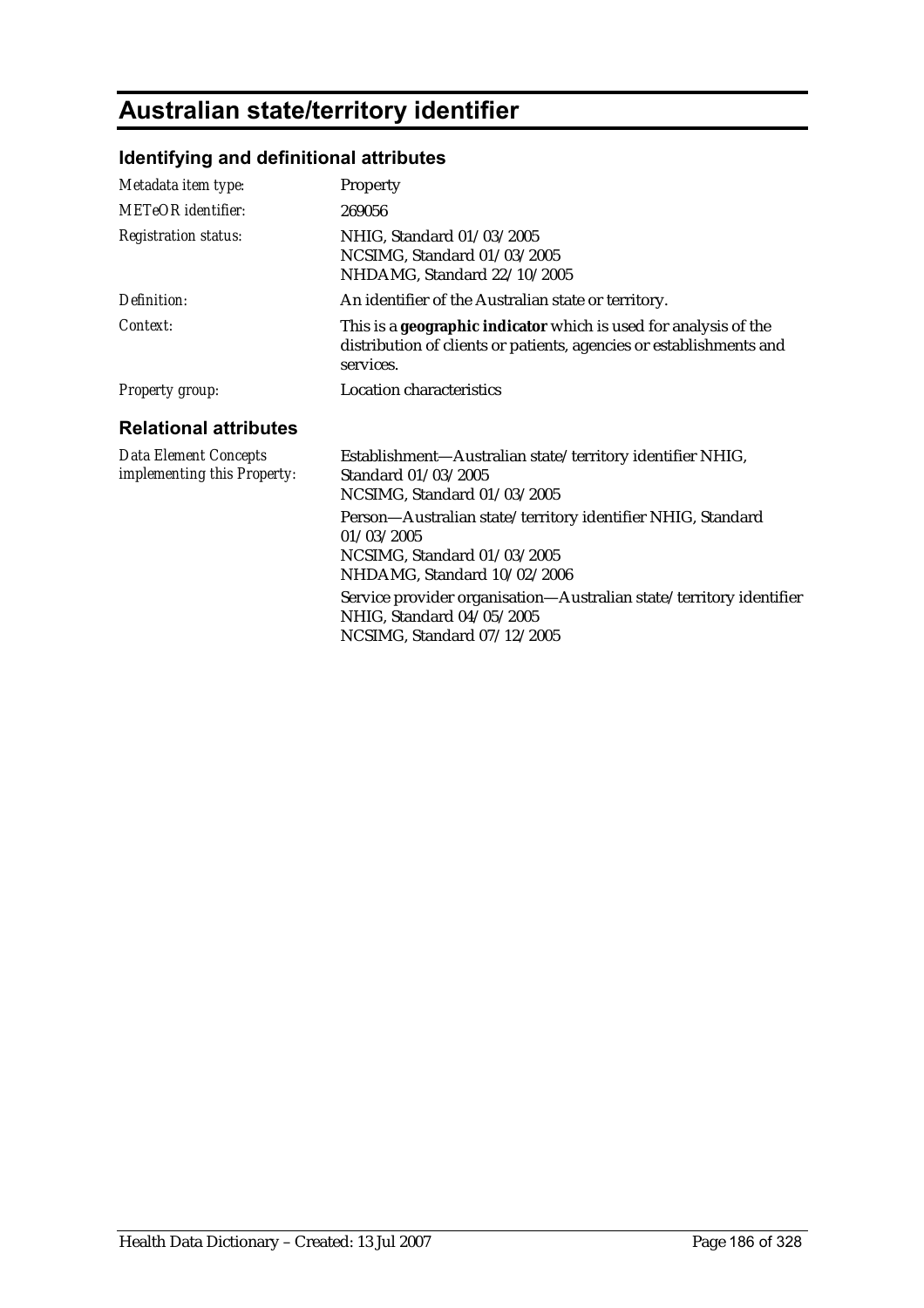# **Australian state/territory identifier**

## **Identifying and definitional attributes**

| Metadata item type:                                         | Property                                                                                                                                                                                                                                                                   |
|-------------------------------------------------------------|----------------------------------------------------------------------------------------------------------------------------------------------------------------------------------------------------------------------------------------------------------------------------|
| <b>METeOR</b> identifier:                                   | 269056                                                                                                                                                                                                                                                                     |
| <b>Registration status:</b>                                 | NHIG, Standard 01/03/2005<br>NCSIMG, Standard 01/03/2005<br>NHDAMG, Standard 22/10/2005                                                                                                                                                                                    |
| Definition:                                                 | An identifier of the Australian state or territory.                                                                                                                                                                                                                        |
| Context:                                                    | This is a <b>geographic indicator</b> which is used for analysis of the<br>distribution of clients or patients, agencies or establishments and<br>services.                                                                                                                |
| <b>Property group:</b>                                      | Location characteristics                                                                                                                                                                                                                                                   |
| <b>Relational attributes</b>                                |                                                                                                                                                                                                                                                                            |
| <b>Data Element Concepts</b><br>implementing this Property: | Establishment—Australian state/territory identifier NHIG,<br>Standard 01/03/2005<br>NCSIMG, Standard 01/03/2005                                                                                                                                                            |
|                                                             | Person-Australian state/territory identifier NHIG, Standard<br>01/03/2005<br>NCSIMG, Standard 01/03/2005<br>NHDAMG, Standard 10/02/2006<br>Service provider organisation-Australian state/territory identifier<br>NHIG, Standard 04/05/2005<br>NCSIMG, Standard 07/12/2005 |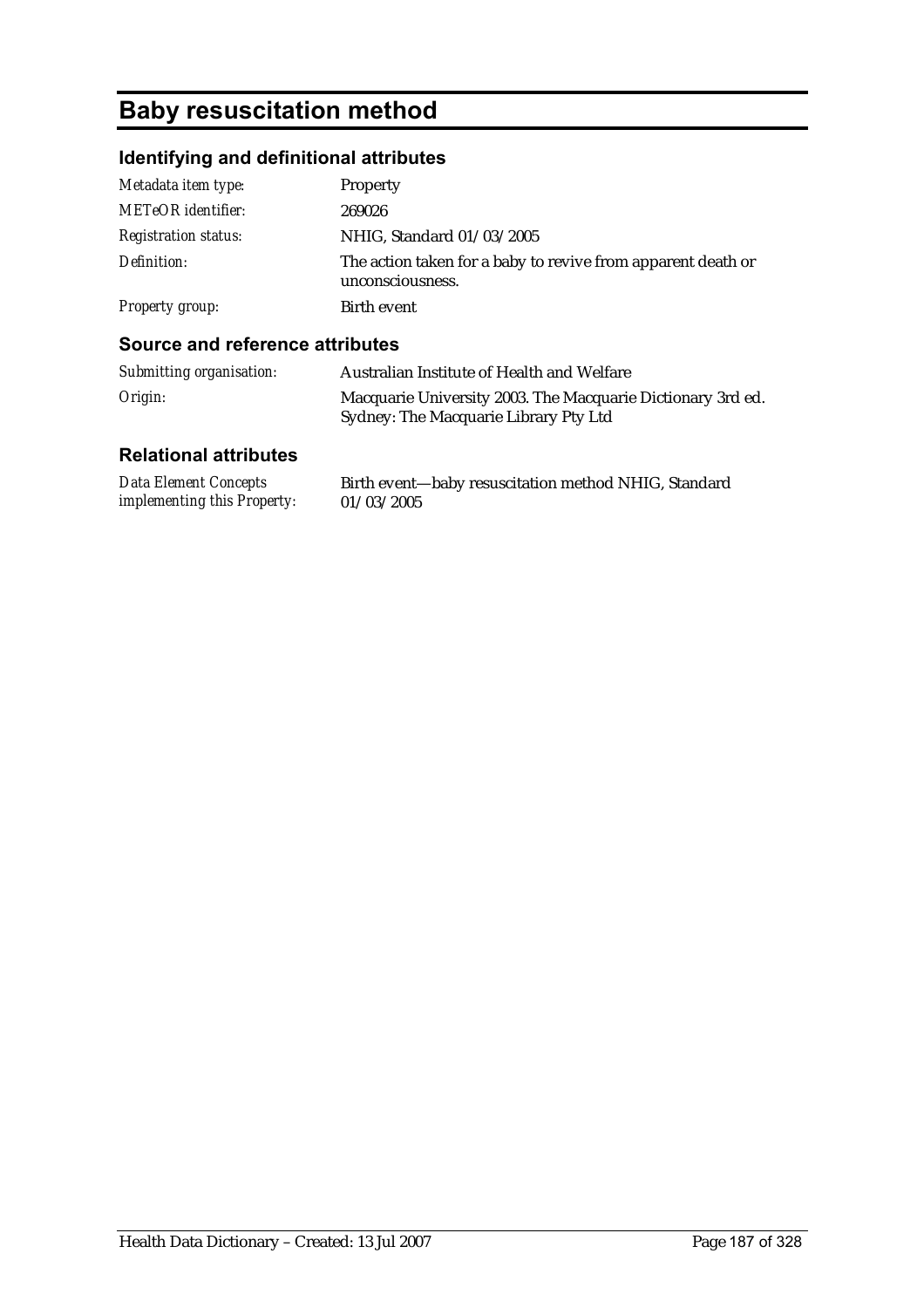# **Baby resuscitation method**

## **Identifying and definitional attributes**

| Metadata item type:         | Property                                                                         |
|-----------------------------|----------------------------------------------------------------------------------|
| <b>METeOR</b> identifier:   | 269026                                                                           |
| <b>Registration status:</b> | NHIG, Standard 01/03/2005                                                        |
| Definition:                 | The action taken for a baby to revive from apparent death or<br>unconsciousness. |
| <b>Property group:</b>      | Birth event                                                                      |

### **Source and reference attributes**

| Submitting organisation: | Australian Institute of Health and Welfare                                                           |
|--------------------------|------------------------------------------------------------------------------------------------------|
| Origin:                  | Macquarie University 2003. The Macquarie Dictionary 3rd ed.<br>Sydney: The Macquarie Library Pty Ltd |

| <b>Data Element Concepts</b>       | Birth event-baby resuscitation method NHIG, Standard |
|------------------------------------|------------------------------------------------------|
| <i>implementing this Property:</i> | 01/03/2005                                           |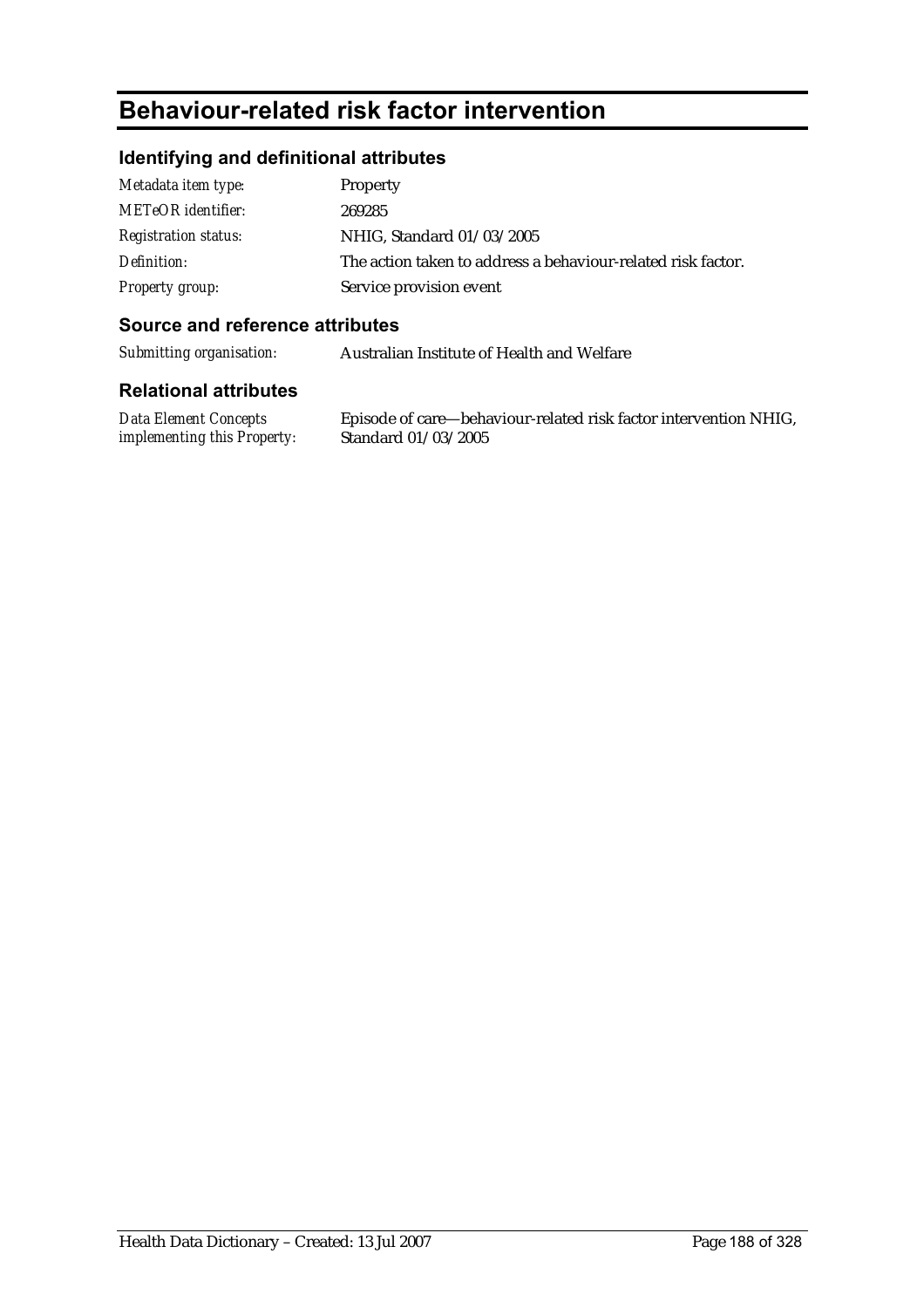## **Behaviour-related risk factor intervention**

### **Identifying and definitional attributes**

| Metadata item type:         | Property                                                     |
|-----------------------------|--------------------------------------------------------------|
| <b>METeOR</b> identifier:   | 269285                                                       |
| <i>Registration status:</i> | NHIG, Standard 01/03/2005                                    |
| Definition:                 | The action taken to address a behaviour-related risk factor. |
| <b>Property group:</b>      | Service provision event                                      |

### **Source and reference attributes**

*Submitting organisation:* Australian Institute of Health and Welfare

### **Relational attributes**

*Data Element Concepts implementing this Property:*

Episode of care—behaviour-related risk factor intervention NHIG, Standard 01/03/2005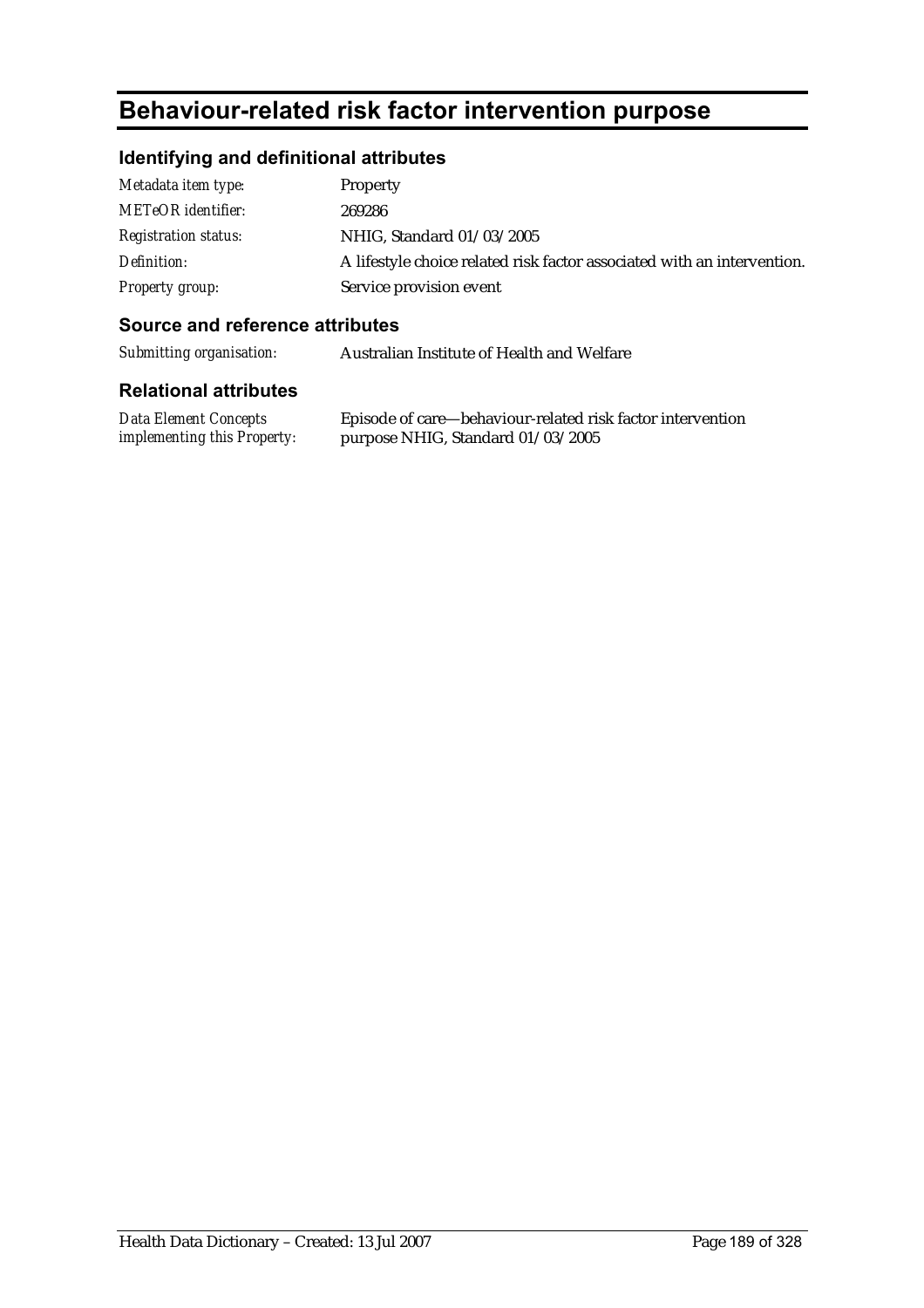# **Behaviour-related risk factor intervention purpose**

## **Identifying and definitional attributes**

| Metadata item type:         | <b>Property</b>                                                         |
|-----------------------------|-------------------------------------------------------------------------|
| <b>METeOR</b> identifier:   | 269286                                                                  |
| <i>Registration status:</i> | NHIG, Standard 01/03/2005                                               |
| Definition:                 | A lifestyle choice related risk factor associated with an intervention. |
| Property group:             | Service provision event                                                 |

### **Source and reference attributes**

*Submitting organisation:* Australian Institute of Health and Welfare

| <b>Data Element Concepts</b>       | Episode of care—behaviour-related risk factor intervention |
|------------------------------------|------------------------------------------------------------|
| <i>implementing this Property:</i> | purpose NHIG, Standard 01/03/2005                          |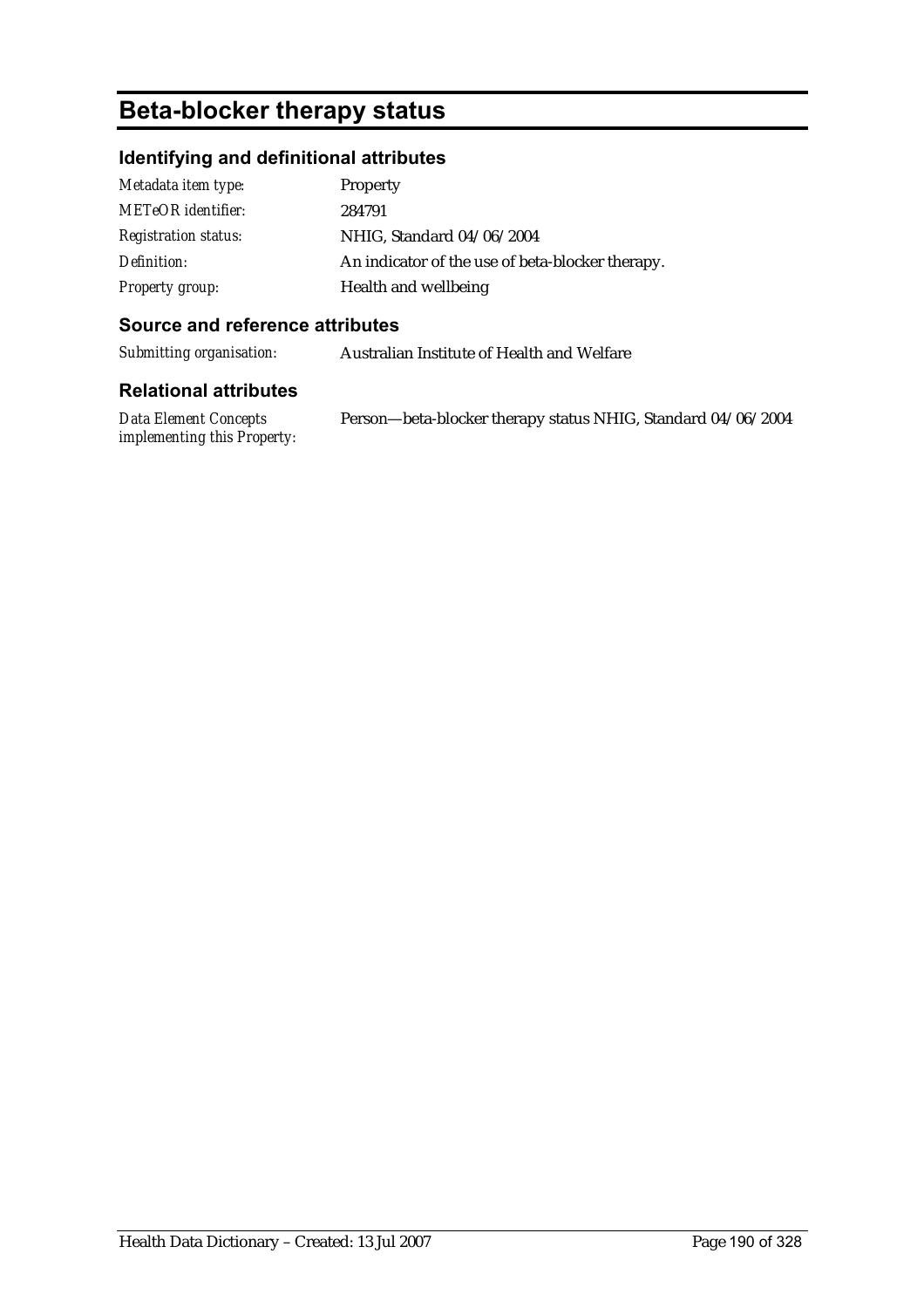# **Beta-blocker therapy status**

## **Identifying and definitional attributes**

| Metadata item type:         | <b>Property</b>                                  |
|-----------------------------|--------------------------------------------------|
| <b>METeOR</b> identifier:   | 284791                                           |
| <b>Registration status:</b> | NHIG, Standard 04/06/2004                        |
| Definition:                 | An indicator of the use of beta-blocker therapy. |
| <b>Property group:</b>      | Health and wellbeing                             |

### **Source and reference attributes**

*Submitting organisation:* Australian Institute of Health and Welfare

| Data Element Concepts              | Person—beta-blocker therapy status NHIG, Standard 04/06/2004 |
|------------------------------------|--------------------------------------------------------------|
| <i>implementing this Property:</i> |                                                              |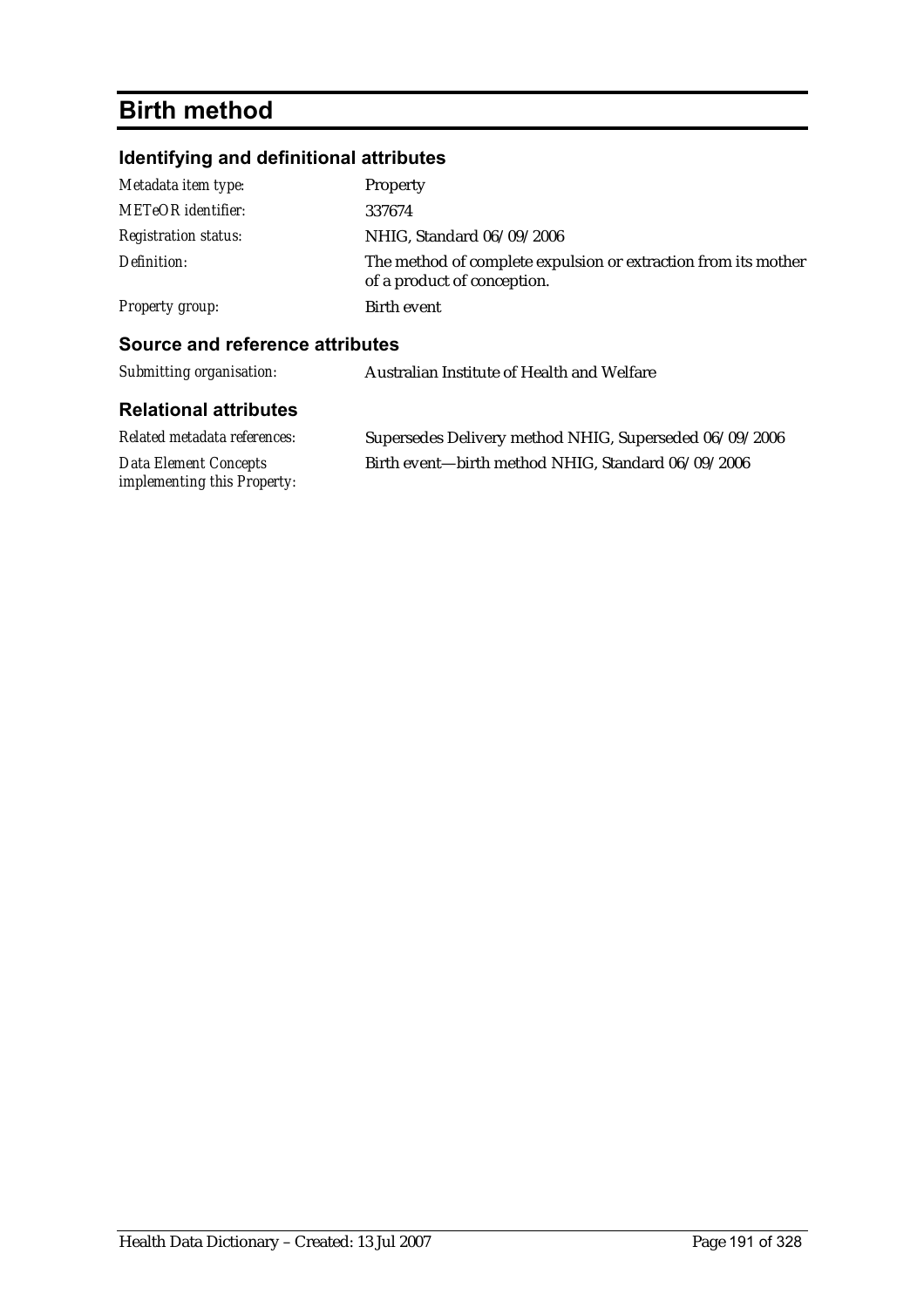# **Birth method**

## **Identifying and definitional attributes**

| Metadata item type:         | Property                                                                                      |
|-----------------------------|-----------------------------------------------------------------------------------------------|
| <b>METeOR</b> identifier:   | 337674                                                                                        |
| <b>Registration status:</b> | NHIG, Standard 06/09/2006                                                                     |
| Definition:                 | The method of complete expulsion or extraction from its mother<br>of a product of conception. |
| <b>Property group:</b>      | Birth event                                                                                   |
|                             |                                                                                               |

### **Source and reference attributes**

| Submitting organisation:                                    | Australian Institute of Health and Welfare             |  |
|-------------------------------------------------------------|--------------------------------------------------------|--|
| <b>Relational attributes</b>                                |                                                        |  |
| Related metadata references:                                | Supersedes Delivery method NHIG, Superseded 06/09/2006 |  |
| <b>Data Element Concepts</b><br>implementing this Property: | Birth event-birth method NHIG, Standard 06/09/2006     |  |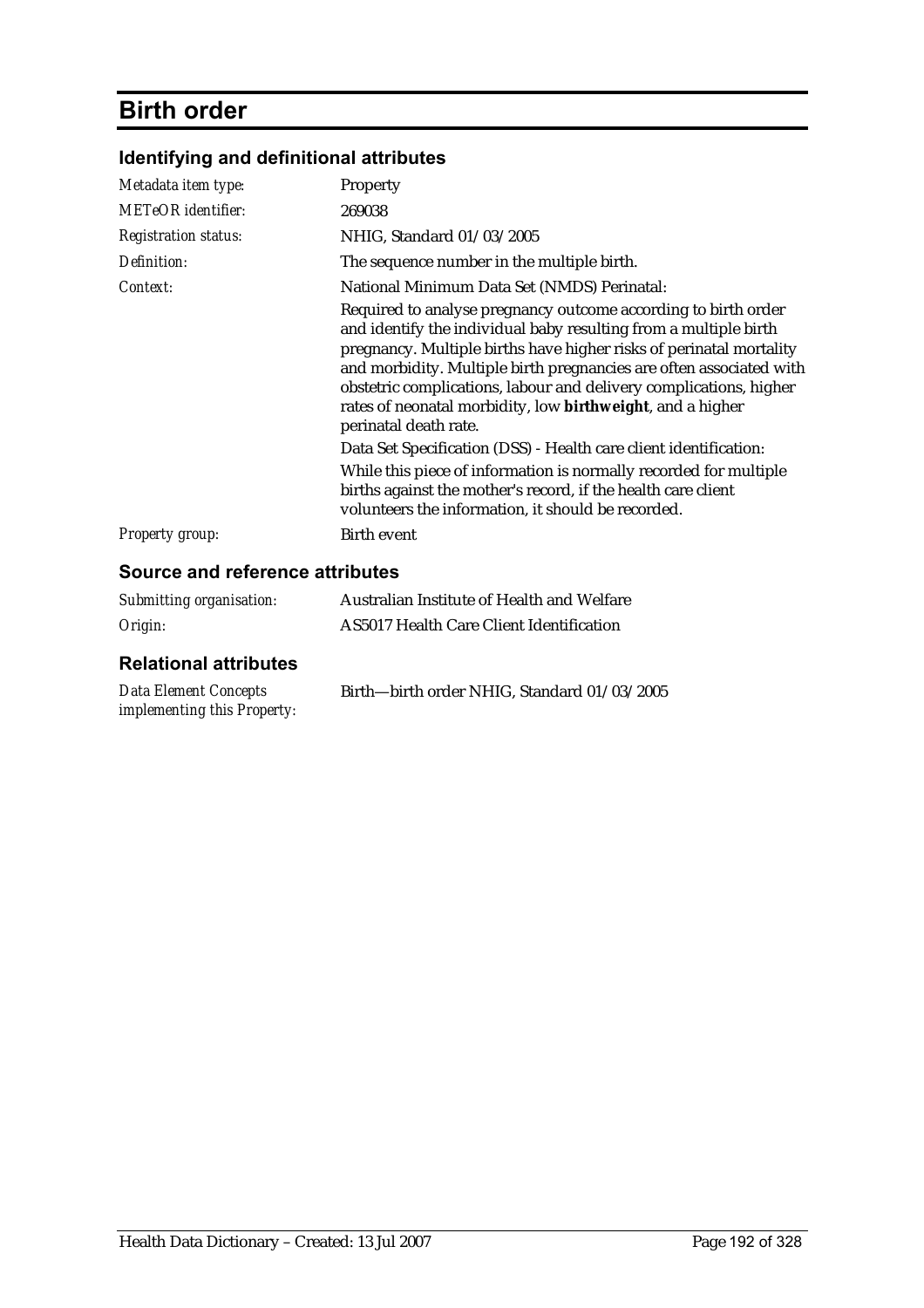# **Birth order**

| Identifying and definitional attributes |  |  |
|-----------------------------------------|--|--|
|-----------------------------------------|--|--|

| Metadata item type:                    | Property                                                                                                                                                                                                                                                                                                                                                                                                                                      |
|----------------------------------------|-----------------------------------------------------------------------------------------------------------------------------------------------------------------------------------------------------------------------------------------------------------------------------------------------------------------------------------------------------------------------------------------------------------------------------------------------|
| <b>METeOR</b> identifier:              | 269038                                                                                                                                                                                                                                                                                                                                                                                                                                        |
| <b>Registration status:</b>            | NHIG, Standard 01/03/2005                                                                                                                                                                                                                                                                                                                                                                                                                     |
| Definition:                            | The sequence number in the multiple birth.                                                                                                                                                                                                                                                                                                                                                                                                    |
| Context:                               | National Minimum Data Set (NMDS) Perinatal:                                                                                                                                                                                                                                                                                                                                                                                                   |
|                                        | Required to analyse pregnancy outcome according to birth order<br>and identify the individual baby resulting from a multiple birth<br>pregnancy. Multiple births have higher risks of perinatal mortality<br>and morbidity. Multiple birth pregnancies are often associated with<br>obstetric complications, labour and delivery complications, higher<br>rates of neonatal morbidity, low birthweight, and a higher<br>perinatal death rate. |
|                                        | Data Set Specification (DSS) - Health care client identification:                                                                                                                                                                                                                                                                                                                                                                             |
|                                        | While this piece of information is normally recorded for multiple<br>births against the mother's record, if the health care client<br>volunteers the information, it should be recorded.                                                                                                                                                                                                                                                      |
| <b>Property group:</b>                 | Birth event                                                                                                                                                                                                                                                                                                                                                                                                                                   |
| <b>Source and reference attributes</b> |                                                                                                                                                                                                                                                                                                                                                                                                                                               |

| Submitting organisation: | Australian Institute of Health and Welfare      |
|--------------------------|-------------------------------------------------|
| Origin:                  | <b>AS5017 Health Care Client Identification</b> |

| Data Element Concepts              | Birth—birth order NHIG, Standard 01/03/2005 |
|------------------------------------|---------------------------------------------|
| <i>implementing this Property:</i> |                                             |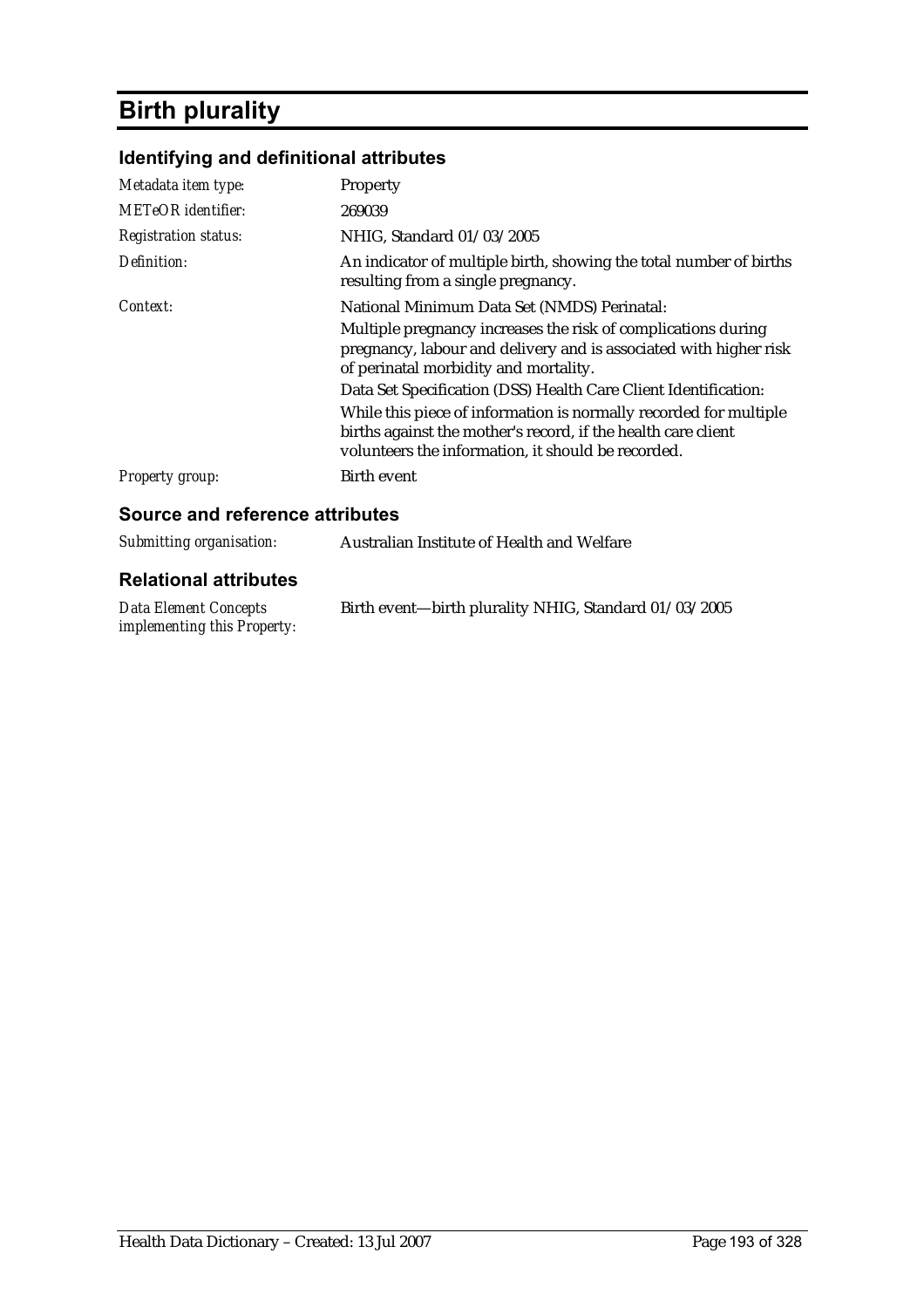# **Birth plurality**

## **Identifying and definitional attributes**

| Metadata item type:         | <b>Property</b>                                                                                                                                                                          |
|-----------------------------|------------------------------------------------------------------------------------------------------------------------------------------------------------------------------------------|
| <b>METeOR</b> identifier:   | 269039                                                                                                                                                                                   |
| <b>Registration status:</b> | NHIG, Standard 01/03/2005                                                                                                                                                                |
| Definition:                 | An indicator of multiple birth, showing the total number of births<br>resulting from a single pregnancy.                                                                                 |
| Context:                    | National Minimum Data Set (NMDS) Perinatal:                                                                                                                                              |
|                             | Multiple pregnancy increases the risk of complications during<br>pregnancy, labour and delivery and is associated with higher risk<br>of perinatal morbidity and mortality.              |
|                             | Data Set Specification (DSS) Health Care Client Identification:                                                                                                                          |
|                             | While this piece of information is normally recorded for multiple<br>births against the mother's record, if the health care client<br>volunteers the information, it should be recorded. |
| <i>Property group:</i>      | Birth event                                                                                                                                                                              |

### **Source and reference attributes**

| Submitting organisation:                                           | Australian Institute of Health and Welfare            |
|--------------------------------------------------------------------|-------------------------------------------------------|
| <b>Relational attributes</b>                                       |                                                       |
| <b>Data Element Concepts</b><br><i>implementing this Property:</i> | Birth event—birth plurality NHIG, Standard 01/03/2005 |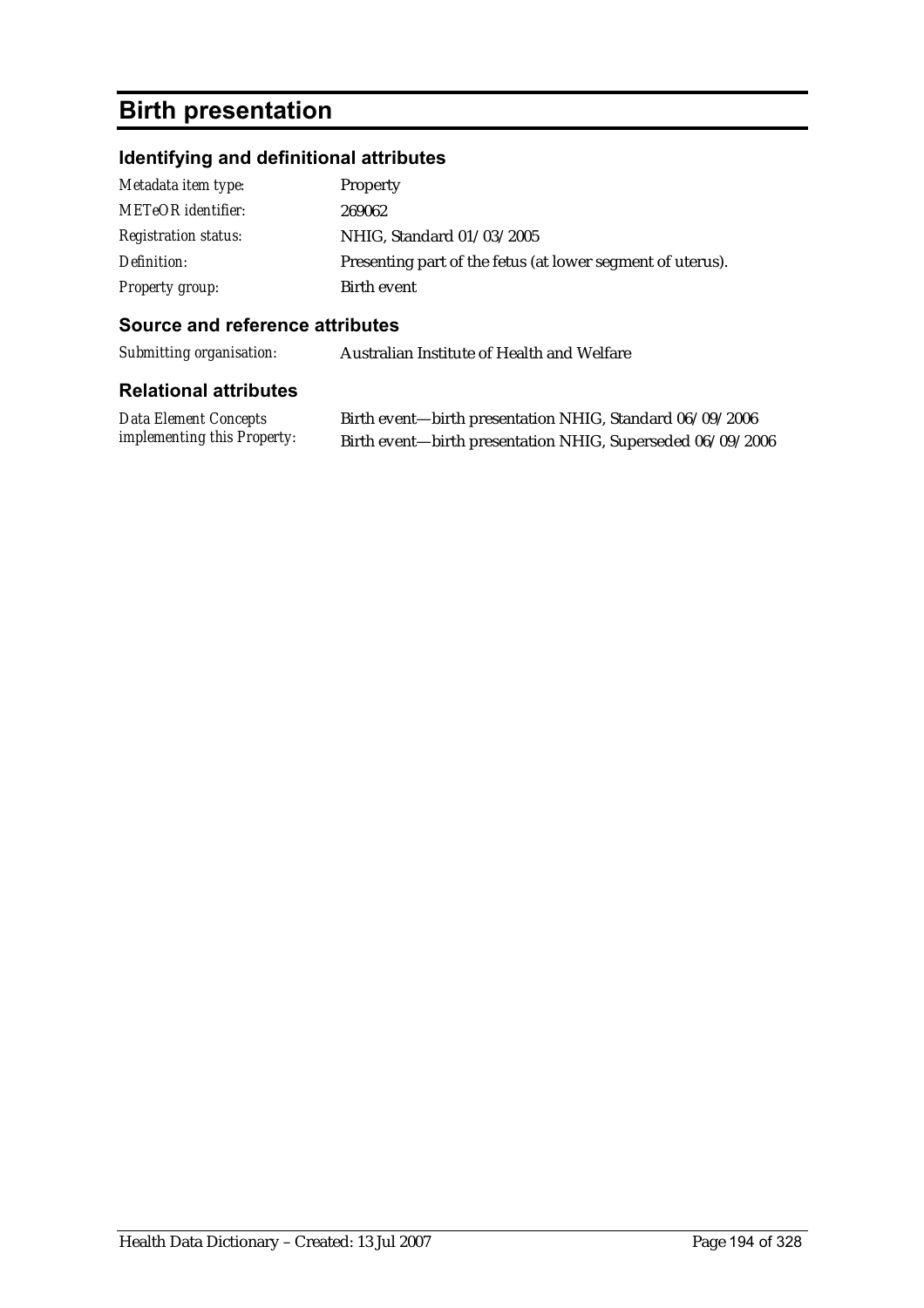# **Birth presentation**

## **Identifying and definitional attributes**

| Metadata item type:         | <b>Property</b>                                            |
|-----------------------------|------------------------------------------------------------|
| <b>METeOR</b> identifier:   | 269062                                                     |
| <b>Registration status:</b> | NHIG, Standard 01/03/2005                                  |
| Definition:                 | Presenting part of the fetus (at lower segment of uterus). |
| Property group:             | Birth event                                                |

### **Source and reference attributes**

*Submitting organisation:* Australian Institute of Health and Welfare

| <b>Data Element Concepts</b>       | Birth event—birth presentation NHIG, Standard 06/09/2006   |
|------------------------------------|------------------------------------------------------------|
| <i>implementing this Property:</i> | Birth event-birth presentation NHIG, Superseded 06/09/2006 |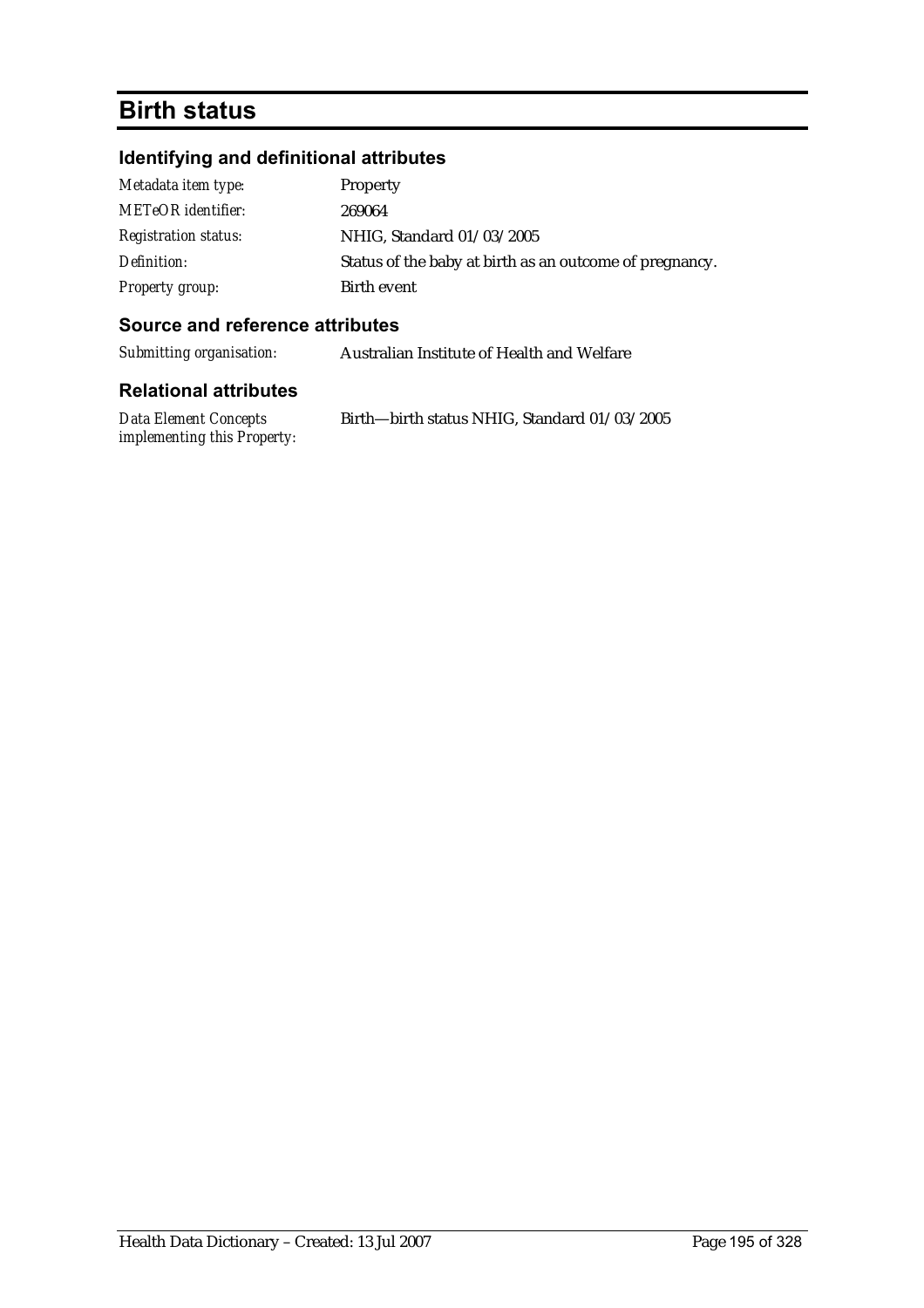## **Birth status**

## **Identifying and definitional attributes**

| Metadata item type:         | Property                                                |
|-----------------------------|---------------------------------------------------------|
| METeOR identifier:          | 269064                                                  |
| <b>Registration status:</b> | NHIG, Standard 01/03/2005                               |
| Definition:                 | Status of the baby at birth as an outcome of pregnancy. |
| <b>Property group:</b>      | Birth event                                             |

### **Source and reference attributes**

*Submitting organisation:* Australian Institute of Health and Welfare

| Data Element Concepts              | Birth-birth status NHIG, Standard 01/03/2005 |
|------------------------------------|----------------------------------------------|
| <i>implementing this Property:</i> |                                              |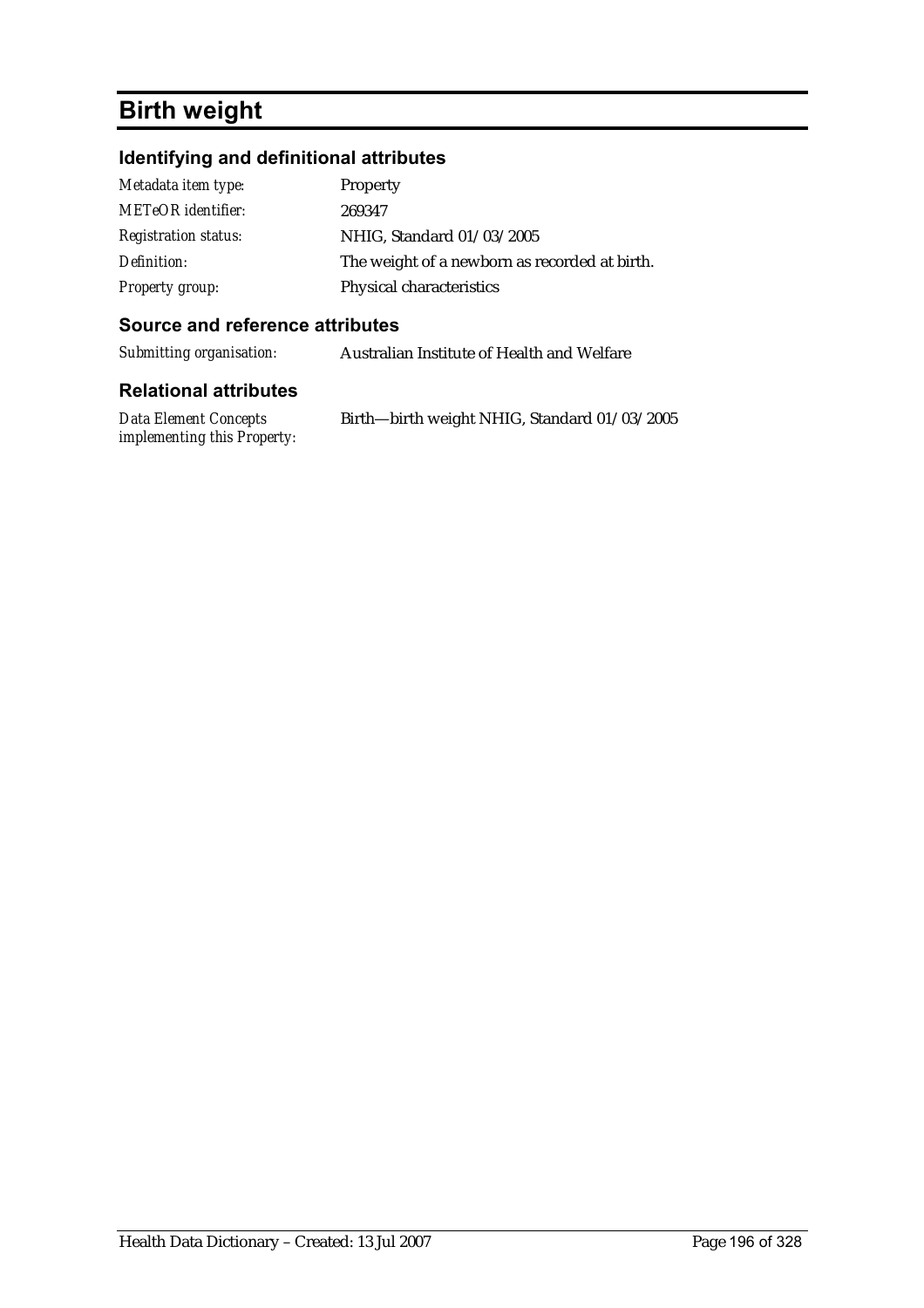# **Birth weight**

## **Identifying and definitional attributes**

| Metadata item type:         | Property                                      |
|-----------------------------|-----------------------------------------------|
| <b>METeOR</b> identifier:   | 269347                                        |
| <b>Registration status:</b> | NHIG, Standard 01/03/2005                     |
| Definition:                 | The weight of a newborn as recorded at birth. |
| <b>Property group:</b>      | Physical characteristics                      |

### **Source and reference attributes**

| Submitting organisation: | Australian Institute of Health and Welfare |
|--------------------------|--------------------------------------------|
|--------------------------|--------------------------------------------|

| Data Element Concepts              | Birth-birth weight NHIG, Standard 01/03/2005 |
|------------------------------------|----------------------------------------------|
| <i>implementing this Property:</i> |                                              |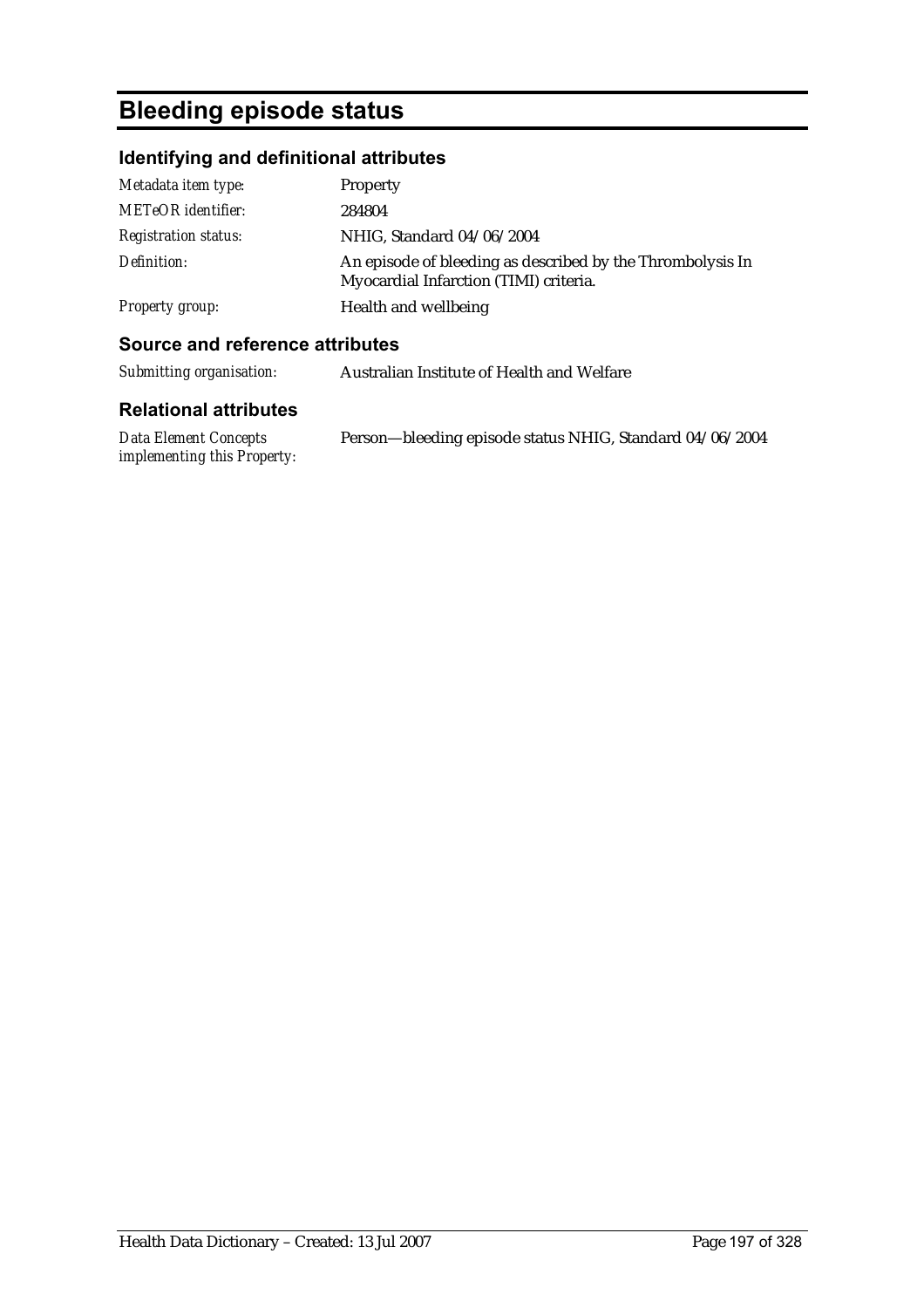# **Bleeding episode status**

## **Identifying and definitional attributes**

| Metadata item type:         | Property                                                                                             |
|-----------------------------|------------------------------------------------------------------------------------------------------|
| METeOR identifier:          | 284804                                                                                               |
| <i>Registration status:</i> | NHIG, Standard 04/06/2004                                                                            |
| Definition:                 | An episode of bleeding as described by the Thrombolysis In<br>Myocardial Infarction (TIMI) criteria. |
| <b>Property group:</b>      | Health and wellbeing                                                                                 |

### **Source and reference attributes**

| Submitting organisation:     | Australian Institute of Health and Welfare |
|------------------------------|--------------------------------------------|
| <b>Relational attributes</b> |                                            |

| Data Element Concepts       | Person—bleeding episode status NHIG, Standard 04/06/2004 |
|-----------------------------|----------------------------------------------------------|
| implementing this Property: |                                                          |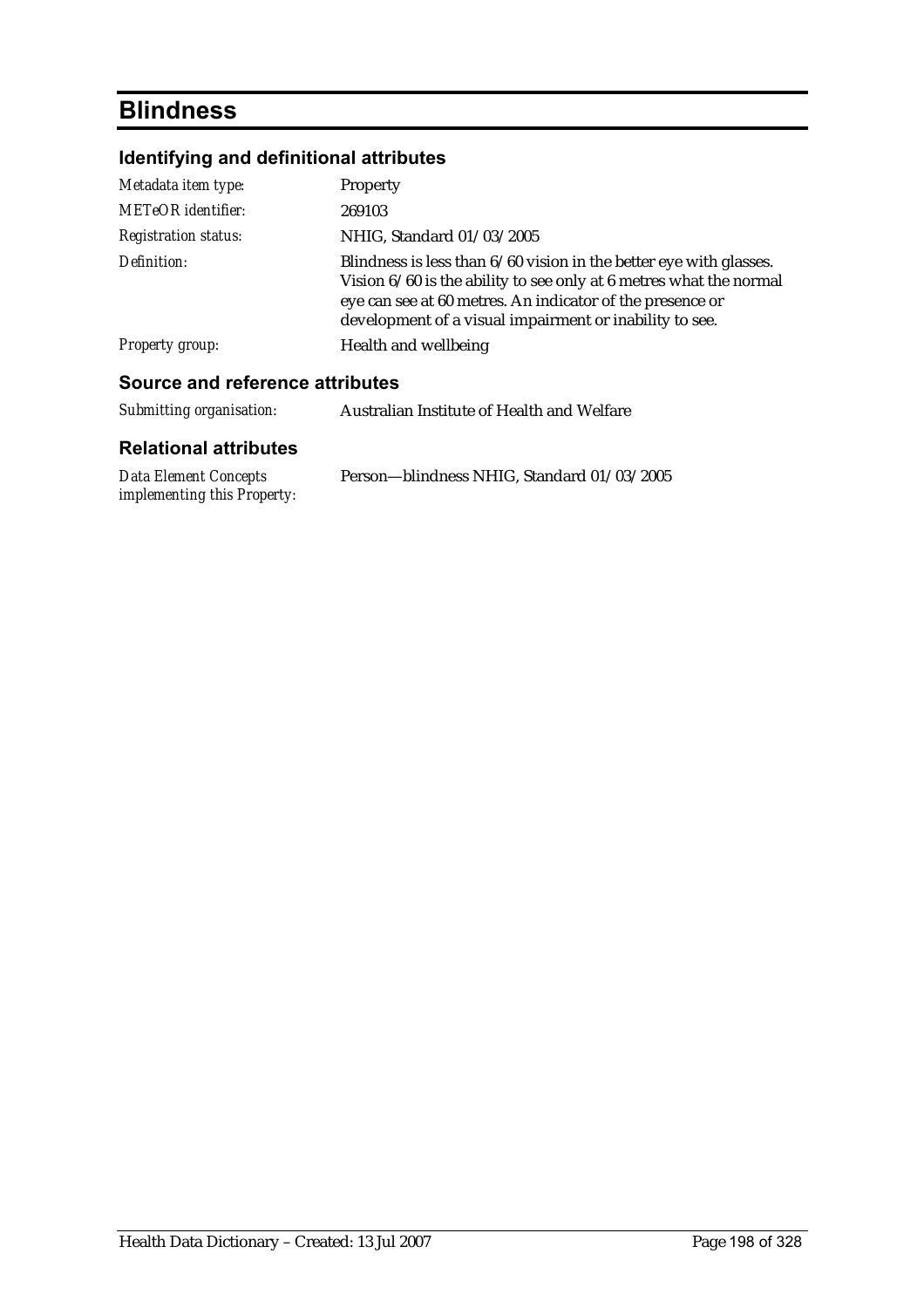# **Blindness**

## **Identifying and definitional attributes**

| Metadata item type:                    | Property                                                                                                                                                                                                                                                           |  |
|----------------------------------------|--------------------------------------------------------------------------------------------------------------------------------------------------------------------------------------------------------------------------------------------------------------------|--|
| <b>METeOR</b> identifier:              | 269103                                                                                                                                                                                                                                                             |  |
| <b>Registration status:</b>            | NHIG, Standard 01/03/2005                                                                                                                                                                                                                                          |  |
| Definition:                            | Blindness is less than $6/60$ vision in the better eye with glasses.<br>Vision 6/60 is the ability to see only at 6 metres what the normal<br>eye can see at 60 metres. An indicator of the presence or<br>development of a visual impairment or inability to see. |  |
| Property group:                        | Health and wellbeing                                                                                                                                                                                                                                               |  |
| <b>Source and reference attributes</b> |                                                                                                                                                                                                                                                                    |  |
| Submitting organisation:               | Australian Institute of Health and Welfare                                                                                                                                                                                                                         |  |

| <b>Data Element Concepts</b>       | Person-blindness NHIG, Standard 01/03/2005 |
|------------------------------------|--------------------------------------------|
| <i>implementing this Property:</i> |                                            |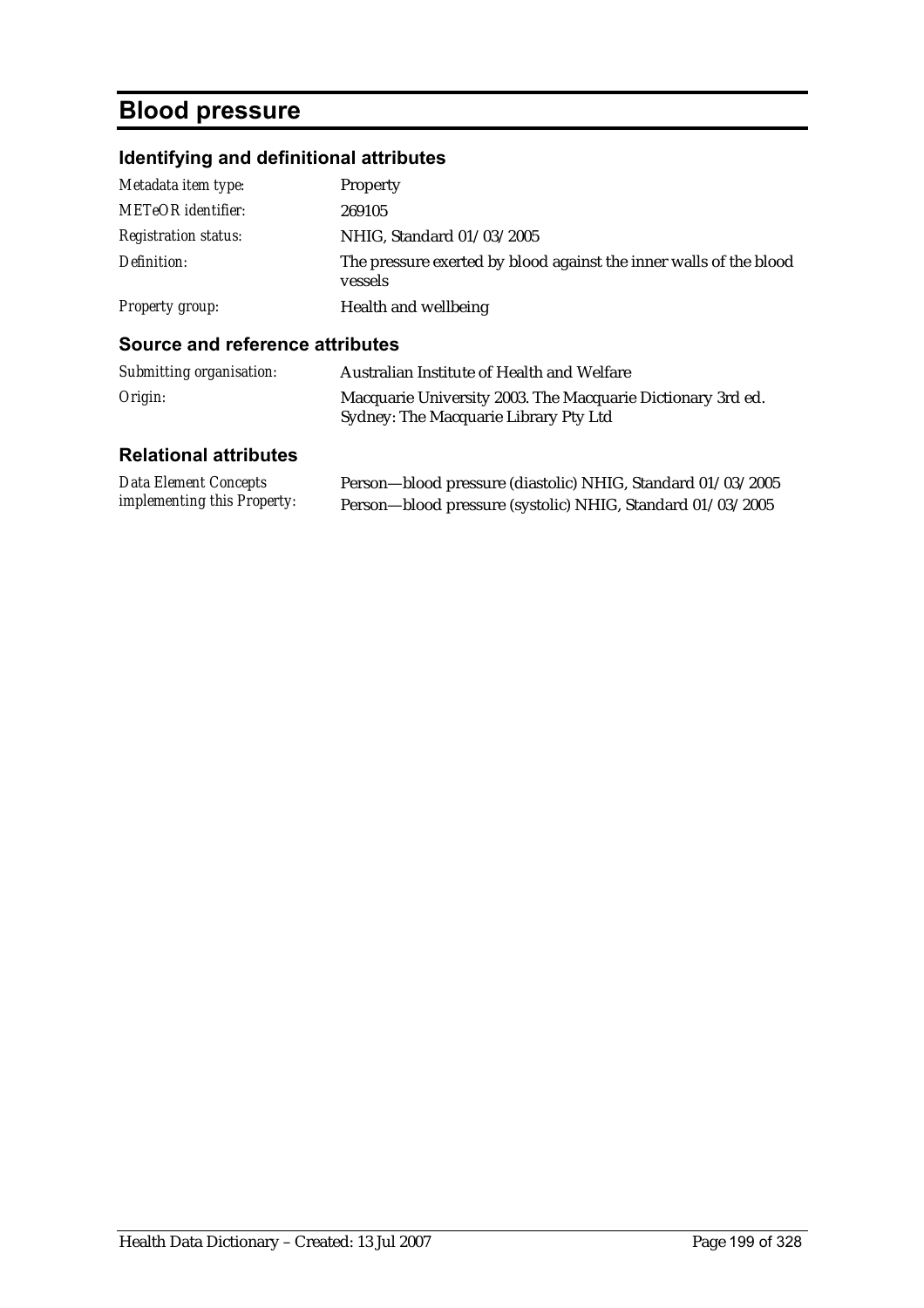## **Blood pressure**

## **Identifying and definitional attributes**

| Metadata item type:         | <b>Property</b>                                                               |
|-----------------------------|-------------------------------------------------------------------------------|
| <b>METeOR</b> identifier:   | 269105                                                                        |
| <b>Registration status:</b> | NHIG, Standard 01/03/2005                                                     |
| Definition:                 | The pressure exerted by blood against the inner walls of the blood<br>vessels |
| Property group:             | Health and wellbeing                                                          |

#### **Source and reference attributes**

| Submitting organisation:     | Australian Institute of Health and Welfare                                                           |
|------------------------------|------------------------------------------------------------------------------------------------------|
| Origin:                      | Macquarie University 2003. The Macquarie Dictionary 3rd ed.<br>Sydney: The Macquarie Library Pty Ltd |
| <b>Relational attributes</b> |                                                                                                      |

| Data Element Concepts              | Person-blood pressure (diastolic) NHIG, Standard 01/03/2005 |
|------------------------------------|-------------------------------------------------------------|
| <i>implementing this Property:</i> | Person-blood pressure (systolic) NHIG, Standard 01/03/2005  |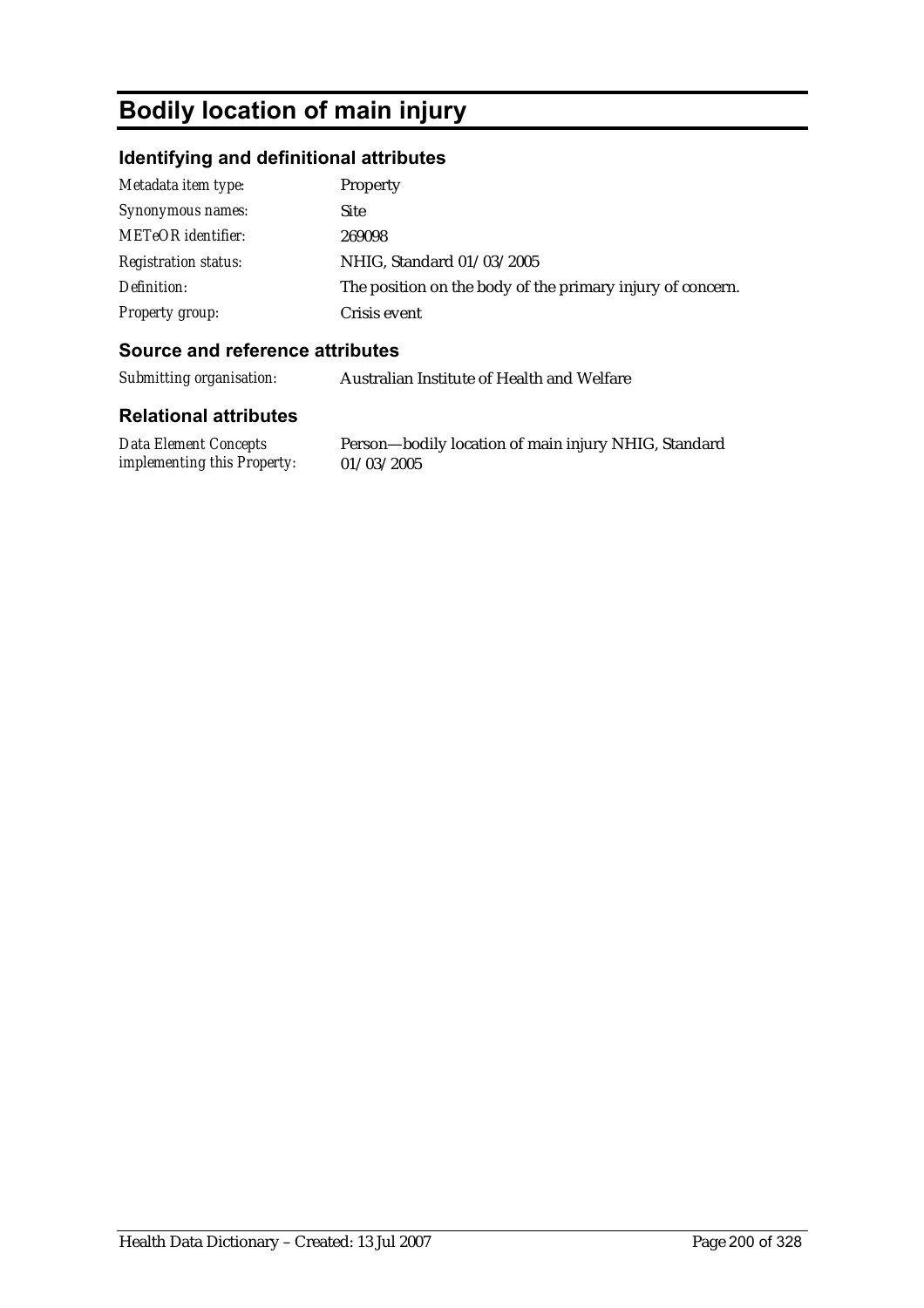# **Bodily location of main injury**

## **Identifying and definitional attributes**

| Metadata item type:         | Property                                                   |
|-----------------------------|------------------------------------------------------------|
| Synonymous names:           | <b>Site</b>                                                |
| METeOR identifier:          | 269098                                                     |
| <b>Registration status:</b> | NHIG, Standard 01/03/2005                                  |
| Definition:                 | The position on the body of the primary injury of concern. |
| <b>Property group:</b>      | Crisis event                                               |

### **Source and reference attributes**

*Submitting organisation:* Australian Institute of Health and Welfare

| Data Element Concepts              | Person-bodily location of main injury NHIG, Standard |
|------------------------------------|------------------------------------------------------|
| <i>implementing this Property:</i> | 01/03/2005                                           |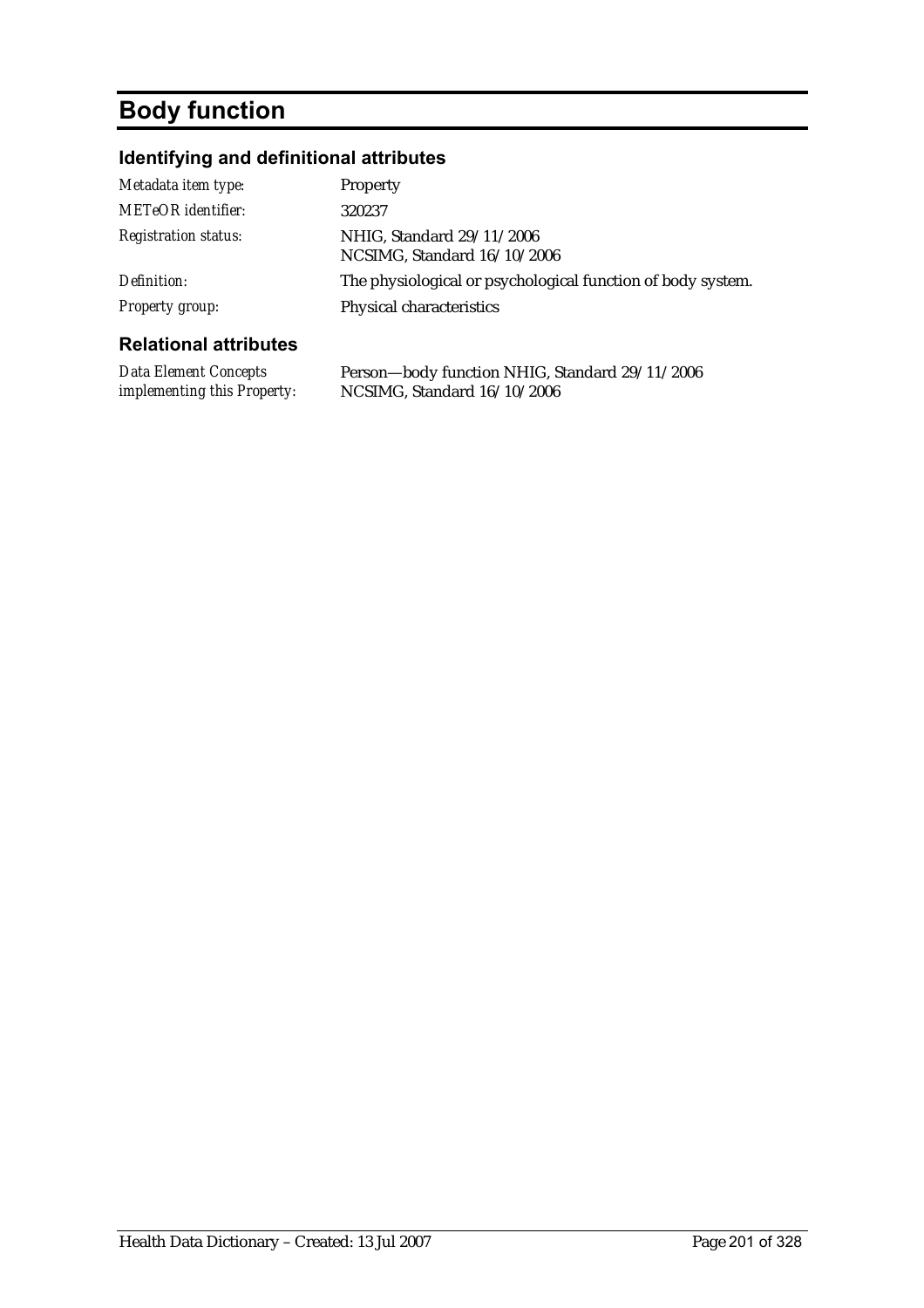# **Body function**

## **Identifying and definitional attributes**

| Metadata item type:          | Property                                                    |
|------------------------------|-------------------------------------------------------------|
| METeOR identifier:           | 320237                                                      |
| <b>Registration status:</b>  | NHIG, Standard 29/11/2006<br>NCSIMG, Standard 16/10/2006    |
| Definition:                  | The physiological or psychological function of body system. |
| Property group:              | Physical characteristics                                    |
| <b>Relational attributes</b> |                                                             |

| <b>Data Element Concepts</b>       | Person—body function NHIG, Standard 29/11/2006 |
|------------------------------------|------------------------------------------------|
| <i>implementing this Property:</i> | NCSIMG, Standard $16/10/2006$                  |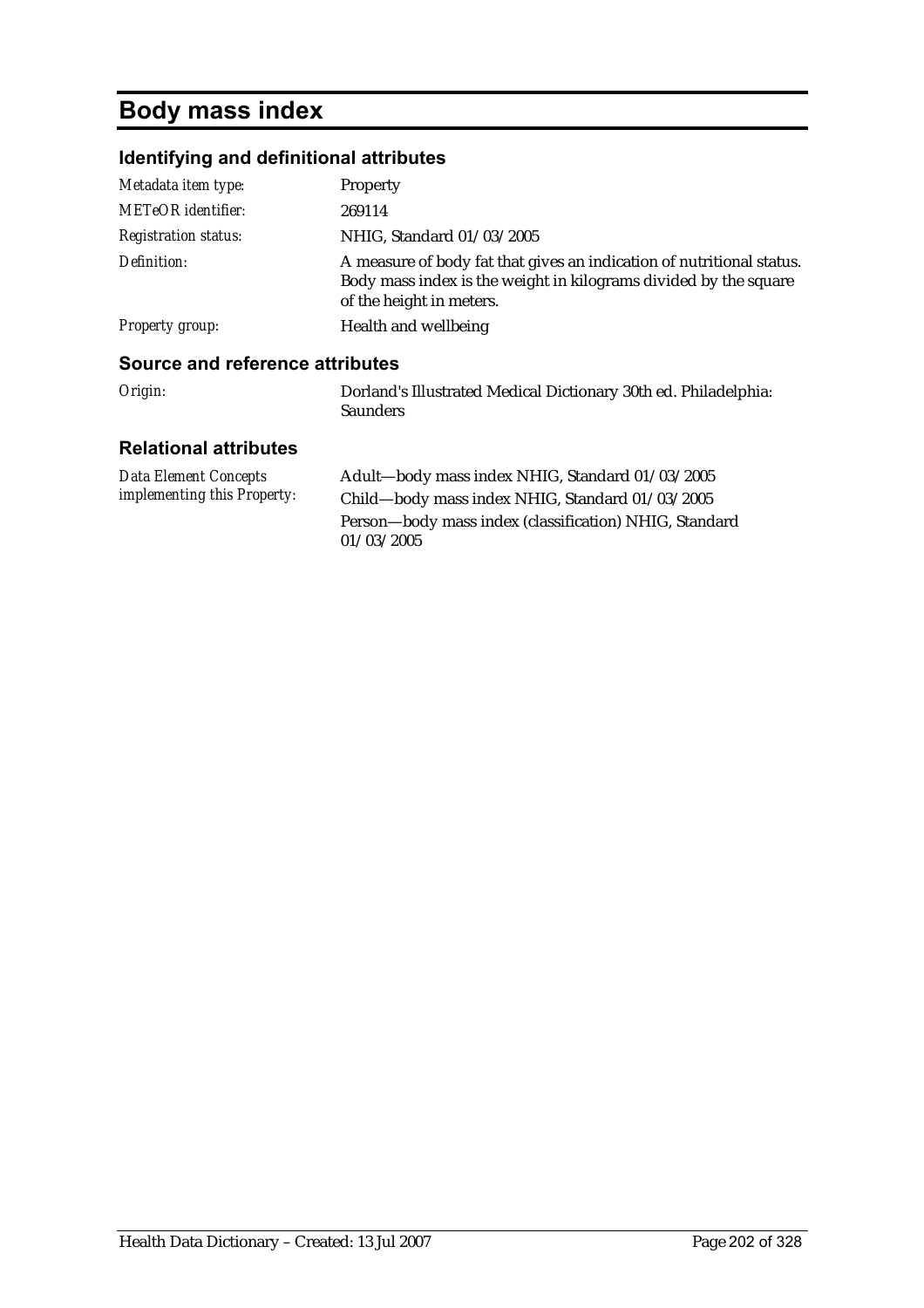# **Body mass index**

## **Identifying and definitional attributes**

| Metadata item type:                    | <b>Property</b>                                                                                                                                                       |
|----------------------------------------|-----------------------------------------------------------------------------------------------------------------------------------------------------------------------|
| METeOR identifier:                     | 269114                                                                                                                                                                |
| <b>Registration status:</b>            | NHIG, Standard 01/03/2005                                                                                                                                             |
| Definition:                            | A measure of body fat that gives an indication of nutritional status.<br>Body mass index is the weight in kilograms divided by the square<br>of the height in meters. |
| Property group:                        | Health and wellbeing                                                                                                                                                  |
| <b>Source and reference attributes</b> |                                                                                                                                                                       |
| Origin:                                | Dorland's Illustrated Medical Dictionary 30th ed. Philadelphia:<br><b>Saunders</b>                                                                                    |

| Data Element Concepts              | Adult-body mass index NHIG, Standard 01/03/2005        |
|------------------------------------|--------------------------------------------------------|
| <i>implementing this Property:</i> | Child-body mass index NHIG, Standard 01/03/2005        |
|                                    | Person-body mass index (classification) NHIG, Standard |
|                                    | 01/03/2005                                             |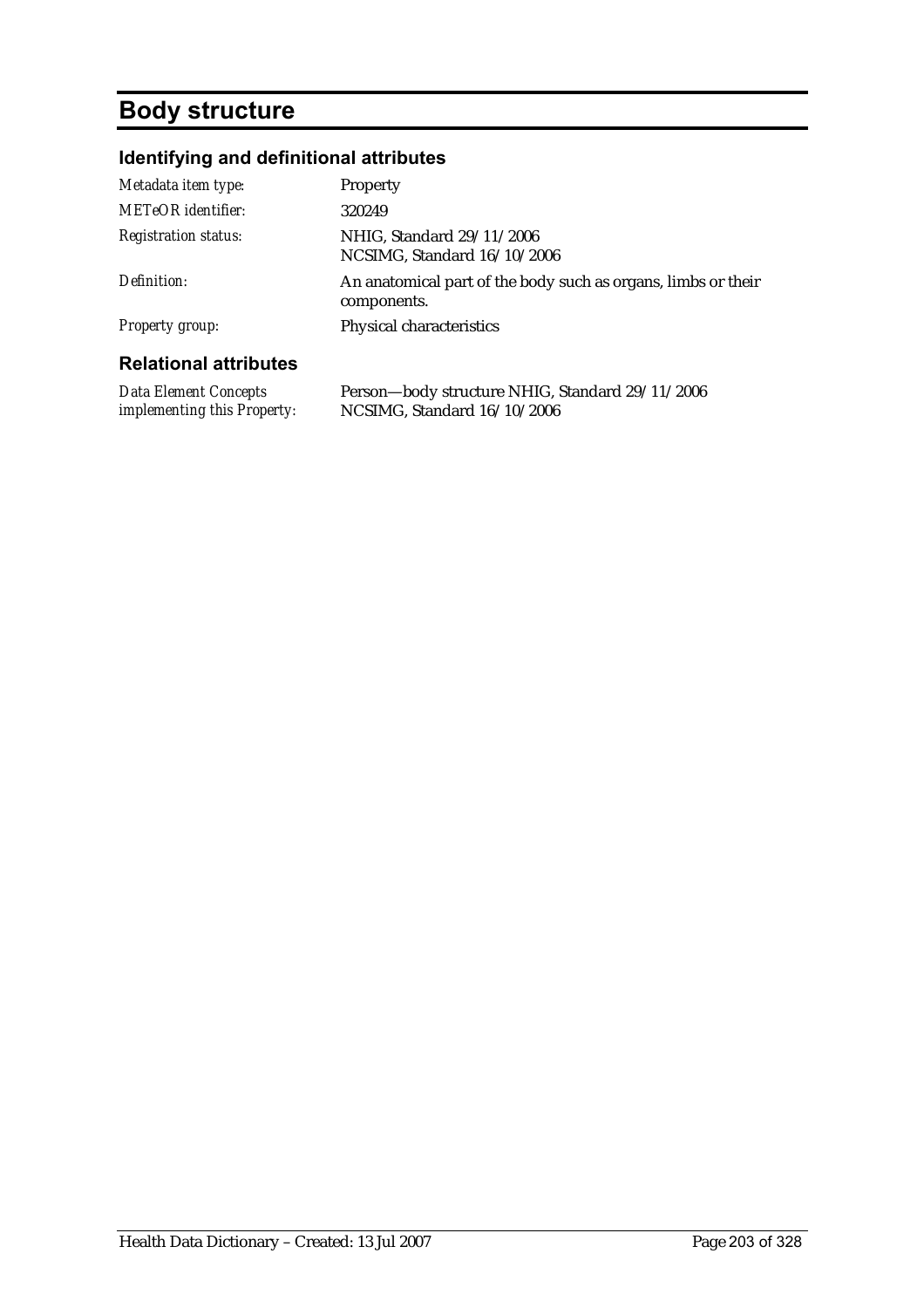## **Body structure**

## **Identifying and definitional attributes**

| Metadata item type:                                  | Property                                                                       |
|------------------------------------------------------|--------------------------------------------------------------------------------|
| <b>METeOR</b> identifier:                            | 320249                                                                         |
| <b>Registration status:</b>                          | NHIG, Standard 29/11/2006<br>NCSIMG, Standard 16/10/2006                       |
| Definition:                                          | An anatomical part of the body such as organs, limbs or their<br>components.   |
| <b>Property group:</b>                               | Physical characteristics                                                       |
| <b>Relational attributes</b>                         |                                                                                |
| Data Element Concepts<br>implementing this Property: | Person-body structure NHIG, Standard 29/11/2006<br>NCSIMG, Standard 16/10/2006 |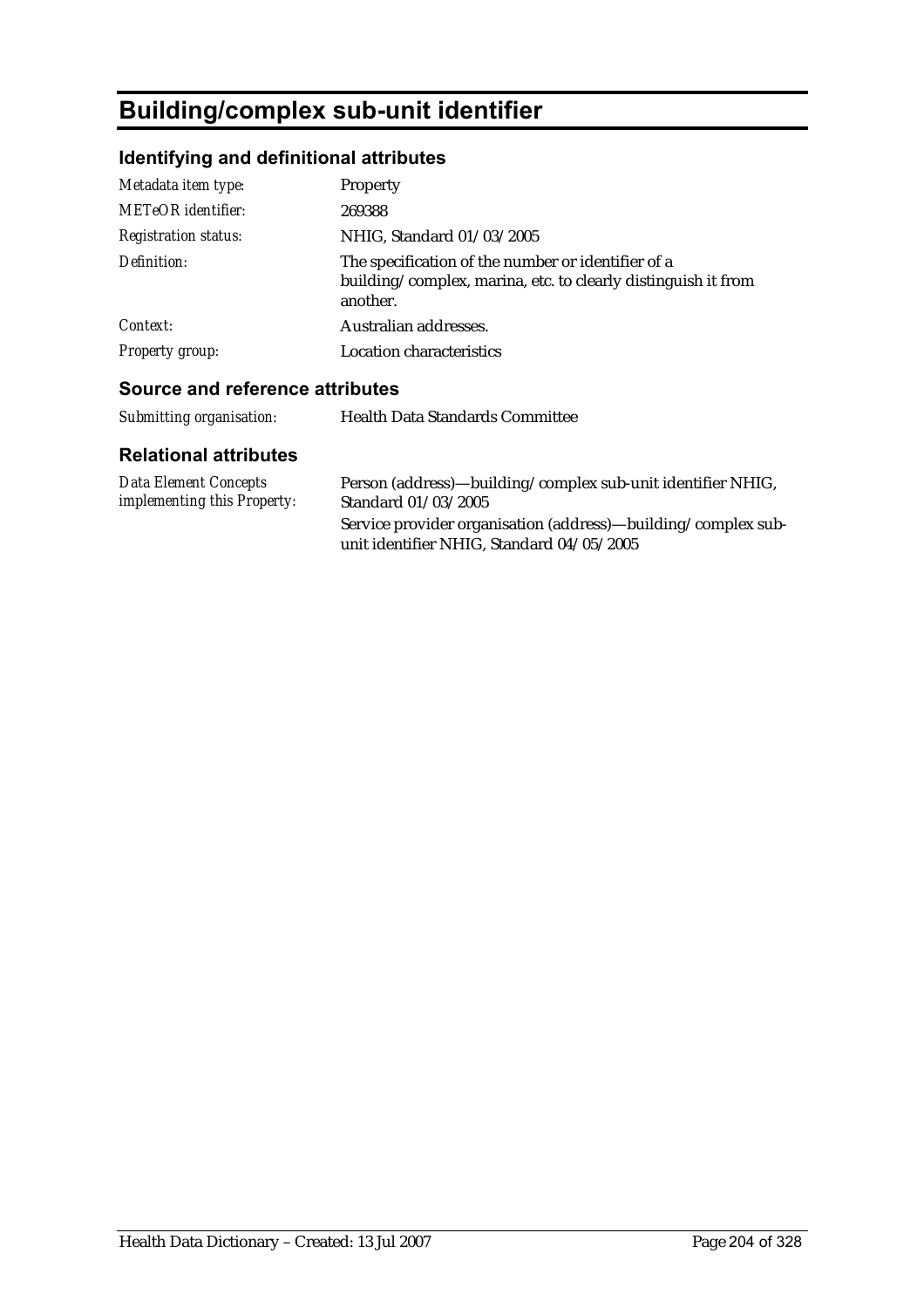# **Building/complex sub-unit identifier**

## **Identifying and definitional attributes**

| Metadata item type:<br><b>METeOR</b> identifier: | Property<br>269388                                                                                                              |
|--------------------------------------------------|---------------------------------------------------------------------------------------------------------------------------------|
| <b>Registration status:</b>                      | NHIG, Standard 01/03/2005                                                                                                       |
| Definition:                                      | The specification of the number or identifier of a<br>building/complex, marina, etc. to clearly distinguish it from<br>another. |
| Context:                                         | Australian addresses.                                                                                                           |
| Property group:                                  | <b>Location characteristics</b>                                                                                                 |

### **Source and reference attributes**

*Submitting organisation:* Health Data Standards Committee

| Data Element Concepts              | Person (address)—building/complex sub-unit identifier NHIG,                                                |
|------------------------------------|------------------------------------------------------------------------------------------------------------|
| <i>implementing this Property:</i> | Standard 01/03/2005                                                                                        |
|                                    | Service provider organisation (address)—building/complex sub-<br>unit identifier NHIG, Standard 04/05/2005 |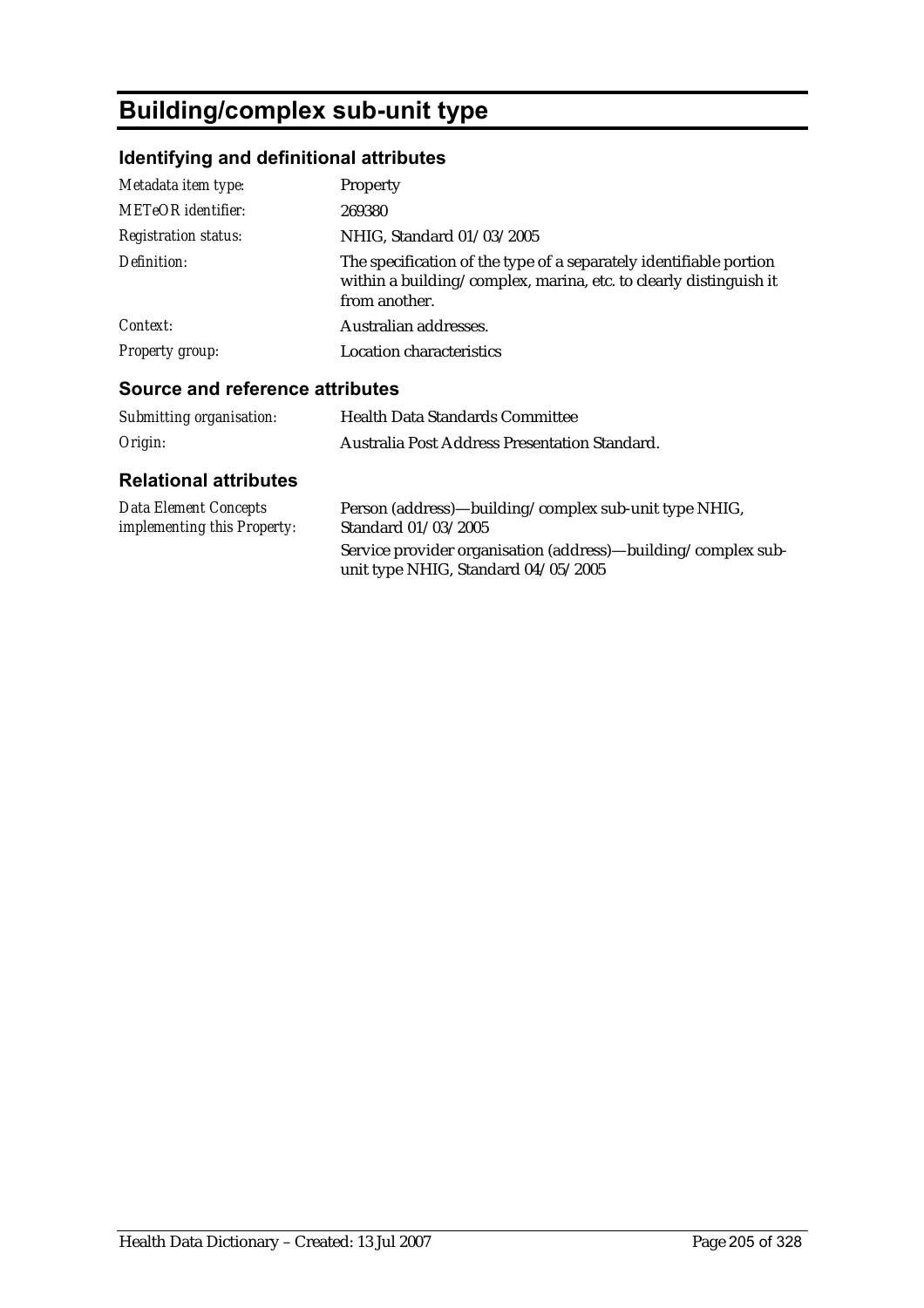# **Building/complex sub-unit type**

## **Identifying and definitional attributes**

| Metadata item type:         | Property                                                                                                                                                 |
|-----------------------------|----------------------------------------------------------------------------------------------------------------------------------------------------------|
| <b>METeOR</b> identifier:   | 269380                                                                                                                                                   |
| <b>Registration status:</b> | NHIG, Standard 01/03/2005                                                                                                                                |
| Definition:                 | The specification of the type of a separately identifiable portion<br>within a building/complex, marina, etc. to clearly distinguish it<br>from another. |
| Context:                    | Australian addresses.                                                                                                                                    |
| Property group:             | <b>Location characteristics</b>                                                                                                                          |

### **Source and reference attributes**

| Submitting organisation: | <b>Health Data Standards Committee</b>        |
|--------------------------|-----------------------------------------------|
| Origin:                  | Australia Post Address Presentation Standard. |

| Data Element Concepts              | Person (address)—building/complex sub-unit type NHIG,                                                |
|------------------------------------|------------------------------------------------------------------------------------------------------|
| <i>implementing this Property:</i> | Standard 01/03/2005                                                                                  |
|                                    | Service provider organisation (address)—building/complex sub-<br>unit type NHIG, Standard 04/05/2005 |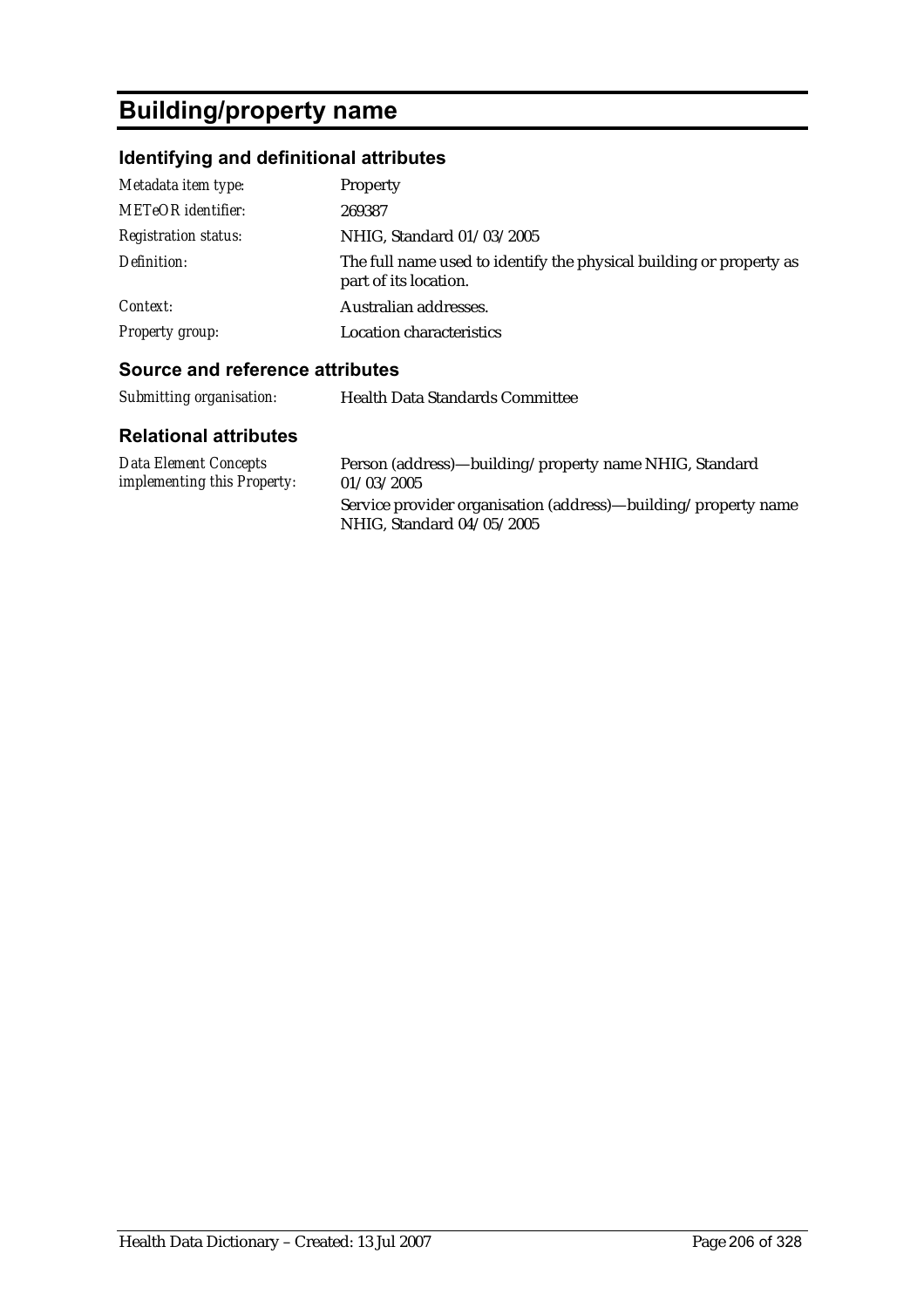# **Building/property name**

## **Identifying and definitional attributes**

| Metadata item type:         | Property                                                                                     |
|-----------------------------|----------------------------------------------------------------------------------------------|
| <b>METeOR</b> identifier:   | 269387                                                                                       |
| <b>Registration status:</b> | NHIG, Standard 01/03/2005                                                                    |
| Definition:                 | The full name used to identify the physical building or property as<br>part of its location. |
| Context:                    | Australian addresses.                                                                        |
| <b>Property group:</b>      | Location characteristics                                                                     |

### **Source and reference attributes**

| Submitting organisation:                                    | <b>Health Data Standards Committee</b>                                                      |
|-------------------------------------------------------------|---------------------------------------------------------------------------------------------|
| <b>Relational attributes</b>                                |                                                                                             |
| Data Element Concepts<br><i>implementing this Property:</i> | Person (address)—building/property name NHIG, Standard<br>01/03/2005                        |
|                                                             | Service provider organisation (address)—building/property name<br>NHIG, Standard 04/05/2005 |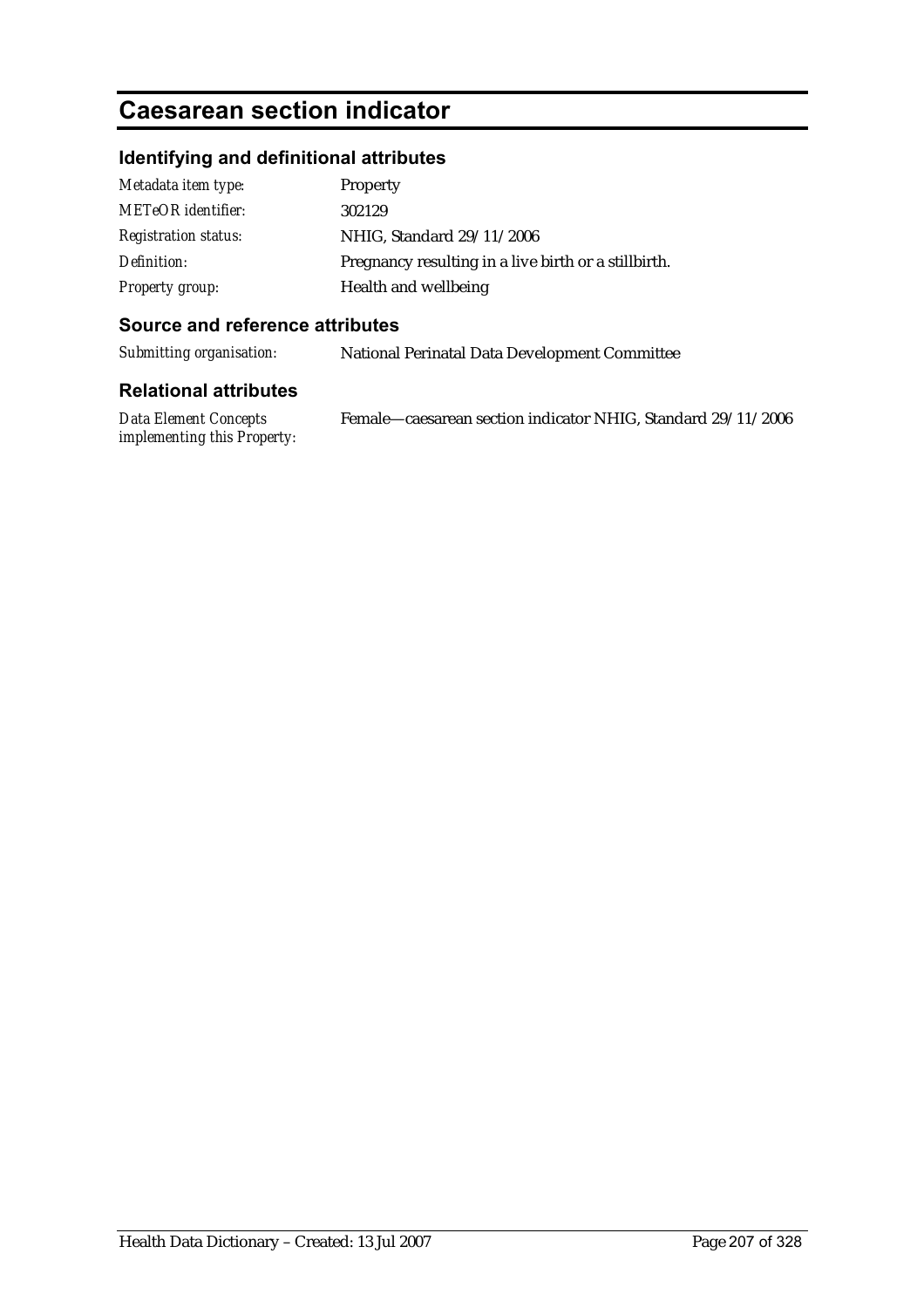# **Caesarean section indicator**

## **Identifying and definitional attributes**

| Metadata item type:         | Property                                              |
|-----------------------------|-------------------------------------------------------|
| <b>METeOR</b> identifier:   | 302129                                                |
| <b>Registration status:</b> | NHIG, Standard 29/11/2006                             |
| Definition:                 | Pregnancy resulting in a live birth or a still birth. |
| Property group:             | Health and wellbeing                                  |

### **Source and reference attributes**

*Submitting organisation:* National Perinatal Data Development Committee

| Data Element Concepts       | Female—caesarean section indicator NHIG, Standard 29/11/2006 |
|-----------------------------|--------------------------------------------------------------|
| implementing this Property: |                                                              |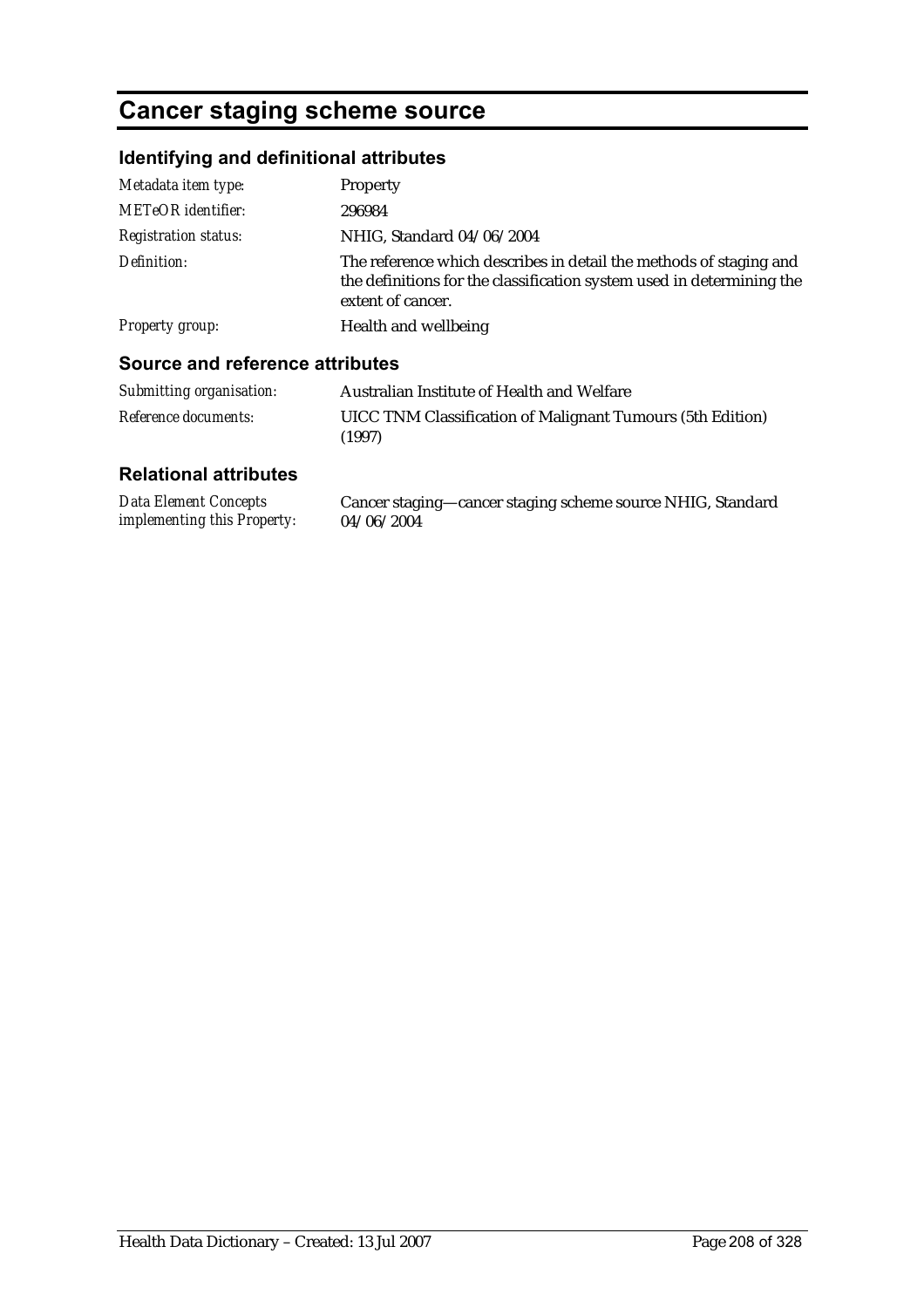# **Cancer staging scheme source**

## **Identifying and definitional attributes**

| Metadata item type:                    | Property                                                                                                                                                         |
|----------------------------------------|------------------------------------------------------------------------------------------------------------------------------------------------------------------|
| <b>METeOR</b> identifier:              | 296984                                                                                                                                                           |
| <b>Registration status:</b>            | NHIG, Standard 04/06/2004                                                                                                                                        |
| Definition:                            | The reference which describes in detail the methods of staging and<br>the definitions for the classification system used in determining the<br>extent of cancer. |
| <b>Property group:</b>                 | Health and wellbeing                                                                                                                                             |
| <b>Source and reference attributes</b> |                                                                                                                                                                  |
| Submitting organisation:               | Australian Institute of Health and Welfare                                                                                                                       |

#### *Submitting organisation:* Australian Institute of Health and Welfare *Reference documents:* UICC TNM Classification of Malignant Tumours (5th Edition) (1997)

| <b>Data Element Concepts</b>       | Cancer staging—cancer staging scheme source NHIG, Standard |
|------------------------------------|------------------------------------------------------------|
| <i>implementing this Property:</i> | 04/06/2004                                                 |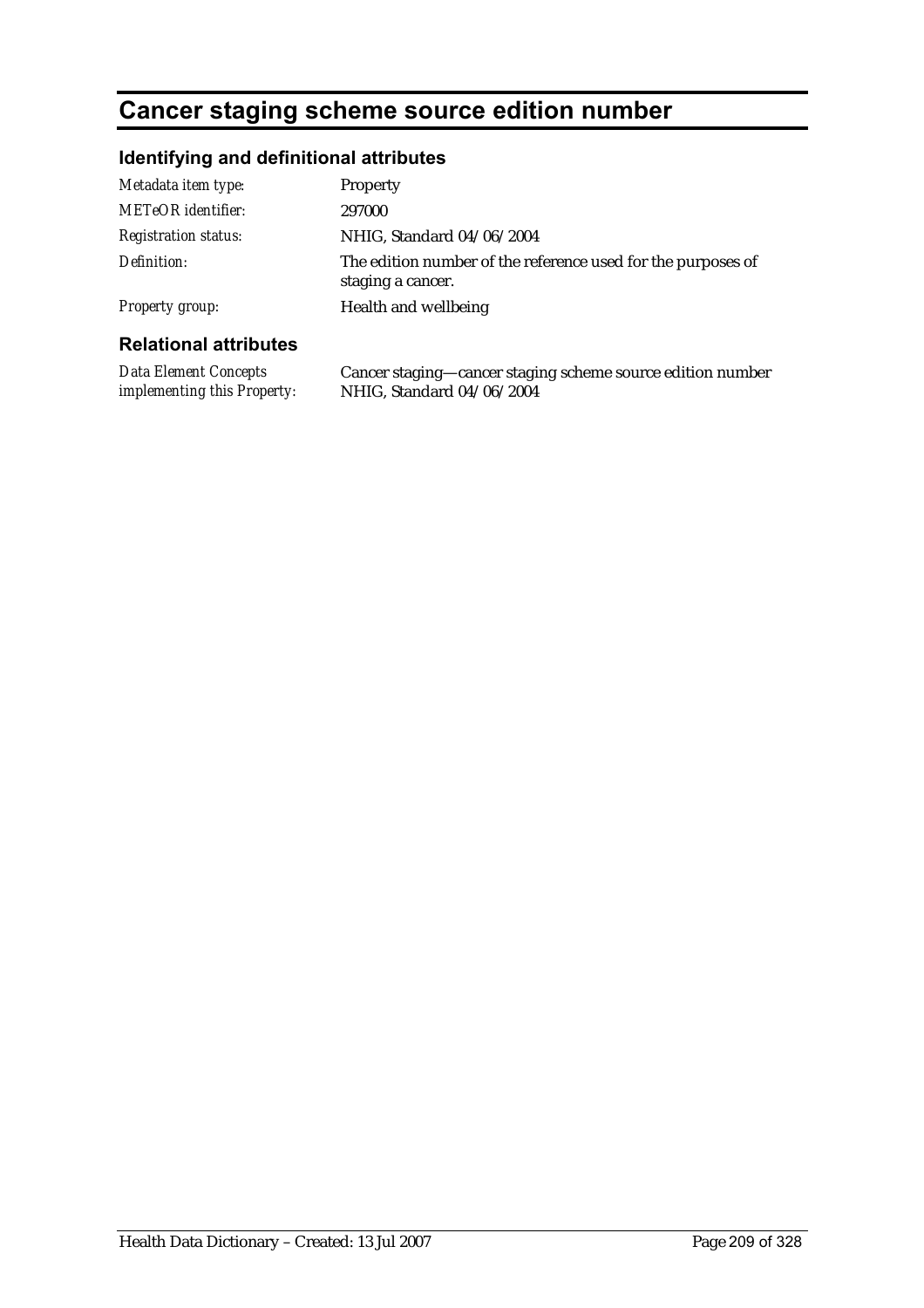## **Cancer staging scheme source edition number**

## **Identifying and definitional attributes**

| Metadata item type:          | Property                                                                          |
|------------------------------|-----------------------------------------------------------------------------------|
| <b>METeOR</b> identifier:    | 297000                                                                            |
| <b>Registration status:</b>  | NHIG, Standard 04/06/2004                                                         |
| Definition:                  | The edition number of the reference used for the purposes of<br>staging a cancer. |
| <b>Property group:</b>       | Health and wellbeing                                                              |
| <b>Polational attributos</b> |                                                                                   |

### **Relational attributes**

*Data Element Concepts implementing this Property:* Cancer staging—cancer staging scheme source edition number NHIG, Standard 04/06/2004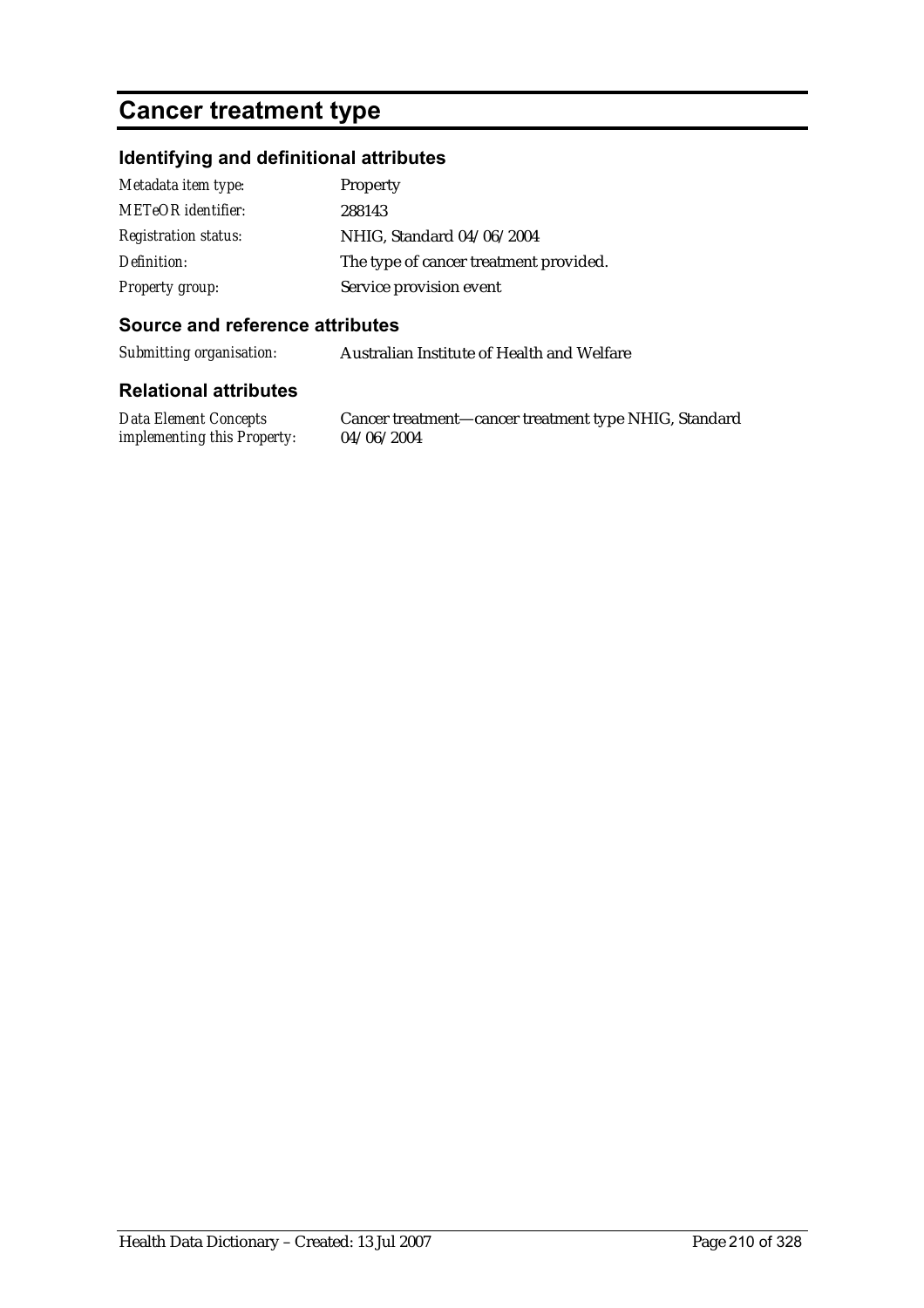## **Cancer treatment type**

### **Identifying and definitional attributes**

| Metadata item type:         | Property                               |
|-----------------------------|----------------------------------------|
| <b>METeOR</b> identifier:   | 288143                                 |
| <b>Registration status:</b> | NHIG, Standard 04/06/2004              |
| Definition:                 | The type of cancer treatment provided. |
| <b>Property group:</b>      | Service provision event                |

### **Source and reference attributes**

*Submitting organisation:* Australian Institute of Health and Welfare

#### **Relational attributes**

*Data Element Concepts implementing this Property:*

Cancer treatment—cancer treatment type NHIG, Standard 04/06/2004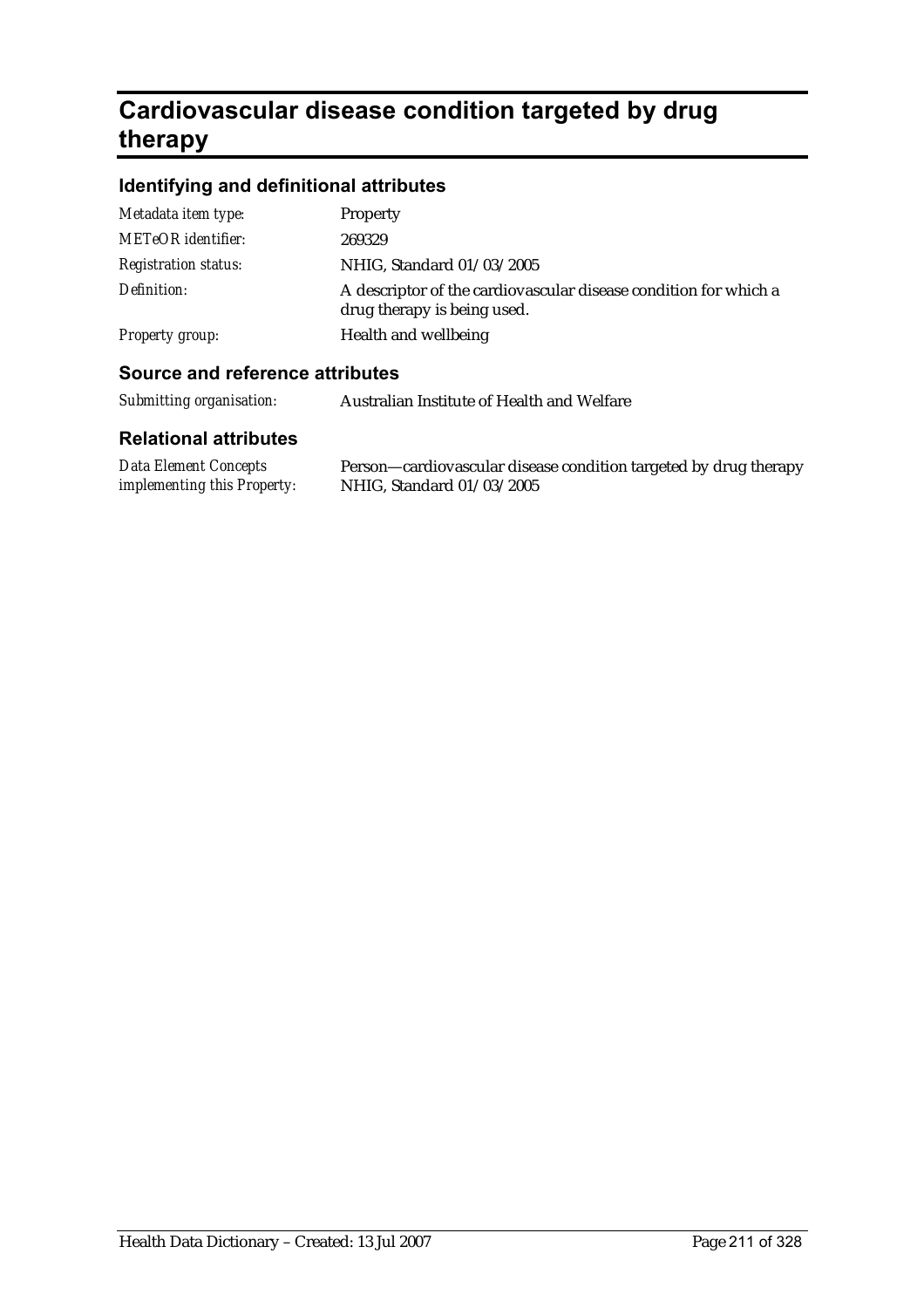# **Cardiovascular disease condition targeted by drug therapy**

## **Identifying and definitional attributes**

| Metadata item type:         | <b>Property</b>                                                                                 |
|-----------------------------|-------------------------------------------------------------------------------------------------|
| <b>METeOR</b> identifier:   | 269329                                                                                          |
| <b>Registration status:</b> | NHIG, Standard 01/03/2005                                                                       |
| Definition:                 | A descriptor of the cardiovascular disease condition for which a<br>drug therapy is being used. |
| Property group:             | Health and wellbeing                                                                            |
|                             |                                                                                                 |

### **Source and reference attributes**

| Submitting organisation: | Australian Institute of Health and Welfare |
|--------------------------|--------------------------------------------|
|                          |                                            |

| <b>Data Element Concepts</b>       | Person—cardiovascular disease condition targeted by drug therapy |
|------------------------------------|------------------------------------------------------------------|
| <i>implementing this Property:</i> | NHIG, Standard 01/03/2005                                        |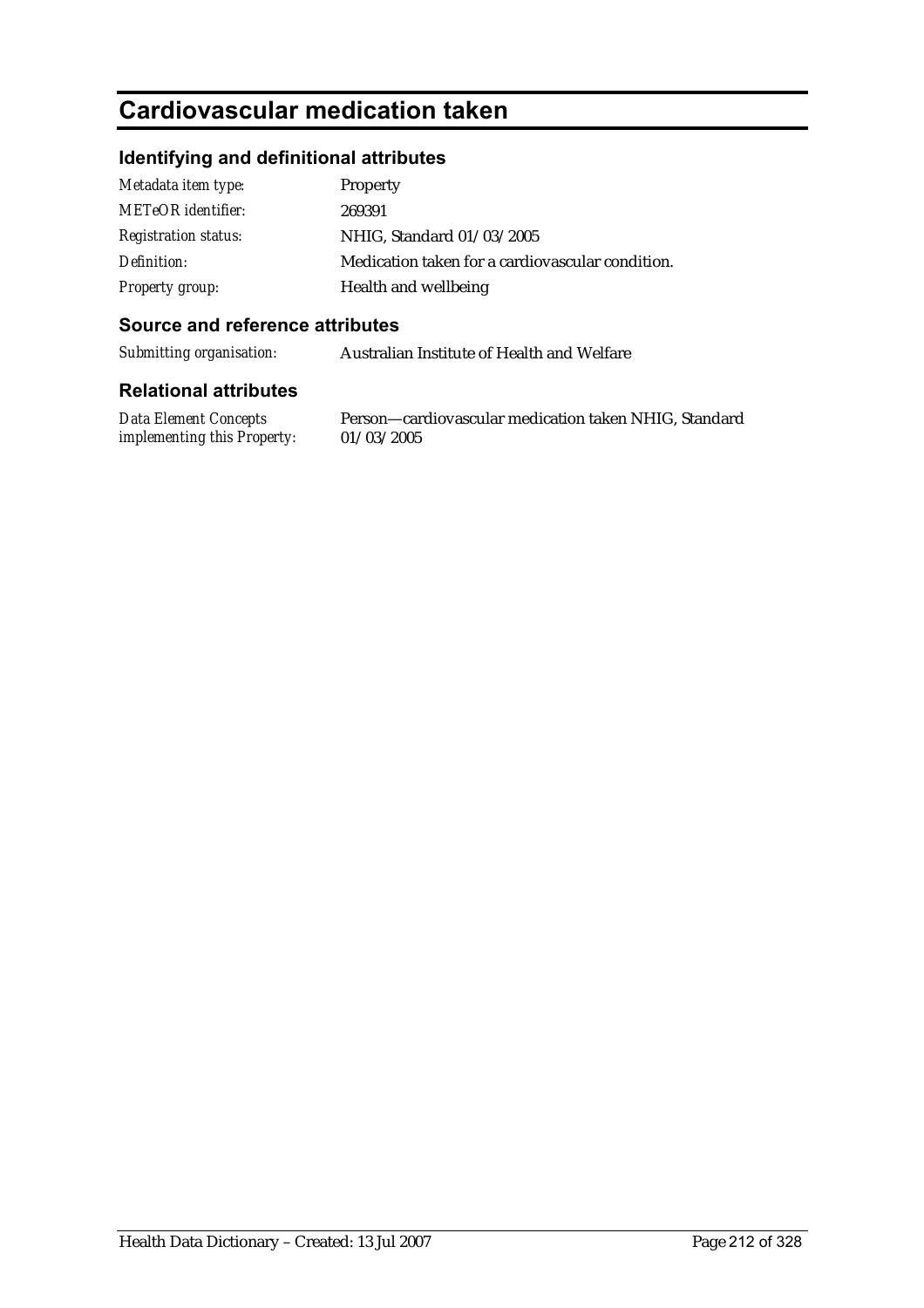## **Cardiovascular medication taken**

### **Identifying and definitional attributes**

| Metadata item type:         | Property                                         |
|-----------------------------|--------------------------------------------------|
| <b>METeOR</b> identifier:   | 269391                                           |
| <b>Registration status:</b> | NHIG, Standard 01/03/2005                        |
| Definition:                 | Medication taken for a cardiovascular condition. |
| <b>Property group:</b>      | Health and wellbeing                             |

### **Source and reference attributes**

*Submitting organisation:* Australian Institute of Health and Welfare

#### **Relational attributes**

*Data Element Concepts implementing this Property:* Person—cardiovascular medication taken NHIG, Standard 01/03/2005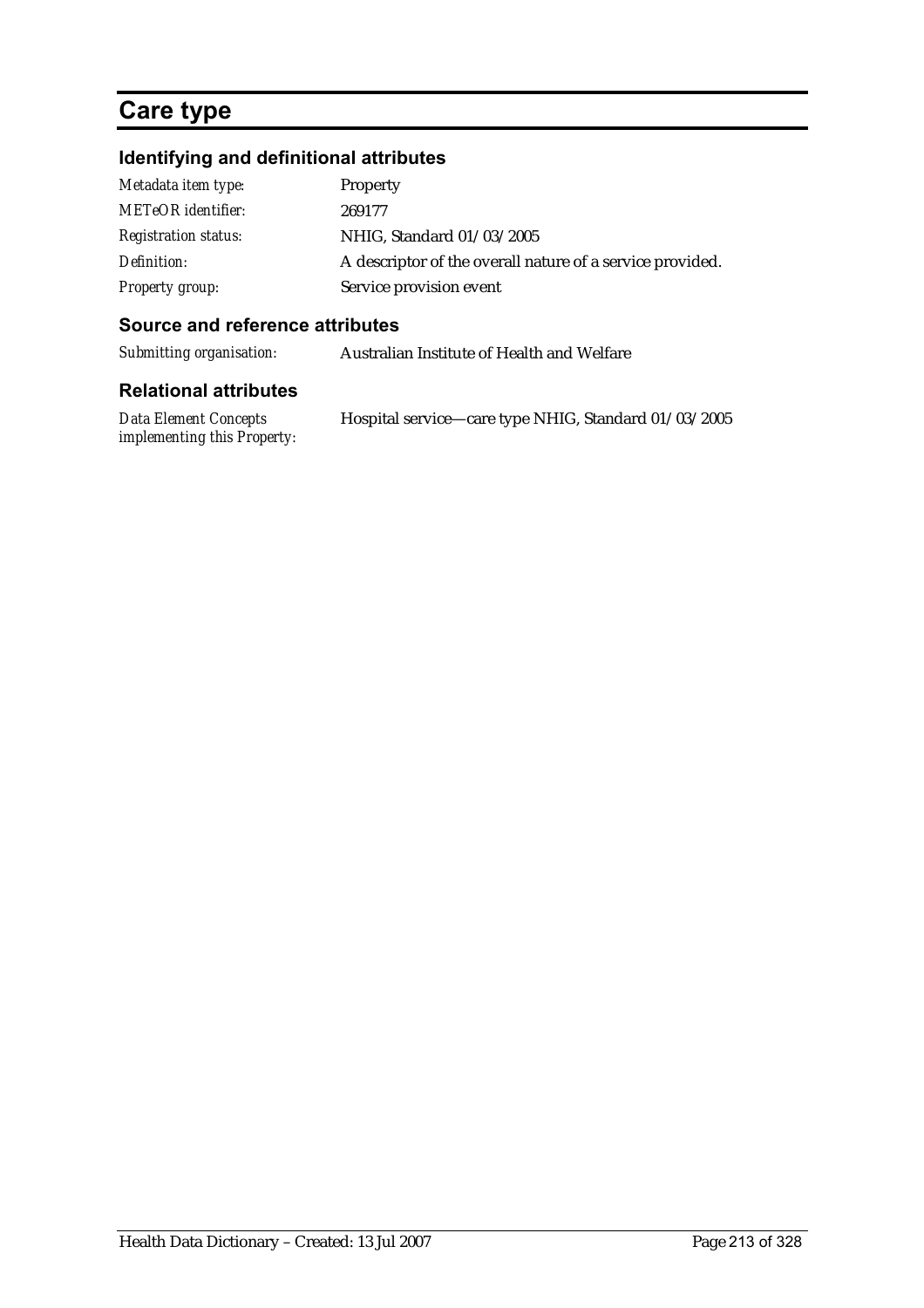## **Care type**

## **Identifying and definitional attributes**

| Metadata item type:         | Property                                                  |
|-----------------------------|-----------------------------------------------------------|
| <b>METeOR</b> identifier:   | 269177                                                    |
| <b>Registration status:</b> | NHIG, Standard 01/03/2005                                 |
| Definition:                 | A descriptor of the overall nature of a service provided. |
| Property group:             | Service provision event                                   |

### **Source and reference attributes**

*Submitting organisation:* Australian Institute of Health and Welfare

| Data Element Concepts              | Hospital service—care type NHIG, Standard 01/03/2005 |
|------------------------------------|------------------------------------------------------|
| <i>implementing this Property:</i> |                                                      |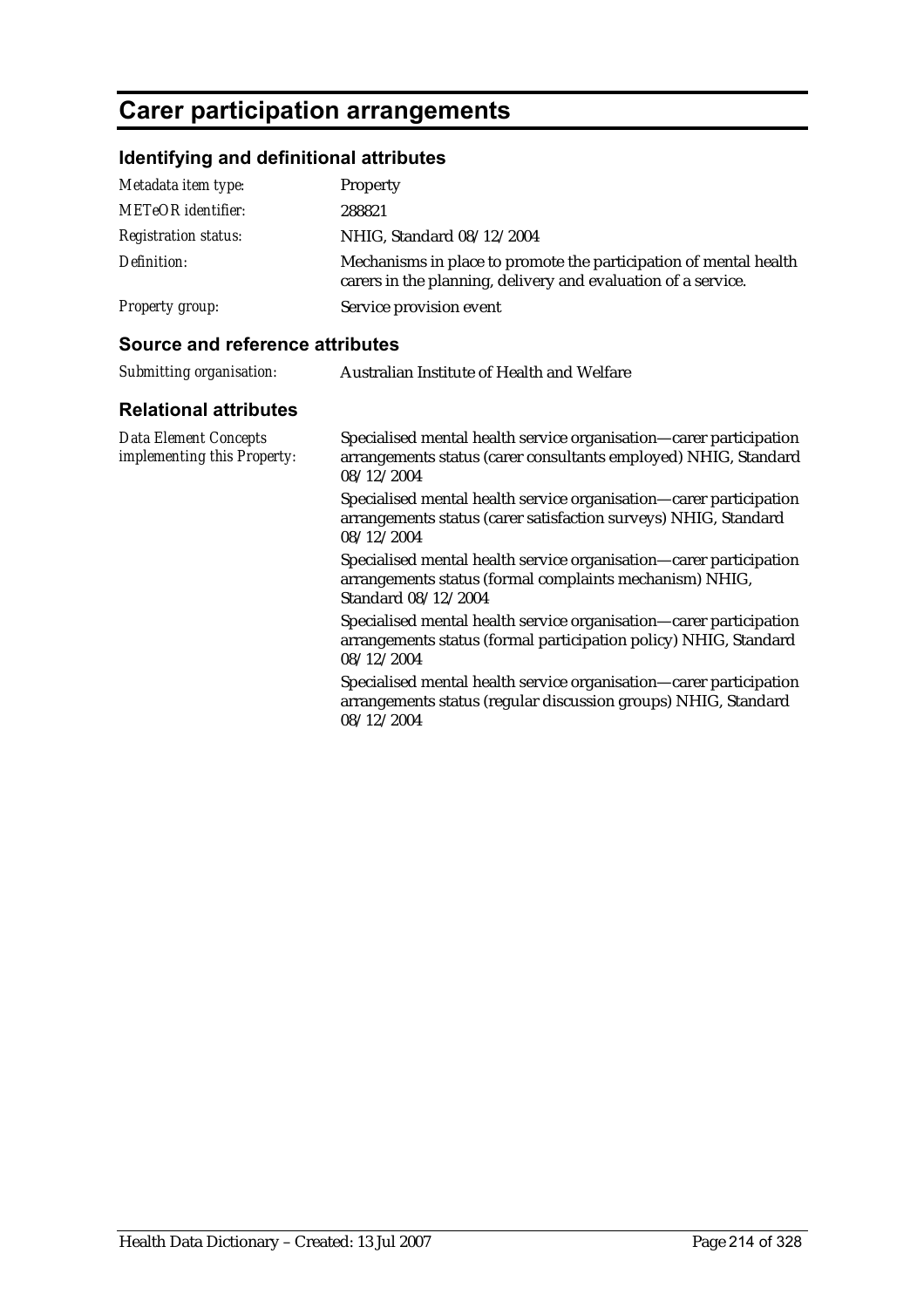## **Carer participation arrangements**

### **Identifying and definitional attributes**

| Metadata item type:         | Property                                                                                                                           |
|-----------------------------|------------------------------------------------------------------------------------------------------------------------------------|
| <b>METeOR</b> identifier:   | 288821                                                                                                                             |
| <i>Registration status:</i> | NHIG, Standard 08/12/2004                                                                                                          |
| Definition:                 | Mechanisms in place to promote the participation of mental health<br>carers in the planning, delivery and evaluation of a service. |
| <b>Property group:</b>      | Service provision event                                                                                                            |

### **Source and reference attributes**

| Submitting organisation: | Australian Institute of Health and Welfare |
|--------------------------|--------------------------------------------|
|                          |                                            |

### **Relational attributes**

*Data Element Concepts implementing this Property:*

Specialised mental health service organisation—carer participation arrangements status (carer consultants employed) NHIG, Standard 08/12/2004

Specialised mental health service organisation—carer participation arrangements status (carer satisfaction surveys) NHIG, Standard 08/12/2004

Specialised mental health service organisation—carer participation arrangements status (formal complaints mechanism) NHIG, Standard 08/12/2004

Specialised mental health service organisation—carer participation arrangements status (formal participation policy) NHIG, Standard 08/12/2004

Specialised mental health service organisation—carer participation arrangements status (regular discussion groups) NHIG, Standard 08/12/2004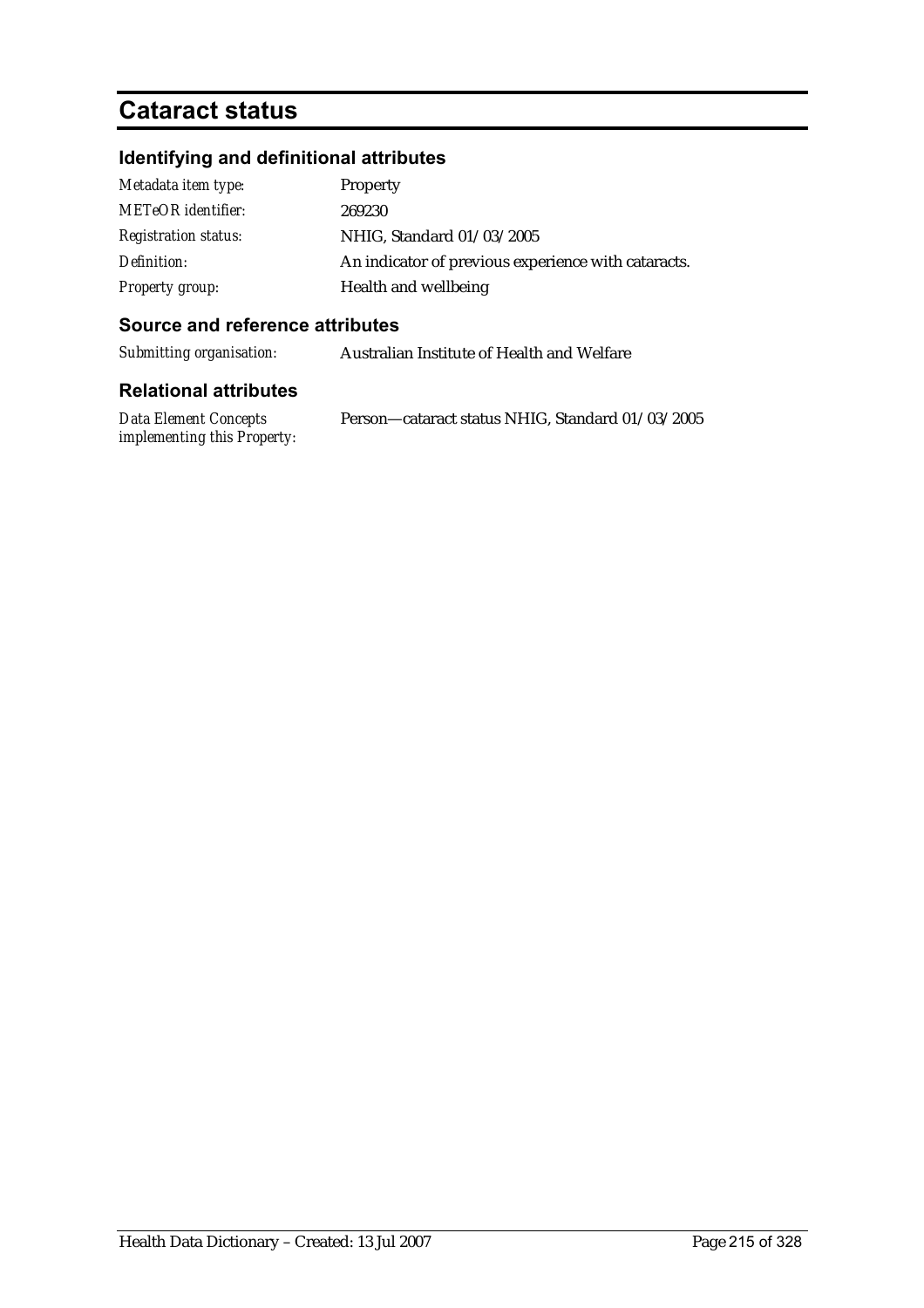## **Cataract status**

## **Identifying and definitional attributes**

| Metadata item type:         | Property                                            |
|-----------------------------|-----------------------------------------------------|
| <b>METeOR</b> identifier:   | 269230                                              |
| <b>Registration status:</b> | NHIG, Standard 01/03/2005                           |
| Definition:                 | An indicator of previous experience with cataracts. |
| Property group:             | Health and wellbeing                                |

### **Source and reference attributes**

*Submitting organisation:* Australian Institute of Health and Welfare

| Data Element Concepts              | Person-cataract status NHIG, Standard 01/03/2005 |
|------------------------------------|--------------------------------------------------|
| <i>implementing this Property:</i> |                                                  |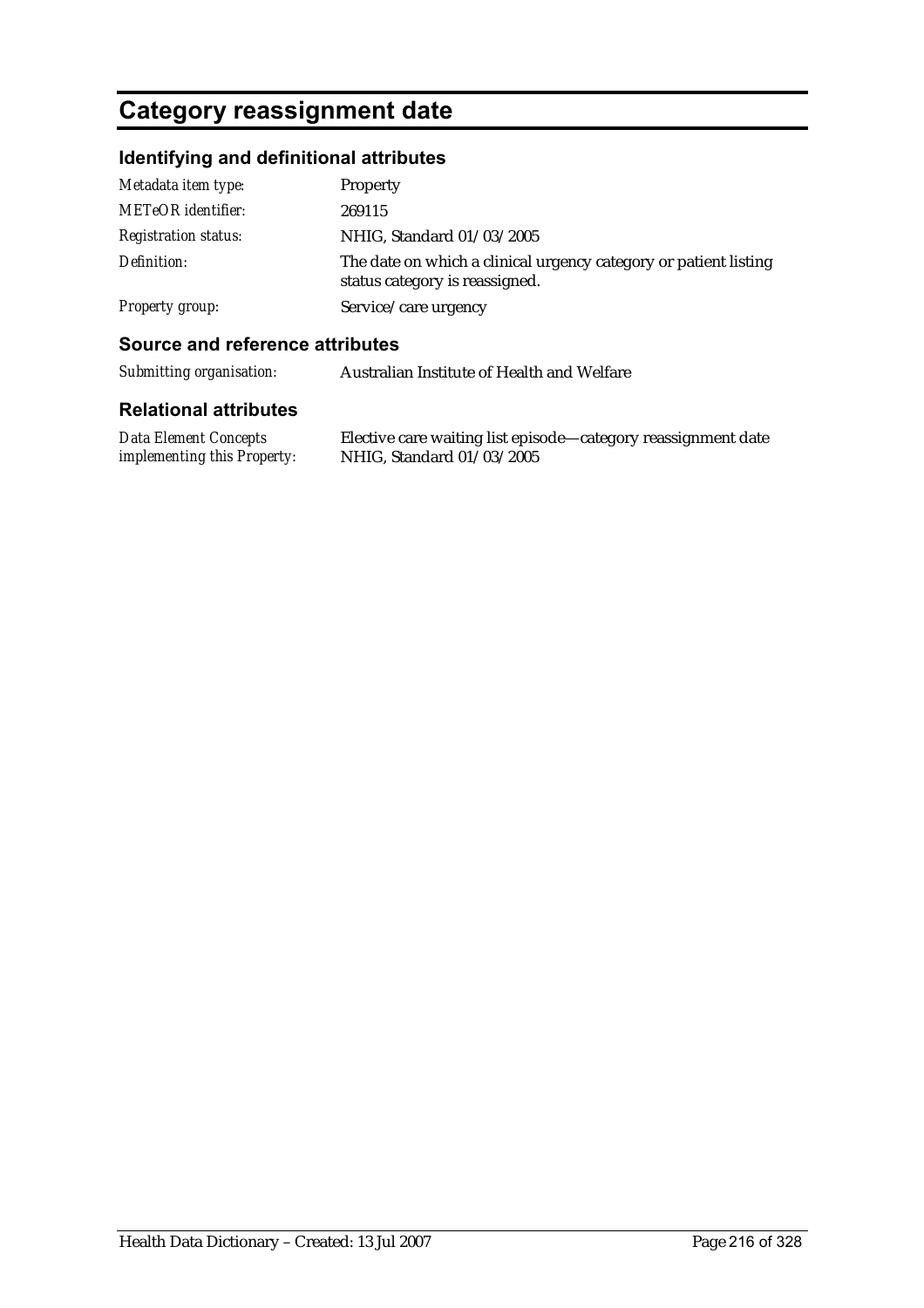# **Category reassignment date**

## **Identifying and definitional attributes**

| Metadata item type:         | Property                                                                                           |
|-----------------------------|----------------------------------------------------------------------------------------------------|
| <b>METeOR</b> identifier:   | 269115                                                                                             |
| <b>Registration status:</b> | NHIG, Standard 01/03/2005                                                                          |
| Definition:                 | The date on which a clinical urgency category or patient listing<br>status category is reassigned. |
| Property group:             | Service/care urgency                                                                               |

### **Source and reference attributes**

| Submitting organisation: | Australian Institute of Health and Welfare |
|--------------------------|--------------------------------------------|
|--------------------------|--------------------------------------------|

| Data Element Concepts              | Elective care waiting list episode—category reassignment date |
|------------------------------------|---------------------------------------------------------------|
| <i>implementing this Property:</i> | NHIG, Standard 01/03/2005                                     |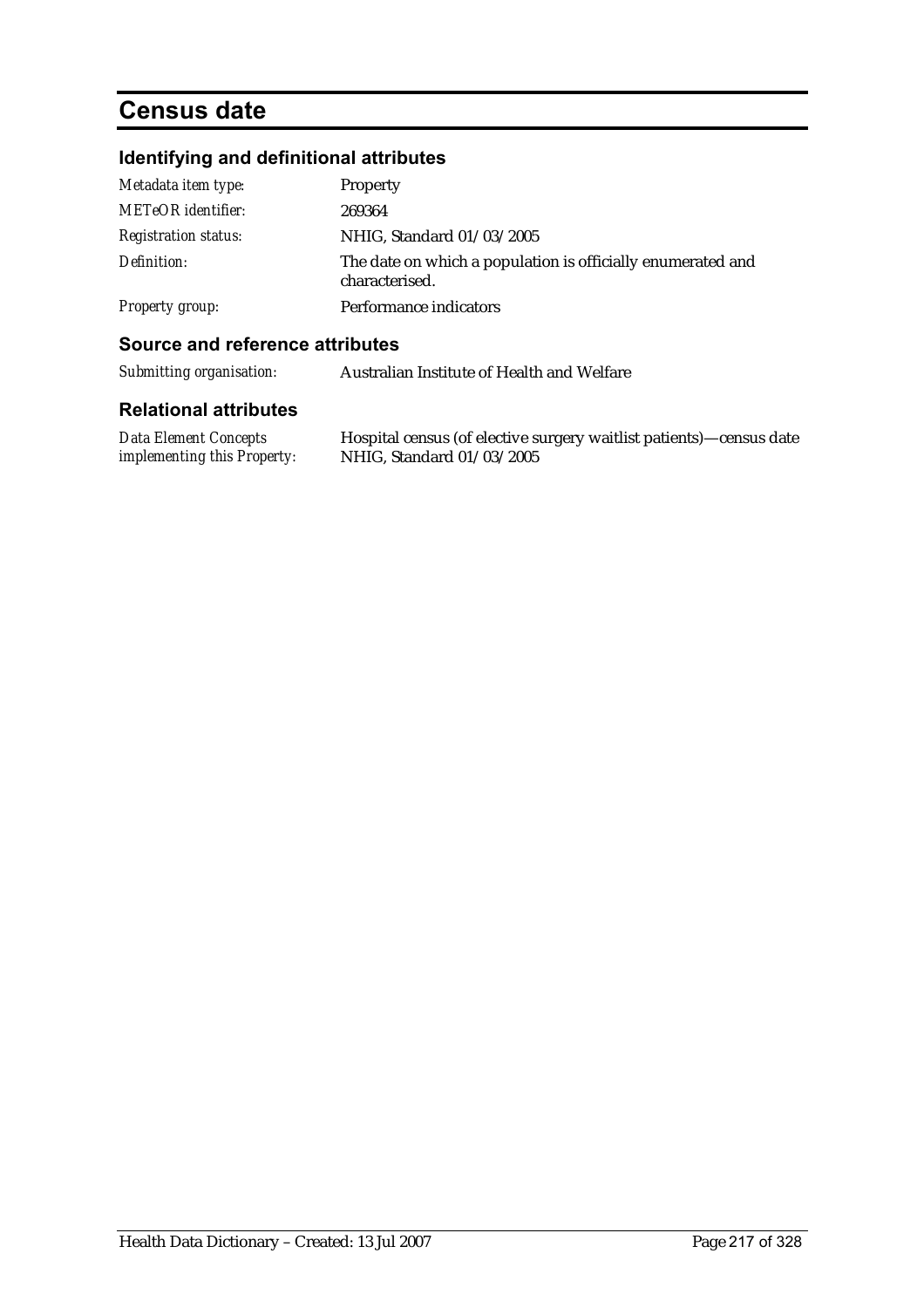# **Census date**

# **Identifying and definitional attributes**

| Metadata item type:         | Property                                                                      |
|-----------------------------|-------------------------------------------------------------------------------|
| <b>METeOR</b> identifier:   | 269364                                                                        |
| <b>Registration status:</b> | NHIG, Standard 01/03/2005                                                     |
| Definition:                 | The date on which a population is officially enumerated and<br>characterised. |
| <b>Property group:</b>      | Performance indicators                                                        |

### **Source and reference attributes**

| Submitting organisation: | Australian Institute of Health and Welfare |
|--------------------------|--------------------------------------------|
|--------------------------|--------------------------------------------|

| Data Element Concepts              | Hospital census (of elective surgery waitlist patients)—census date |
|------------------------------------|---------------------------------------------------------------------|
| <i>implementing this Property:</i> | NHIG, Standard 01/03/2005                                           |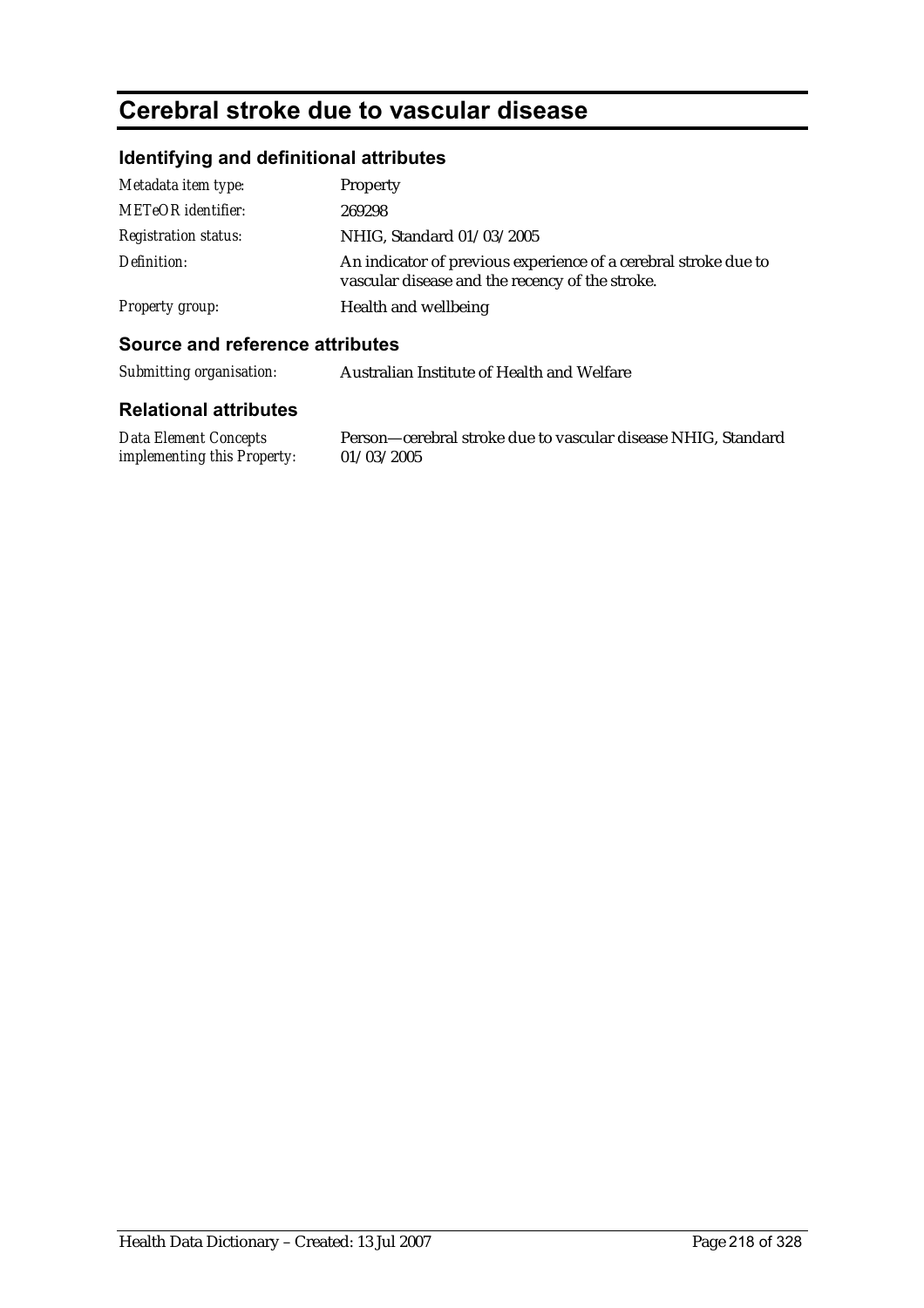# **Cerebral stroke due to vascular disease**

## **Identifying and definitional attributes**

| Metadata item type:         | Property                                                                                                           |
|-----------------------------|--------------------------------------------------------------------------------------------------------------------|
| <b>METeOR</b> identifier:   | 269298                                                                                                             |
| <b>Registration status:</b> | NHIG, Standard 01/03/2005                                                                                          |
| Definition:                 | An indicator of previous experience of a cerebral stroke due to<br>vascular disease and the recency of the stroke. |
| <b>Property group:</b>      | Health and wellbeing                                                                                               |

### **Source and reference attributes**

*Submitting organisation:* Australian Institute of Health and Welfare

#### **Relational attributes**

*Data Element Concepts implementing this Property:* Person—cerebral stroke due to vascular disease NHIG, Standard 01/03/2005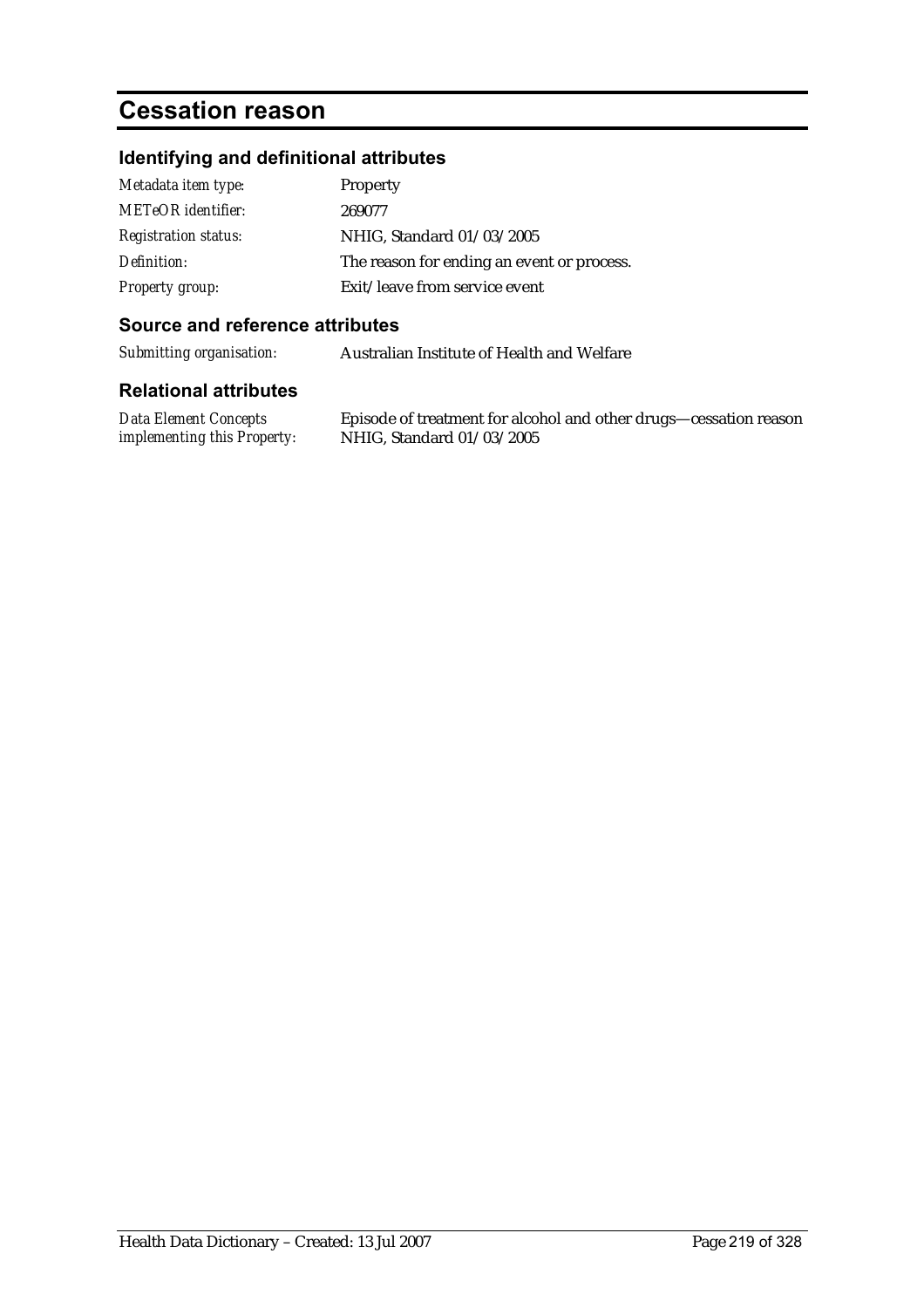# **Cessation reason**

# **Identifying and definitional attributes**

| Metadata item type:         | Property                                   |
|-----------------------------|--------------------------------------------|
| <b>METeOR</b> identifier:   | 269077                                     |
| <b>Registration status:</b> | NHIG, Standard 01/03/2005                  |
| Definition:                 | The reason for ending an event or process. |
| <b>Property group:</b>      | Exit/leave from service event              |

#### **Source and reference attributes**

*Submitting organisation:* Australian Institute of Health and Welfare

#### **Relational attributes**

*Data Element Concepts implementing this Property:*

Episode of treatment for alcohol and other drugs—cessation reason NHIG, Standard 01/03/2005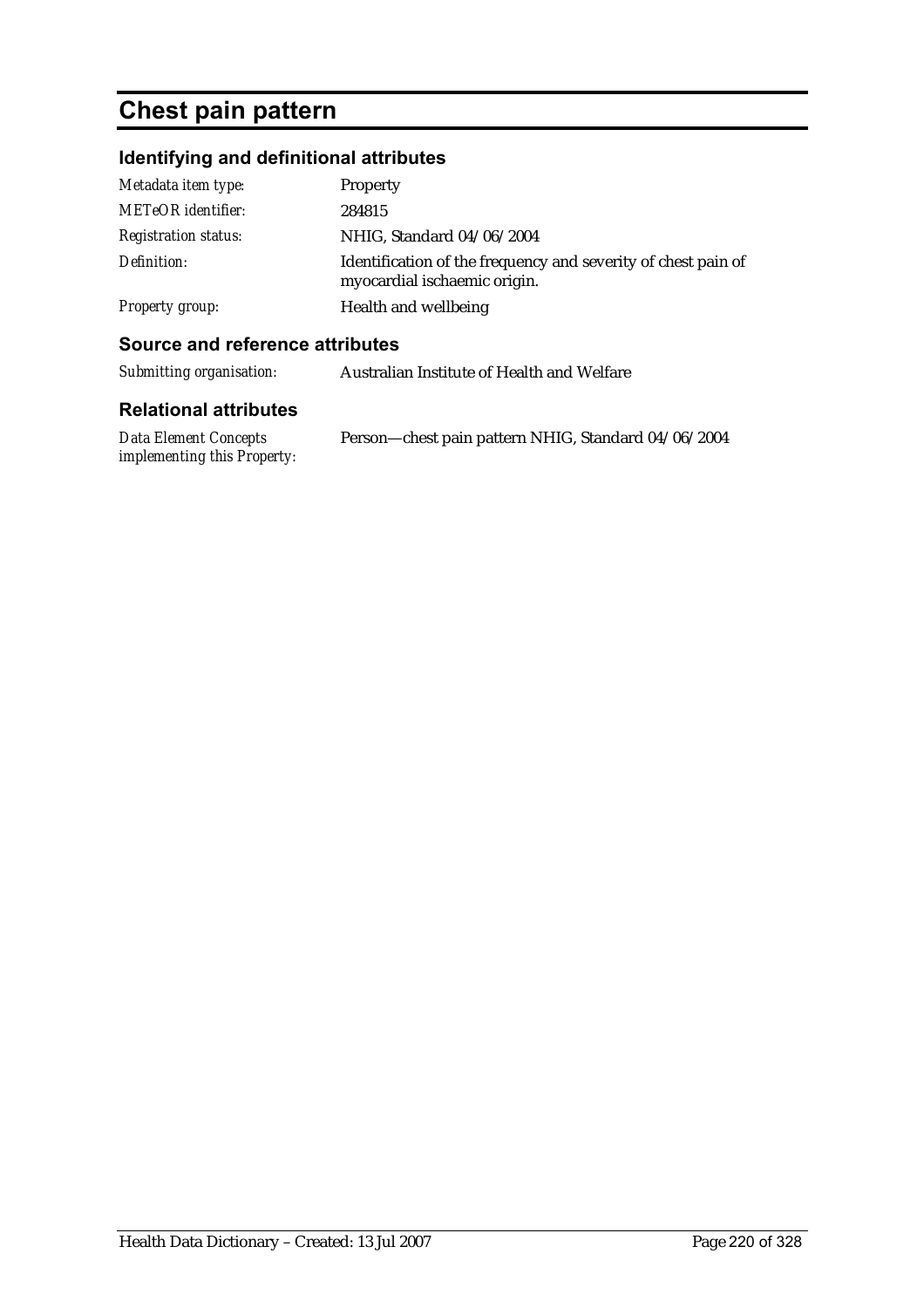# **Chest pain pattern**

# **Identifying and definitional attributes**

| Metadata item type:         | Property                                                                                      |
|-----------------------------|-----------------------------------------------------------------------------------------------|
| <b>METeOR</b> identifier:   | 284815                                                                                        |
| <b>Registration status:</b> | NHIG, Standard 04/06/2004                                                                     |
| Definition:                 | Identification of the frequency and severity of chest pain of<br>myocardial ischaemic origin. |
| <b>Property group:</b>      | Health and wellbeing                                                                          |

### **Source and reference attributes**

| Submitting organisation:     | Australian Institute of Health and Welfare |
|------------------------------|--------------------------------------------|
| <b>Relational attributes</b> |                                            |

| Data Element Concepts              | Person-chest pain pattern NHIG, Standard 04/06/2004 |
|------------------------------------|-----------------------------------------------------|
| <i>implementing this Property:</i> |                                                     |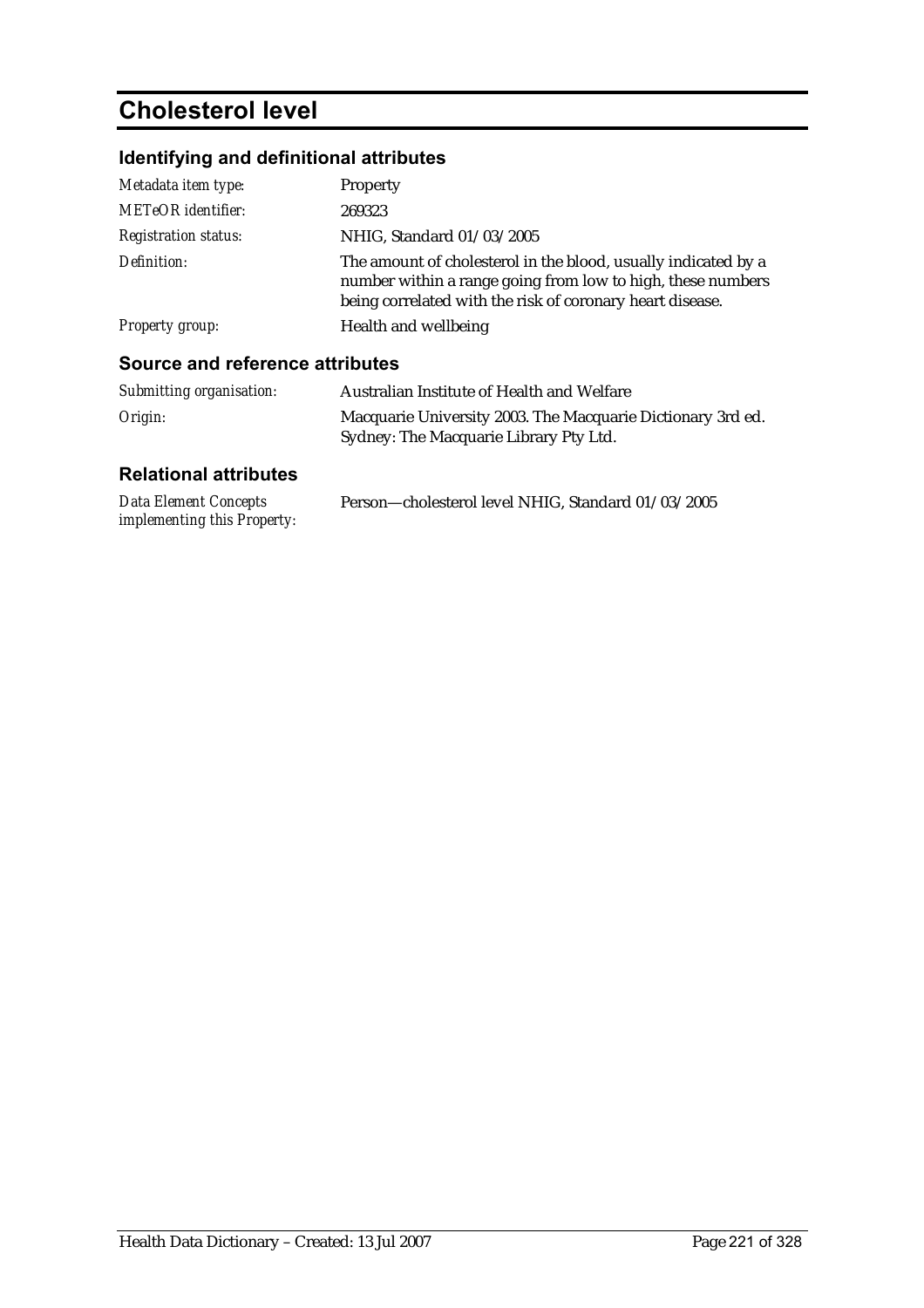# **Cholesterol level**

# **Identifying and definitional attributes**

| Metadata item type:                    | <b>Property</b>                                                                                                                                                                            |
|----------------------------------------|--------------------------------------------------------------------------------------------------------------------------------------------------------------------------------------------|
| <b>METeOR</b> identifier:              | 269323                                                                                                                                                                                     |
| <b>Registration status:</b>            | NHIG. Standard 01/03/2005                                                                                                                                                                  |
| Definition:                            | The amount of cholesterol in the blood, usually indicated by a<br>number within a range going from low to high, these numbers<br>being correlated with the risk of coronary heart disease. |
| <b>Property group:</b>                 | Health and wellbeing                                                                                                                                                                       |
| <b>Source and reference attributes</b> |                                                                                                                                                                                            |
| Submitting organisation:               | Australian Institute of Health and Welfare                                                                                                                                                 |
| Origin:                                | Macquarie University 2003. The Macquarie Dictionary 3rd ed.<br>Sydney: The Macquarie Library Pty Ltd.                                                                                      |

| Data Element Concepts              | Person-cholesterol level NHIG, Standard 01/03/2005 |
|------------------------------------|----------------------------------------------------|
| <i>implementing this Property:</i> |                                                    |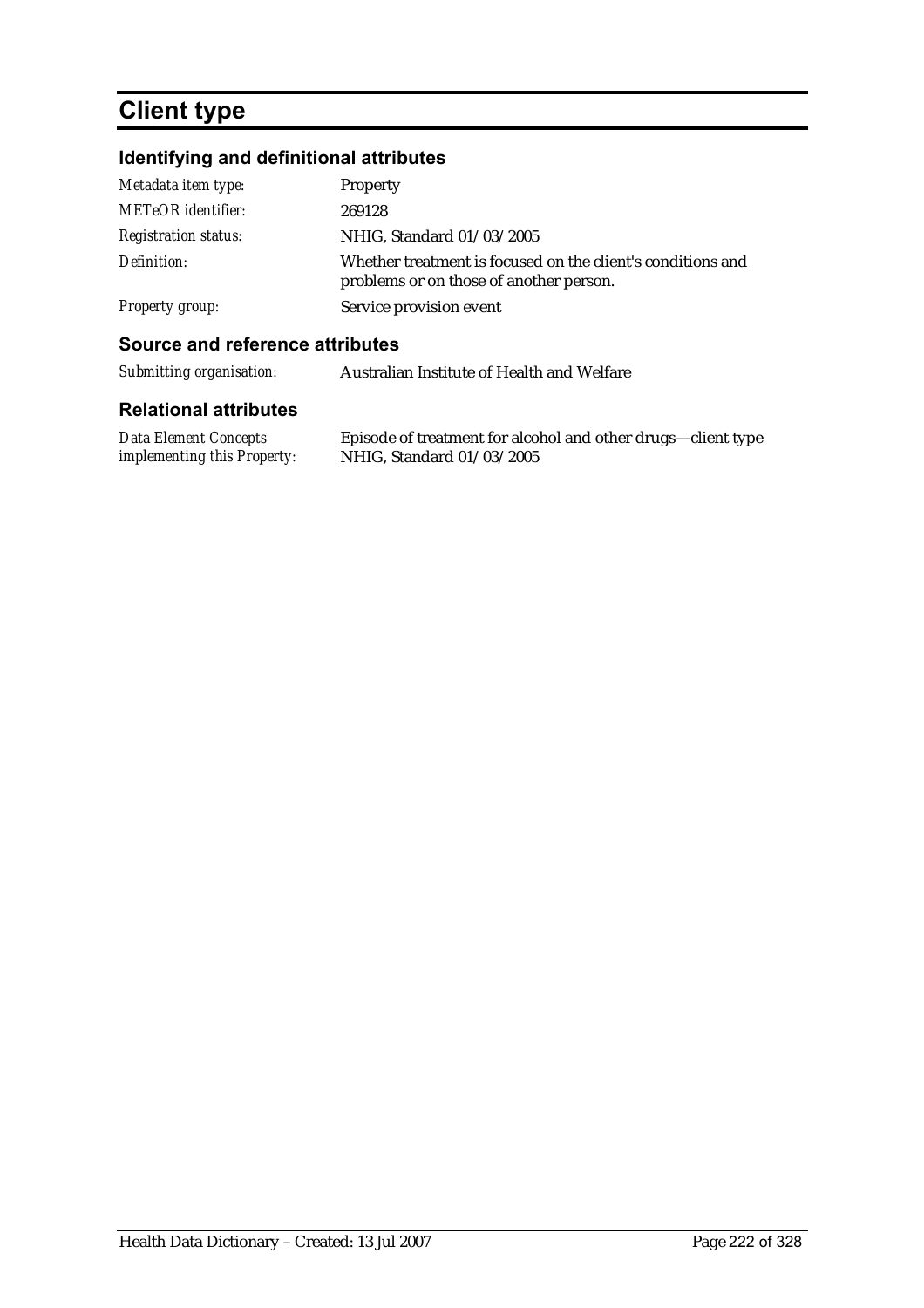# **Client type**

# **Identifying and definitional attributes**

| Metadata item type:         | Property                                                                                               |
|-----------------------------|--------------------------------------------------------------------------------------------------------|
| <b>METeOR</b> identifier:   | 269128                                                                                                 |
| <b>Registration status:</b> | NHIG, Standard 01/03/2005                                                                              |
| Definition:                 | Whether treatment is focused on the client's conditions and<br>problems or on those of another person. |
| <b>Property group:</b>      | Service provision event                                                                                |

### **Source and reference attributes**

| Submitting organisation: | Australian Institute of Health and Welfare |
|--------------------------|--------------------------------------------|
|                          |                                            |

| Data Element Concepts              | Episode of treatment for alcohol and other drugs—client type |
|------------------------------------|--------------------------------------------------------------|
| <i>implementing this Property:</i> | NHIG, Standard 01/03/2005                                    |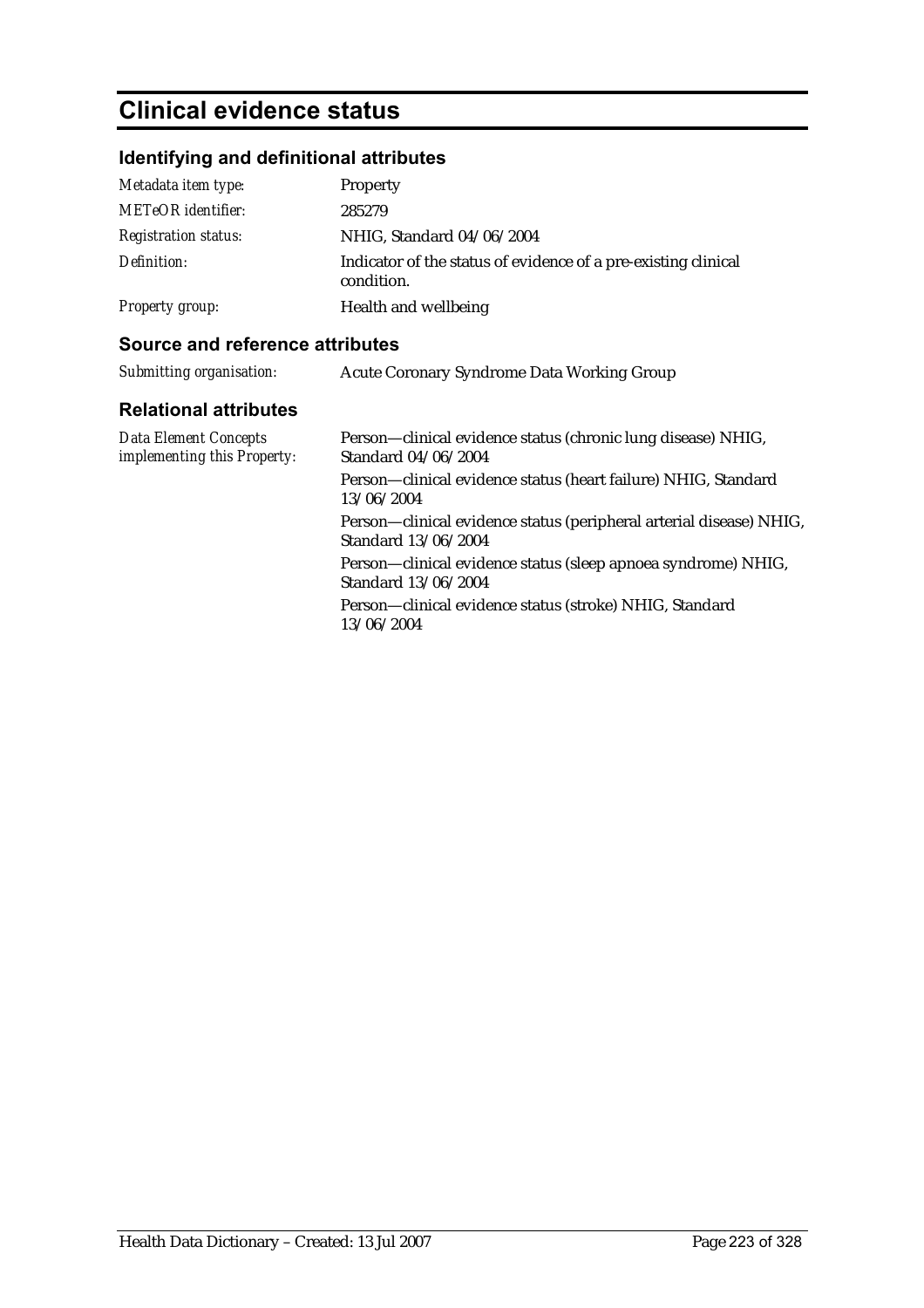# **Clinical evidence status**

# **Identifying and definitional attributes**

| Metadata item type:         | Property                                                                     |
|-----------------------------|------------------------------------------------------------------------------|
| <b>METeOR</b> identifier:   | 285279                                                                       |
| <i>Registration status:</i> | NHIG, Standard 04/06/2004                                                    |
| Definition:                 | Indicator of the status of evidence of a pre-existing clinical<br>condition. |
| Property group:             | Health and wellbeing                                                         |

### **Source and reference attributes**

| Submitting organisation:                             | Acute Coronary Syndrome Data Working Group                                                 |
|------------------------------------------------------|--------------------------------------------------------------------------------------------|
| <b>Relational attributes</b>                         |                                                                                            |
| Data Element Concepts<br>implementing this Property: | Person—clinical evidence status (chronic lung disease) NHIG,<br>Standard 04/06/2004        |
|                                                      | Person—clinical evidence status (heart failure) NHIG, Standard<br>13/06/2004               |
|                                                      | Person—clinical evidence status (peripheral arterial disease) NHIG,<br>Standard 13/06/2004 |
|                                                      | Person—clinical evidence status (sleep apnoea syndrome) NHIG,<br>Standard 13/06/2004       |
|                                                      | Person—clinical evidence status (stroke) NHIG, Standard<br>13/06/2004                      |
|                                                      |                                                                                            |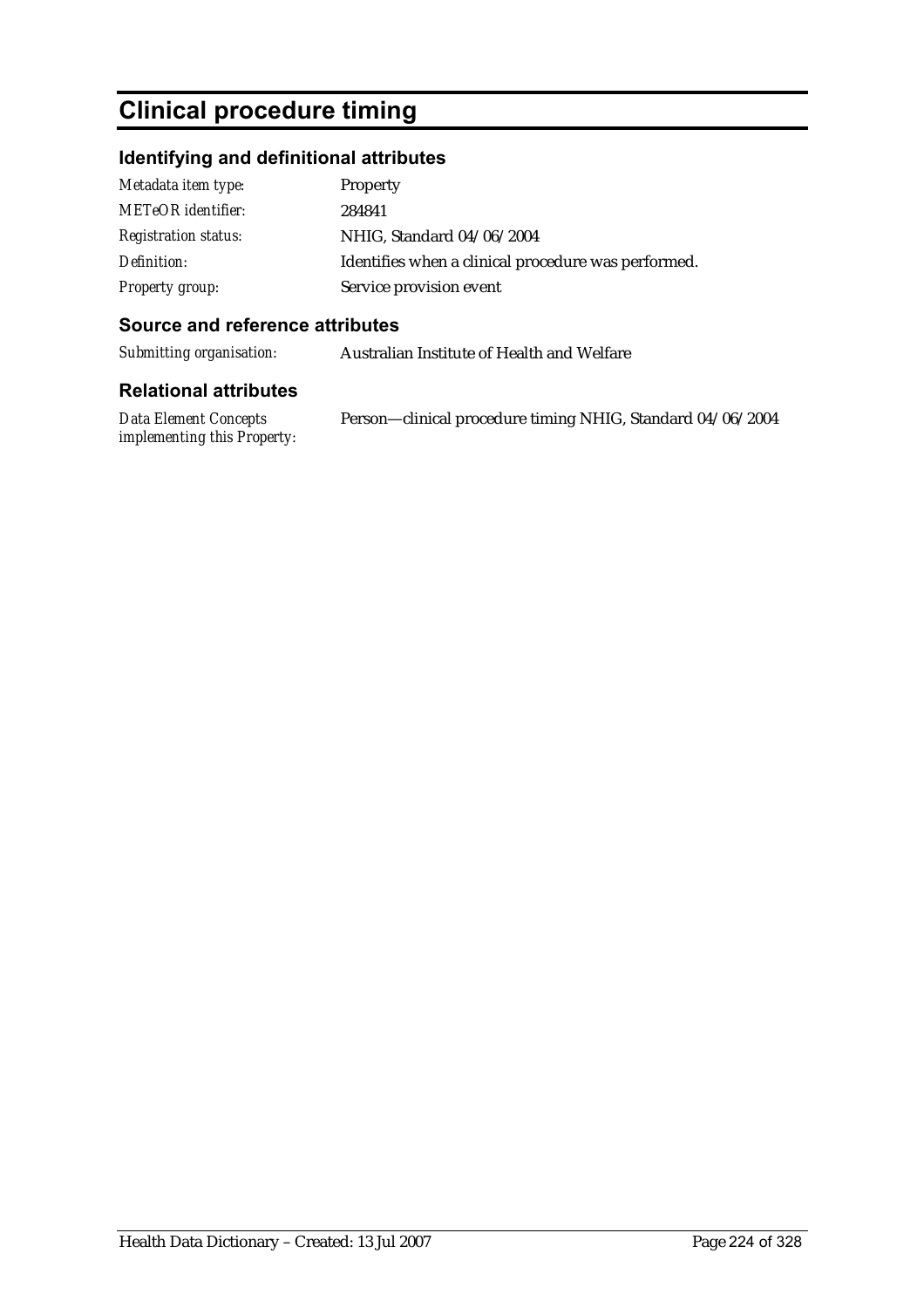# **Clinical procedure timing**

# **Identifying and definitional attributes**

| Metadata item type:         | Property                                            |
|-----------------------------|-----------------------------------------------------|
| <b>METeOR</b> identifier:   | 284841                                              |
| <b>Registration status:</b> | NHIG, Standard 04/06/2004                           |
| Definition:                 | Identifies when a clinical procedure was performed. |
| Property group:             | Service provision event                             |

## **Source and reference attributes**

*Submitting organisation:* Australian Institute of Health and Welfare

| Data Element Concepts              | Person-clinical procedure timing NHIG, Standard 04/06/2004 |
|------------------------------------|------------------------------------------------------------|
| <i>implementing this Property:</i> |                                                            |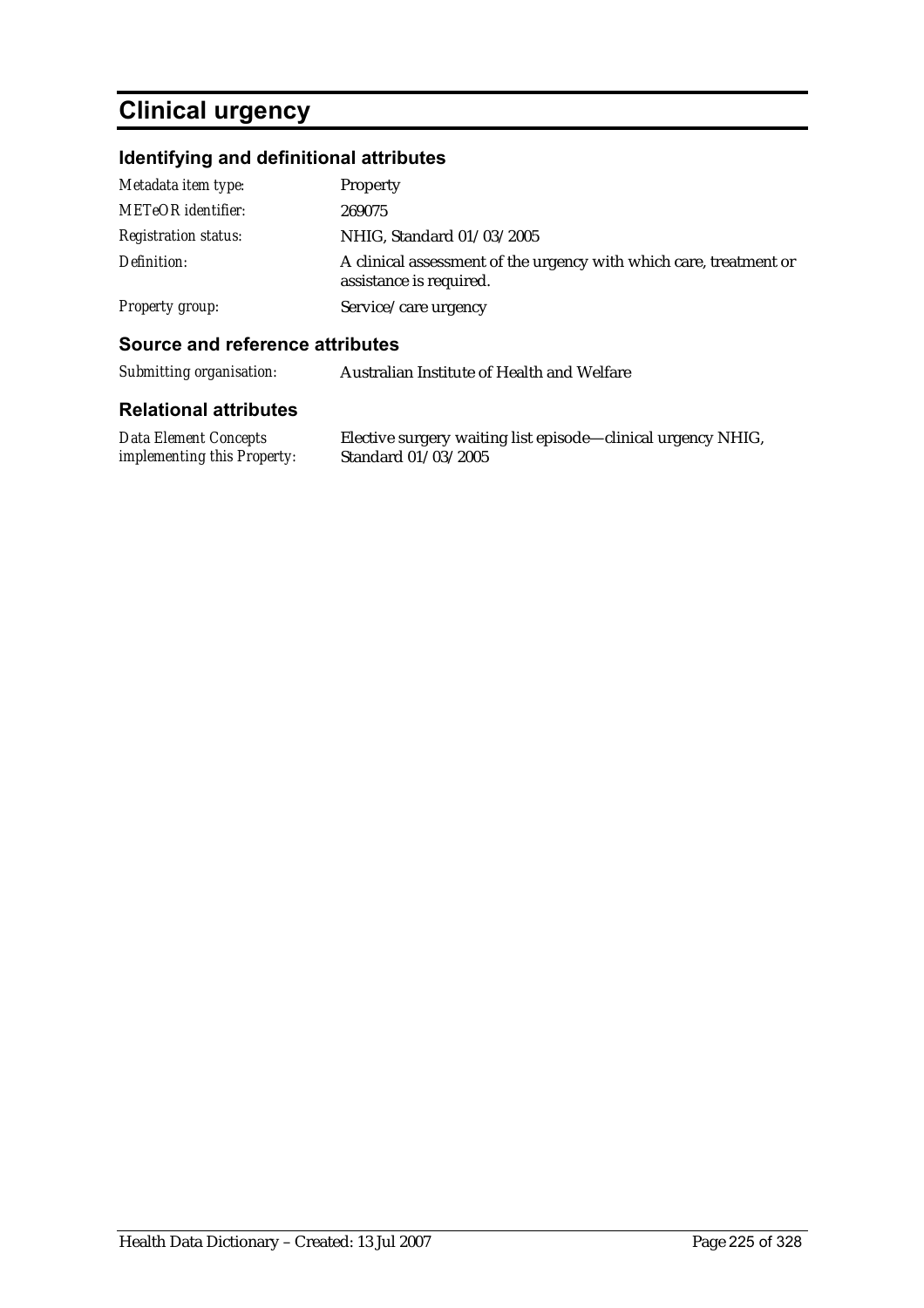# **Clinical urgency**

# **Identifying and definitional attributes**

| Metadata item type:         | Property                                                                                      |
|-----------------------------|-----------------------------------------------------------------------------------------------|
| <b>METeOR</b> identifier:   | 269075                                                                                        |
| <b>Registration status:</b> | NHIG, Standard 01/03/2005                                                                     |
| Definition:                 | A clinical assessment of the urgency with which care, treatment or<br>assistance is required. |
| Property group:             | Service/care urgency                                                                          |

### **Source and reference attributes**

*Submitting organisation:* Australian Institute of Health and Welfare

| Data Element Concepts              | Elective surgery waiting list episode—clinical urgency NHIG, |
|------------------------------------|--------------------------------------------------------------|
| <i>implementing this Property:</i> | Standard 01/03/2005                                          |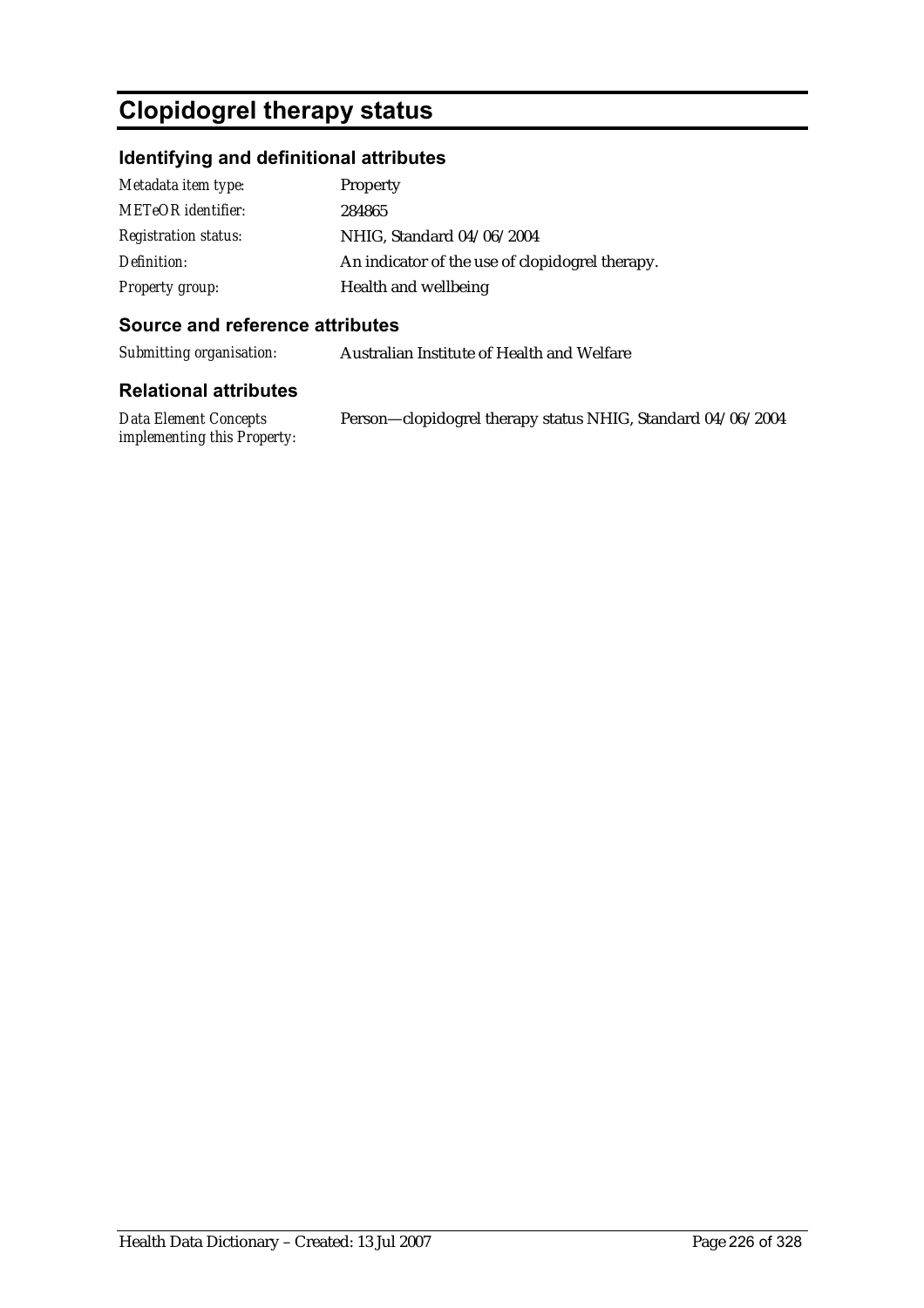# **Clopidogrel therapy status**

## **Identifying and definitional attributes**

| Metadata item type:         | <b>Property</b>                                 |
|-----------------------------|-------------------------------------------------|
| <b>METeOR</b> identifier:   | 284865                                          |
| <b>Registration status:</b> | NHIG, Standard 04/06/2004                       |
| Definition:                 | An indicator of the use of clopidogrel therapy. |
| <b>Property group:</b>      | Health and wellbeing                            |

#### **Source and reference attributes**

*Submitting organisation:* Australian Institute of Health and Welfare

#### **Relational attributes**

*Data Element Concepts implementing this Property:* Person—clopidogrel therapy status NHIG, Standard 04/06/2004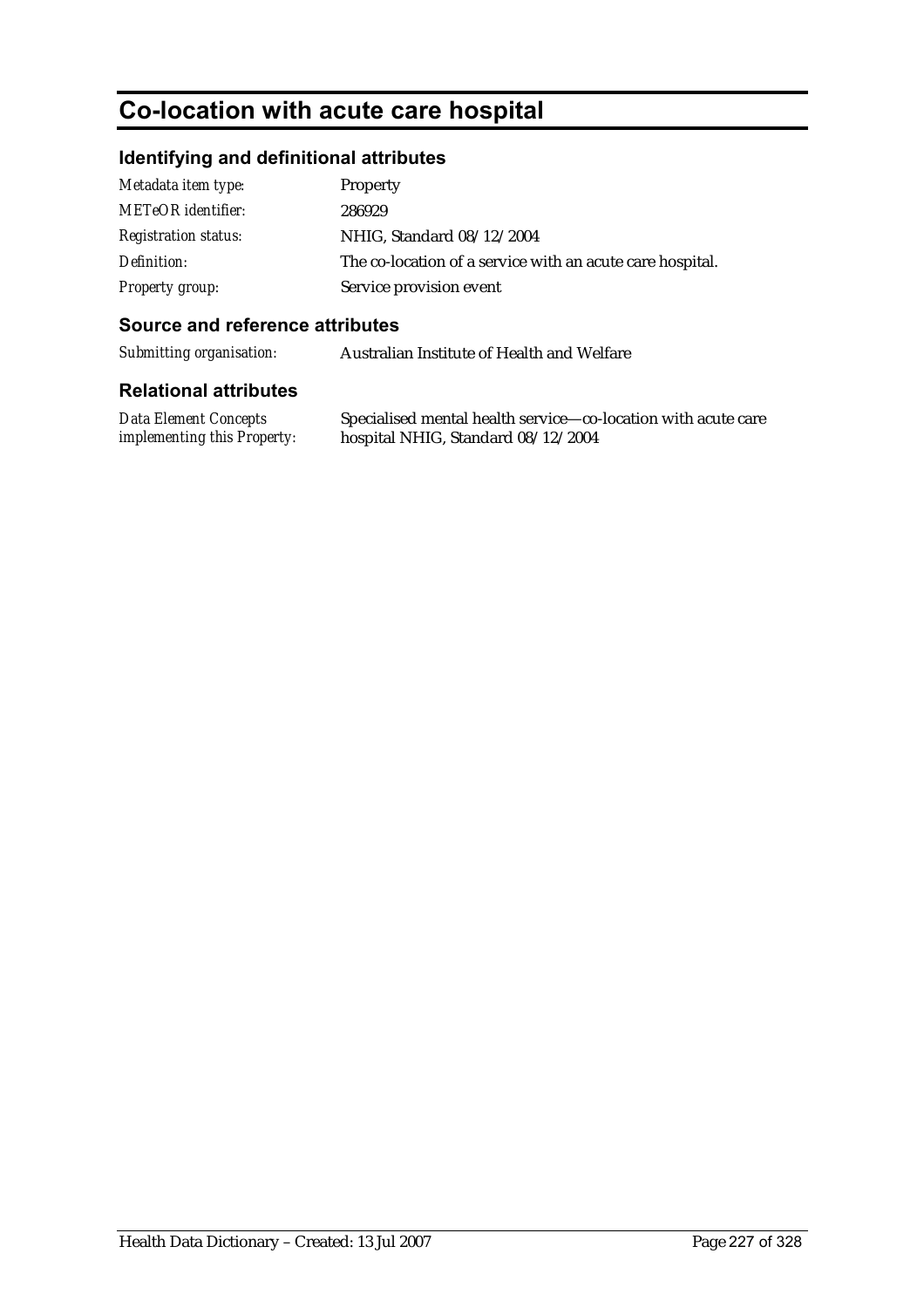# **Co-location with acute care hospital**

# **Identifying and definitional attributes**

| Metadata item type:         | Property                                                  |
|-----------------------------|-----------------------------------------------------------|
| <b>METeOR</b> identifier:   | 286929                                                    |
| <b>Registration status:</b> | NHIG, Standard 08/12/2004                                 |
| Definition:                 | The co-location of a service with an acute care hospital. |
| Property group:             | Service provision event                                   |

#### **Source and reference attributes**

*Submitting organisation:* Australian Institute of Health and Welfare

| Data Element Concepts              | Specialised mental health service—co-location with acute care |
|------------------------------------|---------------------------------------------------------------|
| <i>implementing this Property:</i> | hospital NHIG, Standard 08/12/2004                            |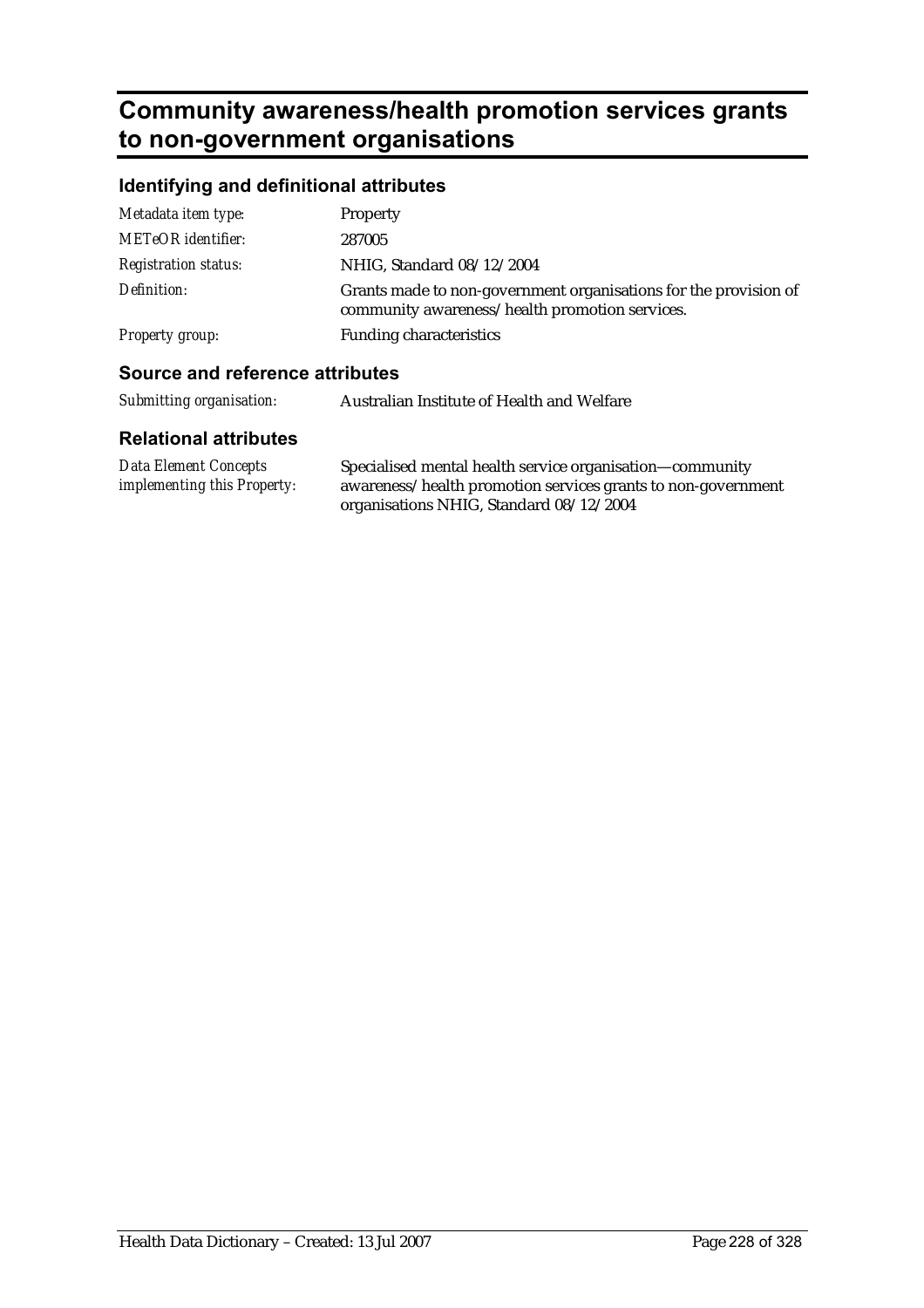# **Community awareness/health promotion services grants to non-government organisations**

# **Identifying and definitional attributes**

| Causes and reference officiality |                                                                                                                    |
|----------------------------------|--------------------------------------------------------------------------------------------------------------------|
| Property group:                  | <b>Funding characteristics</b>                                                                                     |
| Definition:                      | Grants made to non-government organisations for the provision of<br>community awareness/health promotion services. |
| <b>Registration status:</b>      | NHIG, Standard 08/12/2004                                                                                          |
| <b>METeOR</b> identifier:        | 287005                                                                                                             |
| Metadata item type:              | Property                                                                                                           |

#### **Source and reference attributes**

| Submitting organisation: | Australian Institute of Health and Welfare |
|--------------------------|--------------------------------------------|
|--------------------------|--------------------------------------------|

| Data Element Concepts              | Specialised mental health service organisation-community     |
|------------------------------------|--------------------------------------------------------------|
| <i>implementing this Property:</i> | awareness/health promotion services grants to non-government |
|                                    | organisations NHIG, Standard 08/12/2004                      |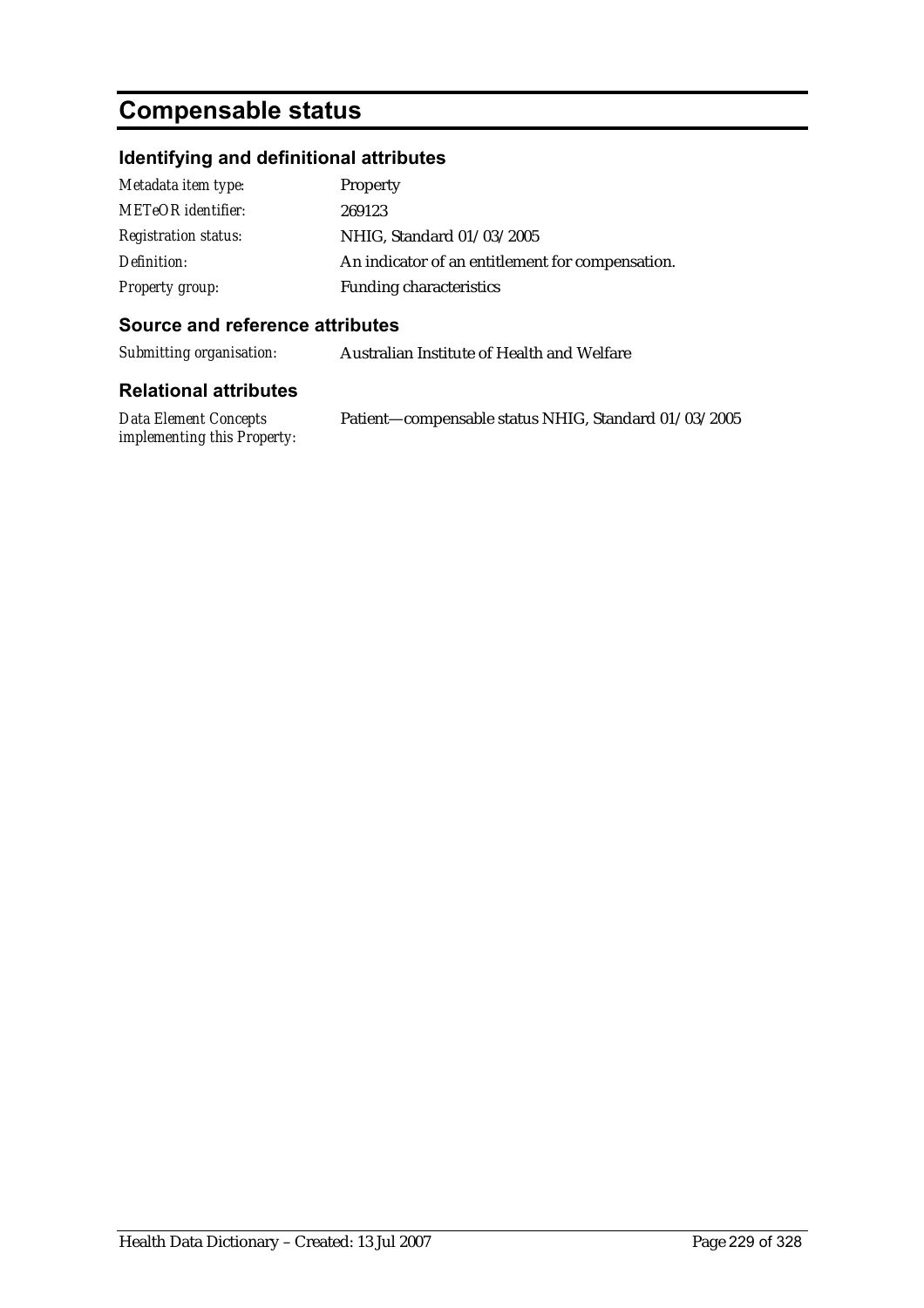# **Compensable status**

# **Identifying and definitional attributes**

| Metadata item type:         | Property                                         |
|-----------------------------|--------------------------------------------------|
| <b>METeOR</b> identifier:   | 269123                                           |
| <b>Registration status:</b> | NHIG, Standard 01/03/2005                        |
| Definition:                 | An indicator of an entitlement for compensation. |
| <b>Property group:</b>      | <b>Funding characteristics</b>                   |

#### **Source and reference attributes**

*Submitting organisation:* Australian Institute of Health and Welfare

| <b>Data Element Concepts</b>       | Patient-compensable status NHIG, Standard 01/03/2005 |
|------------------------------------|------------------------------------------------------|
| <i>implementing this Property:</i> |                                                      |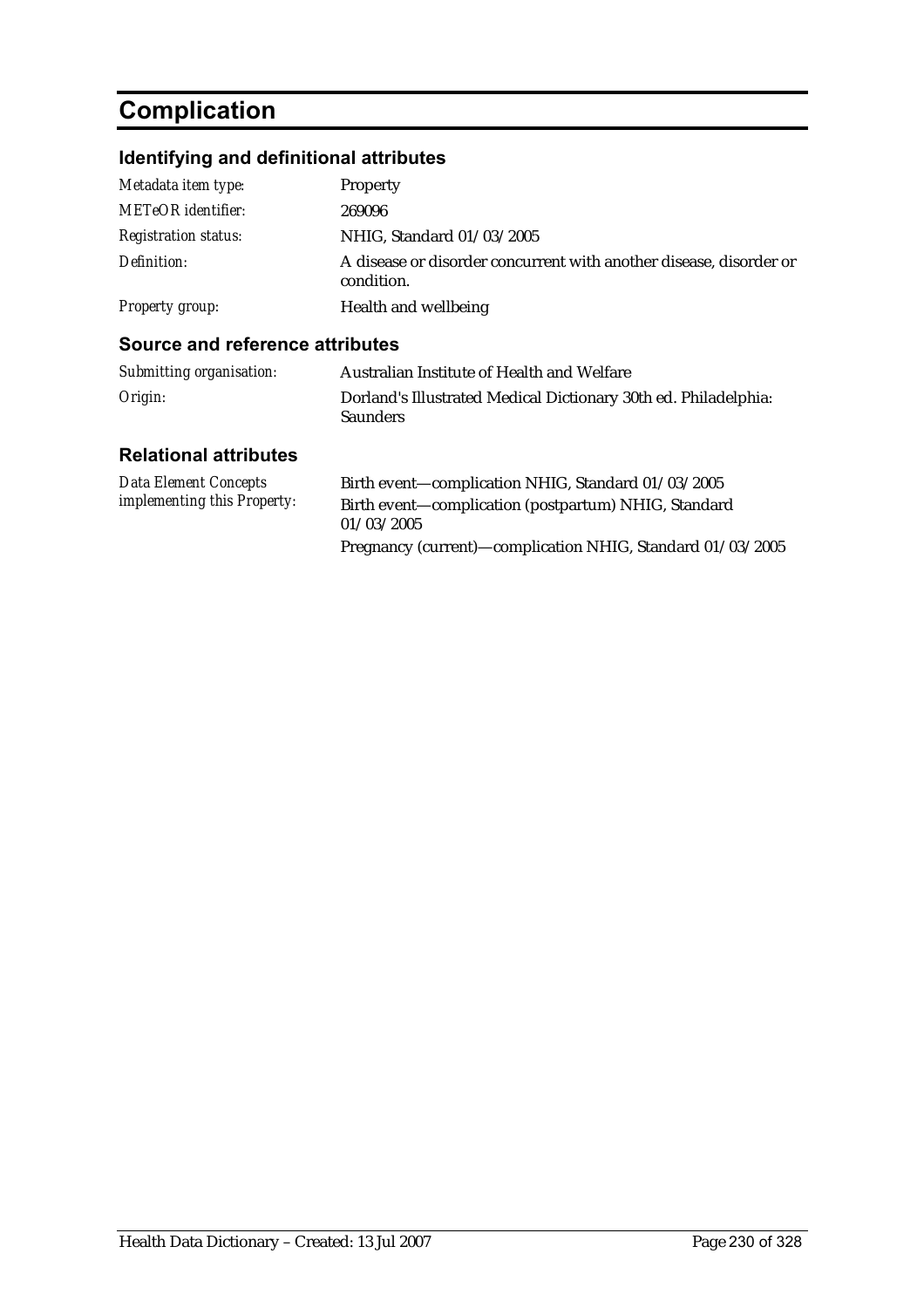# **Complication**

# **Identifying and definitional attributes**

| Metadata item type:         | Property                                                                         |
|-----------------------------|----------------------------------------------------------------------------------|
| <b>METeOR</b> identifier:   | 269096                                                                           |
| <b>Registration status:</b> | NHIG, Standard 01/03/2005                                                        |
| Definition:                 | A disease or disorder concurrent with another disease, disorder or<br>condition. |
| Property group:             | Health and wellbeing                                                             |

#### **Source and reference attributes**

| Submitting organisation: | Australian Institute of Health and Welfare                                         |
|--------------------------|------------------------------------------------------------------------------------|
| Origin:                  | Dorland's Illustrated Medical Dictionary 30th ed. Philadelphia:<br><b>Saunders</b> |

| Data Element Concepts              | Birth event—complication NHIG, Standard 01/03/2005         |
|------------------------------------|------------------------------------------------------------|
| <i>implementing this Property:</i> | Birth event—complication (postpartum) NHIG, Standard       |
|                                    | 01/03/2005                                                 |
|                                    | Pregnancy (current)—complication NHIG, Standard 01/03/2005 |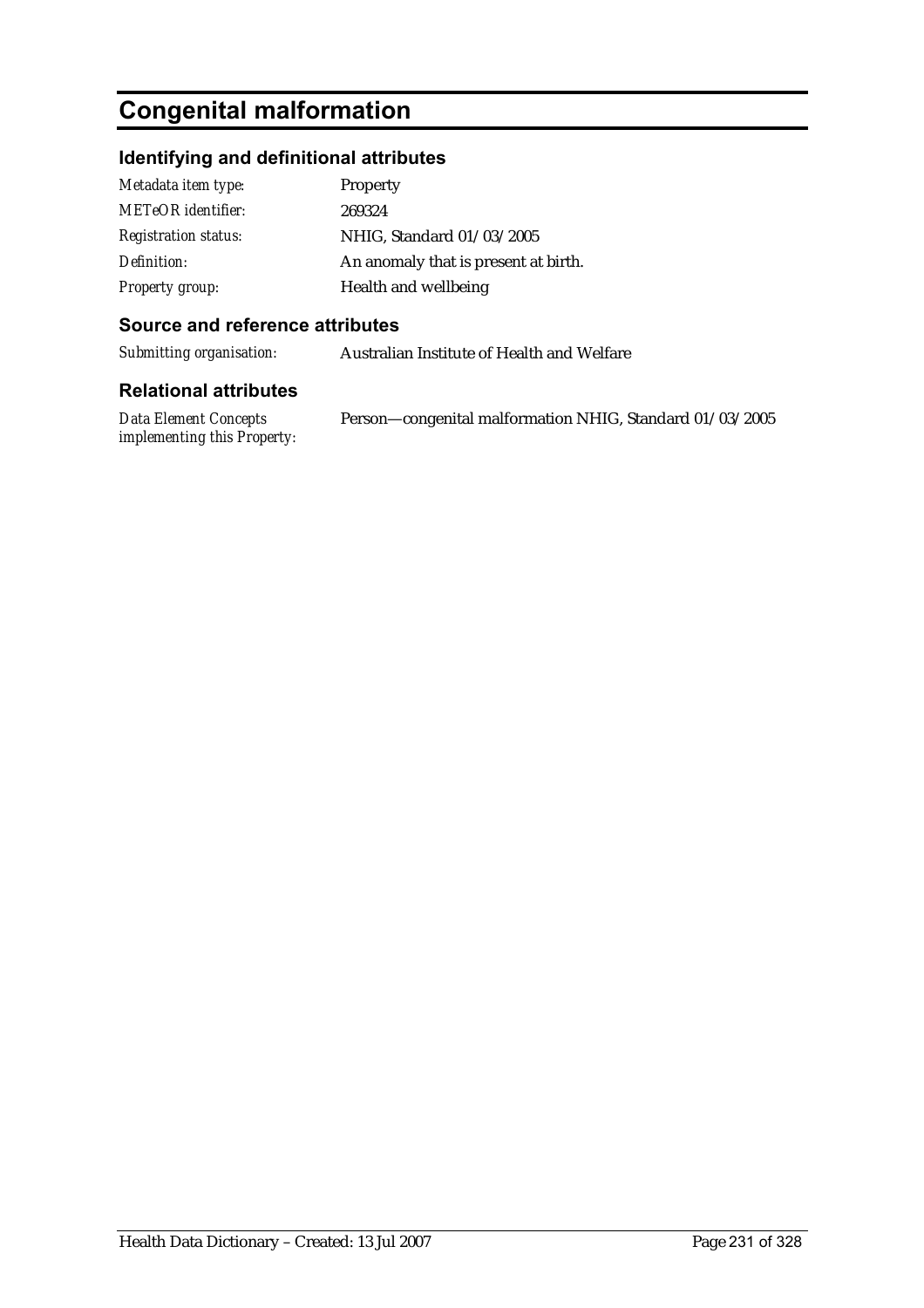# **Congenital malformation**

# **Identifying and definitional attributes**

| Metadata item type:         | <b>Property</b>                      |
|-----------------------------|--------------------------------------|
| METeOR identifier:          | 269324                               |
| <b>Registration status:</b> | NHIG, Standard 01/03/2005            |
| Definition:                 | An anomaly that is present at birth. |
| <b>Property group:</b>      | Health and wellbeing                 |

### **Source and reference attributes**

*Submitting organisation:* Australian Institute of Health and Welfare

| Data Element Concepts       | Person—congenital malformation NHIG, Standard 01/03/2005 |
|-----------------------------|----------------------------------------------------------|
| implementing this Property: |                                                          |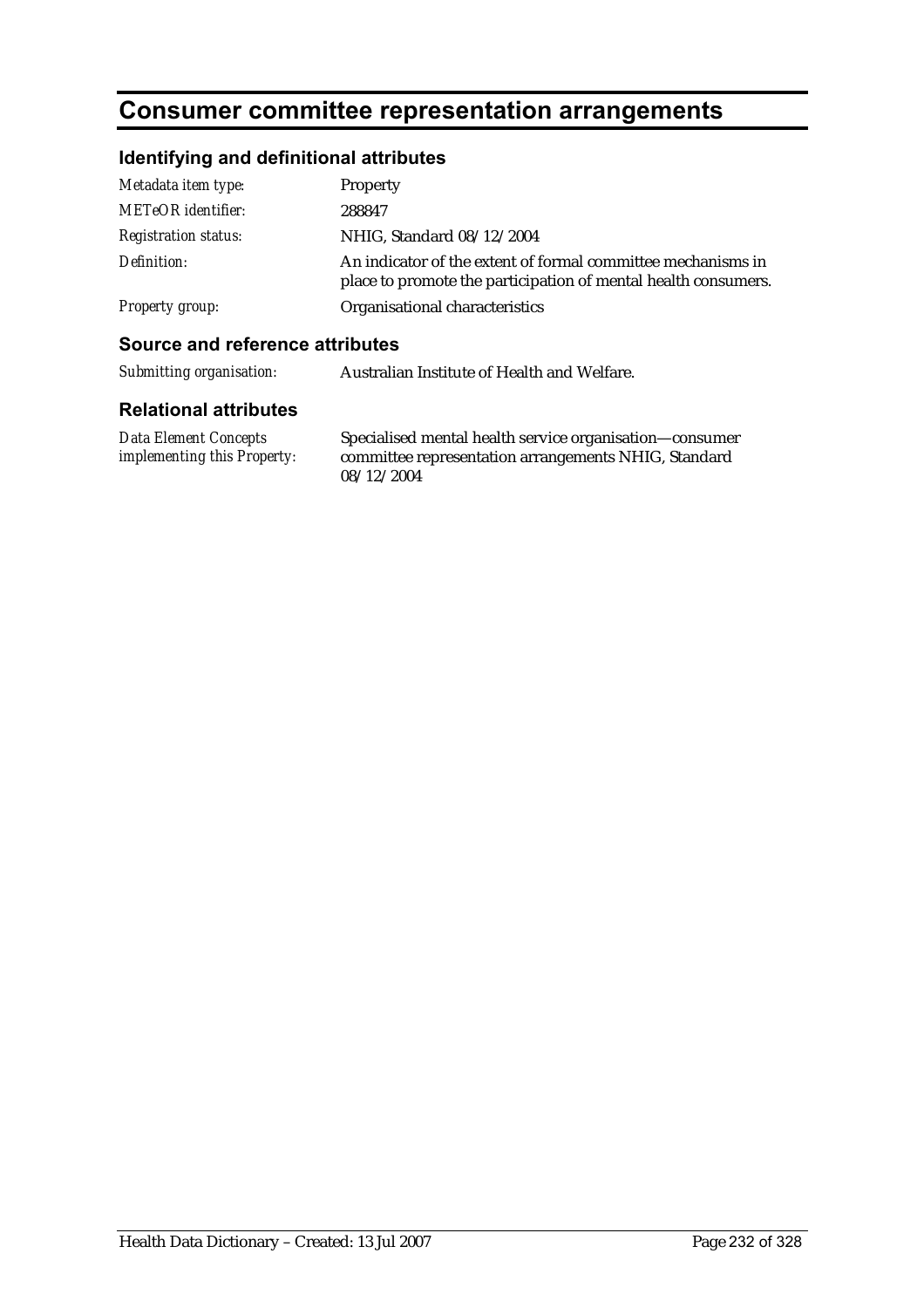# **Consumer committee representation arrangements**

### **Identifying and definitional attributes**

| Metadata item type:         | Property                                                                                                                       |
|-----------------------------|--------------------------------------------------------------------------------------------------------------------------------|
| <b>METeOR</b> identifier:   | 288847                                                                                                                         |
| <b>Registration status:</b> | NHIG, Standard 08/12/2004                                                                                                      |
| Definition:                 | An indicator of the extent of formal committee mechanisms in<br>place to promote the participation of mental health consumers. |
| Property group:             | Organisational characteristics                                                                                                 |

### **Source and reference attributes**

*Submitting organisation:* Australian Institute of Health and Welfare.

#### **Relational attributes**

*Data Element Concepts implementing this Property:* Specialised mental health service organisation—consumer committee representation arrangements NHIG, Standard 08/12/2004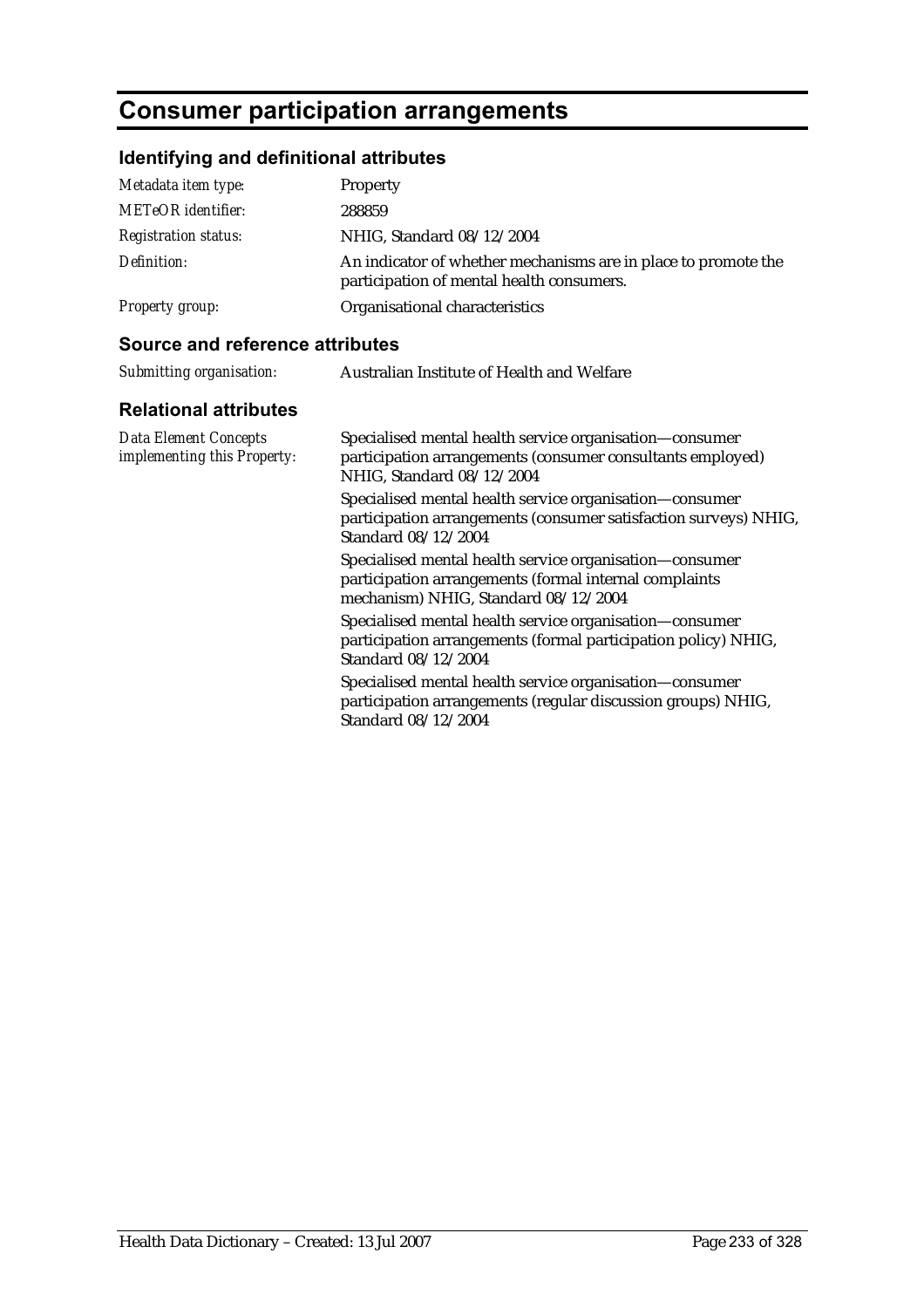# **Consumer participation arrangements**

# **Identifying and definitional attributes**

| Metadata item type:         | Property                                                                                                    |
|-----------------------------|-------------------------------------------------------------------------------------------------------------|
| <b>METeOR</b> identifier:   | 288859                                                                                                      |
| <b>Registration status:</b> | NHIG, Standard 08/12/2004                                                                                   |
| Definition:                 | An indicator of whether mechanisms are in place to promote the<br>participation of mental health consumers. |
| <b>Property group:</b>      | Organisational characteristics                                                                              |

#### **Source and reference attributes**

| Submitting organisation:                                    | Australian Institute of Health and Welfare                                                                                                                |
|-------------------------------------------------------------|-----------------------------------------------------------------------------------------------------------------------------------------------------------|
| <b>Relational attributes</b>                                |                                                                                                                                                           |
| <b>Data Element Concepts</b><br>implementing this Property: | Specialised mental health service organisation-consumer<br>participation arrangements (consumer consultants employed)<br>NHIG, Standard 08/12/2004        |
|                                                             | Specialised mental health service organisation-consumer<br>participation arrangements (consumer satisfaction surveys) NHIG,<br>Standard 08/12/2004        |
|                                                             | Specialised mental health service organisation-consumer<br>participation arrangements (formal internal complaints<br>mechanism) NHIG, Standard 08/12/2004 |
|                                                             | Specialised mental health service organisation-consumer<br>participation arrangements (formal participation policy) NHIG,<br>Standard 08/12/2004          |
|                                                             | Specialised mental health service organisation-consumer<br>participation arrangements (regular discussion groups) NHIG,<br>Standard 08/12/2004            |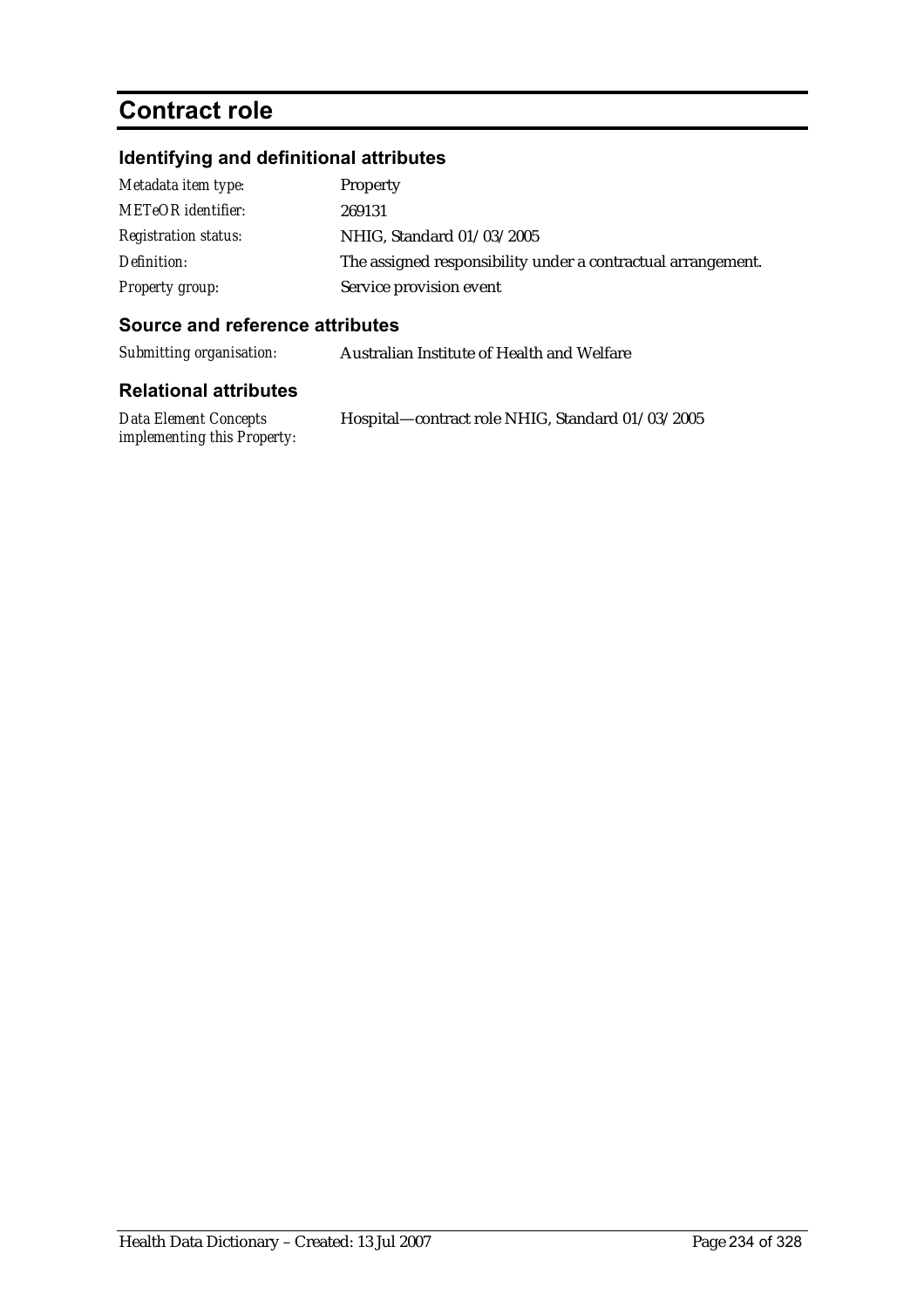# **Contract role**

# **Identifying and definitional attributes**

| Metadata item type:         | Property                                                     |
|-----------------------------|--------------------------------------------------------------|
| <b>METeOR</b> identifier:   | 269131                                                       |
| <b>Registration status:</b> | NHIG, Standard 01/03/2005                                    |
| Definition:                 | The assigned responsibility under a contractual arrangement. |
| <b>Property group:</b>      | Service provision event                                      |

## **Source and reference attributes**

| Submitting organisation: | Australian Institute of Health and Welfare |
|--------------------------|--------------------------------------------|
|--------------------------|--------------------------------------------|

| <b>Data Element Concepts</b> | Hospital—contract role NHIG, Standard 01/03/2005 |
|------------------------------|--------------------------------------------------|
| implementing this Property:  |                                                  |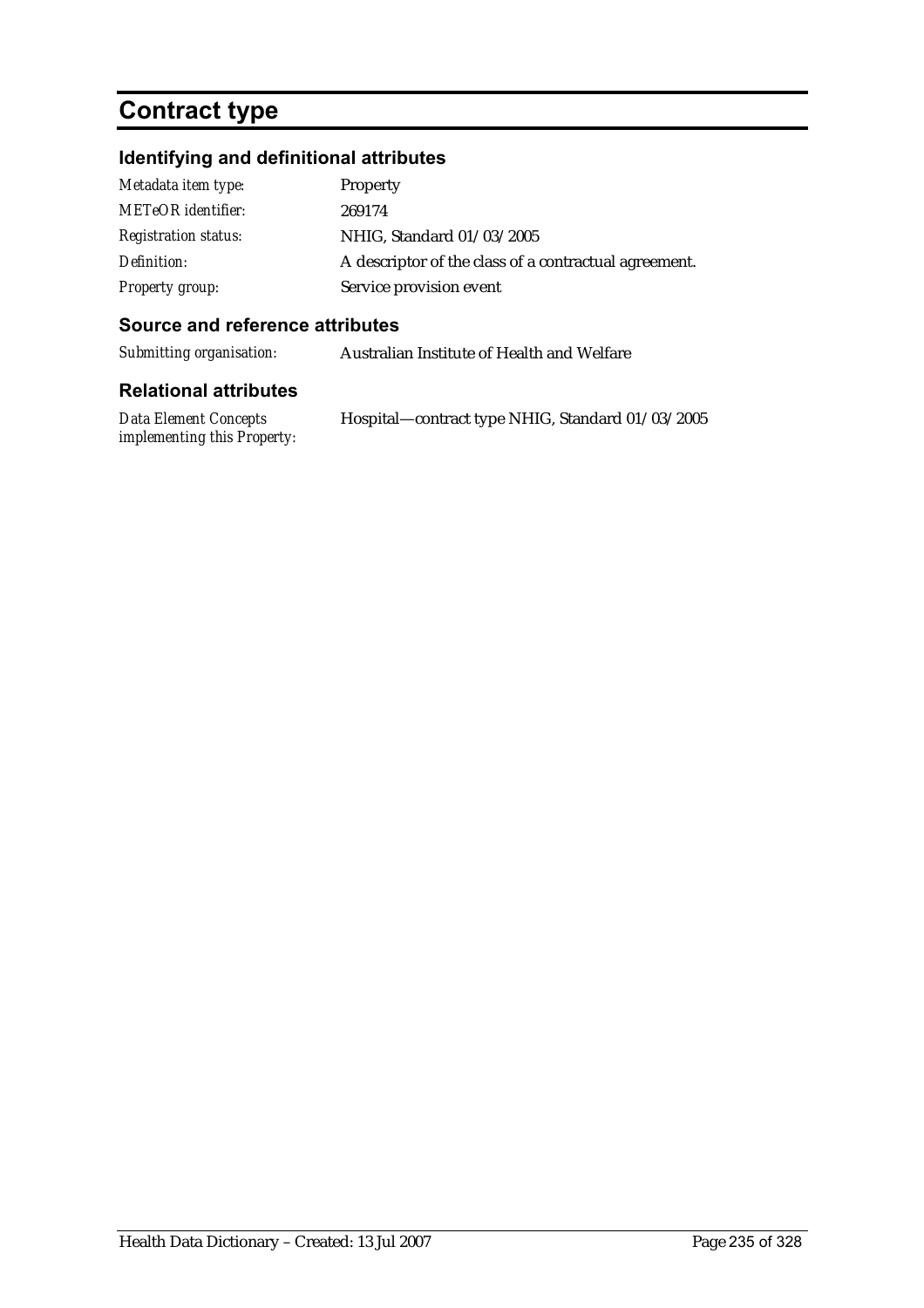# **Contract type**

# **Identifying and definitional attributes**

| Metadata item type:         | Property                                              |
|-----------------------------|-------------------------------------------------------|
| <b>METeOR</b> identifier:   | 269174                                                |
| <b>Registration status:</b> | NHIG, Standard 01/03/2005                             |
| Definition:                 | A descriptor of the class of a contractual agreement. |
| <b>Property group:</b>      | Service provision event                               |

## **Source and reference attributes**

*Submitting organisation:* Australian Institute of Health and Welfare

| Data Element Concepts       | Hospital—contract type NHIG, Standard 01/03/2005 |
|-----------------------------|--------------------------------------------------|
| implementing this Property: |                                                  |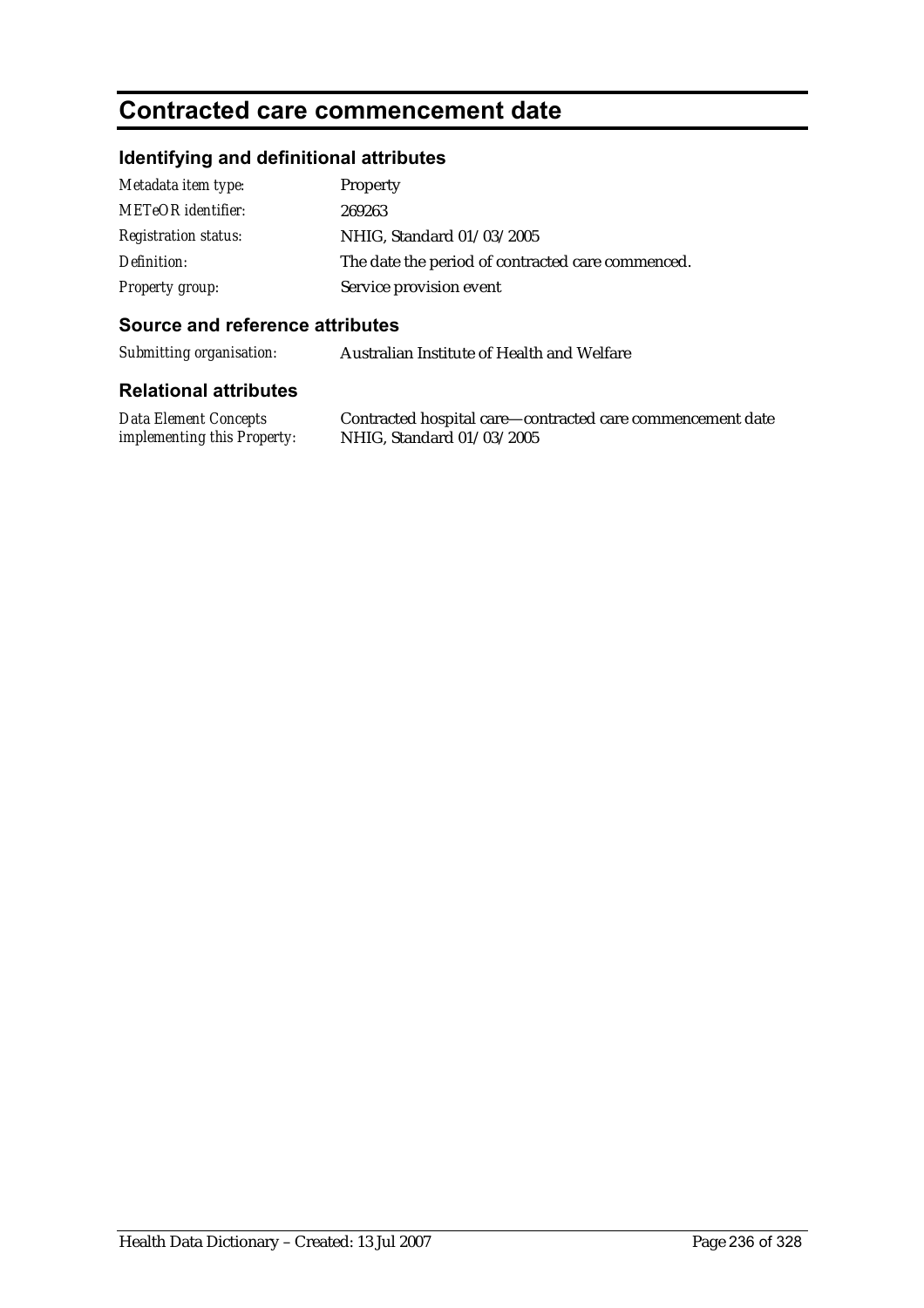# **Contracted care commencement date**

## **Identifying and definitional attributes**

| Metadata item type:         | Property                                          |
|-----------------------------|---------------------------------------------------|
| <b>METeOR</b> identifier:   | 269263                                            |
| <b>Registration status:</b> | NHIG, Standard 01/03/2005                         |
| Definition:                 | The date the period of contracted care commenced. |
| <b>Property group:</b>      | Service provision event                           |

#### **Source and reference attributes**

*Submitting organisation:* Australian Institute of Health and Welfare

#### **Relational attributes**

*Data Element Concepts implementing this Property:*

Contracted hospital care—contracted care commencement date NHIG, Standard 01/03/2005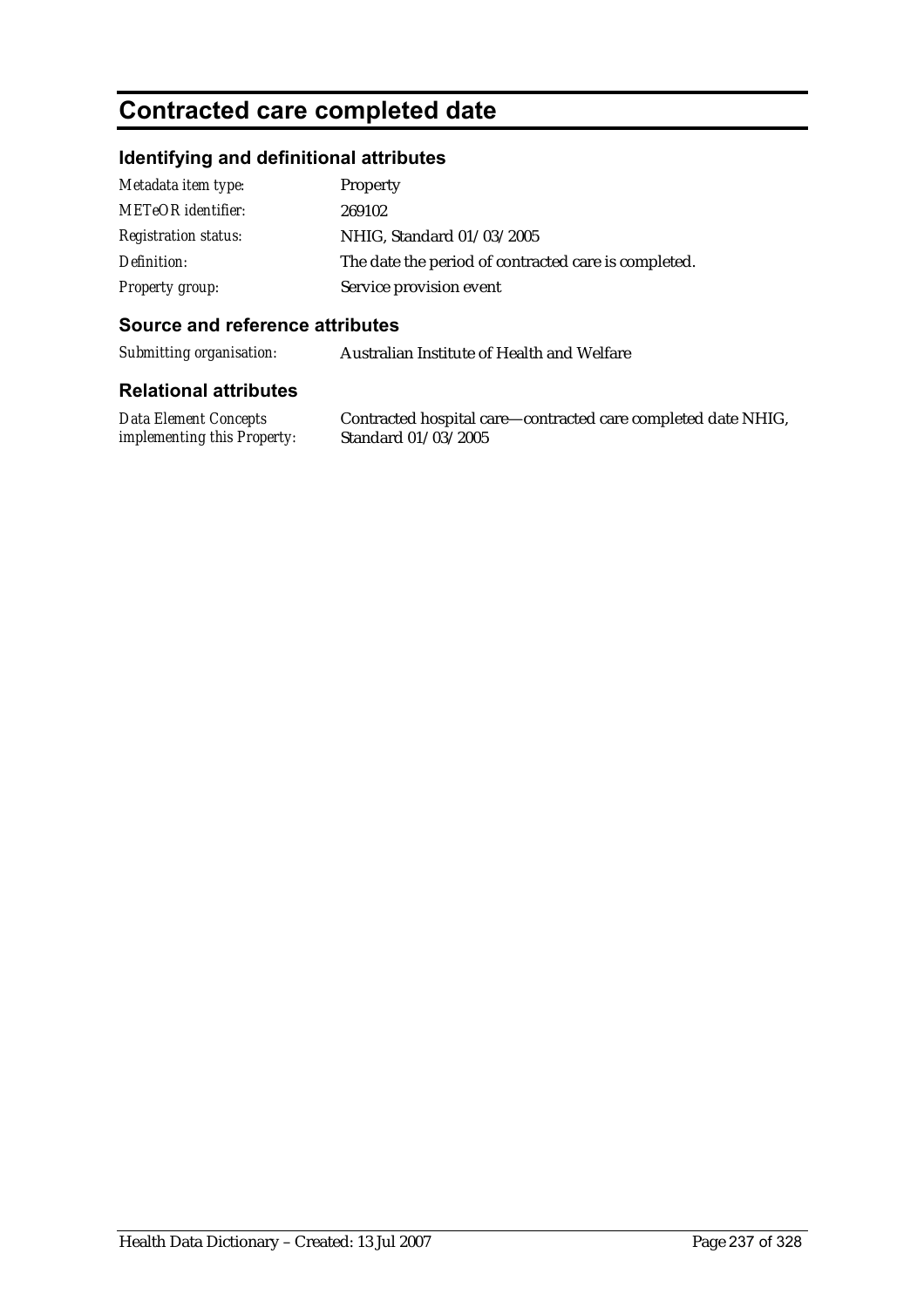# **Contracted care completed date**

## **Identifying and definitional attributes**

| Metadata item type:         | Property                                             |
|-----------------------------|------------------------------------------------------|
| <b>METeOR</b> identifier:   | 269102                                               |
| <b>Registration status:</b> | NHIG, Standard 01/03/2005                            |
| Definition:                 | The date the period of contracted care is completed. |
| <b>Property group:</b>      | Service provision event                              |

#### **Source and reference attributes**

*Submitting organisation:* Australian Institute of Health and Welfare

#### **Relational attributes**

*Data Element Concepts implementing this Property:*

Contracted hospital care—contracted care completed date NHIG, Standard 01/03/2005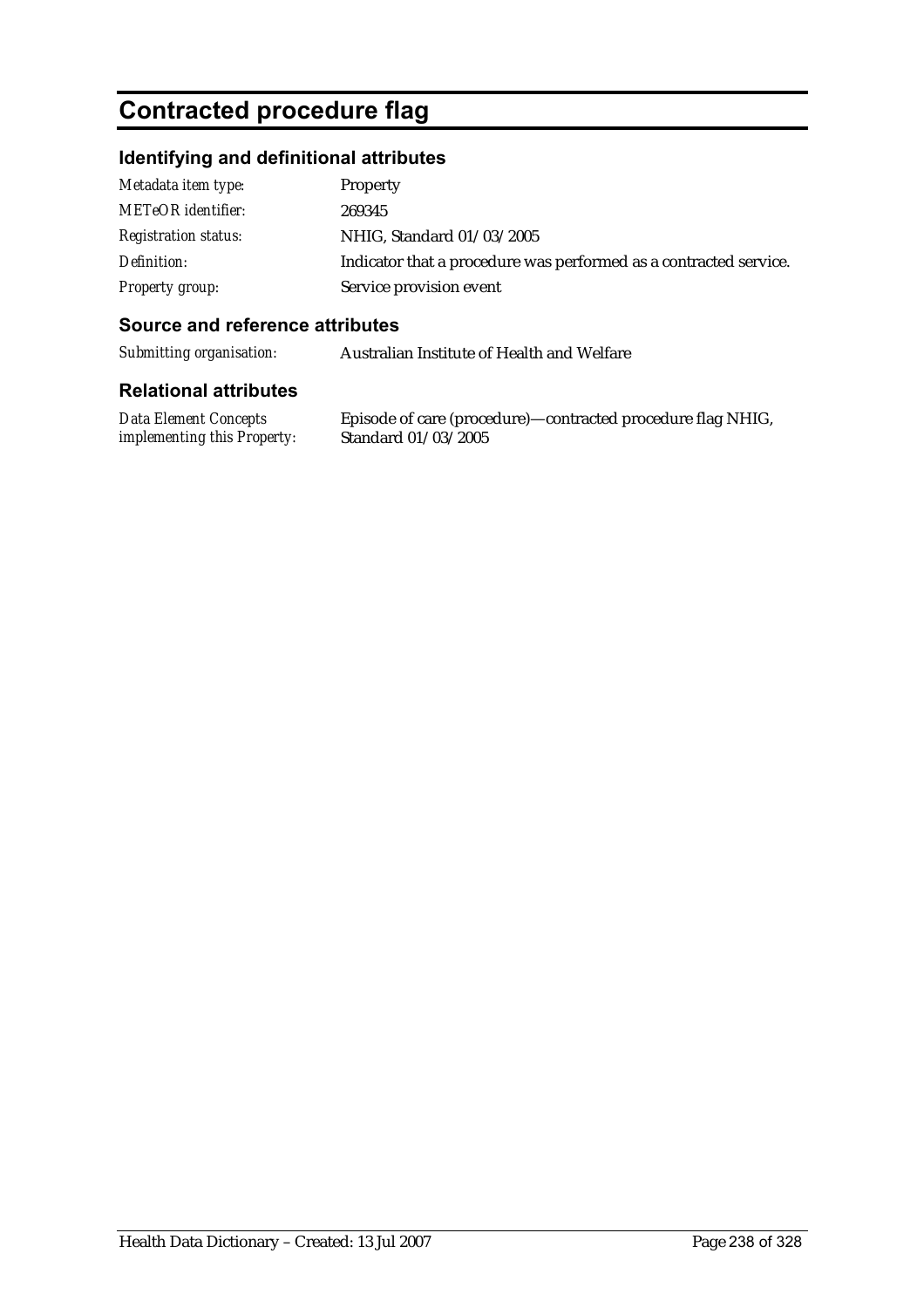# **Contracted procedure flag**

## **Identifying and definitional attributes**

| Metadata item type:         | <b>Property</b>                                                   |
|-----------------------------|-------------------------------------------------------------------|
| <b>METeOR</b> identifier:   | 269345                                                            |
| <b>Registration status:</b> | NHIG, Standard 01/03/2005                                         |
| Definition:                 | Indicator that a procedure was performed as a contracted service. |
| Property group:             | Service provision event                                           |

### **Source and reference attributes**

*Submitting organisation:* Australian Institute of Health and Welfare

### **Relational attributes**

*Data Element Concepts implementing this Property:*

Episode of care (procedure)—contracted procedure flag NHIG, Standard 01/03/2005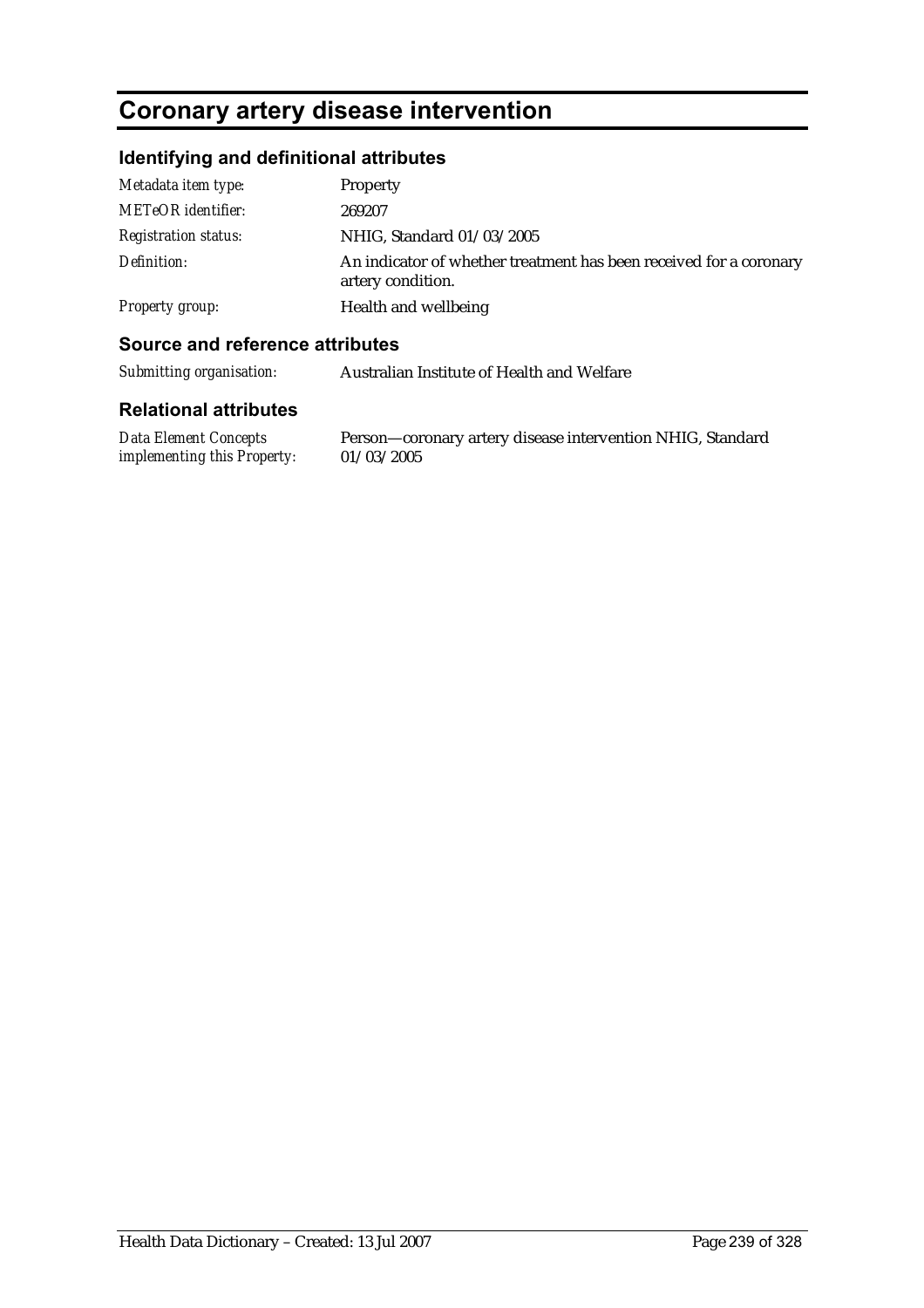# **Coronary artery disease intervention**

## **Identifying and definitional attributes**

| Metadata item type:         | Property                                                                                |
|-----------------------------|-----------------------------------------------------------------------------------------|
| <b>METeOR</b> identifier:   | 269207                                                                                  |
| <b>Registration status:</b> | NHIG, Standard 01/03/2005                                                               |
| Definition:                 | An indicator of whether treatment has been received for a coronary<br>artery condition. |
| Property group:             | Health and wellbeing                                                                    |

### **Source and reference attributes**

*Submitting organisation:* Australian Institute of Health and Welfare

#### **Relational attributes**

*Data Element Concepts implementing this Property:* Person—coronary artery disease intervention NHIG, Standard 01/03/2005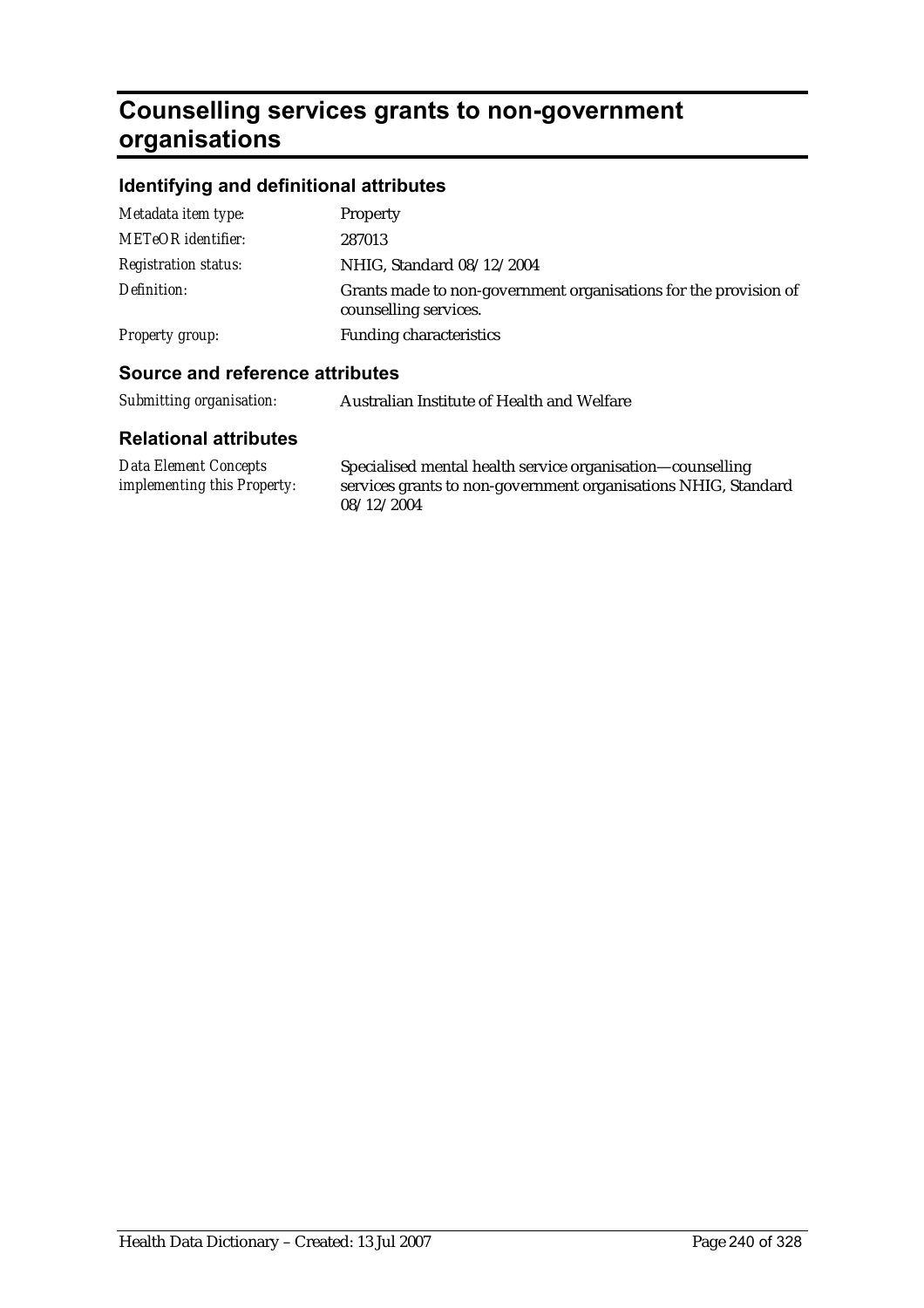# **Counselling services grants to non-government organisations**

# **Identifying and definitional attributes**

| Metadata item type:         | Property                                                                                  |
|-----------------------------|-------------------------------------------------------------------------------------------|
| <b>METeOR</b> identifier:   | 287013                                                                                    |
| <b>Registration status:</b> | NHIG, Standard 08/12/2004                                                                 |
| Definition:                 | Grants made to non-government organisations for the provision of<br>counselling services. |
| Property group:             | <b>Funding characteristics</b>                                                            |
|                             |                                                                                           |

## **Source and reference attributes**

| Submitting organisation: | Australian Institute of Health and Welfare |
|--------------------------|--------------------------------------------|
|                          |                                            |

| Data Element Concepts              | Specialised mental health service organisation—counselling     |
|------------------------------------|----------------------------------------------------------------|
| <i>implementing this Property:</i> | services grants to non-government organisations NHIG, Standard |
|                                    | 08/12/2004                                                     |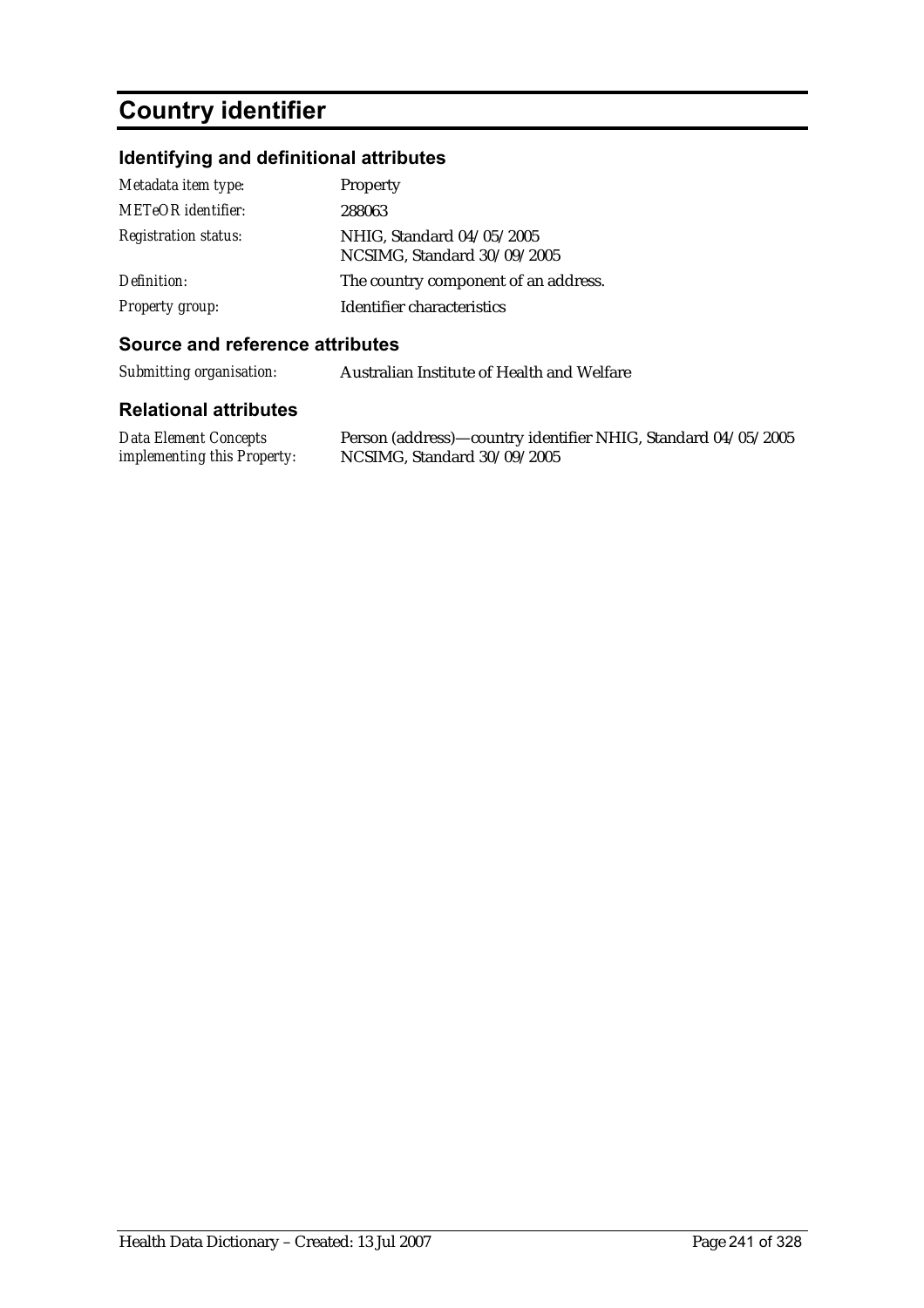# **Country identifier**

# **Identifying and definitional attributes**

| Metadata item type:         | Property                                                 |
|-----------------------------|----------------------------------------------------------|
| <b>METeOR</b> identifier:   | 288063                                                   |
| <b>Registration status:</b> | NHIG, Standard 04/05/2005<br>NCSIMG, Standard 30/09/2005 |
| Definition:                 | The country component of an address.                     |
| <b>Property group:</b>      | Identifier characteristics                               |

#### **Source and reference attributes**

*Submitting organisation:* Australian Institute of Health and Welfare

| Data Element Concepts              | Person (address)—country identifier NHIG, Standard 04/05/2005 |
|------------------------------------|---------------------------------------------------------------|
| <i>implementing this Property:</i> | NCSIMG, Standard 30/09/2005                                   |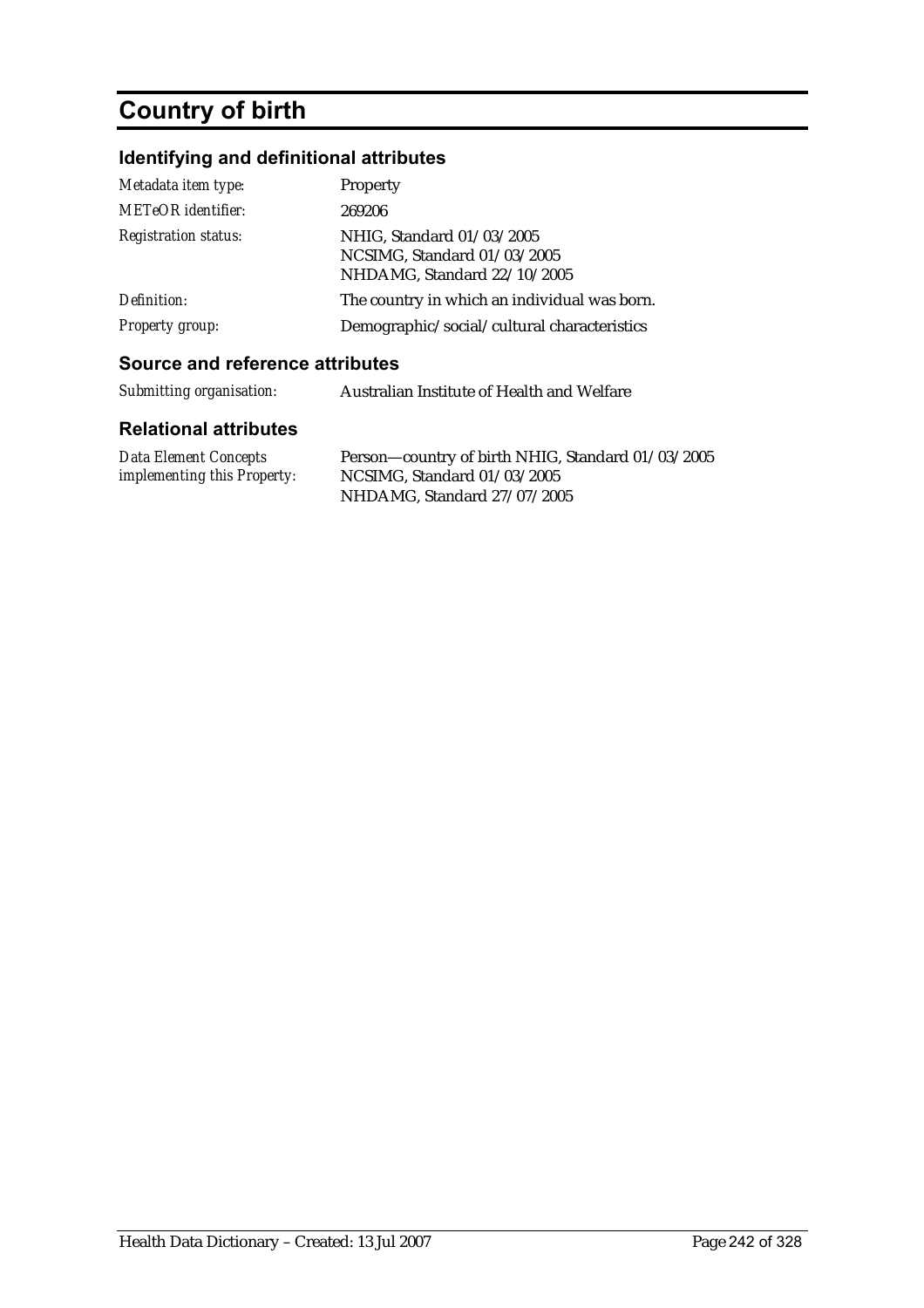# **Country of birth**

# **Identifying and definitional attributes**

| Metadata item type:         | Property                                                                                |
|-----------------------------|-----------------------------------------------------------------------------------------|
| <b>METeOR</b> identifier:   | 269206                                                                                  |
| <b>Registration status:</b> | NHIG, Standard 01/03/2005<br>NCSIMG, Standard 01/03/2005<br>NHDAMG, Standard 22/10/2005 |
| Definition:                 | The country in which an individual was born.                                            |
| <b>Property group:</b>      | Demographic/social/cultural characteristics                                             |

### **Source and reference attributes**

| Submitting organisation: | Australian Institute of Health and Welfare |
|--------------------------|--------------------------------------------|
|                          |                                            |

| <b>Data Element Concepts</b>       | Person-country of birth NHIG, Standard 01/03/2005 |
|------------------------------------|---------------------------------------------------|
| <i>implementing this Property:</i> | NCSIMG. Standard $01/03/2005$                     |
|                                    | NHDAMG, Standard 27/07/2005                       |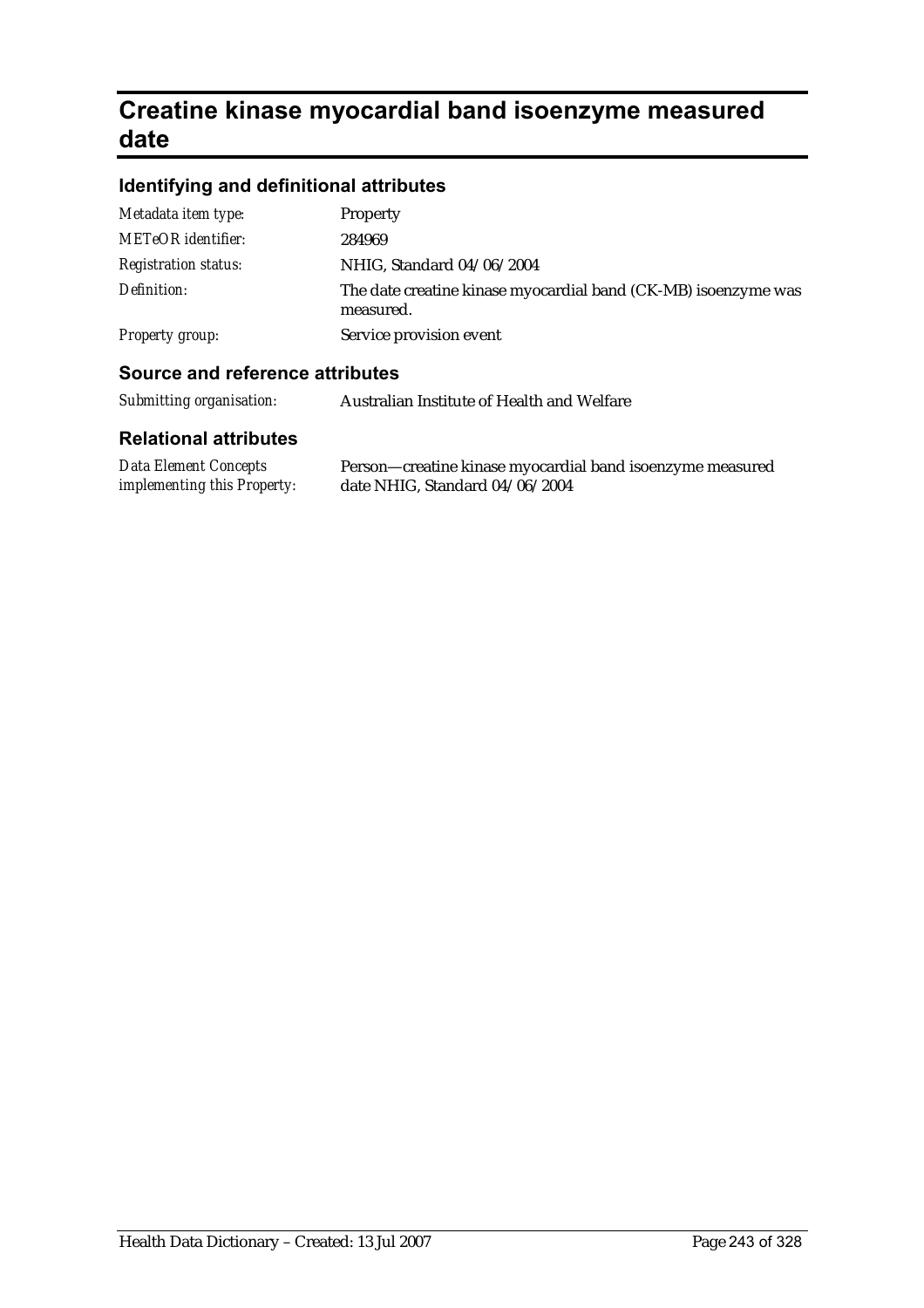# **Creatine kinase myocardial band isoenzyme measured date**

# **Identifying and definitional attributes**

| Metadata item type:         | Property                                                                    |
|-----------------------------|-----------------------------------------------------------------------------|
| <b>METeOR</b> identifier:   | 284969                                                                      |
| <b>Registration status:</b> | NHIG, Standard 04/06/2004                                                   |
| Definition:                 | The date creatine kinase myocardial band (CK-MB) isoenzyme was<br>measured. |
| Property group:             | Service provision event                                                     |
|                             |                                                                             |

## **Source and reference attributes**

| Submitting organisation: | Australian Institute of Health and Welfare |
|--------------------------|--------------------------------------------|
|--------------------------|--------------------------------------------|

| <b>Data Element Concepts</b>       | Person—creatine kinase myocardial band isoenzyme measured |
|------------------------------------|-----------------------------------------------------------|
| <i>implementing this Property:</i> | date NHIG, Standard 04/06/2004                            |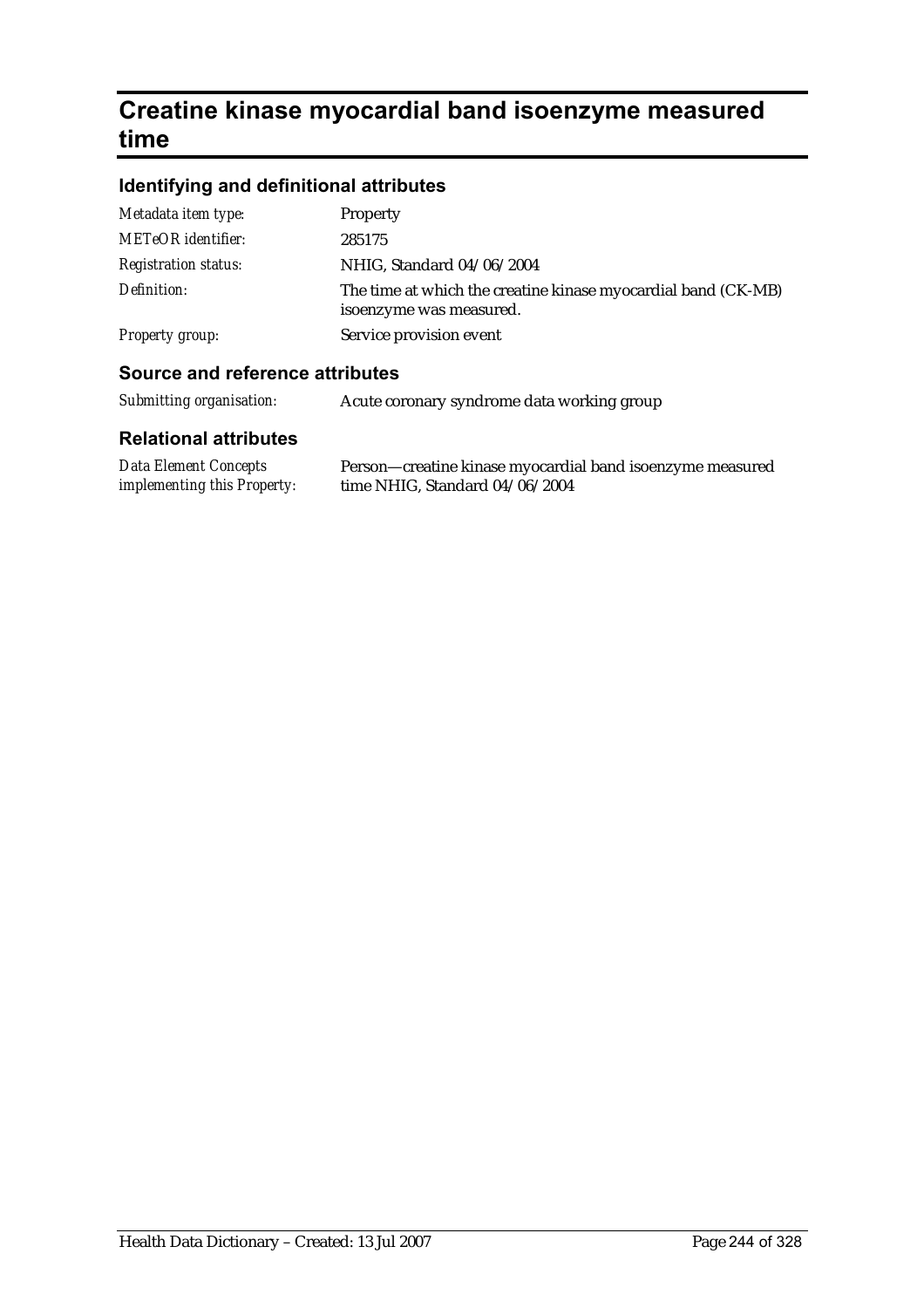# **Creatine kinase myocardial band isoenzyme measured time**

## **Identifying and definitional attributes**

| <b>Cource and reference attributes</b> |                                                                                          |
|----------------------------------------|------------------------------------------------------------------------------------------|
| Property group:                        | Service provision event                                                                  |
| Definition:                            | The time at which the creatine kinase myocardial band (CK-MB)<br>isoenzyme was measured. |
| <b>Registration status:</b>            | NHIG, Standard 04/06/2004                                                                |
| <b>METeOR</b> identifier:              | 285175                                                                                   |
| Metadata item type:                    | <b>Property</b>                                                                          |

#### **Source and reference attributes**

| Submitting organisation: |  | Acute coronary syndrome data working group |  |
|--------------------------|--|--------------------------------------------|--|
|                          |  |                                            |  |

| <b>Data Element Concepts</b>       | Person—creatine kinase myocardial band isoenzyme measured |
|------------------------------------|-----------------------------------------------------------|
| <i>implementing this Property:</i> | time NHIG, Standard 04/06/2004                            |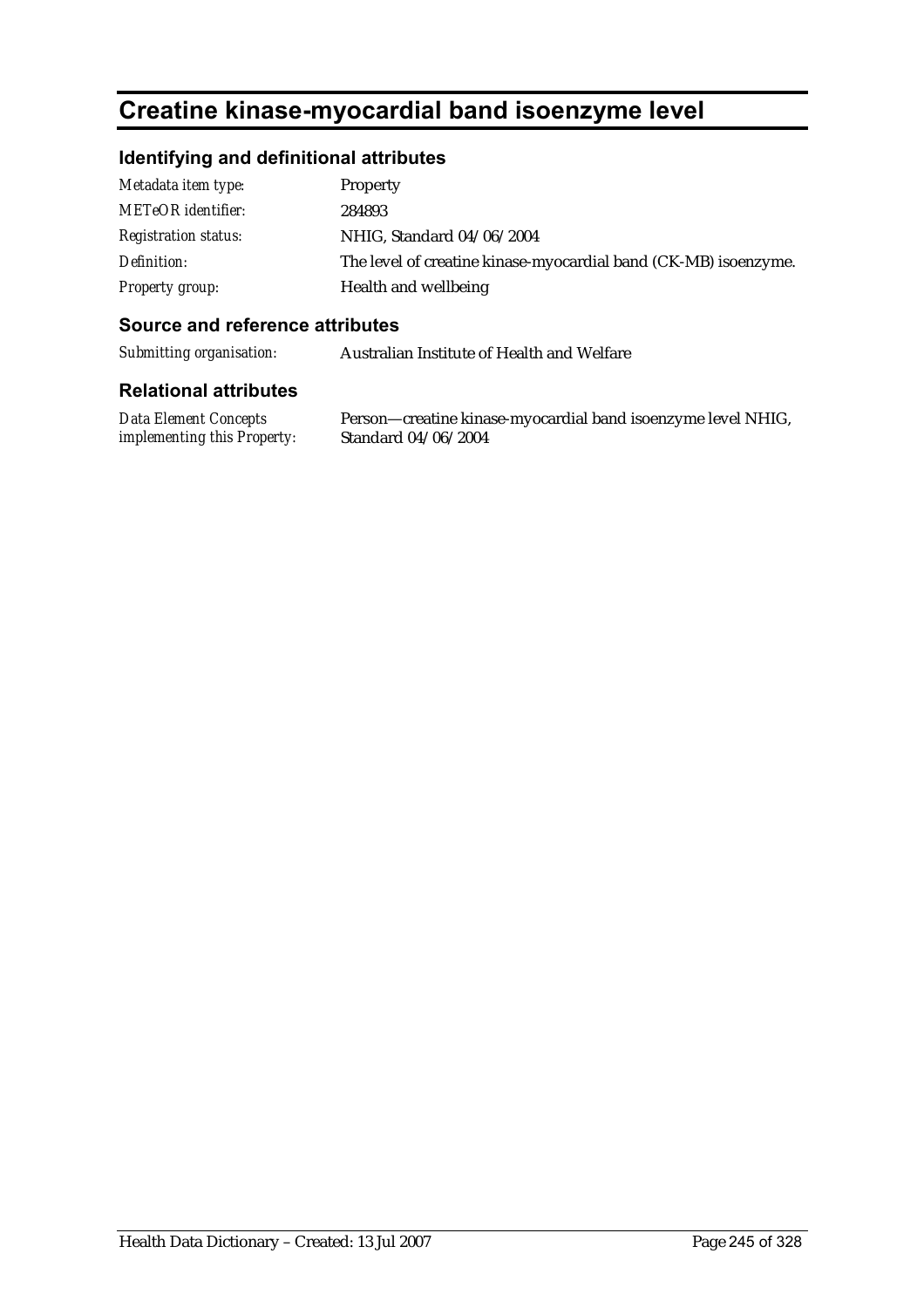# **Creatine kinase-myocardial band isoenzyme level**

## **Identifying and definitional attributes**

| Metadata item type:         | <b>Property</b>                                                 |
|-----------------------------|-----------------------------------------------------------------|
| <b>METeOR</b> identifier:   | 284893                                                          |
| <b>Registration status:</b> | NHIG, Standard 04/06/2004                                       |
| Definition:                 | The level of creatine kinase-myocardial band (CK-MB) isoenzyme. |
| Property group:             | Health and wellbeing                                            |

#### **Source and reference attributes**

*Submitting organisation:* Australian Institute of Health and Welfare

#### **Relational attributes**

*Data Element Concepts implementing this Property:*

Person—creatine kinase-myocardial band isoenzyme level NHIG, Standard 04/06/2004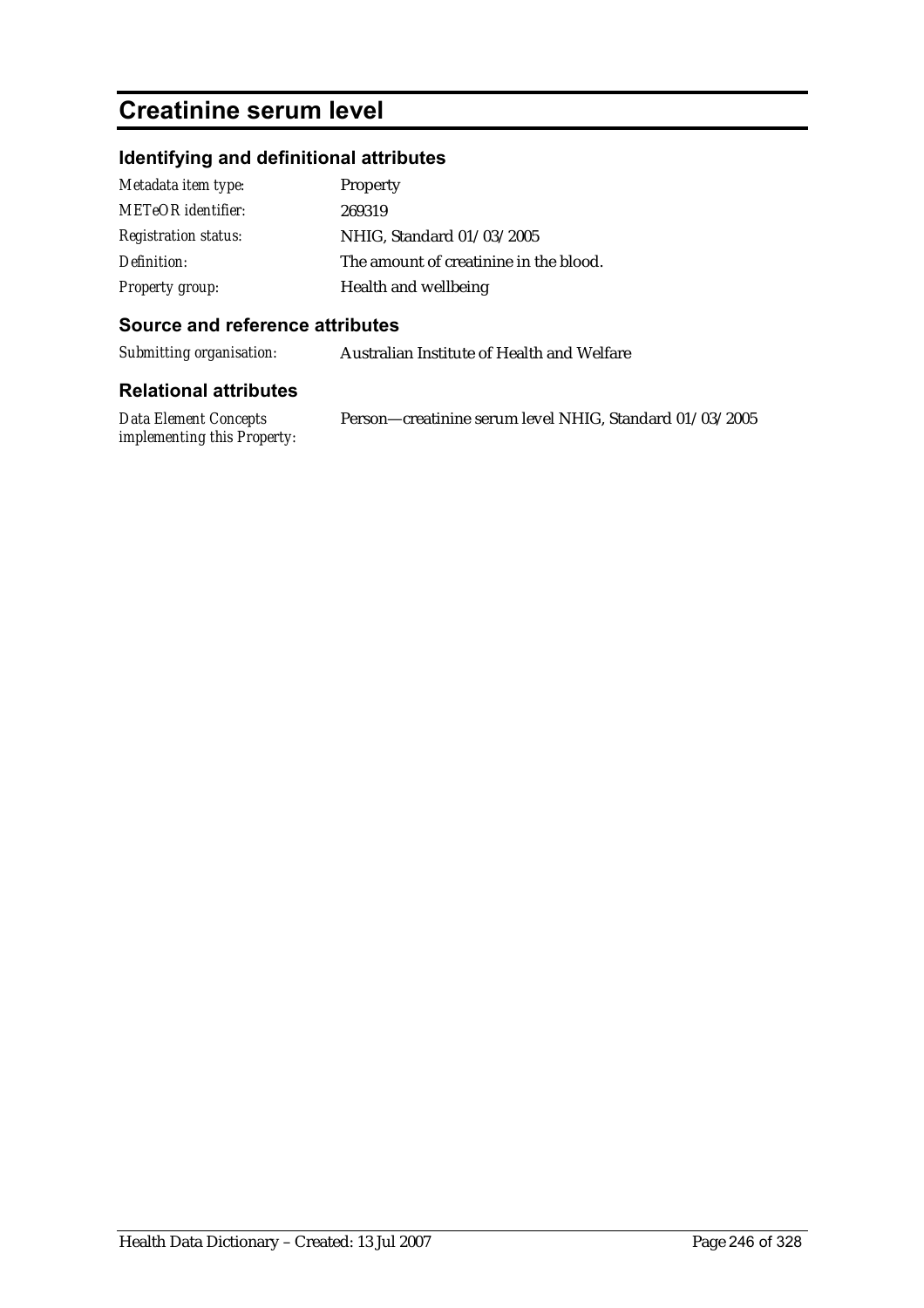# **Creatinine serum level**

# **Identifying and definitional attributes**

| Metadata item type:         | Property                               |
|-----------------------------|----------------------------------------|
| METeOR identifier:          | 269319                                 |
| <b>Registration status:</b> | NHIG, Standard 01/03/2005              |
| Definition:                 | The amount of creatinine in the blood. |
| <b>Property group:</b>      | Health and wellbeing                   |

### **Source and reference attributes**

*Submitting organisation:* Australian Institute of Health and Welfare

| Data Element Concepts              | Person-creatinine serum level NHIG, Standard 01/03/2005 |
|------------------------------------|---------------------------------------------------------|
| <i>implementing this Property:</i> |                                                         |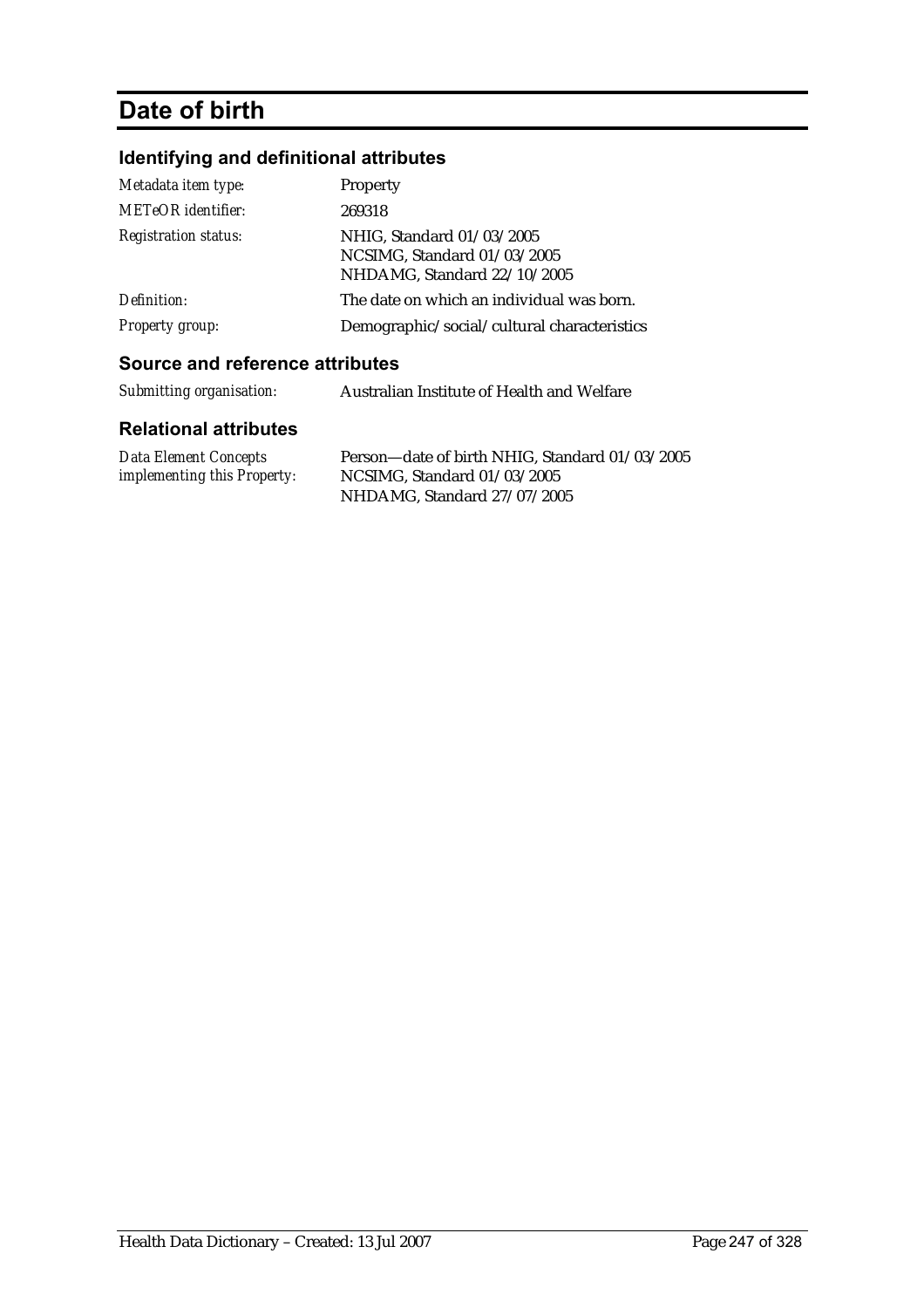# **Date of birth**

# **Identifying and definitional attributes**

| Metadata item type:         | Property                                                                                |
|-----------------------------|-----------------------------------------------------------------------------------------|
| <b>METeOR</b> identifier:   | 269318                                                                                  |
| <b>Registration status:</b> | NHIG, Standard 01/03/2005<br>NCSIMG, Standard 01/03/2005<br>NHDAMG, Standard 22/10/2005 |
| Definition:                 | The date on which an individual was born.                                               |
| <b>Property group:</b>      | Demographic/social/cultural characteristics                                             |

## **Source and reference attributes**

| Submitting organisation: | Australian Institute of Health and Welfare |
|--------------------------|--------------------------------------------|
|                          |                                            |

| Data Element Concepts              | Person—date of birth NHIG, Standard 01/03/2005 |
|------------------------------------|------------------------------------------------|
| <i>implementing this Property:</i> | NCSIMG, Standard 01/03/2005                    |
|                                    | NHDAMG, Standard 27/07/2005                    |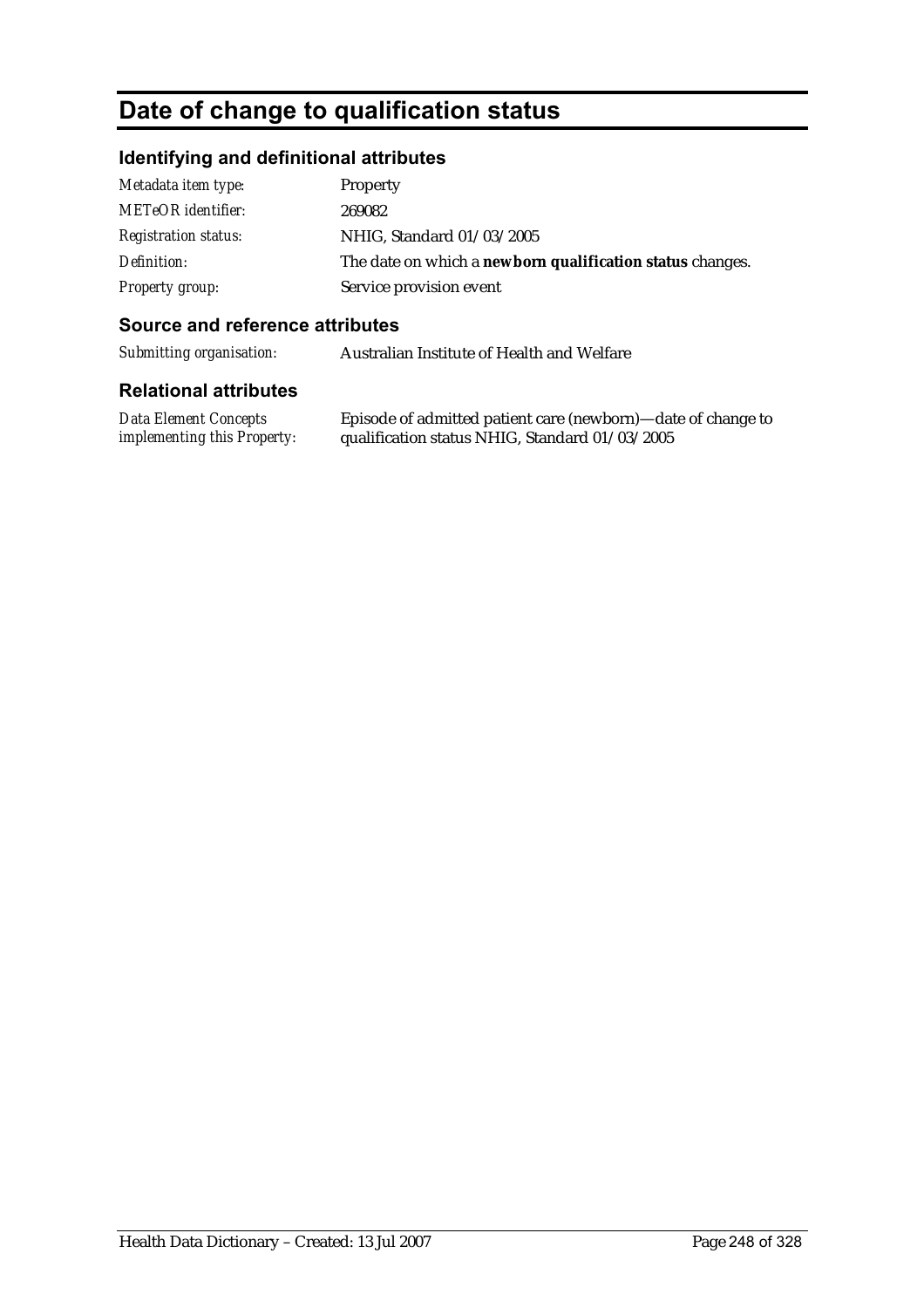# **Date of change to qualification status**

## **Identifying and definitional attributes**

| Metadata item type:         | Property                                                  |
|-----------------------------|-----------------------------------------------------------|
| <b>METeOR</b> identifier:   | 269082                                                    |
| <i>Registration status:</i> | NHIG, Standard 01/03/2005                                 |
| Definition:                 | The date on which a newborn qualification status changes. |
| <b>Property group:</b>      | Service provision event                                   |

#### **Source and reference attributes**

*Submitting organisation:* Australian Institute of Health and Welfare

#### **Relational attributes**

*Data Element Concepts implementing this Property:* Episode of admitted patient care (newborn)—date of change to qualification status NHIG, Standard 01/03/2005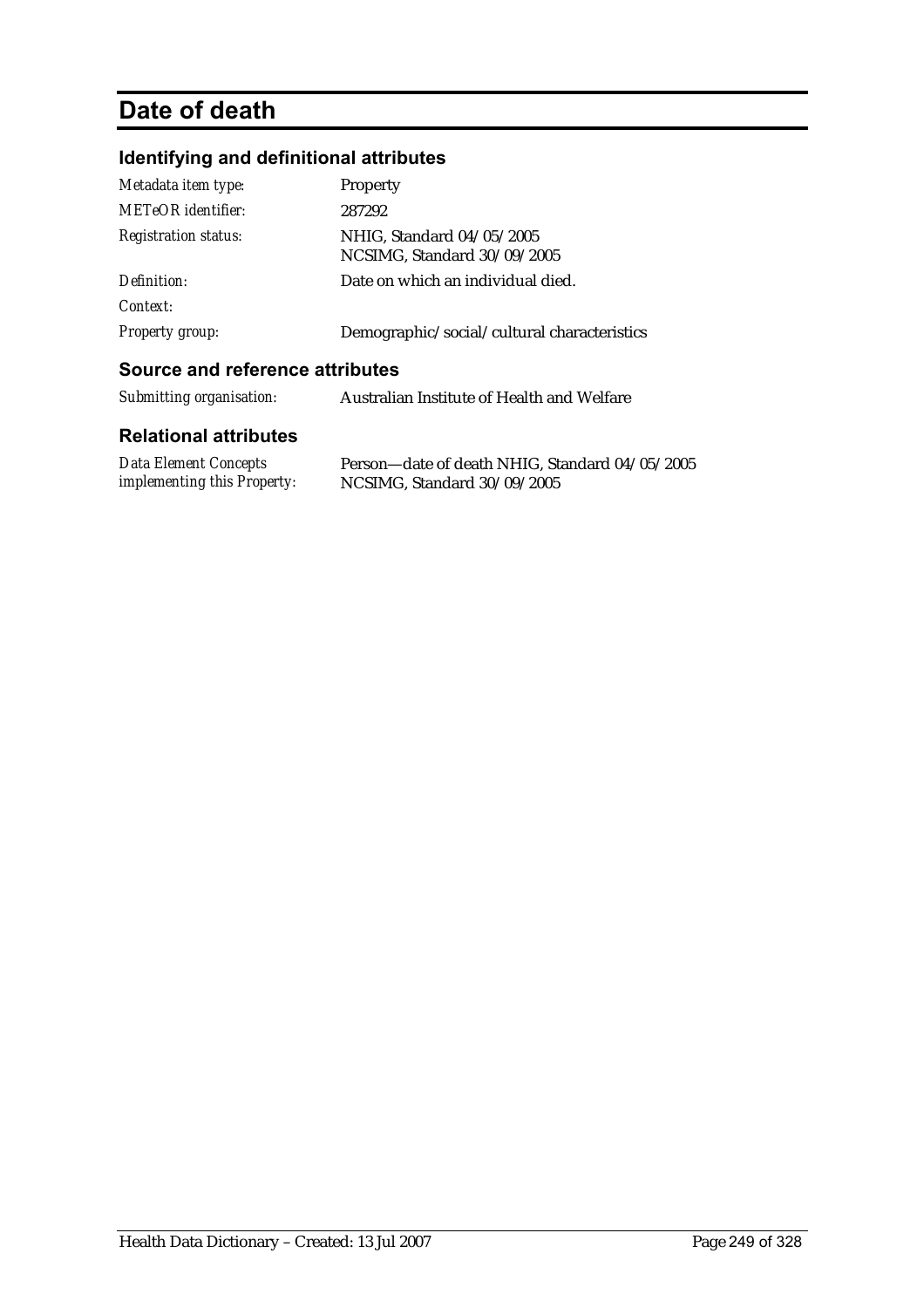# **Date of death**

# **Identifying and definitional attributes**

| Metadata item type:         | Property                                                 |
|-----------------------------|----------------------------------------------------------|
| METeOR identifier:          | 287292                                                   |
| <b>Registration status:</b> | NHIG, Standard 04/05/2005<br>NCSIMG, Standard 30/09/2005 |
| Definition:<br>Context:     | Date on which an individual died.                        |
| <b>Property group:</b>      | Demographic/social/cultural characteristics              |
|                             |                                                          |

#### **Source and reference attributes**

| Submitting organisation:     | Australian Institute of Health and Welfare     |
|------------------------------|------------------------------------------------|
| <b>Relational attributes</b> |                                                |
| <b>Data Element Concepts</b> | Person-date of death NHIG, Standard 04/05/2005 |

*implementing this Property:* NCSIMG, Standard 30/09/2005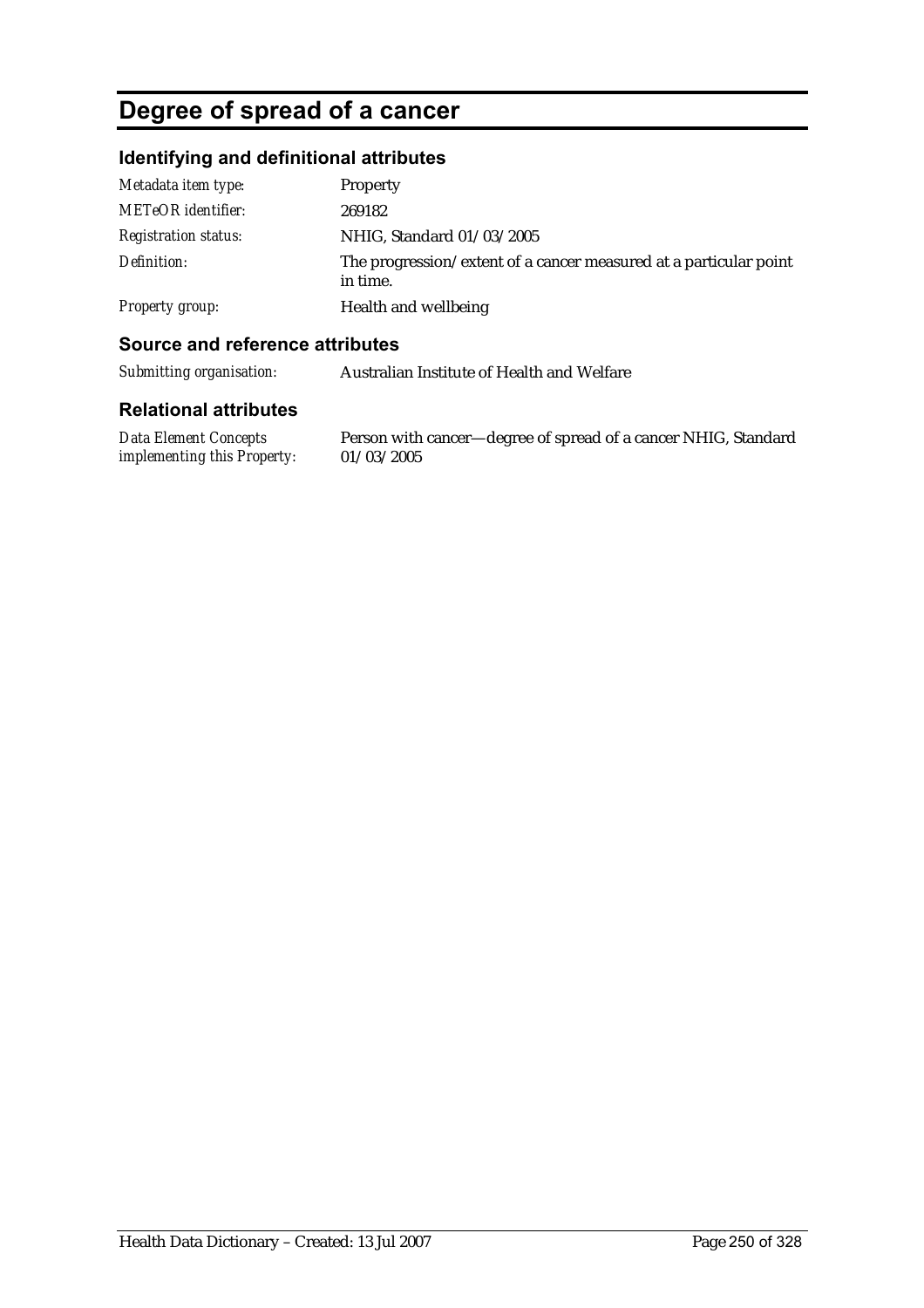# **Degree of spread of a cancer**

## **Identifying and definitional attributes**

| Metadata item type:         | Property                                                                      |
|-----------------------------|-------------------------------------------------------------------------------|
| <b>METeOR</b> identifier:   | 269182                                                                        |
| <b>Registration status:</b> | NHIG, Standard 01/03/2005                                                     |
| Definition:                 | The progression/extent of a cancer measured at a particular point<br>in time. |
| Property group:             | Health and wellbeing                                                          |

### **Source and reference attributes**

*Submitting organisation:* Australian Institute of Health and Welfare

#### **Relational attributes**

*Data Element Concepts implementing this Property:* 01/03/2005

Person with cancer—degree of spread of a cancer NHIG, Standard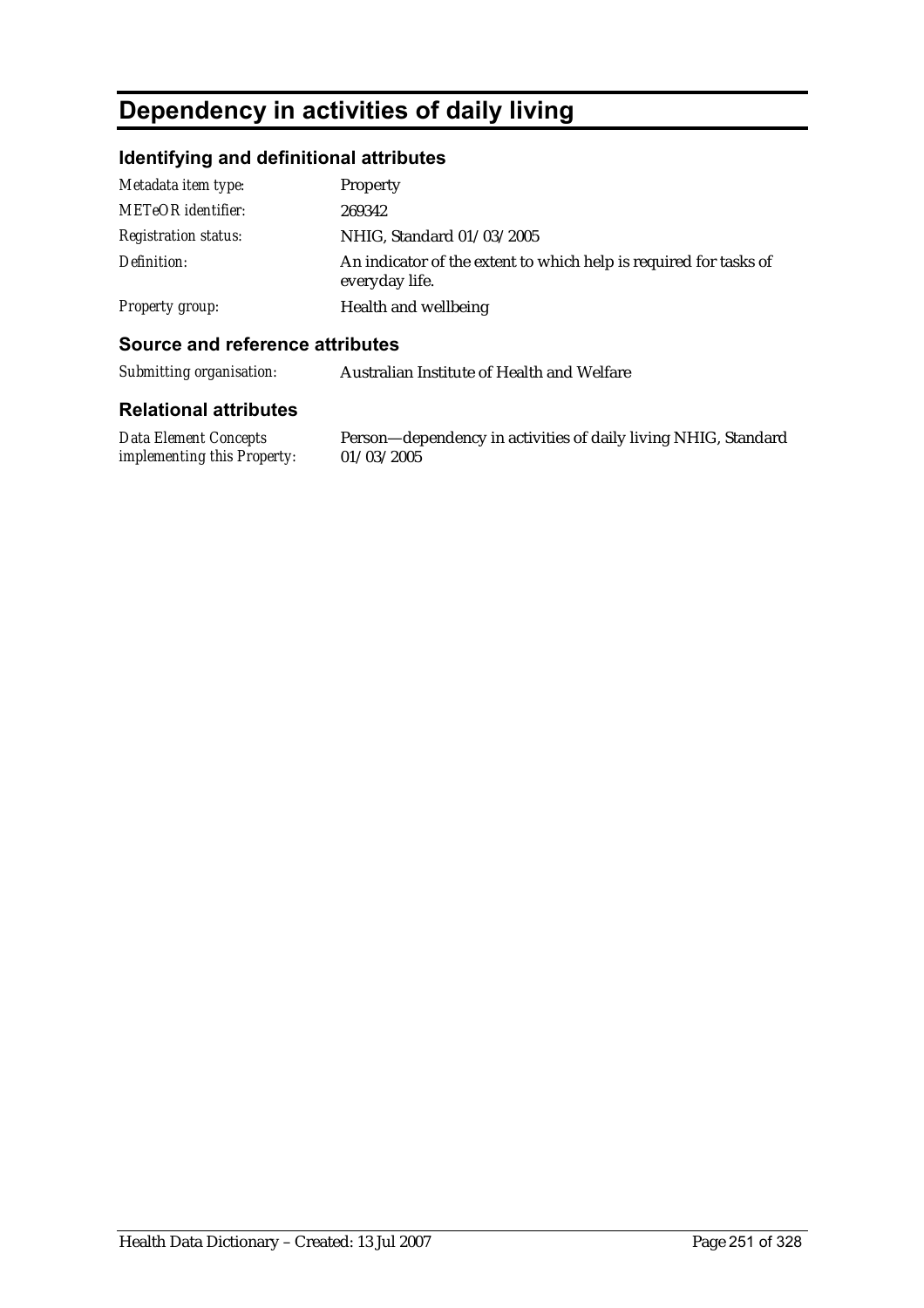# **Dependency in activities of daily living**

## **Identifying and definitional attributes**

| Metadata item type:         | <b>Property</b>                                                                     |
|-----------------------------|-------------------------------------------------------------------------------------|
| <b>METeOR</b> identifier:   | 269342                                                                              |
| <b>Registration status:</b> | NHIG, Standard 01/03/2005                                                           |
| Definition:                 | An indicator of the extent to which help is required for tasks of<br>everyday life. |
| <b>Property group:</b>      | Health and wellbeing                                                                |

### **Source and reference attributes**

| Submitting organisation: | Australian Institute of Health and Welfare |
|--------------------------|--------------------------------------------|
|                          |                                            |

#### **Relational attributes**

*Data Element Concepts implementing this Property:*

Person—dependency in activities of daily living NHIG, Standard 01/03/2005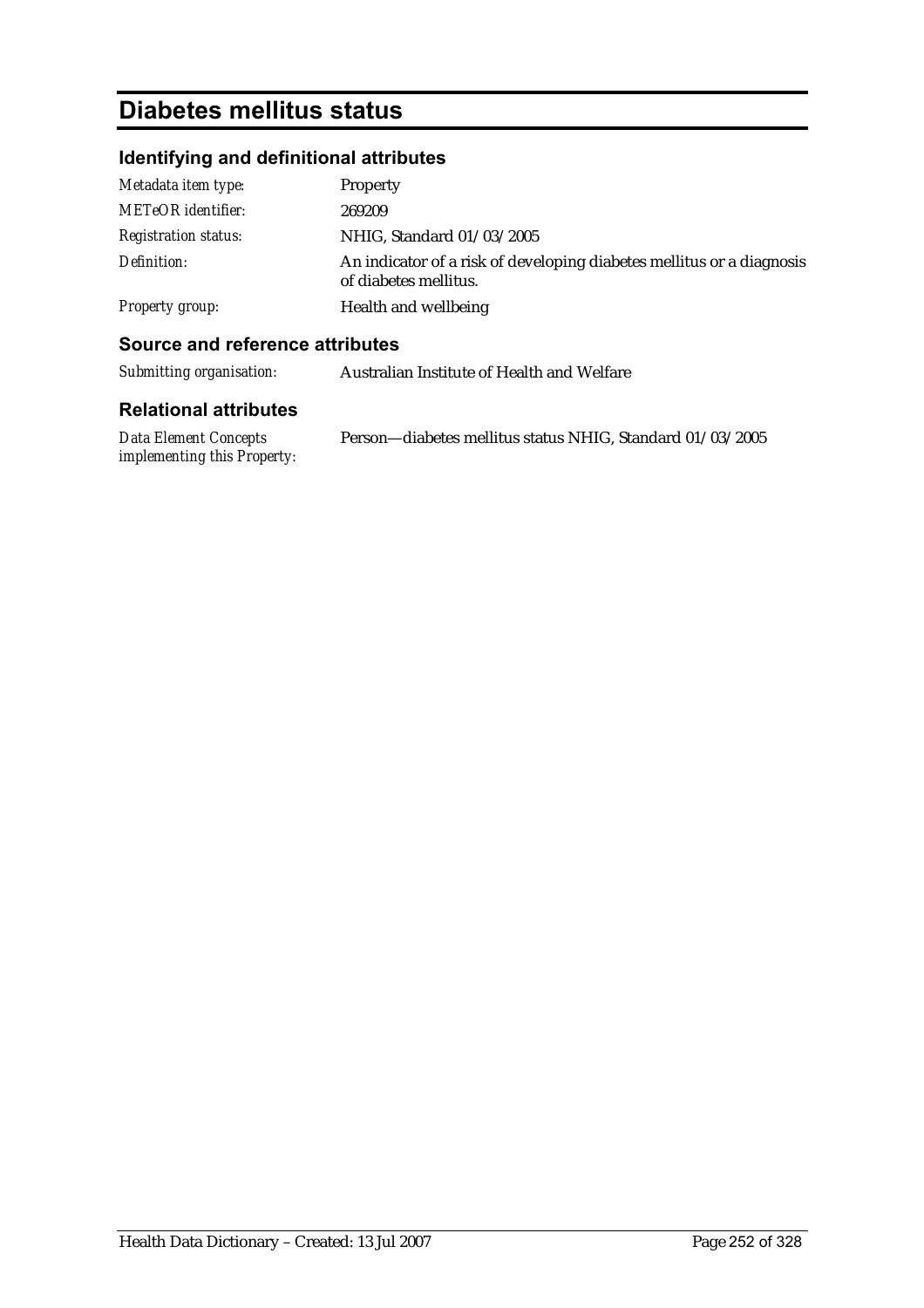# **Diabetes mellitus status**

# **Identifying and definitional attributes**

| Metadata item type:         | Property                                                                                       |
|-----------------------------|------------------------------------------------------------------------------------------------|
| <b>METeOR</b> identifier:   | 269209                                                                                         |
| <b>Registration status:</b> | NHIG, Standard 01/03/2005                                                                      |
| Definition:                 | An indicator of a risk of developing diabetes mellitus or a diagnosis<br>of diabetes mellitus. |
| Property group:             | Health and wellbeing                                                                           |

### **Source and reference attributes**

| Submitting organisation: | Australian Institute of Health and Welfare |
|--------------------------|--------------------------------------------|
|--------------------------|--------------------------------------------|

| Data Element Concepts       | Person-diabetes mellitus status NHIG, Standard 01/03/2005 |
|-----------------------------|-----------------------------------------------------------|
| implementing this Property: |                                                           |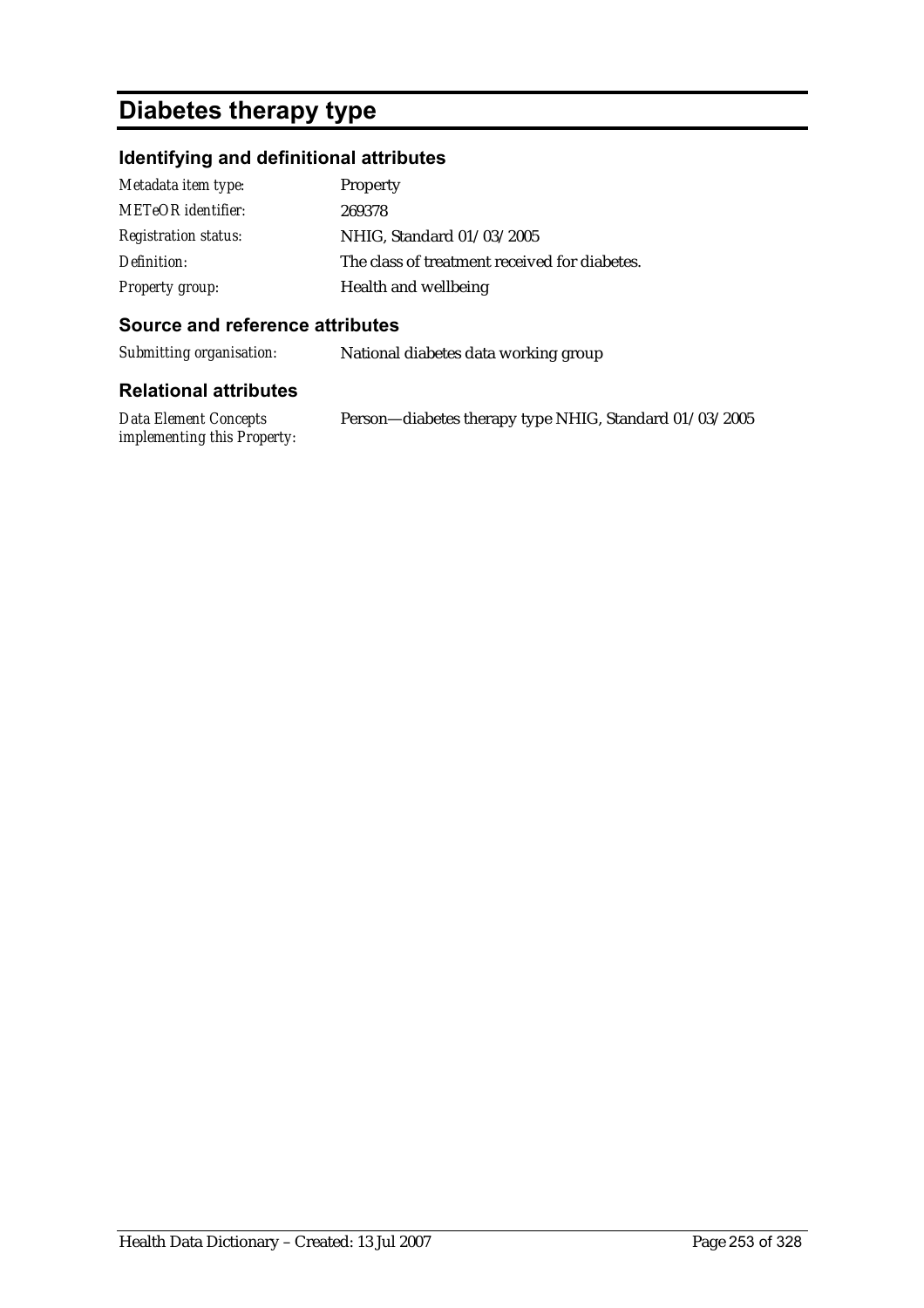# **Diabetes therapy type**

### **Identifying and definitional attributes**

| Metadata item type:         | Property                                      |
|-----------------------------|-----------------------------------------------|
| METeOR identifier:          | 269378                                        |
| <b>Registration status:</b> | NHIG, Standard 01/03/2005                     |
| Definition:                 | The class of treatment received for diabetes. |
| Property group:             | Health and wellbeing                          |

#### **Source and reference attributes**

*Submitting organisation:* National diabetes data working group

| Data Element Concepts       | Person-diabetes therapy type NHIG, Standard 01/03/2005 |
|-----------------------------|--------------------------------------------------------|
| implementing this Property: |                                                        |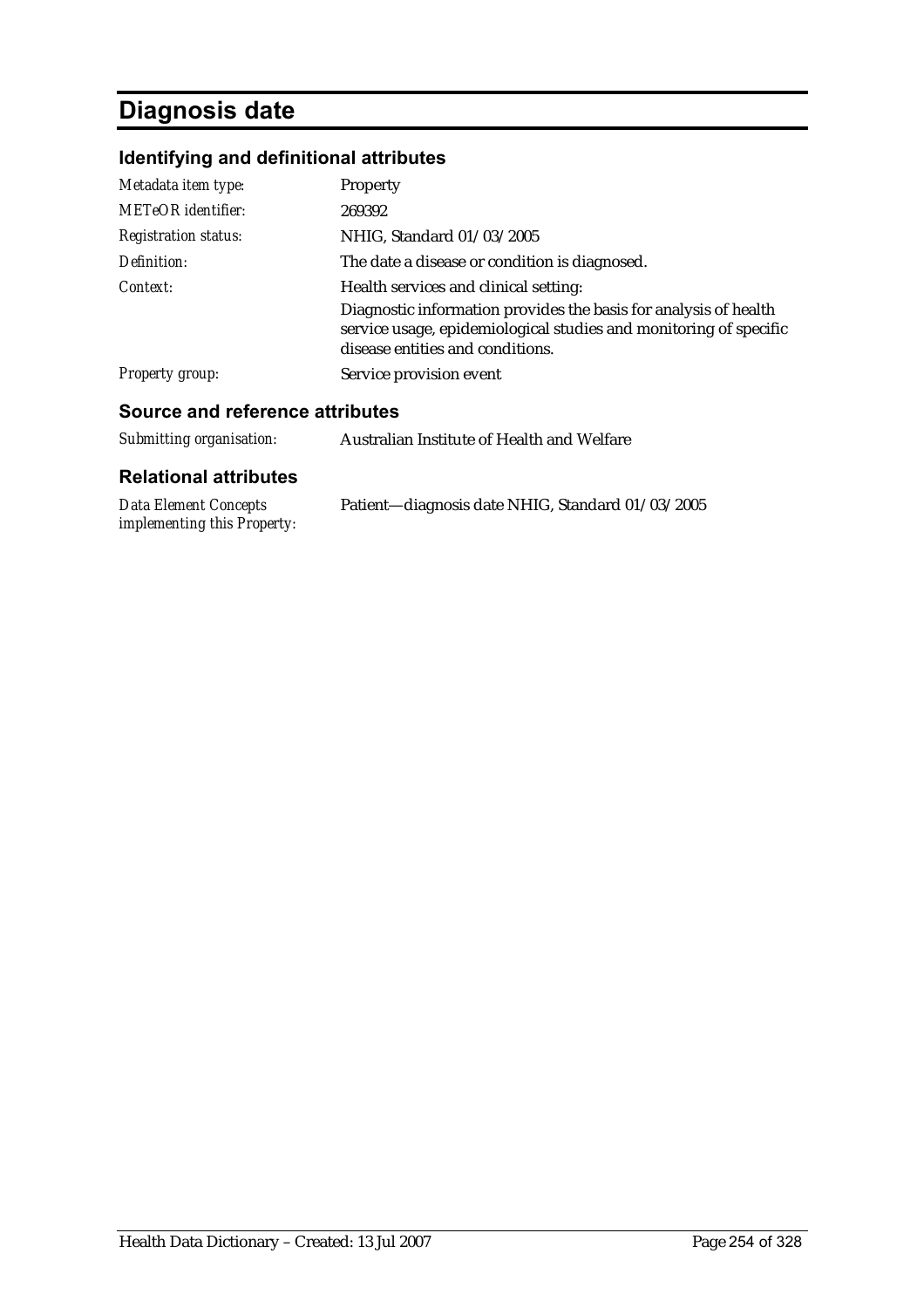# **Diagnosis date**

## **Identifying and definitional attributes**

| Source and reference attributes |                                                                                                                                                                           |
|---------------------------------|---------------------------------------------------------------------------------------------------------------------------------------------------------------------------|
| <b>Property group:</b>          | Service provision event                                                                                                                                                   |
|                                 | Diagnostic information provides the basis for analysis of health<br>service usage, epidemiological studies and monitoring of specific<br>disease entities and conditions. |
| Context:                        | Health services and clinical setting:                                                                                                                                     |
| Definition:                     | The date a disease or condition is diagnosed.                                                                                                                             |
| <b>Registration status:</b>     | NHIG, Standard 01/03/2005                                                                                                                                                 |
| <b>METeOR</b> identifier:       | 269392                                                                                                                                                                    |
| Metadata item type:             | Property                                                                                                                                                                  |
|                                 |                                                                                                                                                                           |

| Submitting organisation: | Australian Institute of Health and Welfare |
|--------------------------|--------------------------------------------|
|                          |                                            |

| Data Element Concepts              | Patient—diagnosis date NHIG, Standard 01/03/2005 |
|------------------------------------|--------------------------------------------------|
| <i>implementing this Property:</i> |                                                  |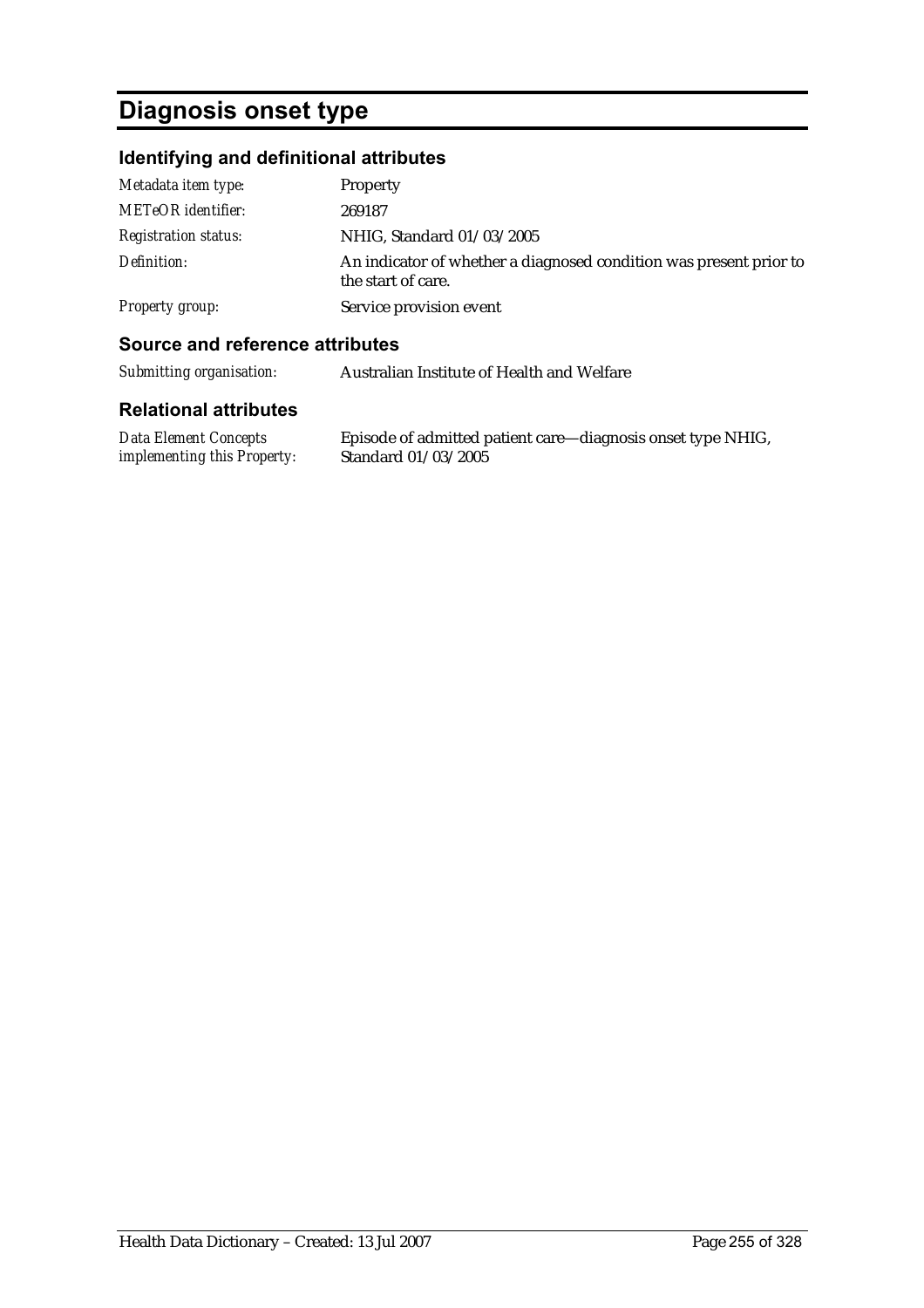# **Diagnosis onset type**

## **Identifying and definitional attributes**

| Metadata item type:         | Property                                                                                 |
|-----------------------------|------------------------------------------------------------------------------------------|
| <b>METeOR</b> identifier:   | 269187                                                                                   |
| <b>Registration status:</b> | NHIG, Standard 01/03/2005                                                                |
| Definition:                 | An indicator of whether a diagnosed condition was present prior to<br>the start of care. |
| Property group:             | Service provision event                                                                  |

#### **Source and reference attributes**

| Submitting organisation: | Australian Institute of Health and Welfare |
|--------------------------|--------------------------------------------|
|--------------------------|--------------------------------------------|

| Data Element Concepts       | Episode of admitted patient care—diagnosis onset type NHIG, |
|-----------------------------|-------------------------------------------------------------|
| implementing this Property: | Standard $01/03/2005$                                       |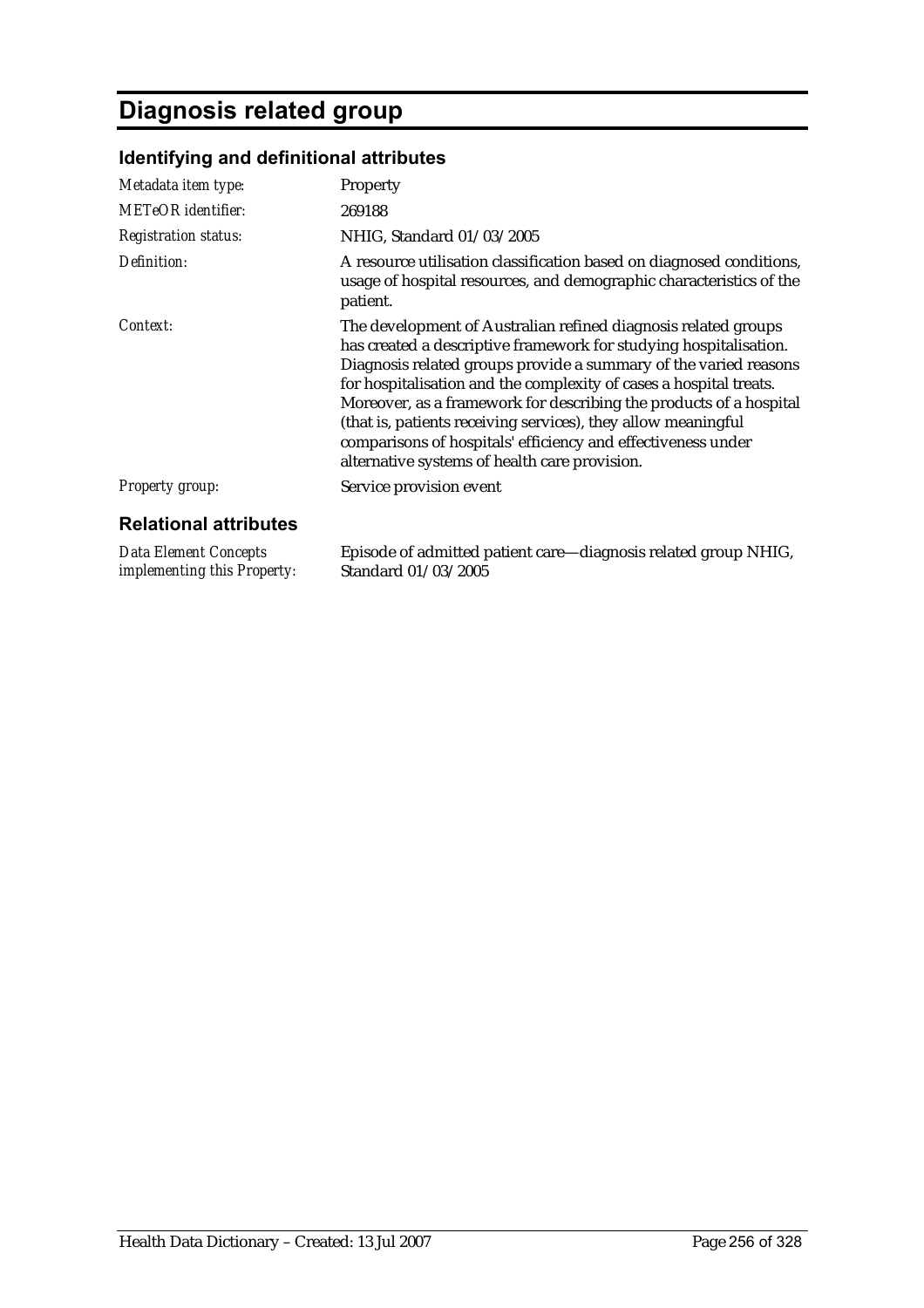# **Diagnosis related group**

*implementing this Property:*

## **Identifying and definitional attributes**

| Metadata item type:          | Property                                                                                                                                                                                                                                                                                                                                                                                                                                                                                                                              |
|------------------------------|---------------------------------------------------------------------------------------------------------------------------------------------------------------------------------------------------------------------------------------------------------------------------------------------------------------------------------------------------------------------------------------------------------------------------------------------------------------------------------------------------------------------------------------|
| <b>METeOR</b> identifier:    | 269188                                                                                                                                                                                                                                                                                                                                                                                                                                                                                                                                |
| <b>Registration status:</b>  | NHIG, Standard 01/03/2005                                                                                                                                                                                                                                                                                                                                                                                                                                                                                                             |
| Definition:                  | A resource utilisation classification based on diagnosed conditions,<br>usage of hospital resources, and demographic characteristics of the<br>patient.                                                                                                                                                                                                                                                                                                                                                                               |
| Context:                     | The development of Australian refined diagnosis related groups<br>has created a descriptive framework for studying hospitalisation.<br>Diagnosis related groups provide a summary of the varied reasons<br>for hospitalisation and the complexity of cases a hospital treats.<br>Moreover, as a framework for describing the products of a hospital<br>(that is, patients receiving services), they allow meaningful<br>comparisons of hospitals' efficiency and effectiveness under<br>alternative systems of health care provision. |
| <b>Property group:</b>       | Service provision event                                                                                                                                                                                                                                                                                                                                                                                                                                                                                                               |
| <b>Relational attributes</b> |                                                                                                                                                                                                                                                                                                                                                                                                                                                                                                                                       |
| <b>Data Element Concepts</b> | Episode of admitted patient care—diagnosis related group NHIG,                                                                                                                                                                                                                                                                                                                                                                                                                                                                        |

Standard 01/03/2005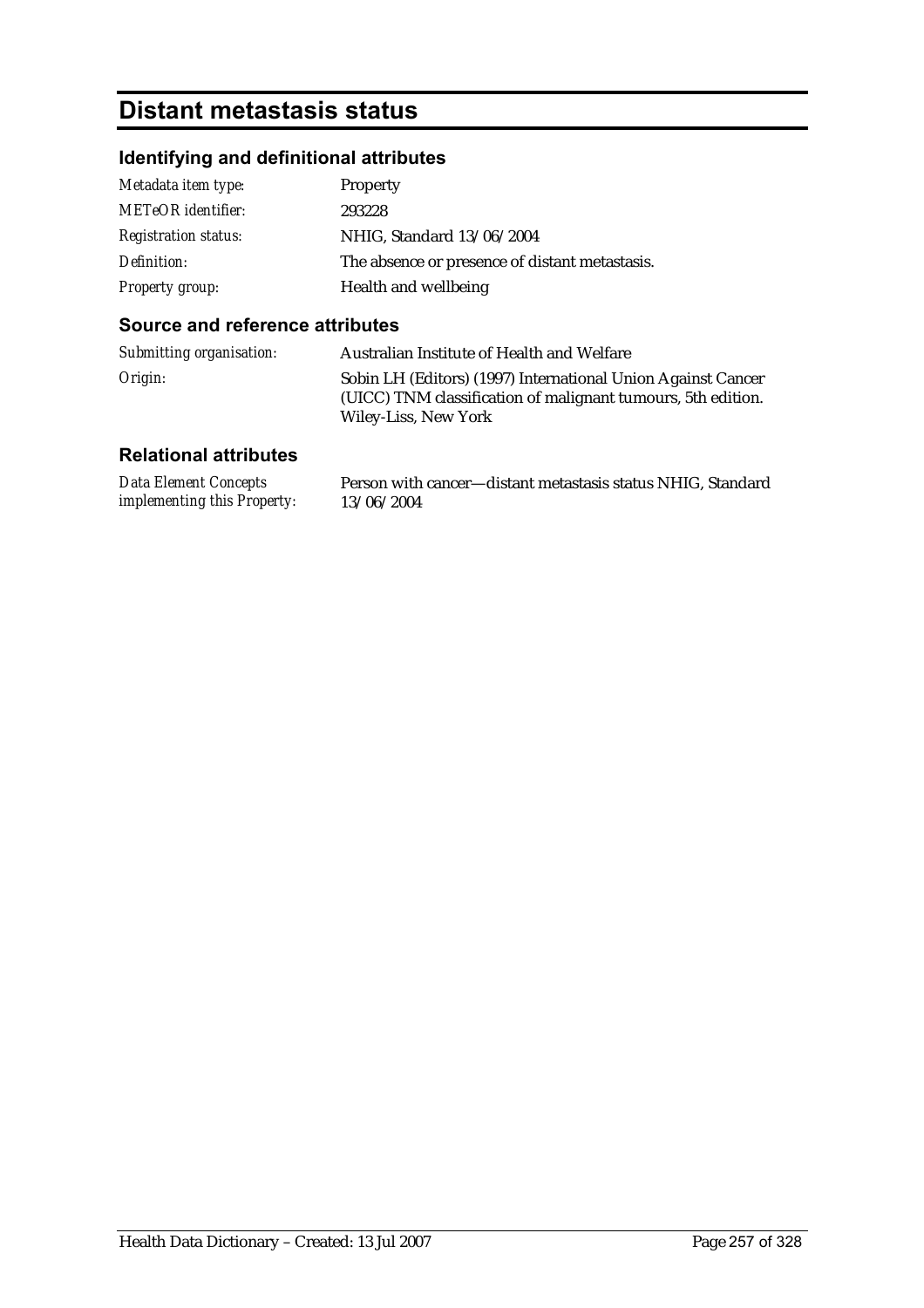## **Distant metastasis status**

### **Identifying and definitional attributes**

| Metadata item type:         | Property                                       |
|-----------------------------|------------------------------------------------|
| <b>METeOR</b> identifier:   | 293228                                         |
| <b>Registration status:</b> | NHIG, Standard 13/06/2004                      |
| Definition:                 | The absence or presence of distant metastasis. |
| <b>Property group:</b>      | Health and wellbeing                           |

#### **Source and reference attributes**

| Submitting organisation: | Australian Institute of Health and Welfare                                                                                                           |
|--------------------------|------------------------------------------------------------------------------------------------------------------------------------------------------|
| Origin:                  | Sobin LH (Editors) (1997) International Union Against Cancer<br>(UICC) TNM classification of malignant tumours, 5th edition.<br>Wiley-Liss, New York |

| <b>Data Element Concepts</b>       | Person with cancer—distant metastasis status NHIG, Standard |
|------------------------------------|-------------------------------------------------------------|
| <i>implementing this Property:</i> | 13/06/2004                                                  |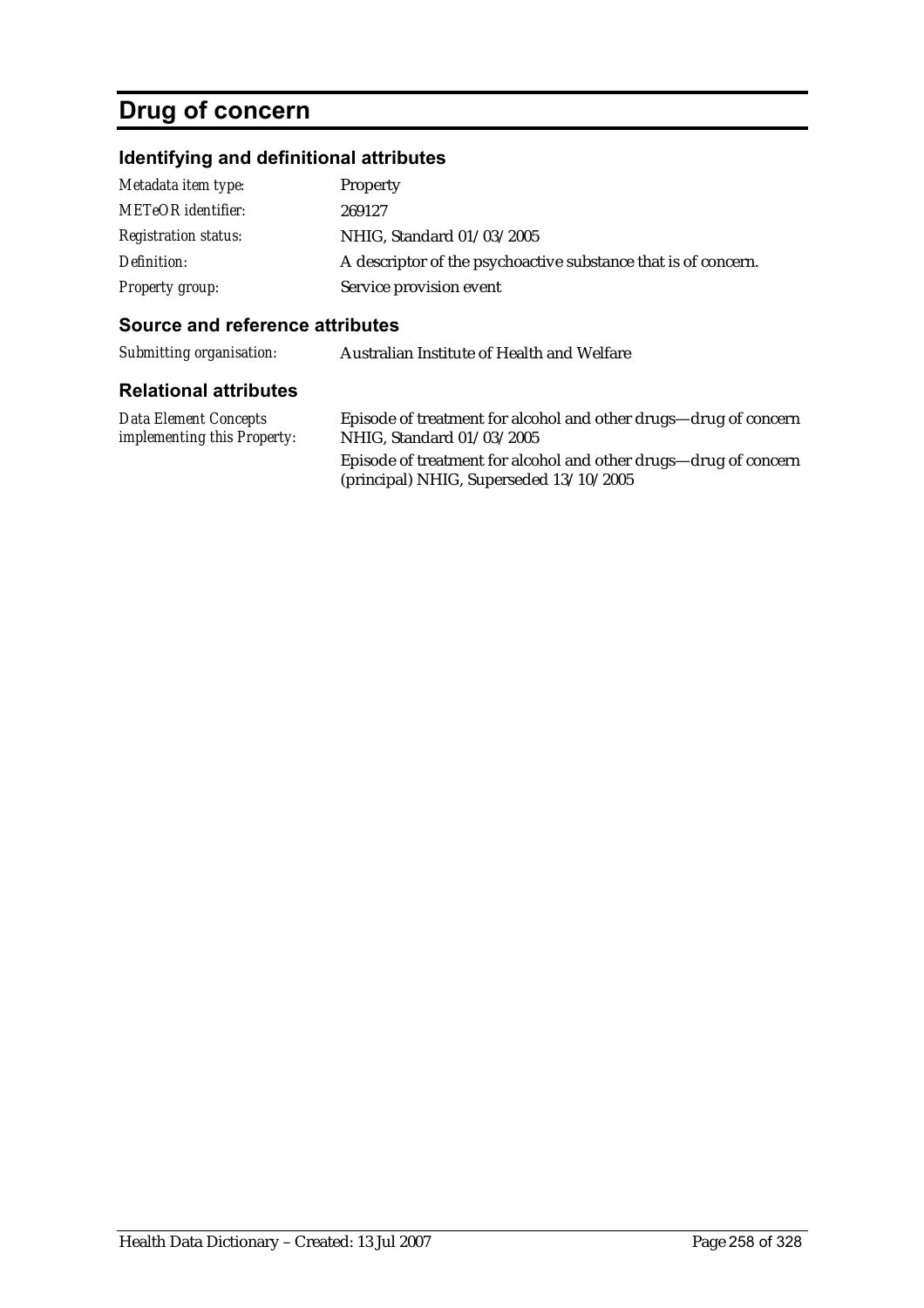# **Drug of concern**

## **Identifying and definitional attributes**

| Metadata item type:         | Property                                                       |
|-----------------------------|----------------------------------------------------------------|
| <b>METeOR</b> identifier:   | 269127                                                         |
| <b>Registration status:</b> | NHIG, Standard 01/03/2005                                      |
| Definition:                 | A descriptor of the psychoactive substance that is of concern. |
| Property group:             | Service provision event                                        |

#### **Source and reference attributes**

| Submitting organisation: | Australian Institute of Health and Welfare |
|--------------------------|--------------------------------------------|
|--------------------------|--------------------------------------------|

| Data Element Concepts              | Episode of treatment for alcohol and other drugs—drug of concern                                              |
|------------------------------------|---------------------------------------------------------------------------------------------------------------|
| <i>implementing this Property:</i> | NHIG, Standard 01/03/2005                                                                                     |
|                                    | Episode of treatment for alcohol and other drugs—drug of concern<br>(principal) NHIG, Superseded $13/10/2005$ |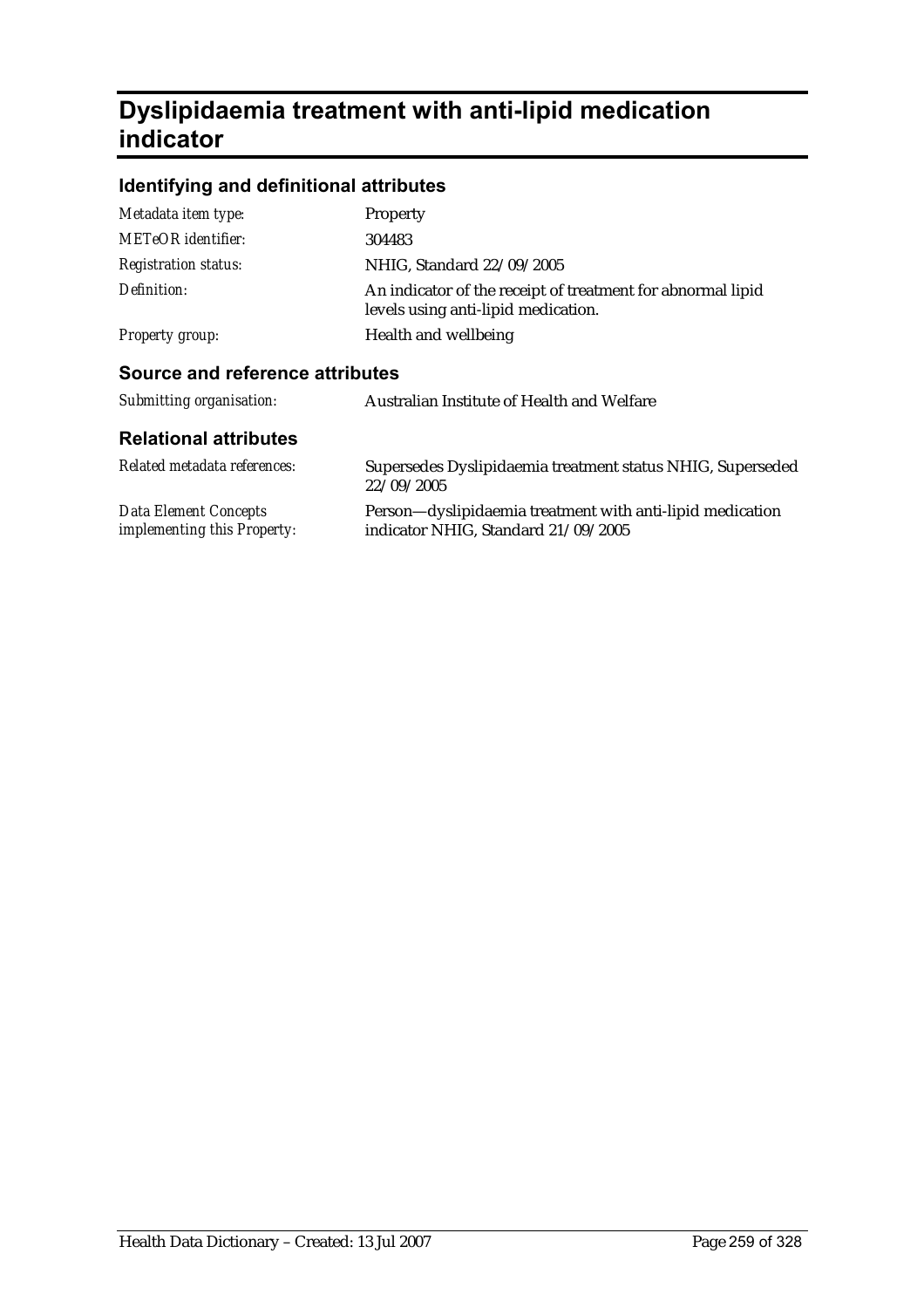## **Dyslipidaemia treatment with anti-lipid medication indicator**

### **Identifying and definitional attributes**

| Metadata item type:                                  | <b>Property</b>                                                                                    |
|------------------------------------------------------|----------------------------------------------------------------------------------------------------|
| METeOR identifier:                                   | 304483                                                                                             |
| <b>Registration status:</b>                          | NHIG, Standard 22/09/2005                                                                          |
| Definition:                                          | An indicator of the receipt of treatment for abnormal lipid<br>levels using anti-lipid medication. |
| <b>Property group:</b>                               | Health and wellbeing                                                                               |
| Source and reference attributes                      |                                                                                                    |
| Submitting organisation:                             | Australian Institute of Health and Welfare                                                         |
| <b>Relational attributes</b>                         |                                                                                                    |
| Related metadata references:                         | Supersedes Dyslipidaemia treatment status NHIG, Superseded<br>22/09/2005                           |
| Data Element Concepts<br>implementing this Property: | Person—dyslipidaemia treatment with anti-lipid medication<br>indicator NHIG, Standard 21/09/2005   |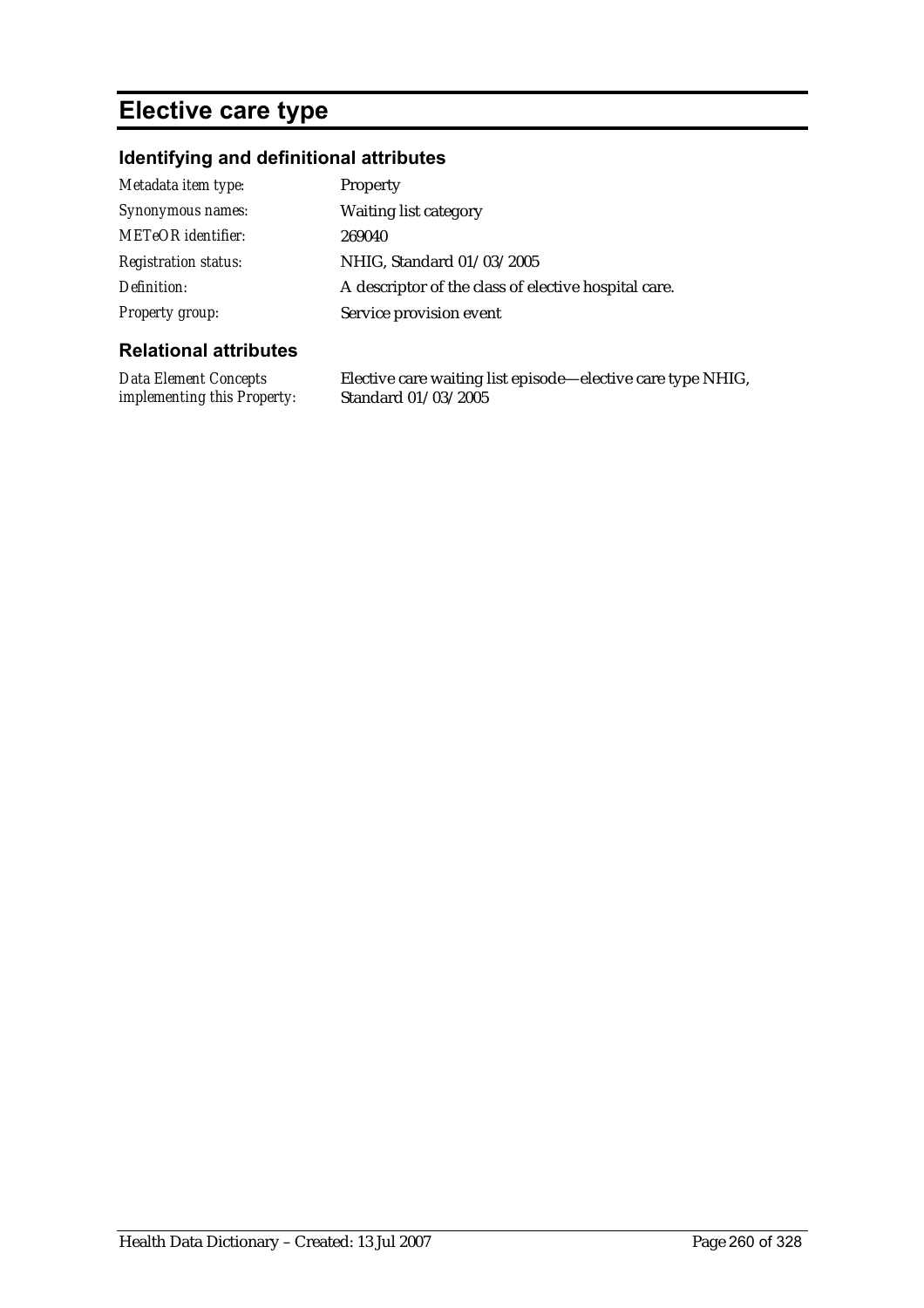## **Elective care type**

#### **Identifying and definitional attributes**

| Metadata item type:         | <b>Property</b>                                      |
|-----------------------------|------------------------------------------------------|
| Synonymous names:           | <b>Waiting list category</b>                         |
| <b>METeOR</b> identifier:   | 269040                                               |
| <b>Registration status:</b> | NHIG, Standard 01/03/2005                            |
| Definition:                 | A descriptor of the class of elective hospital care. |
| <b>Property group:</b>      | Service provision event                              |

#### **Relational attributes**

*Data Element Concepts implementing this Property:* Elective care waiting list episode—elective care type NHIG, Standard 01/03/2005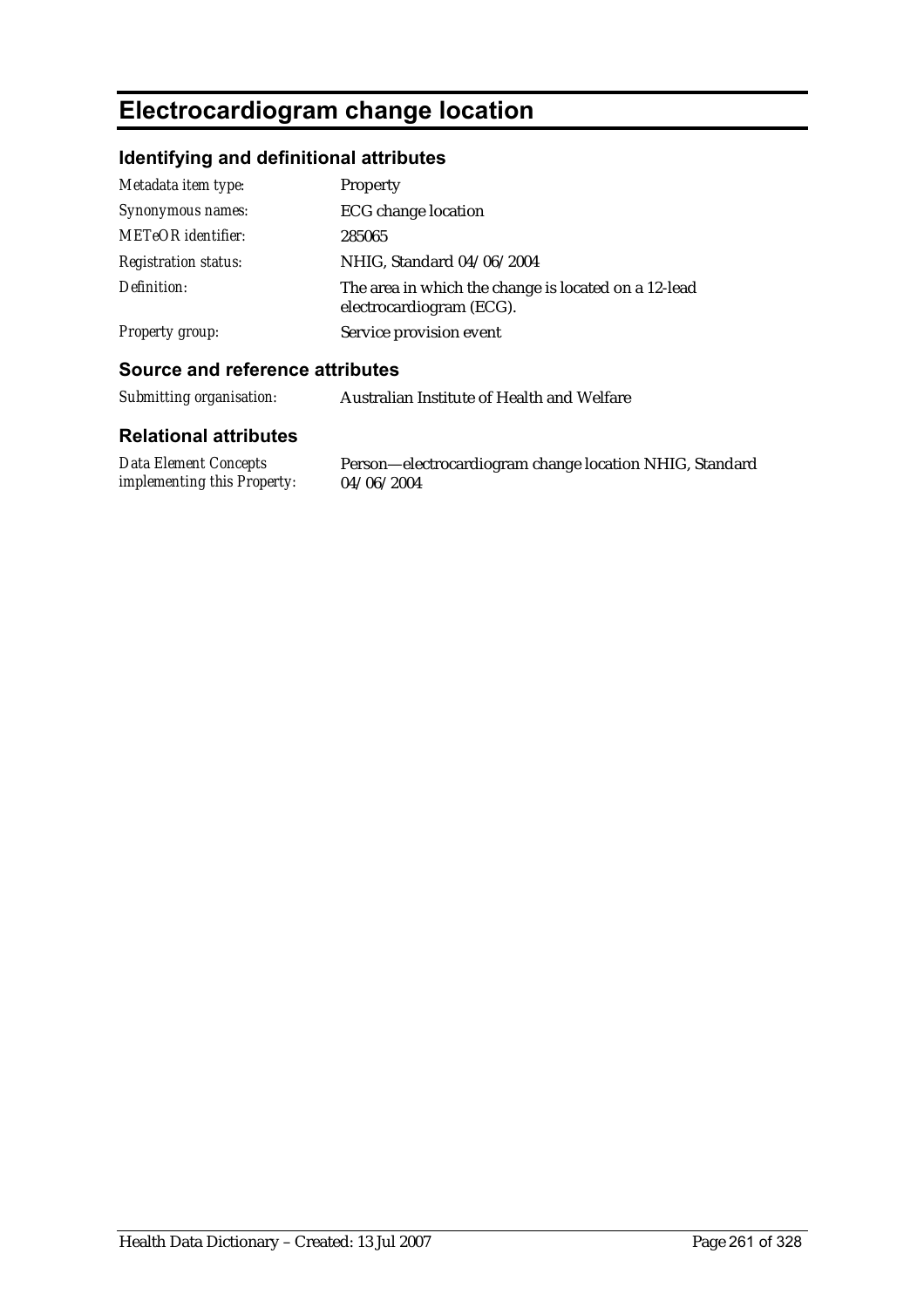# **Electrocardiogram change location**

### **Identifying and definitional attributes**

| Metadata item type:         | <b>Property</b>                                                                  |
|-----------------------------|----------------------------------------------------------------------------------|
| Synonymous names:           | <b>ECG</b> change location                                                       |
| <b>METeOR</b> identifier:   | 285065                                                                           |
| <b>Registration status:</b> | NHIG, Standard 04/06/2004                                                        |
| Definition:                 | The area in which the change is located on a 12-lead<br>electrocardiogram (ECG). |
| <b>Property group:</b>      | Service provision event                                                          |

#### **Source and reference attributes**

| Submitting organisation:                                    | Australian Institute of Health and Welfare                            |
|-------------------------------------------------------------|-----------------------------------------------------------------------|
| <b>Relational attributes</b>                                |                                                                       |
| <b>Data Element Concepts</b><br>implementing this Property: | Person—electrocardiogram change location NHIG, Standard<br>04/06/2004 |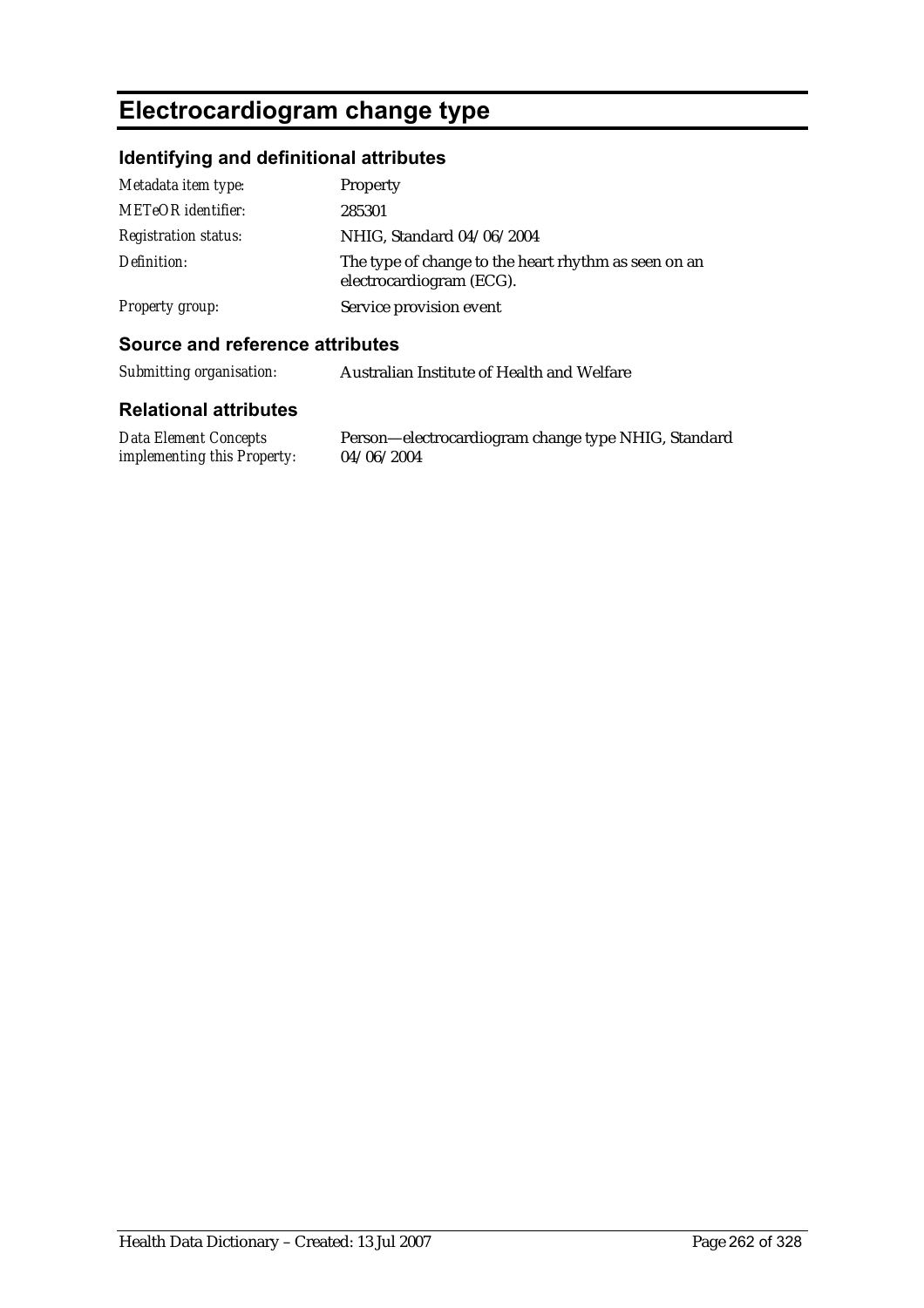# **Electrocardiogram change type**

### **Identifying and definitional attributes**

| Metadata item type:         | Property                                                                         |
|-----------------------------|----------------------------------------------------------------------------------|
| METeOR identifier:          | 285301                                                                           |
| <b>Registration status:</b> | NHIG, Standard 04/06/2004                                                        |
| Definition:                 | The type of change to the heart rhythm as seen on an<br>electrocardiogram (ECG). |
| <b>Property group:</b>      | Service provision event                                                          |

#### **Source and reference attributes**

### **Relational attributes**

| <b>Data Element Concepts</b>       | Person-electrocal |
|------------------------------------|-------------------|
| <i>implementing this Property:</i> | 04/06/2004        |

rdiogram change type NHIG, Standard 04/06/2004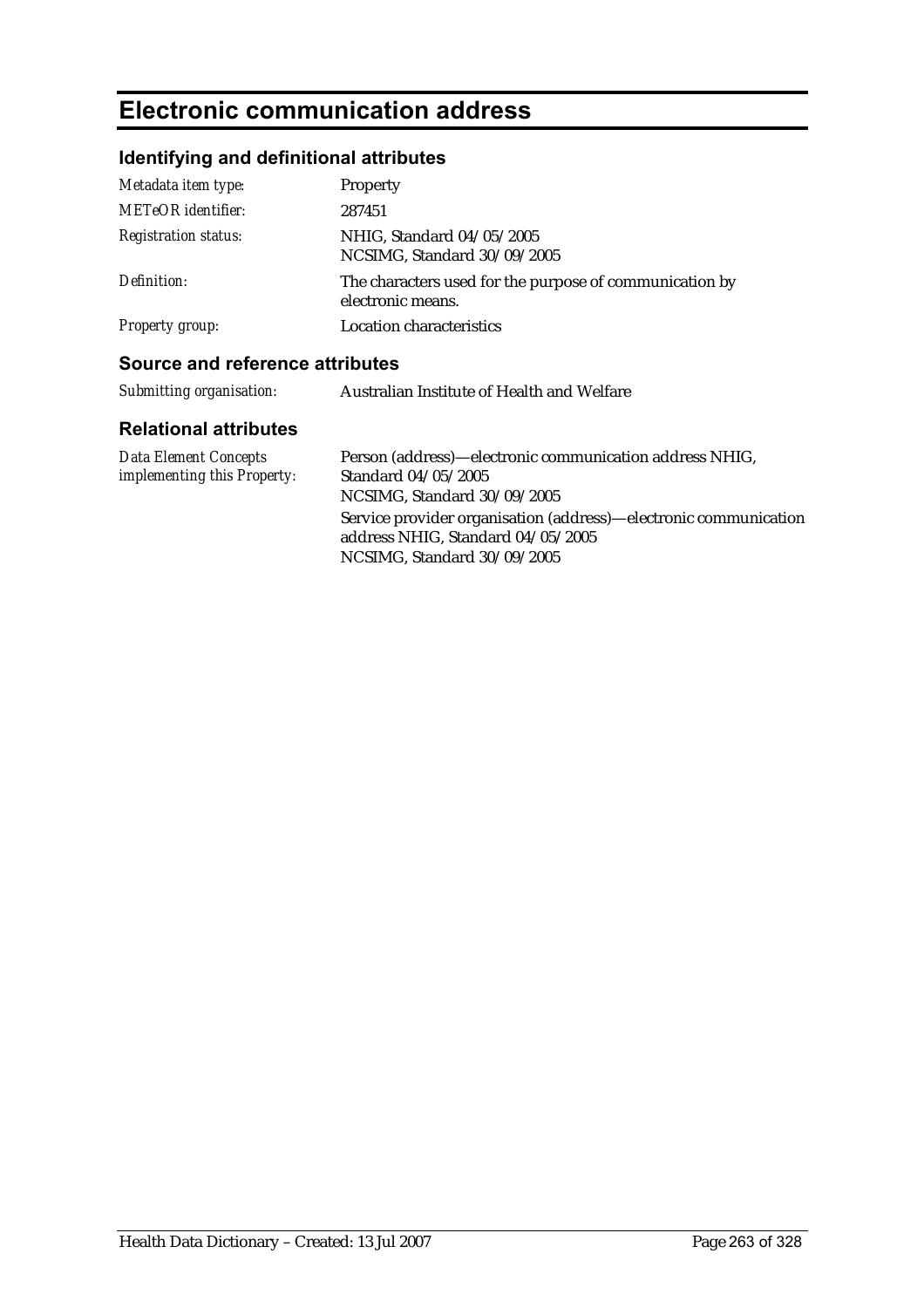# **Electronic communication address**

## **Identifying and definitional attributes**

| Metadata item type:         | Property                                                                     |
|-----------------------------|------------------------------------------------------------------------------|
| <b>METeOR</b> identifier:   | 287451                                                                       |
| <b>Registration status:</b> | NHIG, Standard 04/05/2005<br>NCSIMG, Standard 30/09/2005                     |
| Definition:                 | The characters used for the purpose of communication by<br>electronic means. |
| <b>Property group:</b>      | <b>Location characteristics</b>                                              |

#### **Source and reference attributes**

| Submitting organisation: | Australian Institute of Health and Welfare |
|--------------------------|--------------------------------------------|
|                          |                                            |

| Data Element Concepts              | Person (address)—electronic communication address NHIG,          |
|------------------------------------|------------------------------------------------------------------|
| <i>implementing this Property:</i> | Standard 04/05/2005                                              |
|                                    | NCSIMG, Standard 30/09/2005                                      |
|                                    | Service provider organisation (address)—electronic communication |
|                                    | address NHIG, Standard 04/05/2005                                |
|                                    | NCSIMG, Standard 30/09/2005                                      |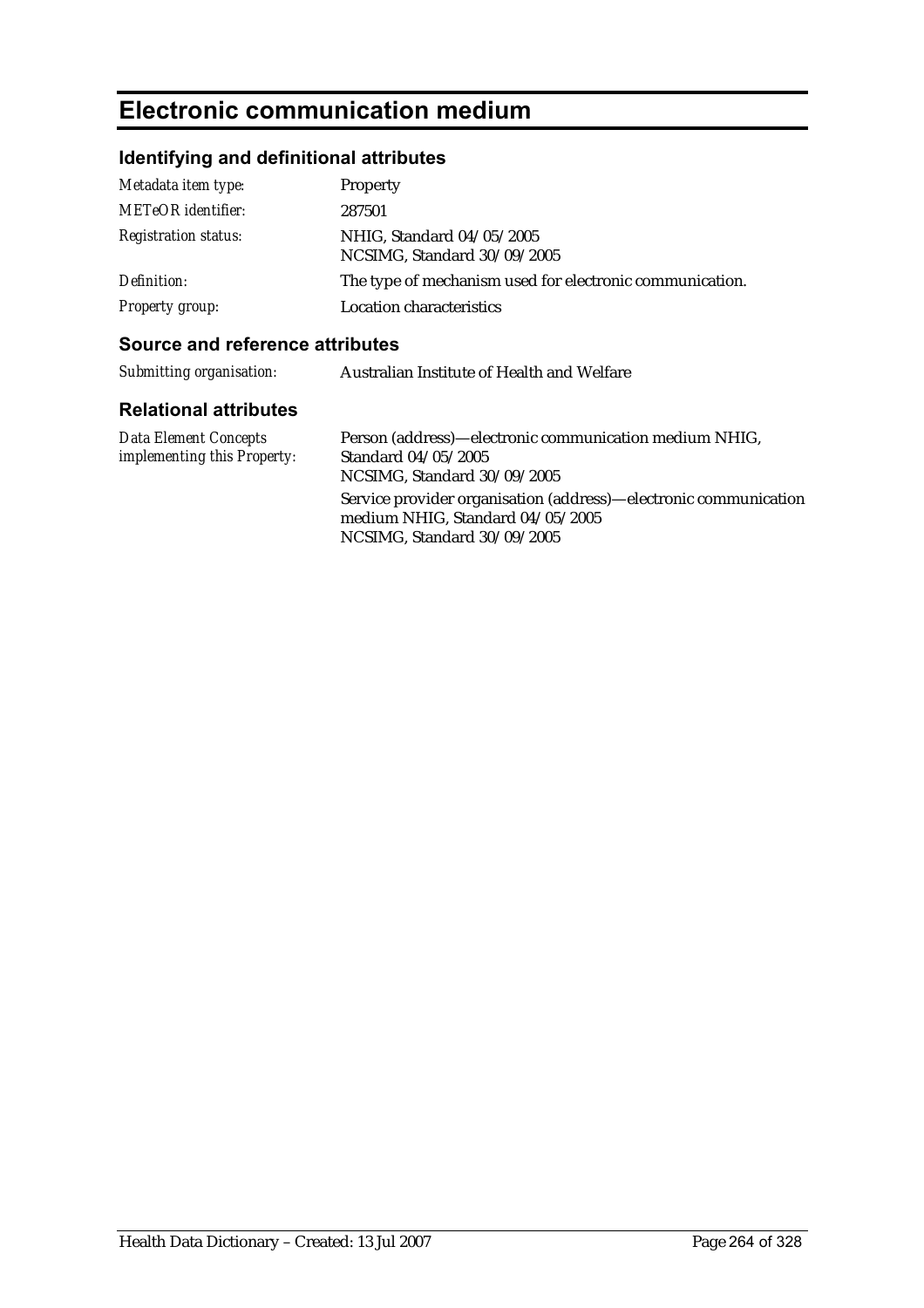# **Electronic communication medium**

## **Identifying and definitional attributes**

| Metadata item type:         | Property                                                 |
|-----------------------------|----------------------------------------------------------|
| <b>METeOR</b> identifier:   | 287501                                                   |
| <b>Registration status:</b> | NHIG, Standard 04/05/2005<br>NCSIMG, Standard 30/09/2005 |
| Definition:                 | The type of mechanism used for electronic communication. |
| <b>Property group:</b>      | <b>Location characteristics</b>                          |

#### **Source and reference attributes**

| Submitting organisation: | Australian Institute of Health and Welfare |
|--------------------------|--------------------------------------------|
|                          |                                            |

| <b>Data Element Concepts</b>       | Person (address)—electronic communication medium NHIG,                                                                              |
|------------------------------------|-------------------------------------------------------------------------------------------------------------------------------------|
| <i>implementing this Property:</i> | Standard 04/05/2005                                                                                                                 |
|                                    | NCSIMG, Standard 30/09/2005                                                                                                         |
|                                    | Service provider organisation (address)—electronic communication<br>medium NHIG, Standard 04/05/2005<br>NCSIMG, Standard 30/09/2005 |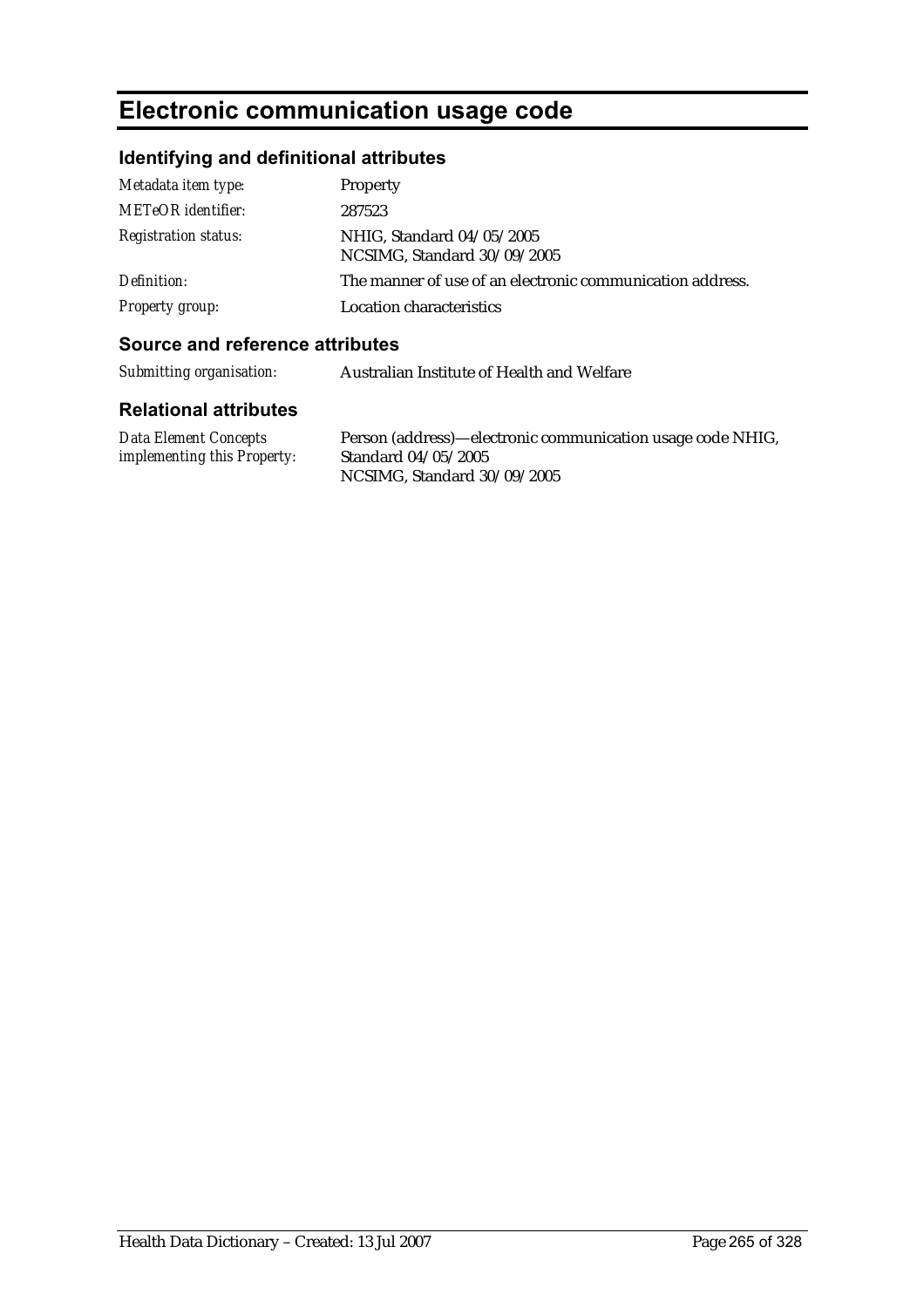# **Electronic communication usage code**

## **Identifying and definitional attributes**

| Metadata item type:         | Property                                                  |
|-----------------------------|-----------------------------------------------------------|
| <b>METeOR</b> identifier:   | 287523                                                    |
| <b>Registration status:</b> | NHIG, Standard 04/05/2005<br>NCSIMG, Standard 30/09/2005  |
| Definition:                 | The manner of use of an electronic communication address. |
| <b>Property group:</b>      | Location characteristics                                  |

#### **Source and reference attributes**

| Submitting organisation: | Australian Institute of Health and Welfare |
|--------------------------|--------------------------------------------|
|                          |                                            |

| Data Element Concepts              | Person (address)—electronic communication usage code NHIG, |
|------------------------------------|------------------------------------------------------------|
| <i>implementing this Property:</i> | Standard 04/05/2005                                        |
|                                    | NCSIMG, Standard 30/09/2005                                |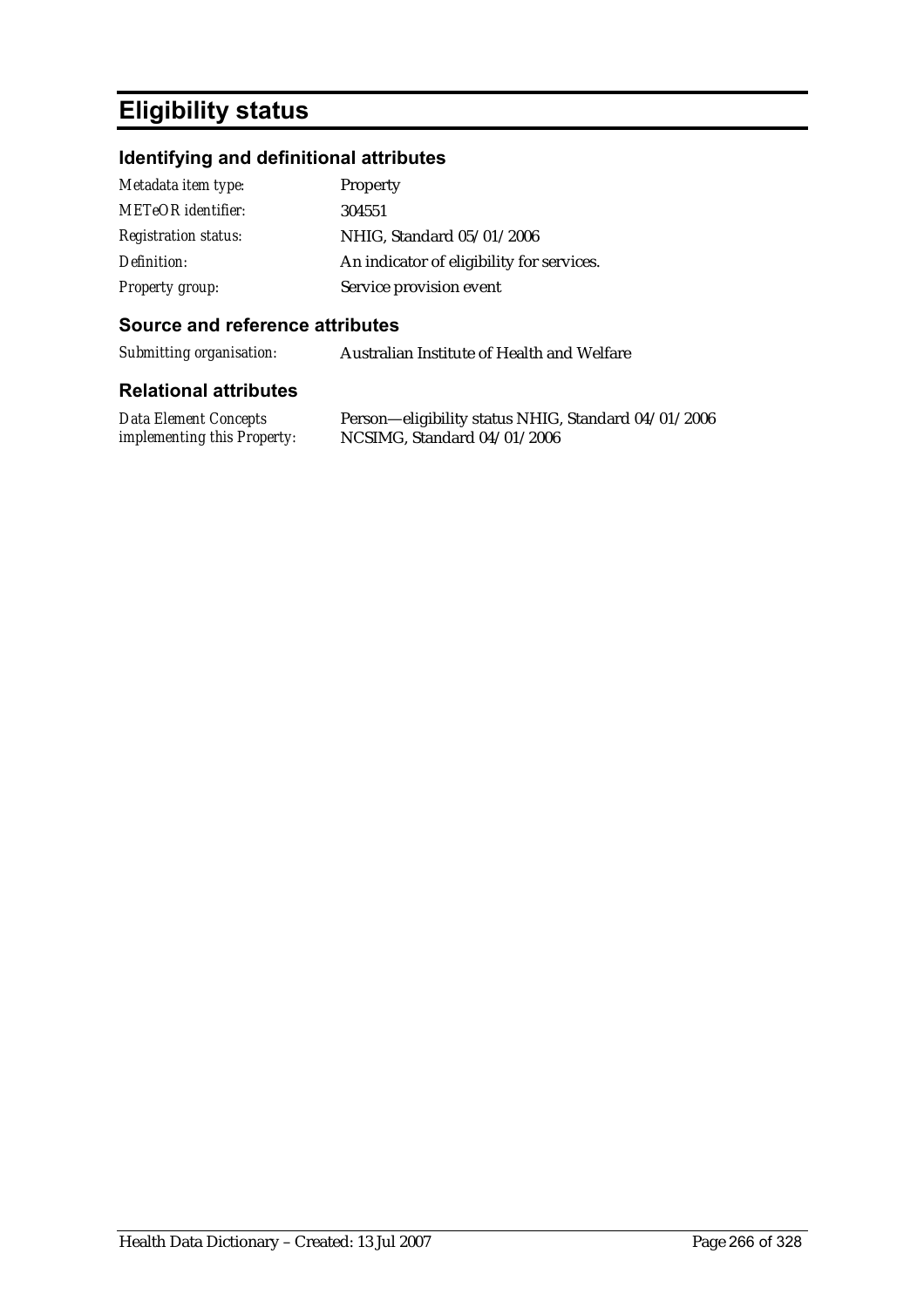## **Eligibility status**

### **Identifying and definitional attributes**

| Metadata item type:         | Property                                  |
|-----------------------------|-------------------------------------------|
| <b>METeOR</b> identifier:   | 304551                                    |
| <b>Registration status:</b> | NHIG, Standard 05/01/2006                 |
| Definition:                 | An indicator of eligibility for services. |
| Property group:             | Service provision event                   |

#### **Source and reference attributes**

*Submitting organisation:* Australian Institute of Health and Welfare

| <b>Data Element Concepts</b>       | Person—eligibility status NHIG, Standard 04/01/2006 |
|------------------------------------|-----------------------------------------------------|
| <i>implementing this Property:</i> | NCSIMG, Standard $04/01/2006$                       |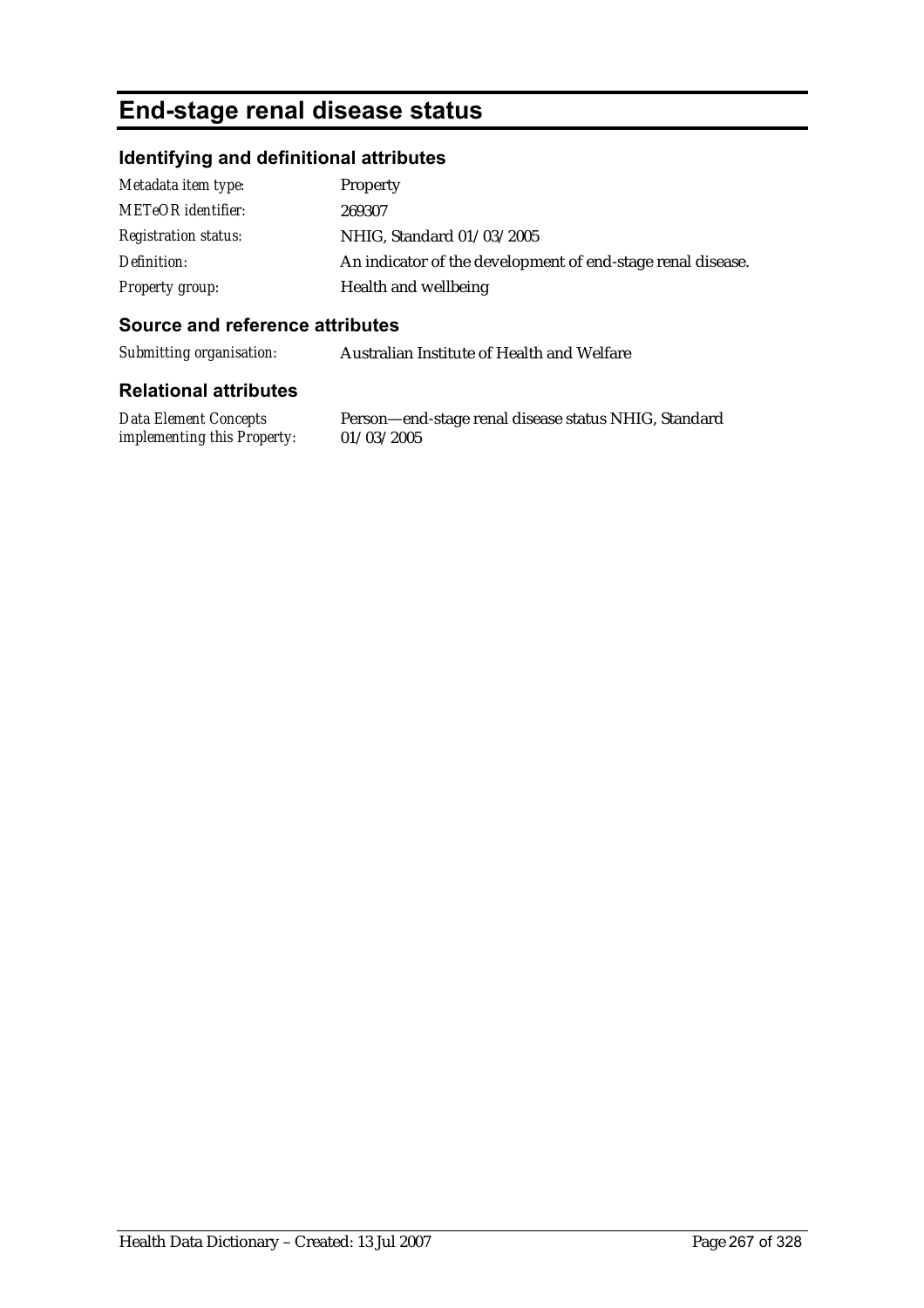## **End-stage renal disease status**

#### **Identifying and definitional attributes**

| Metadata item type:         | <b>Property</b>                                             |
|-----------------------------|-------------------------------------------------------------|
| <b>METeOR</b> identifier:   | 269307                                                      |
| <b>Registration status:</b> | NHIG, Standard 01/03/2005                                   |
| Definition:                 | An indicator of the development of end-stage renal disease. |
| <b>Property group:</b>      | Health and wellbeing                                        |

#### **Source and reference attributes**

*Submitting organisation:* Australian Institute of Health and Welfare

#### **Relational attributes**

*Data Element Concepts implementing this Property:*

Person—end-stage renal disease status NHIG, Standard 01/03/2005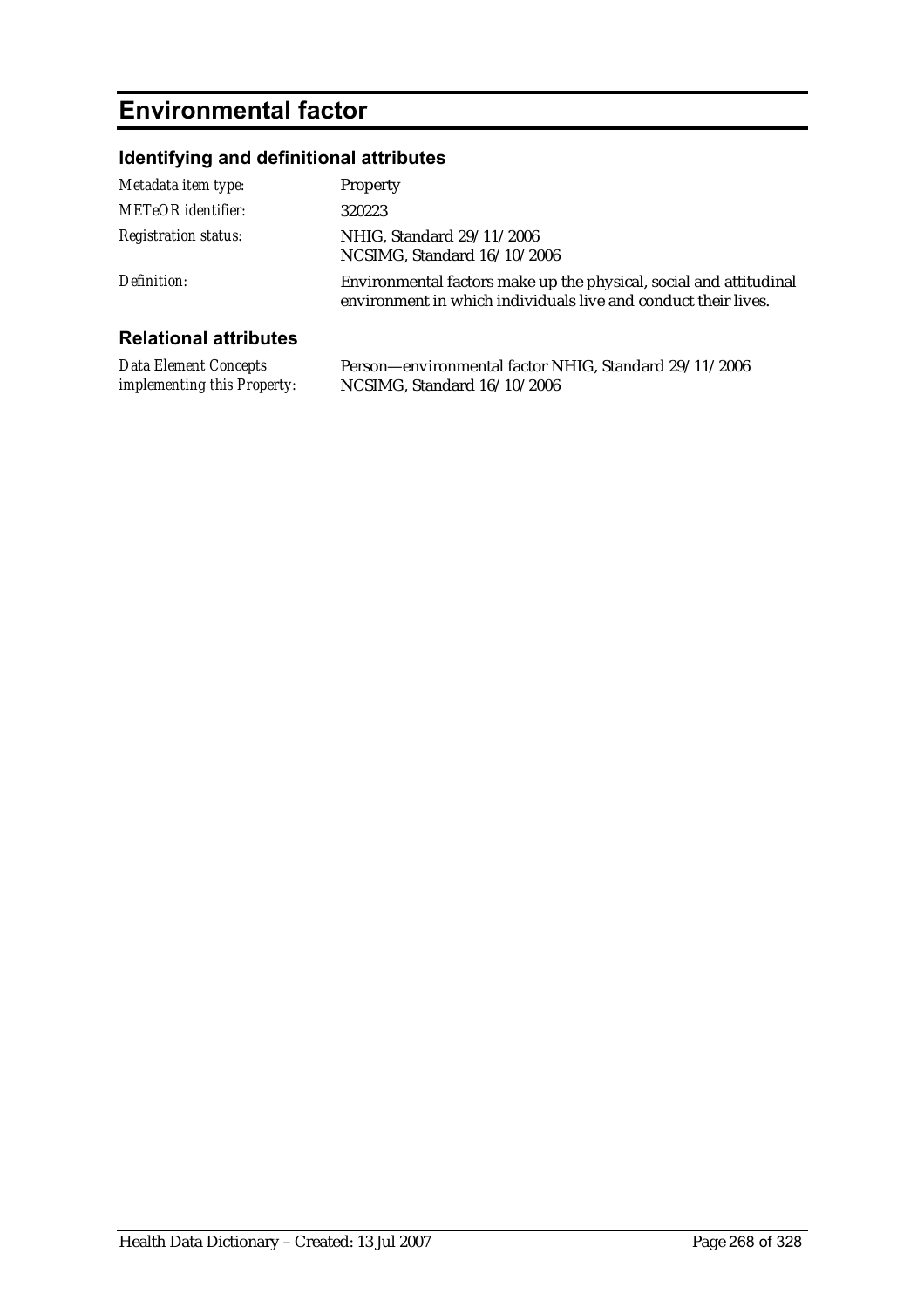# **Environmental factor**

## **Identifying and definitional attributes**

| Metadata item type:         | Property                                                                                                                             |
|-----------------------------|--------------------------------------------------------------------------------------------------------------------------------------|
| <b>METeOR</b> identifier:   | 320223                                                                                                                               |
| <b>Registration status:</b> | NHIG, Standard 29/11/2006<br>NCSIMG, Standard 16/10/2006                                                                             |
| Definition:                 | Environmental factors make up the physical, social and attitudinal<br>environment in which individuals live and conduct their lives. |
|                             |                                                                                                                                      |

| <b>Data Element Concepts</b>       | Person-environmental factor NHIG, Standard 29/11/2006 |
|------------------------------------|-------------------------------------------------------|
| <i>implementing this Property:</i> | NCSIMG, Standard 16/10/2006                           |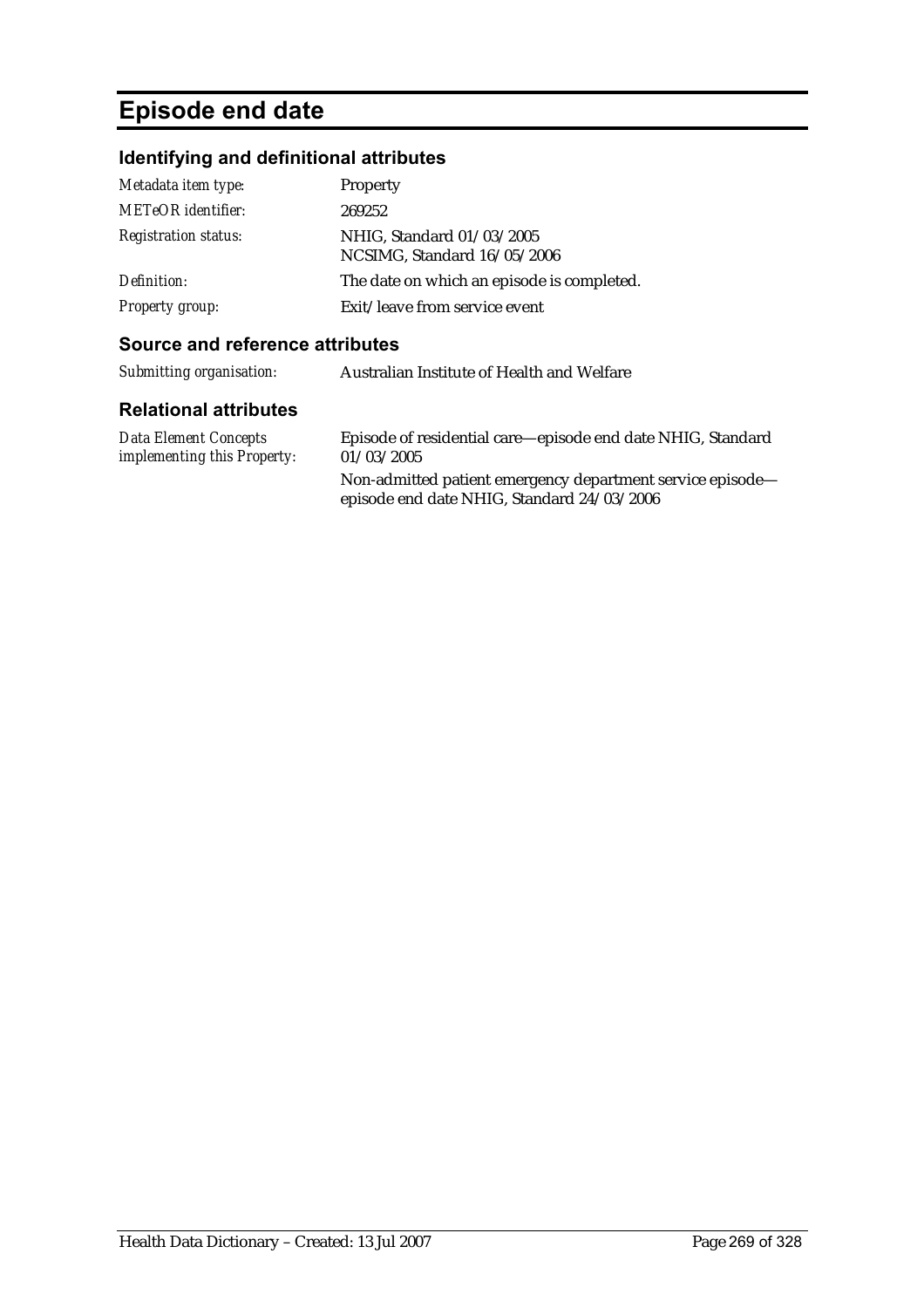# **Episode end date**

## **Identifying and definitional attributes**

| Metadata item type:         | Property                                                 |
|-----------------------------|----------------------------------------------------------|
| <b>METeOR</b> identifier:   | 269252                                                   |
| <b>Registration status:</b> | NHIG, Standard 01/03/2005<br>NCSIMG, Standard 16/05/2006 |
| Definition:                 | The date on which an episode is completed.               |
| <b>Property group:</b>      | Exit/leave from service event                            |

#### **Source and reference attributes**

| Submitting organisation: | Australian Institute of Health and Welfare |
|--------------------------|--------------------------------------------|
|--------------------------|--------------------------------------------|

| Data Element Concepts              | Episode of residential care—episode end date NHIG, Standard                                              |
|------------------------------------|----------------------------------------------------------------------------------------------------------|
| <i>implementing this Property:</i> | 01/03/2005                                                                                               |
|                                    | Non-admitted patient emergency department service episode-<br>episode end date NHIG, Standard 24/03/2006 |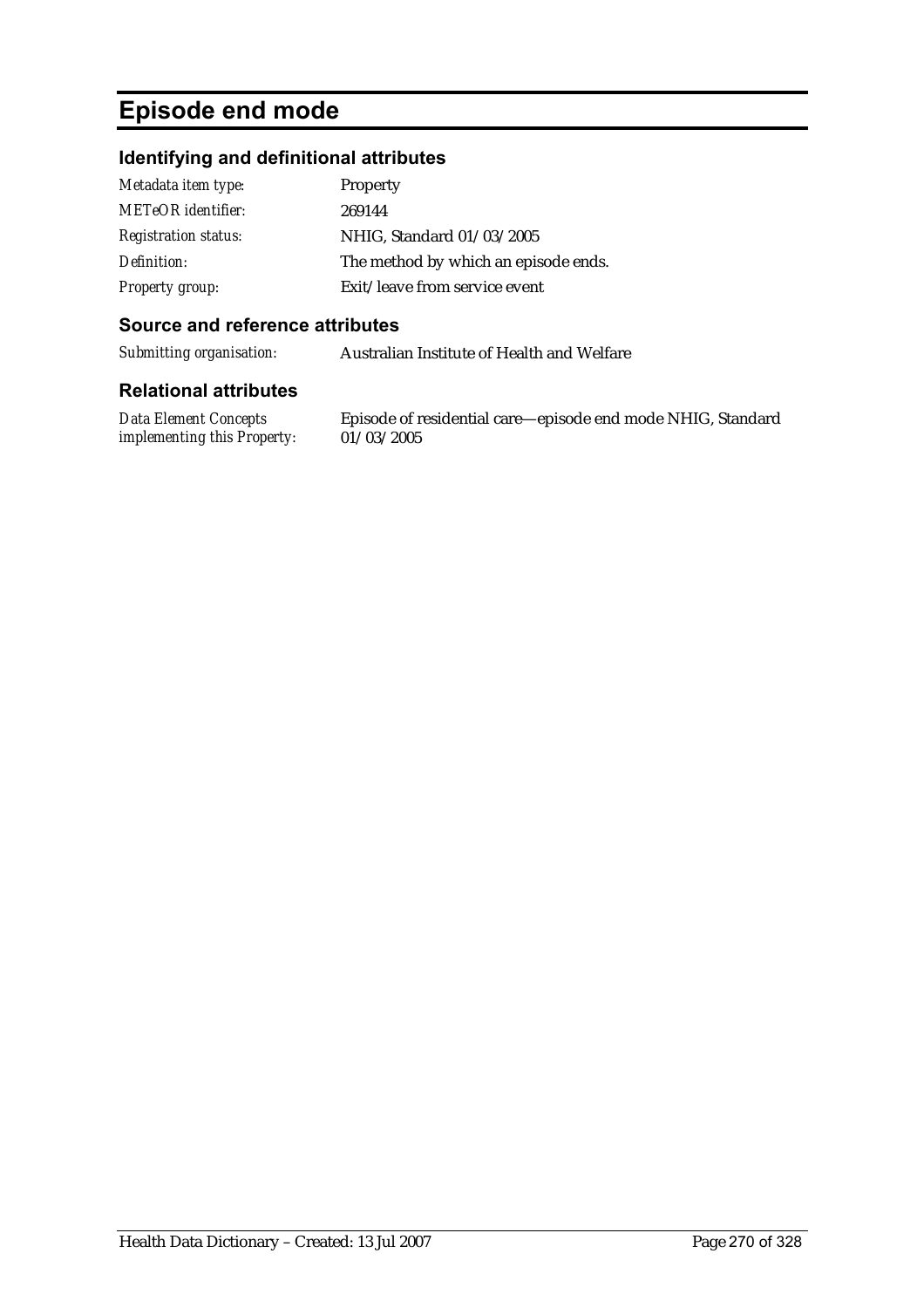# **Episode end mode**

#### **Identifying and definitional attributes**

| Metadata item type:         | Property                             |
|-----------------------------|--------------------------------------|
| METeOR identifier:          | 269144                               |
| <i>Registration status:</i> | NHIG, Standard 01/03/2005            |
| Definition:                 | The method by which an episode ends. |
| <b>Property group:</b>      | Exit/leave from service event        |

#### **Source and reference attributes**

*Submitting organisation:* Australian Institute of Health and Welfare

#### **Relational attributes**

*Data Element Concepts implementing this Property:*

Episode of residential care—episode end mode NHIG, Standard 01/03/2005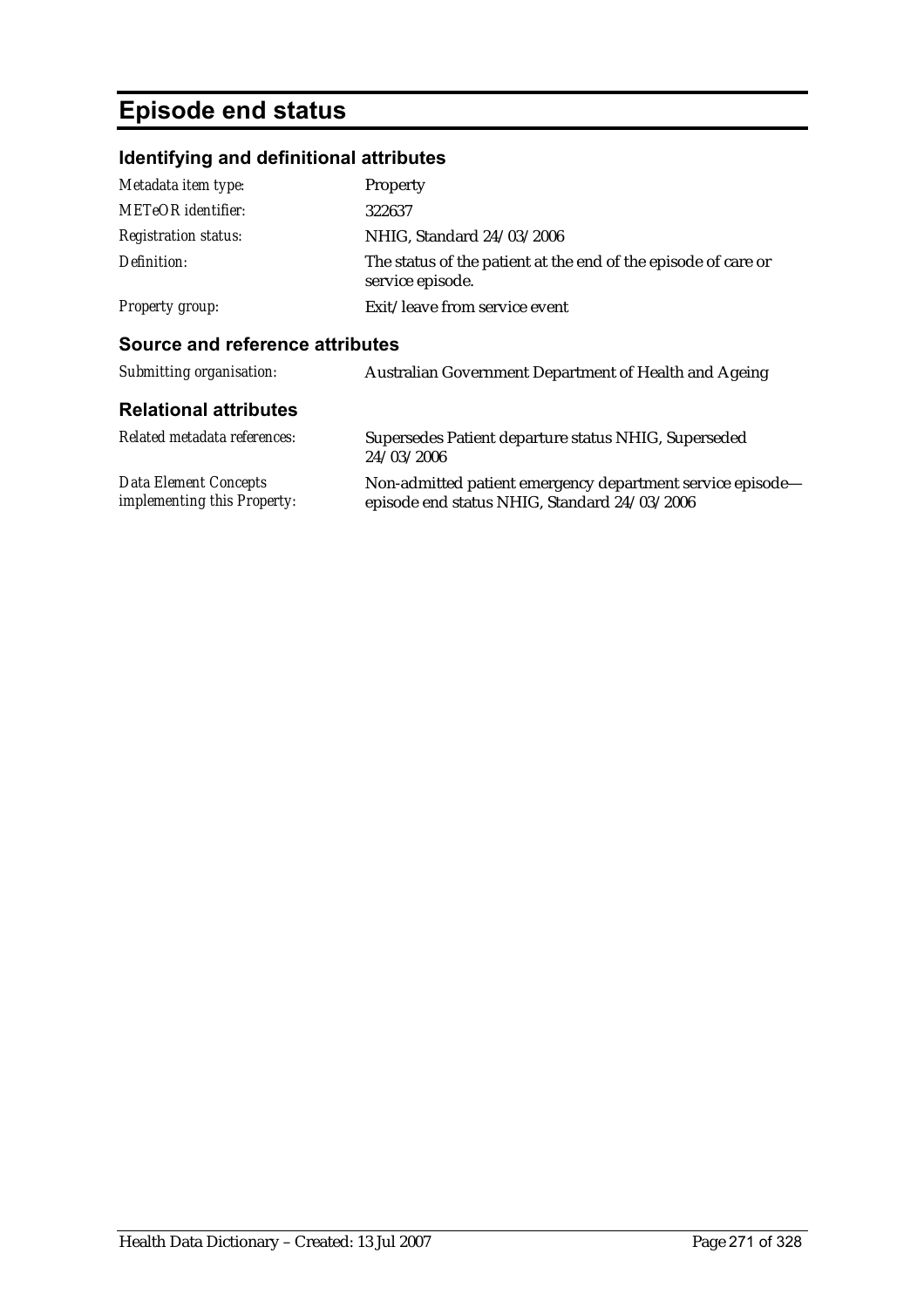# **Episode end status**

*implementing this Property:*

#### **Identifying and definitional attributes**

| Metadata item type:             | Property                                                                           |
|---------------------------------|------------------------------------------------------------------------------------|
| METeOR identifier:              | 322637                                                                             |
| <b>Registration status:</b>     | NHIG, Standard 24/03/2006                                                          |
| Definition:                     | The status of the patient at the end of the episode of care or<br>service episode. |
| <b>Property group:</b>          | Exit/leave from service event                                                      |
| Source and reference attributes |                                                                                    |
| Submitting organisation:        | Australian Government Department of Health and Ageing                              |
| <b>Relational attributes</b>    |                                                                                    |
| Related metadata references:    | Supersedes Patient departure status NHIG, Superseded<br>24/03/2006                 |
| <b>Data Element Concepts</b>    | Non-admitted patient emergency department service episode—                         |

episode end status NHIG, Standard 24/03/2006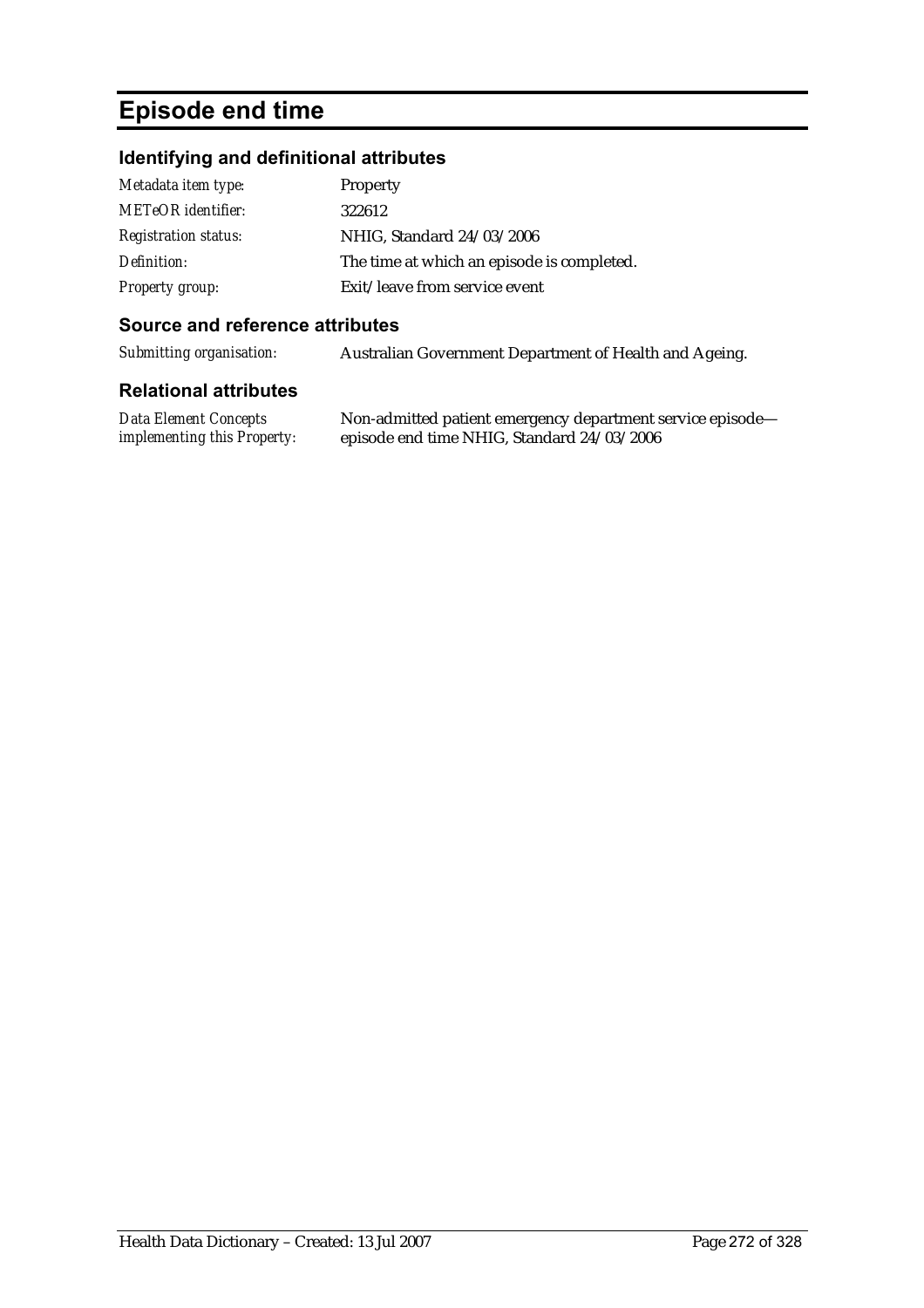# **Episode end time**

### **Identifying and definitional attributes**

| Metadata item type:         | Property                                   |
|-----------------------------|--------------------------------------------|
| <b>METeOR</b> identifier:   | 322612                                     |
| <i>Registration status:</i> | NHIG, Standard 24/03/2006                  |
| Definition:                 | The time at which an episode is completed. |
| <b>Property group:</b>      | Exit/leave from service event              |

#### **Source and reference attributes**

*Submitting organisation:* Australian Government Department of Health and Ageing.

| Data Element Concepts              | Non-admitted patient emergency department service episode- |
|------------------------------------|------------------------------------------------------------|
| <i>implementing this Property:</i> | episode end time NHIG, Standard 24/03/2006                 |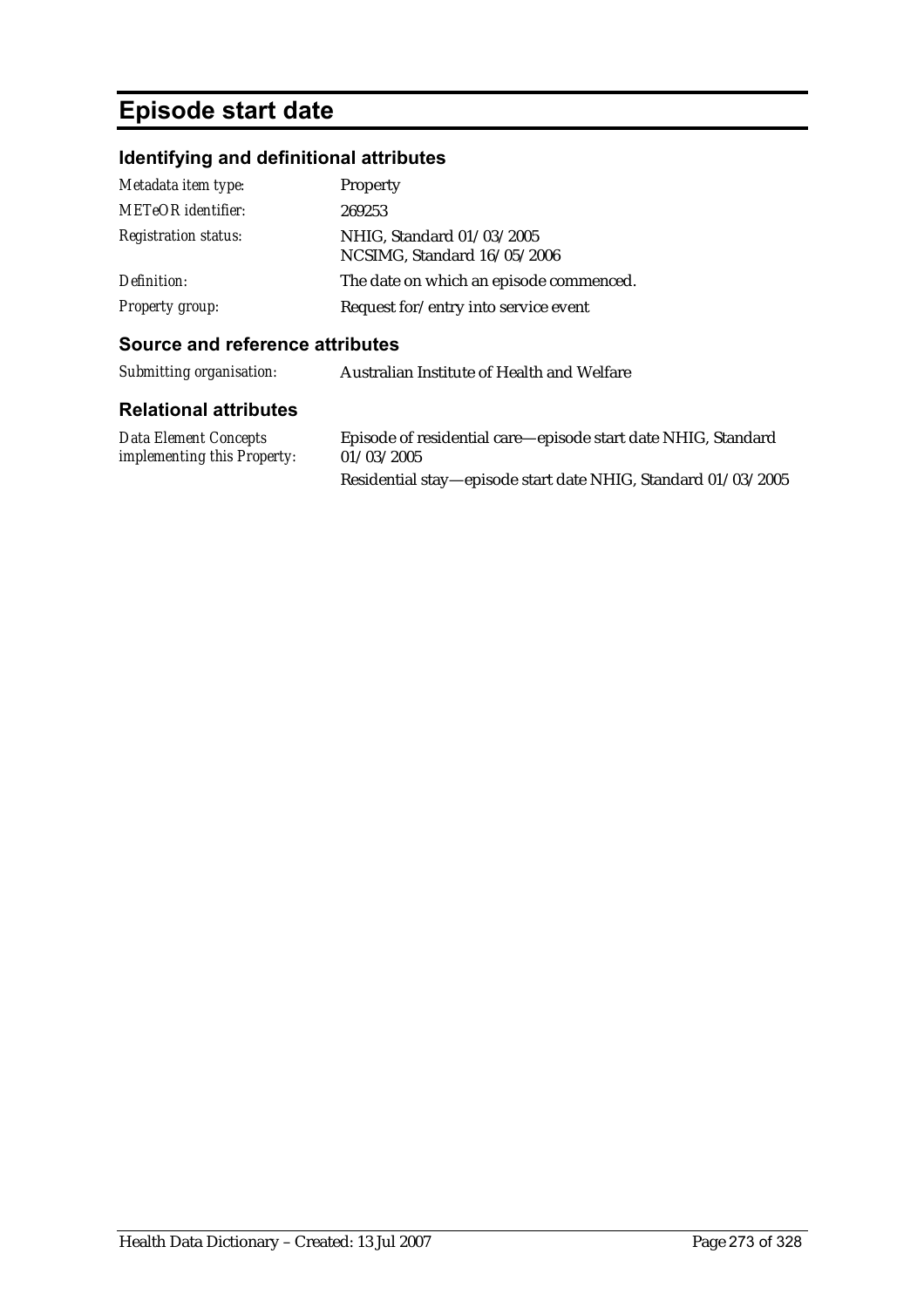# **Episode start date**

## **Identifying and definitional attributes**

| Metadata item type:         | Property                                                 |
|-----------------------------|----------------------------------------------------------|
| <b>METeOR</b> identifier:   | 269253                                                   |
| <b>Registration status:</b> | NHIG, Standard 01/03/2005<br>NCSIMG, Standard 16/05/2006 |
| Definition:                 | The date on which an episode commenced.                  |
| <b>Property group:</b>      | Request for/entry into service event                     |

#### **Source and reference attributes**

| Submitting organisation: | Australian Institute of Health and Welfare |
|--------------------------|--------------------------------------------|
| Dalational attributog    |                                            |

| Data Element Concepts              | Episode of residential care—episode start date NHIG, Standard |
|------------------------------------|---------------------------------------------------------------|
| <i>implementing this Property:</i> | 01/03/2005                                                    |
|                                    | Residential stay—episode start date NHIG, Standard 01/03/2005 |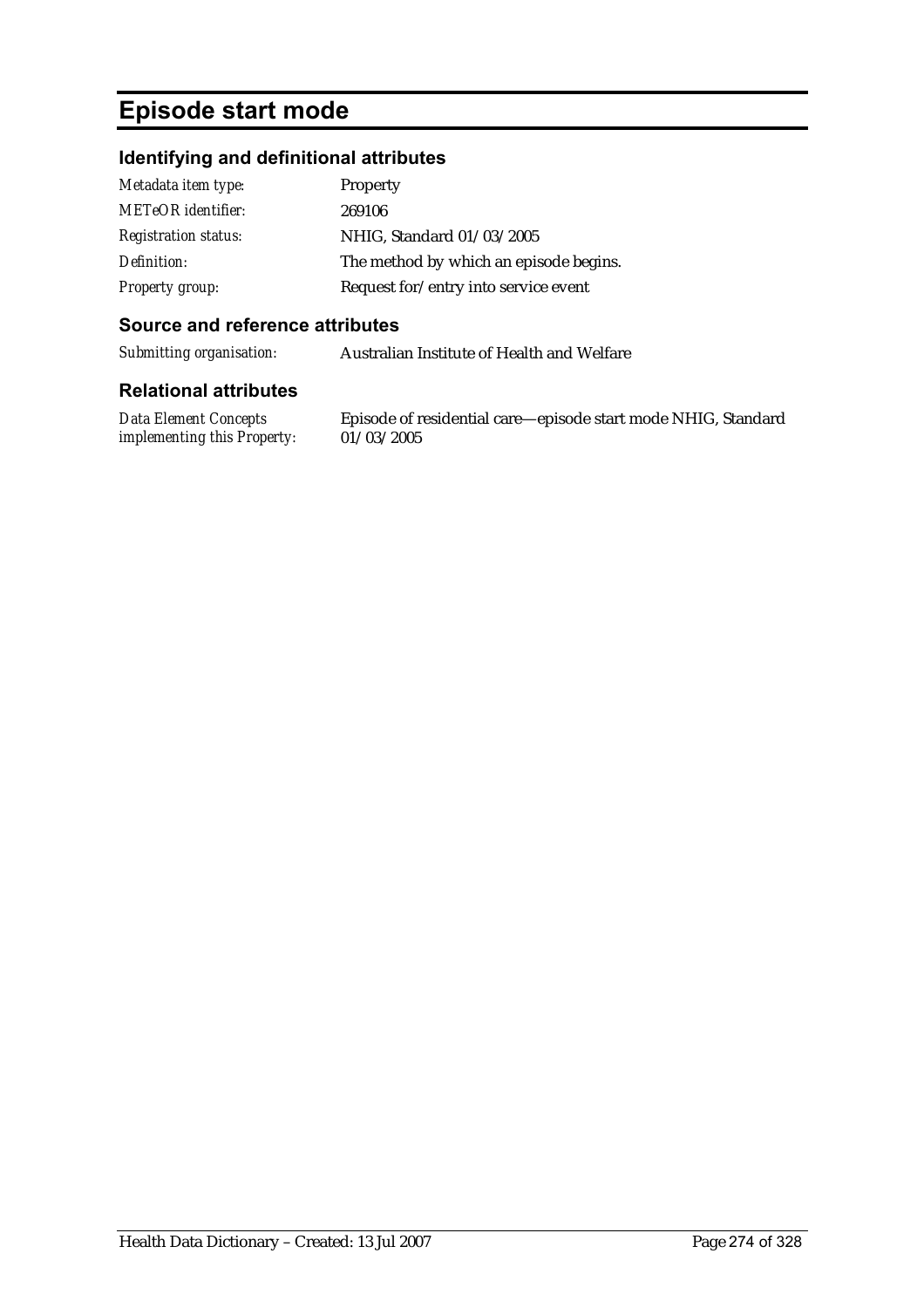## **Episode start mode**

#### **Identifying and definitional attributes**

| Metadata item type:         | Property                               |
|-----------------------------|----------------------------------------|
| <b>METeOR</b> identifier:   | 269106                                 |
| <b>Registration status:</b> | NHIG, Standard 01/03/2005              |
| Definition:                 | The method by which an episode begins. |
| <b>Property group:</b>      | Request for/entry into service event   |

#### **Source and reference attributes**

*Submitting organisation:* Australian Institute of Health and Welfare

#### **Relational attributes**

*Data Element Concepts implementing this Property:*

Episode of residential care—episode start mode NHIG, Standard 01/03/2005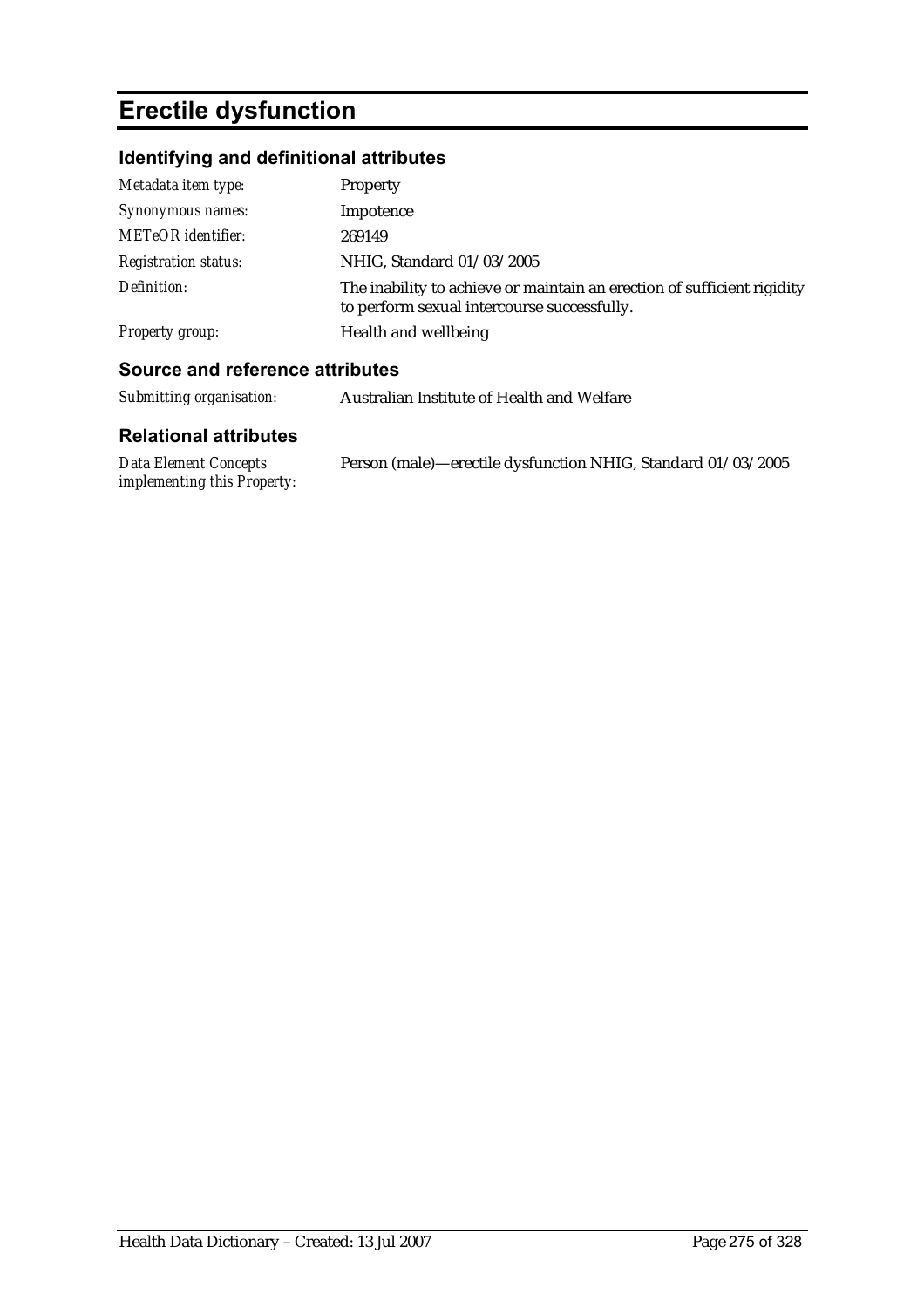# **Erectile dysfunction**

## **Identifying and definitional attributes**

| Metadata item type:         | Property                                                                                                               |
|-----------------------------|------------------------------------------------------------------------------------------------------------------------|
| Synonymous names:           | Impotence                                                                                                              |
| <b>METeOR</b> identifier:   | 269149                                                                                                                 |
| <b>Registration status:</b> | NHIG, Standard 01/03/2005                                                                                              |
| Definition:                 | The inability to achieve or maintain an erection of sufficient rigidity<br>to perform sexual intercourse successfully. |
| <b>Property group:</b>      | Health and wellbeing                                                                                                   |
|                             |                                                                                                                        |

#### **Source and reference attributes**

| Submitting organisation:                             | Australian Institute of Health and Welfare                   |
|------------------------------------------------------|--------------------------------------------------------------|
| <b>Relational attributes</b>                         |                                                              |
| Data Element Concepts<br>implementing this Property: | Person (male)—erectile dysfunction NHIG, Standard 01/03/2005 |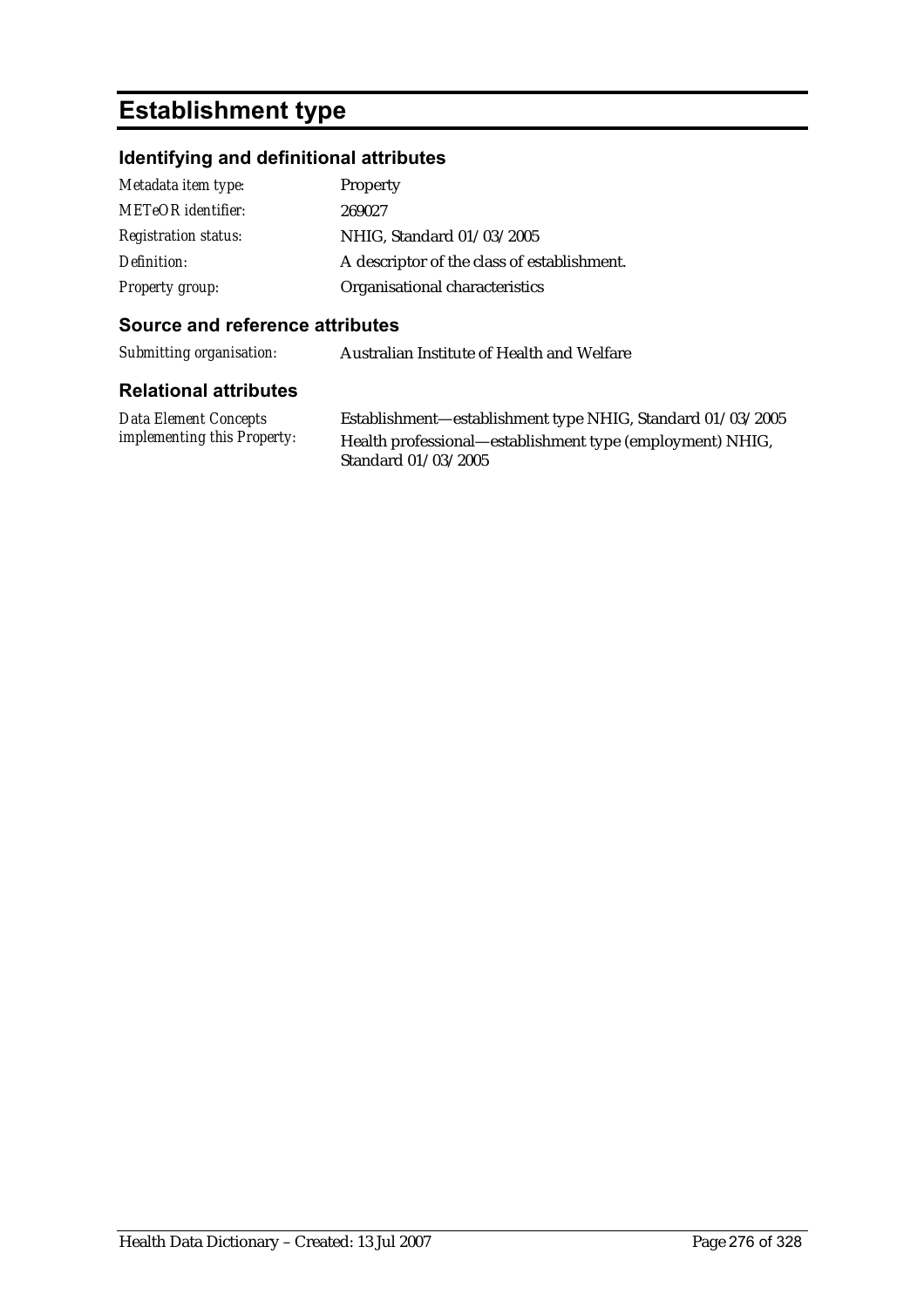## **Establishment type**

#### **Identifying and definitional attributes**

| Metadata item type:         | Property                                    |
|-----------------------------|---------------------------------------------|
| <b>METeOR</b> identifier:   | 269027                                      |
| <b>Registration status:</b> | NHIG, Standard 01/03/2005                   |
| Definition:                 | A descriptor of the class of establishment. |
| <b>Property group:</b>      | Organisational characteristics              |

#### **Source and reference attributes**

*Submitting organisation:* Australian Institute of Health and Welfare

#### **Relational attributes**

*Data Element Concepts implementing this Property:*

Establishment—establishment type NHIG, Standard 01/03/2005 Health professional—establishment type (employment) NHIG, Standard 01/03/2005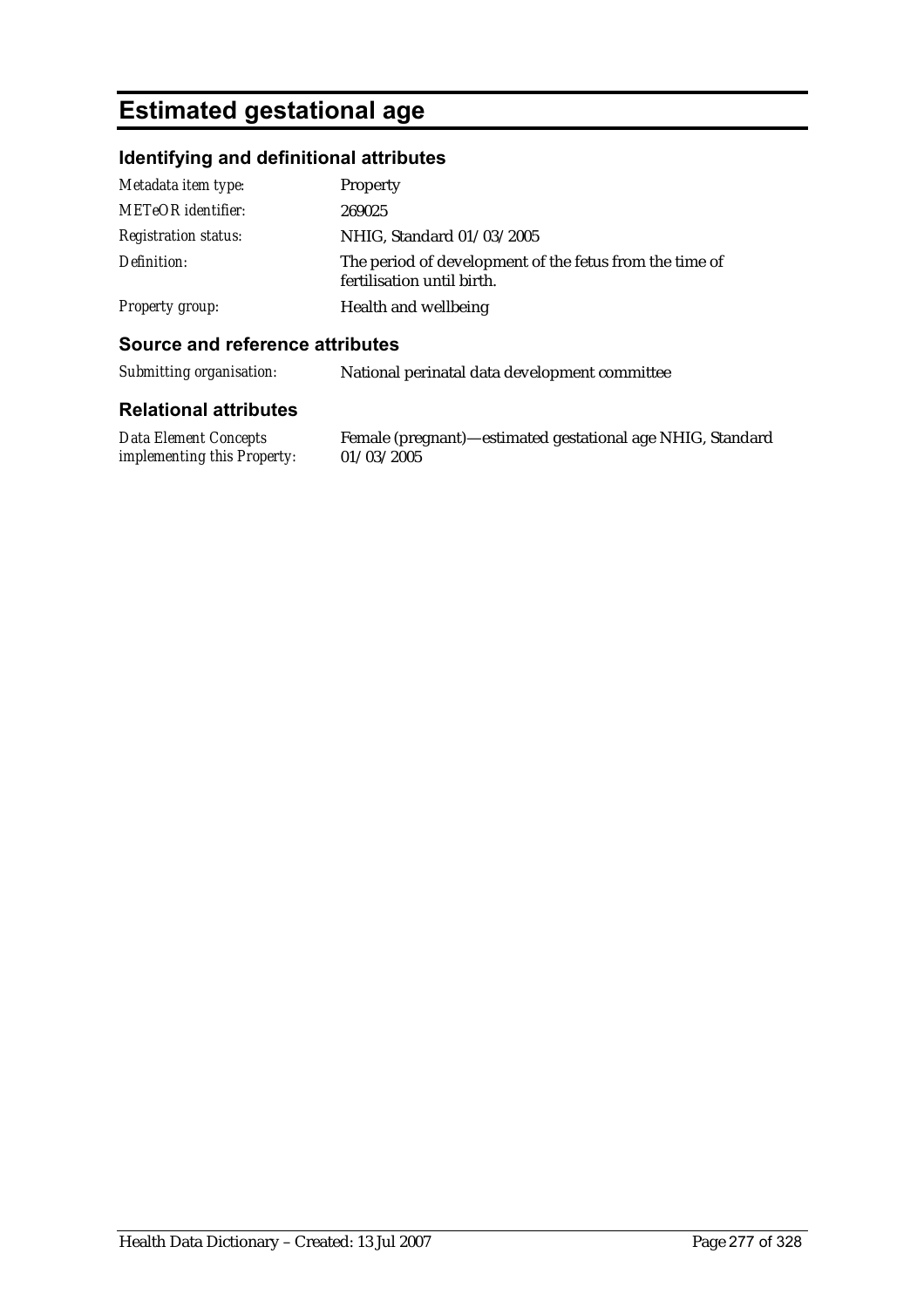## **Estimated gestational age**

### **Identifying and definitional attributes**

| Metadata item type:         | Property                                                                              |
|-----------------------------|---------------------------------------------------------------------------------------|
| <b>METeOR</b> identifier:   | 269025                                                                                |
| <i>Registration status:</i> | NHIG, Standard 01/03/2005                                                             |
| Definition:                 | The period of development of the fetus from the time of<br>fertilisation until birth. |
| <b>Property group:</b>      | Health and wellbeing                                                                  |

#### **Source and reference attributes**

*Submitting organisation:* National perinatal data development committee

#### **Relational attributes**

*Data Element Concepts implementing this Property:* Female (pregnant)—estimated gestational age NHIG, Standard  $01/03/2005$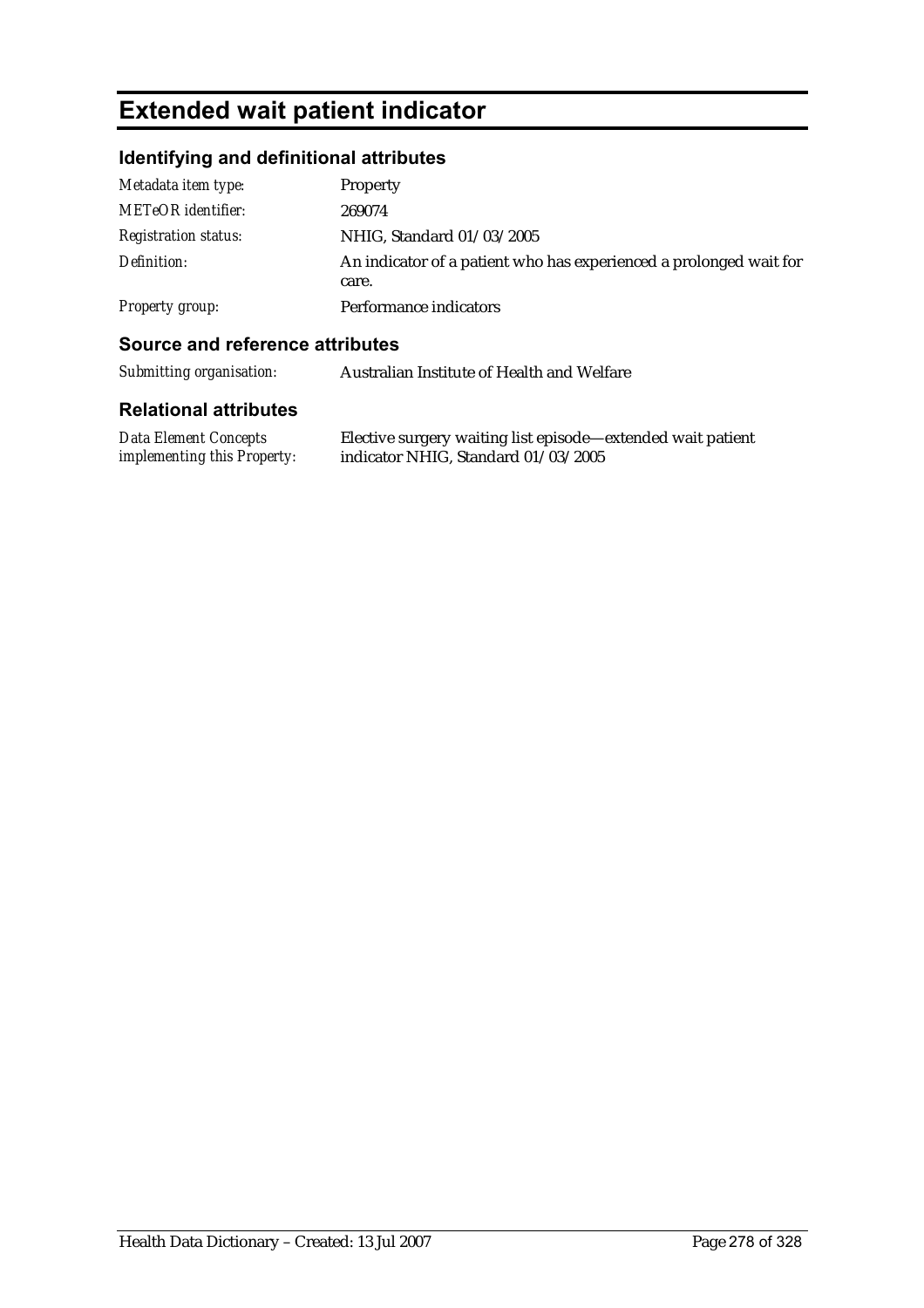# **Extended wait patient indicator**

## **Identifying and definitional attributes**

| Metadata item type:         | Property                                                                    |
|-----------------------------|-----------------------------------------------------------------------------|
| <b>METeOR</b> identifier:   | 269074                                                                      |
| <i>Registration status:</i> | NHIG, Standard 01/03/2005                                                   |
| Definition:                 | An indicator of a patient who has experienced a prolonged wait for<br>care. |
| Property group:             | Performance indicators                                                      |

#### **Source and reference attributes**

| Submitting organisation: | Australian Institute of Health and Welfare |
|--------------------------|--------------------------------------------|
|--------------------------|--------------------------------------------|

| Data Element Concepts              | Elective surgery waiting list episode—extended wait patient |
|------------------------------------|-------------------------------------------------------------|
| <i>implementing this Property:</i> | indicator NHIG, Standard 01/03/2005                         |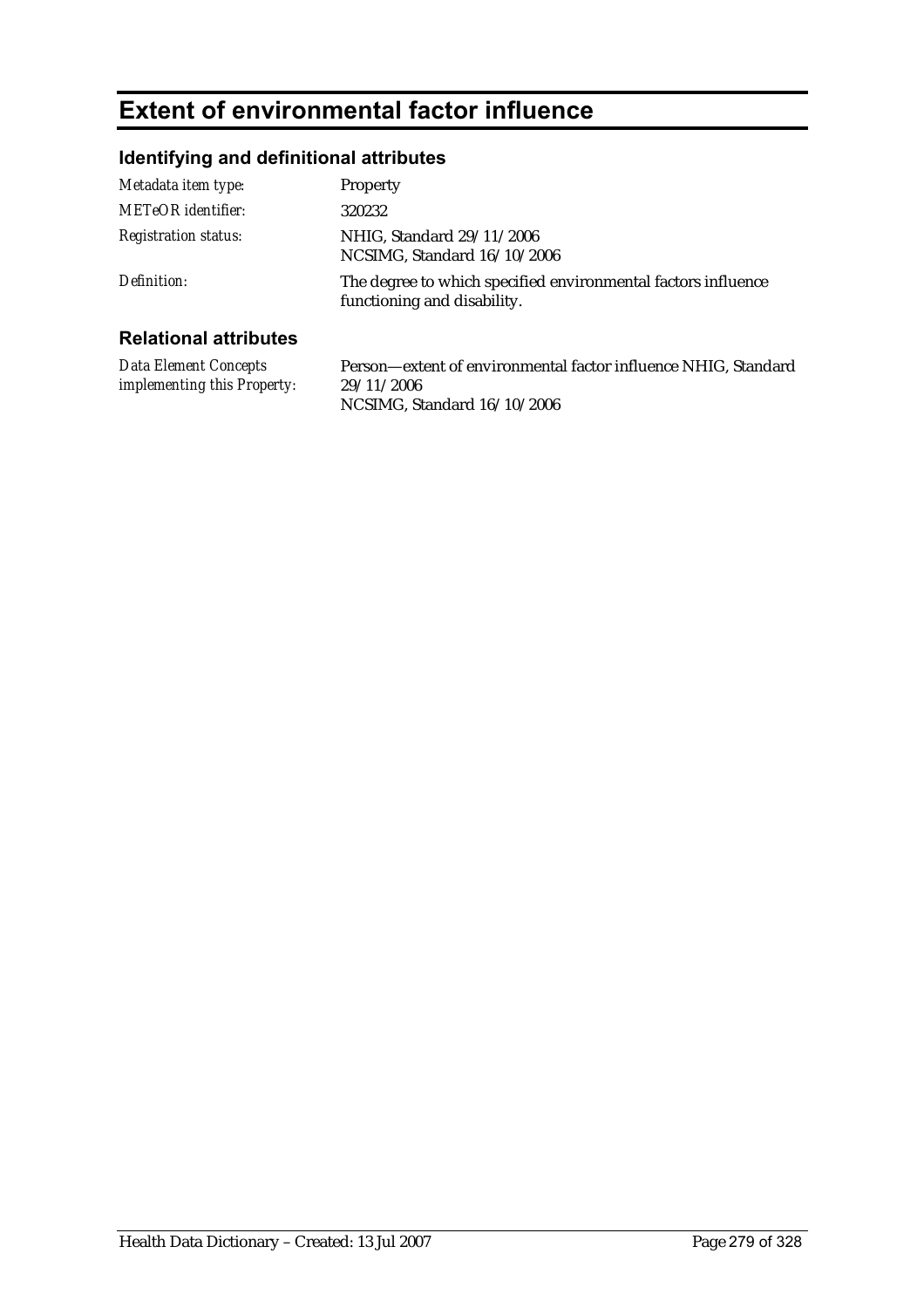## **Extent of environmental factor influence**

### **Identifying and definitional attributes**

| Metadata item type:          | Property                                                                                     |
|------------------------------|----------------------------------------------------------------------------------------------|
| <b>METeOR</b> identifier:    | 320232                                                                                       |
| <b>Registration status:</b>  | NHIG, Standard 29/11/2006<br>NCSIMG, Standard 16/10/2006                                     |
| Definition:                  | The degree to which specified environmental factors influence<br>functioning and disability. |
| <b>Relational attributes</b> |                                                                                              |

#### **Relational attributes**

*Data Element Concepts implementing this Property:* Person—extent of environmental factor influence NHIG, Standard 29/11/2006 NCSIMG, Standard 16/10/2006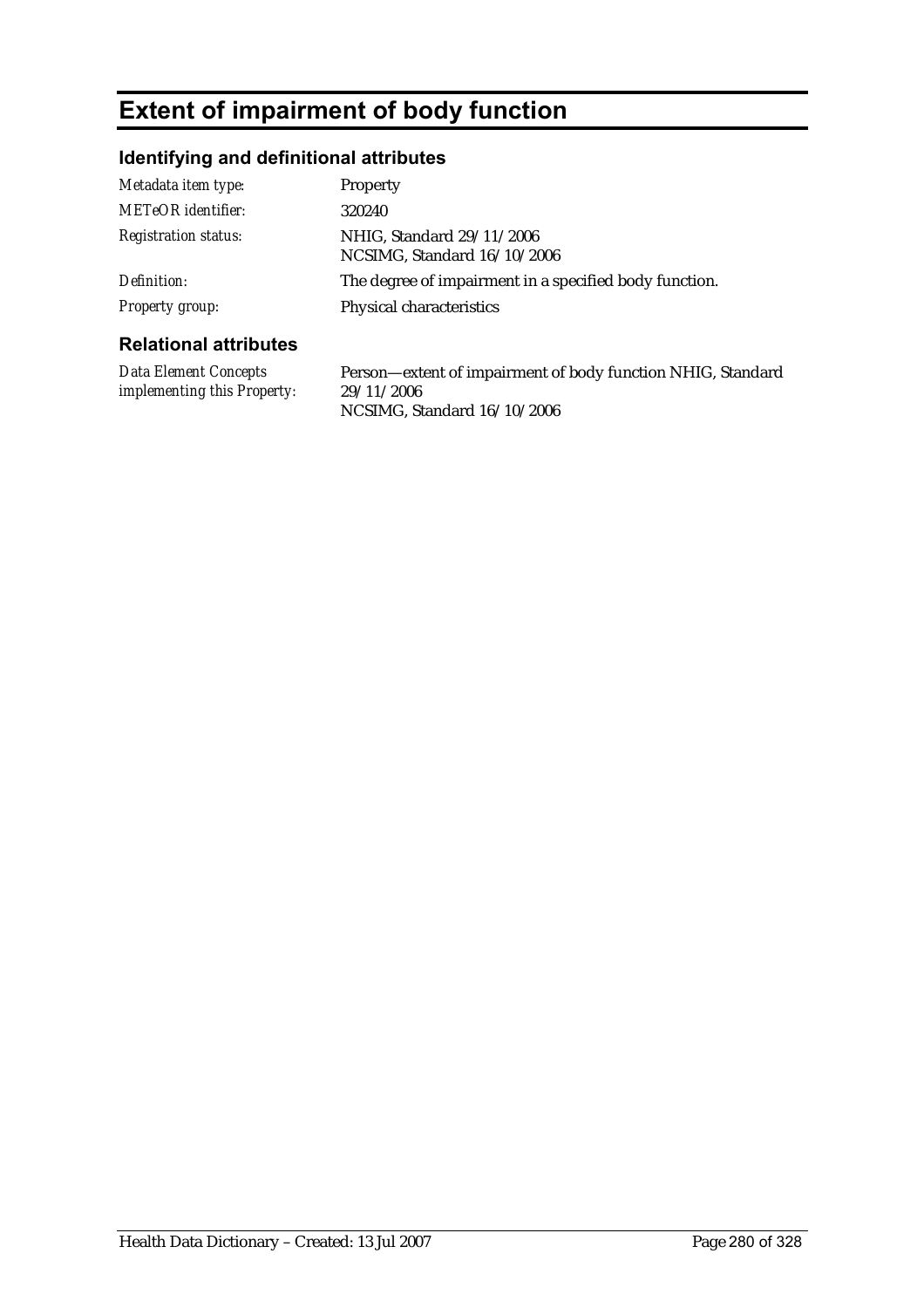## **Extent of impairment of body function**

### **Identifying and definitional attributes**

| <b>Registration status:</b>                     | NHIG, Standard 29/11/2006<br>NCSIMG, Standard 16/10/2006 |
|-------------------------------------------------|----------------------------------------------------------|
| Definition:                                     | The degree of impairment in a specified body function.   |
| Property group:<br><b>Relational attributes</b> | Physical characteristics                                 |

*Data Element Concepts implementing this Property:* Person—extent of impairment of body function NHIG, Standard 29/11/2006 NCSIMG, Standard 16/10/2006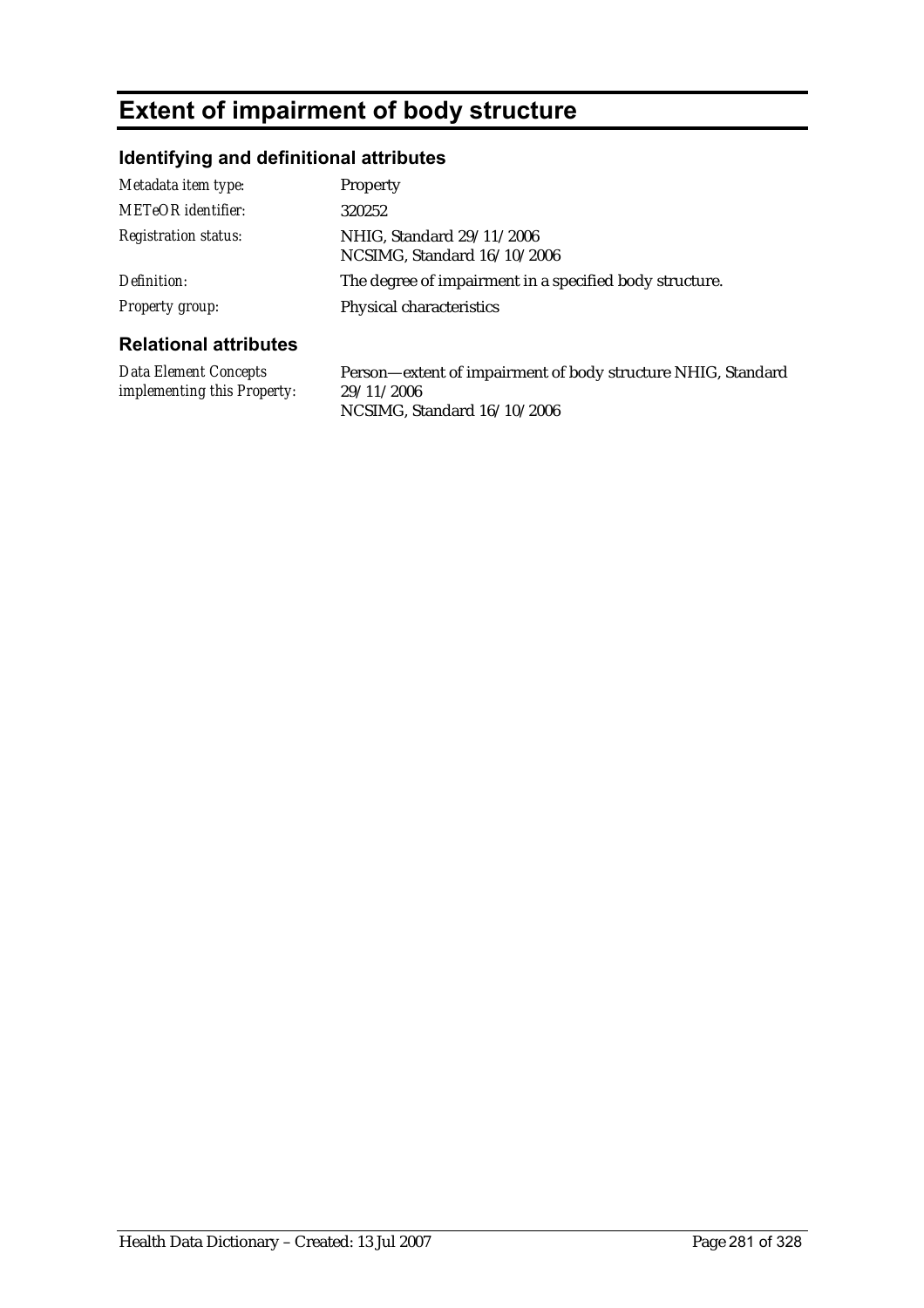## **Extent of impairment of body structure**

### **Identifying and definitional attributes**

| Metadata item type:          | <b>Property</b>                                          |
|------------------------------|----------------------------------------------------------|
| <b>METeOR</b> identifier:    | 320252                                                   |
| <b>Registration status:</b>  | NHIG, Standard 29/11/2006<br>NCSIMG, Standard 16/10/2006 |
| Definition:                  | The degree of impairment in a specified body structure.  |
| Property group:              | Physical characteristics                                 |
| <b>Relational attributes</b> |                                                          |

### *Data Element Concepts implementing this Property:*

Person—extent of impairment of body structure NHIG, Standard 29/11/2006 NCSIMG, Standard 16/10/2006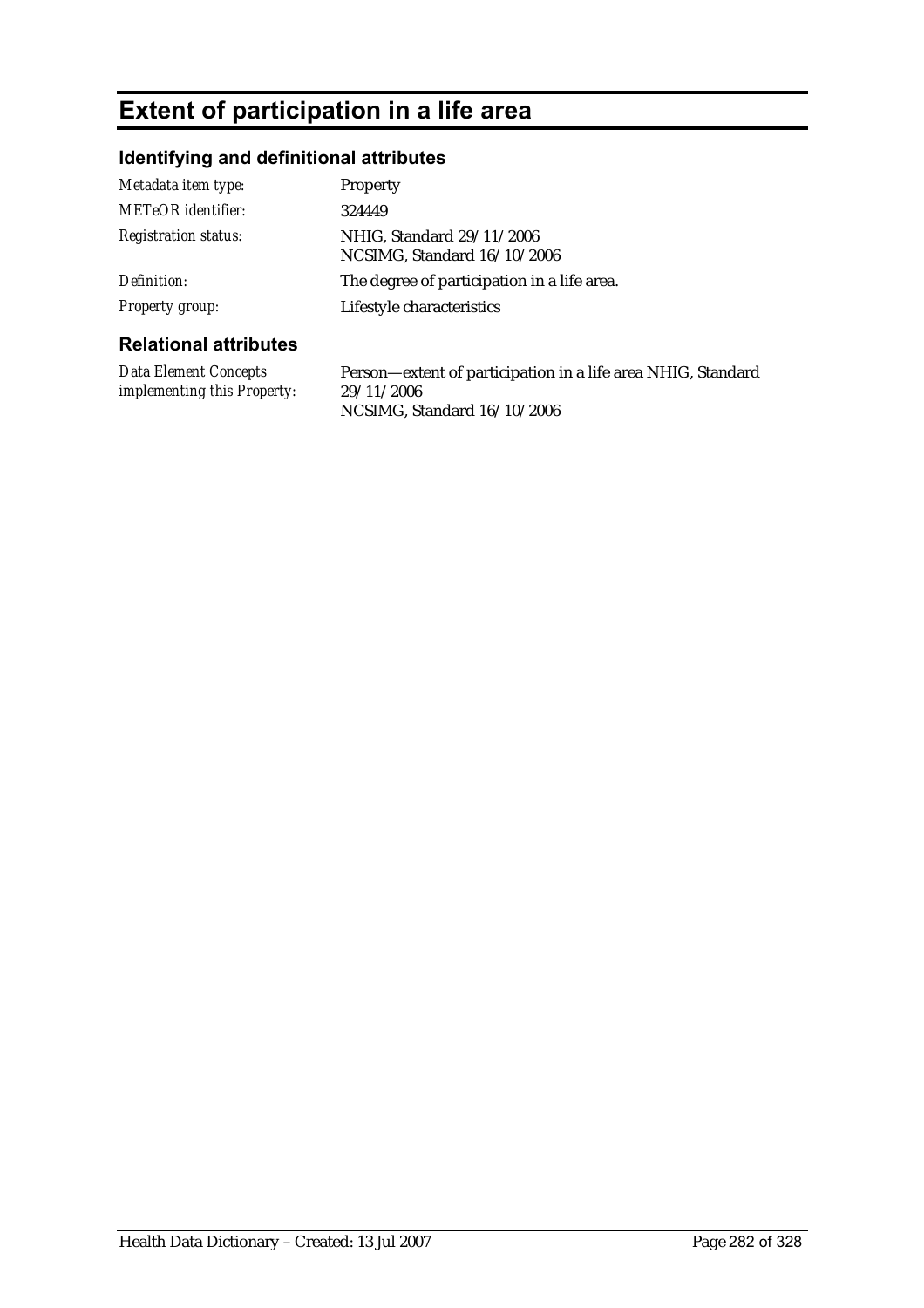## **Extent of participation in a life area**

### **Identifying and definitional attributes**

| Metadata item type:          | <b>Property</b>                                          |
|------------------------------|----------------------------------------------------------|
| METeOR identifier:           | 324449                                                   |
| <b>Registration status:</b>  | NHIG, Standard 29/11/2006<br>NCSIMG, Standard 16/10/2006 |
| Definition:                  | The degree of participation in a life area.              |
| Property group:              | Lifestyle characteristics                                |
| <b>Relational attributes</b> |                                                          |

### **Relational attributes**

*Data Element Concepts implementing this Property:* Person—extent of participation in a life area NHIG, Standard 29/11/2006 NCSIMG, Standard 16/10/2006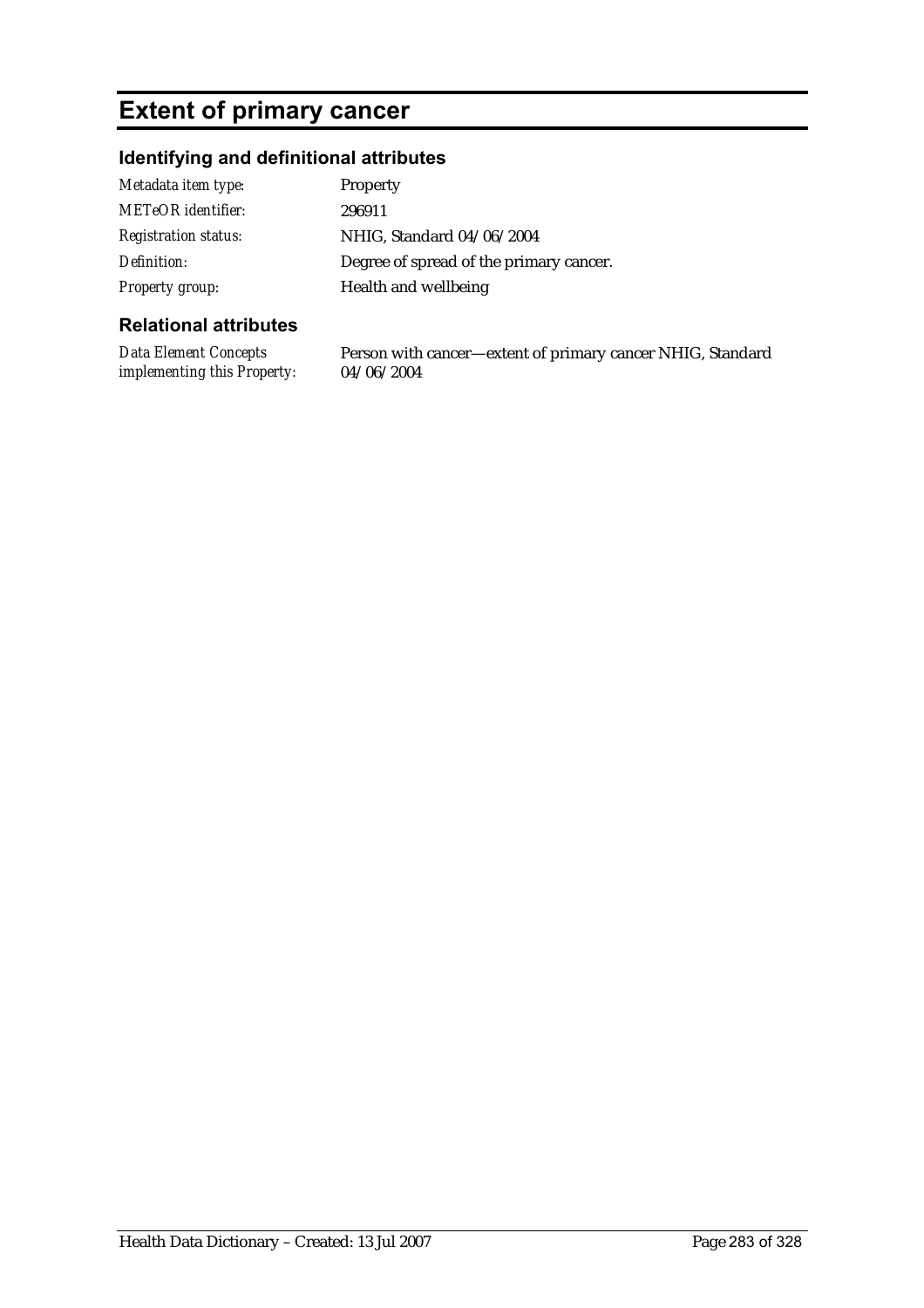## **Extent of primary cancer**

### **Identifying and definitional attributes**

| Metadata item type:         | <b>Property</b>                         |
|-----------------------------|-----------------------------------------|
| <b>METeOR</b> identifier:   | 296911                                  |
| <b>Registration status:</b> | NHIG, Standard 04/06/2004               |
| Definition:                 | Degree of spread of the primary cancer. |
| Property group:             | Health and wellbeing                    |

#### **Relational attributes**

*Data Element Concepts implementing this Property:* 04/06/2004

Person with cancer—extent of primary cancer NHIG, Standard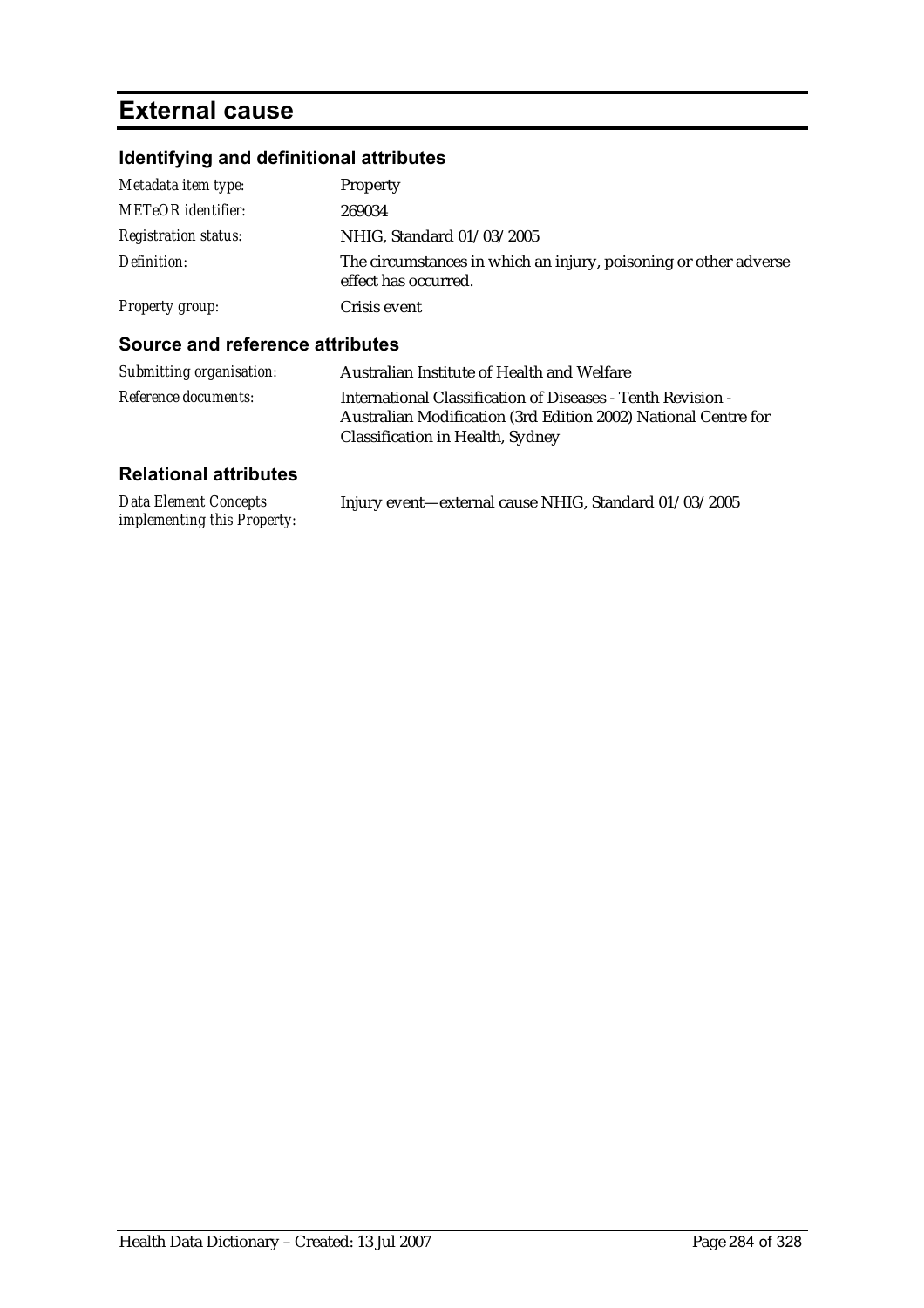## **External cause**

## **Identifying and definitional attributes**

| Metadata item type:         | Property                                                                                 |
|-----------------------------|------------------------------------------------------------------------------------------|
| <b>METeOR</b> identifier:   | 269034                                                                                   |
| <b>Registration status:</b> | NHIG, Standard 01/03/2005                                                                |
| Definition:                 | The circumstances in which an injury, poisoning or other adverse<br>effect has occurred. |
| Property group:             | Crisis event                                                                             |

#### **Source and reference attributes**

| Submitting organisation:    | Australian Institute of Health and Welfare                                                                                                                        |
|-----------------------------|-------------------------------------------------------------------------------------------------------------------------------------------------------------------|
| <i>Reference documents:</i> | International Classification of Diseases - Tenth Revision -<br>Australian Modification (3rd Edition 2002) National Centre for<br>Classification in Health, Sydney |

| <b>Data Element Concepts</b> | Injury event—external cause NHIG, Standard 01/03/2005 |
|------------------------------|-------------------------------------------------------|
| implementing this Property:  |                                                       |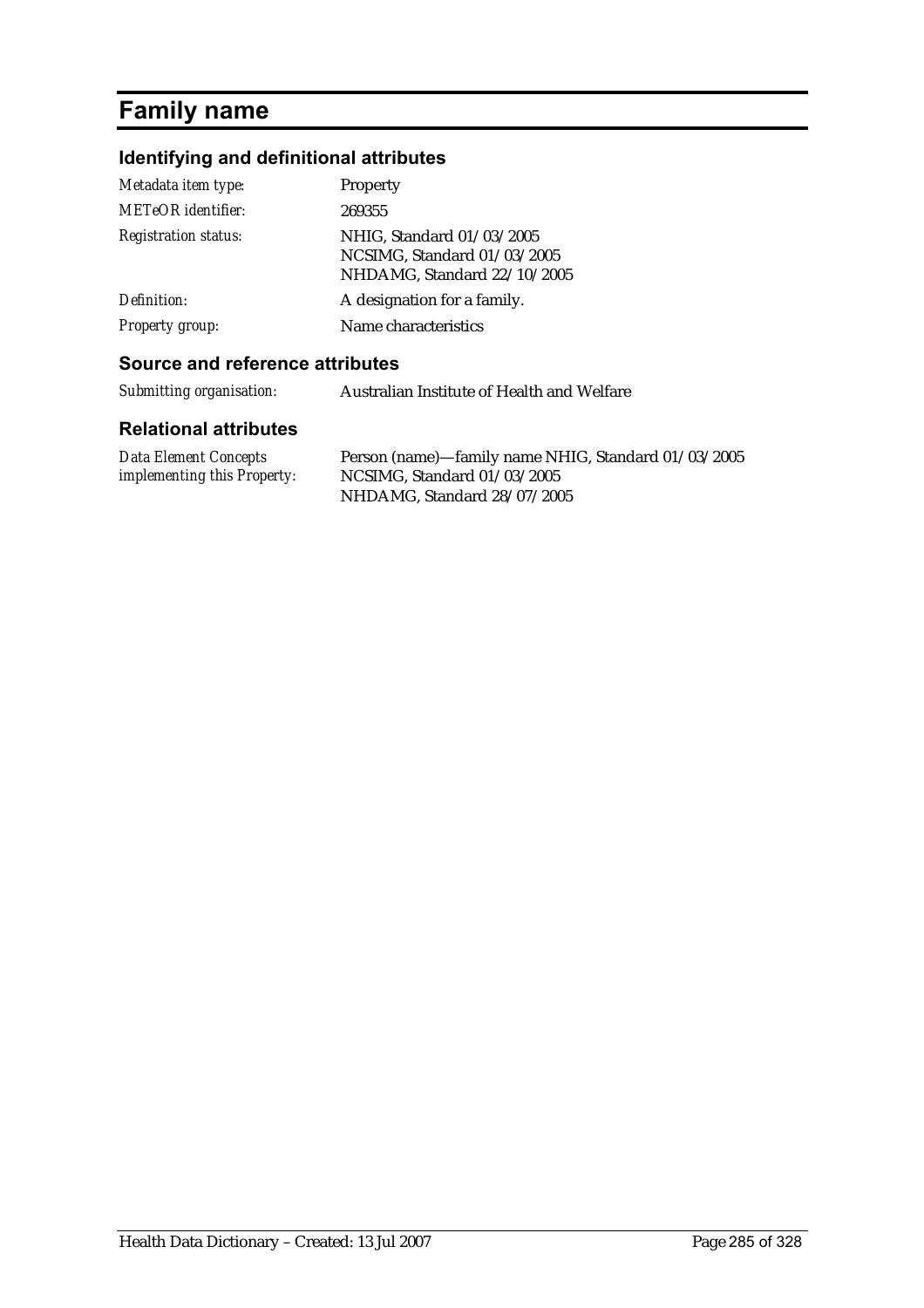## **Family name**

### **Identifying and definitional attributes**

| Metadata item type:         | Property                                                                                |
|-----------------------------|-----------------------------------------------------------------------------------------|
| <b>METeOR</b> identifier:   | 269355                                                                                  |
| <b>Registration status:</b> | NHIG, Standard 01/03/2005<br>NCSIMG, Standard 01/03/2005<br>NHDAMG, Standard 22/10/2005 |
| Definition:                 | A designation for a family.                                                             |
| Property group:             | Name characteristics                                                                    |

#### **Source and reference attributes**

*Submitting organisation:* Australian Institute of Health and Welfare

| Data Element Concepts              | Person (name)-family name NHIG, Standard 01/03/2005 |
|------------------------------------|-----------------------------------------------------|
| <i>implementing this Property:</i> | NCSIMG. Standard $01/03/2005$                       |
|                                    | NHDAMG, Standard 28/07/2005                         |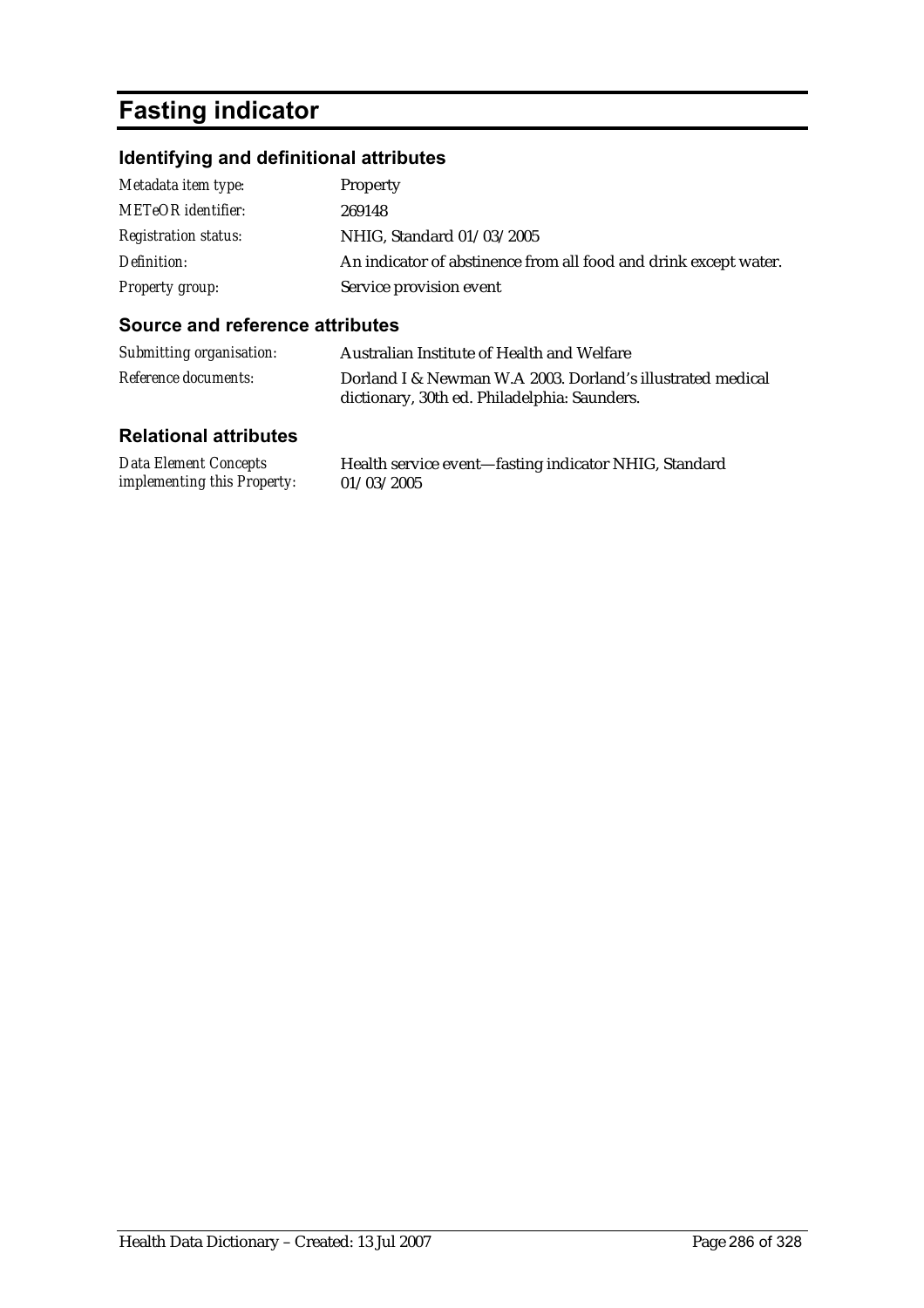# **Fasting indicator**

### **Identifying and definitional attributes**

| Metadata item type:         | Property                                                         |
|-----------------------------|------------------------------------------------------------------|
| <b>METeOR</b> identifier:   | 269148                                                           |
| <b>Registration status:</b> | NHIG, Standard 01/03/2005                                        |
| Definition:                 | An indicator of abstinence from all food and drink except water. |
| Property group:             | Service provision event                                          |

### **Source and reference attributes**

| Submitting organisation:    | Australian Institute of Health and Welfare                                                                 |
|-----------------------------|------------------------------------------------------------------------------------------------------------|
| <i>Reference documents:</i> | Dorland I & Newman W.A 2003. Dorland's illustrated medical<br>dictionary, 30th ed. Philadelphia: Saunders. |

| Data Element Concepts              | Health service event-fasting indicator NHIG, Standard |
|------------------------------------|-------------------------------------------------------|
| <i>implementing this Property:</i> | 01/03/2005                                            |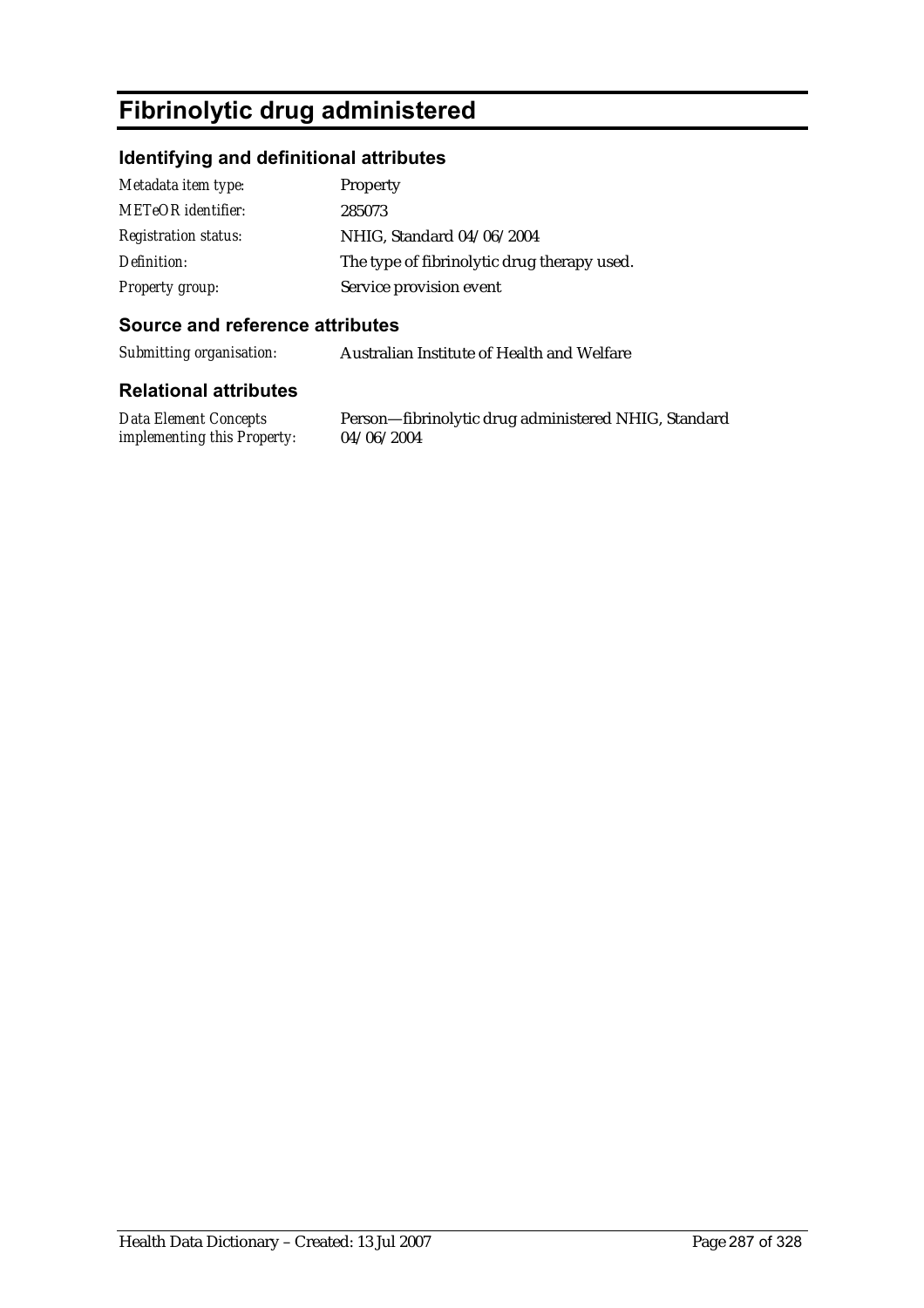# **Fibrinolytic drug administered**

#### **Identifying and definitional attributes**

| Metadata item type:         | <b>Property</b>                             |
|-----------------------------|---------------------------------------------|
| <b>METeOR</b> identifier:   | 285073                                      |
| <b>Registration status:</b> | NHIG, Standard 04/06/2004                   |
| Definition:                 | The type of fibrinolytic drug therapy used. |
| <b>Property group:</b>      | Service provision event                     |

#### **Source and reference attributes**

*Submitting organisation:* Australian Institute of Health and Welfare

#### **Relational attributes**

*Data Element Concepts implementing this Property:*

Person—fibrinolytic drug administered NHIG, Standard 04/06/2004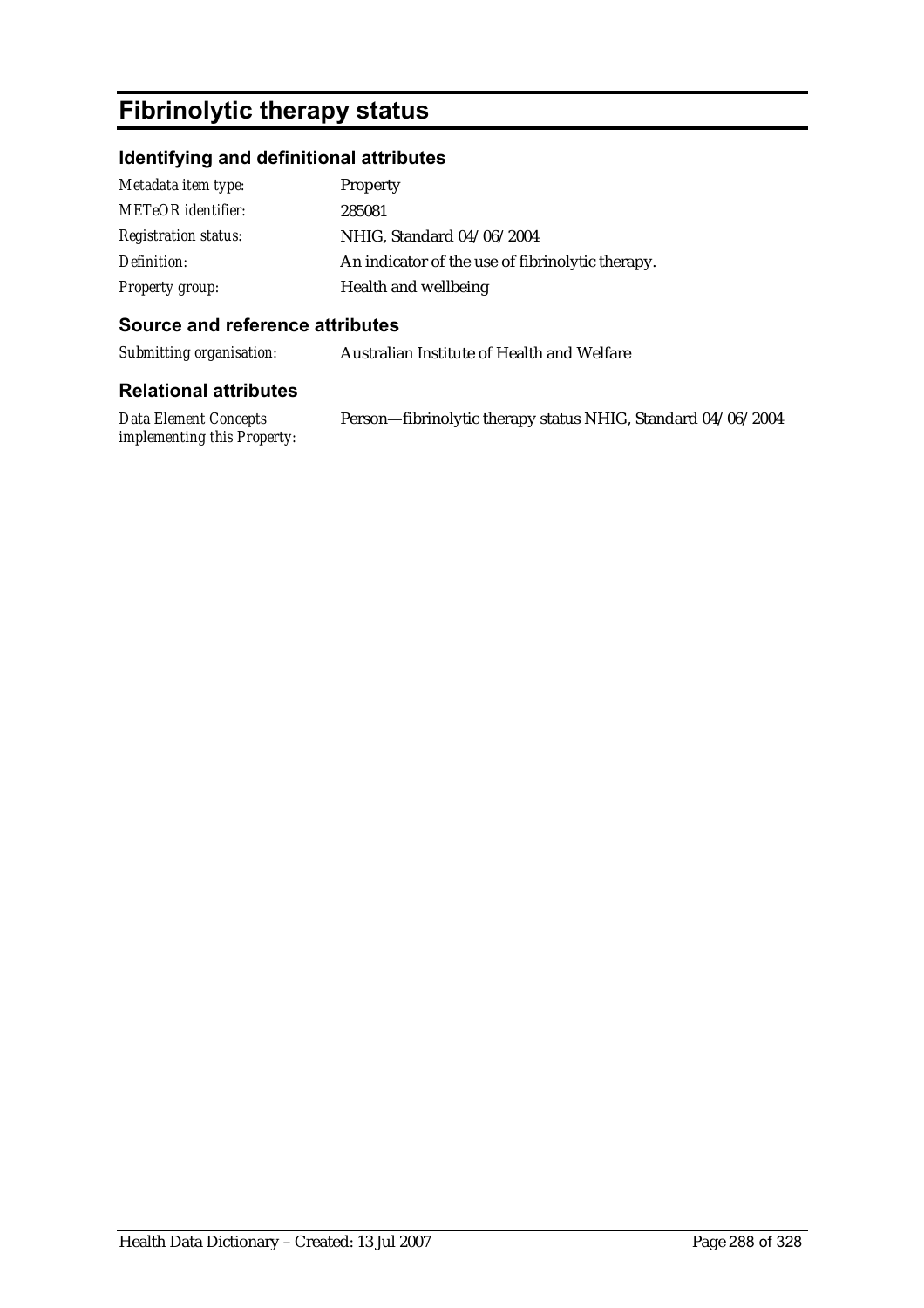# **Fibrinolytic therapy status**

### **Identifying and definitional attributes**

| Metadata item type:         | Property                                         |
|-----------------------------|--------------------------------------------------|
| <b>METeOR</b> identifier:   | 285081                                           |
| <b>Registration status:</b> | NHIG, Standard 04/06/2004                        |
| Definition:                 | An indicator of the use of fibrinolytic therapy. |
| <b>Property group:</b>      | Health and wellbeing                             |

#### **Source and reference attributes**

*Submitting organisation:* Australian Institute of Health and Welfare

#### **Relational attributes**

*Data Element Concepts implementing this Property:* Person—fibrinolytic therapy status NHIG, Standard 04/06/2004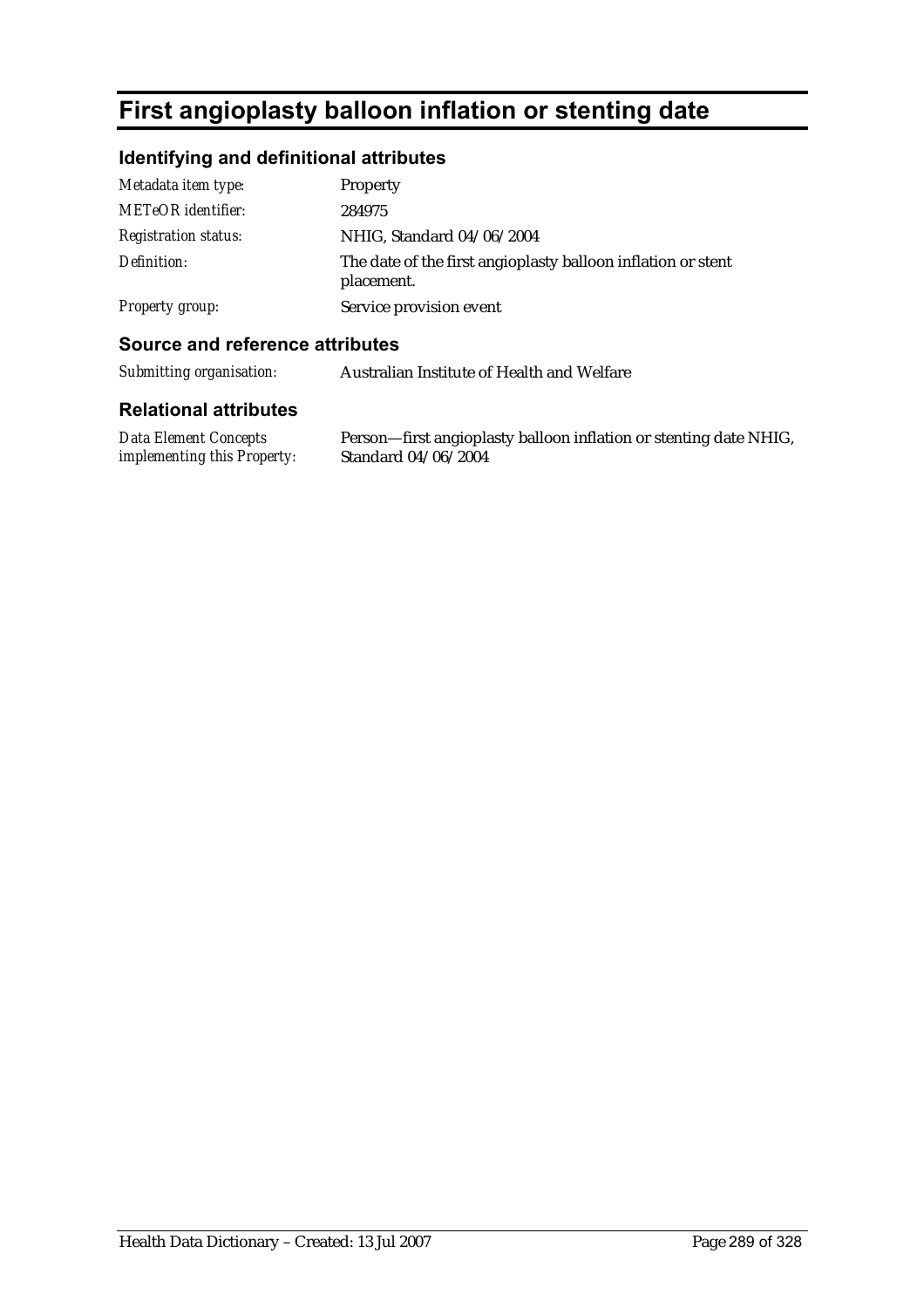# **First angioplasty balloon inflation or stenting date**

# **Identifying and definitional attributes**

| Metadata item type:         | Property                                                                   |
|-----------------------------|----------------------------------------------------------------------------|
| <b>METeOR</b> identifier:   | 284975                                                                     |
| <i>Registration status:</i> | NHIG, Standard 04/06/2004                                                  |
| Definition:                 | The date of the first angioplasty balloon inflation or stent<br>placement. |
| Property group:             | Service provision event                                                    |

### **Source and reference attributes**

| Submitting organisation: | Australian Institute of Health and Welfare |
|--------------------------|--------------------------------------------|
|                          |                                            |

#### **Relational attributes**

*Data Element Concepts implementing this Property:* Person—first angioplasty balloon inflation or stenting date NHIG, Standard 04/06/2004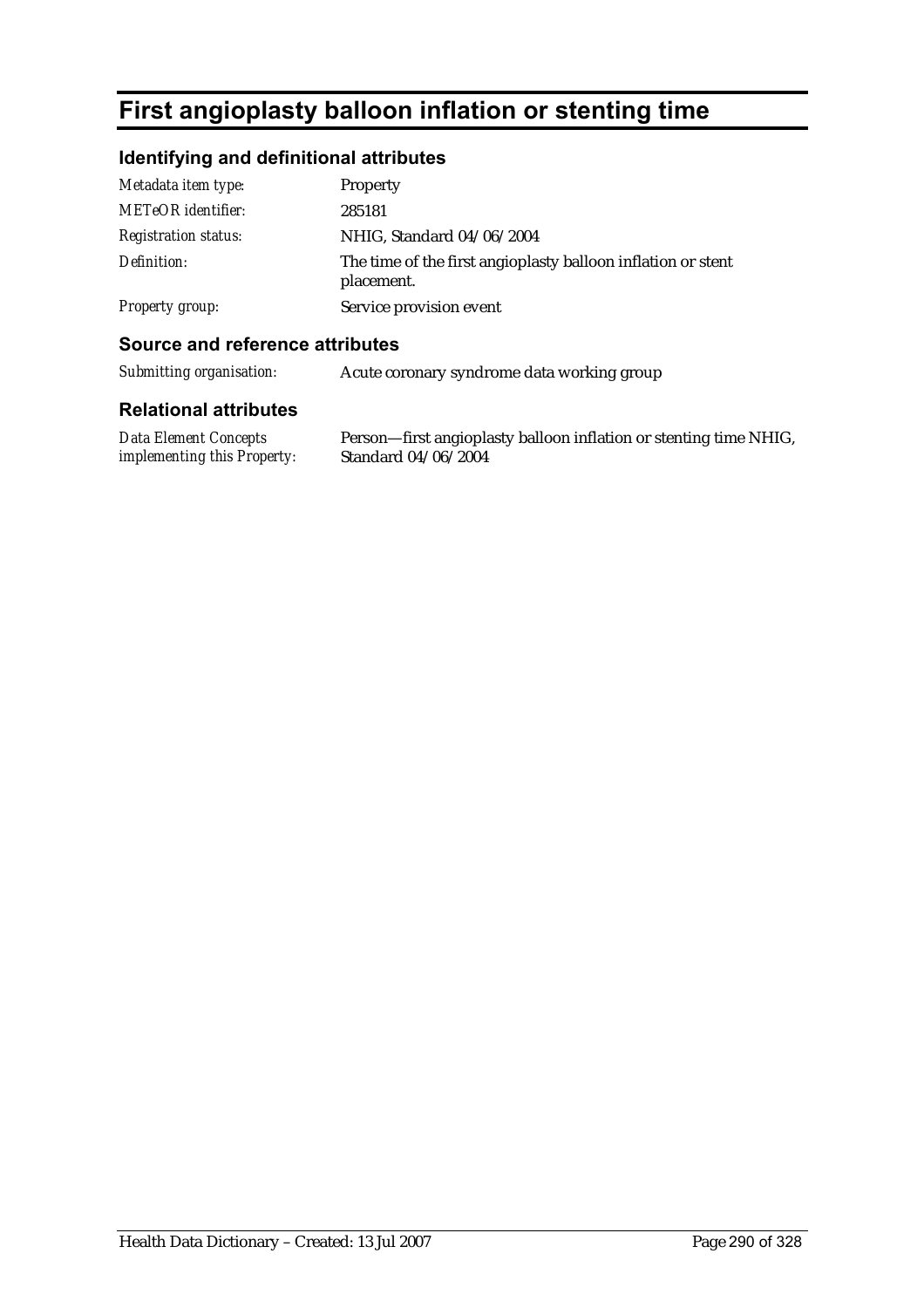# **First angioplasty balloon inflation or stenting time**

### **Identifying and definitional attributes**

| Metadata item type:         | Property                                                                   |
|-----------------------------|----------------------------------------------------------------------------|
| METeOR identifier:          | 285181                                                                     |
| <b>Registration status:</b> | NHIG, Standard 04/06/2004                                                  |
| Definition:                 | The time of the first angioplasty balloon inflation or stent<br>placement. |
| Property group:             | Service provision event                                                    |

### **Source and reference attributes**

*Submitting organisation:* Acute coronary syndrome data working group

#### **Relational attributes**

*Data Element Concepts implementing this Property:* Person—first angioplasty balloon inflation or stenting time NHIG, Standard 04/06/2004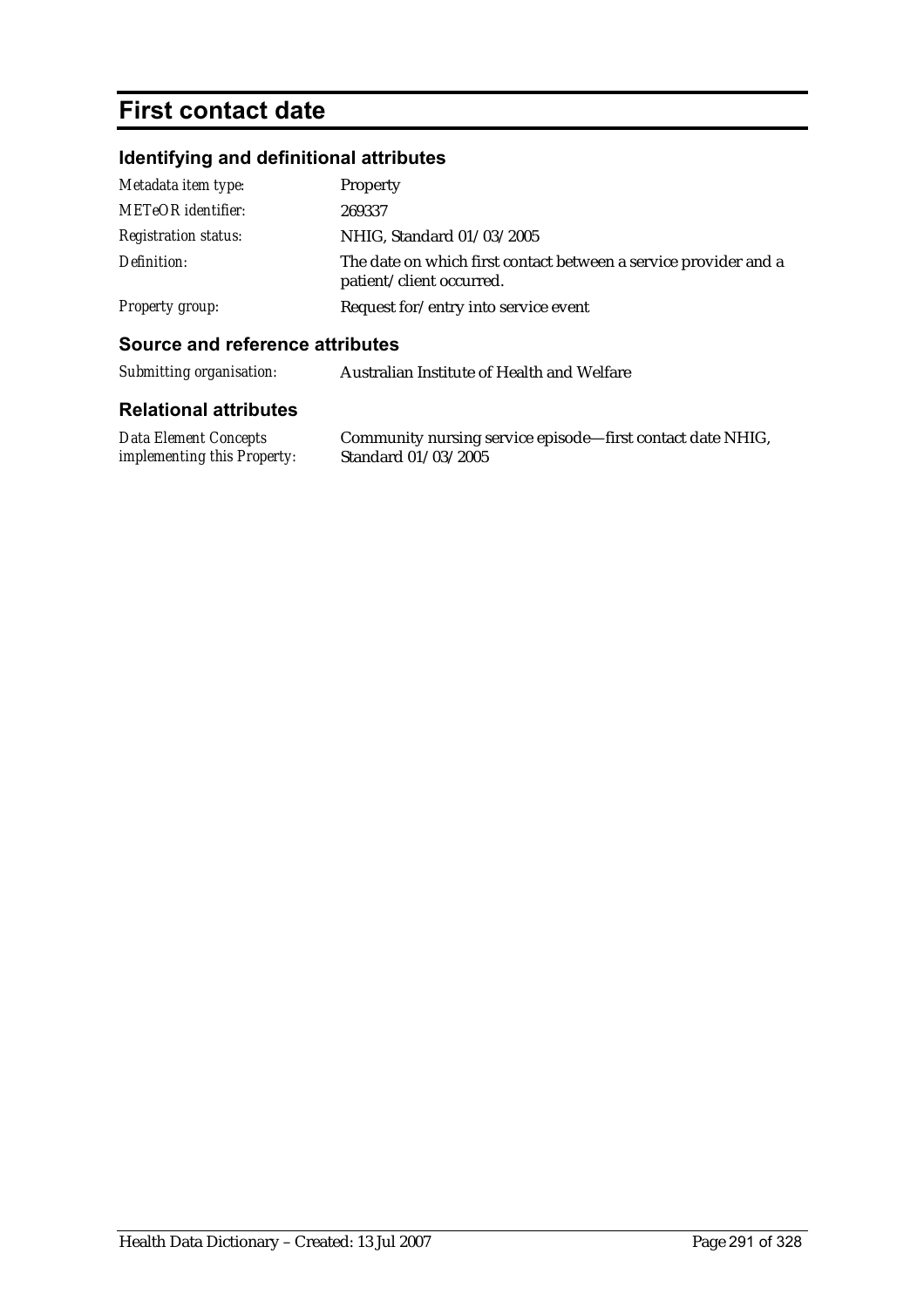# **First contact date**

# **Identifying and definitional attributes**

| Metadata item type:         | Property                                                                                     |
|-----------------------------|----------------------------------------------------------------------------------------------|
| <b>METeOR</b> identifier:   | 269337                                                                                       |
| <b>Registration status:</b> | NHIG, Standard 01/03/2005                                                                    |
| Definition:                 | The date on which first contact between a service provider and a<br>patient/client occurred. |
| Property group:             | Request for/entry into service event                                                         |

### **Source and reference attributes**

| <b>Data Element Concepts</b>       | Community nursing service episode—first contact date NHIG, |
|------------------------------------|------------------------------------------------------------|
| <i>implementing this Property:</i> | Standard 01/03/2005                                        |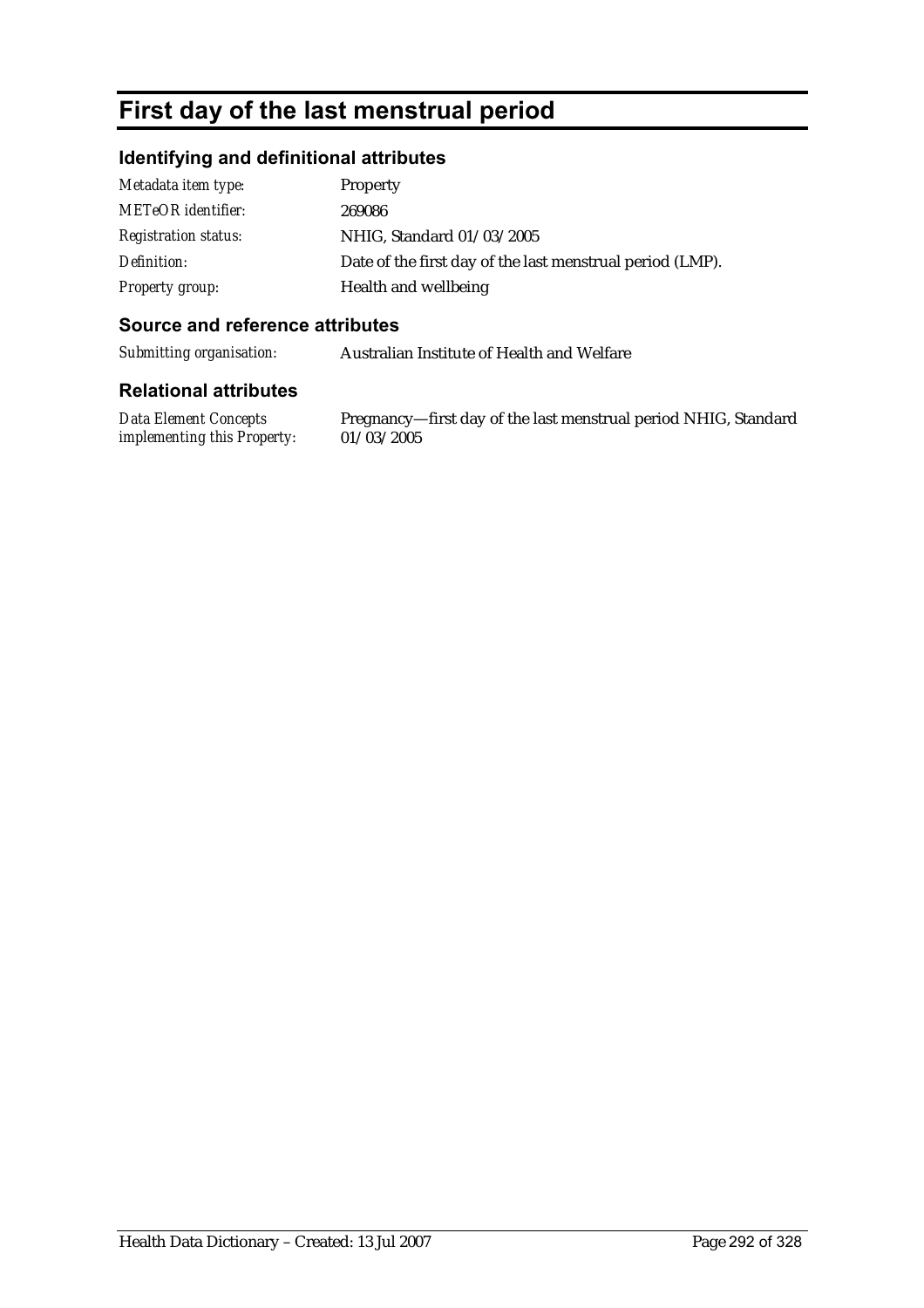# **First day of the last menstrual period**

### **Identifying and definitional attributes**

| Metadata item type:         | Property                                                  |
|-----------------------------|-----------------------------------------------------------|
| <b>METeOR</b> identifier:   | 269086                                                    |
| <b>Registration status:</b> | NHIG, Standard 01/03/2005                                 |
| Definition:                 | Date of the first day of the last menstrual period (LMP). |
| Property group:             | Health and wellbeing                                      |

#### **Source and reference attributes**

*Submitting organisation:* Australian Institute of Health and Welfare

#### **Relational attributes**

*Data Element Concepts implementing this Property:*

Pregnancy—first day of the last menstrual period NHIG, Standard 01/03/2005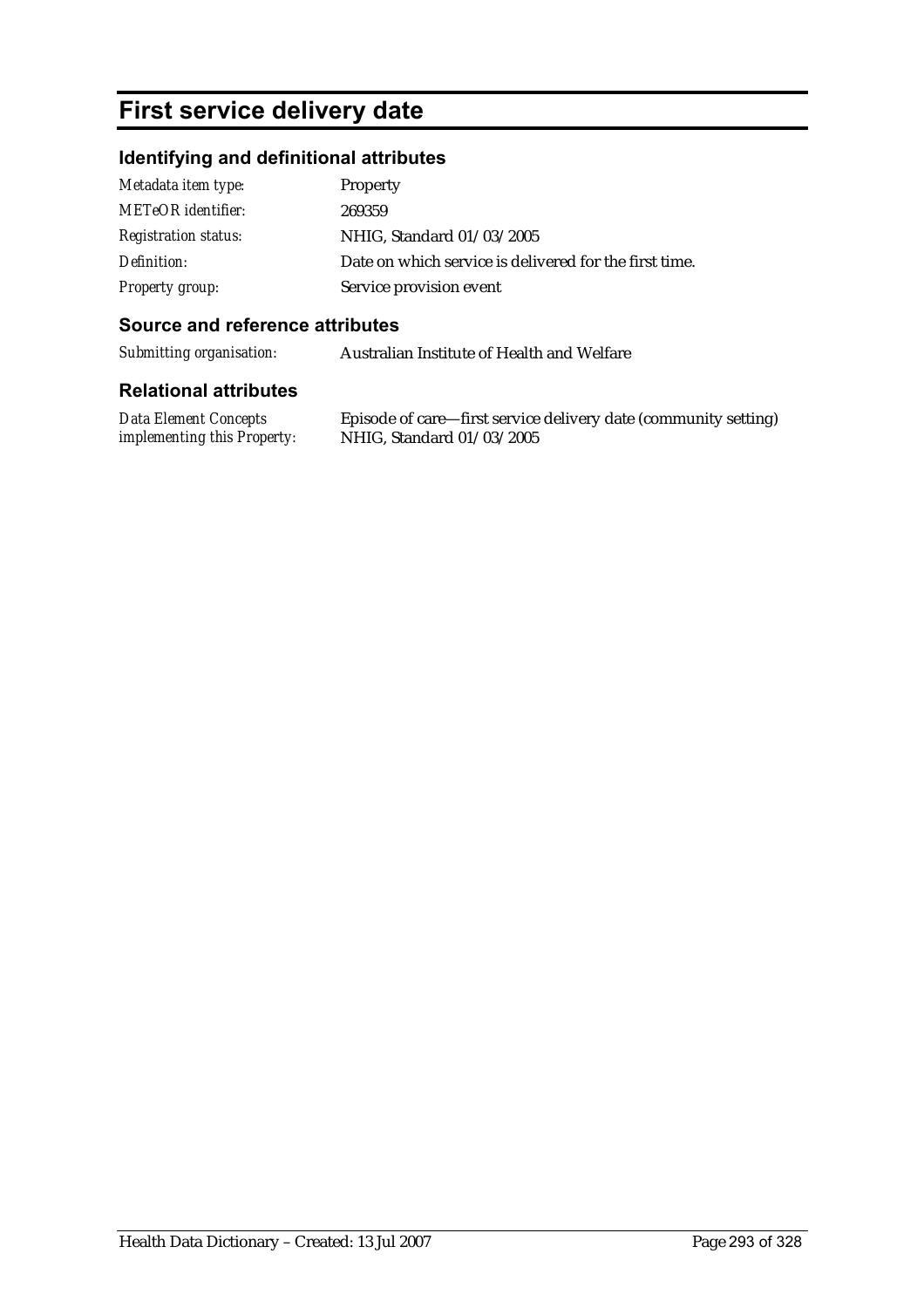# **First service delivery date**

## **Identifying and definitional attributes**

| Metadata item type:         | Property                                               |
|-----------------------------|--------------------------------------------------------|
| <b>METeOR</b> identifier:   | 269359                                                 |
| <b>Registration status:</b> | NHIG, Standard 01/03/2005                              |
| Definition:                 | Date on which service is delivered for the first time. |
| Property group:             | Service provision event                                |

#### **Source and reference attributes**

*Submitting organisation:* Australian Institute of Health and Welfare

#### **Relational attributes**

*Data Element Concepts implementing this Property:*

Episode of care—first service delivery date (community setting) NHIG, Standard 01/03/2005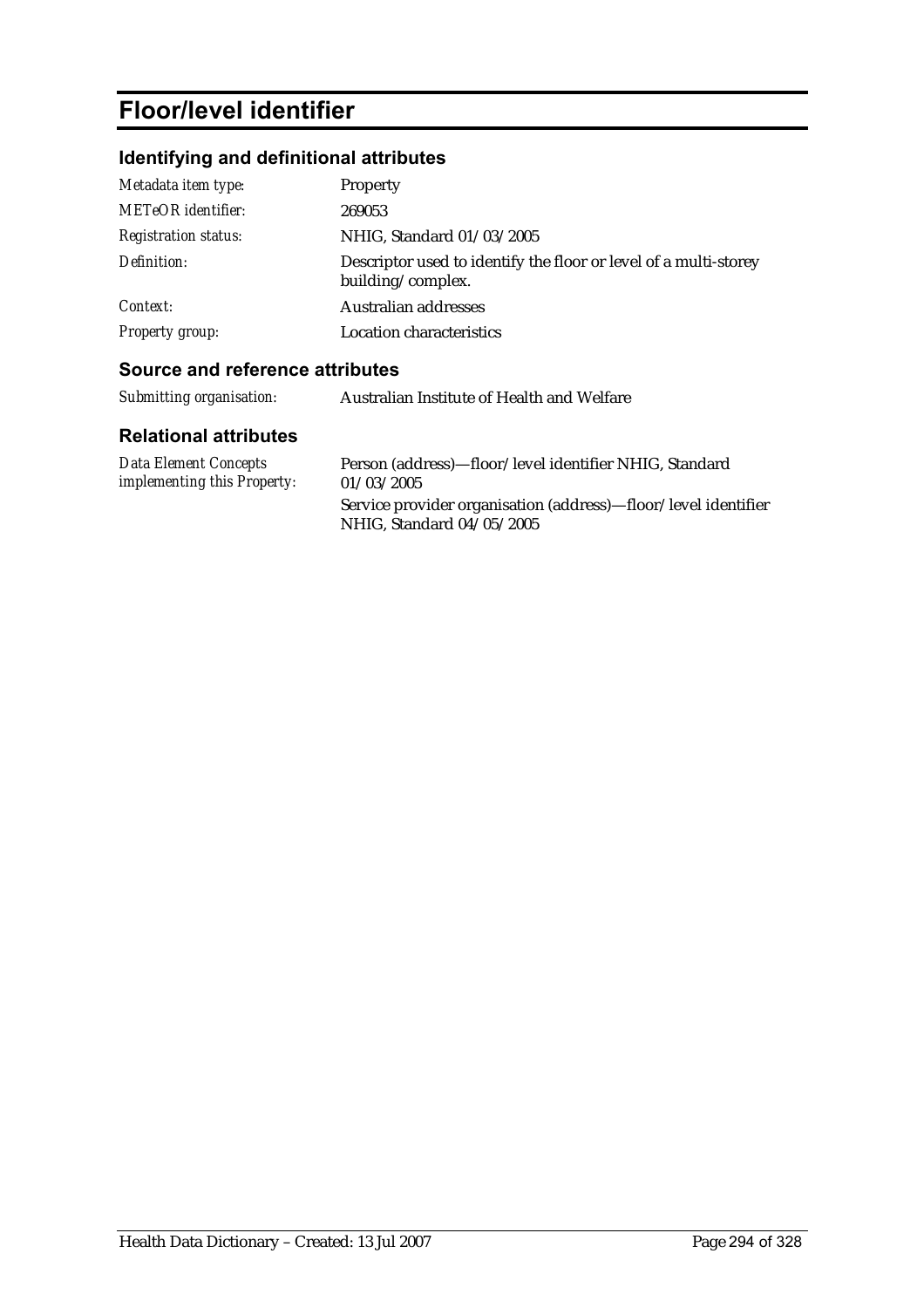# **Floor/level identifier**

# **Identifying and definitional attributes**

| Metadata item type:         | <b>Property</b>                                                                       |
|-----------------------------|---------------------------------------------------------------------------------------|
| <b>METeOR</b> identifier:   | 269053                                                                                |
| <b>Registration status:</b> | NHIG, Standard 01/03/2005                                                             |
| Definition:                 | Descriptor used to identify the floor or level of a multi-storey<br>building/complex. |
| Context:                    | Australian addresses                                                                  |
| <b>Property group:</b>      | Location characteristics                                                              |

## **Source and reference attributes**

| Submitting organisation:                                    | Australian Institute of Health and Welfare                                                  |
|-------------------------------------------------------------|---------------------------------------------------------------------------------------------|
| <b>Relational attributes</b>                                |                                                                                             |
| <b>Data Element Concepts</b><br>implementing this Property: | Person (address)—floor/level identifier NHIG, Standard<br>01/03/2005                        |
|                                                             | Service provider organisation (address)—floor/level identifier<br>NHIG, Standard 04/05/2005 |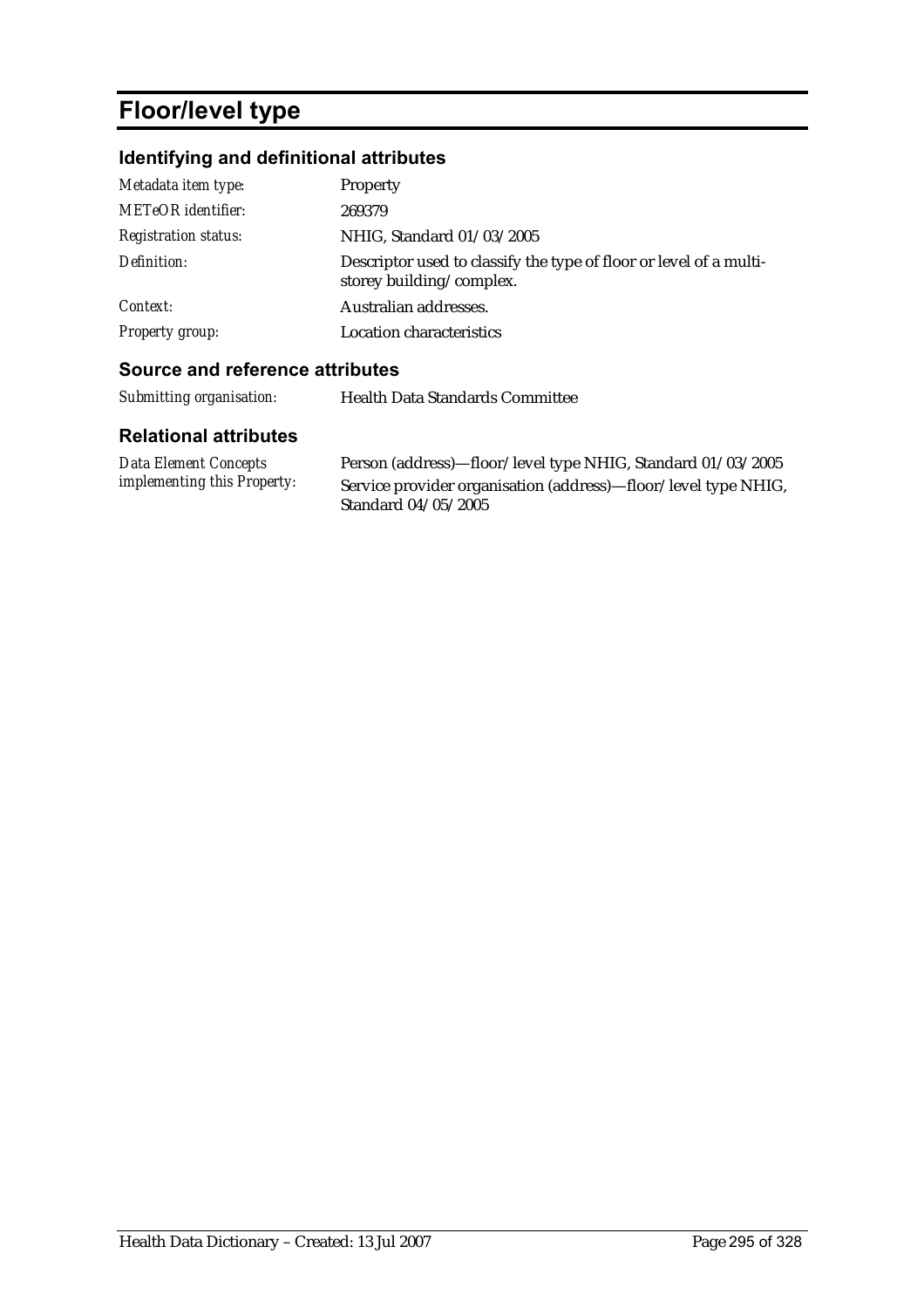# **Floor/level type**

# **Identifying and definitional attributes**

| Metadata item type:         | Property                                                                                       |
|-----------------------------|------------------------------------------------------------------------------------------------|
| <b>METeOR</b> identifier:   | 269379                                                                                         |
| <b>Registration status:</b> | NHIG, Standard 01/03/2005                                                                      |
| Definition:                 | Descriptor used to classify the type of floor or level of a multi-<br>storey building/complex. |
| Context:                    | Australian addresses.                                                                          |
| <b>Property group:</b>      | Location characteristics                                                                       |

## **Source and reference attributes**

| Submitting organisation:                                    | <b>Health Data Standards Committee</b>                                                                                                               |
|-------------------------------------------------------------|------------------------------------------------------------------------------------------------------------------------------------------------------|
| <b>Relational attributes</b>                                |                                                                                                                                                      |
| Data Element Concepts<br><i>implementing this Property:</i> | Person (address)—floor/level type NHIG, Standard 01/03/2005<br>Service provider organisation (address)—floor/level type NHIG,<br>Standard 04/05/2005 |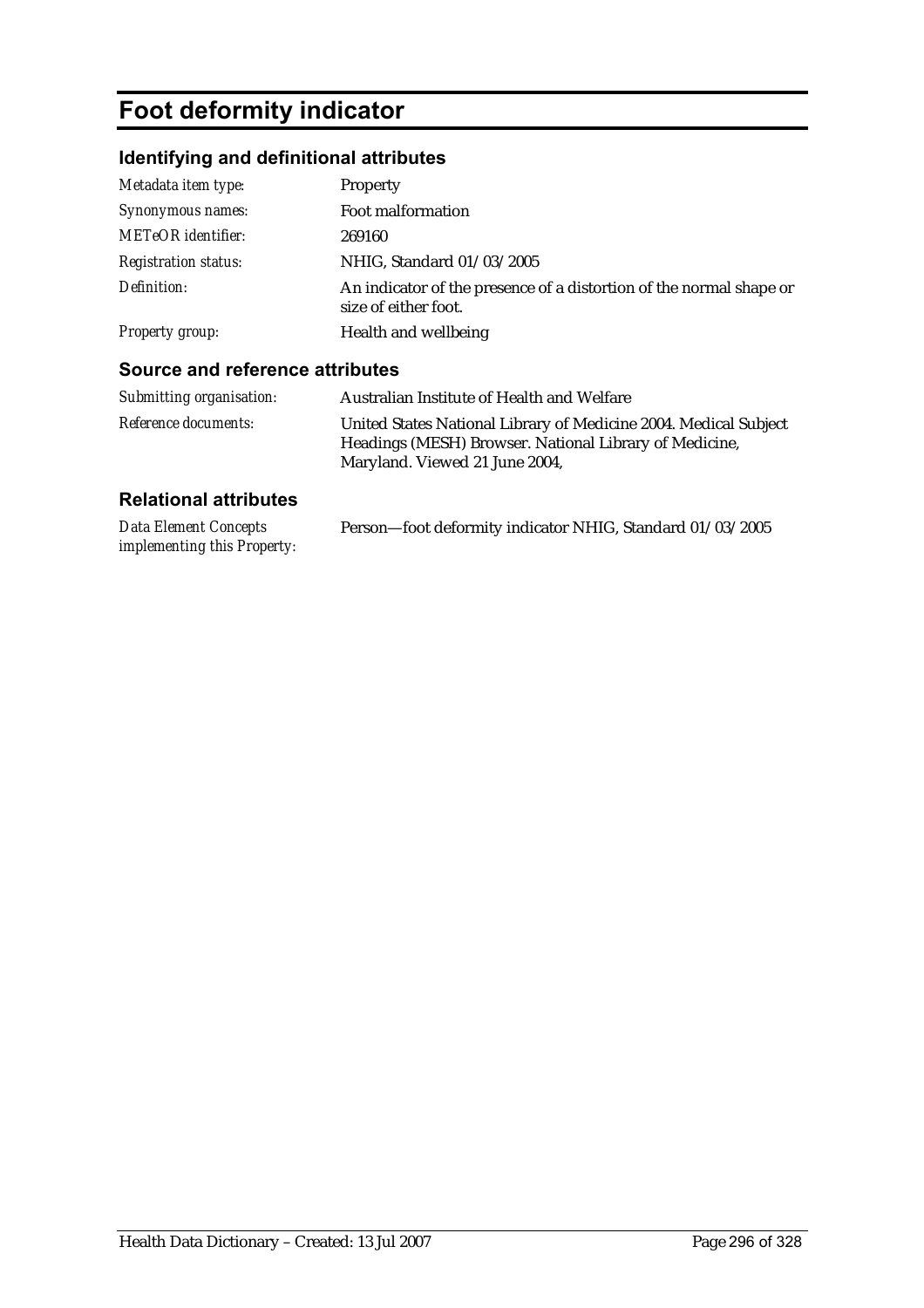# **Foot deformity indicator**

# **Identifying and definitional attributes**

| Metadata item type:         | Property                                                                                    |
|-----------------------------|---------------------------------------------------------------------------------------------|
| Synonymous names:           | Foot malformation                                                                           |
| <b>METeOR</b> identifier:   | 269160                                                                                      |
| <b>Registration status:</b> | NHIG, Standard 01/03/2005                                                                   |
| Definition:                 | An indicator of the presence of a distortion of the normal shape or<br>size of either foot. |
| Property group:             | Health and wellbeing                                                                        |

### **Source and reference attributes**

| Submitting organisation:    | Australian Institute of Health and Welfare                                                                                                                   |
|-----------------------------|--------------------------------------------------------------------------------------------------------------------------------------------------------------|
| <i>Reference documents:</i> | United States National Library of Medicine 2004. Medical Subject<br>Headings (MESH) Browser. National Library of Medicine,<br>Maryland. Viewed 21 June 2004, |

| Data Element Concepts              | Person-foot deformity indicator NHIG, Standard 01/03/2005 |
|------------------------------------|-----------------------------------------------------------|
| <i>implementing this Property:</i> |                                                           |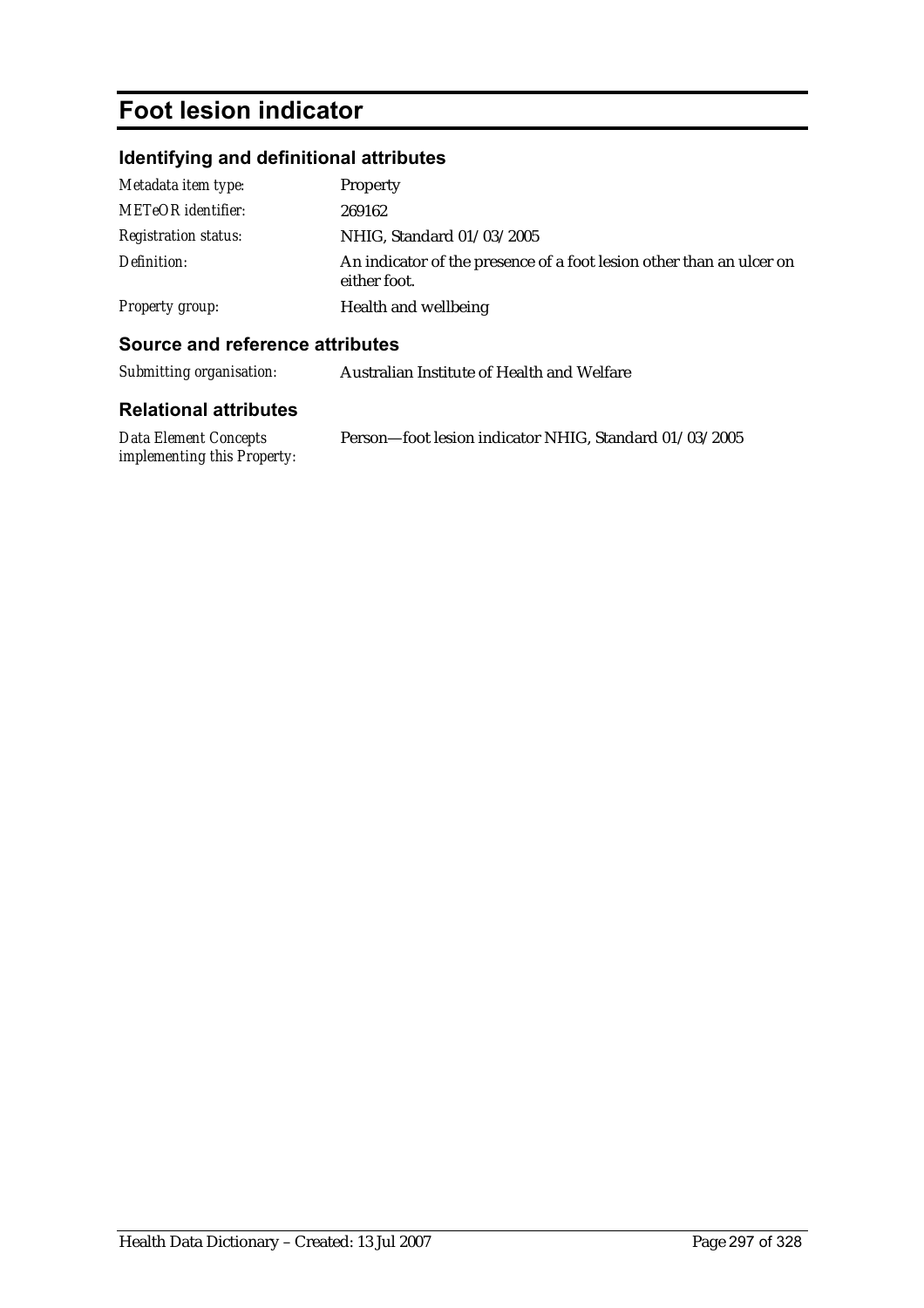# **Foot lesion indicator**

# **Identifying and definitional attributes**

| Metadata item type:         | <b>Property</b>                                                                      |
|-----------------------------|--------------------------------------------------------------------------------------|
| METeOR identifier:          | 269162                                                                               |
| <b>Registration status:</b> | NHIG, Standard 01/03/2005                                                            |
| Definition:                 | An indicator of the presence of a foot lesion other than an ulcer on<br>either foot. |
| Property group:             | Health and wellbeing                                                                 |

### **Source and reference attributes**

| Submitting organisation:     | Australian Institute of Health and Welfare |
|------------------------------|--------------------------------------------|
| <b>Relational attributes</b> |                                            |

| <b>Data Element Concepts</b>       | Person-foot lesion indicator NHIG, Standard 01/03/2005 |
|------------------------------------|--------------------------------------------------------|
| <i>implementing this Property:</i> |                                                        |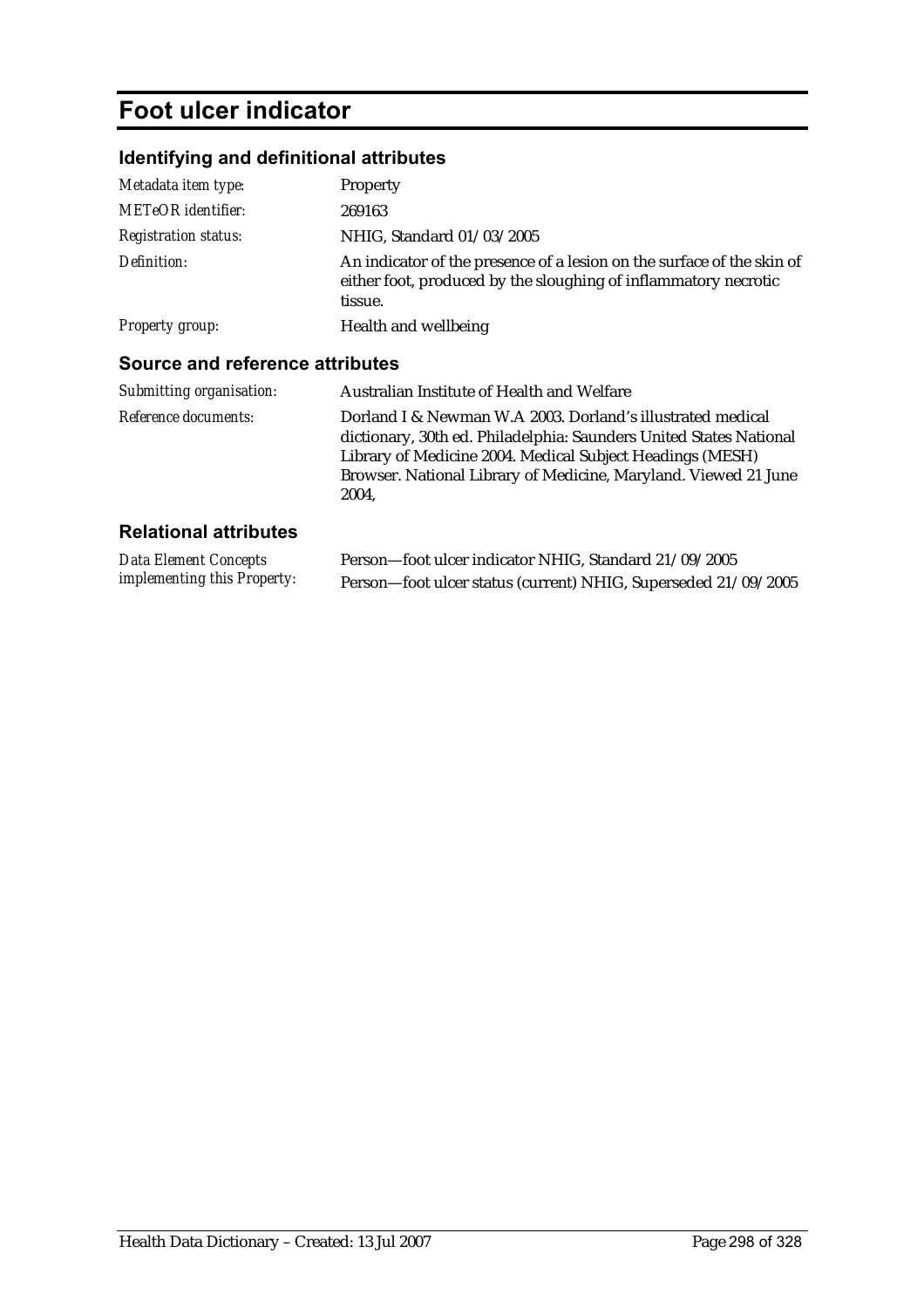# **Foot ulcer indicator**

# **Identifying and definitional attributes**

| Source and reference attributes                |                                                                                                                                                      |
|------------------------------------------------|------------------------------------------------------------------------------------------------------------------------------------------------------|
| Health and wellbeing<br><b>Property group:</b> |                                                                                                                                                      |
| Definition:                                    | An indicator of the presence of a lesion on the surface of the skin of<br>either foot, produced by the sloughing of inflammatory necrotic<br>tissue. |
| <b>Registration status:</b>                    | NHIG, Standard 01/03/2005                                                                                                                            |
| <b>METeOR</b> identifier:                      | 269163                                                                                                                                               |
| Metadata item type:                            | <b>Property</b>                                                                                                                                      |
|                                                |                                                                                                                                                      |

| <i>Reference documents:</i><br>Dorland I & Newman W.A 2003. Dorland's illustrated medical<br>dictionary, 30th ed. Philadelphia: Saunders United States National<br>Library of Medicine 2004. Medical Subject Headings (MESH) |  |
|------------------------------------------------------------------------------------------------------------------------------------------------------------------------------------------------------------------------------|--|
| Browser. National Library of Medicine, Maryland. Viewed 21 June<br>2004.                                                                                                                                                     |  |

| Data Element Concepts              | Person-foot ulcer indicator NHIG, Standard 21/09/2005          |
|------------------------------------|----------------------------------------------------------------|
| <i>implementing this Property:</i> | Person-foot ulcer status (current) NHIG, Superseded 21/09/2005 |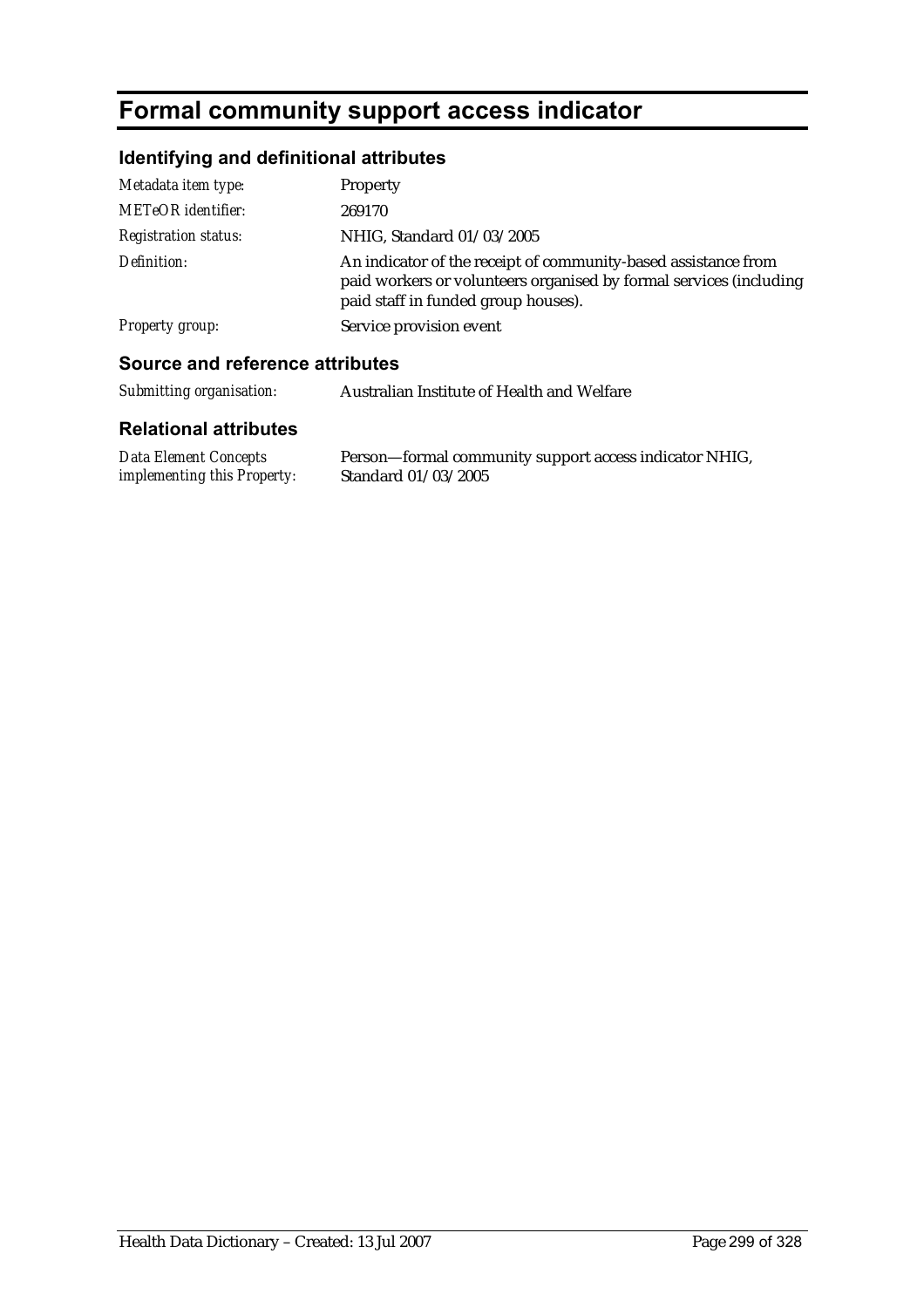# **Formal community support access indicator**

# **Identifying and definitional attributes**

| Source and reference attributes |                                                                                                                                                                             |
|---------------------------------|-----------------------------------------------------------------------------------------------------------------------------------------------------------------------------|
| <b>Property group:</b>          | Service provision event                                                                                                                                                     |
| Definition:                     | An indicator of the receipt of community-based assistance from<br>paid workers or volunteers organised by formal services (including<br>paid staff in funded group houses). |
| <b>Registration status:</b>     | NHIG, Standard 01/03/2005                                                                                                                                                   |
| <b>METeOR</b> identifier:       | 269170                                                                                                                                                                      |
| Metadata item type:             | <b>Property</b>                                                                                                                                                             |
|                                 |                                                                                                                                                                             |

*Submitting organisation:* Australian Institute of Health and Welfare

| Data Element Concepts              | Person-formal community support access indicator NHIG, |
|------------------------------------|--------------------------------------------------------|
| <i>implementing this Property:</i> | Standard 01/03/2005                                    |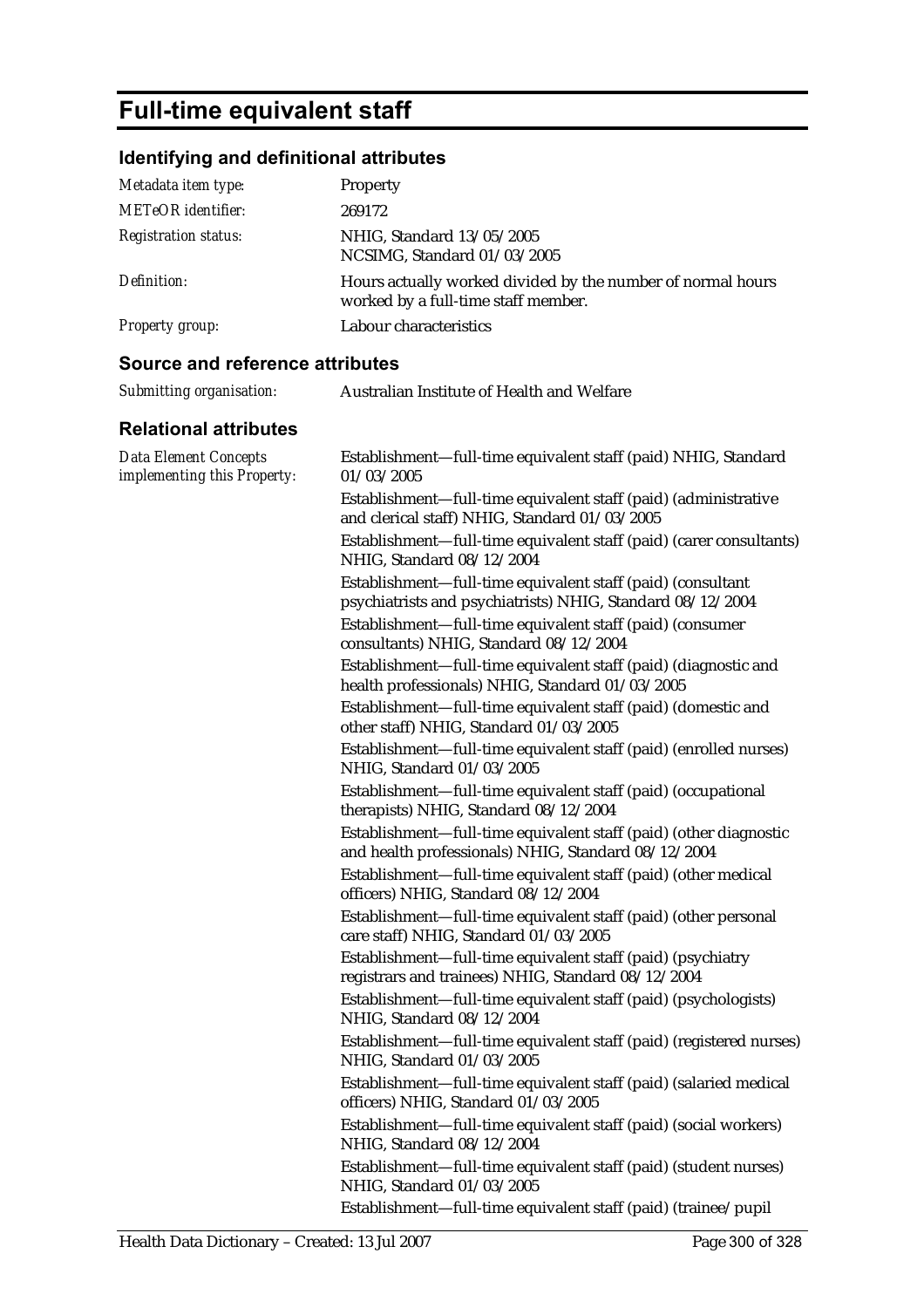# **Full-time equivalent staff**

# **Identifying and definitional attributes**

| Metadata item type:         | Property                                                                                           |
|-----------------------------|----------------------------------------------------------------------------------------------------|
| <b>METeOR</b> identifier:   | 269172                                                                                             |
| <b>Registration status:</b> | NHIG. Standard 13/05/2005<br>NCSIMG, Standard 01/03/2005                                           |
| Definition:                 | Hours actually worked divided by the number of normal hours<br>worked by a full-time staff member. |
| Property group:             | Labour characteristics                                                                             |

### **Source and reference attributes**

| Submitting organisation: | Australian Institute of Health and Welfare |
|--------------------------|--------------------------------------------|
|                          |                                            |

| <b>Data Element Concepts</b><br>implementing this Property: | Establishment-full-time equivalent staff (paid) NHIG, Standard<br>01/03/2005                                              |
|-------------------------------------------------------------|---------------------------------------------------------------------------------------------------------------------------|
|                                                             | Establishment-full-time equivalent staff (paid) (administrative<br>and clerical staff) NHIG, Standard 01/03/2005          |
|                                                             | Establishment-full-time equivalent staff (paid) (carer consultants)<br>NHIG, Standard 08/12/2004                          |
|                                                             | Establishment-full-time equivalent staff (paid) (consultant<br>psychiatrists and psychiatrists) NHIG, Standard 08/12/2004 |
|                                                             | Establishment-full-time equivalent staff (paid) (consumer<br>consultants) NHIG, Standard 08/12/2004                       |
|                                                             | Establishment-full-time equivalent staff (paid) (diagnostic and<br>health professionals) NHIG, Standard 01/03/2005        |
|                                                             | Establishment-full-time equivalent staff (paid) (domestic and<br>other staff) NHIG, Standard 01/03/2005                   |
|                                                             | Establishment—full-time equivalent staff (paid) (enrolled nurses)<br>NHIG, Standard 01/03/2005                            |
|                                                             | Establishment-full-time equivalent staff (paid) (occupational<br>therapists) NHIG, Standard 08/12/2004                    |
|                                                             | Establishment-full-time equivalent staff (paid) (other diagnostic<br>and health professionals) NHIG, Standard 08/12/2004  |
|                                                             | Establishment—full-time equivalent staff (paid) (other medical<br>officers) NHIG, Standard 08/12/2004                     |
|                                                             | Establishment-full-time equivalent staff (paid) (other personal<br>care staff) NHIG, Standard 01/03/2005                  |
|                                                             | Establishment-full-time equivalent staff (paid) (psychiatry<br>registrars and trainees) NHIG, Standard 08/12/2004         |
|                                                             | Establishment-full-time equivalent staff (paid) (psychologists)<br>NHIG, Standard 08/12/2004                              |
|                                                             | Establishment-full-time equivalent staff (paid) (registered nurses)<br>NHIG, Standard 01/03/2005                          |
|                                                             | Establishment-full-time equivalent staff (paid) (salaried medical<br>officers) NHIG, Standard 01/03/2005                  |
|                                                             | Establishment-full-time equivalent staff (paid) (social workers)<br>NHIG, Standard 08/12/2004                             |
|                                                             | Establishment-full-time equivalent staff (paid) (student nurses)<br>NHIG, Standard 01/03/2005                             |
|                                                             | Establishment-full-time equivalent staff (paid) (trainee/pupil                                                            |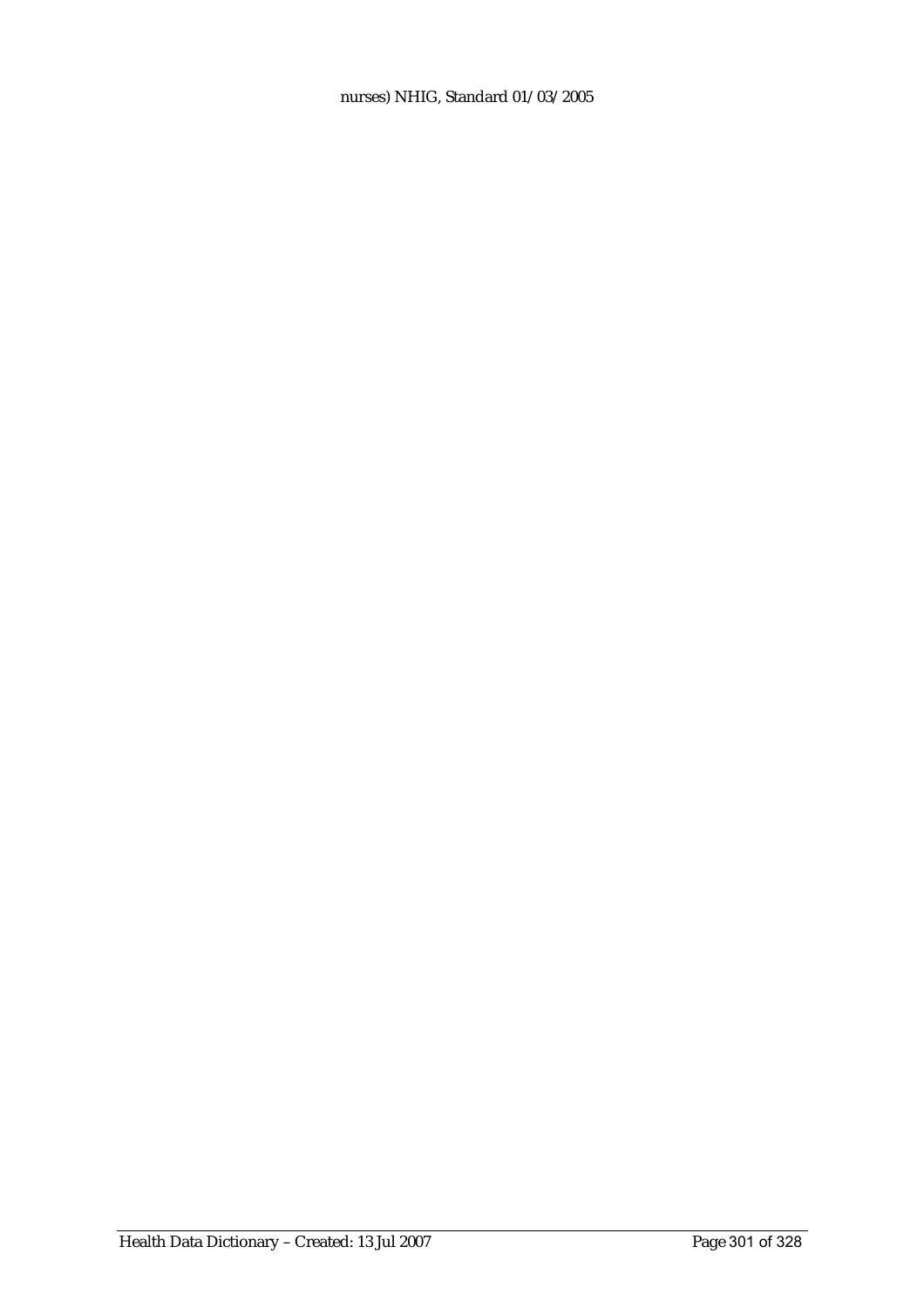nurses) NHIG, Standard 01/03/2005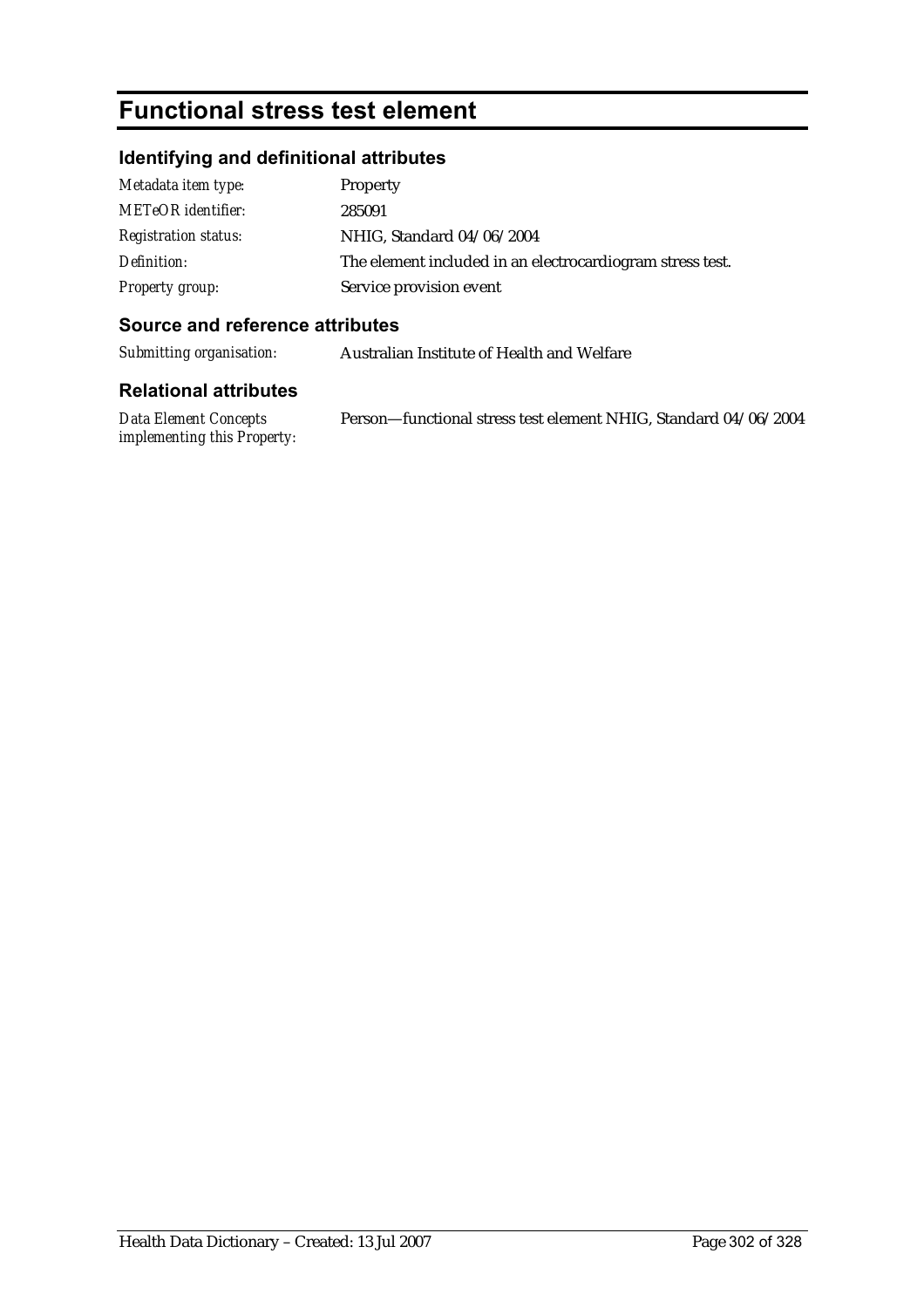# **Functional stress test element**

# **Identifying and definitional attributes**

| Metadata item type:         | Property                                                  |
|-----------------------------|-----------------------------------------------------------|
| METeOR identifier:          | 285091                                                    |
| <b>Registration status:</b> | NHIG, Standard 04/06/2004                                 |
| Definition:                 | The element included in an electrocardiogram stress test. |
| <b>Property group:</b>      | Service provision event                                   |

#### **Source and reference attributes**

*Submitting organisation:* Australian Institute of Health and Welfare

#### **Relational attributes**

*Data Element Concepts implementing this Property:* Person—functional stress test element NHIG, Standard 04/06/2004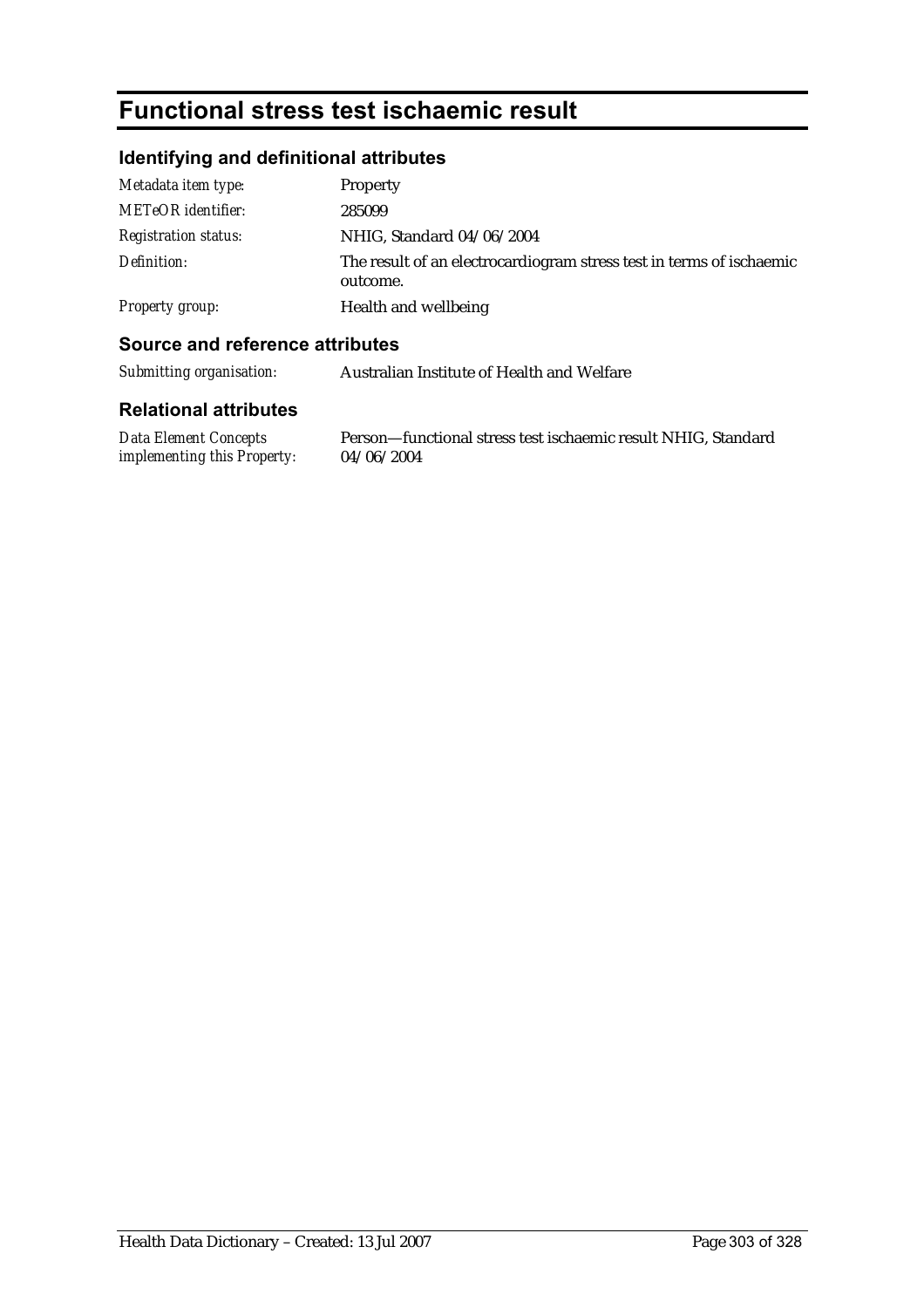# **Functional stress test ischaemic result**

# **Identifying and definitional attributes**

| Metadata item type:         | Property                                                                         |
|-----------------------------|----------------------------------------------------------------------------------|
| <b>METeOR</b> identifier:   | 285099                                                                           |
| <b>Registration status:</b> | NHIG, Standard 04/06/2004                                                        |
| Definition:                 | The result of an electrocardiogram stress test in terms of ischaemic<br>outcome. |
| Property group:             | Health and wellbeing                                                             |

### **Source and reference attributes**

| Submitting organisation: | Australian Institute of Health and Welfare |
|--------------------------|--------------------------------------------|
|--------------------------|--------------------------------------------|

#### **Relational attributes**

*Data Element Concepts implementing this Property:* 04/06/2004

Person—functional stress test ischaemic result NHIG, Standard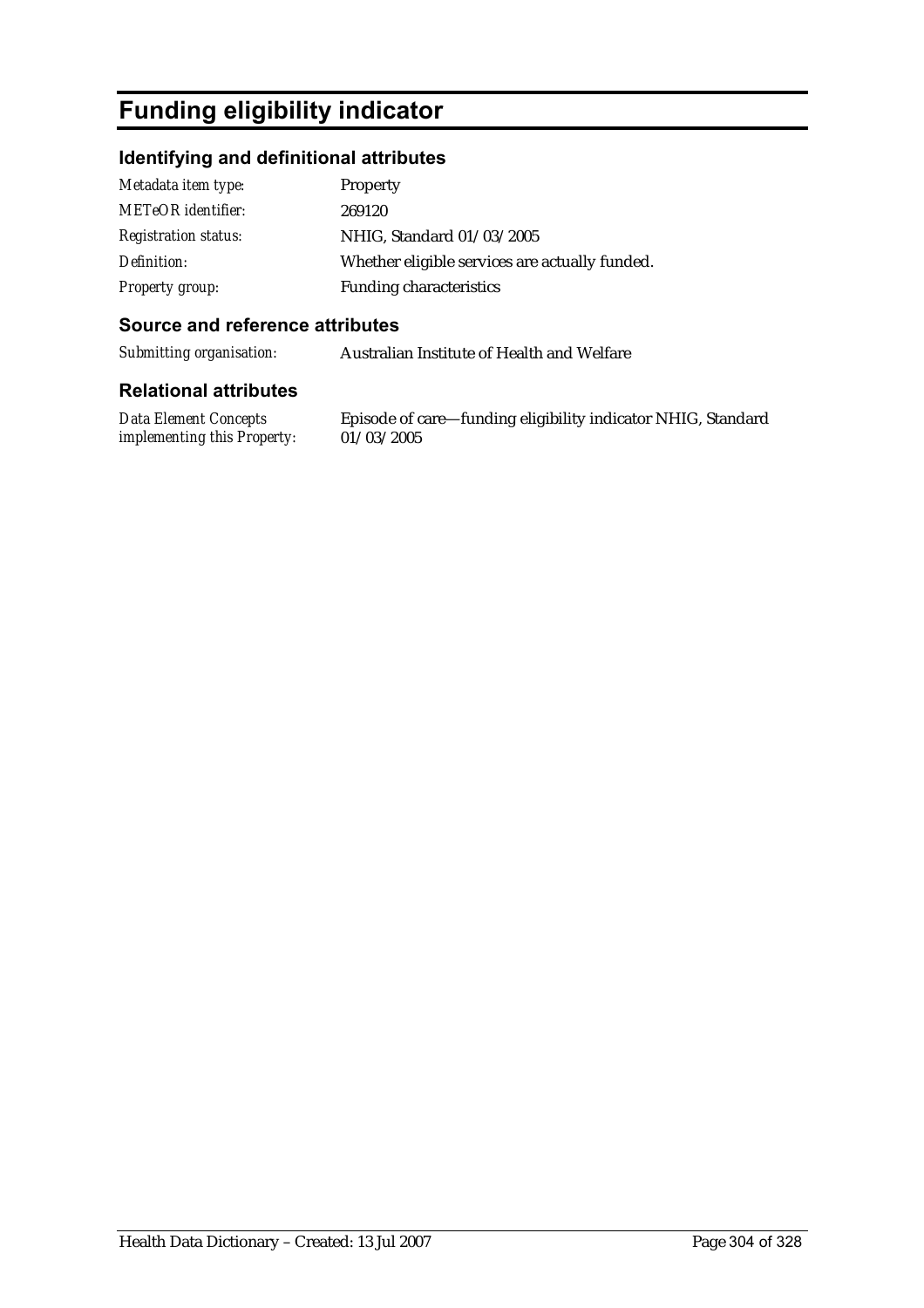# **Funding eligibility indicator**

## **Identifying and definitional attributes**

| Metadata item type:         | <b>Property</b>                                |
|-----------------------------|------------------------------------------------|
| <b>METeOR</b> identifier:   | 269120                                         |
| <b>Registration status:</b> | NHIG, Standard 01/03/2005                      |
| Definition:                 | Whether eligible services are actually funded. |
| <b>Property group:</b>      | <b>Funding characteristics</b>                 |

#### **Source and reference attributes**

*Submitting organisation:* Australian Institute of Health and Welfare

#### **Relational attributes**

*Data Element Concepts implementing this Property:*

Episode of care—funding eligibility indicator NHIG, Standard 01/03/2005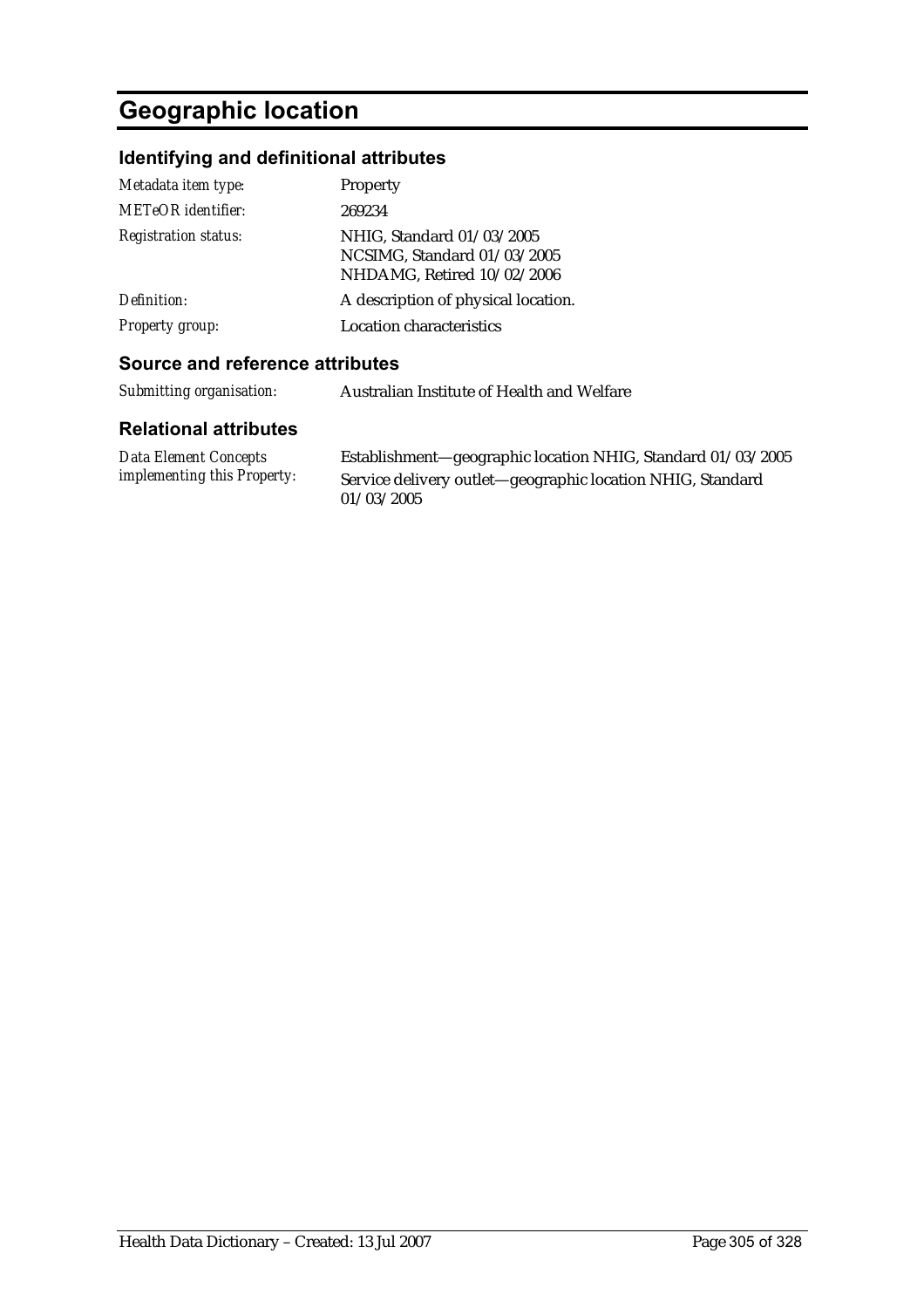# **Geographic location**

# **Identifying and definitional attributes**

| Metadata item type:<br><b>METeOR</b> identifier: | Property<br>269234                                                                     |
|--------------------------------------------------|----------------------------------------------------------------------------------------|
| <b>Registration status:</b>                      | NHIG, Standard 01/03/2005<br>NCSIMG, Standard 01/03/2005<br>NHDAMG, Retired 10/02/2006 |
| Definition:                                      | A description of physical location.                                                    |
| Property group:                                  | <b>Location characteristics</b>                                                        |

### **Source and reference attributes**

| Submitting organisation: | Australian Institute of Health and Welfare |
|--------------------------|--------------------------------------------|
|--------------------------|--------------------------------------------|

| Data Element Concepts              | Establishment-geographic location NHIG, Standard 01/03/2005 |
|------------------------------------|-------------------------------------------------------------|
| <i>implementing this Property:</i> | Service delivery outlet—geographic location NHIG, Standard  |
|                                    | 01/03/2005                                                  |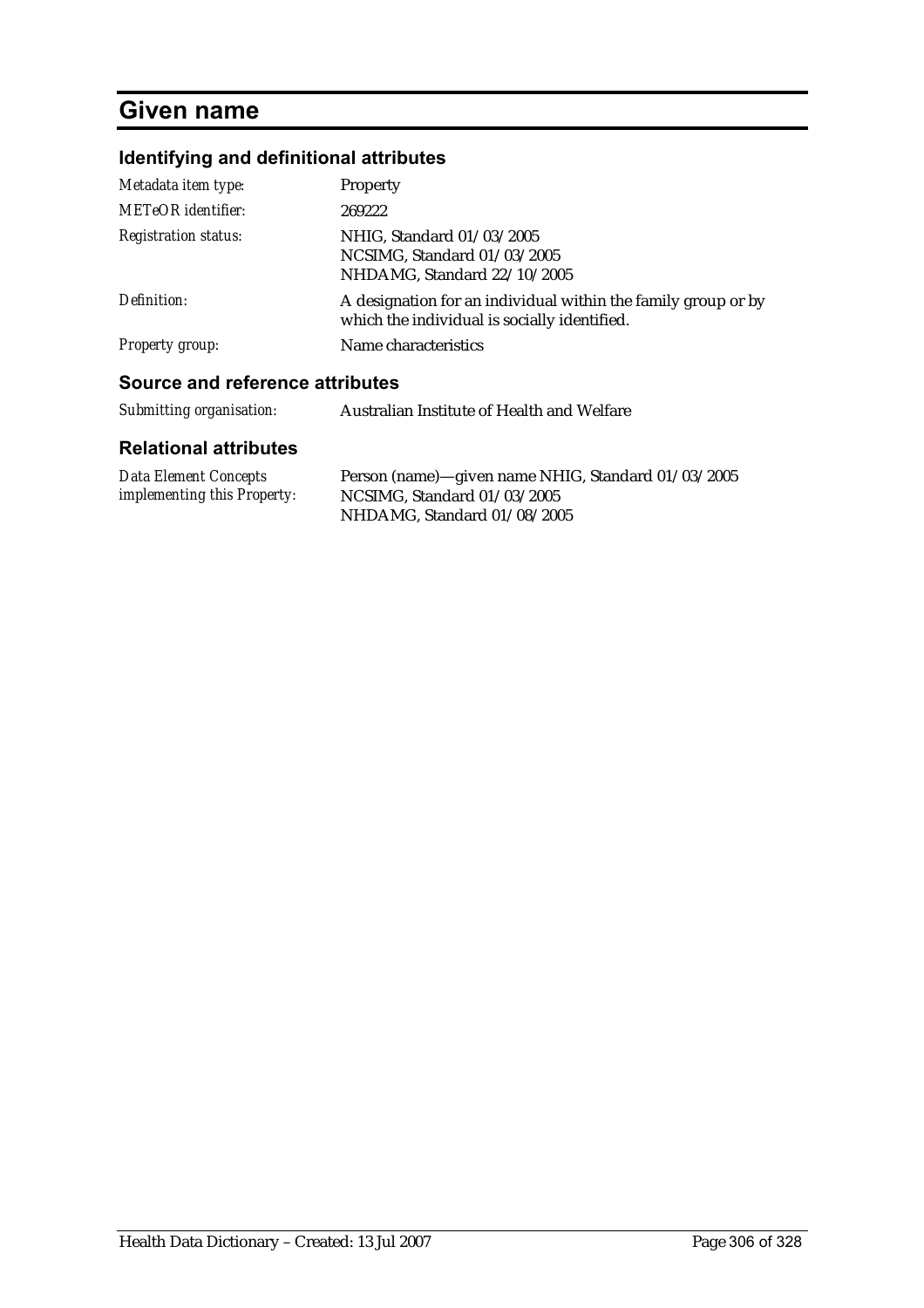# **Given name**

# **Identifying and definitional attributes**

| Metadata item type:             | <b>Property</b>                                                                                               |
|---------------------------------|---------------------------------------------------------------------------------------------------------------|
| METeOR identifier:              | 269222                                                                                                        |
| <b>Registration status:</b>     | NHIG, Standard 01/03/2005<br>NCSIMG, Standard 01/03/2005<br>NHDAMG, Standard 22/10/2005                       |
| Definition:                     | A designation for an individual within the family group or by<br>which the individual is socially identified. |
| Property group:                 | Name characteristics                                                                                          |
| Source and reference attributes |                                                                                                               |
| Submitting organisation:        | Australian Institute of Health and Welfare                                                                    |

| <b>Data Element Concepts</b>       | Person (name)—given name NHIG, Standard 01/03/2005 |
|------------------------------------|----------------------------------------------------|
| <i>implementing this Property:</i> | NCSIMG. Standard $01/03/2005$                      |
|                                    | NHDAMG, Standard 01/08/2005                        |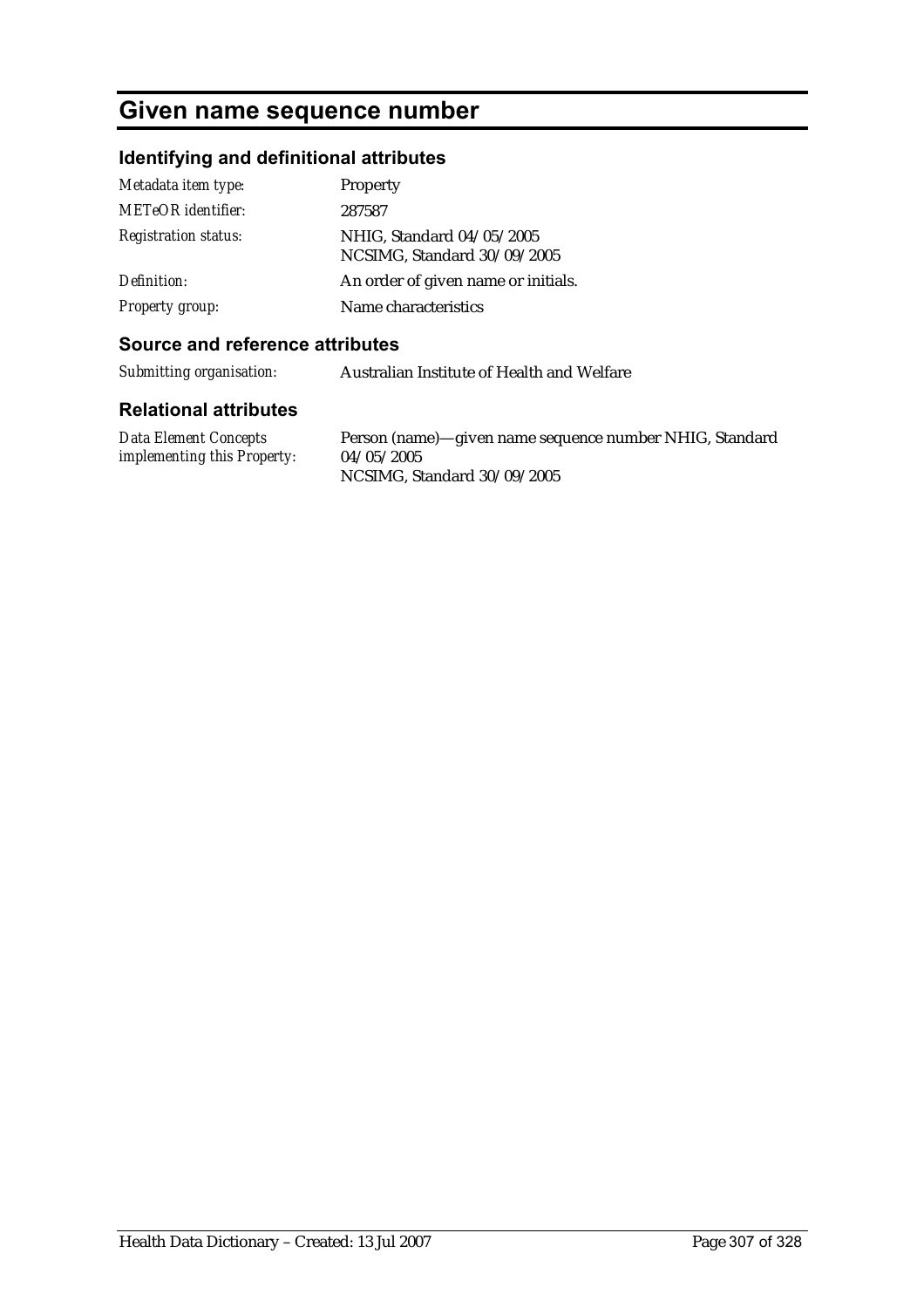# **Given name sequence number**

# **Identifying and definitional attributes**

| Metadata item type:         | Property                                                 |
|-----------------------------|----------------------------------------------------------|
| <b>METeOR</b> identifier:   | 287587                                                   |
| <b>Registration status:</b> | NHIG, Standard 04/05/2005<br>NCSIMG, Standard 30/09/2005 |
| Definition:                 | An order of given name or initials.                      |
| <b>Property group:</b>      | Name characteristics                                     |

#### **Source and reference attributes**

*Submitting organisation:* Australian Institute of Health and Welfare

| Data Element Concepts              | Person (name)—given name sequence number NHIG, Standard |
|------------------------------------|---------------------------------------------------------|
| <i>implementing this Property:</i> | 04/05/2005                                              |
|                                    | NCSIMG, Standard 30/09/2005                             |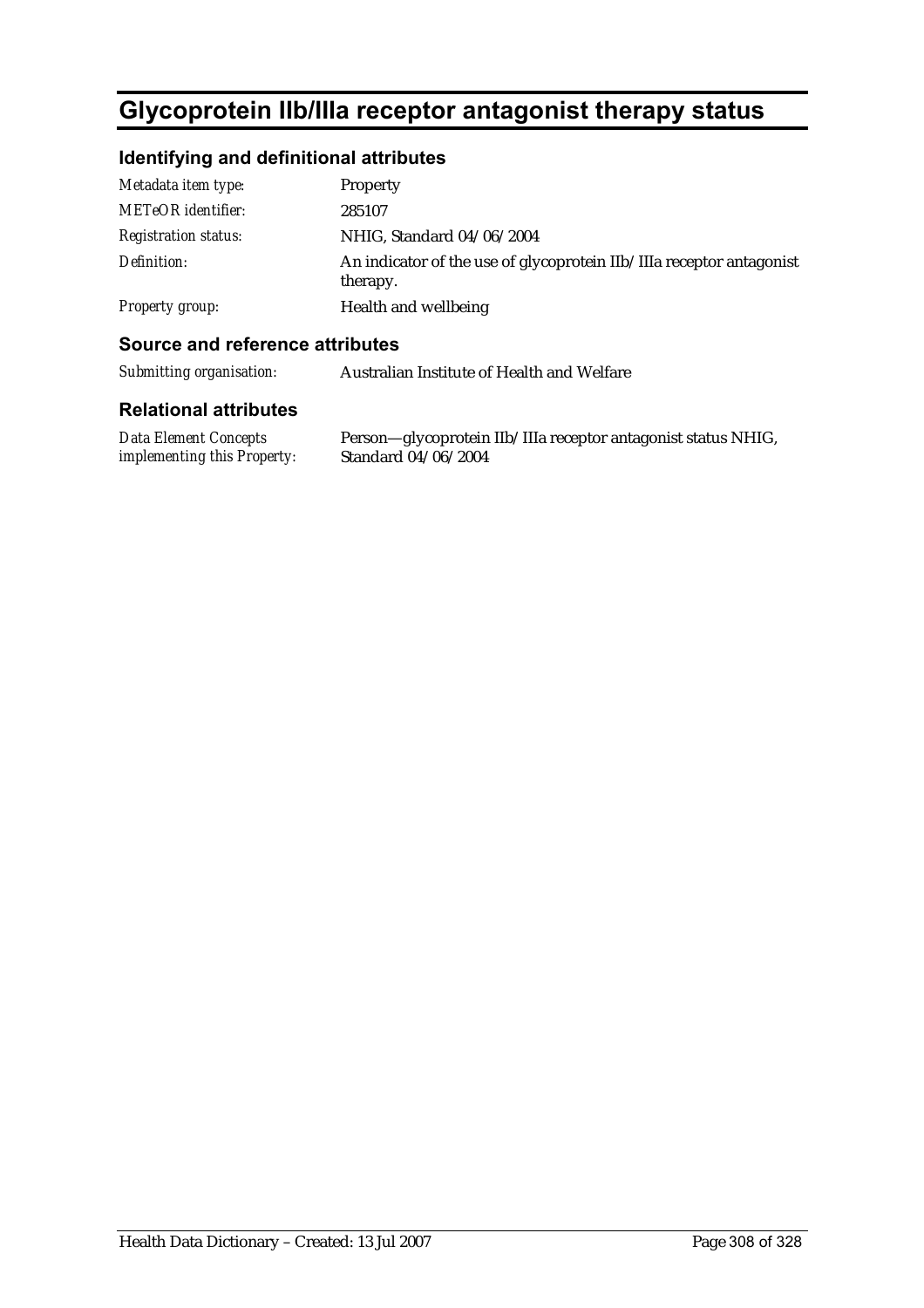# **Glycoprotein IIb/IIIa receptor antagonist therapy status**

# **Identifying and definitional attributes**

| Metadata item type:         | Property                                                                         |
|-----------------------------|----------------------------------------------------------------------------------|
| <b>METeOR</b> identifier:   | 285107                                                                           |
| <i>Registration status:</i> | NHIG, Standard 04/06/2004                                                        |
| Definition:                 | An indicator of the use of glycoprotein IIb/IIIa receptor antagonist<br>therapy. |
| Property group:             | Health and wellbeing                                                             |

### **Source and reference attributes**

*Submitting organisation:* Australian Institute of Health and Welfare

| <b>Data Element Concepts</b>       | Person—glycoprotein IIb/IIIa receptor antagonist status NHIG, |
|------------------------------------|---------------------------------------------------------------|
| <i>implementing this Property:</i> | Standard 04/06/2004                                           |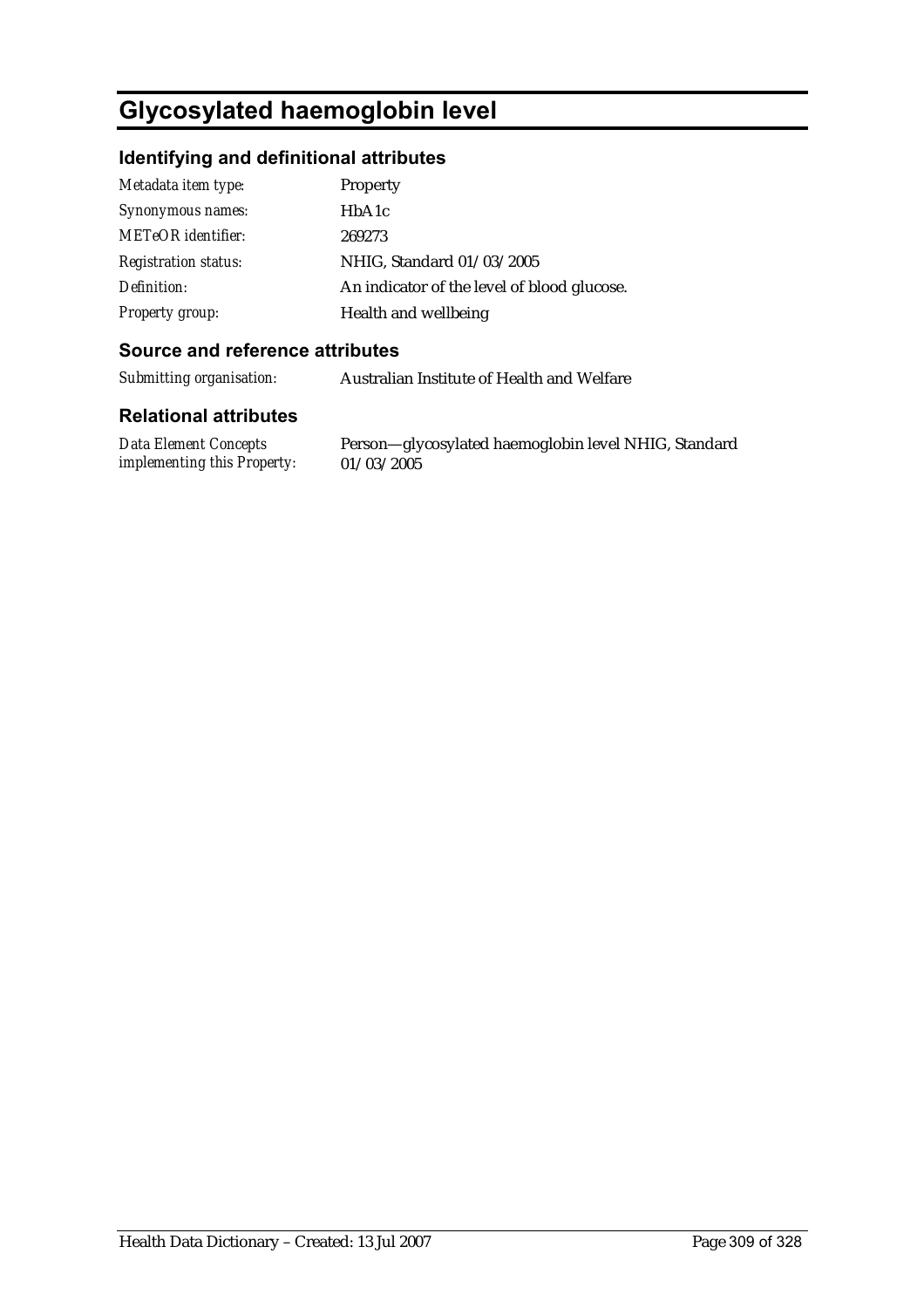# **Glycosylated haemoglobin level**

### **Identifying and definitional attributes**

| Metadata item type:         | Property                                    |
|-----------------------------|---------------------------------------------|
| Synonymous names:           | HbA1c                                       |
| <b>METeOR</b> identifier:   | 269273                                      |
| <b>Registration status:</b> | NHIG, Standard 01/03/2005                   |
| Definition:                 | An indicator of the level of blood glucose. |
| <b>Property group:</b>      | Health and wellbeing                        |

### **Source and reference attributes**

*Submitting organisation:* Australian Institute of Health and Welfare

#### **Relational attributes**

| <b>Data Element Concepts</b> |
|------------------------------|
| implementing this Property:  |

Person—glycosylated haemoglobin level NHIG, Standard 01/03/2005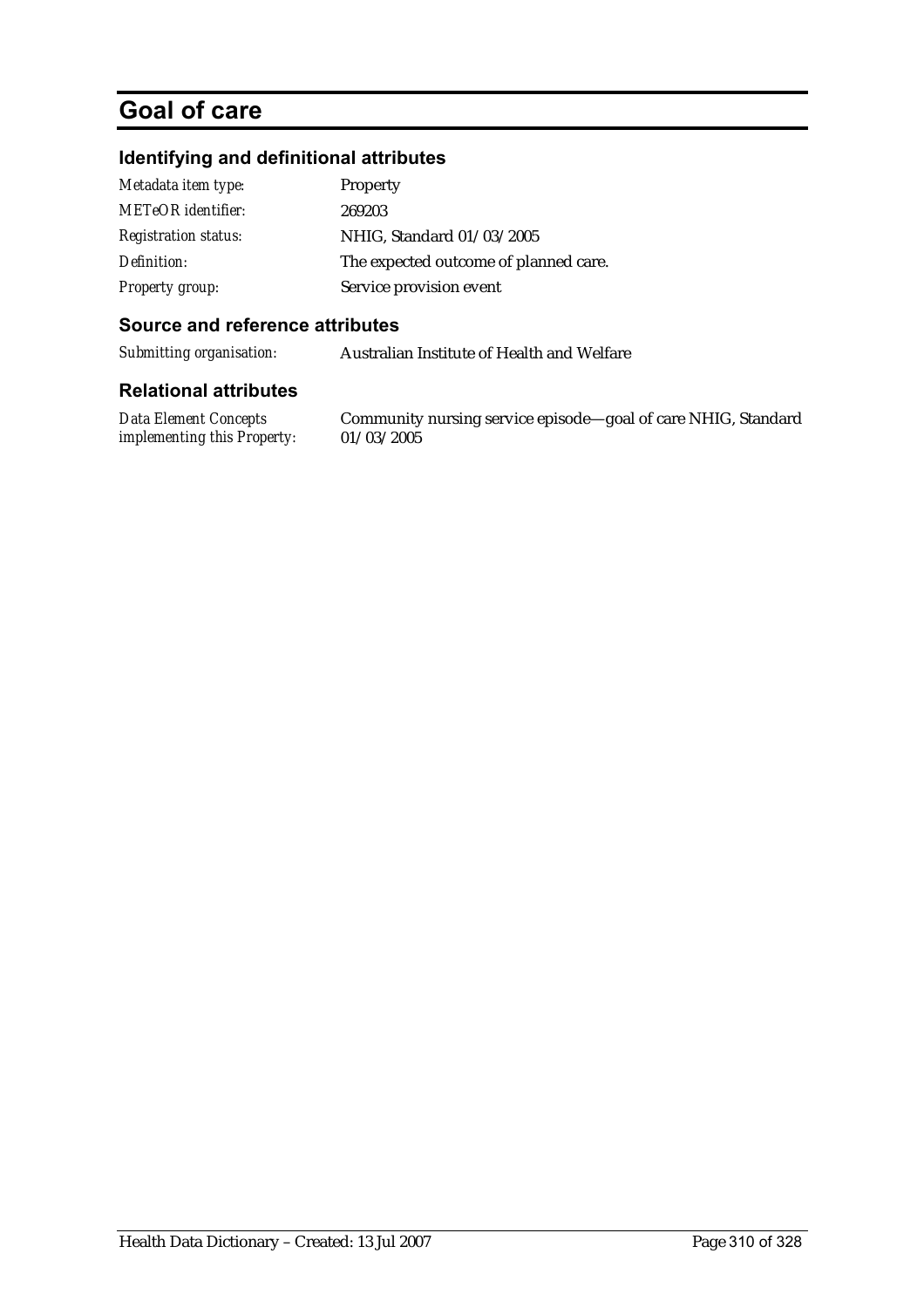# **Goal of care**

### **Identifying and definitional attributes**

| Metadata item type:         | Property                              |
|-----------------------------|---------------------------------------|
| <b>METeOR</b> identifier:   | 269203                                |
| <b>Registration status:</b> | NHIG, Standard 01/03/2005             |
| Definition:                 | The expected outcome of planned care. |
| <b>Property group:</b>      | Service provision event               |

#### **Source and reference attributes**

*Submitting organisation:* Australian Institute of Health and Welfare

#### **Relational attributes**

*Data Element Concepts implementing this Property:*

Community nursing service episode—goal of care NHIG, Standard 01/03/2005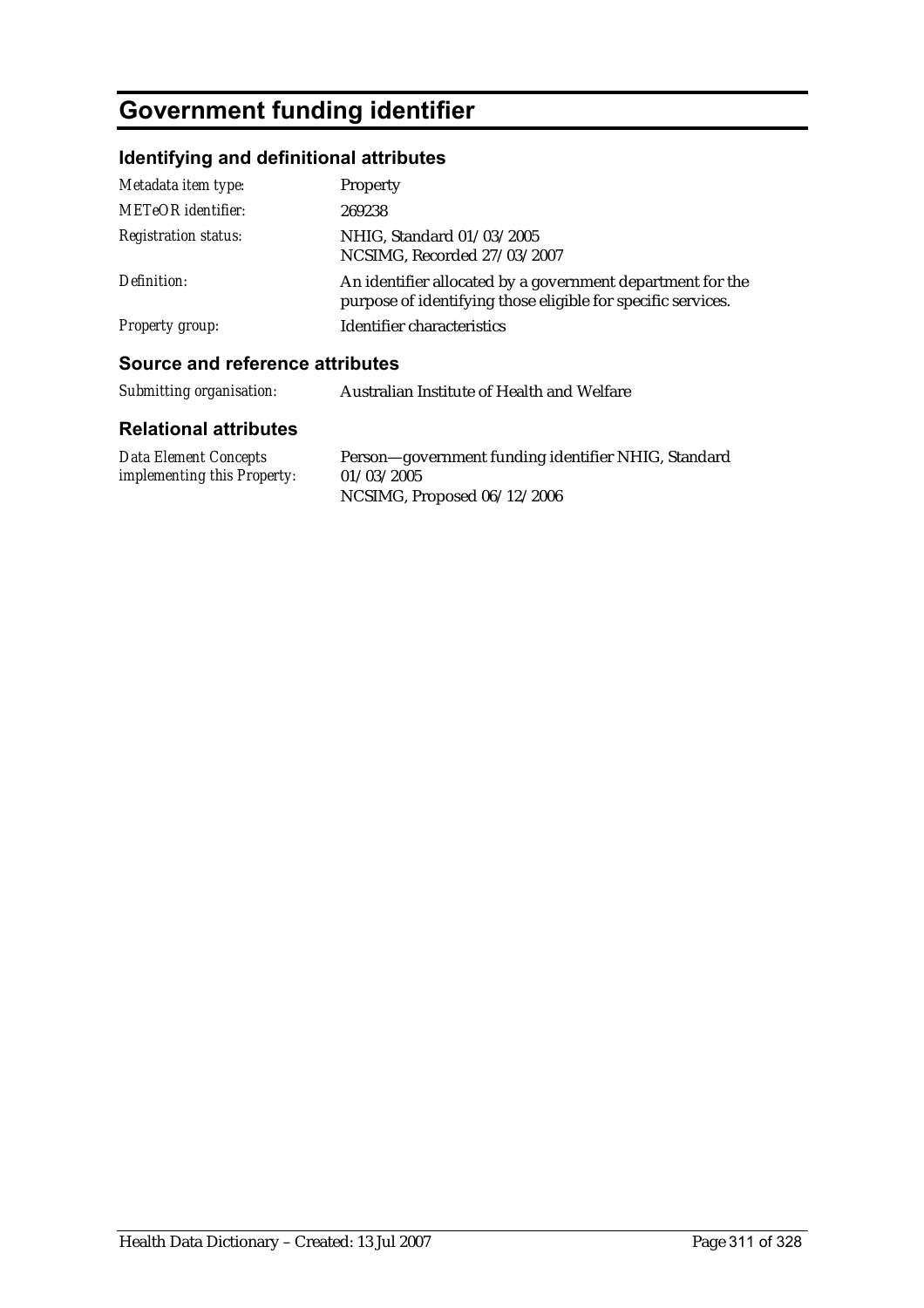# **Government funding identifier**

# **Identifying and definitional attributes**

| Metadata item type:         | Property                                                                                                                   |
|-----------------------------|----------------------------------------------------------------------------------------------------------------------------|
| <b>METeOR</b> identifier:   | 269238                                                                                                                     |
| <b>Registration status:</b> | NHIG, Standard 01/03/2005<br>NCSIMG, Recorded 27/03/2007                                                                   |
| Definition:                 | An identifier allocated by a government department for the<br>purpose of identifying those eligible for specific services. |
| <b>Property group:</b>      | Identifier characteristics                                                                                                 |

### **Source and reference attributes**

| Submitting organisation:<br>Australian Institute of Health and Welfare |  |
|------------------------------------------------------------------------|--|
|------------------------------------------------------------------------|--|

| Data Element Concepts              | Person-government funding identifier NHIG, Standard |
|------------------------------------|-----------------------------------------------------|
| <i>implementing this Property:</i> | 01/03/2005                                          |
|                                    | NCSIMG, Proposed 06/12/2006                         |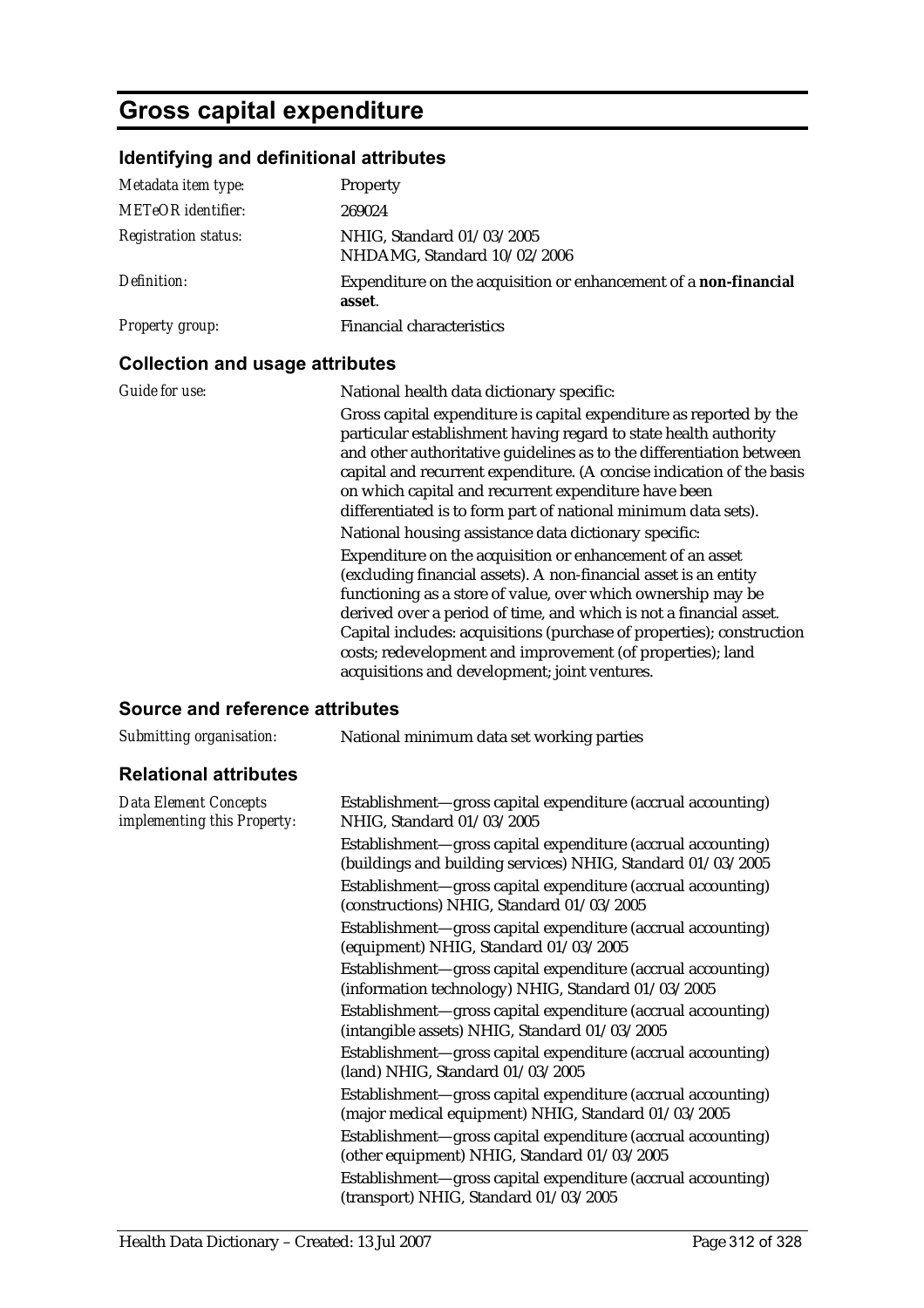# **Gross capital expenditure**

# **Identifying and definitional attributes**

| Metadata item type:         | <b>Property</b>                                                            |
|-----------------------------|----------------------------------------------------------------------------|
| <b>METeOR</b> identifier:   | 269024                                                                     |
| <b>Registration status:</b> | NHIG, Standard 01/03/2005<br>NHDAMG, Standard 10/02/2006                   |
| Definition:                 | Expenditure on the acquisition or enhancement of a non-financial<br>asset. |
| Property group:             | <b>Financial characteristics</b>                                           |

### **Collection and usage attributes**

| <b>Guide for use:</b> | National health data dictionary specific:<br>Gross capital expenditure is capital expenditure as reported by the<br>particular establishment having regard to state health authority<br>and other authoritative guidelines as to the differentiation between<br>capital and recurrent expenditure. (A concise indication of the basis<br>on which capital and recurrent expenditure have been<br>differentiated is to form part of national minimum data sets).<br>National housing assistance data dictionary specific:<br>Expenditure on the acquisition or enhancement of an asset<br>(excluding financial assets). A non-financial asset is an entity<br>functioning as a store of value, over which ownership may be<br>derived over a period of time, and which is not a financial asset.<br>Capital includes: acquisitions (purchase of properties); construction<br>costs; redevelopment and improvement (of properties); land |
|-----------------------|----------------------------------------------------------------------------------------------------------------------------------------------------------------------------------------------------------------------------------------------------------------------------------------------------------------------------------------------------------------------------------------------------------------------------------------------------------------------------------------------------------------------------------------------------------------------------------------------------------------------------------------------------------------------------------------------------------------------------------------------------------------------------------------------------------------------------------------------------------------------------------------------------------------------------------------|
|                       | acquisitions and development; joint ventures.                                                                                                                                                                                                                                                                                                                                                                                                                                                                                                                                                                                                                                                                                                                                                                                                                                                                                          |

# **Source and reference attributes**

| Submitting organisation:                                    | National minimum data set working parties                                                                                   |
|-------------------------------------------------------------|-----------------------------------------------------------------------------------------------------------------------------|
| <b>Relational attributes</b>                                |                                                                                                                             |
| <b>Data Element Concepts</b><br>implementing this Property: | Establishment—gross capital expenditure (accrual accounting)<br>NHIG, Standard 01/03/2005                                   |
|                                                             | Establishment—gross capital expenditure (accrual accounting)<br>(buildings and building services) NHIG, Standard 01/03/2005 |
|                                                             | Establishment-gross capital expenditure (accrual accounting)<br>(constructions) NHIG, Standard 01/03/2005                   |
|                                                             | Establishment—gross capital expenditure (accrual accounting)<br>(equipment) NHIG, Standard 01/03/2005                       |
|                                                             | Establishment—gross capital expenditure (accrual accounting)<br>(information technology) NHIG, Standard 01/03/2005          |
|                                                             | Establishment—gross capital expenditure (accrual accounting)<br>(intangible assets) NHIG, Standard 01/03/2005               |
|                                                             | Establishment—gross capital expenditure (accrual accounting)<br>(land) NHIG, Standard 01/03/2005                            |
|                                                             | Establishment—gross capital expenditure (accrual accounting)<br>(major medical equipment) NHIG, Standard 01/03/2005         |
|                                                             | Establishment—gross capital expenditure (accrual accounting)<br>(other equipment) NHIG, Standard 01/03/2005                 |
|                                                             | Establishment—gross capital expenditure (accrual accounting)<br>(transport) NHIG, Standard 01/03/2005                       |
|                                                             |                                                                                                                             |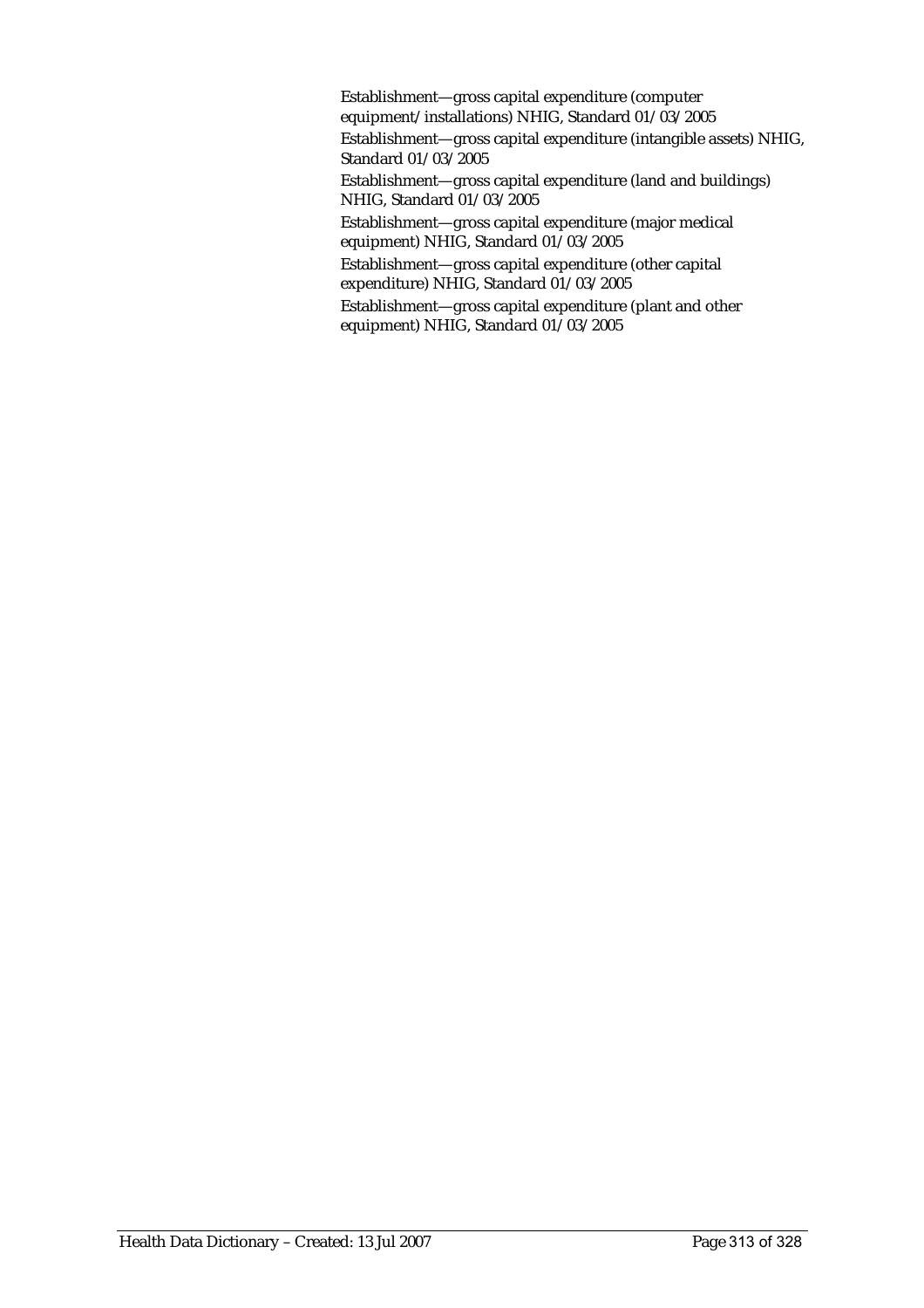Establishment—gross capital expenditure (computer equipment/installations) NHIG, Standard 01/03/2005 Establishment—gross capital expenditure (intangible assets) NHIG, Standard 01/03/2005 Establishment—gross capital expenditure (land and buildings) NHIG, Standard 01/03/2005 Establishment—gross capital expenditure (major medical equipment) NHIG, Standard 01/03/2005 Establishment—gross capital expenditure (other capital expenditure) NHIG, Standard 01/03/2005 Establishment—gross capital expenditure (plant and other equipment) NHIG, Standard 01/03/2005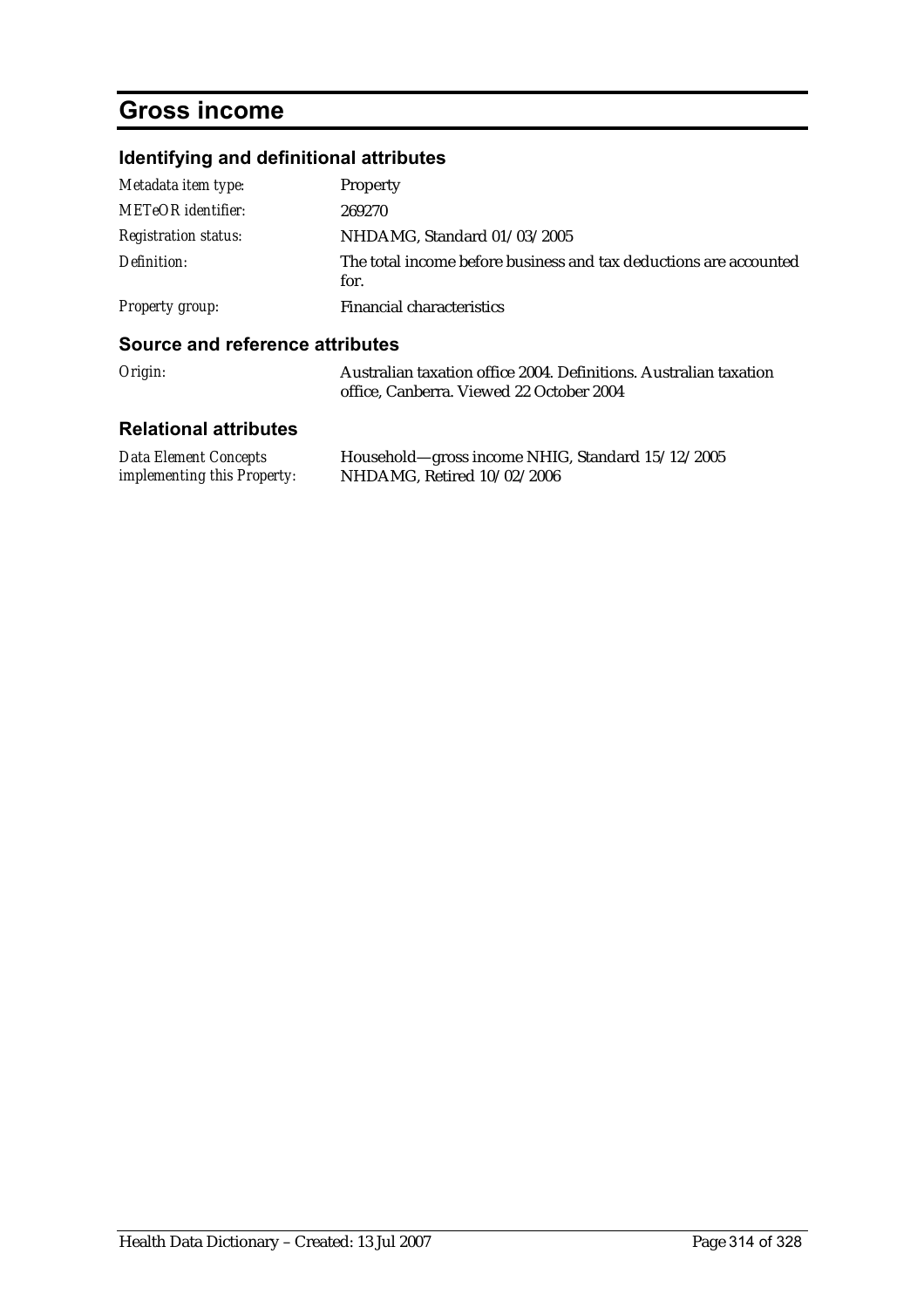# **Gross income**

# **Identifying and definitional attributes**

| Metadata item type:         | Property                                                                  |
|-----------------------------|---------------------------------------------------------------------------|
| <b>METeOR</b> identifier:   | 269270                                                                    |
| <b>Registration status:</b> | NHDAMG, Standard 01/03/2005                                               |
| Definition:                 | The total income before business and tax deductions are accounted<br>for. |
| Property group:             | <b>Financial characteristics</b>                                          |

#### **Source and reference attributes**

| Origin: | Australian taxation office 2004. Definitions. Australian taxation |
|---------|-------------------------------------------------------------------|
|         | office. Canberra. Viewed 22 October 2004                          |

| <b>Data Element Concepts</b>       | Household—gross income NHIG, Standard 15/12/2005 |
|------------------------------------|--------------------------------------------------|
| <i>implementing this Property:</i> | NHDAMG, Retired $10/02/2006$                     |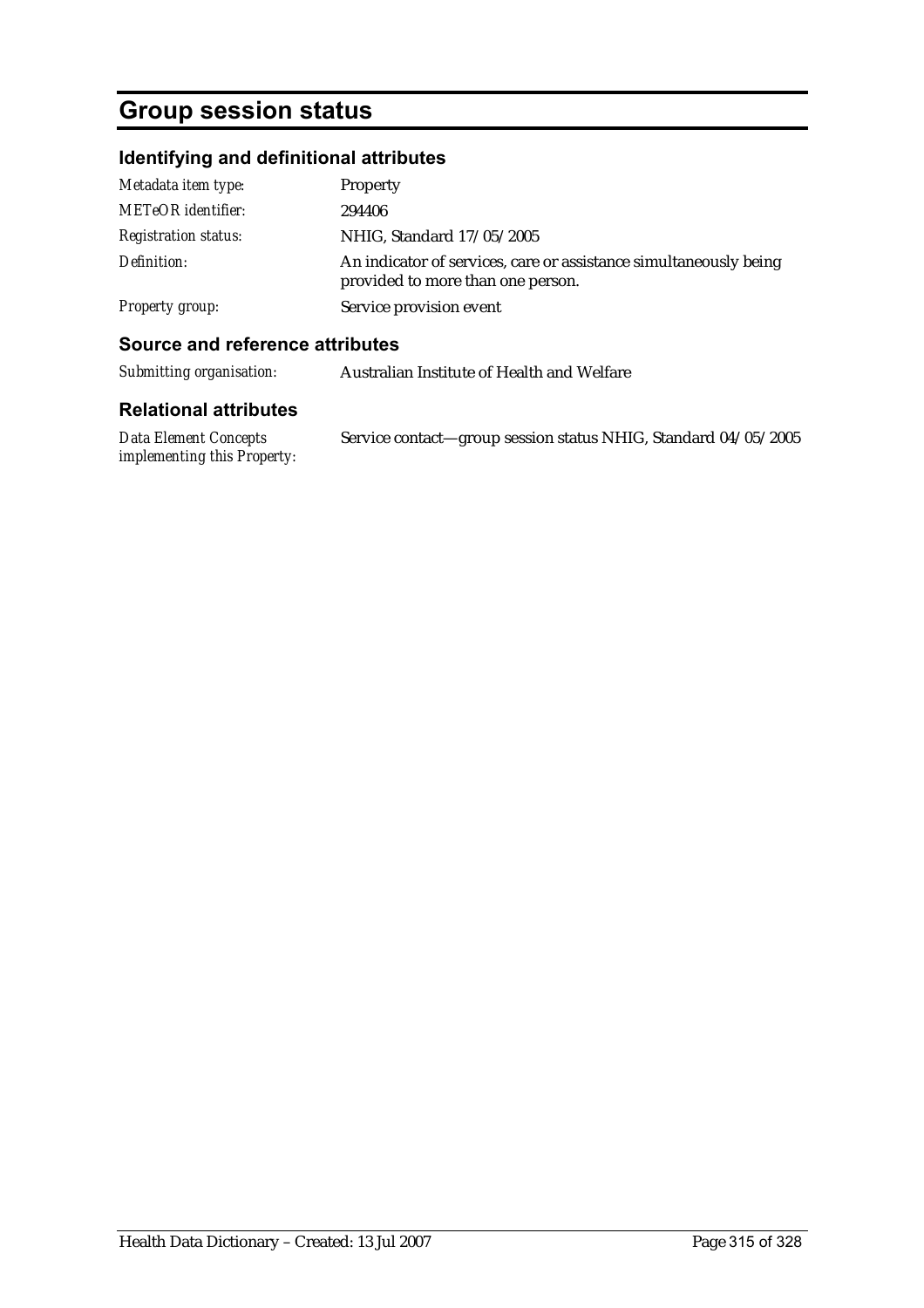# **Group session status**

# **Identifying and definitional attributes**

| Metadata item type:         | Property                                                                                               |
|-----------------------------|--------------------------------------------------------------------------------------------------------|
| <b>METeOR</b> identifier:   | 294406                                                                                                 |
| <b>Registration status:</b> | NHIG, Standard 17/05/2005                                                                              |
| Definition:                 | An indicator of services, care or assistance simultaneously being<br>provided to more than one person. |
| Property group:             | Service provision event                                                                                |

### **Source and reference attributes**

| Submitting organisation: | Australian Institute of Health and Welfare |
|--------------------------|--------------------------------------------|
|--------------------------|--------------------------------------------|

| Data Element Concepts              | Service contact—group session status NHIG, Standard 04/05/2005 |
|------------------------------------|----------------------------------------------------------------|
| <i>implementing this Property:</i> |                                                                |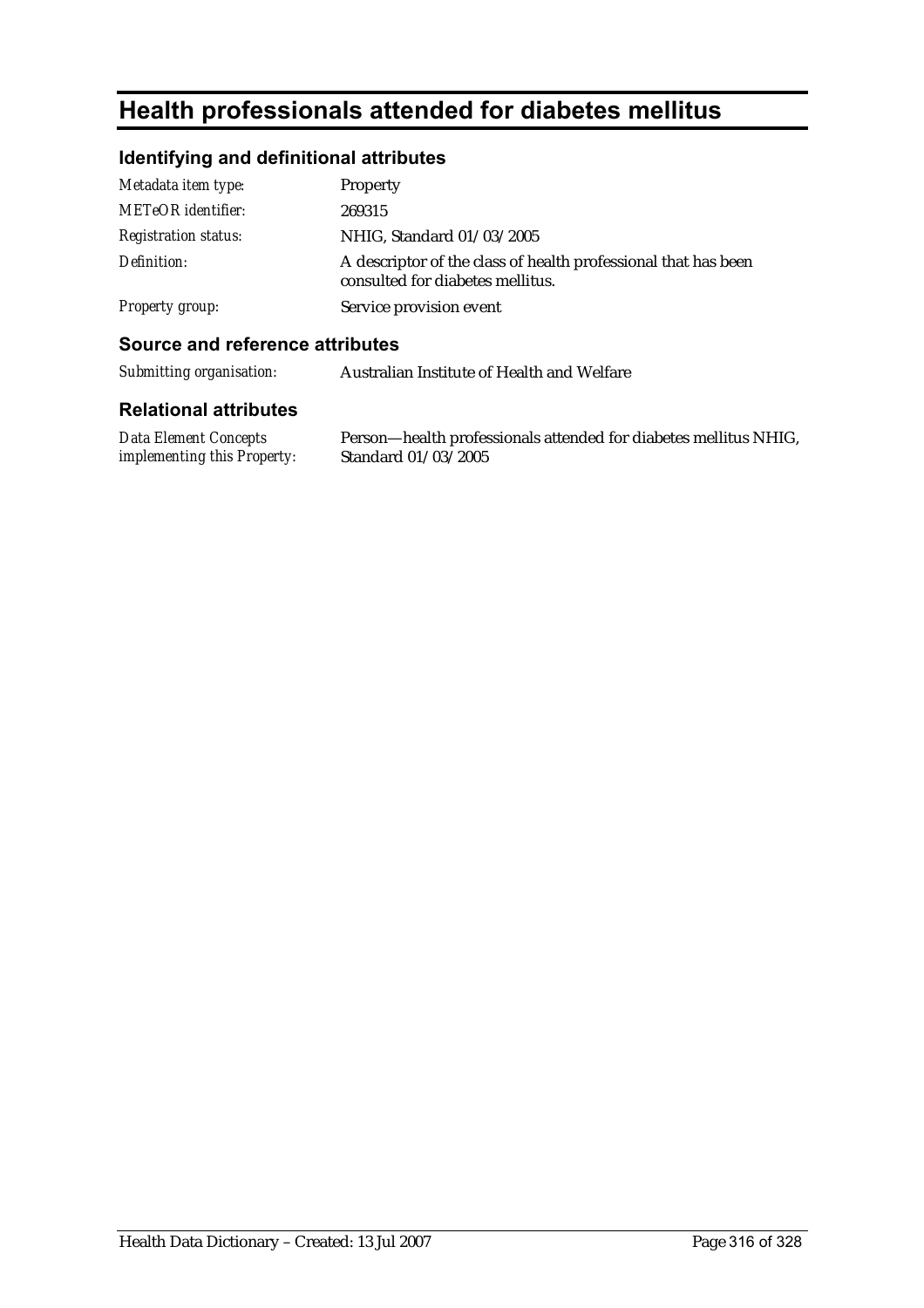# **Health professionals attended for diabetes mellitus**

### **Identifying and definitional attributes**

| Metadata item type:         | Property                                                                                           |
|-----------------------------|----------------------------------------------------------------------------------------------------|
| <b>METeOR</b> identifier:   | 269315                                                                                             |
| <b>Registration status:</b> | NHIG, Standard 01/03/2005                                                                          |
| Definition:                 | A descriptor of the class of health professional that has been<br>consulted for diabetes mellitus. |
| <b>Property group:</b>      | Service provision event                                                                            |

#### **Source and reference attributes**

*Submitting organisation:* Australian Institute of Health and Welfare

#### **Relational attributes**

*Data Element Concepts implementing this Property:* Person—health professionals attended for diabetes mellitus NHIG, Standard 01/03/2005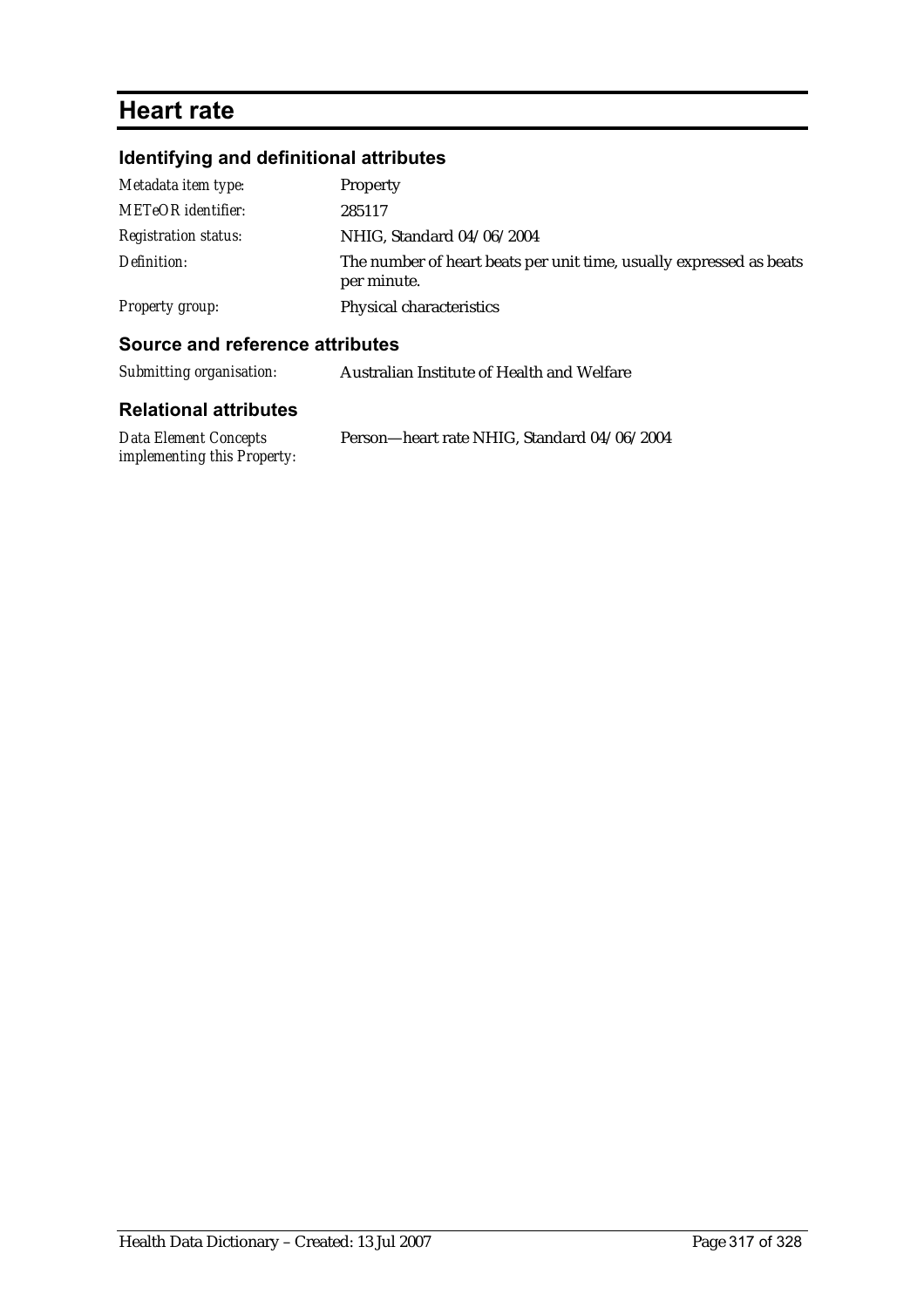# **Heart rate**

# **Identifying and definitional attributes**

| Metadata item type:         | Property                                                                           |
|-----------------------------|------------------------------------------------------------------------------------|
| <b>METeOR</b> identifier:   | 285117                                                                             |
| <b>Registration status:</b> | NHIG, Standard 04/06/2004                                                          |
| Definition:                 | The number of heart beats per unit time, usually expressed as beats<br>per minute. |
| Property group:             | Physical characteristics                                                           |

### **Source and reference attributes**

| Submitting organisation:     | Australian Institute of Health and Welfare |
|------------------------------|--------------------------------------------|
| <b>Relational attributes</b> |                                            |

| Data Element Concepts       | Person-heart rate NHIG, Standard 04/06/2004 |
|-----------------------------|---------------------------------------------|
| implementing this Property: |                                             |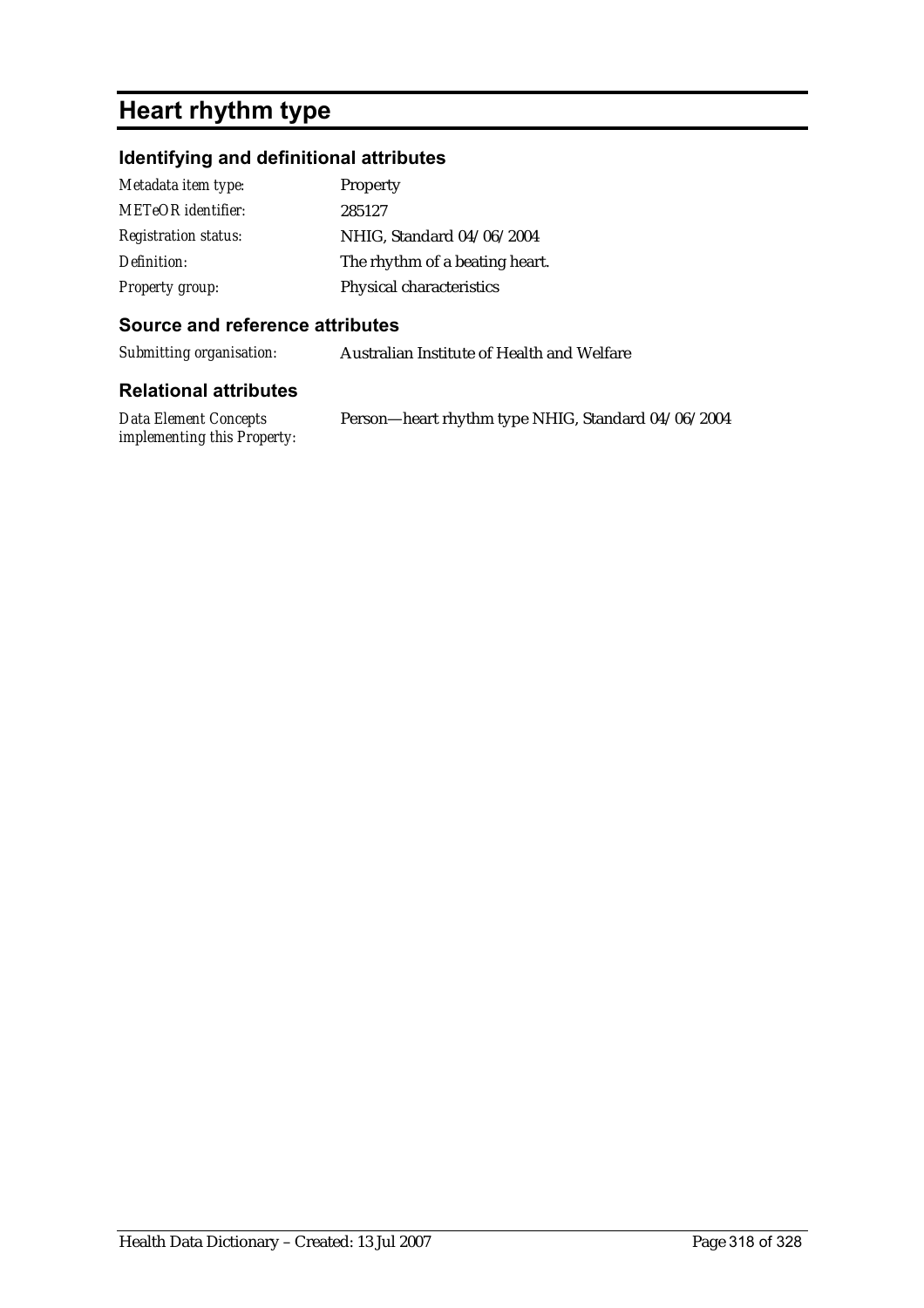# **Heart rhythm type**

# **Identifying and definitional attributes**

| Metadata item type:         | Property                       |
|-----------------------------|--------------------------------|
| <b>METeOR</b> identifier:   | 285127                         |
| <b>Registration status:</b> | NHIG, Standard 04/06/2004      |
| Definition:                 | The rhythm of a beating heart. |
| <b>Property group:</b>      | Physical characteristics       |

### **Source and reference attributes**

*Submitting organisation:* Australian Institute of Health and Welfare

| Data Element Concepts              | Person-heart rhythm type NHIG, Standard 04/06/2004 |
|------------------------------------|----------------------------------------------------|
| <i>implementing this Property:</i> |                                                    |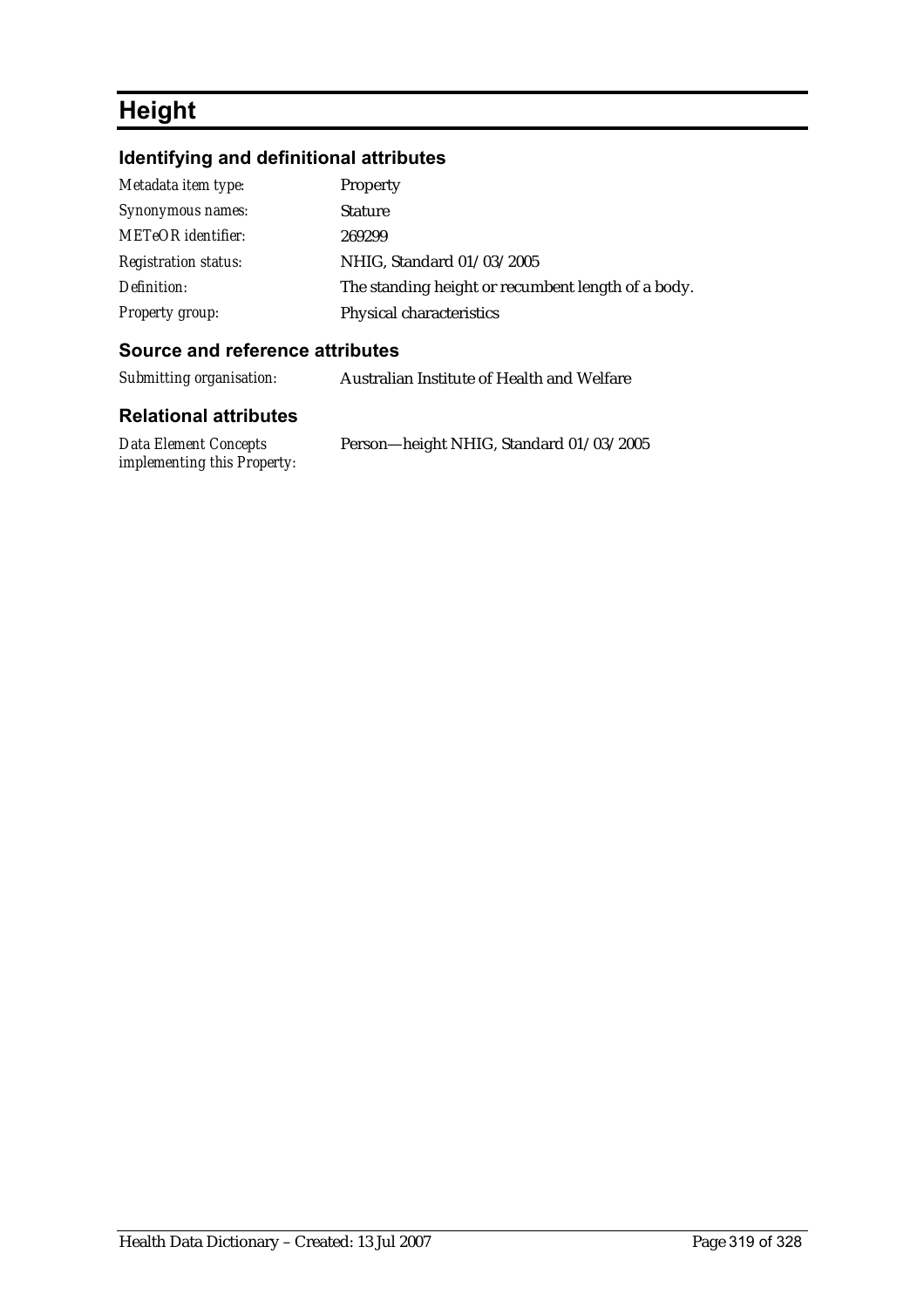# **Height**

# **Identifying and definitional attributes**

| Metadata item type:         | Property                                           |
|-----------------------------|----------------------------------------------------|
| Synonymous names:           | <b>Stature</b>                                     |
| <b>METeOR</b> identifier:   | 269299                                             |
| <b>Registration status:</b> | NHIG, Standard 01/03/2005                          |
| Definition:                 | The standing height or recumbent length of a body. |
| Property group:             | Physical characteristics                           |

### **Source and reference attributes**

*Submitting organisation:* Australian Institute of Health and Welfare

| <b>Data Element Concepts</b> | Person-height NHIG, Standard 01/03/2005 |  |
|------------------------------|-----------------------------------------|--|
| implementing this Property:  |                                         |  |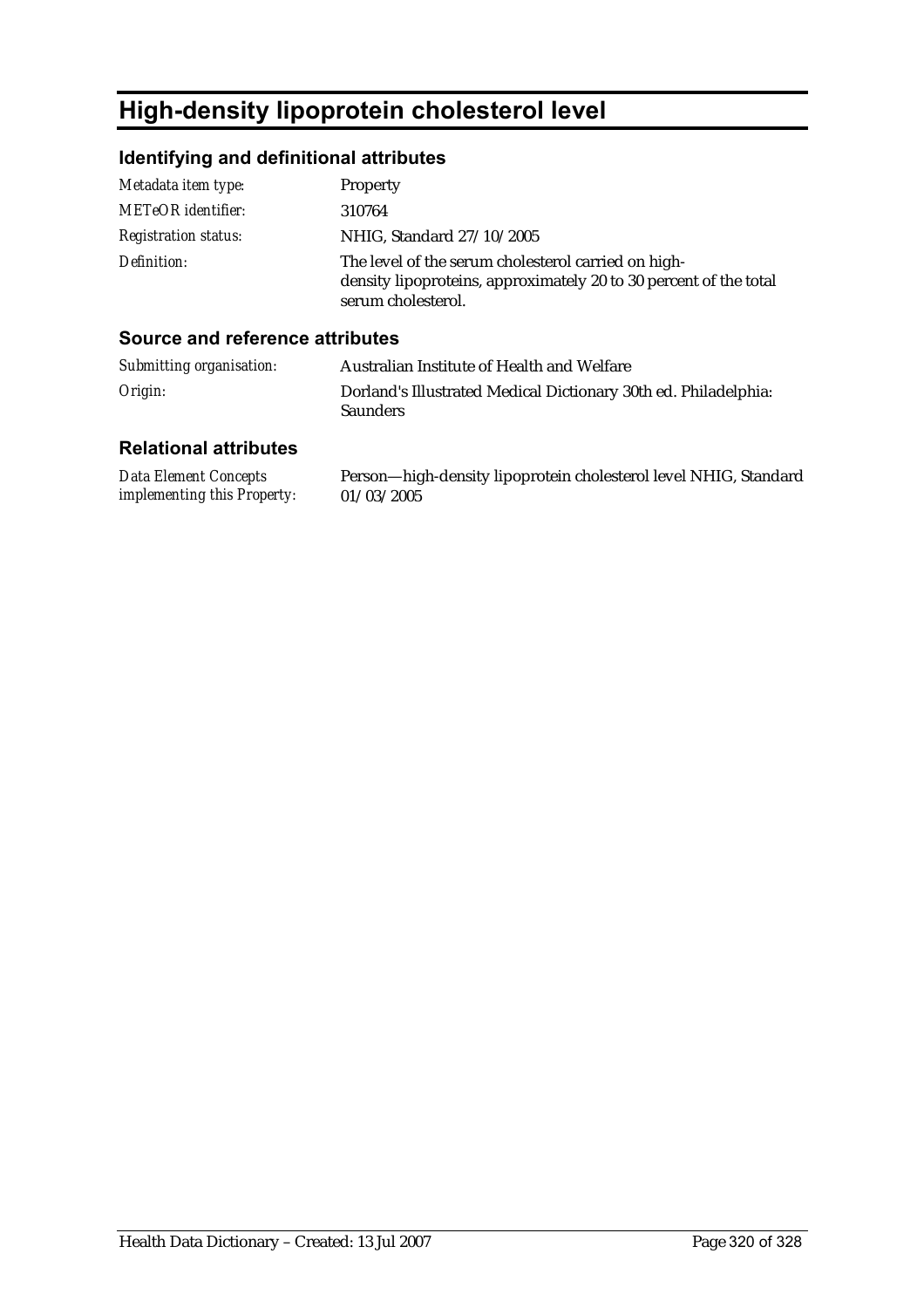# **High-density lipoprotein cholesterol level**

# **Identifying and definitional attributes**

| Metadata item type:         | Property                                                                                                                                       |
|-----------------------------|------------------------------------------------------------------------------------------------------------------------------------------------|
| <b>METeOR</b> identifier:   | 310764                                                                                                                                         |
| <b>Registration status:</b> | NHIG, Standard 27/10/2005                                                                                                                      |
| Definition:                 | The level of the serum cholesterol carried on high-<br>density lipoproteins, approximately 20 to 30 percent of the total<br>serum cholesterol. |

### **Source and reference attributes**

| Submitting organisation: | Australian Institute of Health and Welfare                                         |
|--------------------------|------------------------------------------------------------------------------------|
| Origin:                  | Dorland's Illustrated Medical Dictionary 30th ed. Philadelphia:<br><b>Saunders</b> |

| Data Element Concepts              | Person-high-density lipoprotein cholesterol level NHIG, Standard |
|------------------------------------|------------------------------------------------------------------|
| <i>implementing this Property:</i> | 01/03/2005                                                       |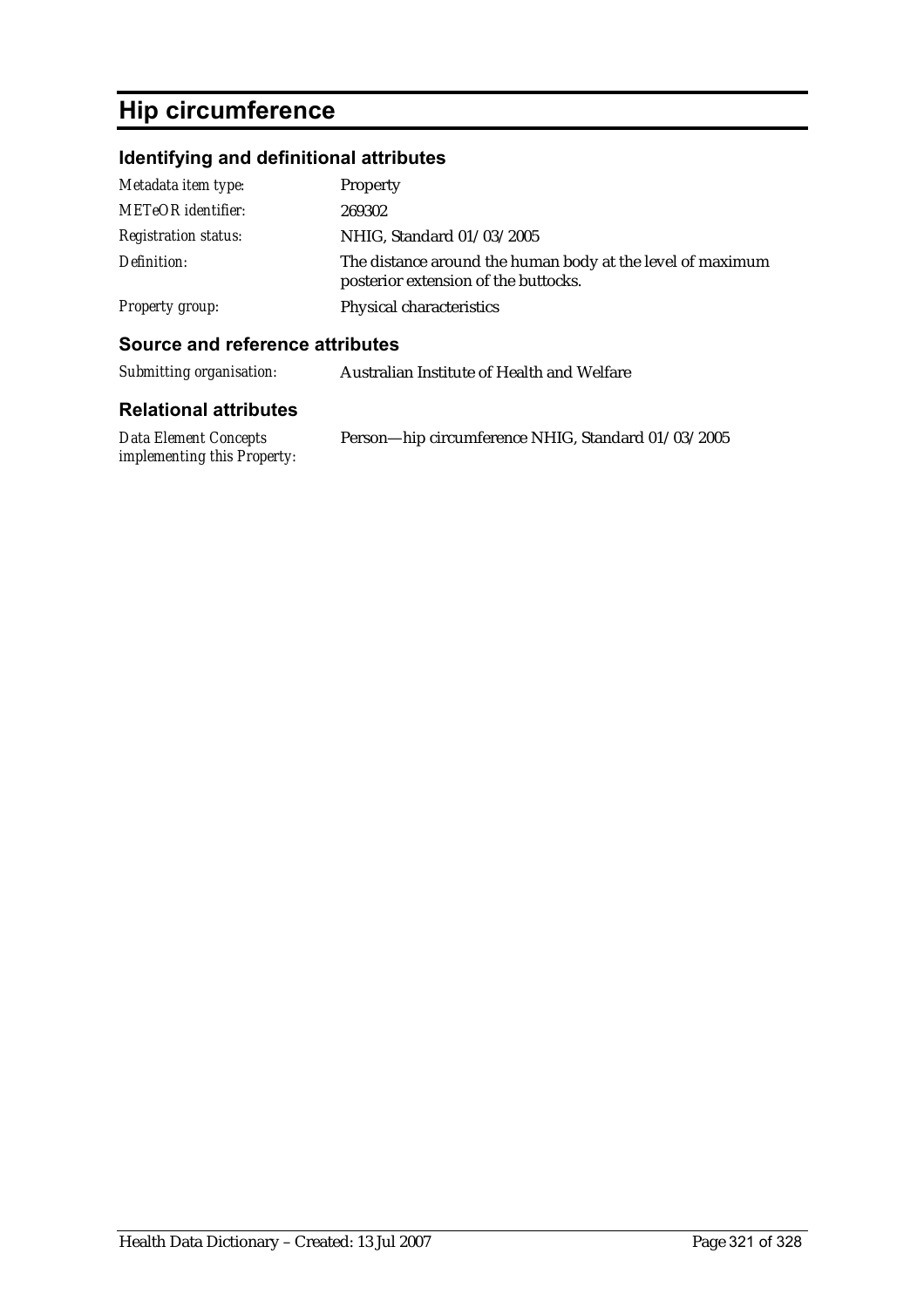# **Hip circumference**

# **Identifying and definitional attributes**

| Metadata item type:         | Property                                                                                           |
|-----------------------------|----------------------------------------------------------------------------------------------------|
| <b>METeOR</b> identifier:   | 269302                                                                                             |
| <b>Registration status:</b> | NHIG, Standard 01/03/2005                                                                          |
| Definition:                 | The distance around the human body at the level of maximum<br>posterior extension of the buttocks. |
| <b>Property group:</b>      | Physical characteristics                                                                           |

#### **Source and reference attributes**

| Submitting organisation:     | Australian Institute of Health and Welfare      |  |
|------------------------------|-------------------------------------------------|--|
| <b>Relational attributes</b> |                                                 |  |
| Data Flement Concents        | Person—hip circumference NHIC Standard 01/03/20 |  |

*Data Element Concepts implementing this Property:*

Person—hip circumference NHIG, Standard 01/03/2005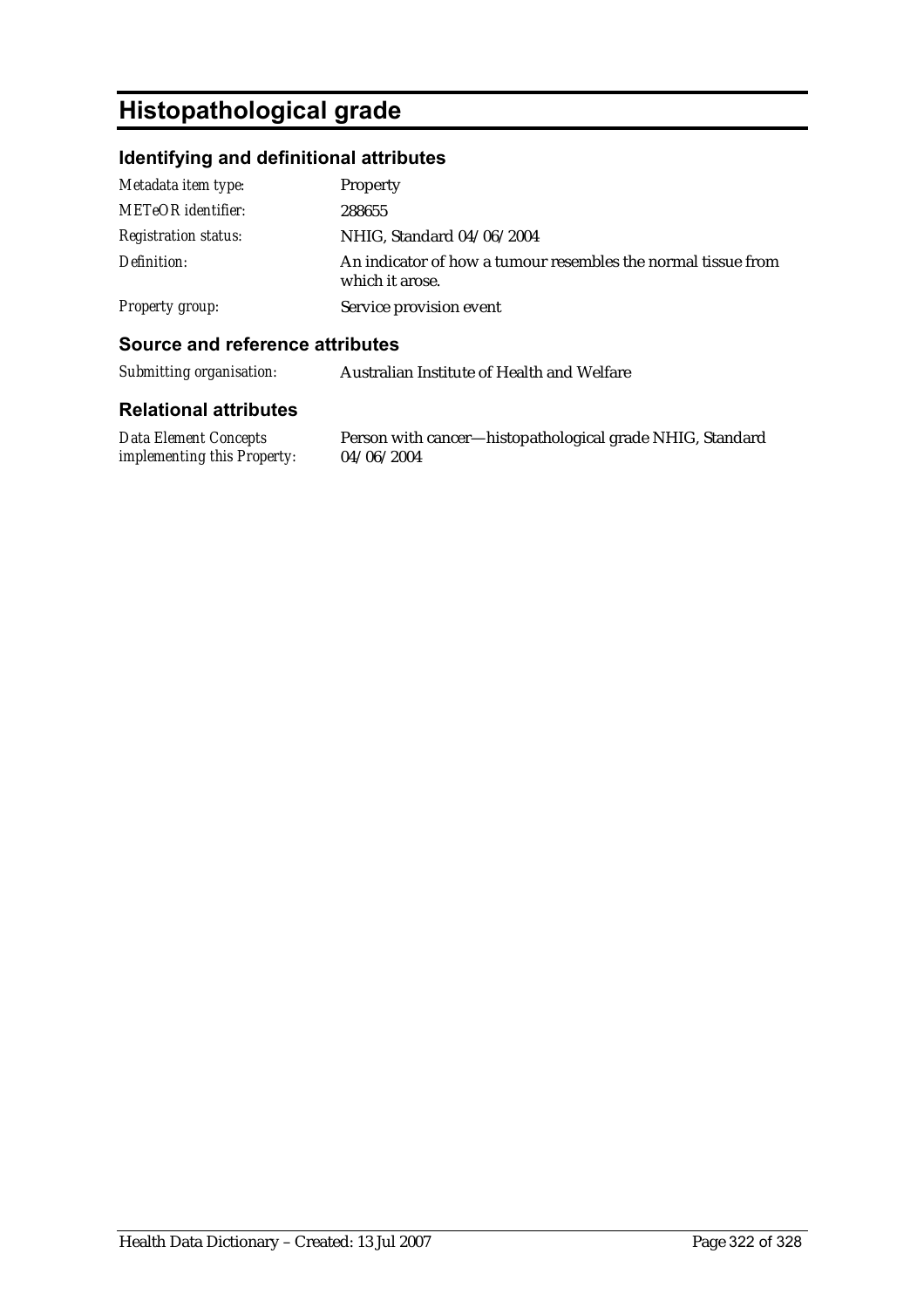# **Histopathological grade**

# **Identifying and definitional attributes**

| Metadata item type:         | Property                                                                         |
|-----------------------------|----------------------------------------------------------------------------------|
| <b>METeOR</b> identifier:   | 288655                                                                           |
| <b>Registration status:</b> | NHIG, Standard 04/06/2004                                                        |
| Definition:                 | An indicator of how a tumour resembles the normal tissue from<br>which it arose. |
| Property group:             | Service provision event                                                          |

### **Source and reference attributes**

| Submitting organisation: | Australian Institute of Health and Welfare |
|--------------------------|--------------------------------------------|
|                          |                                            |

| Data Element Concepts              | Person with cancer—histopathological grade NHIG, Standard |
|------------------------------------|-----------------------------------------------------------|
| <i>implementing this Property:</i> | 04/06/2004                                                |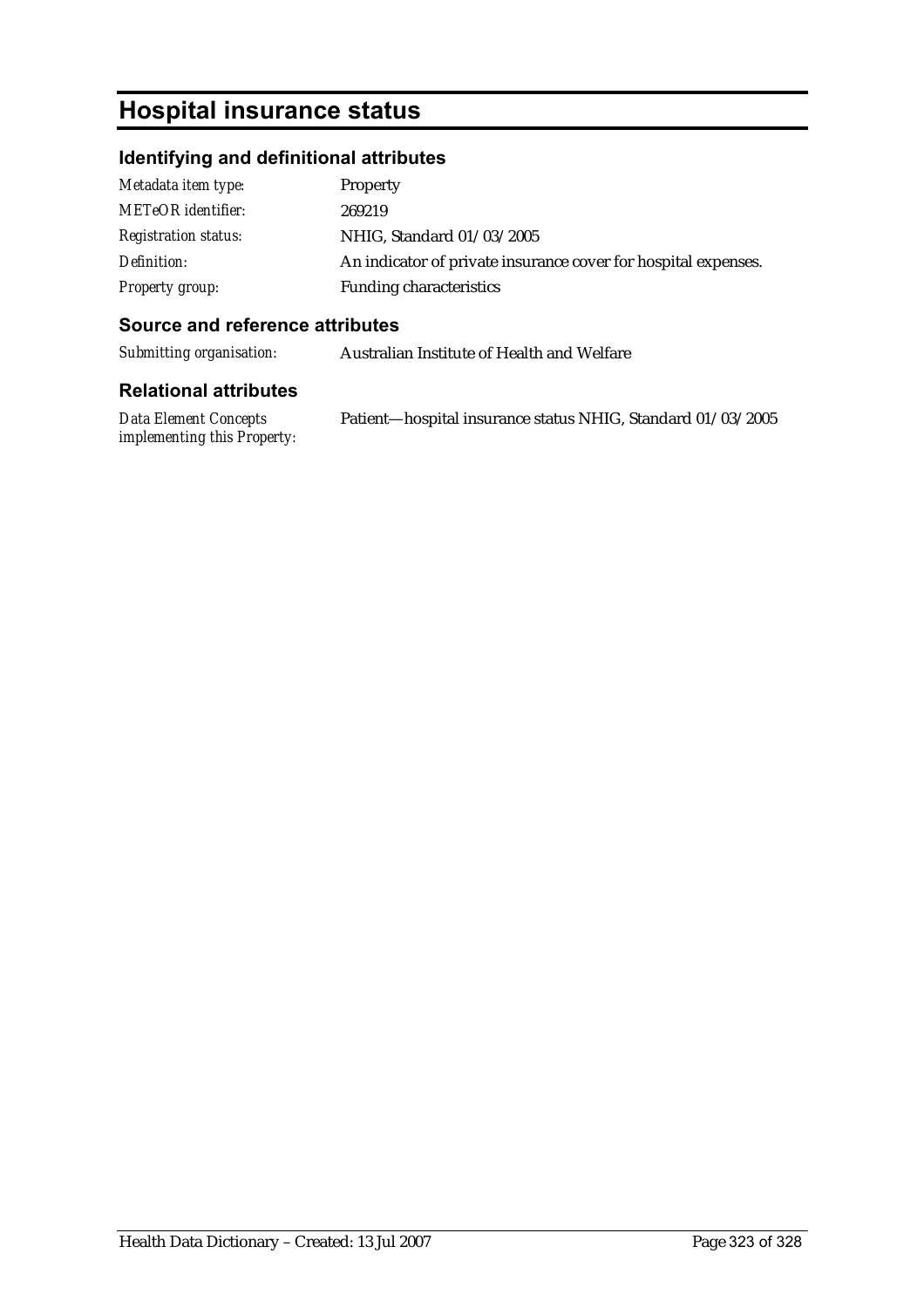# **Hospital insurance status**

# **Identifying and definitional attributes**

| Metadata item type:         | <b>Property</b>                                                |
|-----------------------------|----------------------------------------------------------------|
| <b>METeOR</b> identifier:   | 269219                                                         |
| <b>Registration status:</b> | NHIG, Standard 01/03/2005                                      |
| Definition:                 | An indicator of private insurance cover for hospital expenses. |
| <b>Property group:</b>      | <b>Funding characteristics</b>                                 |

#### **Source and reference attributes**

*Submitting organisation:* Australian Institute of Health and Welfare

| Data Element Concepts              | Patient-hospital insurance status NHIG, Standard 01/03/2005 |  |
|------------------------------------|-------------------------------------------------------------|--|
| <i>implementing this Property:</i> |                                                             |  |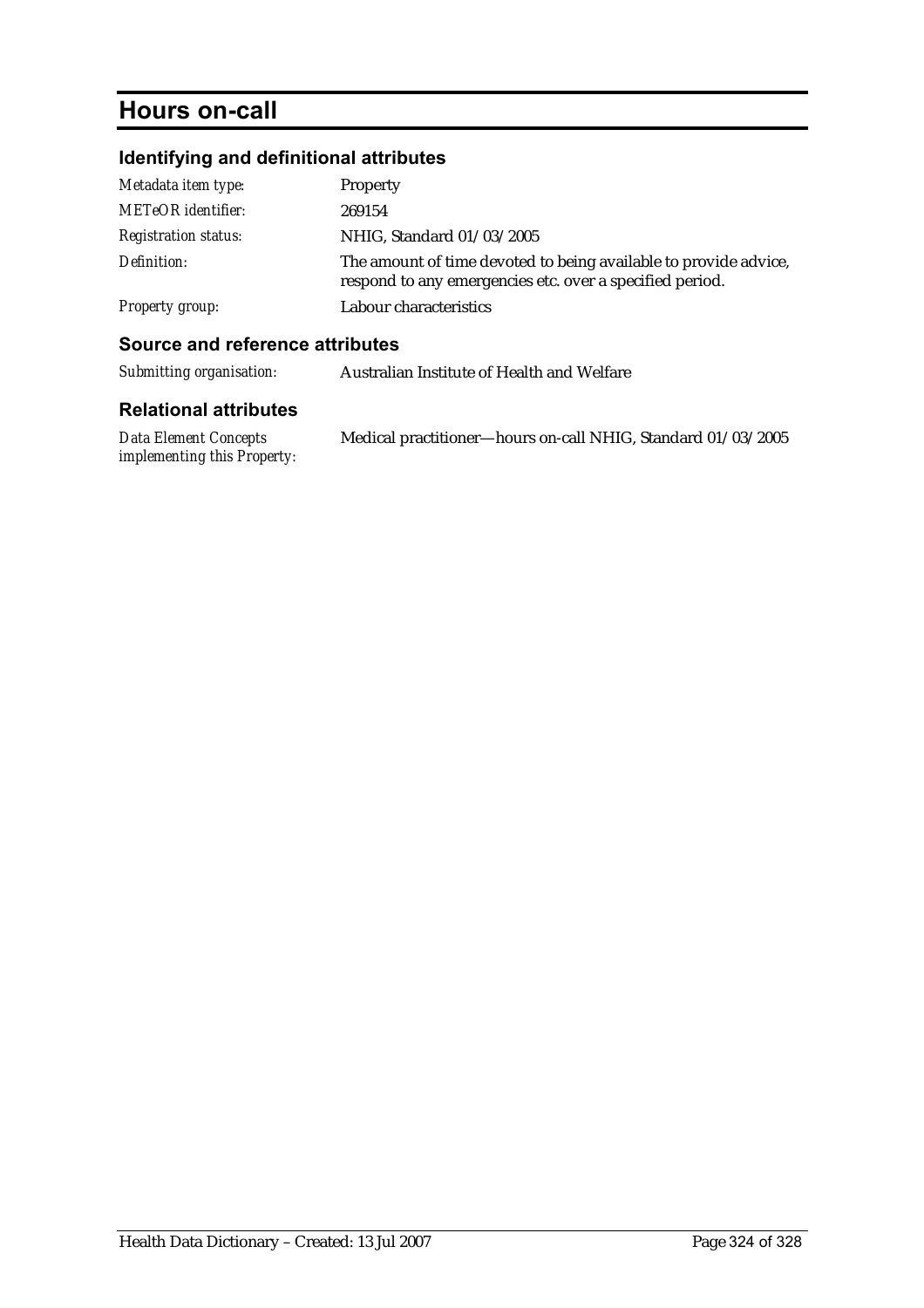# **Hours on-call**

# **Identifying and definitional attributes**

| Metadata item type:         | Property                                                                                                                     |
|-----------------------------|------------------------------------------------------------------------------------------------------------------------------|
| <b>METeOR</b> identifier:   | 269154                                                                                                                       |
| <b>Registration status:</b> | NHIG, Standard 01/03/2005                                                                                                    |
| Definition:                 | The amount of time devoted to being available to provide advice,<br>respond to any emergencies etc. over a specified period. |
| Property group:             | Labour characteristics                                                                                                       |

### **Source and reference attributes**

| Submitting organisation: | Australian Institute of Health and Welfare |
|--------------------------|--------------------------------------------|
|--------------------------|--------------------------------------------|

| Data Element Concepts       | Medical practitioner—hours on-call NHIG, Standard 01/03/2005 |
|-----------------------------|--------------------------------------------------------------|
| implementing this Property: |                                                              |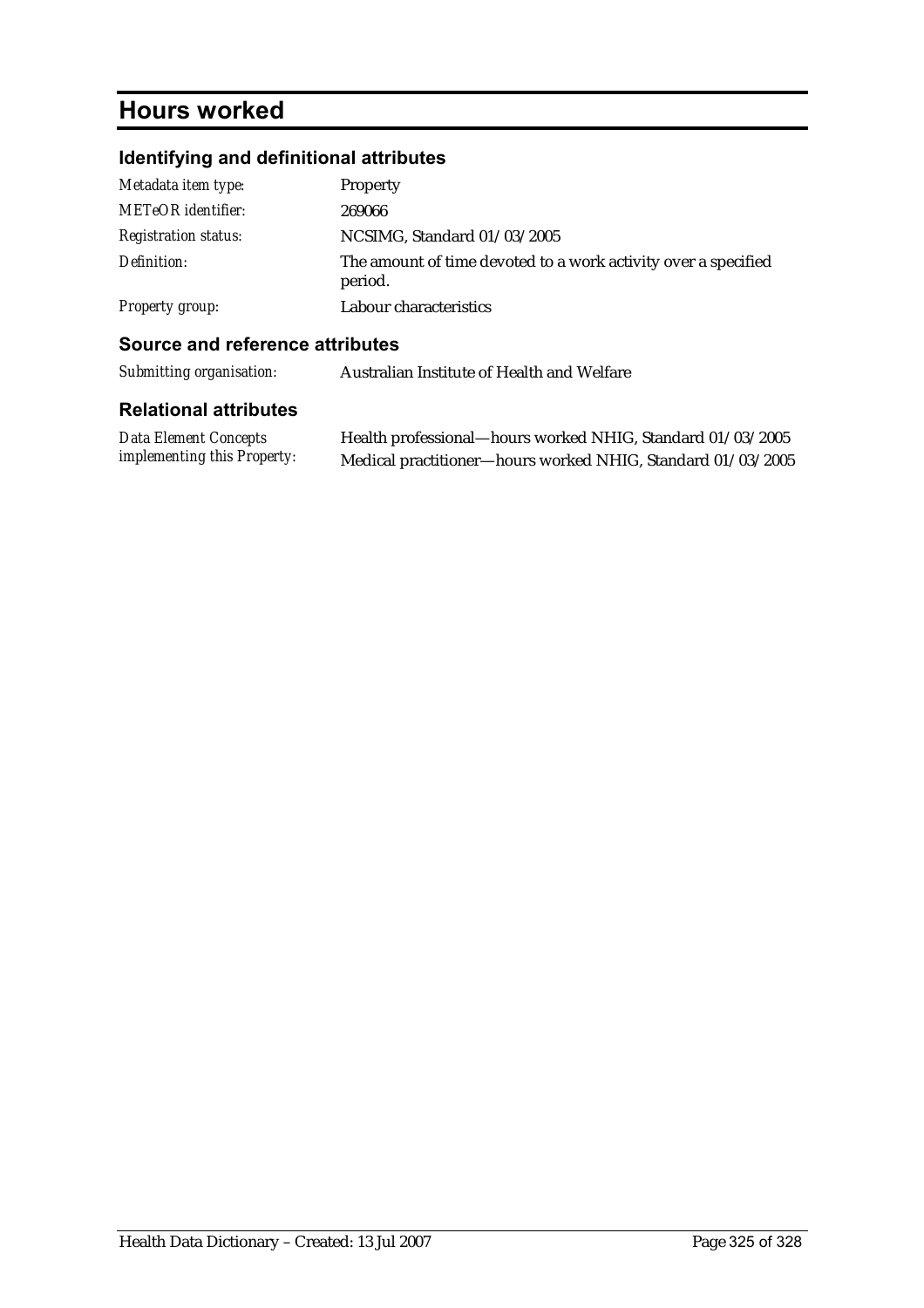## **Hours worked**

### **Identifying and definitional attributes**

| Metadata item type:         | Property                                                                  |
|-----------------------------|---------------------------------------------------------------------------|
| <b>METeOR</b> identifier:   | 269066                                                                    |
| <b>Registration status:</b> | NCSIMG, Standard 01/03/2005                                               |
| Definition:                 | The amount of time devoted to a work activity over a specified<br>period. |
| <b>Property group:</b>      | Labour characteristics                                                    |

#### **Source and reference attributes**

| Submitting organisation: | Australian Institute of Health and Welfare |
|--------------------------|--------------------------------------------|
|--------------------------|--------------------------------------------|

#### **Relational attributes**

| <b>Data Element Concepts</b>       | Health professional—hours worked NHIG, Standard 01/03/2005  |
|------------------------------------|-------------------------------------------------------------|
| <i>implementing this Property:</i> | Medical practitioner-hours worked NHIG, Standard 01/03/2005 |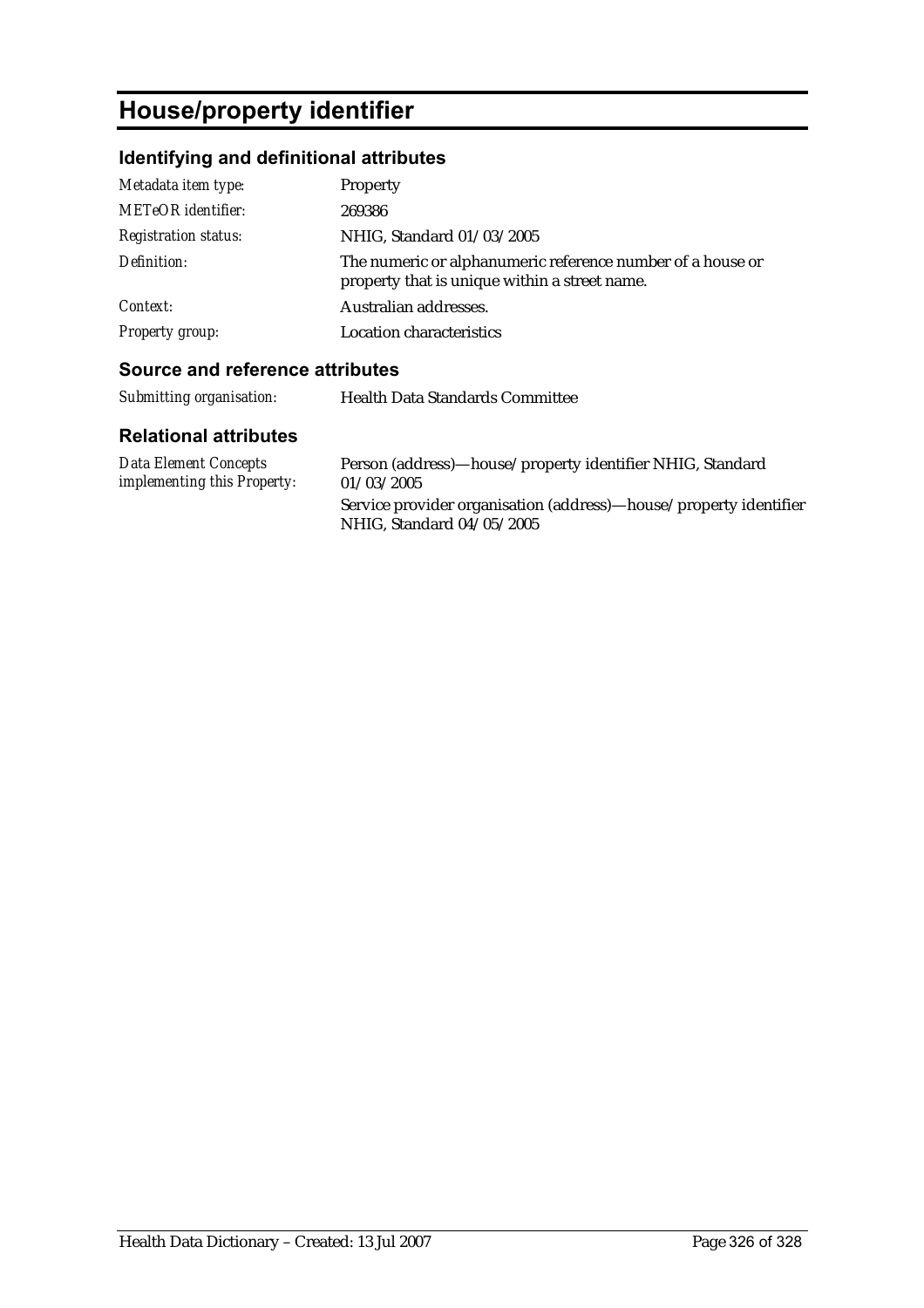# **House/property identifier**

### **Identifying and definitional attributes**

| Metadata item type:         | Property                                                                                                    |
|-----------------------------|-------------------------------------------------------------------------------------------------------------|
| <b>METeOR</b> identifier:   | 269386                                                                                                      |
| <b>Registration status:</b> | NHIG, Standard 01/03/2005                                                                                   |
| Definition:                 | The numeric or alphanumeric reference number of a house or<br>property that is unique within a street name. |
| Context:                    | Australian addresses.                                                                                       |
| <b>Property group:</b>      | Location characteristics                                                                                    |

#### **Source and reference attributes**

| Submitting organisation:                                    | <b>Health Data Standards Committee</b>                                                         |
|-------------------------------------------------------------|------------------------------------------------------------------------------------------------|
| <b>Relational attributes</b>                                |                                                                                                |
| Data Element Concepts<br><i>implementing this Property:</i> | Person (address)-house/property identifier NHIG, Standard<br>01/03/2005                        |
|                                                             | Service provider organisation (address)—house/property identifier<br>NHIG, Standard 04/05/2005 |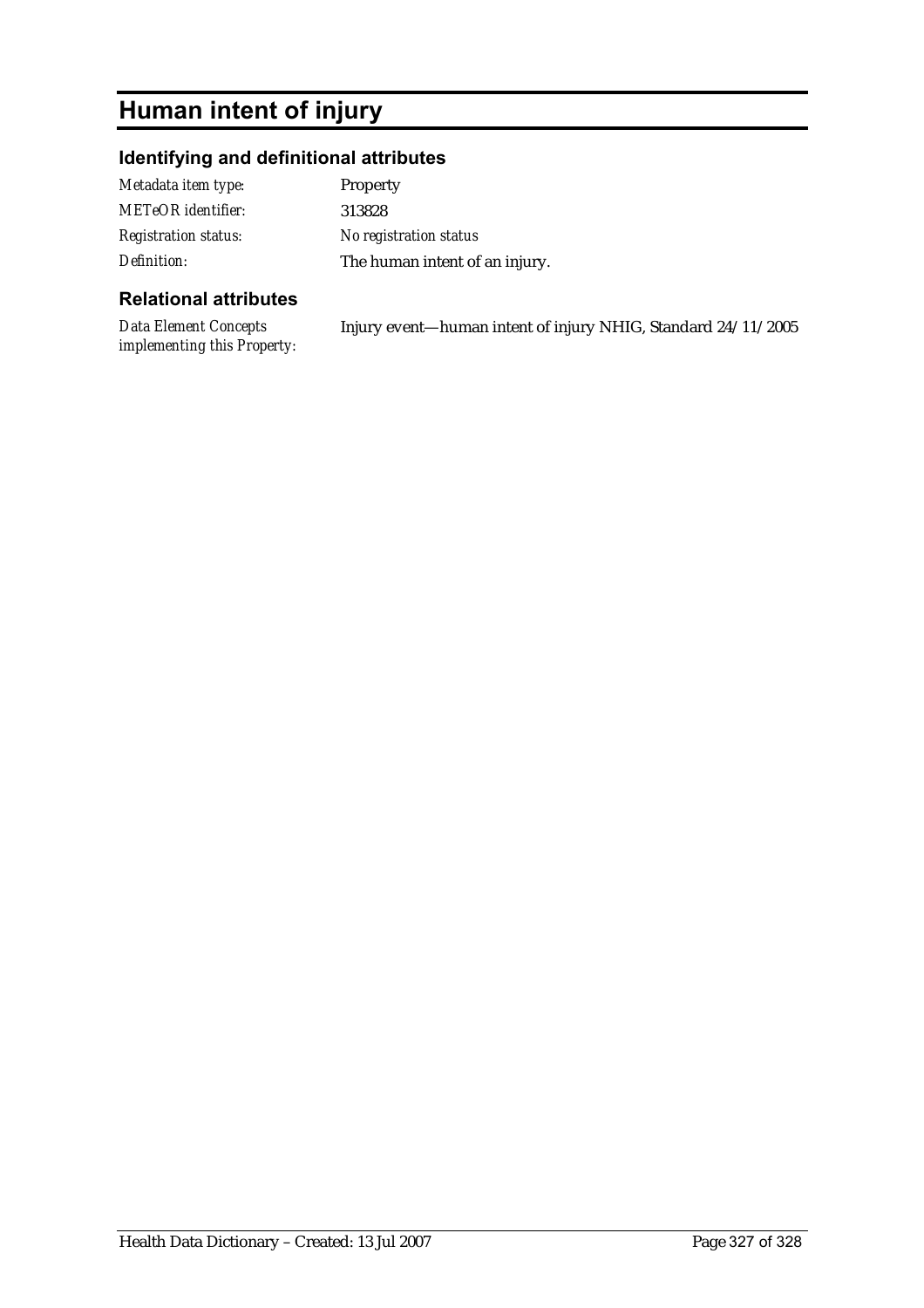# **Human intent of injury**

### **Identifying and definitional attributes**

| Metadata item type:         | <b>Property</b>                |
|-----------------------------|--------------------------------|
| METeOR identifier:          | 313828                         |
| <b>Registration status:</b> | No registration status         |
| Definition:                 | The human intent of an injury. |

#### **Relational attributes**

*Data Element Concepts implementing this Property:* Injury event—human intent of injury NHIG, Standard 24/11/2005